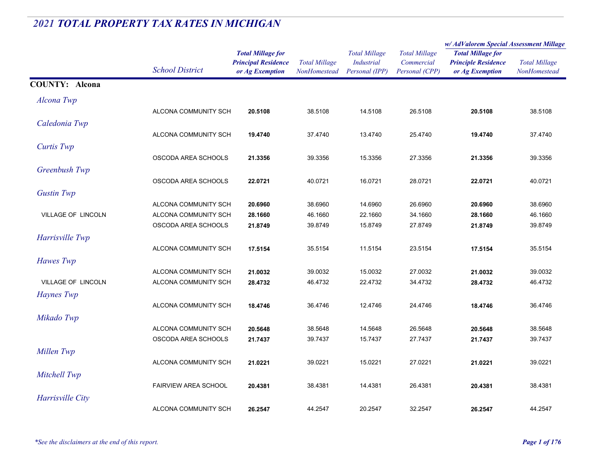|                           |                             | <b>Total Millage for</b><br><b>Principal Residence</b><br>or Ag Exemption | <b>Total Millage</b><br><b>NonHomestead</b> | <b>Total Millage</b><br><i>Industrial</i><br>Personal (IPP) | <b>Total Millage</b><br>Commercial | w/ AdValorem Special Assessment Millage                |                      |
|---------------------------|-----------------------------|---------------------------------------------------------------------------|---------------------------------------------|-------------------------------------------------------------|------------------------------------|--------------------------------------------------------|----------------------|
|                           |                             |                                                                           |                                             |                                                             |                                    | <b>Total Millage for</b><br><b>Principle Residence</b> | <b>Total Millage</b> |
|                           | <b>School District</b>      |                                                                           |                                             |                                                             | Personal (CPP)                     | or Ag Exemption                                        | NonHomestead         |
| <b>COUNTY: Alcona</b>     |                             |                                                                           |                                             |                                                             |                                    |                                                        |                      |
| Alcona Twp                |                             |                                                                           |                                             |                                                             |                                    |                                                        |                      |
|                           | ALCONA COMMUNITY SCH        | 20.5108                                                                   | 38.5108                                     | 14.5108                                                     | 26.5108                            | 20.5108                                                | 38.5108              |
| Caledonia Twp             |                             |                                                                           |                                             |                                                             |                                    |                                                        |                      |
|                           | ALCONA COMMUNITY SCH        | 19.4740                                                                   | 37.4740                                     | 13.4740                                                     | 25.4740                            | 19.4740                                                | 37.4740              |
| <b>Curtis Twp</b>         |                             |                                                                           |                                             |                                                             |                                    |                                                        |                      |
|                           | OSCODA AREA SCHOOLS         | 21.3356                                                                   | 39.3356                                     | 15.3356                                                     | 27.3356                            | 21.3356                                                | 39.3356              |
| Greenbush Twp             |                             |                                                                           |                                             |                                                             |                                    |                                                        |                      |
|                           | OSCODA AREA SCHOOLS         | 22.0721                                                                   | 40.0721                                     | 16.0721                                                     | 28.0721                            | 22.0721                                                | 40.0721              |
| <b>Gustin Twp</b>         |                             |                                                                           |                                             |                                                             |                                    |                                                        |                      |
|                           | ALCONA COMMUNITY SCH        | 20.6960                                                                   | 38.6960                                     | 14.6960                                                     | 26.6960                            | 20.6960                                                | 38.6960              |
| <b>VILLAGE OF LINCOLN</b> | ALCONA COMMUNITY SCH        | 28.1660                                                                   | 46.1660                                     | 22.1660                                                     | 34.1660                            | 28.1660                                                | 46.1660              |
|                           | OSCODA AREA SCHOOLS         | 21.8749                                                                   | 39.8749                                     | 15.8749                                                     | 27.8749                            | 21.8749                                                | 39.8749              |
| Harrisville Twp           |                             |                                                                           |                                             |                                                             |                                    |                                                        |                      |
|                           | ALCONA COMMUNITY SCH        | 17.5154                                                                   | 35.5154                                     | 11.5154                                                     | 23.5154                            | 17.5154                                                | 35.5154              |
| Hawes Twp                 |                             |                                                                           |                                             |                                                             |                                    |                                                        |                      |
|                           | ALCONA COMMUNITY SCH        | 21.0032                                                                   | 39.0032                                     | 15.0032                                                     | 27.0032                            | 21.0032                                                | 39.0032              |
| VILLAGE OF LINCOLN        | ALCONA COMMUNITY SCH        | 28.4732                                                                   | 46.4732                                     | 22.4732                                                     | 34.4732                            | 28.4732                                                | 46.4732              |
| Haynes Twp                |                             |                                                                           |                                             |                                                             |                                    |                                                        |                      |
|                           | ALCONA COMMUNITY SCH        | 18.4746                                                                   | 36.4746                                     | 12.4746                                                     | 24.4746                            | 18.4746                                                | 36.4746              |
| Mikado Twp                |                             |                                                                           |                                             |                                                             |                                    |                                                        |                      |
|                           | ALCONA COMMUNITY SCH        | 20.5648                                                                   | 38.5648                                     | 14.5648                                                     | 26.5648                            | 20.5648                                                | 38.5648              |
|                           | OSCODA AREA SCHOOLS         | 21.7437                                                                   | 39.7437                                     | 15.7437                                                     | 27.7437                            | 21.7437                                                | 39.7437              |
| Millen Twp                |                             |                                                                           |                                             |                                                             |                                    |                                                        |                      |
|                           | ALCONA COMMUNITY SCH        | 21.0221                                                                   | 39.0221                                     | 15.0221                                                     | 27.0221                            | 21.0221                                                | 39.0221              |
| Mitchell Twp              |                             |                                                                           |                                             |                                                             |                                    |                                                        |                      |
|                           | <b>FAIRVIEW AREA SCHOOL</b> | 20.4381                                                                   | 38.4381                                     | 14.4381                                                     | 26.4381                            | 20.4381                                                | 38.4381              |
| Harrisville City          |                             |                                                                           |                                             |                                                             |                                    |                                                        |                      |
|                           | ALCONA COMMUNITY SCH        | 26.2547                                                                   | 44.2547                                     | 20.2547                                                     | 32.2547                            | 26.2547                                                | 44.2547              |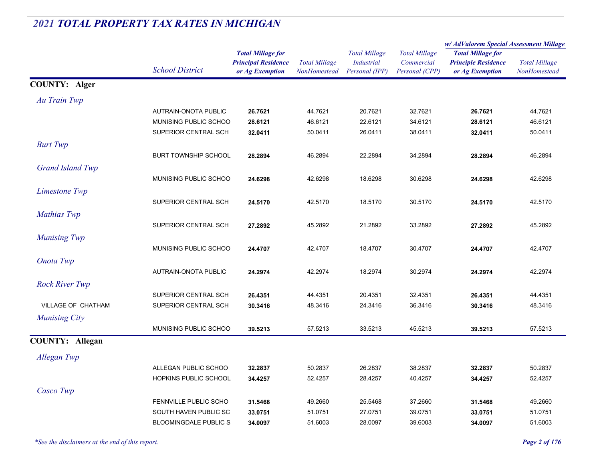|                         |                              |                                                                           |                                      |                                                             |                                                      | w/ AdValorem Special Assessment Millage                                   |                                      |
|-------------------------|------------------------------|---------------------------------------------------------------------------|--------------------------------------|-------------------------------------------------------------|------------------------------------------------------|---------------------------------------------------------------------------|--------------------------------------|
|                         | <b>School District</b>       | <b>Total Millage for</b><br><b>Principal Residence</b><br>or Ag Exemption | <b>Total Millage</b><br>NonHomestead | <b>Total Millage</b><br><b>Industrial</b><br>Personal (IPP) | <b>Total Millage</b><br>Commercial<br>Personal (CPP) | <b>Total Millage for</b><br><b>Principle Residence</b><br>or Ag Exemption | <b>Total Millage</b><br>NonHomestead |
| <b>COUNTY: Alger</b>    |                              |                                                                           |                                      |                                                             |                                                      |                                                                           |                                      |
| Au Train Twp            |                              |                                                                           |                                      |                                                             |                                                      |                                                                           |                                      |
|                         | <b>AUTRAIN-ONOTA PUBLIC</b>  | 26.7621                                                                   | 44.7621                              | 20.7621                                                     | 32.7621                                              | 26.7621                                                                   | 44.7621                              |
|                         | MUNISING PUBLIC SCHOO        | 28.6121                                                                   | 46.6121                              | 22.6121                                                     | 34.6121                                              | 28.6121                                                                   | 46.6121                              |
|                         | SUPERIOR CENTRAL SCH         | 32.0411                                                                   | 50.0411                              | 26.0411                                                     | 38.0411                                              | 32.0411                                                                   | 50.0411                              |
| <b>Burt Twp</b>         |                              |                                                                           |                                      |                                                             |                                                      |                                                                           |                                      |
|                         | <b>BURT TOWNSHIP SCHOOL</b>  | 28.2894                                                                   | 46.2894                              | 22.2894                                                     | 34.2894                                              | 28.2894                                                                   | 46.2894                              |
| <b>Grand Island Twp</b> |                              |                                                                           |                                      |                                                             |                                                      |                                                                           |                                      |
|                         | MUNISING PUBLIC SCHOO        | 24.6298                                                                   | 42.6298                              | 18.6298                                                     | 30.6298                                              | 24.6298                                                                   | 42.6298                              |
| Limestone Twp           |                              |                                                                           |                                      |                                                             |                                                      |                                                                           |                                      |
|                         | SUPERIOR CENTRAL SCH         | 24.5170                                                                   | 42.5170                              | 18.5170                                                     | 30.5170                                              | 24.5170                                                                   | 42.5170                              |
| Mathias Twp             |                              |                                                                           |                                      |                                                             |                                                      |                                                                           |                                      |
|                         | SUPERIOR CENTRAL SCH         | 27.2892                                                                   | 45.2892                              | 21.2892                                                     | 33.2892                                              | 27.2892                                                                   | 45.2892                              |
| <b>Munising Twp</b>     |                              |                                                                           |                                      |                                                             |                                                      |                                                                           |                                      |
|                         | MUNISING PUBLIC SCHOO        | 24.4707                                                                   | 42.4707                              | 18.4707                                                     | 30.4707                                              | 24.4707                                                                   | 42.4707                              |
| <b>Onota Twp</b>        |                              |                                                                           |                                      |                                                             |                                                      |                                                                           |                                      |
|                         | AUTRAIN-ONOTA PUBLIC         | 24.2974                                                                   | 42.2974                              | 18.2974                                                     | 30.2974                                              | 24.2974                                                                   | 42.2974                              |
| <b>Rock River Twp</b>   |                              |                                                                           |                                      |                                                             |                                                      |                                                                           |                                      |
|                         | SUPERIOR CENTRAL SCH         | 26.4351                                                                   | 44.4351                              | 20.4351                                                     | 32.4351                                              | 26.4351                                                                   | 44.4351                              |
| VILLAGE OF CHATHAM      | SUPERIOR CENTRAL SCH         | 30.3416                                                                   | 48.3416                              | 24.3416                                                     | 36.3416                                              | 30.3416                                                                   | 48.3416                              |
| <b>Munising City</b>    |                              |                                                                           |                                      |                                                             |                                                      |                                                                           |                                      |
|                         | MUNISING PUBLIC SCHOO        | 39.5213                                                                   | 57.5213                              | 33.5213                                                     | 45.5213                                              | 39.5213                                                                   | 57.5213                              |
| <b>COUNTY: Allegan</b>  |                              |                                                                           |                                      |                                                             |                                                      |                                                                           |                                      |
| Allegan Twp             |                              |                                                                           |                                      |                                                             |                                                      |                                                                           |                                      |
|                         | ALLEGAN PUBLIC SCHOO         | 32.2837                                                                   | 50.2837                              | 26.2837                                                     | 38.2837                                              | 32.2837                                                                   | 50.2837                              |
|                         | HOPKINS PUBLIC SCHOOL        | 34.4257                                                                   | 52.4257                              | 28.4257                                                     | 40.4257                                              | 34.4257                                                                   | 52.4257                              |
| Casco Twp               |                              |                                                                           |                                      |                                                             |                                                      |                                                                           |                                      |
|                         | FENNVILLE PUBLIC SCHO        | 31.5468                                                                   | 49.2660                              | 25.5468                                                     | 37.2660                                              | 31.5468                                                                   | 49.2660                              |
|                         | SOUTH HAVEN PUBLIC SC        | 33.0751                                                                   | 51.0751                              | 27.0751                                                     | 39.0751                                              | 33.0751                                                                   | 51.0751                              |
|                         | <b>BLOOMINGDALE PUBLIC S</b> | 34.0097                                                                   | 51.6003                              | 28.0097                                                     | 39.6003                                              | 34.0097                                                                   | 51.6003                              |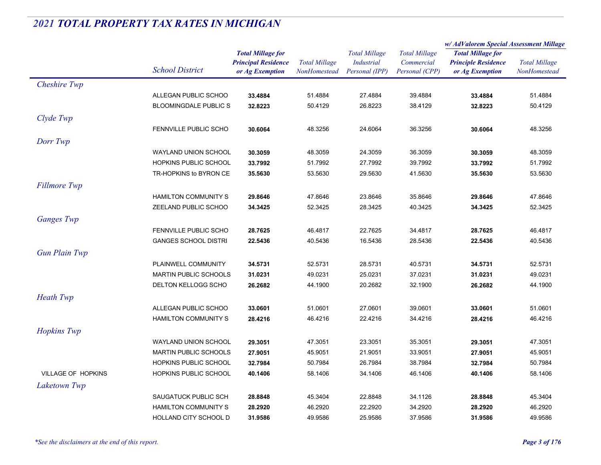|                           |                              |                                                        |                      |                                           |                                    | w/ AdValorem Special Assessment Millage                |                      |
|---------------------------|------------------------------|--------------------------------------------------------|----------------------|-------------------------------------------|------------------------------------|--------------------------------------------------------|----------------------|
|                           | <b>School District</b>       | <b>Total Millage for</b><br><b>Principal Residence</b> | <b>Total Millage</b> | <b>Total Millage</b><br><b>Industrial</b> | <b>Total Millage</b><br>Commercial | <b>Total Millage for</b><br><b>Principle Residence</b> | <b>Total Millage</b> |
|                           |                              | or Ag Exemption                                        | NonHomestead         | Personal (IPP)                            | Personal (CPP)                     | or Ag Exemption                                        | NonHomestead         |
| Cheshire Twp              |                              |                                                        |                      |                                           |                                    |                                                        |                      |
|                           | ALLEGAN PUBLIC SCHOO         | 33.4884                                                | 51.4884              | 27.4884                                   | 39.4884                            | 33.4884                                                | 51.4884              |
|                           | <b>BLOOMINGDALE PUBLIC S</b> | 32.8223                                                | 50.4129              | 26.8223                                   | 38.4129                            | 32.8223                                                | 50.4129              |
| Clyde Twp                 |                              |                                                        |                      |                                           |                                    |                                                        |                      |
|                           | <b>FENNVILLE PUBLIC SCHO</b> | 30.6064                                                | 48.3256              | 24.6064                                   | 36.3256                            | 30.6064                                                | 48.3256              |
| Dorr Twp                  |                              |                                                        |                      |                                           |                                    |                                                        |                      |
|                           | WAYLAND UNION SCHOOL         | 30.3059                                                | 48.3059              | 24.3059                                   | 36.3059                            | 30.3059                                                | 48.3059              |
|                           | HOPKINS PUBLIC SCHOOL        | 33.7992                                                | 51.7992              | 27.7992                                   | 39.7992                            | 33.7992                                                | 51.7992              |
|                           | TR-HOPKINS to BYRON CE       | 35.5630                                                | 53.5630              | 29.5630                                   | 41.5630                            | 35.5630                                                | 53.5630              |
| <b>Fillmore Twp</b>       |                              |                                                        |                      |                                           |                                    |                                                        |                      |
|                           | <b>HAMILTON COMMUNITY S</b>  | 29.8646                                                | 47.8646              | 23.8646                                   | 35.8646                            | 29.8646                                                | 47.8646              |
|                           | ZEELAND PUBLIC SCHOO         | 34.3425                                                | 52.3425              | 28.3425                                   | 40.3425                            | 34.3425                                                | 52.3425              |
| <b>Ganges Twp</b>         |                              |                                                        |                      |                                           |                                    |                                                        |                      |
|                           | FENNVILLE PUBLIC SCHO        | 28.7625                                                | 46.4817              | 22.7625                                   | 34.4817                            | 28.7625                                                | 46.4817              |
|                           | <b>GANGES SCHOOL DISTRI</b>  | 22.5436                                                | 40.5436              | 16.5436                                   | 28.5436                            | 22.5436                                                | 40.5436              |
|                           |                              |                                                        |                      |                                           |                                    |                                                        |                      |
| <b>Gun Plain Twp</b>      |                              |                                                        |                      |                                           |                                    |                                                        |                      |
|                           | PLAINWELL COMMUNITY          | 34.5731                                                | 52.5731              | 28.5731                                   | 40.5731                            | 34.5731                                                | 52.5731              |
|                           | <b>MARTIN PUBLIC SCHOOLS</b> | 31.0231                                                | 49.0231              | 25.0231                                   | 37.0231                            | 31.0231                                                | 49.0231              |
|                           | <b>DELTON KELLOGG SCHO</b>   | 26.2682                                                | 44.1900              | 20.2682                                   | 32.1900                            | 26.2682                                                | 44.1900              |
| <b>Heath Twp</b>          |                              |                                                        |                      |                                           |                                    |                                                        |                      |
|                           | ALLEGAN PUBLIC SCHOO         | 33.0601                                                | 51.0601              | 27.0601                                   | 39.0601                            | 33.0601                                                | 51.0601              |
|                           | <b>HAMILTON COMMUNITY S</b>  | 28.4216                                                | 46.4216              | 22.4216                                   | 34.4216                            | 28.4216                                                | 46.4216              |
| Hopkins Twp               |                              |                                                        |                      |                                           |                                    |                                                        |                      |
|                           | <b>WAYLAND UNION SCHOOL</b>  | 29.3051                                                | 47.3051              | 23.3051                                   | 35.3051                            | 29.3051                                                | 47.3051              |
|                           | <b>MARTIN PUBLIC SCHOOLS</b> | 27.9051                                                | 45.9051              | 21.9051                                   | 33.9051                            | 27.9051                                                | 45.9051              |
|                           | HOPKINS PUBLIC SCHOOL        | 32.7984                                                | 50.7984              | 26.7984                                   | 38.7984                            | 32.7984                                                | 50.7984              |
| <b>VILLAGE OF HOPKINS</b> | HOPKINS PUBLIC SCHOOL        | 40.1406                                                | 58.1406              | 34.1406                                   | 46.1406                            | 40.1406                                                | 58.1406              |
| Laketown Twp              |                              |                                                        |                      |                                           |                                    |                                                        |                      |
|                           | SAUGATUCK PUBLIC SCH         | 28.8848                                                | 45.3404              | 22.8848                                   | 34.1126                            | 28.8848                                                | 45.3404              |
|                           | <b>HAMILTON COMMUNITY S</b>  | 28.2920                                                | 46.2920              | 22.2920                                   | 34.2920                            | 28.2920                                                | 46.2920              |
|                           | HOLLAND CITY SCHOOL D        | 31.9586                                                | 49.9586              | 25.9586                                   | 37.9586                            | 31.9586                                                | 49.9586              |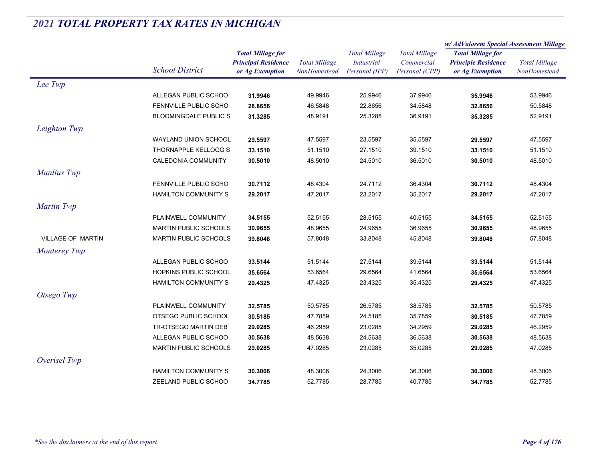|                          |                              |                                                                           |                                      |                                                             |                                                      | w/AdValorem Special Assessment Millage                                    |                                      |
|--------------------------|------------------------------|---------------------------------------------------------------------------|--------------------------------------|-------------------------------------------------------------|------------------------------------------------------|---------------------------------------------------------------------------|--------------------------------------|
|                          | <b>School District</b>       | <b>Total Millage for</b><br><b>Principal Residence</b><br>or Ag Exemption | <b>Total Millage</b><br>NonHomestead | <b>Total Millage</b><br><b>Industrial</b><br>Personal (IPP) | <b>Total Millage</b><br>Commercial<br>Personal (CPP) | <b>Total Millage for</b><br><b>Principle Residence</b><br>or Ag Exemption | <b>Total Millage</b><br>NonHomestead |
| Lee Twp                  |                              |                                                                           |                                      |                                                             |                                                      |                                                                           |                                      |
|                          | ALLEGAN PUBLIC SCHOO         | 31.9946                                                                   | 49.9946                              | 25.9946                                                     | 37.9946                                              | 35.9946                                                                   | 53.9946                              |
|                          | FENNVILLE PUBLIC SCHO        | 28.8656                                                                   | 46.5848                              | 22.8656                                                     | 34.5848                                              | 32.8656                                                                   | 50.5848                              |
|                          | <b>BLOOMINGDALE PUBLIC S</b> | 31.3285                                                                   | 48.9191                              | 25.3285                                                     | 36.9191                                              | 35.3285                                                                   | 52.9191                              |
| Leighton Twp             |                              |                                                                           |                                      |                                                             |                                                      |                                                                           |                                      |
|                          | WAYLAND UNION SCHOOL         | 29.5597                                                                   | 47.5597                              | 23.5597                                                     | 35.5597                                              | 29.5597                                                                   | 47.5597                              |
|                          | THORNAPPLE KELLOGG S         | 33.1510                                                                   | 51.1510                              | 27.1510                                                     | 39.1510                                              | 33.1510                                                                   | 51.1510                              |
|                          | CALEDONIA COMMUNITY          | 30.5010                                                                   | 48.5010                              | 24.5010                                                     | 36.5010                                              | 30.5010                                                                   | 48.5010                              |
| <b>Manlius Twp</b>       |                              |                                                                           |                                      |                                                             |                                                      |                                                                           |                                      |
|                          | FENNVILLE PUBLIC SCHO        | 30.7112                                                                   | 48.4304                              | 24.7112                                                     | 36.4304                                              | 30.7112                                                                   | 48.4304                              |
|                          | <b>HAMILTON COMMUNITY S</b>  | 29.2017                                                                   | 47.2017                              | 23.2017                                                     | 35.2017                                              | 29.2017                                                                   | 47.2017                              |
| Martin Twp               |                              |                                                                           |                                      |                                                             |                                                      |                                                                           |                                      |
|                          | PLAINWELL COMMUNITY          | 34.5155                                                                   | 52.5155                              | 28.5155                                                     | 40.5155                                              | 34.5155                                                                   | 52.5155                              |
|                          | <b>MARTIN PUBLIC SCHOOLS</b> | 30.9655                                                                   | 48.9655                              | 24.9655                                                     | 36.9655                                              | 30.9655                                                                   | 48.9655                              |
| <b>VILLAGE OF MARTIN</b> | <b>MARTIN PUBLIC SCHOOLS</b> | 39.8048                                                                   | 57.8048                              | 33.8048                                                     | 45.8048                                              | 39.8048                                                                   | 57.8048                              |
| <b>Monterey Twp</b>      |                              |                                                                           |                                      |                                                             |                                                      |                                                                           |                                      |
|                          | ALLEGAN PUBLIC SCHOO         | 33.5144                                                                   | 51.5144                              | 27.5144                                                     | 39.5144                                              | 33.5144                                                                   | 51.5144                              |
|                          | <b>HOPKINS PUBLIC SCHOOL</b> | 35.6564                                                                   | 53.6564                              | 29.6564                                                     | 41.6564                                              | 35.6564                                                                   | 53.6564                              |
|                          | HAMILTON COMMUNITY S         | 29.4325                                                                   | 47.4325                              | 23.4325                                                     | 35.4325                                              | 29.4325                                                                   | 47.4325                              |
| Otsego Twp               |                              |                                                                           |                                      |                                                             |                                                      |                                                                           |                                      |
|                          | PLAINWELL COMMUNITY          | 32.5785                                                                   | 50.5785                              | 26.5785                                                     | 38.5785                                              | 32.5785                                                                   | 50.5785                              |
|                          | OTSEGO PUBLIC SCHOOL         | 30.5185                                                                   | 47.7859                              | 24.5185                                                     | 35.7859                                              | 30.5185                                                                   | 47.7859                              |
|                          | TR-OTSEGO MARTIN DEB         | 29.0285                                                                   | 46.2959                              | 23.0285                                                     | 34.2959                                              | 29.0285                                                                   | 46.2959                              |
|                          | ALLEGAN PUBLIC SCHOO         | 30.5638                                                                   | 48.5638                              | 24.5638                                                     | 36.5638                                              | 30.5638                                                                   | 48.5638                              |
|                          | <b>MARTIN PUBLIC SCHOOLS</b> | 29.0285                                                                   | 47.0285                              | 23.0285                                                     | 35.0285                                              | 29.0285                                                                   | 47.0285                              |
| Overisel Twp             |                              |                                                                           |                                      |                                                             |                                                      |                                                                           |                                      |
|                          | <b>HAMILTON COMMUNITY S</b>  | 30.3006                                                                   | 48.3006                              | 24.3006                                                     | 36.3006                                              | 30.3006                                                                   | 48.3006                              |
|                          | ZEELAND PUBLIC SCHOO         | 34.7785                                                                   | 52.7785                              | 28.7785                                                     | 40.7785                                              | 34.7785                                                                   | 52.7785                              |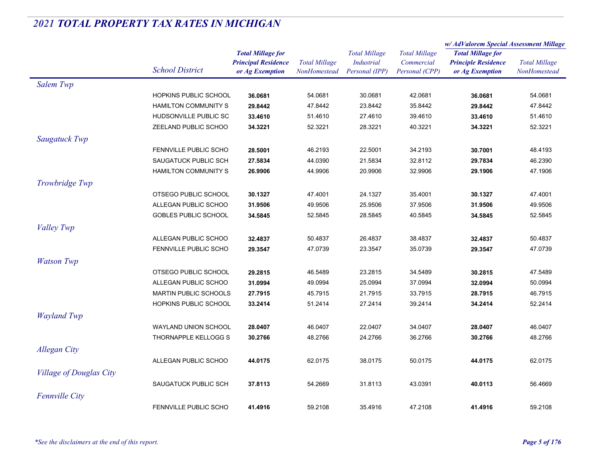|                                |                              |                            | <b>Total Millage</b><br><b>NonHomestead</b> | <b>Total Millage</b><br><b>Industrial</b> |                      | w/ AdValorem Special Assessment Millage |                                      |
|--------------------------------|------------------------------|----------------------------|---------------------------------------------|-------------------------------------------|----------------------|-----------------------------------------|--------------------------------------|
|                                |                              | <b>Total Millage for</b>   |                                             |                                           | <b>Total Millage</b> | <b>Total Millage for</b>                | <b>Total Millage</b><br>NonHomestead |
|                                |                              | <b>Principal Residence</b> |                                             |                                           | Commercial           | <b>Principle Residence</b>              |                                      |
|                                | <b>School District</b>       | or Ag Exemption            |                                             | Personal (IPP)                            | Personal (CPP)       | or Ag Exemption                         |                                      |
| Salem Twp                      |                              |                            |                                             |                                           |                      |                                         |                                      |
|                                | HOPKINS PUBLIC SCHOOL        | 36.0681                    | 54.0681                                     | 30.0681                                   | 42.0681              | 36.0681                                 | 54.0681                              |
|                                | <b>HAMILTON COMMUNITY S</b>  | 29.8442                    | 47.8442                                     | 23.8442                                   | 35.8442              | 29.8442                                 | 47.8442                              |
|                                | HUDSONVILLE PUBLIC SC        | 33.4610                    | 51.4610                                     | 27.4610                                   | 39.4610              | 33.4610                                 | 51.4610                              |
|                                | ZEELAND PUBLIC SCHOO         | 34.3221                    | 52.3221                                     | 28.3221                                   | 40.3221              | 34.3221                                 | 52.3221                              |
| Saugatuck Twp                  |                              |                            |                                             |                                           |                      |                                         |                                      |
|                                | <b>FENNVILLE PUBLIC SCHO</b> | 28.5001                    | 46.2193                                     | 22.5001                                   | 34.2193              | 30.7001                                 | 48.4193                              |
|                                | SAUGATUCK PUBLIC SCH         | 27.5834                    | 44.0390                                     | 21.5834                                   | 32.8112              | 29.7834                                 | 46.2390                              |
|                                | <b>HAMILTON COMMUNITY S</b>  | 26.9906                    | 44.9906                                     | 20.9906                                   | 32.9906              | 29.1906                                 | 47.1906                              |
| Trowbridge Twp                 |                              |                            |                                             |                                           |                      |                                         |                                      |
|                                | OTSEGO PUBLIC SCHOOL         | 30.1327                    | 47.4001                                     | 24.1327                                   | 35.4001              | 30.1327                                 | 47.4001                              |
|                                | ALLEGAN PUBLIC SCHOO         | 31.9506                    | 49.9506                                     | 25.9506                                   | 37.9506              | 31.9506                                 | 49.9506                              |
|                                | <b>GOBLES PUBLIC SCHOOL</b>  | 34.5845                    | 52.5845                                     | 28.5845                                   | 40.5845              | 34.5845                                 | 52.5845                              |
| Valley Twp                     |                              |                            |                                             |                                           |                      |                                         |                                      |
|                                | ALLEGAN PUBLIC SCHOO         | 32.4837                    | 50.4837                                     | 26.4837                                   | 38.4837              | 32.4837                                 | 50.4837                              |
|                                | FENNVILLE PUBLIC SCHO        | 29.3547                    | 47.0739                                     | 23.3547                                   | 35.0739              | 29.3547                                 | 47.0739                              |
| <b>Watson Twp</b>              |                              |                            |                                             |                                           |                      |                                         |                                      |
|                                | OTSEGO PUBLIC SCHOOL         | 29.2815                    | 46.5489                                     | 23.2815                                   | 34.5489              | 30.2815                                 | 47.5489                              |
|                                | ALLEGAN PUBLIC SCHOO         | 31.0994                    | 49.0994                                     | 25.0994                                   | 37.0994              | 32.0994                                 | 50.0994                              |
|                                | <b>MARTIN PUBLIC SCHOOLS</b> | 27.7915                    | 45.7915                                     | 21.7915                                   | 33.7915              | 28.7915                                 | 46.7915                              |
|                                | HOPKINS PUBLIC SCHOOL        | 33.2414                    | 51.2414                                     | 27.2414                                   | 39.2414              | 34.2414                                 | 52.2414                              |
| <b>Wayland Twp</b>             |                              |                            |                                             |                                           |                      |                                         |                                      |
|                                | WAYLAND UNION SCHOOL         | 28.0407                    | 46.0407                                     | 22.0407                                   | 34.0407              | 28.0407                                 | 46.0407                              |
|                                | THORNAPPLE KELLOGG S         | 30.2766                    | 48.2766                                     | 24.2766                                   | 36.2766              | 30.2766                                 | 48.2766                              |
| <b>Allegan City</b>            |                              |                            |                                             |                                           |                      |                                         |                                      |
|                                | ALLEGAN PUBLIC SCHOO         | 44.0175                    | 62.0175                                     | 38.0175                                   | 50.0175              | 44.0175                                 | 62.0175                              |
| <b>Village of Douglas City</b> |                              |                            |                                             |                                           |                      |                                         |                                      |
|                                | SAUGATUCK PUBLIC SCH         | 37.8113                    | 54.2669                                     | 31.8113                                   | 43.0391              | 40.0113                                 | 56.4669                              |
|                                |                              |                            |                                             |                                           |                      |                                         |                                      |
| <b>Fennville City</b>          |                              |                            |                                             |                                           |                      |                                         |                                      |
|                                | <b>FENNVILLE PUBLIC SCHO</b> | 41.4916                    | 59.2108                                     | 35.4916                                   | 47.2108              | 41.4916                                 | 59.2108                              |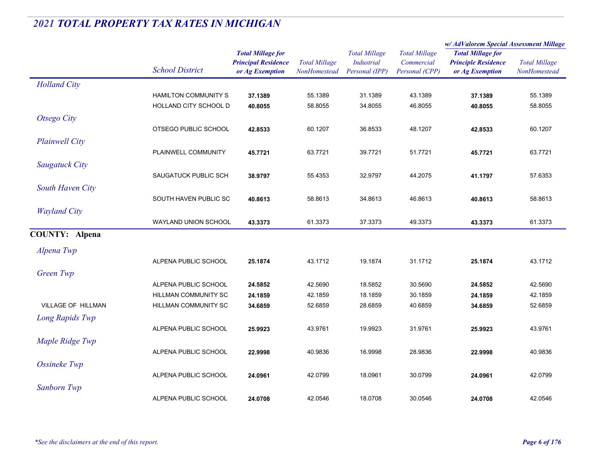|                           |                             | <b>Total Millage for</b><br><b>Principal Residence</b> | <b>Total Millage</b> | <b>Total Millage</b><br><b>Industrial</b><br>Personal (IPP) | <b>Total Millage</b> | w/AdValorem Special Assessment Millage |                      |  |
|---------------------------|-----------------------------|--------------------------------------------------------|----------------------|-------------------------------------------------------------|----------------------|----------------------------------------|----------------------|--|
|                           |                             |                                                        |                      |                                                             |                      | <b>Total Millage for</b>               | <b>Total Millage</b> |  |
|                           |                             |                                                        |                      |                                                             | Commercial           | <b>Principle Residence</b>             |                      |  |
|                           | <b>School District</b>      | or Ag Exemption                                        | NonHomestead         |                                                             | Personal (CPP)       | or Ag Exemption                        | NonHomestead         |  |
| <b>Holland City</b>       |                             |                                                        |                      |                                                             |                      |                                        |                      |  |
|                           | <b>HAMILTON COMMUNITY S</b> | 37.1389                                                | 55.1389              | 31.1389                                                     | 43.1389              | 37.1389                                | 55.1389              |  |
|                           | HOLLAND CITY SCHOOL D       | 40.8055                                                | 58.8055              | 34.8055                                                     | 46.8055              | 40.8055                                | 58.8055              |  |
| Otsego City               |                             |                                                        |                      |                                                             |                      |                                        |                      |  |
|                           | OTSEGO PUBLIC SCHOOL        | 42.8533                                                | 60.1207              | 36.8533                                                     | 48.1207              | 42.8533                                | 60.1207              |  |
| <b>Plainwell City</b>     |                             |                                                        |                      |                                                             |                      |                                        |                      |  |
|                           | PLAINWELL COMMUNITY         | 45.7721                                                | 63.7721              | 39.7721                                                     | 51.7721              | 45.7721                                | 63.7721              |  |
| <b>Saugatuck City</b>     |                             |                                                        |                      |                                                             |                      |                                        |                      |  |
|                           | SAUGATUCK PUBLIC SCH        | 38.9797                                                | 55.4353              | 32.9797                                                     | 44.2075              | 41.1797                                | 57.6353              |  |
| South Haven City          |                             |                                                        |                      |                                                             |                      |                                        |                      |  |
|                           | SOUTH HAVEN PUBLIC SC       |                                                        | 58.8613              | 34.8613                                                     | 46.8613              |                                        | 58.8613              |  |
|                           |                             | 40.8613                                                |                      |                                                             |                      | 40.8613                                |                      |  |
| <b>Wayland City</b>       |                             |                                                        |                      |                                                             |                      |                                        |                      |  |
|                           | WAYLAND UNION SCHOOL        | 43.3373                                                | 61.3373              | 37.3373                                                     | 49.3373              | 43.3373                                | 61.3373              |  |
| <b>COUNTY: Alpena</b>     |                             |                                                        |                      |                                                             |                      |                                        |                      |  |
| Alpena Twp                |                             |                                                        |                      |                                                             |                      |                                        |                      |  |
|                           | ALPENA PUBLIC SCHOOL        | 25.1874                                                | 43.1712              | 19.1874                                                     | 31.1712              | 25.1874                                | 43.1712              |  |
| Green Twp                 |                             |                                                        |                      |                                                             |                      |                                        |                      |  |
|                           | ALPENA PUBLIC SCHOOL        | 24.5852                                                | 42.5690              | 18.5852                                                     | 30.5690              | 24.5852                                | 42.5690              |  |
|                           | HILLMAN COMMUNITY SC        | 24.1859                                                | 42.1859              | 18.1859                                                     | 30.1859              | 24.1859                                | 42.1859              |  |
| <b>VILLAGE OF HILLMAN</b> | HILLMAN COMMUNITY SC        | 34.6859                                                | 52.6859              | 28.6859                                                     | 40.6859              | 34.6859                                | 52.6859              |  |
| Long Rapids Twp           |                             |                                                        |                      |                                                             |                      |                                        |                      |  |
|                           | ALPENA PUBLIC SCHOOL        | 25.9923                                                | 43.9761              | 19.9923                                                     | 31.9761              | 25.9923                                | 43.9761              |  |
| Maple Ridge Twp           |                             |                                                        |                      |                                                             |                      |                                        |                      |  |
|                           | ALPENA PUBLIC SCHOOL        | 22.9998                                                | 40.9836              | 16.9998                                                     | 28.9836              | 22.9998                                | 40.9836              |  |
|                           |                             |                                                        |                      |                                                             |                      |                                        |                      |  |
| Ossineke Twp              |                             |                                                        |                      |                                                             | 30.0799              |                                        |                      |  |
|                           | ALPENA PUBLIC SCHOOL        | 24.0961                                                | 42.0799              | 18.0961                                                     |                      | 24.0961                                | 42.0799              |  |
| Sanborn Twp               |                             |                                                        |                      |                                                             |                      |                                        |                      |  |
|                           | ALPENA PUBLIC SCHOOL        | 24.0708                                                | 42.0546              | 18.0708                                                     | 30.0546              | 24.0708                                | 42.0546              |  |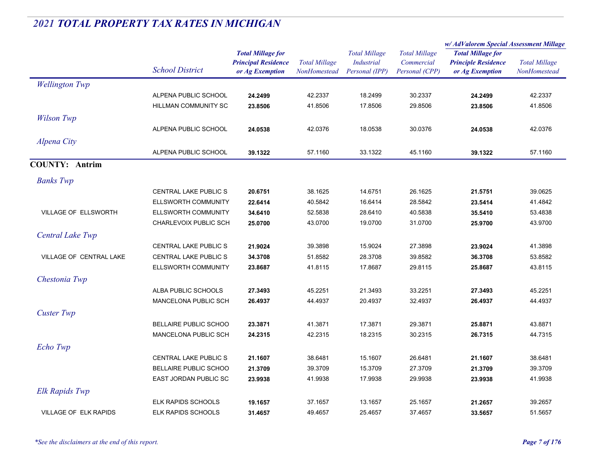|                                |                              |                                                        | <b>Total Millage</b> |                                           | <b>Total Millage</b><br>Commercial | w/ AdValorem Special Assessment Millage                |                      |
|--------------------------------|------------------------------|--------------------------------------------------------|----------------------|-------------------------------------------|------------------------------------|--------------------------------------------------------|----------------------|
|                                |                              | <b>Total Millage for</b><br><b>Principal Residence</b> |                      | <b>Total Millage</b><br><b>Industrial</b> |                                    | <b>Total Millage for</b><br><b>Principle Residence</b> | <b>Total Millage</b> |
|                                | <b>School District</b>       | or Ag Exemption                                        | <b>NonHomestead</b>  | Personal (IPP)                            | Personal (CPP)                     | or Ag Exemption                                        | NonHomestead         |
| <b>Wellington Twp</b>          |                              |                                                        |                      |                                           |                                    |                                                        |                      |
|                                | ALPENA PUBLIC SCHOOL         | 24.2499                                                | 42.2337              | 18.2499                                   | 30.2337                            | 24.2499                                                | 42.2337              |
|                                | HILLMAN COMMUNITY SC         | 23.8506                                                | 41.8506              | 17.8506                                   | 29.8506                            | 23.8506                                                | 41.8506              |
| <b>Wilson Twp</b>              |                              |                                                        |                      |                                           |                                    |                                                        |                      |
|                                | ALPENA PUBLIC SCHOOL         | 24.0538                                                | 42.0376              | 18.0538                                   | 30.0376                            | 24.0538                                                | 42.0376              |
| Alpena City                    |                              |                                                        |                      |                                           |                                    |                                                        |                      |
|                                | ALPENA PUBLIC SCHOOL         | 39.1322                                                | 57.1160              | 33.1322                                   | 45.1160                            | 39.1322                                                | 57.1160              |
| <b>COUNTY: Antrim</b>          |                              |                                                        |                      |                                           |                                    |                                                        |                      |
| <b>Banks</b> Twp               |                              |                                                        |                      |                                           |                                    |                                                        |                      |
|                                | <b>CENTRAL LAKE PUBLIC S</b> | 20.6751                                                | 38.1625              | 14.6751                                   | 26.1625                            | 21.5751                                                | 39.0625              |
|                                | ELLSWORTH COMMUNITY          | 22.6414                                                | 40.5842              | 16.6414                                   | 28.5842                            | 23.5414                                                | 41.4842              |
| VILLAGE OF ELLSWORTH           | ELLSWORTH COMMUNITY          | 34.6410                                                | 52.5838              | 28.6410                                   | 40.5838                            | 35.5410                                                | 53.4838              |
|                                | CHARLEVOIX PUBLIC SCH        | 25.0700                                                | 43.0700              | 19.0700                                   | 31.0700                            | 25.9700                                                | 43.9700              |
| Central Lake Twp               |                              |                                                        |                      |                                           |                                    |                                                        |                      |
|                                | <b>CENTRAL LAKE PUBLIC S</b> | 21.9024                                                | 39.3898              | 15.9024                                   | 27.3898                            | 23.9024                                                | 41.3898              |
| <b>VILLAGE OF CENTRAL LAKE</b> | <b>CENTRAL LAKE PUBLIC S</b> | 34.3708                                                | 51.8582              | 28.3708                                   | 39.8582                            | 36.3708                                                | 53.8582              |
|                                | ELLSWORTH COMMUNITY          | 23.8687                                                | 41.8115              | 17.8687                                   | 29.8115                            | 25.8687                                                | 43.8115              |
| Chestonia Twp                  |                              |                                                        |                      |                                           |                                    |                                                        |                      |
|                                | ALBA PUBLIC SCHOOLS          | 27.3493                                                | 45.2251              | 21.3493                                   | 33.2251                            | 27.3493                                                | 45.2251              |
|                                | <b>MANCELONA PUBLIC SCH</b>  | 26.4937                                                | 44.4937              | 20.4937                                   | 32.4937                            | 26.4937                                                | 44.4937              |
| <b>Custer Twp</b>              |                              |                                                        |                      |                                           |                                    |                                                        |                      |
|                                | BELLAIRE PUBLIC SCHOO        | 23.3871                                                | 41.3871              | 17.3871                                   | 29.3871                            | 25.8871                                                | 43.8871              |
|                                | MANCELONA PUBLIC SCH         | 24.2315                                                | 42.2315              | 18.2315                                   | 30.2315                            | 26.7315                                                | 44.7315              |
| Echo Twp                       |                              |                                                        |                      |                                           |                                    |                                                        |                      |
|                                | <b>CENTRAL LAKE PUBLIC S</b> | 21.1607                                                | 38.6481              | 15.1607                                   | 26.6481                            | 21.1607                                                | 38.6481              |
|                                | BELLAIRE PUBLIC SCHOO        | 21.3709                                                | 39.3709              | 15.3709                                   | 27.3709                            | 21.3709                                                | 39.3709              |
|                                | EAST JORDAN PUBLIC SC        | 23.9938                                                | 41.9938              | 17.9938                                   | 29.9938                            | 23.9938                                                | 41.9938              |
| Elk Rapids Twp                 |                              |                                                        |                      |                                           |                                    |                                                        |                      |
|                                | <b>ELK RAPIDS SCHOOLS</b>    | 19.1657                                                | 37.1657              | 13.1657                                   | 25.1657                            | 21.2657                                                | 39.2657              |
| <b>VILLAGE OF ELK RAPIDS</b>   | <b>ELK RAPIDS SCHOOLS</b>    | 31.4657                                                | 49.4657              | 25.4657                                   | 37.4657                            | 33.5657                                                | 51.5657              |
|                                |                              |                                                        |                      |                                           |                                    |                                                        |                      |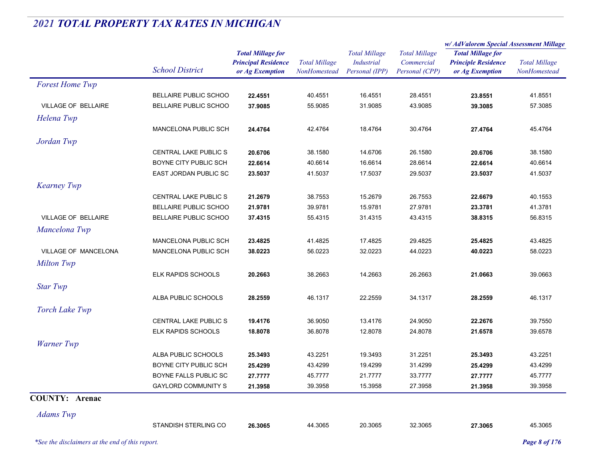|                             |                              |                                                                           |                                      |                                                      |                                                      | w/AdValorem Special Assessment Millage                                    |                                      |
|-----------------------------|------------------------------|---------------------------------------------------------------------------|--------------------------------------|------------------------------------------------------|------------------------------------------------------|---------------------------------------------------------------------------|--------------------------------------|
|                             | <b>School District</b>       | <b>Total Millage for</b><br><b>Principal Residence</b><br>or Ag Exemption | <b>Total Millage</b><br>NonHomestead | <b>Total Millage</b><br>Industrial<br>Personal (IPP) | <b>Total Millage</b><br>Commercial<br>Personal (CPP) | <b>Total Millage for</b><br><b>Principle Residence</b><br>or Ag Exemption | <b>Total Millage</b><br>NonHomestead |
| <b>Forest Home Twp</b>      |                              |                                                                           |                                      |                                                      |                                                      |                                                                           |                                      |
|                             | BELLAIRE PUBLIC SCHOO        | 22.4551                                                                   | 40.4551                              | 16.4551                                              | 28.4551                                              | 23.8551                                                                   | 41.8551                              |
| <b>VILLAGE OF BELLAIRE</b>  | BELLAIRE PUBLIC SCHOO        | 37.9085                                                                   | 55.9085                              | 31.9085                                              | 43.9085                                              | 39.3085                                                                   | 57.3085                              |
| Helena Twp                  |                              |                                                                           |                                      |                                                      |                                                      |                                                                           |                                      |
|                             | MANCELONA PUBLIC SCH         | 24.4764                                                                   | 42.4764                              | 18.4764                                              | 30.4764                                              | 27.4764                                                                   | 45.4764                              |
| Jordan Twp                  |                              |                                                                           |                                      |                                                      |                                                      |                                                                           |                                      |
|                             | CENTRAL LAKE PUBLIC S        | 20.6706                                                                   | 38.1580                              | 14.6706                                              | 26.1580                                              | 20.6706                                                                   | 38.1580                              |
|                             | BOYNE CITY PUBLIC SCH        | 22.6614                                                                   | 40.6614                              | 16.6614                                              | 28.6614                                              | 22.6614                                                                   | 40.6614                              |
|                             | EAST JORDAN PUBLIC SC        | 23.5037                                                                   | 41.5037                              | 17.5037                                              | 29.5037                                              | 23.5037                                                                   | 41.5037                              |
| <b>Kearney Twp</b>          |                              |                                                                           |                                      |                                                      |                                                      |                                                                           |                                      |
|                             | <b>CENTRAL LAKE PUBLIC S</b> | 21.2679                                                                   | 38.7553                              | 15.2679                                              | 26.7553                                              | 22.6679                                                                   | 40.1553                              |
|                             | BELLAIRE PUBLIC SCHOO        | 21.9781                                                                   | 39.9781                              | 15.9781                                              | 27.9781                                              | 23.3781                                                                   | 41.3781                              |
| <b>VILLAGE OF BELLAIRE</b>  | BELLAIRE PUBLIC SCHOO        | 37.4315                                                                   | 55.4315                              | 31.4315                                              | 43.4315                                              | 38.8315                                                                   | 56.8315                              |
| Mancelona Twp               |                              |                                                                           |                                      |                                                      |                                                      |                                                                           |                                      |
|                             | MANCELONA PUBLIC SCH         | 23.4825                                                                   | 41.4825                              | 17.4825                                              | 29.4825                                              | 25.4825                                                                   | 43.4825                              |
| <b>VILLAGE OF MANCELONA</b> | <b>MANCELONA PUBLIC SCH</b>  | 38.0223                                                                   | 56.0223                              | 32.0223                                              | 44.0223                                              | 40.0223                                                                   | 58.0223                              |
| <b>Milton Twp</b>           |                              |                                                                           |                                      |                                                      |                                                      |                                                                           |                                      |
|                             | ELK RAPIDS SCHOOLS           | 20.2663                                                                   | 38.2663                              | 14.2663                                              | 26.2663                                              | 21.0663                                                                   | 39.0663                              |
| <b>Star Twp</b>             |                              |                                                                           |                                      |                                                      |                                                      |                                                                           |                                      |
|                             | ALBA PUBLIC SCHOOLS          | 28.2559                                                                   | 46.1317                              | 22.2559                                              | 34.1317                                              | 28.2559                                                                   | 46.1317                              |
| <b>Torch Lake Twp</b>       |                              |                                                                           |                                      |                                                      |                                                      |                                                                           |                                      |
|                             | <b>CENTRAL LAKE PUBLIC S</b> | 19.4176                                                                   | 36.9050                              | 13.4176                                              | 24.9050                                              | 22.2676                                                                   | 39.7550                              |
|                             | <b>ELK RAPIDS SCHOOLS</b>    | 18.8078                                                                   | 36.8078                              | 12.8078                                              | 24.8078                                              | 21.6578                                                                   | 39.6578                              |
| <b>Warner Twp</b>           |                              |                                                                           |                                      |                                                      |                                                      |                                                                           |                                      |
|                             | ALBA PUBLIC SCHOOLS          | 25.3493                                                                   | 43.2251                              | 19.3493                                              | 31.2251                                              | 25.3493                                                                   | 43.2251                              |
|                             | BOYNE CITY PUBLIC SCH        | 25.4299                                                                   | 43.4299                              | 19.4299                                              | 31.4299                                              | 25.4299                                                                   | 43.4299                              |
|                             | BOYNE FALLS PUBLIC SC        | 27.7777                                                                   | 45.7777                              | 21.7777                                              | 33.7777                                              | 27.7777                                                                   | 45.7777                              |
|                             | <b>GAYLORD COMMUNITY S</b>   | 21.3958                                                                   | 39.3958                              | 15.3958                                              | 27.3958                                              | 21.3958                                                                   | 39.3958                              |
| <b>COUNTY: Arenac</b>       |                              |                                                                           |                                      |                                                      |                                                      |                                                                           |                                      |
| <b>Adams</b> Twp            |                              |                                                                           |                                      |                                                      |                                                      |                                                                           |                                      |
|                             | STANDISH STERLING CO         | 26.3065                                                                   | 44.3065                              | 20.3065                                              | 32.3065                                              | 27.3065                                                                   | 45.3065                              |

*\*See the disclaimers at the end of this report. Page 8 of 176*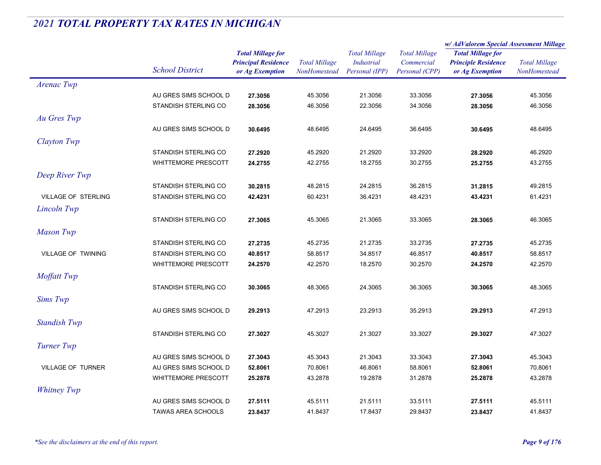|                            |                             |                            |                      |                      | <b>Total Millage</b> | w/ AdValorem Special Assessment Millage |                      |
|----------------------------|-----------------------------|----------------------------|----------------------|----------------------|----------------------|-----------------------------------------|----------------------|
|                            |                             | <b>Total Millage for</b>   |                      | <b>Total Millage</b> |                      | <b>Total Millage for</b>                |                      |
|                            | <b>School District</b>      | <b>Principal Residence</b> | <b>Total Millage</b> | <b>Industrial</b>    | Commercial           | <b>Principle Residence</b>              | <b>Total Millage</b> |
|                            |                             | or Ag Exemption            | <b>NonHomestead</b>  | Personal (IPP)       | Personal (CPP)       | or Ag Exemption                         | <b>NonHomestead</b>  |
| Arenac Twp                 |                             |                            |                      |                      |                      |                                         |                      |
|                            | AU GRES SIMS SCHOOL D       | 27.3056                    | 45.3056              | 21.3056              | 33.3056              | 27.3056                                 | 45.3056              |
|                            | STANDISH STERLING CO        | 28.3056                    | 46.3056              | 22.3056              | 34.3056              | 28.3056                                 | 46.3056              |
| Au Gres Twp                |                             |                            |                      |                      |                      |                                         |                      |
|                            | AU GRES SIMS SCHOOL D       | 30.6495                    | 48.6495              | 24.6495              | 36.6495              | 30.6495                                 | 48.6495              |
| Clayton Twp                |                             |                            |                      |                      |                      |                                         |                      |
|                            | STANDISH STERLING CO        | 27.2920                    | 45.2920              | 21.2920              | 33.2920              | 28.2920                                 | 46.2920              |
|                            | <b>WHITTEMORE PRESCOTT</b>  | 24.2755                    | 42.2755              | 18.2755              | 30.2755              | 25.2755                                 | 43.2755              |
| Deep River Twp             |                             |                            |                      |                      |                      |                                         |                      |
|                            | STANDISH STERLING CO        | 30.2815                    | 48.2815              | 24.2815              | 36.2815              | 31.2815                                 | 49.2815              |
| <b>VILLAGE OF STERLING</b> | STANDISH STERLING CO        | 42.4231                    | 60.4231              | 36.4231              | 48.4231              | 43.4231                                 | 61.4231              |
| Lincoln Twp                |                             |                            |                      |                      |                      |                                         |                      |
|                            | <b>STANDISH STERLING CO</b> | 27.3065                    | 45.3065              | 21.3065              | 33.3065              | 28.3065                                 | 46.3065              |
|                            |                             |                            |                      |                      |                      |                                         |                      |
| <b>Mason Twp</b>           |                             |                            |                      |                      |                      |                                         |                      |
|                            | STANDISH STERLING CO        | 27.2735                    | 45.2735              | 21.2735              | 33.2735              | 27.2735                                 | 45.2735              |
| VILLAGE OF TWINING         | STANDISH STERLING CO        | 40.8517                    | 58.8517              | 34.8517              | 46.8517              | 40.8517                                 | 58.8517              |
|                            | <b>WHITTEMORE PRESCOTT</b>  | 24.2570                    | 42.2570              | 18.2570              | 30.2570              | 24.2570                                 | 42.2570              |
| Moffatt Twp                |                             |                            |                      |                      |                      |                                         |                      |
|                            | STANDISH STERLING CO        | 30.3065                    | 48.3065              | 24.3065              | 36.3065              | 30.3065                                 | 48.3065              |
| Sims Twp                   |                             |                            |                      |                      |                      |                                         |                      |
|                            | AU GRES SIMS SCHOOL D       | 29.2913                    | 47.2913              | 23.2913              | 35.2913              | 29.2913                                 | 47.2913              |
| <b>Standish Twp</b>        |                             |                            |                      |                      |                      |                                         |                      |
|                            | STANDISH STERLING CO        | 27.3027                    | 45.3027              | 21.3027              | 33.3027              | 29.3027                                 | 47.3027              |
| Turner Twp                 |                             |                            |                      |                      |                      |                                         |                      |
|                            | AU GRES SIMS SCHOOL D       | 27.3043                    | 45.3043              | 21.3043              | 33.3043              | 27.3043                                 | 45.3043              |
| <b>VILLAGE OF TURNER</b>   | AU GRES SIMS SCHOOL D       | 52.8061                    | 70.8061              | 46.8061              | 58.8061              | 52.8061                                 | 70.8061              |
|                            | <b>WHITTEMORE PRESCOTT</b>  | 25.2878                    | 43.2878              | 19.2878              | 31.2878              | 25.2878                                 | 43.2878              |
| <b>Whitney Twp</b>         |                             |                            |                      |                      |                      |                                         |                      |
|                            | AU GRES SIMS SCHOOL D       |                            | 45.5111              | 21.5111              | 33.5111              |                                         | 45.5111              |
|                            |                             | 27.5111                    |                      |                      |                      | 27.5111                                 |                      |
|                            | <b>TAWAS AREA SCHOOLS</b>   | 23.8437                    | 41.8437              | 17.8437              | 29.8437              | 23.8437                                 | 41.8437              |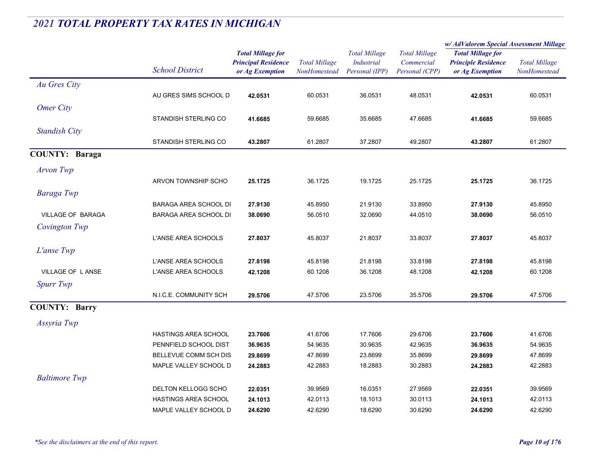|                          |                                            |                                                                           |                                      |                                                             |                                                      | w/AdValorem Special Assessment Millage                                    |                                             |
|--------------------------|--------------------------------------------|---------------------------------------------------------------------------|--------------------------------------|-------------------------------------------------------------|------------------------------------------------------|---------------------------------------------------------------------------|---------------------------------------------|
|                          | <b>School District</b>                     | <b>Total Millage for</b><br><b>Principal Residence</b><br>or Ag Exemption | <b>Total Millage</b><br>NonHomestead | <b>Total Millage</b><br><b>Industrial</b><br>Personal (IPP) | <b>Total Millage</b><br>Commercial<br>Personal (CPP) | <b>Total Millage for</b><br><b>Principle Residence</b><br>or Ag Exemption | <b>Total Millage</b><br><b>NonHomestead</b> |
| Au Gres City             |                                            |                                                                           |                                      |                                                             |                                                      |                                                                           |                                             |
|                          | AU GRES SIMS SCHOOL D                      | 42.0531                                                                   | 60.0531                              | 36.0531                                                     | 48.0531                                              | 42.0531                                                                   | 60.0531                                     |
| <b>Omer City</b>         |                                            |                                                                           |                                      |                                                             |                                                      |                                                                           |                                             |
|                          | STANDISH STERLING CO                       | 41.6685                                                                   | 59.6685                              | 35.6685                                                     | 47.6685                                              | 41.6685                                                                   | 59.6685                                     |
| <b>Standish City</b>     |                                            |                                                                           |                                      |                                                             |                                                      |                                                                           |                                             |
|                          | STANDISH STERLING CO                       | 43.2807                                                                   | 61.2807                              | 37.2807                                                     | 49.2807                                              | 43.2807                                                                   | 61.2807                                     |
| <b>COUNTY: Baraga</b>    |                                            |                                                                           |                                      |                                                             |                                                      |                                                                           |                                             |
| <b>Arvon Twp</b>         |                                            |                                                                           |                                      |                                                             |                                                      |                                                                           |                                             |
|                          | ARVON TOWNSHIP SCHO                        | 25.1725                                                                   | 36.1725                              | 19.1725                                                     | 25.1725                                              | 25.1725                                                                   | 36.1725                                     |
|                          |                                            |                                                                           |                                      |                                                             |                                                      |                                                                           |                                             |
| Baraga Twp               | BARAGA AREA SCHOOL DI                      | 27.9130                                                                   | 45.8950                              | 21.9130                                                     | 33.8950                                              | 27.9130                                                                   | 45.8950                                     |
| <b>VILLAGE OF BARAGA</b> | BARAGA AREA SCHOOL DI                      | 38.0690                                                                   | 56.0510                              | 32.0690                                                     | 44.0510                                              | 38.0690                                                                   | 56.0510                                     |
| Covington Twp            |                                            |                                                                           |                                      |                                                             |                                                      |                                                                           |                                             |
|                          | L'ANSE AREA SCHOOLS                        | 27.8037                                                                   | 45.8037                              | 21.8037                                                     | 33.8037                                              | 27.8037                                                                   | 45.8037                                     |
|                          |                                            |                                                                           |                                      |                                                             |                                                      |                                                                           |                                             |
| L'anse Twp               |                                            |                                                                           |                                      |                                                             |                                                      |                                                                           |                                             |
| <b>VILLAGE OF LANSE</b>  | L'ANSE AREA SCHOOLS<br>L'ANSE AREA SCHOOLS | 27.8198<br>42.1208                                                        | 45.8198<br>60.1208                   | 21.8198<br>36.1208                                          | 33.8198<br>48.1208                                   | 27.8198<br>42.1208                                                        | 45.8198<br>60.1208                          |
|                          |                                            |                                                                           |                                      |                                                             |                                                      |                                                                           |                                             |
| <b>Spurr Twp</b>         | N.I.C.E. COMMUNITY SCH                     |                                                                           | 47.5706                              | 23.5706                                                     | 35.5706                                              |                                                                           | 47.5706                                     |
|                          |                                            | 29.5706                                                                   |                                      |                                                             |                                                      | 29.5706                                                                   |                                             |
| <b>COUNTY: Barry</b>     |                                            |                                                                           |                                      |                                                             |                                                      |                                                                           |                                             |
| Assyria Twp              |                                            |                                                                           |                                      |                                                             |                                                      |                                                                           |                                             |
|                          | <b>HASTINGS AREA SCHOOL</b>                | 23.7606                                                                   | 41.6706                              | 17.7606                                                     | 29.6706                                              | 23.7606                                                                   | 41.6706                                     |
|                          | PENNFIELD SCHOOL DIST                      | 36.9635                                                                   | 54.9635                              | 30.9635                                                     | 42.9635                                              | 36.9635                                                                   | 54.9635                                     |
|                          | BELLEVUE COMM SCH DIS                      | 29.8699                                                                   | 47.8699                              | 23.8699                                                     | 35.8699                                              | 29.8699                                                                   | 47.8699                                     |
|                          | MAPLE VALLEY SCHOOL D                      | 24.2883                                                                   | 42.2883                              | 18.2883                                                     | 30.2883                                              | 24.2883                                                                   | 42.2883                                     |
| <b>Baltimore Twp</b>     |                                            |                                                                           |                                      |                                                             |                                                      |                                                                           |                                             |
|                          | DELTON KELLOGG SCHO                        | 22.0351                                                                   | 39.9569                              | 16.0351                                                     | 27.9569                                              | 22.0351                                                                   | 39.9569                                     |
|                          | HASTINGS AREA SCHOOL                       | 24.1013                                                                   | 42.0113                              | 18.1013                                                     | 30.0113                                              | 24.1013                                                                   | 42.0113                                     |
|                          | MAPLE VALLEY SCHOOL D                      | 24.6290                                                                   | 42.6290                              | 18.6290                                                     | 30.6290                                              | 24.6290                                                                   | 42.6290                                     |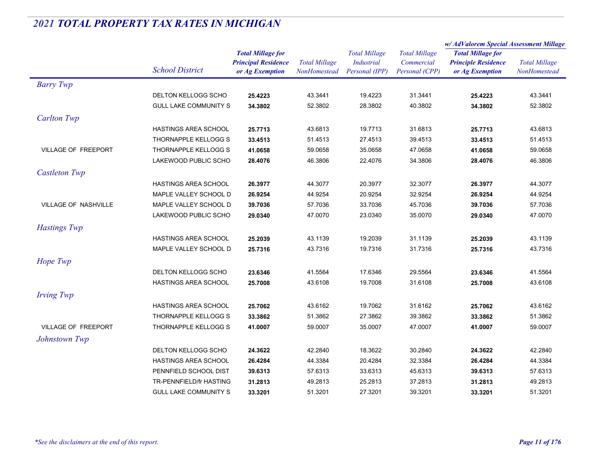|                            |                              |                                                                           | <b>Total Millage</b><br><b>Industrial</b><br>NonHomestead |                      | <b>Total Millage</b><br>Commercial<br>Personal (CPP) | w/ AdValorem Special Assessment Millage       |                                             |
|----------------------------|------------------------------|---------------------------------------------------------------------------|-----------------------------------------------------------|----------------------|------------------------------------------------------|-----------------------------------------------|---------------------------------------------|
|                            |                              | <b>Total Millage for</b><br><b>Principal Residence</b><br>or Ag Exemption |                                                           | <b>Total Millage</b> |                                                      | <b>Total Millage for</b>                      | <b>Total Millage</b><br><b>NonHomestead</b> |
|                            | <b>School District</b>       |                                                                           |                                                           | Personal (IPP)       |                                                      | <b>Principle Residence</b><br>or Ag Exemption |                                             |
|                            |                              |                                                                           |                                                           |                      |                                                      |                                               |                                             |
| <b>Barry Twp</b>           |                              |                                                                           |                                                           |                      |                                                      |                                               |                                             |
|                            | DELTON KELLOGG SCHO          | 25.4223                                                                   | 43.3441                                                   | 19.4223              | 31.3441                                              | 25.4223                                       | 43.3441                                     |
|                            | <b>GULL LAKE COMMUNITY S</b> | 34.3802                                                                   | 52.3802                                                   | 28.3802              | 40.3802                                              | 34.3802                                       | 52.3802                                     |
| <b>Carlton Twp</b>         |                              |                                                                           |                                                           |                      |                                                      |                                               |                                             |
|                            | <b>HASTINGS AREA SCHOOL</b>  | 25.7713                                                                   | 43.6813                                                   | 19.7713              | 31.6813                                              | 25.7713                                       | 43.6813                                     |
|                            | THORNAPPLE KELLOGG S         | 33.4513                                                                   | 51.4513                                                   | 27.4513              | 39.4513                                              | 33.4513                                       | 51.4513                                     |
| <b>VILLAGE OF FREEPORT</b> | THORNAPPLE KELLOGG S         | 41.0658                                                                   | 59.0658                                                   | 35.0658              | 47.0658                                              | 41.0658                                       | 59.0658                                     |
|                            | LAKEWOOD PUBLIC SCHO         | 28.4076                                                                   | 46.3806                                                   | 22.4076              | 34.3806                                              | 28.4076                                       | 46.3806                                     |
| <b>Castleton Twp</b>       |                              |                                                                           |                                                           |                      |                                                      |                                               |                                             |
|                            | <b>HASTINGS AREA SCHOOL</b>  | 26.3977                                                                   | 44.3077                                                   | 20.3977              | 32.3077                                              | 26.3977                                       | 44.3077                                     |
|                            | MAPLE VALLEY SCHOOL D        | 26.9254                                                                   | 44.9254                                                   | 20.9254              | 32.9254                                              | 26.9254                                       | 44.9254                                     |
| VILLAGE OF NASHVILLE       | MAPLE VALLEY SCHOOL D        | 39.7036                                                                   | 57.7036                                                   | 33.7036              | 45.7036                                              | 39.7036                                       | 57.7036                                     |
|                            | LAKEWOOD PUBLIC SCHO         | 29.0340                                                                   | 47.0070                                                   | 23.0340              | 35.0070                                              | 29.0340                                       | 47.0070                                     |
| <b>Hastings Twp</b>        |                              |                                                                           |                                                           |                      |                                                      |                                               |                                             |
|                            | <b>HASTINGS AREA SCHOOL</b>  | 25.2039                                                                   | 43.1139                                                   | 19.2039              | 31.1139                                              | 25.2039                                       | 43.1139                                     |
|                            | MAPLE VALLEY SCHOOL D        | 25.7316                                                                   | 43.7316                                                   | 19.7316              | 31.7316                                              | 25.7316                                       | 43.7316                                     |
| Hope Twp                   |                              |                                                                           |                                                           |                      |                                                      |                                               |                                             |
|                            | <b>DELTON KELLOGG SCHO</b>   | 23.6346                                                                   | 41.5564                                                   | 17.6346              | 29.5564                                              | 23.6346                                       | 41.5564                                     |
|                            | <b>HASTINGS AREA SCHOOL</b>  | 25.7008                                                                   | 43.6108                                                   | 19.7008              | 31.6108                                              | 25.7008                                       | 43.6108                                     |
| <b>Irving Twp</b>          |                              |                                                                           |                                                           |                      |                                                      |                                               |                                             |
|                            | <b>HASTINGS AREA SCHOOL</b>  | 25.7062                                                                   | 43.6162                                                   | 19.7062              | 31.6162                                              | 25.7062                                       | 43.6162                                     |
|                            | THORNAPPLE KELLOGG S         | 33.3862                                                                   | 51.3862                                                   | 27.3862              | 39.3862                                              | 33.3862                                       | 51.3862                                     |
| <b>VILLAGE OF FREEPORT</b> | THORNAPPLE KELLOGG S         | 41.0007                                                                   | 59.0007                                                   | 35.0007              | 47.0007                                              | 41.0007                                       | 59.0007                                     |
|                            |                              |                                                                           |                                                           |                      |                                                      |                                               |                                             |
| Johnstown Twp              |                              |                                                                           |                                                           |                      |                                                      |                                               |                                             |
|                            | DELTON KELLOGG SCHO          | 24.3622                                                                   | 42.2840                                                   | 18.3622              | 30.2840                                              | 24.3622                                       | 42.2840                                     |
|                            | <b>HASTINGS AREA SCHOOL</b>  | 26.4284                                                                   | 44.3384                                                   | 20.4284              | 32.3384                                              | 26.4284                                       | 44.3384                                     |
|                            | PENNFIELD SCHOOL DIST        | 39.6313                                                                   | 57.6313                                                   | 33.6313              | 45.6313                                              | 39.6313                                       | 57.6313                                     |
|                            | TR-PENNFIELD/fr HASTING      | 31.2813                                                                   | 49.2813                                                   | 25.2813              | 37.2813                                              | 31.2813                                       | 49.2813                                     |
|                            | <b>GULL LAKE COMMUNITY S</b> | 33.3201                                                                   | 51.3201                                                   | 27.3201              | 39.3201                                              | 33.3201                                       | 51.3201                                     |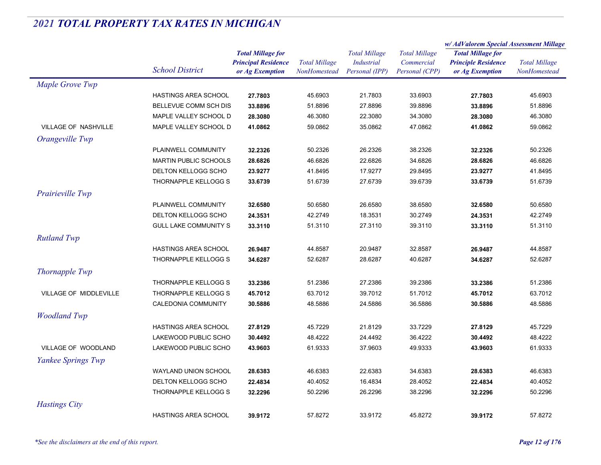|                             |                              |                            | <b>Total Millage</b> | <b>Total Millage</b><br><b>Industrial</b><br>Personal (IPP) | <b>Total Millage</b><br>Commercial | w/ AdValorem Special Assessment Millage                                   |                      |
|-----------------------------|------------------------------|----------------------------|----------------------|-------------------------------------------------------------|------------------------------------|---------------------------------------------------------------------------|----------------------|
|                             |                              | <b>Total Millage for</b>   |                      |                                                             |                                    | <b>Total Millage for</b><br><b>Principle Residence</b><br>or Ag Exemption | <b>Total Millage</b> |
|                             | <b>School District</b>       | <b>Principal Residence</b> |                      |                                                             |                                    |                                                                           |                      |
|                             |                              | or Ag Exemption            | NonHomestead         |                                                             | Personal (CPP)                     |                                                                           | NonHomestead         |
| Maple Grove Twp             |                              |                            |                      |                                                             |                                    |                                                                           |                      |
|                             | HASTINGS AREA SCHOOL         | 27.7803                    | 45.6903              | 21.7803                                                     | 33.6903                            | 27.7803                                                                   | 45.6903              |
|                             | BELLEVUE COMM SCH DIS        | 33.8896                    | 51.8896              | 27.8896                                                     | 39.8896                            | 33.8896                                                                   | 51.8896              |
|                             | MAPLE VALLEY SCHOOL D        | 28.3080                    | 46.3080              | 22.3080                                                     | 34.3080                            | 28.3080                                                                   | 46.3080              |
| <b>VILLAGE OF NASHVILLE</b> | MAPLE VALLEY SCHOOL D        | 41.0862                    | 59.0862              | 35.0862                                                     | 47.0862                            | 41.0862                                                                   | 59.0862              |
| Orangeville Twp             |                              |                            |                      |                                                             |                                    |                                                                           |                      |
|                             | PLAINWELL COMMUNITY          | 32.2326                    | 50.2326              | 26.2326                                                     | 38.2326                            | 32.2326                                                                   | 50.2326              |
|                             | <b>MARTIN PUBLIC SCHOOLS</b> | 28.6826                    | 46.6826              | 22.6826                                                     | 34.6826                            | 28.6826                                                                   | 46.6826              |
|                             | DELTON KELLOGG SCHO          | 23.9277                    | 41.8495              | 17.9277                                                     | 29.8495                            | 23.9277                                                                   | 41.8495              |
|                             | THORNAPPLE KELLOGG S         | 33.6739                    | 51.6739              | 27.6739                                                     | 39.6739                            | 33.6739                                                                   | 51.6739              |
| Prairieville Twp            |                              |                            |                      |                                                             |                                    |                                                                           |                      |
|                             | PLAINWELL COMMUNITY          | 32.6580                    | 50.6580              | 26.6580                                                     | 38.6580                            | 32.6580                                                                   | 50.6580              |
|                             | <b>DELTON KELLOGG SCHO</b>   | 24.3531                    | 42.2749              | 18.3531                                                     | 30.2749                            | 24.3531                                                                   | 42.2749              |
|                             | <b>GULL LAKE COMMUNITY S</b> | 33.3110                    | 51.3110              | 27.3110                                                     | 39.3110                            | 33.3110                                                                   | 51.3110              |
| <b>Rutland Twp</b>          |                              |                            |                      |                                                             |                                    |                                                                           |                      |
|                             | <b>HASTINGS AREA SCHOOL</b>  | 26.9487                    | 44.8587              | 20.9487                                                     | 32.8587                            | 26.9487                                                                   | 44.8587              |
|                             | THORNAPPLE KELLOGG S         | 34.6287                    | 52.6287              | 28.6287                                                     | 40.6287                            | 34.6287                                                                   | 52.6287              |
|                             |                              |                            |                      |                                                             |                                    |                                                                           |                      |
| <b>Thornapple Twp</b>       |                              |                            |                      |                                                             |                                    |                                                                           |                      |
|                             | THORNAPPLE KELLOGG S         | 33.2386                    | 51.2386              | 27.2386                                                     | 39.2386                            | 33.2386                                                                   | 51.2386              |
| VILLAGE OF MIDDLEVILLE      | THORNAPPLE KELLOGG S         | 45.7012                    | 63.7012              | 39.7012                                                     | 51.7012                            | 45.7012                                                                   | 63.7012              |
|                             | CALEDONIA COMMUNITY          | 30.5886                    | 48.5886              | 24.5886                                                     | 36.5886                            | 30.5886                                                                   | 48.5886              |
| <b>Woodland Twp</b>         |                              |                            |                      |                                                             |                                    |                                                                           |                      |
|                             | <b>HASTINGS AREA SCHOOL</b>  | 27.8129                    | 45.7229              | 21.8129                                                     | 33.7229                            | 27.8129                                                                   | 45.7229              |
|                             | LAKEWOOD PUBLIC SCHO         | 30.4492                    | 48.4222              | 24.4492                                                     | 36.4222                            | 30.4492                                                                   | 48.4222              |
| VILLAGE OF WOODLAND         | LAKEWOOD PUBLIC SCHO         | 43.9603                    | 61.9333              | 37.9603                                                     | 49.9333                            | 43.9603                                                                   | 61.9333              |
| Yankee Springs Twp          |                              |                            |                      |                                                             |                                    |                                                                           |                      |
|                             | WAYLAND UNION SCHOOL         | 28.6383                    | 46.6383              | 22.6383                                                     | 34.6383                            | 28.6383                                                                   | 46.6383              |
|                             | DELTON KELLOGG SCHO          | 22.4834                    | 40.4052              | 16.4834                                                     | 28.4052                            | 22.4834                                                                   | 40.4052              |
|                             | THORNAPPLE KELLOGG S         | 32.2296                    | 50.2296              | 26.2296                                                     | 38.2296                            | 32.2296                                                                   | 50.2296              |
| <b>Hastings City</b>        |                              |                            |                      |                                                             |                                    |                                                                           |                      |
|                             | <b>HASTINGS AREA SCHOOL</b>  | 39.9172                    | 57.8272              | 33.9172                                                     | 45.8272                            | 39.9172                                                                   | 57.8272              |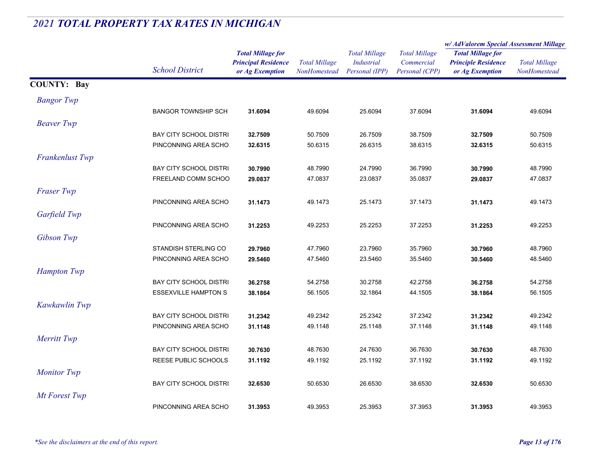|                    |                               |                            | <b>Total Millage</b><br>NonHomestead | <b>Total Millage</b><br><b>Industrial</b> | <b>Total Millage</b><br>Commercial | w/AdValorem Special Assessment Millage                                    |                      |
|--------------------|-------------------------------|----------------------------|--------------------------------------|-------------------------------------------|------------------------------------|---------------------------------------------------------------------------|----------------------|
|                    |                               | <b>Total Millage for</b>   |                                      |                                           |                                    | <b>Total Millage for</b><br><b>Principle Residence</b><br>or Ag Exemption | <b>Total Millage</b> |
|                    |                               | <b>Principal Residence</b> |                                      |                                           |                                    |                                                                           |                      |
|                    | <b>School District</b>        | or Ag Exemption            |                                      | Personal (IPP)                            | Personal (CPP)                     |                                                                           | NonHomestead         |
| <b>COUNTY: Bay</b> |                               |                            |                                      |                                           |                                    |                                                                           |                      |
| <b>Bangor</b> Twp  |                               |                            |                                      |                                           |                                    |                                                                           |                      |
|                    | <b>BANGOR TOWNSHIP SCH</b>    | 31.6094                    | 49.6094                              | 25.6094                                   | 37.6094                            | 31.6094                                                                   | 49.6094              |
| <b>Beaver</b> Twp  |                               |                            |                                      |                                           |                                    |                                                                           |                      |
|                    | <b>BAY CITY SCHOOL DISTRI</b> | 32.7509                    | 50.7509                              | 26.7509                                   | 38.7509                            | 32.7509                                                                   | 50.7509              |
|                    | PINCONNING AREA SCHO          | 32.6315                    | 50.6315                              | 26.6315                                   | 38.6315                            | 32.6315                                                                   | 50.6315              |
| Frankenlust Twp    |                               |                            |                                      |                                           |                                    |                                                                           |                      |
|                    | <b>BAY CITY SCHOOL DISTRI</b> | 30.7990                    | 48.7990                              | 24.7990                                   | 36.7990                            | 30.7990                                                                   | 48.7990              |
|                    | FREELAND COMM SCHOO           | 29.0837                    | 47.0837                              | 23.0837                                   | 35.0837                            | 29.0837                                                                   | 47.0837              |
| <b>Fraser Twp</b>  |                               |                            |                                      |                                           |                                    |                                                                           |                      |
|                    | PINCONNING AREA SCHO          | 31.1473                    | 49.1473                              | 25.1473                                   | 37.1473                            | 31.1473                                                                   | 49.1473              |
| Garfield Twp       |                               |                            |                                      |                                           |                                    |                                                                           |                      |
|                    | PINCONNING AREA SCHO          | 31.2253                    | 49.2253                              | 25.2253                                   | 37.2253                            | 31.2253                                                                   | 49.2253              |
| Gibson Twp         |                               |                            |                                      |                                           |                                    |                                                                           |                      |
|                    | STANDISH STERLING CO          | 29.7960                    | 47.7960                              | 23.7960                                   | 35.7960                            | 30.7960                                                                   | 48.7960              |
|                    | PINCONNING AREA SCHO          | 29.5460                    | 47.5460                              | 23.5460                                   | 35.5460                            | 30.5460                                                                   | 48.5460              |
| <b>Hampton Twp</b> |                               |                            |                                      |                                           |                                    |                                                                           |                      |
|                    | <b>BAY CITY SCHOOL DISTRI</b> | 36.2758                    | 54.2758                              | 30.2758                                   | 42.2758                            | 36.2758                                                                   | 54.2758              |
|                    | <b>ESSEXVILLE HAMPTON S</b>   | 38.1864                    | 56.1505                              | 32.1864                                   | 44.1505                            | 38.1864                                                                   | 56.1505              |
| Kawkawlin Twp      |                               |                            |                                      |                                           |                                    |                                                                           |                      |
|                    | <b>BAY CITY SCHOOL DISTRI</b> | 31.2342                    | 49.2342                              | 25.2342                                   | 37.2342                            | 31.2342                                                                   | 49.2342              |
|                    | PINCONNING AREA SCHO          | 31.1148                    | 49.1148                              | 25.1148                                   | 37.1148                            | 31.1148                                                                   | 49.1148              |
| Merritt Twp        |                               |                            |                                      |                                           |                                    |                                                                           |                      |
|                    | <b>BAY CITY SCHOOL DISTRI</b> | 30.7630                    | 48.7630                              | 24.7630                                   | 36.7630                            | 30.7630                                                                   | 48.7630              |
|                    | REESE PUBLIC SCHOOLS          | 31.1192                    | 49.1192                              | 25.1192                                   | 37.1192                            | 31.1192                                                                   | 49.1192              |
| <b>Monitor Twp</b> |                               |                            |                                      |                                           |                                    |                                                                           |                      |
|                    | <b>BAY CITY SCHOOL DISTRI</b> | 32.6530                    | 50.6530                              | 26.6530                                   | 38.6530                            | 32.6530                                                                   | 50.6530              |
| Mt Forest Twp      |                               |                            |                                      |                                           |                                    |                                                                           |                      |
|                    | PINCONNING AREA SCHO          | 31.3953                    | 49.3953                              | 25.3953                                   | 37.3953                            | 31.3953                                                                   | 49.3953              |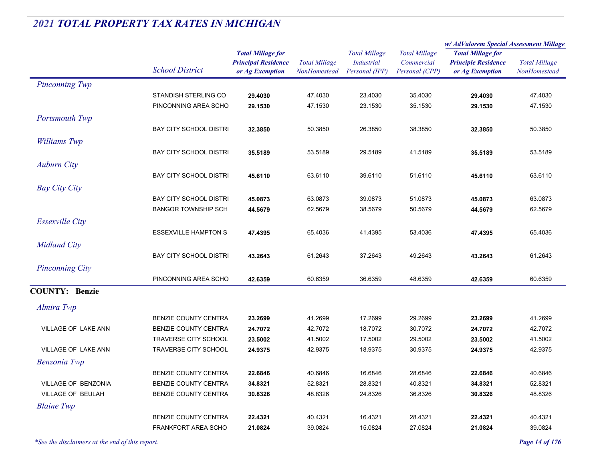|                          | <b>School District</b>                              |                                               | <b>Total Millage</b><br>NonHomestead | <b>Total Millage</b>                | <b>Total Millage</b>         | w/ AdValorem Special Assessment Millage       |                      |
|--------------------------|-----------------------------------------------------|-----------------------------------------------|--------------------------------------|-------------------------------------|------------------------------|-----------------------------------------------|----------------------|
|                          |                                                     | <b>Total Millage for</b>                      |                                      |                                     |                              | <b>Total Millage for</b>                      | <b>Total Millage</b> |
|                          |                                                     | <b>Principal Residence</b><br>or Ag Exemption |                                      | <b>Industrial</b><br>Personal (IPP) | Commercial<br>Personal (CPP) | <b>Principle Residence</b><br>or Ag Exemption |                      |
|                          |                                                     |                                               |                                      |                                     |                              |                                               | NonHomestead         |
| <b>Pinconning Twp</b>    |                                                     |                                               |                                      |                                     |                              |                                               |                      |
|                          | STANDISH STERLING CO                                | 29.4030                                       | 47.4030                              | 23.4030                             | 35.4030                      | 29.4030                                       | 47.4030              |
|                          | PINCONNING AREA SCHO                                | 29.1530                                       | 47.1530                              | 23.1530                             | 35.1530                      | 29.1530                                       | 47.1530              |
| Portsmouth Twp           |                                                     |                                               |                                      |                                     |                              |                                               |                      |
|                          | <b>BAY CITY SCHOOL DISTRI</b>                       | 32.3850                                       | 50.3850                              | 26.3850                             | 38.3850                      | 32.3850                                       | 50.3850              |
| Williams Twp             |                                                     |                                               |                                      |                                     |                              |                                               |                      |
|                          | <b>BAY CITY SCHOOL DISTRI</b>                       | 35.5189                                       | 53.5189                              | 29.5189                             | 41.5189                      | 35.5189                                       | 53.5189              |
| <b>Auburn City</b>       |                                                     |                                               |                                      |                                     |                              |                                               |                      |
|                          | <b>BAY CITY SCHOOL DISTRI</b>                       | 45.6110                                       | 63.6110                              | 39.6110                             | 51.6110                      | 45.6110                                       | 63.6110              |
| <b>Bay City City</b>     |                                                     |                                               |                                      |                                     |                              |                                               |                      |
|                          | <b>BAY CITY SCHOOL DISTRI</b>                       |                                               | 63.0873                              | 39.0873                             | 51.0873                      | 45.0873                                       | 63.0873              |
|                          | <b>BANGOR TOWNSHIP SCH</b>                          | 45.0873<br>44.5679                            | 62.5679                              | 38.5679                             | 50.5679                      | 44.5679                                       | 62.5679              |
|                          |                                                     |                                               |                                      |                                     |                              |                                               |                      |
| <b>Essexville City</b>   |                                                     |                                               |                                      |                                     |                              |                                               |                      |
|                          | <b>ESSEXVILLE HAMPTON S</b>                         | 47.4395                                       | 65.4036                              | 41.4395                             | 53.4036                      | 47.4395                                       | 65.4036              |
| <b>Midland City</b>      |                                                     |                                               |                                      |                                     |                              |                                               |                      |
|                          | <b>BAY CITY SCHOOL DISTRI</b>                       | 43.2643                                       | 61.2643                              | 37.2643                             | 49.2643                      | 43.2643                                       | 61.2643              |
| <b>Pinconning City</b>   |                                                     |                                               |                                      |                                     |                              |                                               |                      |
|                          | PINCONNING AREA SCHO                                | 42.6359                                       | 60.6359                              | 36.6359                             | 48.6359                      | 42.6359                                       | 60.6359              |
| <b>COUNTY: Benzie</b>    |                                                     |                                               |                                      |                                     |                              |                                               |                      |
| Almira Twp               |                                                     |                                               |                                      |                                     |                              |                                               |                      |
|                          |                                                     |                                               |                                      |                                     |                              |                                               |                      |
|                          | <b>BENZIE COUNTY CENTRA</b>                         | 23.2699                                       | 41.2699                              | 17.2699                             | 29.2699                      | 23.2699                                       | 41.2699              |
| VILLAGE OF LAKE ANN      | BENZIE COUNTY CENTRA<br><b>TRAVERSE CITY SCHOOL</b> | 24.7072                                       | 42.7072<br>41.5002                   | 18.7072<br>17.5002                  | 30.7072<br>29.5002           | 24.7072                                       | 42.7072<br>41.5002   |
| VILLAGE OF LAKE ANN      | <b>TRAVERSE CITY SCHOOL</b>                         | 23.5002                                       | 42.9375                              | 18.9375                             | 30.9375                      | 23.5002                                       | 42.9375              |
|                          |                                                     | 24.9375                                       |                                      |                                     |                              | 24.9375                                       |                      |
| <b>Benzonia Twp</b>      |                                                     |                                               |                                      |                                     |                              |                                               |                      |
|                          | <b>BENZIE COUNTY CENTRA</b>                         | 22.6846                                       | 40.6846                              | 16.6846                             | 28.6846                      | 22.6846                                       | 40.6846              |
| VILLAGE OF BENZONIA      | BENZIE COUNTY CENTRA                                | 34.8321                                       | 52.8321                              | 28.8321                             | 40.8321                      | 34.8321                                       | 52.8321              |
| <b>VILLAGE OF BEULAH</b> | BENZIE COUNTY CENTRA                                | 30.8326                                       | 48.8326                              | 24.8326                             | 36.8326                      | 30.8326                                       | 48.8326              |
| <b>Blaine Twp</b>        |                                                     |                                               |                                      |                                     |                              |                                               |                      |
|                          | BENZIE COUNTY CENTRA                                | 22.4321                                       | 40.4321                              | 16.4321                             | 28.4321                      | 22.4321                                       | 40.4321              |
|                          | <b>FRANKFORT AREA SCHO</b>                          | 21.0824                                       | 39.0824                              | 15.0824                             | 27.0824                      | 21.0824                                       | 39.0824              |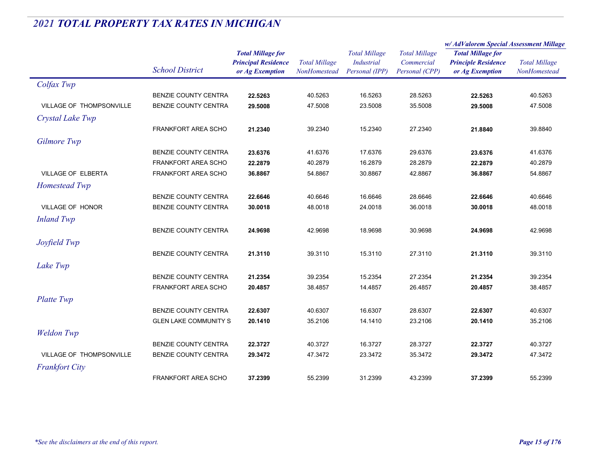|                          |                              |                                                                           |                                      |                                                             |                                                      | w/AdValorem Special Assessment Millage                                    |                                      |
|--------------------------|------------------------------|---------------------------------------------------------------------------|--------------------------------------|-------------------------------------------------------------|------------------------------------------------------|---------------------------------------------------------------------------|--------------------------------------|
|                          | <b>School District</b>       | <b>Total Millage for</b><br><b>Principal Residence</b><br>or Ag Exemption | <b>Total Millage</b><br>NonHomestead | <b>Total Millage</b><br><b>Industrial</b><br>Personal (IPP) | <b>Total Millage</b><br>Commercial<br>Personal (CPP) | <b>Total Millage for</b><br><b>Principle Residence</b><br>or Ag Exemption | <b>Total Millage</b><br>NonHomestead |
| Colfax Twp               |                              |                                                                           |                                      |                                                             |                                                      |                                                                           |                                      |
|                          | BENZIE COUNTY CENTRA         | 22.5263                                                                   | 40.5263                              | 16.5263                                                     | 28.5263                                              | 22.5263                                                                   | 40.5263                              |
| VILLAGE OF THOMPSONVILLE | BENZIE COUNTY CENTRA         | 29.5008                                                                   | 47.5008                              | 23.5008                                                     | 35.5008                                              | 29.5008                                                                   | 47.5008                              |
| Crystal Lake Twp         |                              |                                                                           |                                      |                                                             |                                                      |                                                                           |                                      |
|                          | <b>FRANKFORT AREA SCHO</b>   | 21.2340                                                                   | 39.2340                              | 15.2340                                                     | 27.2340                                              | 21.8840                                                                   | 39.8840                              |
| Gilmore Twp              |                              |                                                                           |                                      |                                                             |                                                      |                                                                           |                                      |
|                          | BENZIE COUNTY CENTRA         | 23.6376                                                                   | 41.6376                              | 17.6376                                                     | 29.6376                                              | 23.6376                                                                   | 41.6376                              |
|                          | <b>FRANKFORT AREA SCHO</b>   | 22.2879                                                                   | 40.2879                              | 16.2879                                                     | 28.2879                                              | 22.2879                                                                   | 40.2879                              |
| VILLAGE OF ELBERTA       | FRANKFORT AREA SCHO          | 36.8867                                                                   | 54.8867                              | 30.8867                                                     | 42.8867                                              | 36.8867                                                                   | 54.8867                              |
| Homestead Twp            |                              |                                                                           |                                      |                                                             |                                                      |                                                                           |                                      |
|                          | BENZIE COUNTY CENTRA         | 22.6646                                                                   | 40.6646                              | 16.6646                                                     | 28.6646                                              | 22.6646                                                                   | 40.6646                              |
| VILLAGE OF HONOR         | BENZIE COUNTY CENTRA         | 30.0018                                                                   | 48.0018                              | 24.0018                                                     | 36.0018                                              | 30.0018                                                                   | 48.0018                              |
| <b>Inland Twp</b>        |                              |                                                                           |                                      |                                                             |                                                      |                                                                           |                                      |
|                          | BENZIE COUNTY CENTRA         | 24.9698                                                                   | 42.9698                              | 18.9698                                                     | 30.9698                                              | 24.9698                                                                   | 42.9698                              |
| Joyfield Twp             |                              |                                                                           |                                      |                                                             |                                                      |                                                                           |                                      |
|                          | BENZIE COUNTY CENTRA         | 21.3110                                                                   | 39.3110                              | 15.3110                                                     | 27.3110                                              | 21.3110                                                                   | 39.3110                              |
| Lake Twp                 |                              |                                                                           |                                      |                                                             |                                                      |                                                                           |                                      |
|                          | BENZIE COUNTY CENTRA         | 21.2354                                                                   | 39.2354                              | 15.2354                                                     | 27.2354                                              | 21.2354                                                                   | 39.2354                              |
|                          | FRANKFORT AREA SCHO          | 20.4857                                                                   | 38.4857                              | 14.4857                                                     | 26.4857                                              | 20.4857                                                                   | 38.4857                              |
| Platte Twp               |                              |                                                                           |                                      |                                                             |                                                      |                                                                           |                                      |
|                          | BENZIE COUNTY CENTRA         | 22.6307                                                                   | 40.6307                              | 16.6307                                                     | 28.6307                                              | 22.6307                                                                   | 40.6307                              |
|                          | <b>GLEN LAKE COMMUNITY S</b> | 20.1410                                                                   | 35.2106                              | 14.1410                                                     | 23.2106                                              | 20.1410                                                                   | 35.2106                              |
| <b>Weldon Twp</b>        |                              |                                                                           |                                      |                                                             |                                                      |                                                                           |                                      |
|                          | BENZIE COUNTY CENTRA         | 22.3727                                                                   | 40.3727                              | 16.3727                                                     | 28.3727                                              | 22.3727                                                                   | 40.3727                              |
| VILLAGE OF THOMPSONVILLE | <b>BENZIE COUNTY CENTRA</b>  | 29.3472                                                                   | 47.3472                              | 23.3472                                                     | 35.3472                                              | 29.3472                                                                   | 47.3472                              |
| <b>Frankfort City</b>    |                              |                                                                           |                                      |                                                             |                                                      |                                                                           |                                      |
|                          | <b>FRANKFORT AREA SCHO</b>   | 37.2399                                                                   | 55.2399                              | 31.2399                                                     | 43.2399                                              | 37.2399                                                                   | 55.2399                              |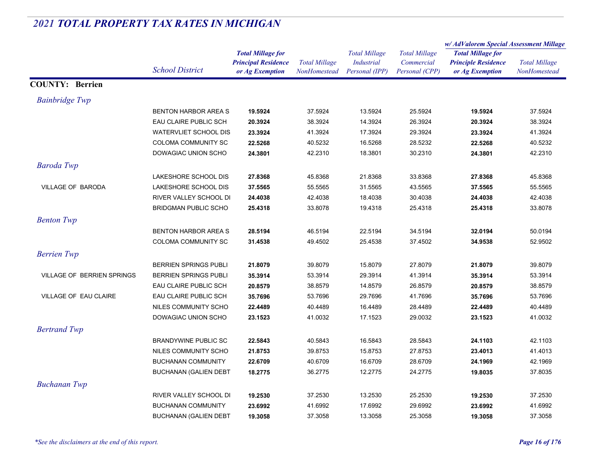|                                   |                              |                            |                      | <b>Total Millage</b><br><b>Industrial</b><br>Personal (IPP) | <b>Total Millage</b><br>Commercial | w/AdValorem Special Assessment Millage                 |                      |
|-----------------------------------|------------------------------|----------------------------|----------------------|-------------------------------------------------------------|------------------------------------|--------------------------------------------------------|----------------------|
|                                   |                              | <b>Total Millage for</b>   |                      |                                                             |                                    | <b>Total Millage for</b><br><b>Principle Residence</b> |                      |
|                                   | <b>School District</b>       | <b>Principal Residence</b> | <b>Total Millage</b> |                                                             |                                    |                                                        | <b>Total Millage</b> |
|                                   |                              | or Ag Exemption            | NonHomestead         |                                                             | Personal (CPP)                     | or Ag Exemption                                        | NonHomestead         |
| <b>COUNTY: Berrien</b>            |                              |                            |                      |                                                             |                                    |                                                        |                      |
| <b>Bainbridge Twp</b>             |                              |                            |                      |                                                             |                                    |                                                        |                      |
|                                   | <b>BENTON HARBOR AREA S</b>  | 19.5924                    | 37.5924              | 13.5924                                                     | 25.5924                            | 19.5924                                                | 37.5924              |
|                                   | EAU CLAIRE PUBLIC SCH        | 20.3924                    | 38.3924              | 14.3924                                                     | 26.3924                            | 20.3924                                                | 38.3924              |
|                                   | <b>WATERVLIET SCHOOL DIS</b> | 23.3924                    | 41.3924              | 17.3924                                                     | 29.3924                            | 23.3924                                                | 41.3924              |
|                                   | COLOMA COMMUNITY SC          | 22.5268                    | 40.5232              | 16.5268                                                     | 28.5232                            | 22.5268                                                | 40.5232              |
|                                   | DOWAGIAC UNION SCHO          | 24.3801                    | 42.2310              | 18.3801                                                     | 30.2310                            | 24.3801                                                | 42.2310              |
| <b>Baroda Twp</b>                 |                              |                            |                      |                                                             |                                    |                                                        |                      |
|                                   | LAKESHORE SCHOOL DIS         | 27.8368                    | 45.8368              | 21.8368                                                     | 33.8368                            | 27.8368                                                | 45.8368              |
| <b>VILLAGE OF BARODA</b>          | LAKESHORE SCHOOL DIS         | 37.5565                    | 55.5565              | 31.5565                                                     | 43.5565                            | 37.5565                                                | 55.5565              |
|                                   | RIVER VALLEY SCHOOL DI       | 24.4038                    | 42.4038              | 18.4038                                                     | 30.4038                            | 24.4038                                                | 42.4038              |
|                                   | <b>BRIDGMAN PUBLIC SCHO</b>  | 25.4318                    | 33.8078              | 19.4318                                                     | 25.4318                            | 25.4318                                                | 33.8078              |
| <b>Benton Twp</b>                 |                              |                            |                      |                                                             |                                    |                                                        |                      |
|                                   | <b>BENTON HARBOR AREA S</b>  | 28.5194                    | 46.5194              | 22.5194                                                     | 34.5194                            | 32.0194                                                | 50.0194              |
|                                   | <b>COLOMA COMMUNITY SC</b>   | 31.4538                    | 49.4502              | 25.4538                                                     | 37.4502                            | 34.9538                                                | 52.9502              |
| <b>Berrien</b> Twp                |                              |                            |                      |                                                             |                                    |                                                        |                      |
|                                   | BERRIEN SPRINGS PUBLI        | 21.8079                    | 39.8079              | 15.8079                                                     | 27.8079                            | 21.8079                                                | 39.8079              |
| <b>VILLAGE OF BERRIEN SPRINGS</b> | <b>BERRIEN SPRINGS PUBLI</b> | 35.3914                    | 53.3914              | 29.3914                                                     | 41.3914                            | 35.3914                                                | 53.3914              |
|                                   | EAU CLAIRE PUBLIC SCH        | 20.8579                    | 38.8579              | 14.8579                                                     | 26.8579                            | 20.8579                                                | 38.8579              |
| VILLAGE OF EAU CLAIRE             | EAU CLAIRE PUBLIC SCH        | 35.7696                    | 53.7696              | 29.7696                                                     | 41.7696                            | 35.7696                                                | 53.7696              |
|                                   | NILES COMMUNITY SCHO         | 22.4489                    | 40.4489              | 16.4489                                                     | 28.4489                            | 22.4489                                                | 40.4489              |
|                                   | DOWAGIAC UNION SCHO          | 23.1523                    | 41.0032              | 17.1523                                                     | 29.0032                            | 23.1523                                                | 41.0032              |
| <b>Bertrand Twp</b>               |                              |                            |                      |                                                             |                                    |                                                        |                      |
|                                   | <b>BRANDYWINE PUBLIC SC</b>  | 22.5843                    | 40.5843              | 16.5843                                                     | 28.5843                            | 24.1103                                                | 42.1103              |
|                                   | NILES COMMUNITY SCHO         | 21.8753                    | 39.8753              | 15.8753                                                     | 27.8753                            | 23.4013                                                | 41.4013              |
|                                   | <b>BUCHANAN COMMUNITY</b>    | 22.6709                    | 40.6709              | 16.6709                                                     | 28.6709                            | 24.1969                                                | 42.1969              |
|                                   | <b>BUCHANAN (GALIEN DEBT</b> | 18.2775                    | 36.2775              | 12.2775                                                     | 24.2775                            | 19.8035                                                | 37.8035              |
| <b>Buchanan Twp</b>               |                              |                            |                      |                                                             |                                    |                                                        |                      |
|                                   | RIVER VALLEY SCHOOL DI       | 19.2530                    | 37.2530              | 13.2530                                                     | 25.2530                            | 19.2530                                                | 37.2530              |
|                                   | <b>BUCHANAN COMMUNITY</b>    | 23.6992                    | 41.6992              | 17.6992                                                     | 29.6992                            | 23.6992                                                | 41.6992              |
|                                   | <b>BUCHANAN (GALIEN DEBT</b> | 19.3058                    | 37.3058              | 13.3058                                                     | 25.3058                            | 19.3058                                                | 37.3058              |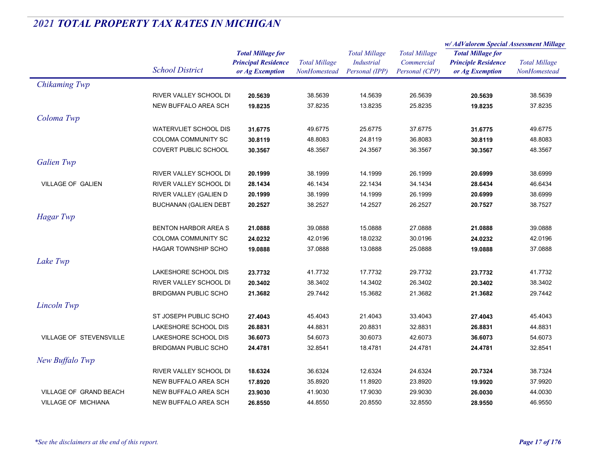|                            |                              | <b>Total Millage for</b><br><b>Principal Residence</b> | <b>Total Millage</b><br><b>NonHomestead</b> | <b>Total Millage</b> | <b>Total Millage</b> | w/AdValorem Special Assessment Millage |                      |
|----------------------------|------------------------------|--------------------------------------------------------|---------------------------------------------|----------------------|----------------------|----------------------------------------|----------------------|
|                            |                              |                                                        |                                             |                      |                      | <b>Total Millage for</b>               | <b>Total Millage</b> |
|                            | <b>School District</b>       |                                                        |                                             | <b>Industrial</b>    | Commercial           | <b>Principle Residence</b>             |                      |
|                            |                              | or Ag Exemption                                        |                                             | Personal (IPP)       | Personal (CPP)       | or Ag Exemption                        | NonHomestead         |
| Chikaming Twp              |                              |                                                        |                                             |                      |                      |                                        |                      |
|                            | RIVER VALLEY SCHOOL DI       | 20.5639                                                | 38.5639                                     | 14.5639              | 26.5639              | 20.5639                                | 38.5639              |
|                            | NEW BUFFALO AREA SCH         | 19.8235                                                | 37.8235                                     | 13.8235              | 25.8235              | 19.8235                                | 37.8235              |
| Coloma Twp                 |                              |                                                        |                                             |                      |                      |                                        |                      |
|                            | <b>WATERVLIET SCHOOL DIS</b> | 31.6775                                                | 49.6775                                     | 25.6775              | 37.6775              | 31.6775                                | 49.6775              |
|                            | COLOMA COMMUNITY SC          | 30.8119                                                | 48.8083                                     | 24.8119              | 36.8083              | 30.8119                                | 48.8083              |
|                            | <b>COVERT PUBLIC SCHOOL</b>  | 30.3567                                                | 48.3567                                     | 24.3567              | 36.3567              | 30.3567                                | 48.3567              |
| <b>Galien Twp</b>          |                              |                                                        |                                             |                      |                      |                                        |                      |
|                            | RIVER VALLEY SCHOOL DI       | 20.1999                                                | 38.1999                                     | 14.1999              | 26.1999              | 20.6999                                | 38.6999              |
| <b>VILLAGE OF GALIEN</b>   | RIVER VALLEY SCHOOL DI       | 28.1434                                                | 46.1434                                     | 22.1434              | 34.1434              | 28.6434                                | 46.6434              |
|                            | RIVER VALLEY (GALIEN D       | 20.1999                                                | 38.1999                                     | 14.1999              | 26.1999              | 20.6999                                | 38.6999              |
|                            | <b>BUCHANAN (GALIEN DEBT</b> | 20.2527                                                | 38.2527                                     | 14.2527              | 26.2527              | 20.7527                                | 38.7527              |
| <b>Hagar</b> Twp           |                              |                                                        |                                             |                      |                      |                                        |                      |
|                            | <b>BENTON HARBOR AREA S</b>  | 21.0888                                                | 39.0888                                     | 15.0888              | 27.0888              | 21.0888                                | 39.0888              |
|                            | COLOMA COMMUNITY SC          | 24.0232                                                | 42.0196                                     | 18.0232              | 30.0196              | 24.0232                                | 42.0196              |
|                            | HAGAR TOWNSHIP SCHO          | 19.0888                                                | 37.0888                                     | 13.0888              | 25.0888              | 19.0888                                | 37.0888              |
|                            |                              |                                                        |                                             |                      |                      |                                        |                      |
| Lake Twp                   |                              |                                                        |                                             |                      |                      |                                        |                      |
|                            | LAKESHORE SCHOOL DIS         | 23.7732                                                | 41.7732                                     | 17.7732              | 29.7732              | 23.7732                                | 41.7732              |
|                            | RIVER VALLEY SCHOOL DI       | 20.3402                                                | 38.3402                                     | 14.3402              | 26.3402              | 20.3402                                | 38.3402              |
|                            | <b>BRIDGMAN PUBLIC SCHO</b>  | 21.3682                                                | 29.7442                                     | 15.3682              | 21.3682              | 21.3682                                | 29.7442              |
| Lincoln Twp                |                              |                                                        |                                             |                      |                      |                                        |                      |
|                            | ST JOSEPH PUBLIC SCHO        | 27.4043                                                | 45.4043                                     | 21.4043              | 33.4043              | 27.4043                                | 45.4043              |
|                            | LAKESHORE SCHOOL DIS         | 26.8831                                                | 44.8831                                     | 20.8831              | 32.8831              | 26.8831                                | 44.8831              |
| VILLAGE OF STEVENSVILLE    | LAKESHORE SCHOOL DIS         | 36.6073                                                | 54.6073                                     | 30.6073              | 42.6073              | 36.6073                                | 54.6073              |
|                            | <b>BRIDGMAN PUBLIC SCHO</b>  | 24.4781                                                | 32.8541                                     | 18.4781              | 24.4781              | 24.4781                                | 32.8541              |
| New Buffalo Twp            |                              |                                                        |                                             |                      |                      |                                        |                      |
|                            | RIVER VALLEY SCHOOL DI       | 18.6324                                                | 36.6324                                     | 12.6324              | 24.6324              | 20.7324                                | 38.7324              |
|                            | NEW BUFFALO AREA SCH         | 17.8920                                                | 35.8920                                     | 11.8920              | 23.8920              | 19.9920                                | 37.9920              |
| VILLAGE OF GRAND BEACH     | NEW BUFFALO AREA SCH         | 23.9030                                                | 41.9030                                     | 17.9030              | 29.9030              | 26.0030                                | 44.0030              |
| <b>VILLAGE OF MICHIANA</b> | NEW BUFFALO AREA SCH         | 26.8550                                                | 44.8550                                     | 20.8550              | 32.8550              | 28.9550                                | 46.9550              |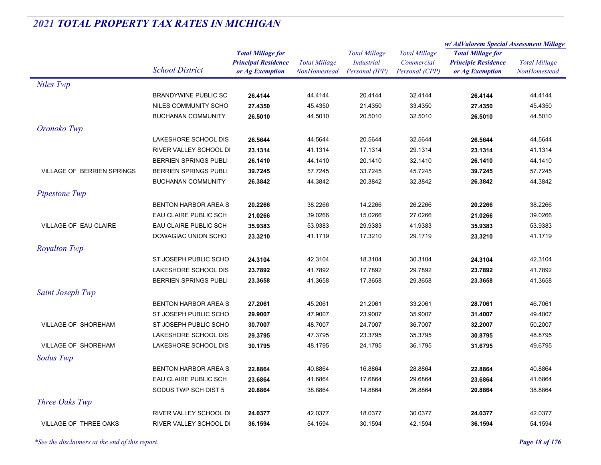|                                   |                               |                                               |                                      | <b>Total Millage</b>                | <b>Total Millage</b>         | w/AdValorem Special Assessment Millage        |                                      |
|-----------------------------------|-------------------------------|-----------------------------------------------|--------------------------------------|-------------------------------------|------------------------------|-----------------------------------------------|--------------------------------------|
|                                   |                               | <b>Total Millage for</b>                      |                                      |                                     |                              | <b>Total Millage for</b>                      | <b>Total Millage</b><br>NonHomestead |
|                                   | <b>School District</b>        | <b>Principal Residence</b><br>or Ag Exemption | <b>Total Millage</b><br>NonHomestead | <b>Industrial</b><br>Personal (IPP) | Commercial<br>Personal (CPP) | <b>Principle Residence</b><br>or Ag Exemption |                                      |
|                                   |                               |                                               |                                      |                                     |                              |                                               |                                      |
| Niles Twp                         |                               |                                               |                                      |                                     |                              |                                               |                                      |
|                                   | <b>BRANDYWINE PUBLIC SC</b>   | 26.4144                                       | 44.4144                              | 20.4144                             | 32.4144                      | 26.4144                                       | 44.4144                              |
|                                   | NILES COMMUNITY SCHO          | 27.4350                                       | 45.4350                              | 21.4350                             | 33.4350                      | 27.4350                                       | 45.4350                              |
|                                   | <b>BUCHANAN COMMUNITY</b>     | 26.5010                                       | 44.5010                              | 20.5010                             | 32.5010                      | 26.5010                                       | 44.5010                              |
| Oronoko Twp                       |                               |                                               |                                      |                                     |                              |                                               |                                      |
|                                   | LAKESHORE SCHOOL DIS          | 26.5644                                       | 44.5644                              | 20.5644                             | 32.5644                      | 26.5644                                       | 44.5644                              |
|                                   | RIVER VALLEY SCHOOL DI        | 23.1314                                       | 41.1314                              | 17.1314                             | 29.1314                      | 23.1314                                       | 41.1314                              |
|                                   | <b>BERRIEN SPRINGS PUBLI</b>  | 26.1410                                       | 44.1410                              | 20.1410                             | 32.1410                      | 26.1410                                       | 44.1410                              |
| <b>VILLAGE OF BERRIEN SPRINGS</b> | <b>BERRIEN SPRINGS PUBLI</b>  | 39.7245                                       | 57.7245                              | 33.7245                             | 45.7245                      | 39.7245                                       | 57.7245                              |
|                                   | <b>BUCHANAN COMMUNITY</b>     | 26.3842                                       | 44.3842                              | 20.3842                             | 32.3842                      | 26.3842                                       | 44.3842                              |
| Pipestone Twp                     |                               |                                               |                                      |                                     |                              |                                               |                                      |
|                                   | <b>BENTON HARBOR AREA S</b>   | 20.2266                                       | 38.2266                              | 14.2266                             | 26.2266                      | 20.2266                                       | 38.2266                              |
|                                   | EAU CLAIRE PUBLIC SCH         | 21.0266                                       | 39.0266                              | 15.0266                             | 27.0266                      | 21.0266                                       | 39.0266                              |
| <b>VILLAGE OF EAU CLAIRE</b>      | EAU CLAIRE PUBLIC SCH         | 35.9383                                       | 53.9383                              | 29.9383                             | 41.9383                      | 35.9383                                       | 53.9383                              |
|                                   | DOWAGIAC UNION SCHO           | 23.3210                                       | 41.1719                              | 17.3210                             | 29.1719                      | 23.3210                                       | 41.1719                              |
| <b>Royalton Twp</b>               |                               |                                               |                                      |                                     |                              |                                               |                                      |
|                                   | ST JOSEPH PUBLIC SCHO         | 24.3104                                       | 42.3104                              | 18.3104                             | 30.3104                      | 24.3104                                       | 42.3104                              |
|                                   | LAKESHORE SCHOOL DIS          | 23.7892                                       | 41.7892                              | 17.7892                             | 29.7892                      | 23.7892                                       | 41.7892                              |
|                                   | <b>BERRIEN SPRINGS PUBLI</b>  | 23.3658                                       | 41.3658                              | 17.3658                             | 29.3658                      | 23.3658                                       | 41.3658                              |
| Saint Joseph Twp                  |                               |                                               |                                      |                                     |                              |                                               |                                      |
|                                   | <b>BENTON HARBOR AREA S</b>   | 27.2061                                       | 45.2061                              | 21.2061                             | 33.2061                      | 28.7061                                       | 46.7061                              |
|                                   | ST JOSEPH PUBLIC SCHO         | 29.9007                                       | 47.9007                              | 23.9007                             | 35.9007                      | 31.4007                                       | 49.4007                              |
| VILLAGE OF SHOREHAM               | ST JOSEPH PUBLIC SCHO         | 30.7007                                       | 48.7007                              | 24.7007                             | 36.7007                      | 32.2007                                       | 50.2007                              |
|                                   | LAKESHORE SCHOOL DIS          | 29.3795                                       | 47.3795                              | 23.3795                             | 35.3795                      | 30.8795                                       | 48.8795                              |
| <b>VILLAGE OF SHOREHAM</b>        | LAKESHORE SCHOOL DIS          | 30.1795                                       | 48.1795                              | 24.1795                             | 36.1795                      | 31.6795                                       | 49.6795                              |
| Sodus Twp                         |                               |                                               |                                      |                                     |                              |                                               |                                      |
|                                   |                               |                                               |                                      |                                     |                              |                                               |                                      |
|                                   | <b>BENTON HARBOR AREA S</b>   | 22.8864                                       | 40.8864                              | 16.8864                             | 28.8864                      | 22.8864                                       | 40.8864                              |
|                                   | EAU CLAIRE PUBLIC SCH         | 23.6864                                       | 41.6864                              | 17.6864                             | 29.6864                      | 23.6864                                       | 41.6864                              |
|                                   | SODUS TWP SCH DIST 5          | 20.8864                                       | 38.8864                              | 14.8864                             | 26.8864                      | 20.8864                                       | 38.8864                              |
| Three Oaks Twp                    |                               |                                               |                                      |                                     |                              |                                               |                                      |
|                                   | RIVER VALLEY SCHOOL DI        | 24.0377                                       | 42.0377                              | 18.0377                             | 30.0377                      | 24.0377                                       | 42.0377                              |
| VILLAGE OF THREE OAKS             | <b>RIVER VALLEY SCHOOL DI</b> | 36.1594                                       | 54.1594                              | 30.1594                             | 42.1594                      | 36.1594                                       | 54.1594                              |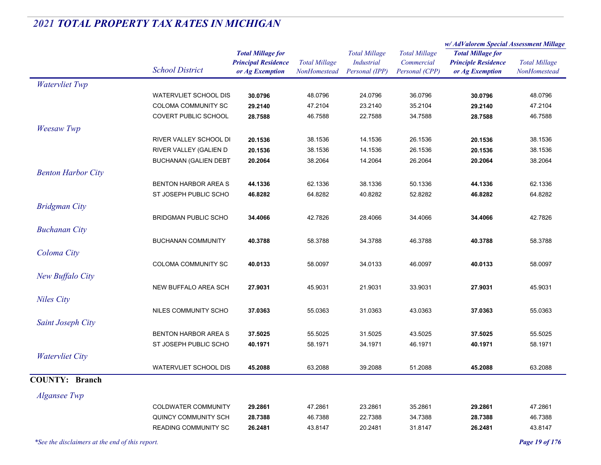|                           |                                                     |                                                                           |                                             |                                                             |                                                      | w/ AdValorem Special Assessment Millage                                   |                                      |
|---------------------------|-----------------------------------------------------|---------------------------------------------------------------------------|---------------------------------------------|-------------------------------------------------------------|------------------------------------------------------|---------------------------------------------------------------------------|--------------------------------------|
|                           | <b>School District</b>                              | <b>Total Millage for</b><br><b>Principal Residence</b><br>or Ag Exemption | <b>Total Millage</b><br><b>NonHomestead</b> | <b>Total Millage</b><br><b>Industrial</b><br>Personal (IPP) | <b>Total Millage</b><br>Commercial<br>Personal (CPP) | <b>Total Millage for</b><br><b>Principle Residence</b><br>or Ag Exemption | <b>Total Millage</b><br>NonHomestead |
| <b>Watervliet Twp</b>     |                                                     |                                                                           |                                             |                                                             |                                                      |                                                                           |                                      |
|                           | <b>WATERVLIET SCHOOL DIS</b>                        | 30.0796                                                                   | 48.0796                                     | 24.0796                                                     | 36.0796                                              | 30.0796                                                                   | 48.0796                              |
|                           | COLOMA COMMUNITY SC                                 | 29.2140                                                                   | 47.2104                                     | 23.2140                                                     | 35.2104                                              | 29.2140                                                                   | 47.2104                              |
|                           | <b>COVERT PUBLIC SCHOOL</b>                         | 28.7588                                                                   | 46.7588                                     | 22.7588                                                     | 34.7588                                              | 28.7588                                                                   | 46.7588                              |
| <b>Weesaw Twp</b>         |                                                     |                                                                           |                                             |                                                             |                                                      |                                                                           |                                      |
|                           | RIVER VALLEY SCHOOL DI                              | 20.1536                                                                   | 38.1536                                     | 14.1536                                                     | 26.1536                                              | 20.1536                                                                   | 38.1536                              |
|                           | RIVER VALLEY (GALIEN D                              | 20.1536                                                                   | 38.1536                                     | 14.1536                                                     | 26.1536                                              | 20.1536                                                                   | 38.1536                              |
|                           | <b>BUCHANAN (GALIEN DEBT</b>                        | 20.2064                                                                   | 38.2064                                     | 14.2064                                                     | 26.2064                                              | 20.2064                                                                   | 38.2064                              |
| <b>Benton Harbor City</b> |                                                     |                                                                           |                                             |                                                             |                                                      |                                                                           |                                      |
|                           | <b>BENTON HARBOR AREA S</b>                         | 44.1336                                                                   | 62.1336                                     | 38.1336                                                     | 50.1336                                              | 44.1336                                                                   | 62.1336                              |
|                           | ST JOSEPH PUBLIC SCHO                               | 46.8282                                                                   | 64.8282                                     | 40.8282                                                     | 52.8282                                              | 46.8282                                                                   | 64.8282                              |
| <b>Bridgman City</b>      |                                                     |                                                                           |                                             |                                                             |                                                      |                                                                           |                                      |
|                           | <b>BRIDGMAN PUBLIC SCHO</b>                         | 34.4066                                                                   | 42.7826                                     | 28.4066                                                     | 34.4066                                              | 34.4066                                                                   | 42.7826                              |
| <b>Buchanan City</b>      |                                                     |                                                                           |                                             |                                                             |                                                      |                                                                           |                                      |
|                           | <b>BUCHANAN COMMUNITY</b>                           | 40.3788                                                                   | 58.3788                                     | 34.3788                                                     | 46.3788                                              | 40.3788                                                                   | 58.3788                              |
|                           |                                                     |                                                                           |                                             |                                                             |                                                      |                                                                           |                                      |
| Coloma City               |                                                     |                                                                           |                                             |                                                             |                                                      |                                                                           |                                      |
|                           | <b>COLOMA COMMUNITY SC</b>                          | 40.0133                                                                   | 58.0097                                     | 34.0133                                                     | 46.0097                                              | 40.0133                                                                   | 58.0097                              |
| New Buffalo City          |                                                     |                                                                           |                                             |                                                             |                                                      |                                                                           |                                      |
|                           | <b>NEW BUFFALO AREA SCH</b>                         | 27.9031                                                                   | 45.9031                                     | 21.9031                                                     | 33.9031                                              | 27.9031                                                                   | 45.9031                              |
| <b>Niles City</b>         |                                                     |                                                                           |                                             |                                                             |                                                      |                                                                           |                                      |
|                           | NILES COMMUNITY SCHO                                | 37.0363                                                                   | 55.0363                                     | 31.0363                                                     | 43.0363                                              | 37.0363                                                                   | 55.0363                              |
| Saint Joseph City         |                                                     |                                                                           |                                             |                                                             |                                                      |                                                                           |                                      |
|                           | <b>BENTON HARBOR AREA S</b>                         | 37.5025                                                                   | 55.5025                                     | 31.5025                                                     | 43.5025                                              | 37.5025                                                                   | 55.5025                              |
|                           | ST JOSEPH PUBLIC SCHO                               | 40.1971                                                                   | 58.1971                                     | 34.1971                                                     | 46.1971                                              | 40.1971                                                                   | 58.1971                              |
| <b>Watervliet City</b>    |                                                     |                                                                           |                                             |                                                             |                                                      |                                                                           |                                      |
|                           | <b>WATERVLIET SCHOOL DIS</b>                        | 45.2088                                                                   | 63.2088                                     | 39.2088                                                     | 51.2088                                              | 45.2088                                                                   | 63.2088                              |
| <b>COUNTY: Branch</b>     |                                                     |                                                                           |                                             |                                                             |                                                      |                                                                           |                                      |
| <b>Algansee Twp</b>       |                                                     |                                                                           |                                             |                                                             |                                                      |                                                                           |                                      |
|                           | <b>COLDWATER COMMUNITY</b>                          |                                                                           | 47.2861                                     | 23.2861                                                     | 35.2861                                              |                                                                           | 47.2861                              |
|                           |                                                     | 29.2861                                                                   |                                             |                                                             |                                                      | 29.2861                                                                   |                                      |
|                           | QUINCY COMMUNITY SCH<br><b>READING COMMUNITY SC</b> | 28.7388                                                                   | 46.7388                                     | 22.7388                                                     | 34.7388                                              | 28.7388                                                                   | 46.7388                              |
|                           |                                                     | 26.2481                                                                   | 43.8147                                     | 20.2481                                                     | 31.8147                                              | 26.2481                                                                   | 43.8147                              |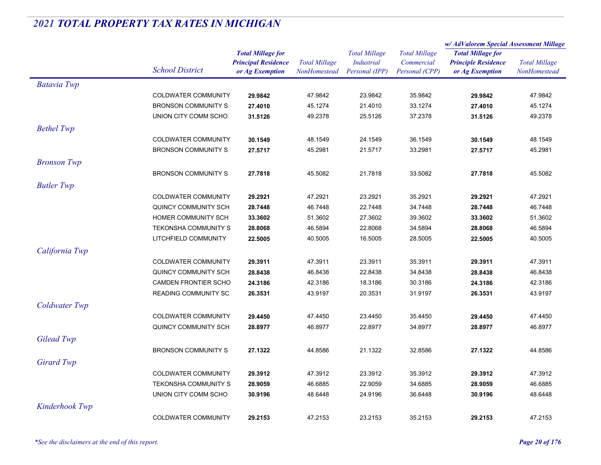|                    |                             |                            | <b>Total Millage</b> | <b>Total Millage</b> | <b>Total Millage</b> | w/ AdValorem Special Assessment Millage |                      |
|--------------------|-----------------------------|----------------------------|----------------------|----------------------|----------------------|-----------------------------------------|----------------------|
|                    |                             | <b>Total Millage for</b>   |                      |                      |                      | <b>Total Millage for</b>                |                      |
|                    | <b>School District</b>      | <b>Principal Residence</b> |                      | <b>Industrial</b>    | Commercial           | <b>Principle Residence</b>              | <b>Total Millage</b> |
|                    |                             | or Ag Exemption            | <b>NonHomestead</b>  | Personal (IPP)       | Personal (CPP)       | or Ag Exemption                         | <b>NonHomestead</b>  |
| <b>Batavia Twp</b> |                             |                            |                      |                      |                      |                                         |                      |
|                    | <b>COLDWATER COMMUNITY</b>  | 29.9842                    | 47.9842              | 23.9842              | 35.9842              | 29.9842                                 | 47.9842              |
|                    | <b>BRONSON COMMUNITY S</b>  | 27.4010                    | 45.1274              | 21.4010              | 33.1274              | 27.4010                                 | 45.1274              |
|                    | UNION CITY COMM SCHO        | 31.5126                    | 49.2378              | 25.5126              | 37.2378              | 31.5126                                 | 49.2378              |
| <b>Bethel Twp</b>  |                             |                            |                      |                      |                      |                                         |                      |
|                    | <b>COLDWATER COMMUNITY</b>  | 30.1549                    | 48.1549              | 24.1549              | 36.1549              | 30.1549                                 | 48.1549              |
|                    | <b>BRONSON COMMUNITY S</b>  | 27.5717                    | 45.2981              | 21.5717              | 33.2981              | 27.5717                                 | 45.2981              |
| <b>Bronson Twp</b> |                             |                            |                      |                      |                      |                                         |                      |
|                    | <b>BRONSON COMMUNITY S</b>  | 27.7818                    | 45.5082              | 21.7818              | 33.5082              | 27.7818                                 | 45.5082              |
| <b>Butler Twp</b>  |                             |                            |                      |                      |                      |                                         |                      |
|                    | COLDWATER COMMUNITY         | 29.2921                    | 47.2921              | 23.2921              | 35.2921              | 29.2921                                 | 47.2921              |
|                    | QUINCY COMMUNITY SCH        | 28.7448                    | 46.7448              | 22.7448              | 34.7448              | 28.7448                                 | 46.7448              |
|                    | HOMER COMMUNITY SCH         | 33.3602                    | 51.3602              | 27.3602              | 39.3602              | 33.3602                                 | 51.3602              |
|                    | <b>TEKONSHA COMMUNITY S</b> | 28.8068                    | 46.5894              | 22.8068              | 34.5894              | 28.8068                                 | 46.5894              |
|                    | LITCHFIELD COMMUNITY        | 22.5005                    | 40.5005              | 16.5005              | 28.5005              | 22.5005                                 | 40.5005              |
| California Twp     |                             |                            |                      |                      |                      |                                         |                      |
|                    |                             |                            |                      |                      |                      |                                         |                      |
|                    | COLDWATER COMMUNITY         | 29.3911                    | 47.3911              | 23.3911              | 35.3911              | 29.3911                                 | 47.3911              |
|                    | QUINCY COMMUNITY SCH        | 28.8438                    | 46.8438              | 22.8438              | 34.8438              | 28.8438                                 | 46.8438              |
|                    | CAMDEN FRONTIER SCHO        | 24.3186                    | 42.3186              | 18.3186              | 30.3186              | 24.3186                                 | 42.3186              |
|                    | <b>READING COMMUNITY SC</b> | 26.3531                    | 43.9197              | 20.3531              | 31.9197              | 26.3531                                 | 43.9197              |
| Coldwater Twp      |                             |                            |                      |                      |                      |                                         |                      |
|                    | <b>COLDWATER COMMUNITY</b>  | 29.4450                    | 47.4450              | 23.4450              | 35.4450              | 29.4450                                 | 47.4450              |
|                    | QUINCY COMMUNITY SCH        | 28.8977                    | 46.8977              | 22.8977              | 34.8977              | 28.8977                                 | 46.8977              |
| Gilead Twp         |                             |                            |                      |                      |                      |                                         |                      |
|                    | <b>BRONSON COMMUNITY S</b>  | 27.1322                    | 44.8586              | 21.1322              | 32.8586              | 27.1322                                 | 44.8586              |
| <b>Girard Twp</b>  |                             |                            |                      |                      |                      |                                         |                      |
|                    | COLDWATER COMMUNITY         | 29.3912                    | 47.3912              | 23.3912              | 35.3912              | 29.3912                                 | 47.3912              |
|                    | <b>TEKONSHA COMMUNITY S</b> | 28.9059                    | 46.6885              | 22.9059              | 34.6885              | 28.9059                                 | 46.6885              |
|                    | UNION CITY COMM SCHO        | 30.9196                    | 48.6448              | 24.9196              | 36.6448              | 30.9196                                 | 48.6448              |
| Kinderhook Twp     |                             |                            |                      |                      |                      |                                         |                      |
|                    | <b>COLDWATER COMMUNITY</b>  | 29.2153                    | 47.2153              | 23.2153              | 35.2153              | 29.2153                                 | 47.2153              |
|                    |                             |                            |                      |                      |                      |                                         |                      |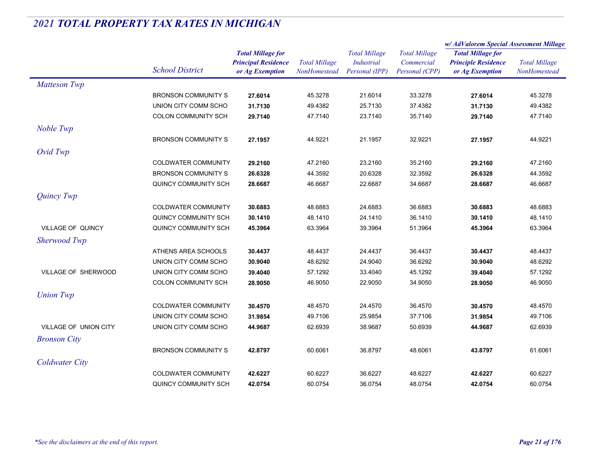|                            |                            |                                                                           |                                      |                                                             |                                                      | w/AdValorem Special Assessment Millage                                    |                                      |
|----------------------------|----------------------------|---------------------------------------------------------------------------|--------------------------------------|-------------------------------------------------------------|------------------------------------------------------|---------------------------------------------------------------------------|--------------------------------------|
|                            | <b>School District</b>     | <b>Total Millage for</b><br><b>Principal Residence</b><br>or Ag Exemption | <b>Total Millage</b><br>NonHomestead | <b>Total Millage</b><br><b>Industrial</b><br>Personal (IPP) | <b>Total Millage</b><br>Commercial<br>Personal (CPP) | <b>Total Millage for</b><br><b>Principle Residence</b><br>or Ag Exemption | <b>Total Millage</b><br>NonHomestead |
| <b>Matteson Twp</b>        |                            |                                                                           |                                      |                                                             |                                                      |                                                                           |                                      |
|                            | <b>BRONSON COMMUNITY S</b> | 27.6014                                                                   | 45.3278                              | 21.6014                                                     | 33.3278                                              | 27.6014                                                                   | 45.3278                              |
|                            | UNION CITY COMM SCHO       | 31.7130                                                                   | 49.4382                              | 25.7130                                                     | 37.4382                                              | 31.7130                                                                   | 49.4382                              |
|                            | <b>COLON COMMUNITY SCH</b> | 29.7140                                                                   | 47.7140                              | 23.7140                                                     | 35.7140                                              | 29.7140                                                                   | 47.7140                              |
| Noble Twp                  |                            |                                                                           |                                      |                                                             |                                                      |                                                                           |                                      |
|                            | <b>BRONSON COMMUNITY S</b> | 27.1957                                                                   | 44.9221                              | 21.1957                                                     | 32.9221                                              | 27.1957                                                                   | 44.9221                              |
| Ovid Twp                   |                            |                                                                           |                                      |                                                             |                                                      |                                                                           |                                      |
|                            | <b>COLDWATER COMMUNITY</b> | 29.2160                                                                   | 47.2160                              | 23.2160                                                     | 35.2160                                              | 29.2160                                                                   | 47.2160                              |
|                            | <b>BRONSON COMMUNITY S</b> | 26.6328                                                                   | 44.3592                              | 20.6328                                                     | 32.3592                                              | 26.6328                                                                   | 44.3592                              |
|                            | QUINCY COMMUNITY SCH       | 28.6687                                                                   | 46.6687                              | 22.6687                                                     | 34.6687                                              | 28.6687                                                                   | 46.6687                              |
| <b>Quincy Twp</b>          |                            |                                                                           |                                      |                                                             |                                                      |                                                                           |                                      |
|                            | <b>COLDWATER COMMUNITY</b> | 30.6883                                                                   | 48.6883                              | 24.6883                                                     | 36.6883                                              | 30.6883                                                                   | 48.6883                              |
|                            | QUINCY COMMUNITY SCH       | 30.1410                                                                   | 48.1410                              | 24.1410                                                     | 36.1410                                              | 30.1410                                                                   | 48.1410                              |
| VILLAGE OF QUINCY          | QUINCY COMMUNITY SCH       | 45.3964                                                                   | 63.3964                              | 39.3964                                                     | 51.3964                                              | 45.3964                                                                   | 63.3964                              |
| Sherwood Twp               |                            |                                                                           |                                      |                                                             |                                                      |                                                                           |                                      |
|                            | ATHENS AREA SCHOOLS        | 30.4437                                                                   | 48.4437                              | 24.4437                                                     | 36.4437                                              | 30.4437                                                                   | 48.4437                              |
|                            | UNION CITY COMM SCHO       | 30.9040                                                                   | 48.6292                              | 24.9040                                                     | 36.6292                                              | 30.9040                                                                   | 48.6292                              |
| <b>VILLAGE OF SHERWOOD</b> | UNION CITY COMM SCHO       | 39.4040                                                                   | 57.1292                              | 33.4040                                                     | 45.1292                                              | 39.4040                                                                   | 57.1292                              |
|                            | COLON COMMUNITY SCH        | 28.9050                                                                   | 46.9050                              | 22.9050                                                     | 34.9050                                              | 28.9050                                                                   | 46.9050                              |
| <b>Union Twp</b>           |                            |                                                                           |                                      |                                                             |                                                      |                                                                           |                                      |
|                            | COLDWATER COMMUNITY        | 30.4570                                                                   | 48.4570                              | 24.4570                                                     | 36.4570                                              | 30.4570                                                                   | 48.4570                              |
|                            | UNION CITY COMM SCHO       | 31.9854                                                                   | 49.7106                              | 25.9854                                                     | 37.7106                                              | 31.9854                                                                   | 49.7106                              |
| VILLAGE OF UNION CITY      | UNION CITY COMM SCHO       | 44.9687                                                                   | 62.6939                              | 38.9687                                                     | 50.6939                                              | 44.9687                                                                   | 62.6939                              |
| <b>Bronson City</b>        |                            |                                                                           |                                      |                                                             |                                                      |                                                                           |                                      |
|                            | <b>BRONSON COMMUNITY S</b> | 42.8797                                                                   | 60.6061                              | 36.8797                                                     | 48.6061                                              | 43.8797                                                                   | 61.6061                              |
| <b>Coldwater City</b>      |                            |                                                                           |                                      |                                                             |                                                      |                                                                           |                                      |
|                            | <b>COLDWATER COMMUNITY</b> | 42.6227                                                                   | 60.6227                              | 36.6227                                                     | 48.6227                                              | 42.6227                                                                   | 60.6227                              |
|                            | QUINCY COMMUNITY SCH       | 42.0754                                                                   | 60.0754                              | 36.0754                                                     | 48.0754                                              | 42.0754                                                                   | 60.0754                              |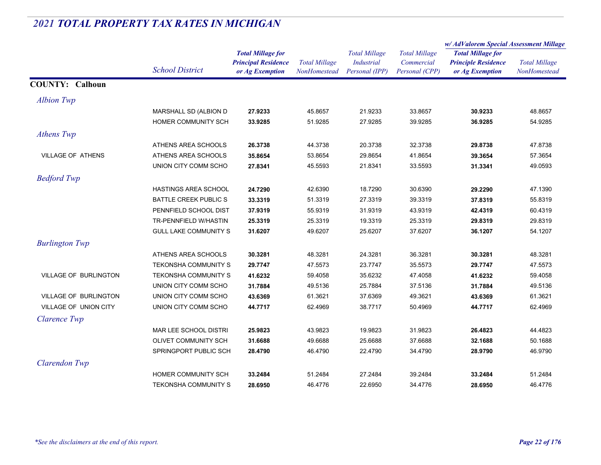|                        |                              |                                                                           |                                      |                                                             |                                                      | w/AdValorem Special Assessment Millage                                    |                                      |
|------------------------|------------------------------|---------------------------------------------------------------------------|--------------------------------------|-------------------------------------------------------------|------------------------------------------------------|---------------------------------------------------------------------------|--------------------------------------|
|                        | <b>School District</b>       | <b>Total Millage for</b><br><b>Principal Residence</b><br>or Ag Exemption | <b>Total Millage</b><br>NonHomestead | <b>Total Millage</b><br><b>Industrial</b><br>Personal (IPP) | <b>Total Millage</b><br>Commercial<br>Personal (CPP) | <b>Total Millage for</b><br><b>Principle Residence</b><br>or Ag Exemption | <b>Total Millage</b><br>NonHomestead |
| <b>COUNTY: Calhoun</b> |                              |                                                                           |                                      |                                                             |                                                      |                                                                           |                                      |
| Albion Twp             |                              |                                                                           |                                      |                                                             |                                                      |                                                                           |                                      |
|                        | MARSHALL SD (ALBION D        | 27.9233                                                                   | 45.8657                              | 21.9233                                                     | 33.8657                                              | 30.9233                                                                   | 48.8657                              |
|                        | HOMER COMMUNITY SCH          | 33.9285                                                                   | 51.9285                              | 27.9285                                                     | 39.9285                                              | 36.9285                                                                   | 54.9285                              |
| Athens Twp             |                              |                                                                           |                                      |                                                             |                                                      |                                                                           |                                      |
|                        | ATHENS AREA SCHOOLS          | 26.3738                                                                   | 44.3738                              | 20.3738                                                     | 32.3738                                              | 29.8738                                                                   | 47.8738                              |
| VILLAGE OF ATHENS      | ATHENS AREA SCHOOLS          | 35.8654                                                                   | 53.8654                              | 29.8654                                                     | 41.8654                                              | 39.3654                                                                   | 57.3654                              |
|                        | UNION CITY COMM SCHO         | 27.8341                                                                   | 45.5593                              | 21.8341                                                     | 33.5593                                              | 31.3341                                                                   | 49.0593                              |
| <b>Bedford Twp</b>     |                              |                                                                           |                                      |                                                             |                                                      |                                                                           |                                      |
|                        | HASTINGS AREA SCHOOL         | 24.7290                                                                   | 42.6390                              | 18.7290                                                     | 30.6390                                              | 29.2290                                                                   | 47.1390                              |
|                        | <b>BATTLE CREEK PUBLIC S</b> | 33.3319                                                                   | 51.3319                              | 27.3319                                                     | 39.3319                                              | 37.8319                                                                   | 55.8319                              |
|                        | PENNFIELD SCHOOL DIST        | 37.9319                                                                   | 55.9319                              | 31.9319                                                     | 43.9319                                              | 42.4319                                                                   | 60.4319                              |
|                        | TR-PENNFIELD W/HASTIN        | 25.3319                                                                   | 25.3319                              | 19.3319                                                     | 25.3319                                              | 29.8319                                                                   | 29.8319                              |
|                        | <b>GULL LAKE COMMUNITY S</b> | 31.6207                                                                   | 49.6207                              | 25.6207                                                     | 37.6207                                              | 36.1207                                                                   | 54.1207                              |
| <b>Burlington Twp</b>  |                              |                                                                           |                                      |                                                             |                                                      |                                                                           |                                      |
|                        | ATHENS AREA SCHOOLS          | 30.3281                                                                   | 48.3281                              | 24.3281                                                     | 36.3281                                              | 30.3281                                                                   | 48.3281                              |
|                        | <b>TEKONSHA COMMUNITY S</b>  | 29.7747                                                                   | 47.5573                              | 23.7747                                                     | 35.5573                                              | 29.7747                                                                   | 47.5573                              |
| VILLAGE OF BURLINGTON  | <b>TEKONSHA COMMUNITY S</b>  | 41.6232                                                                   | 59.4058                              | 35.6232                                                     | 47.4058                                              | 41.6232                                                                   | 59.4058                              |
|                        | UNION CITY COMM SCHO         | 31.7884                                                                   | 49.5136                              | 25.7884                                                     | 37.5136                                              | 31.7884                                                                   | 49.5136                              |
| VILLAGE OF BURLINGTON  | UNION CITY COMM SCHO         | 43.6369                                                                   | 61.3621                              | 37.6369                                                     | 49.3621                                              | 43.6369                                                                   | 61.3621                              |
| VILLAGE OF UNION CITY  | UNION CITY COMM SCHO         | 44.7717                                                                   | 62.4969                              | 38.7717                                                     | 50.4969                                              | 44.7717                                                                   | 62.4969                              |
| Clarence Twp           |                              |                                                                           |                                      |                                                             |                                                      |                                                                           |                                      |
|                        | MAR LEE SCHOOL DISTRI        | 25.9823                                                                   | 43.9823                              | 19.9823                                                     | 31.9823                                              | 26.4823                                                                   | 44.4823                              |
|                        | OLIVET COMMUNITY SCH         | 31.6688                                                                   | 49.6688                              | 25.6688                                                     | 37.6688                                              | 32.1688                                                                   | 50.1688                              |
|                        | SPRINGPORT PUBLIC SCH        | 28.4790                                                                   | 46.4790                              | 22.4790                                                     | 34.4790                                              | 28.9790                                                                   | 46.9790                              |
| Clarendon Twp          |                              |                                                                           |                                      |                                                             |                                                      |                                                                           |                                      |
|                        | <b>HOMER COMMUNITY SCH</b>   | 33.2484                                                                   | 51.2484                              | 27.2484                                                     | 39.2484                                              | 33.2484                                                                   | 51.2484                              |
|                        | <b>TEKONSHA COMMUNITY S</b>  | 28.6950                                                                   | 46.4776                              | 22.6950                                                     | 34.4776                                              | 28.6950                                                                   | 46.4776                              |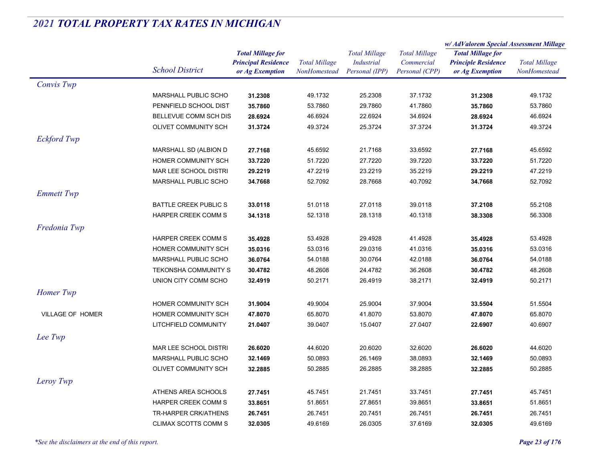|                    | <b>School District</b>       |                            |                      | <b>Total Millage</b> | <b>Total Millage</b> | w/ AdValorem Special Assessment Millage |                      |
|--------------------|------------------------------|----------------------------|----------------------|----------------------|----------------------|-----------------------------------------|----------------------|
|                    |                              | <b>Total Millage for</b>   |                      |                      |                      | <b>Total Millage for</b>                | <b>Total Millage</b> |
|                    |                              | <b>Principal Residence</b> | <b>Total Millage</b> | <b>Industrial</b>    | Commercial           | <b>Principle Residence</b>              |                      |
|                    |                              | or Ag Exemption            | NonHomestead         | Personal (IPP)       | Personal (CPP)       | or Ag Exemption                         | NonHomestead         |
| Convis Twp         |                              |                            |                      |                      |                      |                                         |                      |
|                    | <b>MARSHALL PUBLIC SCHO</b>  | 31.2308                    | 49.1732              | 25.2308              | 37.1732              | 31.2308                                 | 49.1732              |
|                    | PENNFIELD SCHOOL DIST        | 35.7860                    | 53.7860              | 29.7860              | 41.7860              | 35.7860                                 | 53.7860              |
|                    | BELLEVUE COMM SCH DIS        | 28.6924                    | 46.6924              | 22.6924              | 34.6924              | 28.6924                                 | 46.6924              |
|                    | OLIVET COMMUNITY SCH         | 31.3724                    | 49.3724              | 25.3724              | 37.3724              | 31.3724                                 | 49.3724              |
| <b>Eckford Twp</b> |                              |                            |                      |                      |                      |                                         |                      |
|                    | MARSHALL SD (ALBION D        | 27.7168                    | 45.6592              | 21.7168              | 33.6592              | 27.7168                                 | 45.6592              |
|                    | HOMER COMMUNITY SCH          | 33.7220                    | 51.7220              | 27.7220              | 39.7220              | 33.7220                                 | 51.7220              |
|                    | MAR LEE SCHOOL DISTRI        | 29.2219                    | 47.2219              | 23.2219              | 35.2219              | 29.2219                                 | 47.2219              |
|                    | <b>MARSHALL PUBLIC SCHO</b>  | 34.7668                    | 52.7092              | 28.7668              | 40.7092              | 34.7668                                 | 52.7092              |
| <b>Emmett Twp</b>  |                              |                            |                      |                      |                      |                                         |                      |
|                    | <b>BATTLE CREEK PUBLIC S</b> | 33.0118                    | 51.0118              | 27.0118              | 39.0118              | 37.2108                                 | 55.2108              |
|                    | <b>HARPER CREEK COMM S</b>   | 34.1318                    | 52.1318              | 28.1318              | 40.1318              | 38.3308                                 | 56.3308              |
|                    |                              |                            |                      |                      |                      |                                         |                      |
| Fredonia Twp       |                              |                            |                      |                      |                      |                                         |                      |
|                    | <b>HARPER CREEK COMM S</b>   | 35.4928                    | 53.4928              | 29.4928              | 41.4928              | 35.4928                                 | 53.4928              |
|                    | HOMER COMMUNITY SCH          | 35.0316                    | 53.0316              | 29.0316              | 41.0316              | 35.0316                                 | 53.0316              |
|                    | <b>MARSHALL PUBLIC SCHO</b>  | 36.0764                    | 54.0188              | 30.0764              | 42.0188              | 36.0764                                 | 54.0188              |
|                    | <b>TEKONSHA COMMUNITY S</b>  | 30.4782                    | 48.2608              | 24.4782              | 36.2608              | 30.4782                                 | 48.2608              |
|                    | UNION CITY COMM SCHO         | 32.4919                    | 50.2171              | 26.4919              | 38.2171              | 32.4919                                 | 50.2171              |
| Homer Twp          |                              |                            |                      |                      |                      |                                         |                      |
|                    | HOMER COMMUNITY SCH          | 31.9004                    | 49.9004              | 25.9004              | 37.9004              | 33.5504                                 | 51.5504              |
| VILLAGE OF HOMER   | HOMER COMMUNITY SCH          | 47.8070                    | 65.8070              | 41.8070              | 53.8070              | 47.8070                                 | 65.8070              |
|                    | LITCHFIELD COMMUNITY         | 21.0407                    | 39.0407              | 15.0407              | 27.0407              | 22.6907                                 | 40.6907              |
| Lee Twp            |                              |                            |                      |                      |                      |                                         |                      |
|                    | MAR LEE SCHOOL DISTRI        | 26.6020                    | 44.6020              | 20.6020              | 32.6020              | 26.6020                                 | 44.6020              |
|                    | MARSHALL PUBLIC SCHO         | 32.1469                    | 50.0893              | 26.1469              | 38.0893              | 32.1469                                 | 50.0893              |
|                    | <b>OLIVET COMMUNITY SCH</b>  | 32.2885                    | 50.2885              | 26.2885              | 38.2885              | 32.2885                                 | 50.2885              |
| Leroy Twp          |                              |                            |                      |                      |                      |                                         |                      |
|                    | ATHENS AREA SCHOOLS          |                            | 45.7451              | 21.7451              | 33.7451              |                                         | 45.7451              |
|                    |                              | 27.7451                    |                      |                      |                      | 27.7451                                 |                      |
|                    | HARPER CREEK COMM S          | 33.8651                    | 51.8651              | 27.8651              | 39.8651              | 33.8651                                 | 51.8651              |
|                    | TR-HARPER CRK/ATHENS         | 26.7451                    | 26.7451              | 20.7451              | 26.7451              | 26.7451                                 | 26.7451              |
|                    | <b>CLIMAX SCOTTS COMM S</b>  | 32.0305                    | 49.6169              | 26.0305              | 37.6169              | 32.0305                                 | 49.6169              |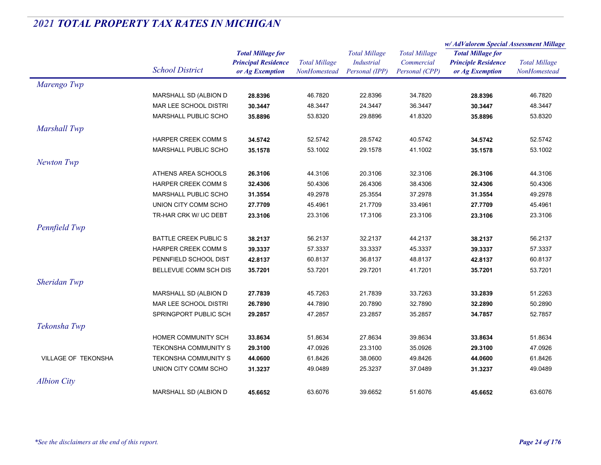|                     |                              |                                               | <b>Total Millage</b><br>NonHomestead | <b>Total Millage</b><br><b>Industrial</b><br>Personal (IPP) |                              | w/AdValorem Special Assessment Millage        |                                      |
|---------------------|------------------------------|-----------------------------------------------|--------------------------------------|-------------------------------------------------------------|------------------------------|-----------------------------------------------|--------------------------------------|
|                     |                              | <b>Total Millage for</b>                      |                                      |                                                             | <b>Total Millage</b>         | <b>Total Millage for</b>                      | <b>Total Millage</b><br>NonHomestead |
|                     | <b>School District</b>       | <b>Principal Residence</b><br>or Ag Exemption |                                      |                                                             | Commercial<br>Personal (CPP) | <b>Principle Residence</b><br>or Ag Exemption |                                      |
| Marengo Twp         |                              |                                               |                                      |                                                             |                              |                                               |                                      |
|                     | MARSHALL SD (ALBION D        | 28.8396                                       | 46.7820                              | 22.8396                                                     | 34.7820                      | 28.8396                                       | 46.7820                              |
|                     | MAR LEE SCHOOL DISTRI        | 30.3447                                       | 48.3447                              | 24.3447                                                     | 36.3447                      | 30.3447                                       | 48.3447                              |
|                     | <b>MARSHALL PUBLIC SCHO</b>  | 35.8896                                       | 53.8320                              | 29.8896                                                     | 41.8320                      | 35.8896                                       | 53.8320                              |
| Marshall Twp        |                              |                                               |                                      |                                                             |                              |                                               |                                      |
|                     | HARPER CREEK COMM S          | 34.5742                                       | 52.5742                              | 28.5742                                                     | 40.5742                      | 34.5742                                       | 52.5742                              |
|                     | <b>MARSHALL PUBLIC SCHO</b>  | 35.1578                                       | 53.1002                              | 29.1578                                                     | 41.1002                      | 35.1578                                       | 53.1002                              |
| Newton Twp          |                              |                                               |                                      |                                                             |                              |                                               |                                      |
|                     | ATHENS AREA SCHOOLS          | 26.3106                                       | 44.3106                              | 20.3106                                                     | 32.3106                      | 26.3106                                       | 44.3106                              |
|                     | <b>HARPER CREEK COMM S</b>   | 32.4306                                       | 50.4306                              | 26.4306                                                     | 38.4306                      | 32.4306                                       | 50.4306                              |
|                     | <b>MARSHALL PUBLIC SCHO</b>  | 31.3554                                       | 49.2978                              | 25.3554                                                     | 37.2978                      | 31.3554                                       | 49.2978                              |
|                     | UNION CITY COMM SCHO         | 27.7709                                       | 45.4961                              | 21.7709                                                     | 33.4961                      | 27.7709                                       | 45.4961                              |
|                     | TR-HAR CRK W/ UC DEBT        | 23.3106                                       | 23.3106                              | 17.3106                                                     | 23.3106                      | 23.3106                                       | 23.3106                              |
| Pennfield Twp       |                              |                                               |                                      |                                                             |                              |                                               |                                      |
|                     | <b>BATTLE CREEK PUBLIC S</b> | 38.2137                                       | 56.2137                              | 32.2137                                                     | 44.2137                      | 38.2137                                       | 56.2137                              |
|                     | <b>HARPER CREEK COMM S</b>   | 39.3337                                       | 57.3337                              | 33.3337                                                     | 45.3337                      | 39.3337                                       | 57.3337                              |
|                     | PENNFIELD SCHOOL DIST        | 42.8137                                       | 60.8137                              | 36.8137                                                     | 48.8137                      | 42.8137                                       | 60.8137                              |
|                     | BELLEVUE COMM SCH DIS        | 35.7201                                       | 53.7201                              | 29.7201                                                     | 41.7201                      | 35.7201                                       | 53.7201                              |
| Sheridan Twp        |                              |                                               |                                      |                                                             |                              |                                               |                                      |
|                     | MARSHALL SD (ALBION D        | 27.7839                                       | 45.7263                              | 21.7839                                                     | 33.7263                      | 33.2839                                       | 51.2263                              |
|                     | MAR LEE SCHOOL DISTRI        | 26.7890                                       | 44.7890                              | 20.7890                                                     | 32.7890                      | 32.2890                                       | 50.2890                              |
|                     | SPRINGPORT PUBLIC SCH        | 29.2857                                       | 47.2857                              | 23.2857                                                     | 35.2857                      | 34.7857                                       | 52.7857                              |
| Tekonsha Twp        |                              |                                               |                                      |                                                             |                              |                                               |                                      |
|                     | HOMER COMMUNITY SCH          | 33.8634                                       | 51.8634                              | 27.8634                                                     | 39.8634                      | 33.8634                                       | 51.8634                              |
|                     | <b>TEKONSHA COMMUNITY S</b>  | 29.3100                                       | 47.0926                              | 23.3100                                                     | 35.0926                      | 29.3100                                       | 47.0926                              |
| VILLAGE OF TEKONSHA | TEKONSHA COMMUNITY S         | 44.0600                                       | 61.8426                              | 38.0600                                                     | 49.8426                      | 44.0600                                       | 61.8426                              |
|                     | UNION CITY COMM SCHO         | 31.3237                                       | 49.0489                              | 25.3237                                                     | 37.0489                      | 31.3237                                       | 49.0489                              |
| <b>Albion City</b>  |                              |                                               |                                      |                                                             |                              |                                               |                                      |
|                     | MARSHALL SD (ALBION D        | 45.6652                                       | 63.6076                              | 39.6652                                                     | 51.6076                      | 45.6652                                       | 63.6076                              |
|                     |                              |                                               |                                      |                                                             |                              |                                               |                                      |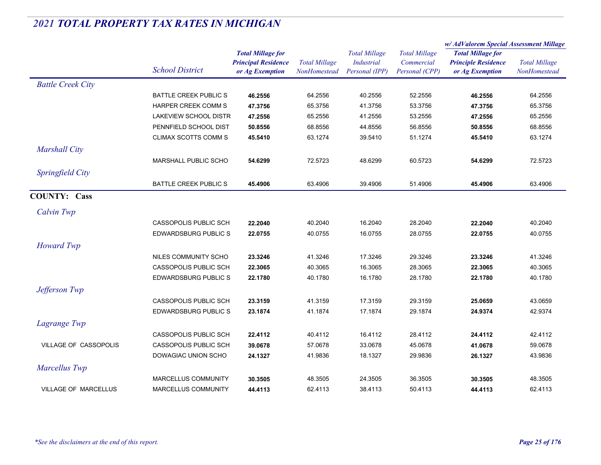|                             |                              |                                                                           |                                      |                                                             |                                                      | w/AdValorem Special Assessment Millage                                    |                                      |
|-----------------------------|------------------------------|---------------------------------------------------------------------------|--------------------------------------|-------------------------------------------------------------|------------------------------------------------------|---------------------------------------------------------------------------|--------------------------------------|
|                             | <b>School District</b>       | <b>Total Millage for</b><br><b>Principal Residence</b><br>or Ag Exemption | <b>Total Millage</b><br>NonHomestead | <b>Total Millage</b><br><b>Industrial</b><br>Personal (IPP) | <b>Total Millage</b><br>Commercial<br>Personal (CPP) | <b>Total Millage for</b><br><b>Principle Residence</b><br>or Ag Exemption | <b>Total Millage</b><br>NonHomestead |
| <b>Battle Creek City</b>    |                              |                                                                           |                                      |                                                             |                                                      |                                                                           |                                      |
|                             | BATTLE CREEK PUBLIC S        | 46.2556                                                                   | 64.2556                              | 40.2556                                                     | 52.2556                                              | 46.2556                                                                   | 64.2556                              |
|                             | HARPER CREEK COMM S          | 47.3756                                                                   | 65.3756                              | 41.3756                                                     | 53.3756                                              | 47.3756                                                                   | 65.3756                              |
|                             | LAKEVIEW SCHOOL DISTR        | 47.2556                                                                   | 65.2556                              | 41.2556                                                     | 53.2556                                              | 47.2556                                                                   | 65.2556                              |
|                             | PENNFIELD SCHOOL DIST        | 50.8556                                                                   | 68.8556                              | 44.8556                                                     | 56.8556                                              | 50.8556                                                                   | 68.8556                              |
|                             | CLIMAX SCOTTS COMM S         | 45.5410                                                                   | 63.1274                              | 39.5410                                                     | 51.1274                                              | 45.5410                                                                   | 63.1274                              |
| <b>Marshall City</b>        |                              |                                                                           |                                      |                                                             |                                                      |                                                                           |                                      |
|                             | <b>MARSHALL PUBLIC SCHO</b>  | 54.6299                                                                   | 72.5723                              | 48.6299                                                     | 60.5723                                              | 54.6299                                                                   | 72.5723                              |
| Springfield City            |                              |                                                                           |                                      |                                                             |                                                      |                                                                           |                                      |
|                             | <b>BATTLE CREEK PUBLIC S</b> | 45.4906                                                                   | 63.4906                              | 39.4906                                                     | 51.4906                                              | 45.4906                                                                   | 63.4906                              |
| <b>COUNTY: Cass</b>         |                              |                                                                           |                                      |                                                             |                                                      |                                                                           |                                      |
| Calvin Twp                  |                              |                                                                           |                                      |                                                             |                                                      |                                                                           |                                      |
|                             | <b>CASSOPOLIS PUBLIC SCH</b> | 22.2040                                                                   | 40.2040                              | 16.2040                                                     | 28.2040                                              | 22.2040                                                                   | 40.2040                              |
|                             | <b>EDWARDSBURG PUBLIC S</b>  | 22.0755                                                                   | 40.0755                              | 16.0755                                                     | 28.0755                                              | 22.0755                                                                   | 40.0755                              |
| <b>Howard Twp</b>           |                              |                                                                           |                                      |                                                             |                                                      |                                                                           |                                      |
|                             | NILES COMMUNITY SCHO         | 23.3246                                                                   | 41.3246                              | 17.3246                                                     | 29.3246                                              | 23.3246                                                                   | 41.3246                              |
|                             | CASSOPOLIS PUBLIC SCH        | 22.3065                                                                   | 40.3065                              | 16.3065                                                     | 28.3065                                              | 22.3065                                                                   | 40.3065                              |
|                             | <b>EDWARDSBURG PUBLIC S</b>  | 22.1780                                                                   | 40.1780                              | 16.1780                                                     | 28.1780                                              | 22.1780                                                                   | 40.1780                              |
| Jefferson Twp               |                              |                                                                           |                                      |                                                             |                                                      |                                                                           |                                      |
|                             | <b>CASSOPOLIS PUBLIC SCH</b> | 23.3159                                                                   | 41.3159                              | 17.3159                                                     | 29.3159                                              | 25.0659                                                                   | 43.0659                              |
|                             | <b>EDWARDSBURG PUBLIC S</b>  | 23.1874                                                                   | 41.1874                              | 17.1874                                                     | 29.1874                                              | 24.9374                                                                   | 42.9374                              |
| Lagrange Twp                |                              |                                                                           |                                      |                                                             |                                                      |                                                                           |                                      |
|                             | <b>CASSOPOLIS PUBLIC SCH</b> | 22.4112                                                                   | 40.4112                              | 16.4112                                                     | 28.4112                                              | 24.4112                                                                   | 42.4112                              |
| VILLAGE OF CASSOPOLIS       | CASSOPOLIS PUBLIC SCH        | 39.0678                                                                   | 57.0678                              | 33.0678                                                     | 45.0678                                              | 41.0678                                                                   | 59.0678                              |
|                             | DOWAGIAC UNION SCHO          | 24.1327                                                                   | 41.9836                              | 18.1327                                                     | 29.9836                                              | 26.1327                                                                   | 43.9836                              |
| Marcellus Twp               |                              |                                                                           |                                      |                                                             |                                                      |                                                                           |                                      |
|                             | MARCELLUS COMMUNITY          | 30.3505                                                                   | 48.3505                              | 24.3505                                                     | 36.3505                                              | 30.3505                                                                   | 48.3505                              |
| <b>VILLAGE OF MARCELLUS</b> | <b>MARCELLUS COMMUNITY</b>   | 44.4113                                                                   | 62.4113                              | 38.4113                                                     | 50.4113                                              | 44.4113                                                                   | 62.4113                              |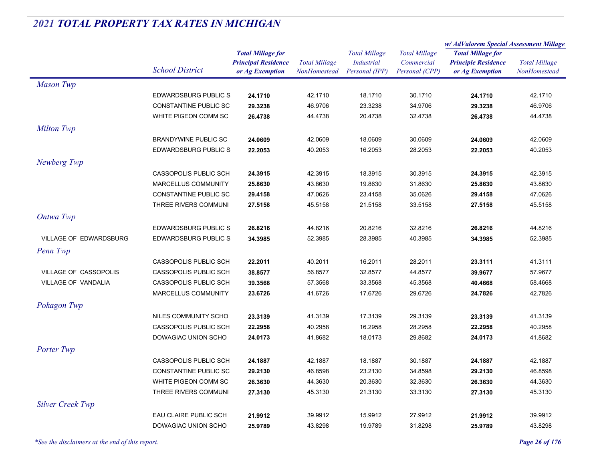|                               |                              |                                                                           |                                      |                                                             |                                                      | w/ AdValorem Special Assessment Millage                                   |                                      |
|-------------------------------|------------------------------|---------------------------------------------------------------------------|--------------------------------------|-------------------------------------------------------------|------------------------------------------------------|---------------------------------------------------------------------------|--------------------------------------|
|                               | <b>School District</b>       | <b>Total Millage for</b><br><b>Principal Residence</b><br>or Ag Exemption | <b>Total Millage</b><br>NonHomestead | <b>Total Millage</b><br><b>Industrial</b><br>Personal (IPP) | <b>Total Millage</b><br>Commercial<br>Personal (CPP) | <b>Total Millage for</b><br><b>Principle Residence</b><br>or Ag Exemption | <b>Total Millage</b><br>NonHomestead |
| <b>Mason Twp</b>              |                              |                                                                           |                                      |                                                             |                                                      |                                                                           |                                      |
|                               | <b>EDWARDSBURG PUBLIC S</b>  | 24.1710                                                                   | 42.1710                              | 18.1710                                                     | 30.1710                                              | 24.1710                                                                   | 42.1710                              |
|                               | <b>CONSTANTINE PUBLIC SC</b> | 29.3238                                                                   | 46.9706                              | 23.3238                                                     | 34.9706                                              | 29.3238                                                                   | 46.9706                              |
|                               | WHITE PIGEON COMM SC         | 26.4738                                                                   | 44.4738                              | 20.4738                                                     | 32.4738                                              | 26.4738                                                                   | 44.4738                              |
| <b>Milton Twp</b>             |                              |                                                                           |                                      |                                                             |                                                      |                                                                           |                                      |
|                               | <b>BRANDYWINE PUBLIC SC</b>  | 24.0609                                                                   | 42.0609                              | 18.0609                                                     | 30.0609                                              | 24.0609                                                                   | 42.0609                              |
|                               | <b>EDWARDSBURG PUBLIC S</b>  | 22.2053                                                                   | 40.2053                              | 16.2053                                                     | 28.2053                                              | 22.2053                                                                   | 40.2053                              |
| Newberg Twp                   |                              |                                                                           |                                      |                                                             |                                                      |                                                                           |                                      |
|                               | CASSOPOLIS PUBLIC SCH        | 24.3915                                                                   | 42.3915                              | 18.3915                                                     | 30.3915                                              | 24.3915                                                                   | 42.3915                              |
|                               | MARCELLUS COMMUNITY          | 25.8630                                                                   | 43.8630                              | 19.8630                                                     | 31.8630                                              | 25.8630                                                                   | 43.8630                              |
|                               | CONSTANTINE PUBLIC SC        | 29.4158                                                                   | 47.0626                              | 23.4158                                                     | 35.0626                                              | 29.4158                                                                   | 47.0626                              |
|                               | THREE RIVERS COMMUNI         | 27.5158                                                                   | 45.5158                              | 21.5158                                                     | 33.5158                                              | 27.5158                                                                   | 45.5158                              |
| Ontwa Twp                     |                              |                                                                           |                                      |                                                             |                                                      |                                                                           |                                      |
|                               | <b>EDWARDSBURG PUBLIC S</b>  | 26.8216                                                                   | 44.8216                              | 20.8216                                                     | 32.8216                                              | 26.8216                                                                   | 44.8216                              |
| <b>VILLAGE OF EDWARDSBURG</b> | <b>EDWARDSBURG PUBLIC S</b>  | 34.3985                                                                   | 52.3985                              | 28.3985                                                     | 40.3985                                              | 34.3985                                                                   | 52.3985                              |
| Penn Twp                      |                              |                                                                           |                                      |                                                             |                                                      |                                                                           |                                      |
|                               | CASSOPOLIS PUBLIC SCH        | 22.2011                                                                   | 40.2011                              | 16.2011                                                     | 28.2011                                              | 23.3111                                                                   | 41.3111                              |
| VILLAGE OF CASSOPOLIS         | CASSOPOLIS PUBLIC SCH        | 38.8577                                                                   | 56.8577                              | 32.8577                                                     | 44.8577                                              | 39.9677                                                                   | 57.9677                              |
| <b>VILLAGE OF VANDALIA</b>    | <b>CASSOPOLIS PUBLIC SCH</b> | 39.3568                                                                   | 57.3568                              | 33.3568                                                     | 45.3568                                              | 40.4668                                                                   | 58.4668                              |
|                               | MARCELLUS COMMUNITY          | 23.6726                                                                   | 41.6726                              | 17.6726                                                     | 29.6726                                              | 24.7826                                                                   | 42.7826                              |
| Pokagon Twp                   |                              |                                                                           |                                      |                                                             |                                                      |                                                                           |                                      |
|                               | NILES COMMUNITY SCHO         | 23.3139                                                                   | 41.3139                              | 17.3139                                                     | 29.3139                                              | 23.3139                                                                   | 41.3139                              |
|                               | CASSOPOLIS PUBLIC SCH        | 22.2958                                                                   | 40.2958                              | 16.2958                                                     | 28.2958                                              | 22.2958                                                                   | 40.2958                              |
|                               | DOWAGIAC UNION SCHO          | 24.0173                                                                   | 41.8682                              | 18.0173                                                     | 29.8682                                              | 24.0173                                                                   | 41.8682                              |
| Porter Twp                    |                              |                                                                           |                                      |                                                             |                                                      |                                                                           |                                      |
|                               | <b>CASSOPOLIS PUBLIC SCH</b> | 24.1887                                                                   | 42.1887                              | 18.1887                                                     | 30.1887                                              | 24.1887                                                                   | 42.1887                              |
|                               | <b>CONSTANTINE PUBLIC SC</b> | 29.2130                                                                   | 46.8598                              | 23.2130                                                     | 34.8598                                              | 29.2130                                                                   | 46.8598                              |
|                               | WHITE PIGEON COMM SC         | 26.3630                                                                   | 44.3630                              | 20.3630                                                     | 32.3630                                              | 26.3630                                                                   | 44.3630                              |
|                               | THREE RIVERS COMMUNI         | 27.3130                                                                   | 45.3130                              | 21.3130                                                     | 33.3130                                              | 27.3130                                                                   | 45.3130                              |
| <b>Silver Creek Twp</b>       |                              |                                                                           |                                      |                                                             |                                                      |                                                                           |                                      |
|                               | EAU CLAIRE PUBLIC SCH        | 21.9912                                                                   | 39.9912                              | 15.9912                                                     | 27.9912                                              | 21.9912                                                                   | 39.9912                              |
|                               | DOWAGIAC UNION SCHO          | 25.9789                                                                   | 43.8298                              | 19.9789                                                     | 31.8298                                              | 25.9789                                                                   | 43.8298                              |
|                               |                              |                                                                           |                                      |                                                             |                                                      |                                                                           |                                      |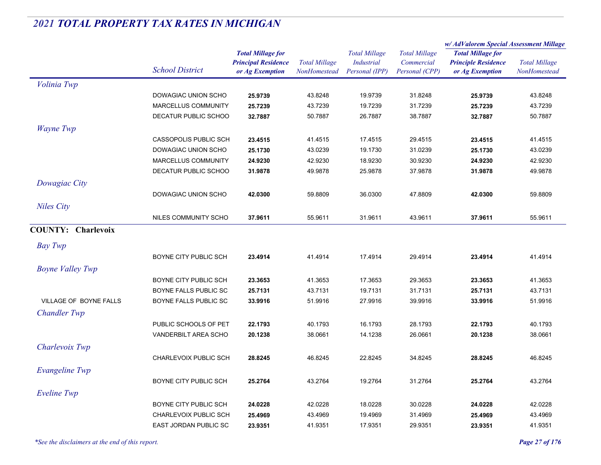|                           |                              |                                                                           |                                      |                                                             |                                                      | w/ AdValorem Special Assessment Millage                                   |                                      |
|---------------------------|------------------------------|---------------------------------------------------------------------------|--------------------------------------|-------------------------------------------------------------|------------------------------------------------------|---------------------------------------------------------------------------|--------------------------------------|
|                           | <b>School District</b>       | <b>Total Millage for</b><br><b>Principal Residence</b><br>or Ag Exemption | <b>Total Millage</b><br>NonHomestead | <b>Total Millage</b><br><b>Industrial</b><br>Personal (IPP) | <b>Total Millage</b><br>Commercial<br>Personal (CPP) | <b>Total Millage for</b><br><b>Principle Residence</b><br>or Ag Exemption | <b>Total Millage</b><br>NonHomestead |
| Volinia Twp               |                              |                                                                           |                                      |                                                             |                                                      |                                                                           |                                      |
|                           | DOWAGIAC UNION SCHO          | 25.9739                                                                   | 43.8248                              | 19.9739                                                     | 31.8248                                              | 25.9739                                                                   | 43.8248                              |
|                           | MARCELLUS COMMUNITY          | 25.7239                                                                   | 43.7239                              | 19.7239                                                     | 31.7239                                              | 25.7239                                                                   | 43.7239                              |
|                           | DECATUR PUBLIC SCHOO         | 32.7887                                                                   | 50.7887                              | 26.7887                                                     | 38.7887                                              | 32.7887                                                                   | 50.7887                              |
| Wayne Twp                 |                              |                                                                           |                                      |                                                             |                                                      |                                                                           |                                      |
|                           | <b>CASSOPOLIS PUBLIC SCH</b> | 23.4515                                                                   | 41.4515                              | 17.4515                                                     | 29.4515                                              | 23.4515                                                                   | 41.4515                              |
|                           | DOWAGIAC UNION SCHO          | 25.1730                                                                   | 43.0239                              | 19.1730                                                     | 31.0239                                              | 25.1730                                                                   | 43.0239                              |
|                           | MARCELLUS COMMUNITY          | 24.9230                                                                   | 42.9230                              | 18.9230                                                     | 30.9230                                              | 24.9230                                                                   | 42.9230                              |
|                           | DECATUR PUBLIC SCHOO         | 31.9878                                                                   | 49.9878                              | 25.9878                                                     | 37.9878                                              | 31.9878                                                                   | 49.9878                              |
| Dowagiac City             |                              |                                                                           |                                      |                                                             |                                                      |                                                                           |                                      |
|                           | DOWAGIAC UNION SCHO          | 42.0300                                                                   | 59.8809                              | 36.0300                                                     | 47.8809                                              | 42.0300                                                                   | 59.8809                              |
| <b>Niles City</b>         |                              |                                                                           |                                      |                                                             |                                                      |                                                                           |                                      |
|                           | NILES COMMUNITY SCHO         | 37.9611                                                                   | 55.9611                              | 31.9611                                                     | 43.9611                                              | 37.9611                                                                   | 55.9611                              |
| <b>COUNTY: Charlevoix</b> |                              |                                                                           |                                      |                                                             |                                                      |                                                                           |                                      |
| <b>Bay Twp</b>            |                              |                                                                           |                                      |                                                             |                                                      |                                                                           |                                      |
|                           | BOYNE CITY PUBLIC SCH        | 23.4914                                                                   | 41.4914                              | 17.4914                                                     | 29.4914                                              | 23.4914                                                                   | 41.4914                              |
| <b>Boyne Valley Twp</b>   |                              |                                                                           |                                      |                                                             |                                                      |                                                                           |                                      |
|                           | BOYNE CITY PUBLIC SCH        | 23.3653                                                                   | 41.3653                              | 17.3653                                                     | 29.3653                                              | 23.3653                                                                   | 41.3653                              |
|                           | BOYNE FALLS PUBLIC SC        | 25.7131                                                                   | 43.7131                              | 19.7131                                                     | 31.7131                                              | 25.7131                                                                   | 43.7131                              |
| VILLAGE OF BOYNE FALLS    | BOYNE FALLS PUBLIC SC        | 33.9916                                                                   | 51.9916                              | 27.9916                                                     | 39.9916                                              | 33.9916                                                                   | 51.9916                              |
| <b>Chandler Twp</b>       |                              |                                                                           |                                      |                                                             |                                                      |                                                                           |                                      |
|                           | PUBLIC SCHOOLS OF PET        | 22.1793                                                                   | 40.1793                              | 16.1793                                                     | 28.1793                                              | 22.1793                                                                   | 40.1793                              |
|                           | VANDERBILT AREA SCHO         | 20.1238                                                                   | 38.0661                              | 14.1238                                                     | 26.0661                                              | 20.1238                                                                   | 38.0661                              |
| Charlevoix Twp            |                              |                                                                           |                                      |                                                             |                                                      |                                                                           |                                      |
|                           | CHARLEVOIX PUBLIC SCH        | 28.8245                                                                   | 46.8245                              | 22.8245                                                     | 34.8245                                              | 28.8245                                                                   | 46.8245                              |
|                           |                              |                                                                           |                                      |                                                             |                                                      |                                                                           |                                      |
| Evangeline Twp            |                              |                                                                           |                                      |                                                             |                                                      |                                                                           |                                      |
|                           | BOYNE CITY PUBLIC SCH        | 25.2764                                                                   | 43.2764                              | 19.2764                                                     | 31.2764                                              | 25.2764                                                                   | 43.2764                              |
| <b>Eveline Twp</b>        |                              |                                                                           |                                      |                                                             |                                                      |                                                                           |                                      |
|                           | BOYNE CITY PUBLIC SCH        | 24.0228                                                                   | 42.0228                              | 18.0228                                                     | 30.0228                                              | 24.0228                                                                   | 42.0228                              |
|                           | CHARLEVOIX PUBLIC SCH        | 25.4969                                                                   | 43.4969                              | 19.4969                                                     | 31.4969                                              | 25.4969                                                                   | 43.4969                              |
|                           | EAST JORDAN PUBLIC SC        | 23.9351                                                                   | 41.9351                              | 17.9351                                                     | 29.9351                                              | 23.9351                                                                   | 41.9351                              |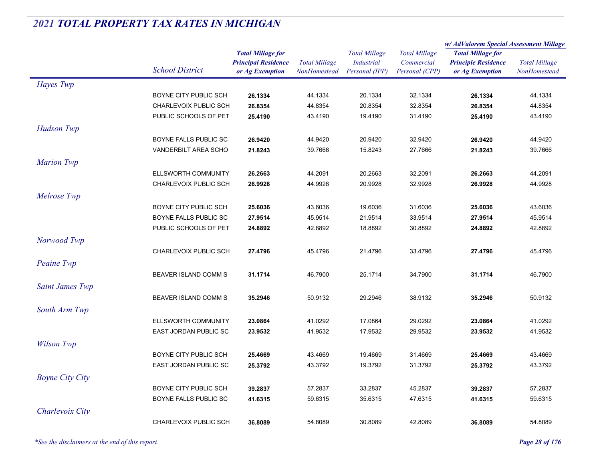|                        |                            |                            |                      | <b>Total Millage</b> |                      | w/ AdValorem Special Assessment Millage |                      |
|------------------------|----------------------------|----------------------------|----------------------|----------------------|----------------------|-----------------------------------------|----------------------|
|                        |                            | <b>Total Millage for</b>   |                      |                      | <b>Total Millage</b> | <b>Total Millage for</b>                |                      |
|                        | <b>School District</b>     | <b>Principal Residence</b> | <b>Total Millage</b> | <b>Industrial</b>    | Commercial           | <b>Principle Residence</b>              | <b>Total Millage</b> |
|                        |                            | or Ag Exemption            | NonHomestead         | Personal (IPP)       | Personal (CPP)       | or Ag Exemption                         | NonHomestead         |
| Hayes Twp              |                            |                            |                      |                      |                      |                                         |                      |
|                        | BOYNE CITY PUBLIC SCH      | 26.1334                    | 44.1334              | 20.1334              | 32.1334              | 26.1334                                 | 44.1334              |
|                        | CHARLEVOIX PUBLIC SCH      | 26.8354                    | 44.8354              | 20.8354              | 32.8354              | 26.8354                                 | 44.8354              |
|                        | PUBLIC SCHOOLS OF PET      | 25.4190                    | 43.4190              | 19.4190              | 31.4190              | 25.4190                                 | 43.4190              |
| <b>Hudson Twp</b>      |                            |                            |                      |                      |                      |                                         |                      |
|                        | BOYNE FALLS PUBLIC SC      | 26.9420                    | 44.9420              | 20.9420              | 32.9420              | 26.9420                                 | 44.9420              |
|                        | VANDERBILT AREA SCHO       | 21.8243                    | 39.7666              | 15.8243              | 27.7666              | 21.8243                                 | 39.7666              |
| <b>Marion Twp</b>      |                            |                            |                      |                      |                      |                                         |                      |
|                        | ELLSWORTH COMMUNITY        | 26.2663                    | 44.2091              | 20.2663              | 32.2091              | 26.2663                                 | 44.2091              |
|                        | CHARLEVOIX PUBLIC SCH      | 26.9928                    | 44.9928              | 20.9928              | 32.9928              | 26.9928                                 | 44.9928              |
| Melrose Twp            |                            |                            |                      |                      |                      |                                         |                      |
|                        | BOYNE CITY PUBLIC SCH      | 25.6036                    | 43.6036              | 19.6036              | 31.6036              | 25.6036                                 | 43.6036              |
|                        | BOYNE FALLS PUBLIC SC      | 27.9514                    | 45.9514              | 21.9514              | 33.9514              | 27.9514                                 | 45.9514              |
|                        | PUBLIC SCHOOLS OF PET      | 24.8892                    | 42.8892              | 18.8892              | 30.8892              | 24.8892                                 | 42.8892              |
| Norwood Twp            |                            |                            |                      |                      |                      |                                         |                      |
|                        | CHARLEVOIX PUBLIC SCH      | 27.4796                    | 45.4796              | 21.4796              | 33.4796              | 27.4796                                 | 45.4796              |
| Peaine Twp             |                            |                            |                      |                      |                      |                                         |                      |
|                        | BEAVER ISLAND COMM S       | 31.1714                    | 46.7900              | 25.1714              | 34.7900              | 31.1714                                 | 46.7900              |
|                        |                            |                            |                      |                      |                      |                                         |                      |
| <b>Saint James Twp</b> |                            |                            |                      |                      |                      |                                         |                      |
|                        | BEAVER ISLAND COMM S       | 35.2946                    | 50.9132              | 29.2946              | 38.9132              | 35.2946                                 | 50.9132              |
| South Arm Twp          |                            |                            |                      |                      |                      |                                         |                      |
|                        | <b>ELLSWORTH COMMUNITY</b> | 23.0864                    | 41.0292              | 17.0864              | 29.0292              | 23.0864                                 | 41.0292              |
|                        | EAST JORDAN PUBLIC SC      | 23.9532                    | 41.9532              | 17.9532              | 29.9532              | 23.9532                                 | 41.9532              |
| <b>Wilson Twp</b>      |                            |                            |                      |                      |                      |                                         |                      |
|                        | BOYNE CITY PUBLIC SCH      | 25.4669                    | 43.4669              | 19.4669              | 31.4669              | 25.4669                                 | 43.4669              |
|                        | EAST JORDAN PUBLIC SC      | 25.3792                    | 43.3792              | 19.3792              | 31.3792              | 25.3792                                 | 43.3792              |
| <b>Boyne City City</b> |                            |                            |                      |                      |                      |                                         |                      |
|                        | BOYNE CITY PUBLIC SCH      | 39.2837                    | 57.2837              | 33.2837              | 45.2837              | 39.2837                                 | 57.2837              |
|                        | BOYNE FALLS PUBLIC SC      | 41.6315                    | 59.6315              | 35.6315              | 47.6315              | 41.6315                                 | 59.6315              |
| Charlevoix City        |                            |                            |                      |                      |                      |                                         |                      |
|                        | CHARLEVOIX PUBLIC SCH      | 36.8089                    | 54.8089              | 30.8089              | 42.8089              | 36.8089                                 | 54.8089              |
|                        |                            |                            |                      |                      |                      |                                         |                      |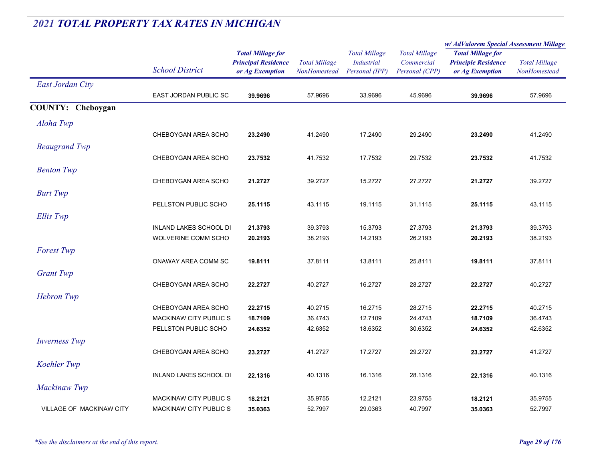|                                 |                               |                            | <b>Total Millage</b><br><b>NonHomestead</b> | <b>Total Millage</b><br><b>Industrial</b> | <b>Total Millage</b><br>Commercial | w/AdValorem Special Assessment Millage                                    |                      |
|---------------------------------|-------------------------------|----------------------------|---------------------------------------------|-------------------------------------------|------------------------------------|---------------------------------------------------------------------------|----------------------|
|                                 |                               | <b>Total Millage for</b>   |                                             |                                           |                                    | <b>Total Millage for</b><br><b>Principle Residence</b><br>or Ag Exemption | <b>Total Millage</b> |
|                                 |                               | <b>Principal Residence</b> |                                             |                                           |                                    |                                                                           |                      |
|                                 | <b>School District</b>        | or Ag Exemption            |                                             | Personal (IPP)                            | Personal (CPP)                     |                                                                           | NonHomestead         |
| <b>East Jordan City</b>         |                               |                            |                                             |                                           |                                    |                                                                           |                      |
|                                 | EAST JORDAN PUBLIC SC         | 39.9696                    | 57.9696                                     | 33.9696                                   | 45.9696                            | 39.9696                                                                   | 57.9696              |
| <b>COUNTY: Cheboygan</b>        |                               |                            |                                             |                                           |                                    |                                                                           |                      |
| Aloha Twp                       |                               |                            |                                             |                                           |                                    |                                                                           |                      |
|                                 | CHEBOYGAN AREA SCHO           | 23.2490                    | 41.2490                                     | 17.2490                                   | 29.2490                            | 23.2490                                                                   | 41.2490              |
|                                 |                               |                            |                                             |                                           |                                    |                                                                           |                      |
| <b>Beaugrand Twp</b>            |                               |                            |                                             |                                           |                                    |                                                                           |                      |
|                                 | CHEBOYGAN AREA SCHO           | 23.7532                    | 41.7532                                     | 17.7532                                   | 29.7532                            | 23.7532                                                                   | 41.7532              |
| <b>Benton Twp</b>               |                               |                            |                                             |                                           |                                    |                                                                           |                      |
|                                 | CHEBOYGAN AREA SCHO           | 21.2727                    | 39.2727                                     | 15.2727                                   | 27.2727                            | 21.2727                                                                   | 39.2727              |
| <b>Burt Twp</b>                 |                               |                            |                                             |                                           |                                    |                                                                           |                      |
|                                 | PELLSTON PUBLIC SCHO          | 25.1115                    | 43.1115                                     | 19.1115                                   | 31.1115                            | 25.1115                                                                   | 43.1115              |
| Ellis Twp                       |                               |                            |                                             |                                           |                                    |                                                                           |                      |
|                                 | <b>INLAND LAKES SCHOOL DI</b> | 21.3793                    | 39.3793                                     | 15.3793                                   | 27.3793                            | 21.3793                                                                   | 39.3793              |
|                                 | WOLVERINE COMM SCHO           | 20.2193                    | 38.2193                                     | 14.2193                                   | 26.2193                            | 20.2193                                                                   | 38.2193              |
| <b>Forest Twp</b>               |                               |                            |                                             |                                           |                                    |                                                                           |                      |
|                                 | ONAWAY AREA COMM SC           | 19.8111                    | 37.8111                                     | 13.8111                                   | 25.8111                            | 19.8111                                                                   | 37.8111              |
| <b>Grant Twp</b>                |                               |                            |                                             |                                           |                                    |                                                                           |                      |
|                                 | CHEBOYGAN AREA SCHO           | 22.2727                    | 40.2727                                     | 16.2727                                   | 28.2727                            | 22.2727                                                                   | 40.2727              |
| <b>Hebron</b> Twp               |                               |                            |                                             |                                           |                                    |                                                                           |                      |
|                                 | CHEBOYGAN AREA SCHO           | 22.2715                    | 40.2715                                     | 16.2715                                   | 28.2715                            | 22.2715                                                                   | 40.2715              |
|                                 | MACKINAW CITY PUBLIC S        | 18.7109                    | 36.4743                                     | 12.7109                                   | 24.4743                            | 18.7109                                                                   | 36.4743              |
|                                 | PELLSTON PUBLIC SCHO          | 24.6352                    | 42.6352                                     | 18.6352                                   | 30.6352                            | 24.6352                                                                   | 42.6352              |
| <b>Inverness Twp</b>            |                               |                            |                                             |                                           |                                    |                                                                           |                      |
|                                 | CHEBOYGAN AREA SCHO           | 23.2727                    | 41.2727                                     | 17.2727                                   | 29.2727                            | 23.2727                                                                   | 41.2727              |
|                                 |                               |                            |                                             |                                           |                                    |                                                                           |                      |
| Koehler Twp                     |                               |                            |                                             |                                           |                                    |                                                                           |                      |
|                                 | INLAND LAKES SCHOOL DI        | 22.1316                    | 40.1316                                     | 16.1316                                   | 28.1316                            | 22.1316                                                                   | 40.1316              |
| Mackinaw Twp                    |                               |                            |                                             |                                           |                                    |                                                                           |                      |
|                                 | <b>MACKINAW CITY PUBLIC S</b> | 18.2121                    | 35.9755                                     | 12.2121                                   | 23.9755                            | 18.2121                                                                   | 35.9755              |
| <b>VILLAGE OF MACKINAW CITY</b> | <b>MACKINAW CITY PUBLIC S</b> | 35.0363                    | 52.7997                                     | 29.0363                                   | 40.7997                            | 35.0363                                                                   | 52.7997              |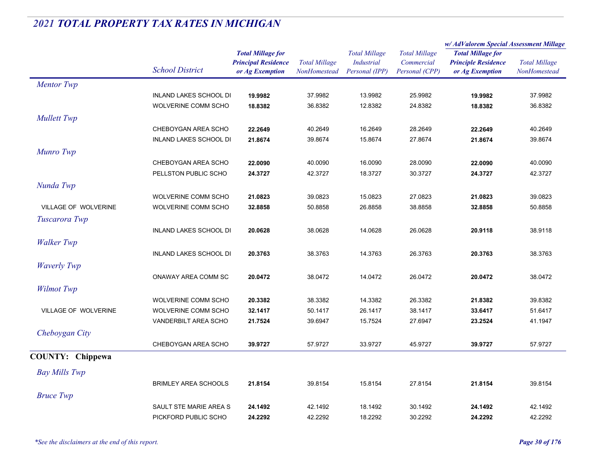|                             |                               |                            |                      |                                     |                              | w/AdValorem Special Assessment Millage |                                      |
|-----------------------------|-------------------------------|----------------------------|----------------------|-------------------------------------|------------------------------|----------------------------------------|--------------------------------------|
|                             |                               | <b>Total Millage for</b>   |                      | <b>Total Millage</b>                | <b>Total Millage</b>         | <b>Total Millage for</b>               | <b>Total Millage</b><br>NonHomestead |
|                             | <b>School District</b>        | <b>Principal Residence</b> | <b>Total Millage</b> | <b>Industrial</b><br>Personal (IPP) | Commercial<br>Personal (CPP) | <b>Principle Residence</b>             |                                      |
|                             |                               | or Ag Exemption            | NonHomestead         |                                     |                              | or Ag Exemption                        |                                      |
| <b>Mentor</b> Twp           |                               |                            |                      |                                     |                              |                                        |                                      |
|                             | <b>INLAND LAKES SCHOOL DI</b> | 19.9982                    | 37.9982              | 13.9982                             | 25.9982                      | 19.9982                                | 37.9982                              |
|                             | WOLVERINE COMM SCHO           | 18.8382                    | 36.8382              | 12.8382                             | 24.8382                      | 18.8382                                | 36.8382                              |
| <b>Mullett Twp</b>          |                               |                            |                      |                                     |                              |                                        |                                      |
|                             | CHEBOYGAN AREA SCHO           | 22.2649                    | 40.2649              | 16.2649                             | 28.2649                      | 22.2649                                | 40.2649                              |
|                             | INLAND LAKES SCHOOL DI        | 21.8674                    | 39.8674              | 15.8674                             | 27.8674                      | 21.8674                                | 39.8674                              |
| Munro Twp                   |                               |                            |                      |                                     |                              |                                        |                                      |
|                             | CHEBOYGAN AREA SCHO           | 22.0090                    | 40.0090              | 16.0090                             | 28.0090                      | 22.0090                                | 40.0090                              |
|                             | PELLSTON PUBLIC SCHO          | 24.3727                    | 42.3727              | 18.3727                             | 30.3727                      | 24.3727                                | 42.3727                              |
| Nunda Twp                   |                               |                            |                      |                                     |                              |                                        |                                      |
|                             | WOLVERINE COMM SCHO           | 21.0823                    | 39.0823              | 15.0823                             | 27.0823                      | 21.0823                                | 39.0823                              |
| <b>VILLAGE OF WOLVERINE</b> | WOLVERINE COMM SCHO           | 32.8858                    | 50.8858              | 26.8858                             | 38.8858                      | 32.8858                                | 50.8858                              |
| Tuscarora Twp               |                               |                            |                      |                                     |                              |                                        |                                      |
|                             | <b>INLAND LAKES SCHOOL DI</b> | 20.0628                    | 38.0628              | 14.0628                             | 26.0628                      | 20.9118                                | 38.9118                              |
| <b>Walker Twp</b>           |                               |                            |                      |                                     |                              |                                        |                                      |
|                             | <b>INLAND LAKES SCHOOL DI</b> | 20.3763                    | 38.3763              | 14.3763                             | 26.3763                      | 20.3763                                | 38.3763                              |
| <b>Waverly Twp</b>          |                               |                            |                      |                                     |                              |                                        |                                      |
|                             | ONAWAY AREA COMM SC           | 20.0472                    | 38.0472              | 14.0472                             | 26.0472                      | 20.0472                                | 38.0472                              |
|                             |                               |                            |                      |                                     |                              |                                        |                                      |
| <b>Wilmot Twp</b>           |                               |                            |                      |                                     |                              |                                        |                                      |
|                             | WOLVERINE COMM SCHO           | 20.3382                    | 38.3382              | 14.3382                             | 26.3382                      | 21.8382                                | 39.8382                              |
| VILLAGE OF WOLVERINE        | WOLVERINE COMM SCHO           | 32.1417                    | 50.1417              | 26.1417                             | 38.1417                      | 33.6417                                | 51.6417                              |
|                             | VANDERBILT AREA SCHO          | 21.7524                    | 39.6947              | 15.7524                             | 27.6947                      | 23.2524                                | 41.1947                              |
| Cheboygan City              |                               |                            |                      |                                     |                              |                                        |                                      |
|                             | CHEBOYGAN AREA SCHO           | 39.9727                    | 57.9727              | 33.9727                             | 45.9727                      | 39.9727                                | 57.9727                              |
| <b>COUNTY: Chippewa</b>     |                               |                            |                      |                                     |                              |                                        |                                      |
| <b>Bay Mills Twp</b>        |                               |                            |                      |                                     |                              |                                        |                                      |
|                             | <b>BRIMLEY AREA SCHOOLS</b>   | 21.8154                    | 39.8154              | 15.8154                             | 27.8154                      | 21.8154                                | 39.8154                              |
| <b>Bruce Twp</b>            |                               |                            |                      |                                     |                              |                                        |                                      |
|                             | SAULT STE MARIE AREA S        | 24.1492                    | 42.1492              | 18.1492                             | 30.1492                      | 24.1492                                | 42.1492                              |
|                             | PICKFORD PUBLIC SCHO          | 24.2292                    | 42.2292              | 18.2292                             | 30.2292                      | 24.2292                                | 42.2292                              |
|                             |                               |                            |                      |                                     |                              |                                        |                                      |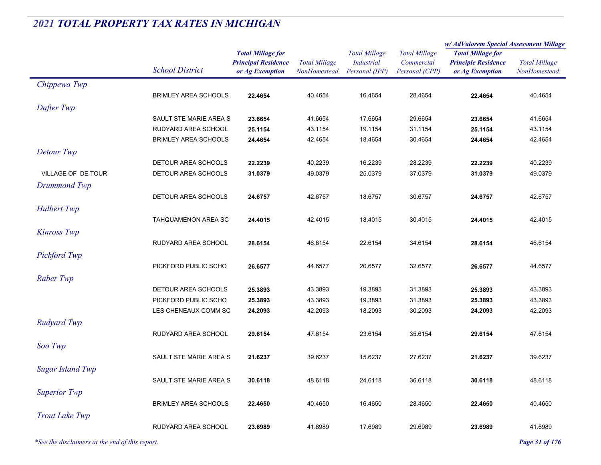|                         |                             |                            |                      |                      |                      | w/AdValorem Special Assessment Millage |                      |
|-------------------------|-----------------------------|----------------------------|----------------------|----------------------|----------------------|----------------------------------------|----------------------|
|                         |                             | <b>Total Millage for</b>   |                      | <b>Total Millage</b> | <b>Total Millage</b> | <b>Total Millage for</b>               |                      |
|                         |                             | <b>Principal Residence</b> | <b>Total Millage</b> | Industrial           | Commercial           | <b>Principle Residence</b>             | <b>Total Millage</b> |
|                         | <b>School District</b>      | or Ag Exemption            | NonHomestead         | Personal (IPP)       | Personal (CPP)       | or Ag Exemption                        | NonHomestead         |
| Chippewa Twp            |                             |                            |                      |                      |                      |                                        |                      |
|                         | <b>BRIMLEY AREA SCHOOLS</b> | 22.4654                    | 40.4654              | 16.4654              | 28.4654              | 22.4654                                | 40.4654              |
| Dafter Twp              |                             |                            |                      |                      |                      |                                        |                      |
|                         | SAULT STE MARIE AREA S      | 23.6654                    | 41.6654              | 17.6654              | 29.6654              | 23.6654                                | 41.6654              |
|                         | RUDYARD AREA SCHOOL         | 25.1154                    | 43.1154              | 19.1154              | 31.1154              | 25.1154                                | 43.1154              |
|                         | <b>BRIMLEY AREA SCHOOLS</b> | 24.4654                    | 42.4654              | 18.4654              | 30.4654              | 24.4654                                | 42.4654              |
| Detour Twp              |                             |                            |                      |                      |                      |                                        |                      |
|                         | DETOUR AREA SCHOOLS         | 22.2239                    | 40.2239              | 16.2239              | 28.2239              | 22.2239                                | 40.2239              |
| VILLAGE OF DE TOUR      | DETOUR AREA SCHOOLS         | 31.0379                    | 49.0379              | 25.0379              | 37.0379              | 31.0379                                | 49.0379              |
| Drummond Twp            |                             |                            |                      |                      |                      |                                        |                      |
|                         | DETOUR AREA SCHOOLS         | 24.6757                    | 42.6757              | 18.6757              | 30.6757              | 24.6757                                | 42.6757              |
| <b>Hulbert Twp</b>      |                             |                            |                      |                      |                      |                                        |                      |
|                         | TAHQUAMENON AREA SC         |                            | 42.4015              | 18.4015              | 30.4015              |                                        | 42.4015              |
|                         |                             | 24.4015                    |                      |                      |                      | 24.4015                                |                      |
| <b>Kinross Twp</b>      |                             |                            |                      |                      |                      |                                        |                      |
|                         | RUDYARD AREA SCHOOL         | 28.6154                    | 46.6154              | 22.6154              | 34.6154              | 28.6154                                | 46.6154              |
| Pickford Twp            |                             |                            |                      |                      |                      |                                        |                      |
|                         | PICKFORD PUBLIC SCHO        | 26.6577                    | 44.6577              | 20.6577              | 32.6577              | 26.6577                                | 44.6577              |
| Raber Twp               |                             |                            |                      |                      |                      |                                        |                      |
|                         | DETOUR AREA SCHOOLS         | 25.3893                    | 43.3893              | 19.3893              | 31.3893              | 25.3893                                | 43.3893              |
|                         | PICKFORD PUBLIC SCHO        | 25.3893                    | 43.3893              | 19.3893              | 31.3893              | 25.3893                                | 43.3893              |
|                         | LES CHENEAUX COMM SC        | 24.2093                    | 42.2093              | 18.2093              | 30.2093              | 24.2093                                | 42.2093              |
| Rudyard Twp             |                             |                            |                      |                      |                      |                                        |                      |
|                         | RUDYARD AREA SCHOOL         | 29.6154                    | 47.6154              | 23.6154              | 35.6154              | 29.6154                                | 47.6154              |
| Soo Twp                 |                             |                            |                      |                      |                      |                                        |                      |
|                         | SAULT STE MARIE AREA S      | 21.6237                    | 39.6237              | 15.6237              | 27.6237              | 21.6237                                | 39.6237              |
| <b>Sugar Island Twp</b> |                             |                            |                      |                      |                      |                                        |                      |
|                         | SAULT STE MARIE AREA S      | 30.6118                    | 48.6118              | 24.6118              | 36.6118              | 30.6118                                | 48.6118              |
| <b>Superior Twp</b>     |                             |                            |                      |                      |                      |                                        |                      |
|                         |                             |                            |                      |                      | 28.4650              |                                        |                      |
|                         | <b>BRIMLEY AREA SCHOOLS</b> | 22.4650                    | 40.4650              | 16.4650              |                      | 22.4650                                | 40.4650              |
| <b>Trout Lake Twp</b>   |                             |                            |                      |                      |                      |                                        |                      |
|                         | RUDYARD AREA SCHOOL         | 23.6989                    | 41.6989              | 17.6989              | 29.6989              | 23.6989                                | 41.6989              |

*\*See the disclaimers at the end of this report. Page 31 of 176*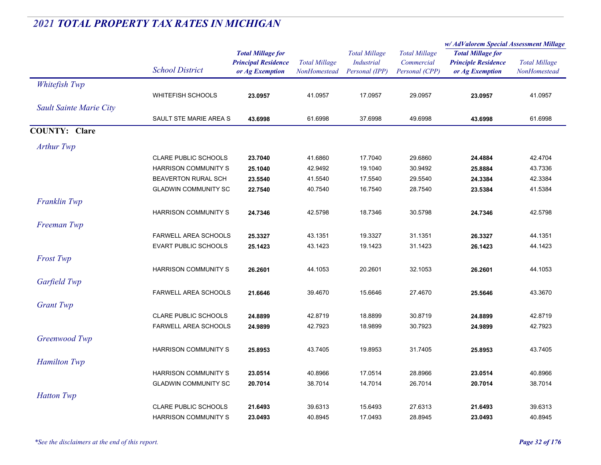|                         |                             |                            |                      | <b>Total Millage</b><br><b>Industrial</b> | <b>Total Millage</b> | w/AdValorem Special Assessment Millage |                      |
|-------------------------|-----------------------------|----------------------------|----------------------|-------------------------------------------|----------------------|----------------------------------------|----------------------|
|                         |                             | <b>Total Millage for</b>   |                      |                                           |                      | <b>Total Millage for</b>               | <b>Total Millage</b> |
|                         |                             | <b>Principal Residence</b> | <b>Total Millage</b> |                                           | Commercial           | <b>Principle Residence</b>             |                      |
|                         | <b>School District</b>      | or Ag Exemption            | NonHomestead         | Personal (IPP)                            | Personal (CPP)       | or Ag Exemption                        | NonHomestead         |
| Whitefish Twp           |                             |                            |                      |                                           |                      |                                        |                      |
|                         | <b>WHITEFISH SCHOOLS</b>    | 23.0957                    | 41.0957              | 17.0957                                   | 29.0957              | 23.0957                                | 41.0957              |
| Sault Sainte Marie City |                             |                            |                      |                                           |                      |                                        |                      |
|                         | SAULT STE MARIE AREA S      | 43.6998                    | 61.6998              | 37.6998                                   | 49.6998              | 43.6998                                | 61.6998              |
| <b>COUNTY: Clare</b>    |                             |                            |                      |                                           |                      |                                        |                      |
| <b>Arthur Twp</b>       |                             |                            |                      |                                           |                      |                                        |                      |
|                         | <b>CLARE PUBLIC SCHOOLS</b> | 23.7040                    | 41.6860              | 17.7040                                   | 29.6860              | 24.4884                                | 42.4704              |
|                         | HARRISON COMMUNITY S        | 25.1040                    | 42.9492              | 19.1040                                   | 30.9492              | 25.8884                                | 43.7336              |
|                         | <b>BEAVERTON RURAL SCH</b>  | 23.5540                    | 41.5540              | 17.5540                                   | 29.5540              | 24.3384                                | 42.3384              |
|                         | <b>GLADWIN COMMUNITY SC</b> | 22.7540                    | 40.7540              | 16.7540                                   | 28.7540              | 23.5384                                | 41.5384              |
| <b>Franklin Twp</b>     |                             |                            |                      |                                           |                      |                                        |                      |
|                         | <b>HARRISON COMMUNITY S</b> | 24.7346                    | 42.5798              | 18.7346                                   | 30.5798              | 24.7346                                | 42.5798              |
| Freeman Twp             |                             |                            |                      |                                           |                      |                                        |                      |
|                         | FARWELL AREA SCHOOLS        | 25.3327                    | 43.1351              | 19.3327                                   | 31.1351              | 26.3327                                | 44.1351              |
|                         | <b>EVART PUBLIC SCHOOLS</b> | 25.1423                    | 43.1423              | 19.1423                                   | 31.1423              | 26.1423                                | 44.1423              |
| <b>Frost Twp</b>        |                             |                            |                      |                                           |                      |                                        |                      |
|                         | <b>HARRISON COMMUNITY S</b> | 26.2601                    | 44.1053              | 20.2601                                   | 32.1053              | 26.2601                                | 44.1053              |
| Garfield Twp            |                             |                            |                      |                                           |                      |                                        |                      |
|                         | <b>FARWELL AREA SCHOOLS</b> | 21.6646                    | 39.4670              | 15.6646                                   | 27.4670              | 25.5646                                | 43.3670              |
|                         |                             |                            |                      |                                           |                      |                                        |                      |
| <b>Grant Twp</b>        |                             |                            |                      |                                           |                      |                                        |                      |
|                         | <b>CLARE PUBLIC SCHOOLS</b> | 24.8899                    | 42.8719              | 18.8899                                   | 30.8719              | 24.8899                                | 42.8719              |
|                         | <b>FARWELL AREA SCHOOLS</b> | 24.9899                    | 42.7923              | 18.9899                                   | 30.7923              | 24.9899                                | 42.7923              |
| Greenwood Twp           |                             |                            |                      |                                           |                      |                                        |                      |
|                         | <b>HARRISON COMMUNITY S</b> | 25.8953                    | 43.7405              | 19.8953                                   | 31.7405              | 25.8953                                | 43.7405              |
| <b>Hamilton Twp</b>     |                             |                            |                      |                                           |                      |                                        |                      |
|                         | <b>HARRISON COMMUNITY S</b> | 23.0514                    | 40.8966              | 17.0514                                   | 28.8966              | 23.0514                                | 40.8966              |
|                         | <b>GLADWIN COMMUNITY SC</b> | 20.7014                    | 38.7014              | 14.7014                                   | 26.7014              | 20.7014                                | 38.7014              |
| <b>Hatton Twp</b>       |                             |                            |                      |                                           |                      |                                        |                      |
|                         | <b>CLARE PUBLIC SCHOOLS</b> | 21.6493                    | 39.6313              | 15.6493                                   | 27.6313              | 21.6493                                | 39.6313              |
|                         | <b>HARRISON COMMUNITY S</b> | 23.0493                    | 40.8945              | 17.0493                                   | 28.8945              | 23.0493                                | 40.8945              |
|                         |                             |                            |                      |                                           |                      |                                        |                      |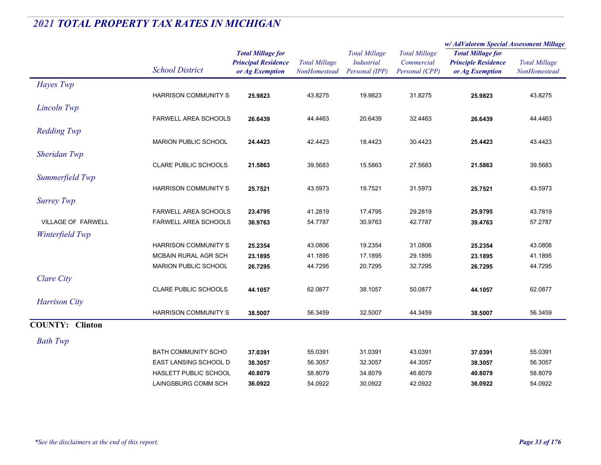|                           |                             |                                                        |                      | <b>Total Millage</b><br>Industrial<br>Personal (IPP) | <b>Total Millage</b><br>Commercial<br>Personal (CPP) | w/AdValorem Special Assessment Millage                 |                      |
|---------------------------|-----------------------------|--------------------------------------------------------|----------------------|------------------------------------------------------|------------------------------------------------------|--------------------------------------------------------|----------------------|
|                           | <b>School District</b>      | <b>Total Millage for</b><br><b>Principal Residence</b> | <b>Total Millage</b> |                                                      |                                                      | <b>Total Millage for</b><br><b>Principle Residence</b> | <b>Total Millage</b> |
|                           |                             | or Ag Exemption                                        | NonHomestead         |                                                      |                                                      | or Ag Exemption                                        | NonHomestead         |
| Hayes Twp                 |                             |                                                        |                      |                                                      |                                                      |                                                        |                      |
|                           | <b>HARRISON COMMUNITY S</b> | 25.9823                                                | 43.8275              | 19.9823                                              | 31.8275                                              | 25.9823                                                | 43.8275              |
| Lincoln Twp               |                             |                                                        |                      |                                                      |                                                      |                                                        |                      |
|                           | <b>FARWELL AREA SCHOOLS</b> | 26.6439                                                | 44.4463              | 20.6439                                              | 32.4463                                              | 26.6439                                                | 44.4463              |
| <b>Redding Twp</b>        |                             |                                                        |                      |                                                      |                                                      |                                                        |                      |
|                           | <b>MARION PUBLIC SCHOOL</b> | 24.4423                                                | 42.4423              | 18.4423                                              | 30.4423                                              | 25.4423                                                | 43.4423              |
| Sheridan Twp              |                             |                                                        |                      |                                                      |                                                      |                                                        |                      |
|                           | <b>CLARE PUBLIC SCHOOLS</b> | 21.5863                                                | 39.5683              | 15.5863                                              | 27.5683                                              | 21.5863                                                | 39.5683              |
|                           |                             |                                                        |                      |                                                      |                                                      |                                                        |                      |
| Summerfield Twp           |                             |                                                        |                      |                                                      |                                                      |                                                        |                      |
|                           | <b>HARRISON COMMUNITY S</b> | 25.7521                                                | 43.5973              | 19.7521                                              | 31.5973                                              | 25.7521                                                | 43.5973              |
| <b>Surrey Twp</b>         |                             |                                                        |                      |                                                      |                                                      |                                                        |                      |
|                           | <b>FARWELL AREA SCHOOLS</b> | 23.4795                                                | 41.2819              | 17.4795                                              | 29.2819                                              | 25.9795                                                | 43.7819              |
| <b>VILLAGE OF FARWELL</b> | <b>FARWELL AREA SCHOOLS</b> | 36.9763                                                | 54.7787              | 30.9763                                              | 42.7787                                              | 39.4763                                                | 57.2787              |
| Winterfield Twp           |                             |                                                        |                      |                                                      |                                                      |                                                        |                      |
|                           | <b>HARRISON COMMUNITY S</b> | 25.2354                                                | 43.0806              | 19.2354                                              | 31.0806                                              | 25.2354                                                | 43.0806              |
|                           | MCBAIN RURAL AGR SCH        | 23.1895                                                | 41.1895              | 17.1895                                              | 29.1895                                              | 23.1895                                                | 41.1895              |
|                           | <b>MARION PUBLIC SCHOOL</b> | 26.7295                                                | 44.7295              | 20.7295                                              | 32.7295                                              | 26.7295                                                | 44.7295              |
| Clare City                |                             |                                                        |                      |                                                      |                                                      |                                                        |                      |
|                           | <b>CLARE PUBLIC SCHOOLS</b> | 44.1057                                                | 62.0877              | 38.1057                                              | 50.0877                                              | 44.1057                                                | 62.0877              |
| <b>Harrison City</b>      |                             |                                                        |                      |                                                      |                                                      |                                                        |                      |
|                           | <b>HARRISON COMMUNITY S</b> | 38.5007                                                | 56.3459              | 32.5007                                              | 44.3459                                              | 38.5007                                                | 56.3459              |
| <b>COUNTY: Clinton</b>    |                             |                                                        |                      |                                                      |                                                      |                                                        |                      |
|                           |                             |                                                        |                      |                                                      |                                                      |                                                        |                      |
| <b>Bath Twp</b>           |                             |                                                        |                      |                                                      |                                                      |                                                        |                      |
|                           | <b>BATH COMMUNITY SCHO</b>  | 37.0391                                                | 55.0391              | 31.0391                                              | 43.0391                                              | 37.0391                                                | 55.0391              |
|                           | EAST LANSING SCHOOL D       | 38.3057                                                | 56.3057              | 32.3057                                              | 44.3057                                              | 38.3057                                                | 56.3057              |
|                           | HASLETT PUBLIC SCHOOL       | 40.8079                                                | 58.8079              | 34.8079                                              | 46.8079                                              | 40.8079                                                | 58.8079              |
|                           | LAINGSBURG COMM SCH         | 36.0922                                                | 54.0922              | 30.0922                                              | 42.0922                                              | 36.0922                                                | 54.0922              |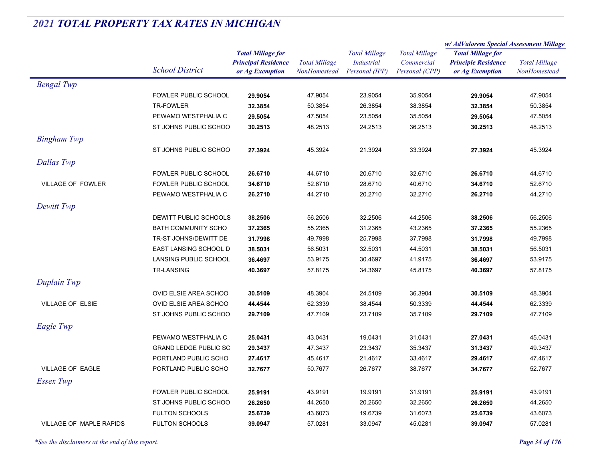|                                |                              |                                                        |                      |                                           |                                    | w/ AdValorem Special Assessment Millage                |                                      |
|--------------------------------|------------------------------|--------------------------------------------------------|----------------------|-------------------------------------------|------------------------------------|--------------------------------------------------------|--------------------------------------|
|                                |                              | <b>Total Millage for</b><br><b>Principal Residence</b> | <b>Total Millage</b> | <b>Total Millage</b><br><b>Industrial</b> | <b>Total Millage</b><br>Commercial | <b>Total Millage for</b><br><b>Principle Residence</b> | <b>Total Millage</b><br>NonHomestead |
|                                | <b>School District</b>       | or Ag Exemption                                        | NonHomestead         | Personal (IPP)                            | Personal (CPP)                     | or Ag Exemption                                        |                                      |
| <b>Bengal Twp</b>              |                              |                                                        |                      |                                           |                                    |                                                        |                                      |
|                                | <b>FOWLER PUBLIC SCHOOL</b>  | 29.9054                                                | 47.9054              | 23.9054                                   | 35.9054                            | 29.9054                                                | 47.9054                              |
|                                | TR-FOWLER                    | 32.3854                                                | 50.3854              | 26.3854                                   | 38.3854                            | 32.3854                                                | 50.3854                              |
|                                | PEWAMO WESTPHALIA C          | 29.5054                                                | 47.5054              | 23.5054                                   | 35.5054                            | 29.5054                                                | 47.5054                              |
|                                | ST JOHNS PUBLIC SCHOO        | 30.2513                                                | 48.2513              | 24.2513                                   | 36.2513                            | 30.2513                                                | 48.2513                              |
| <b>Bingham Twp</b>             |                              |                                                        |                      |                                           |                                    |                                                        |                                      |
|                                | ST JOHNS PUBLIC SCHOO        | 27.3924                                                | 45.3924              | 21.3924                                   | 33.3924                            | 27.3924                                                | 45.3924                              |
| Dallas Twp                     |                              |                                                        |                      |                                           |                                    |                                                        |                                      |
|                                | FOWLER PUBLIC SCHOOL         | 26.6710                                                | 44.6710              | 20.6710                                   | 32.6710                            | 26.6710                                                | 44.6710                              |
| <b>VILLAGE OF FOWLER</b>       | FOWLER PUBLIC SCHOOL         | 34.6710                                                | 52.6710              | 28.6710                                   | 40.6710                            | 34.6710                                                | 52.6710                              |
|                                | PEWAMO WESTPHALIA C          | 26.2710                                                | 44.2710              | 20.2710                                   | 32.2710                            | 26.2710                                                | 44.2710                              |
| Dewitt Twp                     |                              |                                                        |                      |                                           |                                    |                                                        |                                      |
|                                | DEWITT PUBLIC SCHOOLS        | 38.2506                                                | 56.2506              | 32.2506                                   | 44.2506                            | 38.2506                                                | 56.2506                              |
|                                | <b>BATH COMMUNITY SCHO</b>   | 37.2365                                                | 55.2365              | 31.2365                                   | 43.2365                            | 37.2365                                                | 55.2365                              |
|                                | TR-ST JOHNS/DEWITT DE        | 31.7998                                                | 49.7998              | 25.7998                                   | 37.7998                            | 31.7998                                                | 49.7998                              |
|                                | EAST LANSING SCHOOL D        | 38.5031                                                | 56.5031              | 32.5031                                   | 44.5031                            | 38.5031                                                | 56.5031                              |
|                                | LANSING PUBLIC SCHOOL        | 36.4697                                                | 53.9175              | 30.4697                                   | 41.9175                            | 36.4697                                                | 53.9175                              |
|                                | <b>TR-LANSING</b>            | 40.3697                                                | 57.8175              | 34.3697                                   | 45.8175                            | 40.3697                                                | 57.8175                              |
| Duplain Twp                    |                              |                                                        |                      |                                           |                                    |                                                        |                                      |
|                                | OVID ELSIE AREA SCHOO        | 30.5109                                                | 48.3904              | 24.5109                                   | 36.3904                            | 30.5109                                                | 48.3904                              |
| <b>VILLAGE OF ELSIE</b>        | OVID ELSIE AREA SCHOO        | 44.4544                                                | 62.3339              | 38.4544                                   | 50.3339                            | 44.4544                                                | 62.3339                              |
|                                | ST JOHNS PUBLIC SCHOO        | 29.7109                                                | 47.7109              | 23.7109                                   | 35.7109                            | 29.7109                                                | 47.7109                              |
| Eagle Twp                      |                              |                                                        |                      |                                           |                                    |                                                        |                                      |
|                                | PEWAMO WESTPHALIA C          | 25.0431                                                | 43.0431              | 19.0431                                   | 31.0431                            | 27.0431                                                | 45.0431                              |
|                                | <b>GRAND LEDGE PUBLIC SC</b> | 29.3437                                                | 47.3437              | 23.3437                                   | 35.3437                            | 31.3437                                                | 49.3437                              |
|                                | PORTLAND PUBLIC SCHO         | 27.4617                                                | 45.4617              | 21.4617                                   | 33.4617                            | 29.4617                                                | 47.4617                              |
| <b>VILLAGE OF EAGLE</b>        | PORTLAND PUBLIC SCHO         | 32.7677                                                | 50.7677              | 26.7677                                   | 38.7677                            | 34.7677                                                | 52.7677                              |
| Essex Twp                      |                              |                                                        |                      |                                           |                                    |                                                        |                                      |
|                                | FOWLER PUBLIC SCHOOL         | 25.9191                                                | 43.9191              | 19.9191                                   | 31.9191                            | 25.9191                                                | 43.9191                              |
|                                | ST JOHNS PUBLIC SCHOO        | 26.2650                                                | 44.2650              | 20.2650                                   | 32.2650                            | 26.2650                                                | 44.2650                              |
|                                | <b>FULTON SCHOOLS</b>        | 25.6739                                                | 43.6073              | 19.6739                                   | 31.6073                            | 25.6739                                                | 43.6073                              |
| <b>VILLAGE OF MAPLE RAPIDS</b> | <b>FULTON SCHOOLS</b>        | 39.0947                                                | 57.0281              | 33.0947                                   | 45.0281                            | 39.0947                                                | 57.0281                              |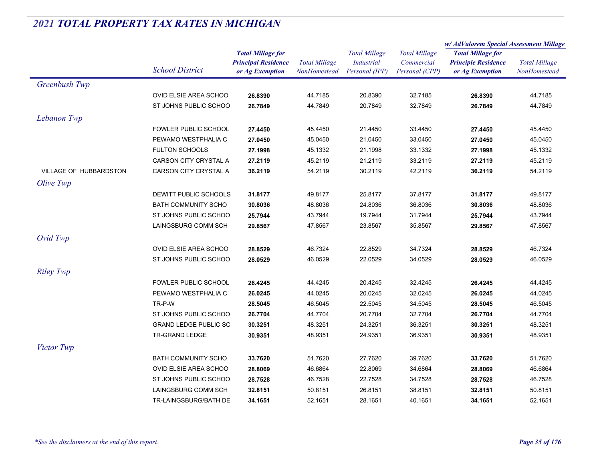|                        |                                 | <b>Total Millage for</b>   | <b>Total Millage</b><br>NonHomestead | <b>Total Millage</b> |                      | w/AdValorem Special Assessment Millage |                      |
|------------------------|---------------------------------|----------------------------|--------------------------------------|----------------------|----------------------|----------------------------------------|----------------------|
|                        |                                 |                            |                                      |                      | <b>Total Millage</b> | <b>Total Millage for</b>               | <b>Total Millage</b> |
|                        |                                 | <b>Principal Residence</b> |                                      | Industrial           | Commercial           | <b>Principle Residence</b>             |                      |
|                        | <b>School District</b>          | or Ag Exemption            |                                      | Personal (IPP)       | Personal (CPP)       | or Ag Exemption                        | NonHomestead         |
| Greenbush Twp          |                                 |                            |                                      |                      |                      |                                        |                      |
|                        | OVID ELSIE AREA SCHOO           | 26.8390                    | 44.7185                              | 20.8390              | 32.7185              | 26.8390                                | 44.7185              |
|                        | ST JOHNS PUBLIC SCHOO           | 26.7849                    | 44.7849                              | 20.7849              | 32.7849              | 26.7849                                | 44.7849              |
| Lebanon Twp            |                                 |                            |                                      |                      |                      |                                        |                      |
|                        | FOWLER PUBLIC SCHOOL            | 27.4450                    | 45.4450                              | 21.4450              | 33.4450              | 27.4450                                | 45.4450              |
|                        | PEWAMO WESTPHALIA C             | 27.0450                    | 45.0450                              | 21.0450              | 33.0450              | 27.0450                                | 45.0450              |
|                        | <b>FULTON SCHOOLS</b>           | 27.1998                    | 45.1332                              | 21.1998              | 33.1332              | 27.1998                                | 45.1332              |
|                        | CARSON CITY CRYSTAL A           | 27.2119                    | 45.2119                              | 21.2119              | 33.2119              | 27.2119                                | 45.2119              |
| VILLAGE OF HUBBARDSTON | CARSON CITY CRYSTAL A           | 36.2119                    | 54.2119                              | 30.2119              | 42.2119              | 36.2119                                | 54.2119              |
| Olive Twp              |                                 |                            |                                      |                      |                      |                                        |                      |
|                        | <b>DEWITT PUBLIC SCHOOLS</b>    | 31.8177                    | 49.8177                              | 25.8177              | 37.8177              | 31.8177                                | 49.8177              |
|                        | <b>BATH COMMUNITY SCHO</b>      | 30.8036                    | 48.8036                              | 24.8036              | 36.8036              | 30.8036                                | 48.8036              |
|                        | ST JOHNS PUBLIC SCHOO           | 25.7944                    | 43.7944                              | 19.7944              | 31.7944              | 25.7944                                | 43.7944              |
|                        | LAINGSBURG COMM SCH             | 29.8567                    | 47.8567                              | 23.8567              | 35.8567              | 29.8567                                | 47.8567              |
| Ovid Twp               |                                 |                            |                                      |                      |                      |                                        |                      |
|                        | OVID ELSIE AREA SCHOO           | 28.8529                    | 46.7324                              | 22.8529              | 34.7324              | 28.8529                                | 46.7324              |
|                        | ST JOHNS PUBLIC SCHOO           | 28.0529                    | 46.0529                              | 22.0529              | 34.0529              | 28.0529                                | 46.0529              |
|                        |                                 |                            |                                      |                      |                      |                                        |                      |
| <b>Riley Twp</b>       |                                 |                            |                                      |                      |                      |                                        |                      |
|                        | FOWLER PUBLIC SCHOOL            | 26.4245                    | 44.4245                              | 20.4245              | 32.4245              | 26.4245                                | 44.4245              |
|                        | PEWAMO WESTPHALIA C             | 26.0245                    | 44.0245                              | 20.0245              | 32.0245              | 26.0245                                | 44.0245              |
|                        | TR-P-W<br>ST JOHNS PUBLIC SCHOO | 28.5045                    | 46.5045<br>44.7704                   | 22.5045<br>20.7704   | 34.5045<br>32.7704   | 28.5045                                | 46.5045<br>44.7704   |
|                        | <b>GRAND LEDGE PUBLIC SC</b>    | 26.7704<br>30.3251         | 48.3251                              | 24.3251              | 36.3251              | 26.7704<br>30.3251                     | 48.3251              |
|                        | TR-GRAND LEDGE                  |                            | 48.9351                              | 24.9351              | 36.9351              |                                        | 48.9351              |
|                        |                                 | 30.9351                    |                                      |                      |                      | 30.9351                                |                      |
| Victor Twp             |                                 |                            |                                      |                      |                      |                                        |                      |
|                        | <b>BATH COMMUNITY SCHO</b>      | 33.7620                    | 51.7620                              | 27.7620              | 39.7620              | 33.7620                                | 51.7620              |
|                        | OVID ELSIE AREA SCHOO           | 28.8069                    | 46.6864                              | 22.8069              | 34.6864              | 28.8069                                | 46.6864              |
|                        | ST JOHNS PUBLIC SCHOO           | 28.7528                    | 46.7528                              | 22.7528              | 34.7528              | 28.7528                                | 46.7528              |
|                        | LAINGSBURG COMM SCH             | 32.8151                    | 50.8151                              | 26.8151              | 38.8151              | 32.8151                                | 50.8151              |
|                        | TR-LAINGSBURG/BATH DE           | 34.1651                    | 52.1651                              | 28.1651              | 40.1651              | 34.1651                                | 52.1651              |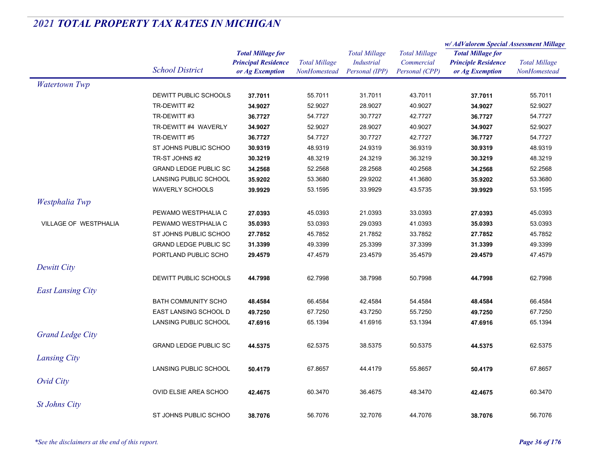|                              |                              |                                                                           |                                      |                                                             |                                                      | w/ AdValorem Special Assessment Millage                                   |                                      |
|------------------------------|------------------------------|---------------------------------------------------------------------------|--------------------------------------|-------------------------------------------------------------|------------------------------------------------------|---------------------------------------------------------------------------|--------------------------------------|
|                              | <b>School District</b>       | <b>Total Millage for</b><br><b>Principal Residence</b><br>or Ag Exemption | <b>Total Millage</b><br>NonHomestead | <b>Total Millage</b><br><b>Industrial</b><br>Personal (IPP) | <b>Total Millage</b><br>Commercial<br>Personal (CPP) | <b>Total Millage for</b><br><b>Principle Residence</b><br>or Ag Exemption | <b>Total Millage</b><br>NonHomestead |
| <b>Watertown Twp</b>         |                              |                                                                           |                                      |                                                             |                                                      |                                                                           |                                      |
|                              | DEWITT PUBLIC SCHOOLS        | 37.7011                                                                   | 55.7011                              | 31.7011                                                     | 43.7011                                              | 37.7011                                                                   | 55.7011                              |
|                              | TR-DEWITT #2                 | 34.9027                                                                   | 52.9027                              | 28.9027                                                     | 40.9027                                              | 34.9027                                                                   | 52.9027                              |
|                              | TR-DEWITT #3                 | 36.7727                                                                   | 54.7727                              | 30.7727                                                     | 42.7727                                              | 36.7727                                                                   | 54.7727                              |
|                              | TR-DEWITT #4 WAVERLY         | 34.9027                                                                   | 52.9027                              | 28.9027                                                     | 40.9027                                              | 34.9027                                                                   | 52.9027                              |
|                              | TR-DEWITT #5                 | 36.7727                                                                   | 54.7727                              | 30.7727                                                     | 42.7727                                              | 36.7727                                                                   | 54.7727                              |
|                              | ST JOHNS PUBLIC SCHOO        | 30.9319                                                                   | 48.9319                              | 24.9319                                                     | 36.9319                                              | 30.9319                                                                   | 48.9319                              |
|                              | TR-ST JOHNS #2               | 30.3219                                                                   | 48.3219                              | 24.3219                                                     | 36.3219                                              | 30.3219                                                                   | 48.3219                              |
|                              | <b>GRAND LEDGE PUBLIC SC</b> | 34.2568                                                                   | 52.2568                              | 28.2568                                                     | 40.2568                                              | 34.2568                                                                   | 52.2568                              |
|                              | LANSING PUBLIC SCHOOL        | 35.9202                                                                   | 53.3680                              | 29.9202                                                     | 41.3680                                              | 35.9202                                                                   | 53.3680                              |
|                              | <b>WAVERLY SCHOOLS</b>       | 39.9929                                                                   | 53.1595                              | 33.9929                                                     | 43.5735                                              | 39.9929                                                                   | 53.1595                              |
| Westphalia Twp               |                              |                                                                           |                                      |                                                             |                                                      |                                                                           |                                      |
|                              | PEWAMO WESTPHALIA C          | 27.0393                                                                   | 45.0393                              | 21.0393                                                     | 33.0393                                              | 27.0393                                                                   | 45.0393                              |
| <b>VILLAGE OF WESTPHALIA</b> | PEWAMO WESTPHALIA C          | 35.0393                                                                   | 53.0393                              | 29.0393                                                     | 41.0393                                              | 35.0393                                                                   | 53.0393                              |
|                              | ST JOHNS PUBLIC SCHOO        | 27.7852                                                                   | 45.7852                              | 21.7852                                                     | 33.7852                                              | 27.7852                                                                   | 45.7852                              |
|                              | <b>GRAND LEDGE PUBLIC SC</b> | 31.3399                                                                   | 49.3399                              | 25.3399                                                     | 37.3399                                              | 31.3399                                                                   | 49.3399                              |
|                              | PORTLAND PUBLIC SCHO         | 29.4579                                                                   | 47.4579                              | 23.4579                                                     | 35.4579                                              | 29.4579                                                                   | 47.4579                              |
| Dewitt City                  |                              |                                                                           |                                      |                                                             |                                                      |                                                                           |                                      |
|                              | DEWITT PUBLIC SCHOOLS        | 44.7998                                                                   | 62.7998                              | 38.7998                                                     | 50.7998                                              | 44.7998                                                                   | 62.7998                              |
| <b>East Lansing City</b>     |                              |                                                                           |                                      |                                                             |                                                      |                                                                           |                                      |
|                              | <b>BATH COMMUNITY SCHO</b>   | 48.4584                                                                   | 66.4584                              | 42.4584                                                     | 54.4584                                              | 48.4584                                                                   | 66.4584                              |
|                              | EAST LANSING SCHOOL D        | 49.7250                                                                   | 67.7250                              | 43.7250                                                     | 55.7250                                              | 49.7250                                                                   | 67.7250                              |
|                              | LANSING PUBLIC SCHOOL        | 47.6916                                                                   | 65.1394                              | 41.6916                                                     | 53.1394                                              | 47.6916                                                                   | 65.1394                              |
|                              |                              |                                                                           |                                      |                                                             |                                                      |                                                                           |                                      |
| <b>Grand Ledge City</b>      |                              |                                                                           |                                      |                                                             |                                                      |                                                                           |                                      |
|                              | <b>GRAND LEDGE PUBLIC SC</b> | 44.5375                                                                   | 62.5375                              | 38.5375                                                     | 50.5375                                              | 44.5375                                                                   | 62.5375                              |
| Lansing City                 |                              |                                                                           |                                      |                                                             |                                                      |                                                                           |                                      |
|                              | LANSING PUBLIC SCHOOL        | 50.4179                                                                   | 67.8657                              | 44.4179                                                     | 55.8657                                              | 50.4179                                                                   | 67.8657                              |
| Ovid City                    |                              |                                                                           |                                      |                                                             |                                                      |                                                                           |                                      |
|                              | OVID ELSIE AREA SCHOO        | 42.4675                                                                   | 60.3470                              | 36.4675                                                     | 48.3470                                              | 42.4675                                                                   | 60.3470                              |
| <b>St Johns City</b>         |                              |                                                                           |                                      |                                                             |                                                      |                                                                           |                                      |
|                              | ST JOHNS PUBLIC SCHOO        | 38.7076                                                                   | 56.7076                              | 32.7076                                                     | 44.7076                                              | 38.7076                                                                   | 56.7076                              |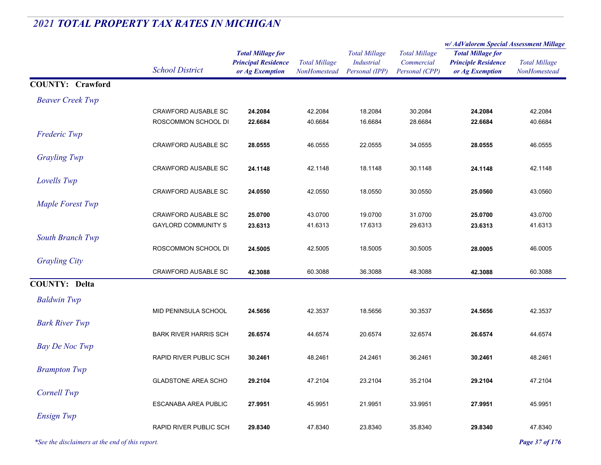#### *Total Millage for Principal Residence School District or Ag Exemption Total Millage NonHomesteadTotal Millage for Principle Residence or Ag Exemption Total Millage NonHomesteadw/ AdValorem Special Assessment Millage Total Millage CommercialPersonal (CPP) Total Millage IndustrialPersonal (IPP)* **COUNTY: CrawfordBeaver Creek Twp** CRAWFORD AUSABLE SC **24.2084** 42.2084 18.2084 30.2084 **24.2084** 42.2084 ROSCOMMON SCHOOL DI **22.6684** 40.6684 16.6684 28.6684 **22.6684** 40.6684 *Frederic Twp* CRAWFORD AUSABLE SC **28.0555** 46.0555 22.0555 34.0555 **28.0555** 46.0555 *Grayling Twp* CRAWFORD AUSABLE SC **24.1148** 42.1148 18.1148 30.1148 **24.1148** 42.1148 *Lovells Twp* CRAWFORD AUSABLE SC **24.0550** 42.0550 18.0550 30.0550 **25.0560** 43.0560 *Maple Forest Twp* CRAWFORD AUSABLE SC **25.0700** 43.0700 19.0700 31.0700 **25.0700** 43.0700 GAYLORD COMMUNITY S **23.6313** 41.6313 17.6313 29.6313 **23.6313** 41.6313 *South Branch Twp* ROSCOMMON SCHOOL DI **24.5005** 42.5005 18.5005 30.5005 **28.0005** 46.0005 *Grayling City* CRAWFORD AUSABLE SC **42.3088** 60.3088 36.3088 48.3088 **42.3088** 60.3088 **COUNTY: Delta***Baldwin Twp* MID PENINSULA SCHOOL **24.5656** 42.3537 18.5656 30.3537 **24.5656** 42.3537 *Bark River Twp* BARK RIVER HARRIS SCH **26.6574** 44.6574 20.6574 32.6574 **26.6574** 44.6574 **Bay De Noc Twp** RAPID RIVER PUBLIC SCH **30.2461** 48.2461 24.2461 36.2461 **30.2461** 48.2461 *Brampton Twp* GLADSTONE AREA SCHO **29.2104** 47.2104 23.2104 35.2104 **29.2104** 47.2104 *Cornell Twp* ESCANABA AREA PUBLIC **27.9951** 45.9951 21.9951 33.9951 **27.9951** 45.9951 *Ensign Twp* RAPID RIVER PUBLIC SCH **29.8340**47.8340 23.8340 35.8340 **29.8340** 47.8340

# *2021 TOTAL PROPERTY TAX RATES IN MICHIGAN*

*\*See the disclaimers at the end of this report. Page 37 of 176*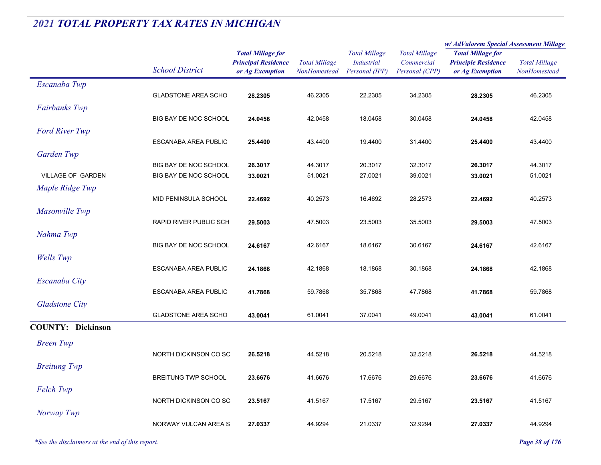|                          |                            |                                                                           |                                      |                                                             |                                                      | w/ AdValorem Special Assessment Millage                                   |                                             |
|--------------------------|----------------------------|---------------------------------------------------------------------------|--------------------------------------|-------------------------------------------------------------|------------------------------------------------------|---------------------------------------------------------------------------|---------------------------------------------|
|                          | <b>School District</b>     | <b>Total Millage for</b><br><b>Principal Residence</b><br>or Ag Exemption | <b>Total Millage</b><br>NonHomestead | <b>Total Millage</b><br><b>Industrial</b><br>Personal (IPP) | <b>Total Millage</b><br>Commercial<br>Personal (CPP) | <b>Total Millage for</b><br><b>Principle Residence</b><br>or Ag Exemption | <b>Total Millage</b><br><b>NonHomestead</b> |
| Escanaba Twp             |                            |                                                                           |                                      |                                                             |                                                      |                                                                           |                                             |
|                          | <b>GLADSTONE AREA SCHO</b> | 28.2305                                                                   | 46.2305                              | 22.2305                                                     | 34.2305                                              | 28.2305                                                                   | 46.2305                                     |
| Fairbanks Twp            |                            |                                                                           |                                      |                                                             |                                                      |                                                                           |                                             |
|                          | BIG BAY DE NOC SCHOOL      | 24.0458                                                                   | 42.0458                              | 18.0458                                                     | 30.0458                                              | 24.0458                                                                   | 42.0458                                     |
| <b>Ford River Twp</b>    |                            |                                                                           |                                      |                                                             |                                                      |                                                                           |                                             |
|                          | ESCANABA AREA PUBLIC       | 25.4400                                                                   | 43.4400                              | 19.4400                                                     | 31.4400                                              | 25.4400                                                                   | 43.4400                                     |
| Garden Twp               |                            |                                                                           |                                      |                                                             |                                                      |                                                                           |                                             |
|                          | BIG BAY DE NOC SCHOOL      | 26.3017                                                                   | 44.3017                              | 20.3017                                                     | 32.3017                                              | 26.3017                                                                   | 44.3017                                     |
| VILLAGE OF GARDEN        | BIG BAY DE NOC SCHOOL      | 33.0021                                                                   | 51.0021                              | 27.0021                                                     | 39.0021                                              | 33.0021                                                                   | 51.0021                                     |
| Maple Ridge Twp          |                            |                                                                           |                                      |                                                             |                                                      |                                                                           |                                             |
|                          | MID PENINSULA SCHOOL       | 22.4692                                                                   | 40.2573                              | 16.4692                                                     | 28.2573                                              | 22.4692                                                                   | 40.2573                                     |
| Masonville Twp           | RAPID RIVER PUBLIC SCH     | 29.5003                                                                   | 47.5003                              | 23.5003                                                     | 35.5003                                              | 29.5003                                                                   | 47.5003                                     |
| Nahma Twp                |                            |                                                                           |                                      |                                                             |                                                      |                                                                           |                                             |
|                          | BIG BAY DE NOC SCHOOL      | 24.6167                                                                   | 42.6167                              | 18.6167                                                     | 30.6167                                              | 24.6167                                                                   | 42.6167                                     |
| <b>Wells</b> Twp         |                            |                                                                           |                                      |                                                             |                                                      |                                                                           |                                             |
|                          | ESCANABA AREA PUBLIC       | 24.1868                                                                   | 42.1868                              | 18.1868                                                     | 30.1868                                              | 24.1868                                                                   | 42.1868                                     |
| Escanaba City            |                            |                                                                           |                                      |                                                             |                                                      |                                                                           |                                             |
|                          | ESCANABA AREA PUBLIC       | 41.7868                                                                   | 59.7868                              | 35.7868                                                     | 47.7868                                              | 41.7868                                                                   | 59.7868                                     |
| <b>Gladstone City</b>    |                            |                                                                           |                                      |                                                             |                                                      |                                                                           |                                             |
|                          | <b>GLADSTONE AREA SCHO</b> | 43.0041                                                                   | 61.0041                              | 37.0041                                                     | 49.0041                                              | 43.0041                                                                   | 61.0041                                     |
| <b>COUNTY: Dickinson</b> |                            |                                                                           |                                      |                                                             |                                                      |                                                                           |                                             |
| <b>Breen Twp</b>         |                            |                                                                           |                                      |                                                             |                                                      |                                                                           |                                             |
|                          | NORTH DICKINSON CO SC      | 26.5218                                                                   | 44.5218                              | 20.5218                                                     | 32.5218                                              | 26.5218                                                                   | 44.5218                                     |
| <b>Breitung Twp</b>      |                            |                                                                           |                                      |                                                             |                                                      |                                                                           |                                             |
|                          | <b>BREITUNG TWP SCHOOL</b> | 23.6676                                                                   | 41.6676                              | 17.6676                                                     | 29.6676                                              | 23.6676                                                                   | 41.6676                                     |
| Felch Twp                |                            |                                                                           |                                      |                                                             |                                                      |                                                                           |                                             |
|                          | NORTH DICKINSON CO SC      | 23.5167                                                                   | 41.5167                              | 17.5167                                                     | 29.5167                                              | 23.5167                                                                   | 41.5167                                     |
| Norway Twp               |                            |                                                                           |                                      |                                                             |                                                      |                                                                           |                                             |
|                          | NORWAY VULCAN AREA S       | 27.0337                                                                   | 44.9294                              | 21.0337                                                     | 32.9294                                              | 27.0337                                                                   | 44.9294                                     |
|                          |                            |                                                                           |                                      |                                                             |                                                      |                                                                           |                                             |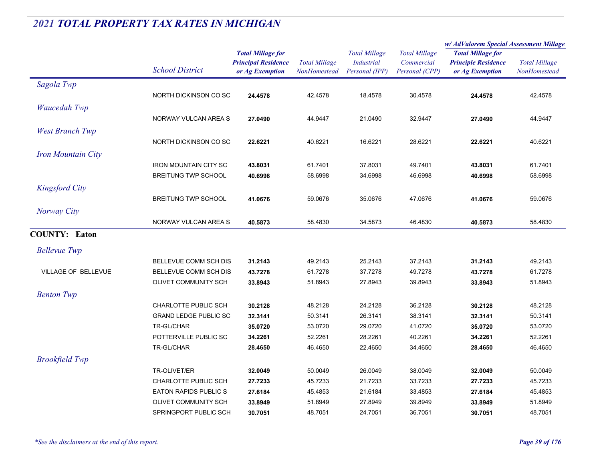|                           |                              |                                               | <b>Total Millage</b><br>NonHomestead | <b>Total Millage</b><br><b>Industrial</b><br>Personal (IPP) | <b>Total Millage</b><br>Commercial<br>Personal (CPP) | w/AdValorem Special Assessment Millage        |                                      |
|---------------------------|------------------------------|-----------------------------------------------|--------------------------------------|-------------------------------------------------------------|------------------------------------------------------|-----------------------------------------------|--------------------------------------|
|                           |                              | <b>Total Millage for</b>                      |                                      |                                                             |                                                      | <b>Total Millage for</b>                      | <b>Total Millage</b><br>NonHomestead |
|                           | <b>School District</b>       | <b>Principal Residence</b><br>or Ag Exemption |                                      |                                                             |                                                      | <b>Principle Residence</b><br>or Ag Exemption |                                      |
|                           |                              |                                               |                                      |                                                             |                                                      |                                               |                                      |
| Sagola Twp                |                              |                                               |                                      |                                                             |                                                      |                                               |                                      |
|                           | NORTH DICKINSON CO SC        | 24.4578                                       | 42.4578                              | 18.4578                                                     | 30.4578                                              | 24.4578                                       | 42.4578                              |
| <b>Waucedah Twp</b>       |                              |                                               |                                      |                                                             |                                                      |                                               |                                      |
|                           | NORWAY VULCAN AREA S         | 27.0490                                       | 44.9447                              | 21.0490                                                     | 32.9447                                              | 27.0490                                       | 44.9447                              |
| <b>West Branch Twp</b>    |                              |                                               |                                      |                                                             |                                                      |                                               |                                      |
|                           | NORTH DICKINSON CO SC        | 22.6221                                       | 40.6221                              | 16.6221                                                     | 28.6221                                              | 22.6221                                       | 40.6221                              |
| <b>Iron Mountain City</b> |                              |                                               |                                      |                                                             |                                                      |                                               |                                      |
|                           | <b>IRON MOUNTAIN CITY SC</b> | 43.8031                                       | 61.7401                              | 37.8031                                                     | 49.7401                                              | 43.8031                                       | 61.7401                              |
|                           | <b>BREITUNG TWP SCHOOL</b>   | 40.6998                                       | 58.6998                              | 34.6998                                                     | 46.6998                                              | 40.6998                                       | 58.6998                              |
|                           |                              |                                               |                                      |                                                             |                                                      |                                               |                                      |
| <b>Kingsford City</b>     |                              |                                               |                                      |                                                             |                                                      |                                               |                                      |
|                           | <b>BREITUNG TWP SCHOOL</b>   | 41.0676                                       | 59.0676                              | 35.0676                                                     | 47.0676                                              | 41.0676                                       | 59.0676                              |
| Norway City               |                              |                                               |                                      |                                                             |                                                      |                                               |                                      |
|                           | NORWAY VULCAN AREA S         | 40.5873                                       | 58.4830                              | 34.5873                                                     | 46.4830                                              | 40.5873                                       | 58.4830                              |
| <b>COUNTY: Eaton</b>      |                              |                                               |                                      |                                                             |                                                      |                                               |                                      |
| <b>Bellevue Twp</b>       |                              |                                               |                                      |                                                             |                                                      |                                               |                                      |
|                           | <b>BELLEVUE COMM SCH DIS</b> | 31.2143                                       | 49.2143                              | 25.2143                                                     | 37.2143                                              | 31.2143                                       | 49.2143                              |
| VILLAGE OF BELLEVUE       | BELLEVUE COMM SCH DIS        | 43.7278                                       | 61.7278                              | 37.7278                                                     | 49.7278                                              | 43.7278                                       | 61.7278                              |
|                           | OLIVET COMMUNITY SCH         | 33.8943                                       | 51.8943                              | 27.8943                                                     | 39.8943                                              | 33.8943                                       | 51.8943                              |
| <b>Benton Twp</b>         |                              |                                               |                                      |                                                             |                                                      |                                               |                                      |
|                           | CHARLOTTE PUBLIC SCH         |                                               | 48.2128                              | 24.2128                                                     | 36.2128                                              |                                               | 48.2128                              |
|                           |                              | 30.2128                                       |                                      | 26.3141                                                     | 38.3141                                              | 30.2128                                       |                                      |
|                           | <b>GRAND LEDGE PUBLIC SC</b> | 32.3141                                       | 50.3141                              |                                                             |                                                      | 32.3141                                       | 50.3141                              |
|                           | TR-GL/CHAR                   | 35.0720                                       | 53.0720                              | 29.0720                                                     | 41.0720                                              | 35.0720                                       | 53.0720                              |
|                           | POTTERVILLE PUBLIC SC        | 34.2261                                       | 52.2261                              | 28.2261                                                     | 40.2261                                              | 34.2261                                       | 52.2261                              |
|                           | <b>TR-GL/CHAR</b>            | 28.4650                                       | 46.4650                              | 22.4650                                                     | 34.4650                                              | 28.4650                                       | 46.4650                              |
| <b>Brookfield Twp</b>     |                              |                                               |                                      |                                                             |                                                      |                                               |                                      |
|                           | TR-OLIVET/ER                 | 32.0049                                       | 50.0049                              | 26.0049                                                     | 38.0049                                              | 32.0049                                       | 50.0049                              |
|                           | CHARLOTTE PUBLIC SCH         | 27.7233                                       | 45.7233                              | 21.7233                                                     | 33.7233                                              | 27.7233                                       | 45.7233                              |
|                           | <b>EATON RAPIDS PUBLICS</b>  | 27.6184                                       | 45.4853                              | 21.6184                                                     | 33.4853                                              | 27.6184                                       | 45.4853                              |
|                           | OLIVET COMMUNITY SCH         | 33.8949                                       | 51.8949                              | 27.8949                                                     | 39.8949                                              | 33.8949                                       | 51.8949                              |
|                           | <b>SPRINGPORT PUBLIC SCH</b> | 30.7051                                       | 48.7051                              | 24.7051                                                     | 36.7051                                              | 30.7051                                       | 48.7051                              |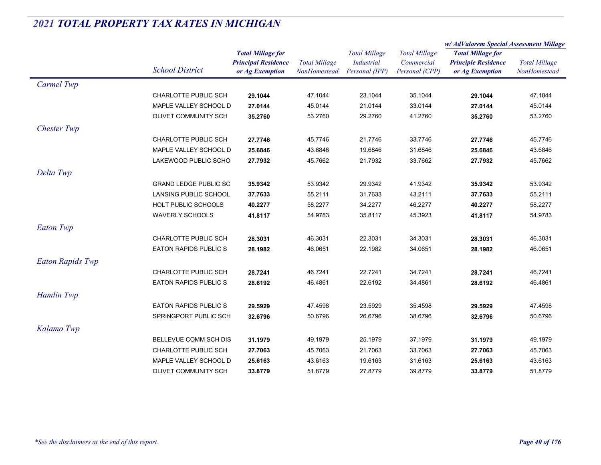|                         |                              |                                                                           |                                      |                                                             |                                                      | w/AdValorem Special Assessment Millage                                    |                                      |  |
|-------------------------|------------------------------|---------------------------------------------------------------------------|--------------------------------------|-------------------------------------------------------------|------------------------------------------------------|---------------------------------------------------------------------------|--------------------------------------|--|
|                         | <b>School District</b>       | <b>Total Millage for</b><br><b>Principal Residence</b><br>or Ag Exemption | <b>Total Millage</b><br>NonHomestead | <b>Total Millage</b><br><b>Industrial</b><br>Personal (IPP) | <b>Total Millage</b><br>Commercial<br>Personal (CPP) | <b>Total Millage for</b><br><b>Principle Residence</b><br>or Ag Exemption | <b>Total Millage</b><br>NonHomestead |  |
| Carmel Twp              |                              |                                                                           |                                      |                                                             |                                                      |                                                                           |                                      |  |
|                         | CHARLOTTE PUBLIC SCH         | 29.1044                                                                   | 47.1044                              | 23.1044                                                     | 35.1044                                              | 29.1044                                                                   | 47.1044                              |  |
|                         | MAPLE VALLEY SCHOOL D        | 27.0144                                                                   | 45.0144                              | 21.0144                                                     | 33.0144                                              | 27.0144                                                                   | 45.0144                              |  |
|                         | OLIVET COMMUNITY SCH         | 35.2760                                                                   | 53.2760                              | 29.2760                                                     | 41.2760                                              | 35.2760                                                                   | 53.2760                              |  |
| <b>Chester Twp</b>      |                              |                                                                           |                                      |                                                             |                                                      |                                                                           |                                      |  |
|                         | CHARLOTTE PUBLIC SCH         | 27.7746                                                                   | 45.7746                              | 21.7746                                                     | 33.7746                                              | 27.7746                                                                   | 45.7746                              |  |
|                         | MAPLE VALLEY SCHOOL D        | 25.6846                                                                   | 43.6846                              | 19.6846                                                     | 31.6846                                              | 25.6846                                                                   | 43.6846                              |  |
|                         | LAKEWOOD PUBLIC SCHO         | 27.7932                                                                   | 45.7662                              | 21.7932                                                     | 33.7662                                              | 27.7932                                                                   | 45.7662                              |  |
| Delta Twp               |                              |                                                                           |                                      |                                                             |                                                      |                                                                           |                                      |  |
|                         | <b>GRAND LEDGE PUBLIC SC</b> | 35.9342                                                                   | 53.9342                              | 29.9342                                                     | 41.9342                                              | 35.9342                                                                   | 53.9342                              |  |
|                         | LANSING PUBLIC SCHOOL        | 37.7633                                                                   | 55.2111                              | 31.7633                                                     | 43.2111                                              | 37.7633                                                                   | 55.2111                              |  |
|                         | HOLT PUBLIC SCHOOLS          | 40.2277                                                                   | 58.2277                              | 34.2277                                                     | 46.2277                                              | 40.2277                                                                   | 58.2277                              |  |
|                         | <b>WAVERLY SCHOOLS</b>       | 41.8117                                                                   | 54.9783                              | 35.8117                                                     | 45.3923                                              | 41.8117                                                                   | 54.9783                              |  |
| <b>Eaton Twp</b>        |                              |                                                                           |                                      |                                                             |                                                      |                                                                           |                                      |  |
|                         | CHARLOTTE PUBLIC SCH         | 28.3031                                                                   | 46.3031                              | 22.3031                                                     | 34.3031                                              | 28.3031                                                                   | 46.3031                              |  |
|                         | <b>EATON RAPIDS PUBLICS</b>  | 28.1982                                                                   | 46.0651                              | 22.1982                                                     | 34.0651                                              | 28.1982                                                                   | 46.0651                              |  |
| <b>Eaton Rapids Twp</b> |                              |                                                                           |                                      |                                                             |                                                      |                                                                           |                                      |  |
|                         | CHARLOTTE PUBLIC SCH         | 28.7241                                                                   | 46.7241                              | 22.7241                                                     | 34.7241                                              | 28.7241                                                                   | 46.7241                              |  |
|                         | <b>EATON RAPIDS PUBLICS</b>  | 28.6192                                                                   | 46.4861                              | 22.6192                                                     | 34.4861                                              | 28.6192                                                                   | 46.4861                              |  |
| Hamlin Twp              |                              |                                                                           |                                      |                                                             |                                                      |                                                                           |                                      |  |
|                         | <b>EATON RAPIDS PUBLIC S</b> | 29.5929                                                                   | 47.4598                              | 23.5929                                                     | 35.4598                                              | 29.5929                                                                   | 47.4598                              |  |
|                         | SPRINGPORT PUBLIC SCH        | 32.6796                                                                   | 50.6796                              | 26.6796                                                     | 38.6796                                              | 32.6796                                                                   | 50.6796                              |  |
| Kalamo Twp              |                              |                                                                           |                                      |                                                             |                                                      |                                                                           |                                      |  |
|                         | BELLEVUE COMM SCH DIS        | 31.1979                                                                   | 49.1979                              | 25.1979                                                     | 37.1979                                              | 31.1979                                                                   | 49.1979                              |  |
|                         | CHARLOTTE PUBLIC SCH         | 27.7063                                                                   | 45.7063                              | 21.7063                                                     | 33.7063                                              | 27.7063                                                                   | 45.7063                              |  |
|                         | MAPLE VALLEY SCHOOL D        | 25.6163                                                                   | 43.6163                              | 19.6163                                                     | 31.6163                                              | 25.6163                                                                   | 43.6163                              |  |
|                         | OLIVET COMMUNITY SCH         | 33.8779                                                                   | 51.8779                              | 27.8779                                                     | 39.8779                                              | 33.8779                                                                   | 51.8779                              |  |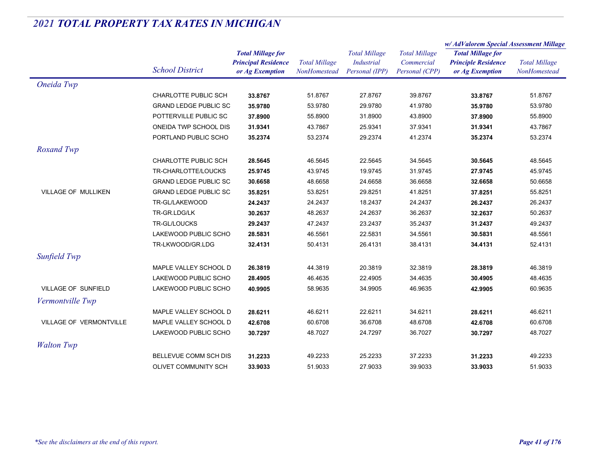|                            |                              | <b>Total Millage for</b><br><b>Principal Residence</b><br>or Ag Exemption | <b>Total Millage</b><br>NonHomestead | <b>Total Millage</b><br>Industrial<br>Personal (IPP) | <b>Total Millage</b><br>Commercial<br>Personal (CPP) | w/ AdValorem Special Assessment Millage                                   |                                      |
|----------------------------|------------------------------|---------------------------------------------------------------------------|--------------------------------------|------------------------------------------------------|------------------------------------------------------|---------------------------------------------------------------------------|--------------------------------------|
|                            | <b>School District</b>       |                                                                           |                                      |                                                      |                                                      | <b>Total Millage for</b><br><b>Principle Residence</b><br>or Ag Exemption | <b>Total Millage</b><br>NonHomestead |
| Oneida Twp                 |                              |                                                                           |                                      |                                                      |                                                      |                                                                           |                                      |
|                            | CHARLOTTE PUBLIC SCH         | 33.8767                                                                   | 51.8767                              | 27.8767                                              | 39.8767                                              | 33.8767                                                                   | 51.8767                              |
|                            | <b>GRAND LEDGE PUBLIC SC</b> | 35.9780                                                                   | 53.9780                              | 29.9780                                              | 41.9780                                              | 35.9780                                                                   | 53.9780                              |
|                            | POTTERVILLE PUBLIC SC        | 37.8900                                                                   | 55.8900                              | 31.8900                                              | 43.8900                                              | 37.8900                                                                   | 55.8900                              |
|                            | ONEIDA TWP SCHOOL DIS        | 31.9341                                                                   | 43.7867                              | 25.9341                                              | 37.9341                                              | 31.9341                                                                   | 43.7867                              |
|                            | PORTLAND PUBLIC SCHO         | 35.2374                                                                   | 53.2374                              | 29.2374                                              | 41.2374                                              | 35.2374                                                                   | 53.2374                              |
| Roxand Twp                 |                              |                                                                           |                                      |                                                      |                                                      |                                                                           |                                      |
|                            | <b>CHARLOTTE PUBLIC SCH</b>  | 28.5645                                                                   | 46.5645                              | 22.5645                                              | 34.5645                                              | 30.5645                                                                   | 48.5645                              |
|                            | TR-CHARLOTTE/LOUCKS          | 25.9745                                                                   | 43.9745                              | 19.9745                                              | 31.9745                                              | 27.9745                                                                   | 45.9745                              |
|                            | <b>GRAND LEDGE PUBLIC SC</b> | 30.6658                                                                   | 48.6658                              | 24.6658                                              | 36.6658                                              | 32.6658                                                                   | 50.6658                              |
| <b>VILLAGE OF MULLIKEN</b> | <b>GRAND LEDGE PUBLIC SC</b> | 35.8251                                                                   | 53.8251                              | 29.8251                                              | 41.8251                                              | 37.8251                                                                   | 55.8251                              |
|                            | TR-GL/LAKEWOOD               | 24.2437                                                                   | 24.2437                              | 18.2437                                              | 24.2437                                              | 26.2437                                                                   | 26.2437                              |
|                            | TR-GR.LDG/LK                 | 30.2637                                                                   | 48.2637                              | 24.2637                                              | 36.2637                                              | 32.2637                                                                   | 50.2637                              |
|                            | TR-GL/LOUCKS                 | 29.2437                                                                   | 47.2437                              | 23.2437                                              | 35.2437                                              | 31.2437                                                                   | 49.2437                              |
|                            | LAKEWOOD PUBLIC SCHO         | 28.5831                                                                   | 46.5561                              | 22.5831                                              | 34.5561                                              | 30.5831                                                                   | 48.5561                              |
|                            | TR-LKWOOD/GR.LDG             | 32.4131                                                                   | 50.4131                              | 26.4131                                              | 38.4131                                              | 34.4131                                                                   | 52.4131                              |
| Sunfield Twp               |                              |                                                                           |                                      |                                                      |                                                      |                                                                           |                                      |
|                            | MAPLE VALLEY SCHOOL D        | 26.3819                                                                   | 44.3819                              | 20.3819                                              | 32.3819                                              | 28.3819                                                                   | 46.3819                              |
|                            | LAKEWOOD PUBLIC SCHO         | 28.4905                                                                   | 46.4635                              | 22.4905                                              | 34.4635                                              | 30.4905                                                                   | 48.4635                              |
| VILLAGE OF SUNFIELD        | LAKEWOOD PUBLIC SCHO         | 40.9905                                                                   | 58.9635                              | 34.9905                                              | 46.9635                                              | 42.9905                                                                   | 60.9635                              |
| Vermontville Twp           |                              |                                                                           |                                      |                                                      |                                                      |                                                                           |                                      |
|                            | MAPLE VALLEY SCHOOL D        | 28.6211                                                                   | 46.6211                              | 22.6211                                              | 34.6211                                              | 28.6211                                                                   | 46.6211                              |
| VILLAGE OF VERMONTVILLE    | MAPLE VALLEY SCHOOL D        | 42.6708                                                                   | 60.6708                              | 36.6708                                              | 48.6708                                              | 42.6708                                                                   | 60.6708                              |
|                            | LAKEWOOD PUBLIC SCHO         | 30.7297                                                                   | 48.7027                              | 24.7297                                              | 36.7027                                              | 30.7297                                                                   | 48.7027                              |
| <b>Walton Twp</b>          |                              |                                                                           |                                      |                                                      |                                                      |                                                                           |                                      |
|                            | BELLEVUE COMM SCH DIS        | 31.2233                                                                   | 49.2233                              | 25.2233                                              | 37.2233                                              | 31.2233                                                                   | 49.2233                              |
|                            | OLIVET COMMUNITY SCH         | 33.9033                                                                   | 51.9033                              | 27.9033                                              | 39.9033                                              | 33.9033                                                                   | 51.9033                              |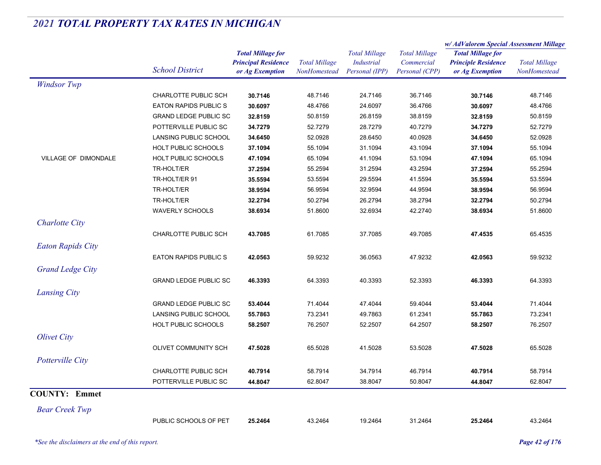|                          |                              |                                                                           |                                      |                                                             |                                                      | w/ AdValorem Special Assessment Millage                                   |                                      |
|--------------------------|------------------------------|---------------------------------------------------------------------------|--------------------------------------|-------------------------------------------------------------|------------------------------------------------------|---------------------------------------------------------------------------|--------------------------------------|
|                          | <b>School District</b>       | <b>Total Millage for</b><br><b>Principal Residence</b><br>or Ag Exemption | <b>Total Millage</b><br>NonHomestead | <b>Total Millage</b><br><b>Industrial</b><br>Personal (IPP) | <b>Total Millage</b><br>Commercial<br>Personal (CPP) | <b>Total Millage for</b><br><b>Principle Residence</b><br>or Ag Exemption | <b>Total Millage</b><br>NonHomestead |
| <b>Windsor Twp</b>       |                              |                                                                           |                                      |                                                             |                                                      |                                                                           |                                      |
|                          | CHARLOTTE PUBLIC SCH         | 30.7146                                                                   | 48.7146                              | 24.7146                                                     | 36.7146                                              | 30.7146                                                                   | 48.7146                              |
|                          | <b>EATON RAPIDS PUBLIC S</b> | 30.6097                                                                   | 48.4766                              | 24.6097                                                     | 36.4766                                              | 30.6097                                                                   | 48.4766                              |
|                          | <b>GRAND LEDGE PUBLIC SC</b> | 32.8159                                                                   | 50.8159                              | 26.8159                                                     | 38.8159                                              | 32.8159                                                                   | 50.8159                              |
|                          | POTTERVILLE PUBLIC SC        | 34.7279                                                                   | 52.7279                              | 28.7279                                                     | 40.7279                                              | 34.7279                                                                   | 52.7279                              |
|                          | LANSING PUBLIC SCHOOL        | 34.6450                                                                   | 52.0928                              | 28.6450                                                     | 40.0928                                              | 34.6450                                                                   | 52.0928                              |
|                          | HOLT PUBLIC SCHOOLS          | 37.1094                                                                   | 55.1094                              | 31.1094                                                     | 43.1094                                              | 37.1094                                                                   | 55.1094                              |
| VILLAGE OF DIMONDALE     | <b>HOLT PUBLIC SCHOOLS</b>   | 47.1094                                                                   | 65.1094                              | 41.1094                                                     | 53.1094                                              | 47.1094                                                                   | 65.1094                              |
|                          | TR-HOLT/ER                   | 37.2594                                                                   | 55.2594                              | 31.2594                                                     | 43.2594                                              | 37.2594                                                                   | 55.2594                              |
|                          | TR-HOLT/ER 91                | 35.5594                                                                   | 53.5594                              | 29.5594                                                     | 41.5594                                              | 35.5594                                                                   | 53.5594                              |
|                          | TR-HOLT/ER                   | 38.9594                                                                   | 56.9594                              | 32.9594                                                     | 44.9594                                              | 38.9594                                                                   | 56.9594                              |
|                          | TR-HOLT/ER                   | 32.2794                                                                   | 50.2794                              | 26.2794                                                     | 38.2794                                              | 32.2794                                                                   | 50.2794                              |
|                          | <b>WAVERLY SCHOOLS</b>       | 38.6934                                                                   | 51.8600                              | 32.6934                                                     | 42.2740                                              | 38.6934                                                                   | 51.8600                              |
| <b>Charlotte City</b>    |                              |                                                                           |                                      |                                                             |                                                      |                                                                           |                                      |
|                          | CHARLOTTE PUBLIC SCH         | 43.7085                                                                   | 61.7085                              | 37.7085                                                     | 49.7085                                              | 47.4535                                                                   | 65.4535                              |
| <b>Eaton Rapids City</b> |                              |                                                                           |                                      |                                                             |                                                      |                                                                           |                                      |
|                          | <b>EATON RAPIDS PUBLIC S</b> | 42.0563                                                                   | 59.9232                              | 36.0563                                                     | 47.9232                                              | 42.0563                                                                   | 59.9232                              |
| <b>Grand Ledge City</b>  |                              |                                                                           |                                      |                                                             |                                                      |                                                                           |                                      |
|                          | <b>GRAND LEDGE PUBLIC SC</b> | 46.3393                                                                   | 64.3393                              | 40.3393                                                     | 52.3393                                              | 46.3393                                                                   | 64.3393                              |
|                          |                              |                                                                           |                                      |                                                             |                                                      |                                                                           |                                      |
| <b>Lansing City</b>      |                              |                                                                           |                                      |                                                             |                                                      |                                                                           |                                      |
|                          | <b>GRAND LEDGE PUBLIC SC</b> | 53.4044                                                                   | 71.4044                              | 47.4044                                                     | 59.4044                                              | 53.4044                                                                   | 71.4044                              |
|                          | LANSING PUBLIC SCHOOL        | 55.7863                                                                   | 73.2341                              | 49.7863                                                     | 61.2341                                              | 55.7863                                                                   | 73.2341                              |
|                          | <b>HOLT PUBLIC SCHOOLS</b>   | 58.2507                                                                   | 76.2507                              | 52.2507                                                     | 64.2507                                              | 58.2507                                                                   | 76.2507                              |
| <b>Olivet City</b>       |                              |                                                                           |                                      |                                                             |                                                      |                                                                           |                                      |
|                          | OLIVET COMMUNITY SCH         | 47.5028                                                                   | 65.5028                              | 41.5028                                                     | 53.5028                                              | 47.5028                                                                   | 65.5028                              |
| Potterville City         |                              |                                                                           |                                      |                                                             |                                                      |                                                                           |                                      |
|                          | CHARLOTTE PUBLIC SCH         | 40.7914                                                                   | 58.7914                              | 34.7914                                                     | 46.7914                                              | 40.7914                                                                   | 58.7914                              |
|                          | POTTERVILLE PUBLIC SC        | 44.8047                                                                   | 62.8047                              | 38.8047                                                     | 50.8047                                              | 44.8047                                                                   | 62.8047                              |
| <b>COUNTY: Emmet</b>     |                              |                                                                           |                                      |                                                             |                                                      |                                                                           |                                      |
| <b>Bear Creek Twp</b>    |                              |                                                                           |                                      |                                                             |                                                      |                                                                           |                                      |
|                          | PUBLIC SCHOOLS OF PET        | 25.2464                                                                   | 43.2464                              | 19.2464                                                     | 31.2464                                              | 25.2464                                                                   | 43.2464                              |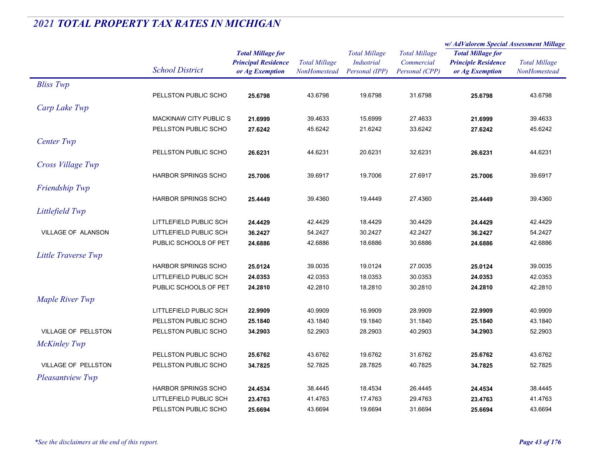|                            |                            | <b>Total Millage for</b><br><b>Principal Residence</b> | <b>Total Millage</b><br><b>Total Millage</b><br><b>Industrial</b> |                      |                          | w/AdValorem Special Assessment Millage |                                      |
|----------------------------|----------------------------|--------------------------------------------------------|-------------------------------------------------------------------|----------------------|--------------------------|----------------------------------------|--------------------------------------|
|                            |                            |                                                        |                                                                   | <b>Total Millage</b> | <b>Total Millage for</b> |                                        |                                      |
|                            |                            |                                                        |                                                                   |                      | Commercial               | <b>Principle Residence</b>             | <b>Total Millage</b><br>NonHomestead |
|                            | <b>School District</b>     | or Ag Exemption                                        | NonHomestead                                                      | Personal (IPP)       | Personal (CPP)           | or Ag Exemption                        |                                      |
| <b>Bliss Twp</b>           |                            |                                                        |                                                                   |                      |                          |                                        |                                      |
|                            | PELLSTON PUBLIC SCHO       | 25.6798                                                | 43.6798                                                           | 19.6798              | 31.6798                  | 25.6798                                | 43.6798                              |
| Carp Lake Twp              |                            |                                                        |                                                                   |                      |                          |                                        |                                      |
|                            | MACKINAW CITY PUBLIC S     | 21.6999                                                | 39.4633                                                           | 15.6999              | 27.4633                  | 21.6999                                | 39.4633                              |
|                            | PELLSTON PUBLIC SCHO       | 27.6242                                                | 45.6242                                                           | 21.6242              | 33.6242                  | 27.6242                                | 45.6242                              |
| Center Twp                 |                            |                                                        |                                                                   |                      |                          |                                        |                                      |
|                            | PELLSTON PUBLIC SCHO       | 26.6231                                                | 44.6231                                                           | 20.6231              | 32.6231                  | 26.6231                                | 44.6231                              |
|                            |                            |                                                        |                                                                   |                      |                          |                                        |                                      |
| Cross Village Twp          |                            |                                                        |                                                                   |                      |                          |                                        |                                      |
|                            | <b>HARBOR SPRINGS SCHO</b> | 25.7006                                                | 39.6917                                                           | 19.7006              | 27.6917                  | 25.7006                                | 39.6917                              |
| Friendship Twp             |                            |                                                        |                                                                   |                      |                          |                                        |                                      |
|                            | <b>HARBOR SPRINGS SCHO</b> | 25.4449                                                | 39.4360                                                           | 19.4449              | 27.4360                  | 25.4449                                | 39.4360                              |
| Littlefield Twp            |                            |                                                        |                                                                   |                      |                          |                                        |                                      |
|                            | LITTLEFIELD PUBLIC SCH     | 24.4429                                                | 42.4429                                                           | 18.4429              | 30.4429                  | 24.4429                                | 42.4429                              |
| VILLAGE OF ALANSON         | LITTLEFIELD PUBLIC SCH     | 36.2427                                                | 54.2427                                                           | 30.2427              | 42.2427                  | 36.2427                                | 54.2427                              |
|                            | PUBLIC SCHOOLS OF PET      | 24.6886                                                | 42.6886                                                           | 18.6886              | 30.6886                  | 24.6886                                | 42.6886                              |
| Little Traverse Twp        |                            |                                                        |                                                                   |                      |                          |                                        |                                      |
|                            | <b>HARBOR SPRINGS SCHO</b> | 25.0124                                                | 39.0035                                                           | 19.0124              | 27.0035                  | 25.0124                                | 39.0035                              |
|                            | LITTLEFIELD PUBLIC SCH     | 24.0353                                                | 42.0353                                                           | 18.0353              | 30.0353                  | 24.0353                                | 42.0353                              |
|                            | PUBLIC SCHOOLS OF PET      | 24.2810                                                | 42.2810                                                           | 18.2810              | 30.2810                  | 24.2810                                | 42.2810                              |
| Maple River Twp            |                            |                                                        |                                                                   |                      |                          |                                        |                                      |
|                            | LITTLEFIELD PUBLIC SCH     | 22.9909                                                | 40.9909                                                           | 16.9909              | 28.9909                  | 22.9909                                | 40.9909                              |
|                            | PELLSTON PUBLIC SCHO       | 25.1840                                                | 43.1840                                                           | 19.1840              | 31.1840                  | 25.1840                                | 43.1840                              |
| <b>VILLAGE OF PELLSTON</b> | PELLSTON PUBLIC SCHO       | 34.2903                                                | 52.2903                                                           | 28.2903              | 40.2903                  | 34.2903                                | 52.2903                              |
|                            |                            |                                                        |                                                                   |                      |                          |                                        |                                      |
| <b>McKinley Twp</b>        |                            |                                                        |                                                                   |                      |                          |                                        |                                      |
|                            | PELLSTON PUBLIC SCHO       | 25.6762                                                | 43.6762                                                           | 19.6762              | 31.6762                  | 25.6762                                | 43.6762                              |
| <b>VILLAGE OF PELLSTON</b> | PELLSTON PUBLIC SCHO       | 34.7825                                                | 52.7825                                                           | 28.7825              | 40.7825                  | 34.7825                                | 52.7825                              |
| <b>Pleasantview Twp</b>    |                            |                                                        |                                                                   |                      |                          |                                        |                                      |
|                            | <b>HARBOR SPRINGS SCHO</b> | 24.4534                                                | 38.4445                                                           | 18.4534              | 26.4445                  | 24.4534                                | 38.4445                              |
|                            | LITTLEFIELD PUBLIC SCH     | 23.4763                                                | 41.4763                                                           | 17.4763              | 29.4763                  | 23.4763                                | 41.4763                              |
|                            | PELLSTON PUBLIC SCHO       | 25.6694                                                | 43.6694                                                           | 19.6694              | 31.6694                  | 25.6694                                | 43.6694                              |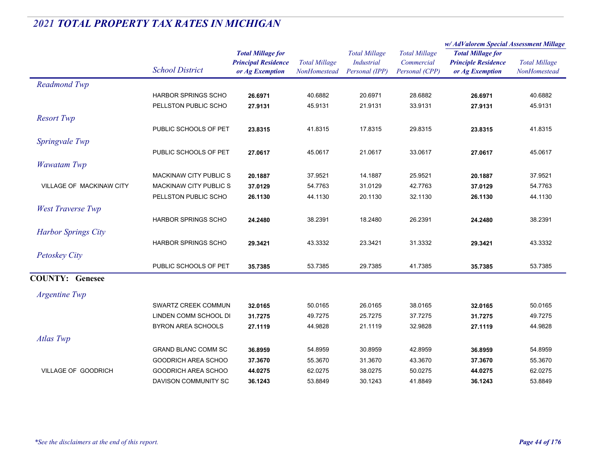|                            |                            |                                                                           |                                      |                                                             |                                                      | w/AdValorem Special Assessment Millage                                    |                                      |
|----------------------------|----------------------------|---------------------------------------------------------------------------|--------------------------------------|-------------------------------------------------------------|------------------------------------------------------|---------------------------------------------------------------------------|--------------------------------------|
|                            | <b>School District</b>     | <b>Total Millage for</b><br><b>Principal Residence</b><br>or Ag Exemption | <b>Total Millage</b><br>NonHomestead | <b>Total Millage</b><br><b>Industrial</b><br>Personal (IPP) | <b>Total Millage</b><br>Commercial<br>Personal (CPP) | <b>Total Millage for</b><br><b>Principle Residence</b><br>or Ag Exemption | <b>Total Millage</b><br>NonHomestead |
| <b>Readmond Twp</b>        |                            |                                                                           |                                      |                                                             |                                                      |                                                                           |                                      |
|                            | <b>HARBOR SPRINGS SCHO</b> | 26.6971                                                                   | 40.6882                              | 20.6971                                                     | 28.6882                                              | 26.6971                                                                   | 40.6882                              |
|                            | PELLSTON PUBLIC SCHO       | 27.9131                                                                   | 45.9131                              | 21.9131                                                     | 33.9131                                              | 27.9131                                                                   | 45.9131                              |
| <b>Resort Twp</b>          |                            |                                                                           |                                      |                                                             |                                                      |                                                                           |                                      |
|                            | PUBLIC SCHOOLS OF PET      | 23.8315                                                                   | 41.8315                              | 17.8315                                                     | 29.8315                                              | 23.8315                                                                   | 41.8315                              |
| Springvale Twp             |                            |                                                                           |                                      |                                                             |                                                      |                                                                           |                                      |
|                            | PUBLIC SCHOOLS OF PET      | 27.0617                                                                   | 45.0617                              | 21.0617                                                     | 33.0617                                              | 27.0617                                                                   | 45.0617                              |
| <b>Wawatam Twp</b>         |                            |                                                                           |                                      |                                                             |                                                      |                                                                           |                                      |
|                            | MACKINAW CITY PUBLIC S     | 20.1887                                                                   | 37.9521                              | 14.1887                                                     | 25.9521                                              | 20.1887                                                                   | 37.9521                              |
| VILLAGE OF MACKINAW CITY   | MACKINAW CITY PUBLIC S     | 37.0129                                                                   | 54.7763                              | 31.0129                                                     | 42.7763                                              | 37.0129                                                                   | 54.7763                              |
|                            | PELLSTON PUBLIC SCHO       | 26.1130                                                                   | 44.1130                              | 20.1130                                                     | 32.1130                                              | 26.1130                                                                   | 44.1130                              |
| <b>West Traverse Twp</b>   |                            |                                                                           |                                      |                                                             |                                                      |                                                                           |                                      |
|                            | <b>HARBOR SPRINGS SCHO</b> | 24.2480                                                                   | 38.2391                              | 18.2480                                                     | 26.2391                                              | 24.2480                                                                   | 38.2391                              |
| <b>Harbor Springs City</b> |                            |                                                                           |                                      |                                                             |                                                      |                                                                           |                                      |
|                            | <b>HARBOR SPRINGS SCHO</b> | 29.3421                                                                   | 43.3332                              | 23.3421                                                     | 31.3332                                              | 29.3421                                                                   | 43.3332                              |
| <b>Petoskey City</b>       |                            |                                                                           |                                      |                                                             |                                                      |                                                                           |                                      |
|                            | PUBLIC SCHOOLS OF PET      | 35.7385                                                                   | 53.7385                              | 29.7385                                                     | 41.7385                                              | 35.7385                                                                   | 53.7385                              |
| <b>COUNTY: Genesee</b>     |                            |                                                                           |                                      |                                                             |                                                      |                                                                           |                                      |
|                            |                            |                                                                           |                                      |                                                             |                                                      |                                                                           |                                      |
| <b>Argentine Twp</b>       |                            |                                                                           |                                      |                                                             |                                                      |                                                                           |                                      |
|                            | SWARTZ CREEK COMMUN        | 32.0165                                                                   | 50.0165                              | 26.0165                                                     | 38.0165                                              | 32.0165                                                                   | 50.0165                              |
|                            | LINDEN COMM SCHOOL DI      | 31.7275                                                                   | 49.7275                              | 25.7275                                                     | 37.7275                                              | 31.7275                                                                   | 49.7275                              |
|                            | <b>BYRON AREA SCHOOLS</b>  | 27.1119                                                                   | 44.9828                              | 21.1119                                                     | 32.9828                                              | 27.1119                                                                   | 44.9828                              |
| Atlas Twp                  |                            |                                                                           |                                      |                                                             |                                                      |                                                                           |                                      |
|                            | <b>GRAND BLANC COMM SC</b> | 36.8959                                                                   | 54.8959                              | 30.8959                                                     | 42.8959                                              | 36.8959                                                                   | 54.8959                              |
|                            | GOODRICH AREA SCHOO        | 37.3670                                                                   | 55.3670                              | 31.3670                                                     | 43.3670                                              | 37.3670                                                                   | 55.3670                              |
| <b>VILLAGE OF GOODRICH</b> | <b>GOODRICH AREA SCHOO</b> | 44.0275                                                                   | 62.0275                              | 38.0275                                                     | 50.0275                                              | 44.0275                                                                   | 62.0275                              |
|                            | DAVISON COMMUNITY SC       | 36.1243                                                                   | 53.8849                              | 30.1243                                                     | 41.8849                                              | 36.1243                                                                   | 53.8849                              |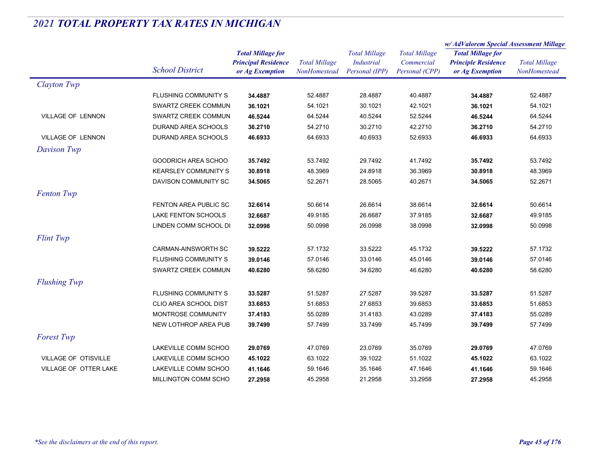|                       |                              |                                                                           |                                      |                                                             |                                                      | w/AdValorem Special Assessment Millage                                    |                                      |  |
|-----------------------|------------------------------|---------------------------------------------------------------------------|--------------------------------------|-------------------------------------------------------------|------------------------------------------------------|---------------------------------------------------------------------------|--------------------------------------|--|
|                       | <b>School District</b>       | <b>Total Millage for</b><br><b>Principal Residence</b><br>or Ag Exemption | <b>Total Millage</b><br>NonHomestead | <b>Total Millage</b><br><b>Industrial</b><br>Personal (IPP) | <b>Total Millage</b><br>Commercial<br>Personal (CPP) | <b>Total Millage for</b><br><b>Principle Residence</b><br>or Ag Exemption | <b>Total Millage</b><br>NonHomestead |  |
| Clayton Twp           |                              |                                                                           |                                      |                                                             |                                                      |                                                                           |                                      |  |
|                       | <b>FLUSHING COMMUNITY S</b>  | 34.4887                                                                   | 52.4887                              | 28.4887                                                     | 40.4887                                              | 34.4887                                                                   | 52.4887                              |  |
|                       | SWARTZ CREEK COMMUN          | 36.1021                                                                   | 54.1021                              | 30.1021                                                     | 42.1021                                              | 36.1021                                                                   | 54.1021                              |  |
| VILLAGE OF LENNON     | SWARTZ CREEK COMMUN          | 46.5244                                                                   | 64.5244                              | 40.5244                                                     | 52.5244                                              | 46.5244                                                                   | 64.5244                              |  |
|                       | DURAND AREA SCHOOLS          | 36.2710                                                                   | 54.2710                              | 30.2710                                                     | 42.2710                                              | 36.2710                                                                   | 54.2710                              |  |
| VILLAGE OF LENNON     | DURAND AREA SCHOOLS          | 46.6933                                                                   | 64.6933                              | 40.6933                                                     | 52.6933                                              | 46.6933                                                                   | 64.6933                              |  |
| Davison Twp           |                              |                                                                           |                                      |                                                             |                                                      |                                                                           |                                      |  |
|                       | GOODRICH AREA SCHOO          | 35.7492                                                                   | 53.7492                              | 29.7492                                                     | 41.7492                                              | 35.7492                                                                   | 53.7492                              |  |
|                       | <b>KEARSLEY COMMUNITY S</b>  | 30.8918                                                                   | 48.3969                              | 24.8918                                                     | 36.3969                                              | 30.8918                                                                   | 48.3969                              |  |
|                       | DAVISON COMMUNITY SC         | 34.5065                                                                   | 52.2671                              | 28.5065                                                     | 40.2671                                              | 34.5065                                                                   | 52.2671                              |  |
| <b>Fenton Twp</b>     |                              |                                                                           |                                      |                                                             |                                                      |                                                                           |                                      |  |
|                       | FENTON AREA PUBLIC SC        | 32.6614                                                                   | 50.6614                              | 26.6614                                                     | 38.6614                                              | 32.6614                                                                   | 50.6614                              |  |
|                       | LAKE FENTON SCHOOLS          | 32.6687                                                                   | 49.9185                              | 26.6687                                                     | 37.9185                                              | 32.6687                                                                   | 49.9185                              |  |
|                       | LINDEN COMM SCHOOL DI        | 32.0998                                                                   | 50.0998                              | 26.0998                                                     | 38.0998                                              | 32.0998                                                                   | 50.0998                              |  |
| <b>Flint Twp</b>      |                              |                                                                           |                                      |                                                             |                                                      |                                                                           |                                      |  |
|                       | <b>CARMAN-AINSWORTH SC</b>   | 39.5222                                                                   | 57.1732                              | 33.5222                                                     | 45.1732                                              | 39.5222                                                                   | 57.1732                              |  |
|                       | FLUSHING COMMUNITY S         | 39.0146                                                                   | 57.0146                              | 33.0146                                                     | 45.0146                                              | 39.0146                                                                   | 57.0146                              |  |
|                       | SWARTZ CREEK COMMUN          | 40.6280                                                                   | 58.6280                              | 34.6280                                                     | 46.6280                                              | 40.6280                                                                   | 58.6280                              |  |
| <b>Flushing Twp</b>   |                              |                                                                           |                                      |                                                             |                                                      |                                                                           |                                      |  |
|                       | <b>FLUSHING COMMUNITY S</b>  | 33.5287                                                                   | 51.5287                              | 27.5287                                                     | 39.5287                                              | 33.5287                                                                   | 51.5287                              |  |
|                       | <b>CLIO AREA SCHOOL DIST</b> | 33.6853                                                                   | 51.6853                              | 27.6853                                                     | 39.6853                                              | 33.6853                                                                   | 51.6853                              |  |
|                       | MONTROSE COMMUNITY           | 37.4183                                                                   | 55.0289                              | 31.4183                                                     | 43.0289                                              | 37.4183                                                                   | 55.0289                              |  |
|                       | NEW LOTHROP AREA PUB         | 39.7499                                                                   | 57.7499                              | 33.7499                                                     | 45.7499                                              | 39.7499                                                                   | 57.7499                              |  |
| <b>Forest Twp</b>     |                              |                                                                           |                                      |                                                             |                                                      |                                                                           |                                      |  |
|                       | LAKEVILLE COMM SCHOO         | 29.0769                                                                   | 47.0769                              | 23.0769                                                     | 35.0769                                              | 29.0769                                                                   | 47.0769                              |  |
| VILLAGE OF OTISVILLE  | LAKEVILLE COMM SCHOO         | 45.1022                                                                   | 63.1022                              | 39.1022                                                     | 51.1022                                              | 45.1022                                                                   | 63.1022                              |  |
| VILLAGE OF OTTER LAKE | LAKEVILLE COMM SCHOO         | 41.1646                                                                   | 59.1646                              | 35.1646                                                     | 47.1646                                              | 41.1646                                                                   | 59.1646                              |  |
|                       | MILLINGTON COMM SCHO         | 27.2958                                                                   | 45.2958                              | 21.2958                                                     | 33.2958                                              | 27.2958                                                                   | 45.2958                              |  |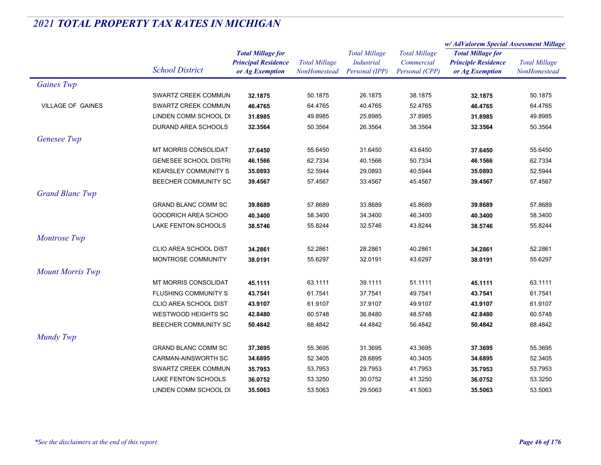|                          |                              | <b>Total Millage for</b>   |                      | <b>Total Millage</b><br><b>Industrial</b> |                      | w/ AdValorem Special Assessment Millage |                      |
|--------------------------|------------------------------|----------------------------|----------------------|-------------------------------------------|----------------------|-----------------------------------------|----------------------|
|                          |                              |                            |                      |                                           | <b>Total Millage</b> | <b>Total Millage for</b>                | <b>Total Millage</b> |
|                          |                              | <b>Principal Residence</b> | <b>Total Millage</b> |                                           | Commercial           | <b>Principle Residence</b>              |                      |
|                          | <b>School District</b>       | or Ag Exemption            | NonHomestead         | Personal (IPP)                            | Personal (CPP)       | or Ag Exemption                         | <b>NonHomestead</b>  |
| <b>Gaines Twp</b>        |                              |                            |                      |                                           |                      |                                         |                      |
|                          | SWARTZ CREEK COMMUN          | 32.1875                    | 50.1875              | 26.1875                                   | 38.1875              | 32.1875                                 | 50.1875              |
| <b>VILLAGE OF GAINES</b> | SWARTZ CREEK COMMUN          | 46.4765                    | 64.4765              | 40.4765                                   | 52.4765              | 46.4765                                 | 64.4765              |
|                          | LINDEN COMM SCHOOL DI        | 31.8985                    | 49.8985              | 25.8985                                   | 37.8985              | 31.8985                                 | 49.8985              |
|                          | DURAND AREA SCHOOLS          | 32.3564                    | 50.3564              | 26.3564                                   | 38.3564              | 32.3564                                 | 50.3564              |
| Genesee Twp              |                              |                            |                      |                                           |                      |                                         |                      |
|                          | MT MORRIS CONSOLIDAT         | 37.6450                    | 55.6450              | 31.6450                                   | 43.6450              | 37.6450                                 | 55.6450              |
|                          | <b>GENESEE SCHOOL DISTRI</b> | 46.1566                    | 62.7334              | 40.1566                                   | 50.7334              | 46.1566                                 | 62.7334              |
|                          | <b>KEARSLEY COMMUNITY S</b>  | 35.0893                    | 52.5944              | 29.0893                                   | 40.5944              | 35.0893                                 | 52.5944              |
|                          | <b>BEECHER COMMUNITY SC</b>  | 39.4567                    | 57.4567              | 33.4567                                   | 45.4567              | 39.4567                                 | 57.4567              |
| <b>Grand Blanc Twp</b>   |                              |                            |                      |                                           |                      |                                         |                      |
|                          | <b>GRAND BLANC COMM SC</b>   | 39.8689                    | 57.8689              | 33.8689                                   | 45.8689              | 39.8689                                 | 57.8689              |
|                          | <b>GOODRICH AREA SCHOO</b>   | 40.3400                    | 58.3400              | 34.3400                                   | 46.3400              | 40.3400                                 | 58.3400              |
|                          | LAKE FENTON SCHOOLS          | 38.5746                    | 55.8244              | 32.5746                                   | 43.8244              | 38.5746                                 | 55.8244              |
| Montrose Twp             |                              |                            |                      |                                           |                      |                                         |                      |
|                          | CLIO AREA SCHOOL DIST        | 34.2861                    | 52.2861              | 28.2861                                   | 40.2861              | 34.2861                                 | 52.2861              |
|                          | MONTROSE COMMUNITY           | 38.0191                    | 55.6297              | 32.0191                                   | 43.6297              | 38.0191                                 | 55.6297              |
| <b>Mount Morris Twp</b>  |                              |                            |                      |                                           |                      |                                         |                      |
|                          | <b>MT MORRIS CONSOLIDAT</b>  | 45.1111                    | 63.1111              | 39.1111                                   | 51.1111              | 45.1111                                 | 63.1111              |
|                          | FLUSHING COMMUNITY S         | 43.7541                    | 61.7541              | 37.7541                                   | 49.7541              | 43.7541                                 | 61.7541              |
|                          | CLIO AREA SCHOOL DIST        | 43.9107                    | 61.9107              | 37.9107                                   | 49.9107              | 43.9107                                 | 61.9107              |
|                          | <b>WESTWOOD HEIGHTS SC</b>   | 42.8480                    | 60.5748              | 36.8480                                   | 48.5748              | 42.8480                                 | 60.5748              |
|                          | BEECHER COMMUNITY SC         | 50.4842                    | 68.4842              | 44.4842                                   | 56.4842              | 50.4842                                 | 68.4842              |
| Mundy Twp                |                              |                            |                      |                                           |                      |                                         |                      |
|                          | <b>GRAND BLANC COMM SC</b>   | 37.3695                    | 55.3695              | 31.3695                                   | 43.3695              | 37.3695                                 | 55.3695              |
|                          | <b>CARMAN-AINSWORTH SC</b>   | 34.6895                    | 52.3405              | 28.6895                                   | 40.3405              | 34.6895                                 | 52.3405              |
|                          | SWARTZ CREEK COMMUN          | 35.7953                    | 53.7953              | 29.7953                                   | 41.7953              | 35.7953                                 | 53.7953              |
|                          | LAKE FENTON SCHOOLS          | 36.0752                    | 53.3250              | 30.0752                                   | 41.3250              | 36.0752                                 | 53.3250              |
|                          | LINDEN COMM SCHOOL DI        | 35.5063                    | 53.5063              | 29.5063                                   | 41.5063              | 35.5063                                 | 53.5063              |
|                          |                              |                            |                      |                                           |                      |                                         |                      |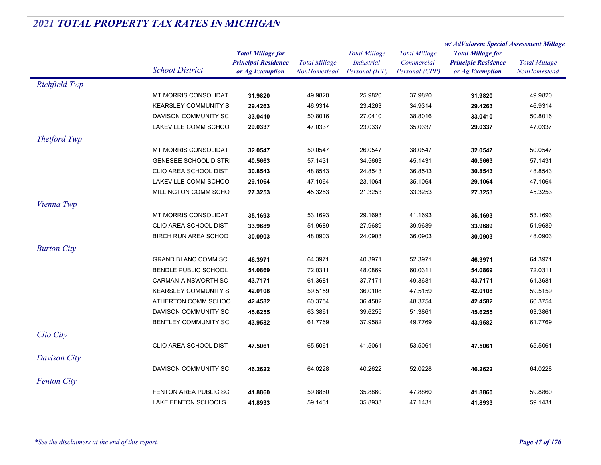|                    |                              | <b>Total Millage for</b><br><b>Principal Residence</b><br>or Ag Exemption | <b>Total Millage</b> | <b>Total Millage</b><br><b>Industrial</b> | <b>Total Millage</b> | w/AdValorem Special Assessment Millage                 |                      |
|--------------------|------------------------------|---------------------------------------------------------------------------|----------------------|-------------------------------------------|----------------------|--------------------------------------------------------|----------------------|
|                    |                              |                                                                           |                      |                                           |                      | <b>Total Millage for</b><br><b>Principle Residence</b> | <b>Total Millage</b> |
|                    |                              |                                                                           |                      |                                           | Commercial           |                                                        |                      |
|                    | <b>School District</b>       |                                                                           | NonHomestead         | Personal (IPP)                            | Personal (CPP)       | or Ag Exemption                                        | NonHomestead         |
| Richfield Twp      |                              |                                                                           |                      |                                           |                      |                                                        |                      |
|                    | MT MORRIS CONSOLIDAT         | 31.9820                                                                   | 49.9820              | 25.9820                                   | 37.9820              | 31.9820                                                | 49.9820              |
|                    | <b>KEARSLEY COMMUNITY S</b>  | 29.4263                                                                   | 46.9314              | 23.4263                                   | 34.9314              | 29.4263                                                | 46.9314              |
|                    | DAVISON COMMUNITY SC         | 33.0410                                                                   | 50.8016              | 27.0410                                   | 38.8016              | 33.0410                                                | 50.8016              |
|                    | LAKEVILLE COMM SCHOO         | 29.0337                                                                   | 47.0337              | 23.0337                                   | 35.0337              | 29.0337                                                | 47.0337              |
| Thetford Twp       |                              |                                                                           |                      |                                           |                      |                                                        |                      |
|                    | MT MORRIS CONSOLIDAT         | 32.0547                                                                   | 50.0547              | 26.0547                                   | 38.0547              | 32.0547                                                | 50.0547              |
|                    | <b>GENESEE SCHOOL DISTRI</b> | 40.5663                                                                   | 57.1431              | 34.5663                                   | 45.1431              | 40.5663                                                | 57.1431              |
|                    | CLIO AREA SCHOOL DIST        | 30.8543                                                                   | 48.8543              | 24.8543                                   | 36.8543              | 30.8543                                                | 48.8543              |
|                    | LAKEVILLE COMM SCHOO         | 29.1064                                                                   | 47.1064              | 23.1064                                   | 35.1064              | 29.1064                                                | 47.1064              |
|                    | MILLINGTON COMM SCHO         | 27.3253                                                                   | 45.3253              | 21.3253                                   | 33.3253              | 27.3253                                                | 45.3253              |
| Vienna Twp         |                              |                                                                           |                      |                                           |                      |                                                        |                      |
|                    | <b>MT MORRIS CONSOLIDAT</b>  | 35.1693                                                                   | 53.1693              | 29.1693                                   | 41.1693              | 35.1693                                                | 53.1693              |
|                    | CLIO AREA SCHOOL DIST        | 33.9689                                                                   | 51.9689              | 27.9689                                   | 39.9689              | 33.9689                                                | 51.9689              |
|                    | <b>BIRCH RUN AREA SCHOO</b>  | 30.0903                                                                   | 48.0903              | 24.0903                                   | 36.0903              | 30.0903                                                | 48.0903              |
| <b>Burton City</b> |                              |                                                                           |                      |                                           |                      |                                                        |                      |
|                    | <b>GRAND BLANC COMM SC</b>   | 46.3971                                                                   | 64.3971              | 40.3971                                   | 52.3971              | 46.3971                                                | 64.3971              |
|                    | <b>BENDLE PUBLIC SCHOOL</b>  | 54.0869                                                                   | 72.0311              | 48.0869                                   | 60.0311              | 54.0869                                                | 72.0311              |
|                    | <b>CARMAN-AINSWORTH SC</b>   | 43.7171                                                                   | 61.3681              | 37.7171                                   | 49.3681              | 43.7171                                                | 61.3681              |
|                    | <b>KEARSLEY COMMUNITY S</b>  | 42.0108                                                                   | 59.5159              | 36.0108                                   | 47.5159              | 42.0108                                                | 59.5159              |
|                    | ATHERTON COMM SCHOO          | 42.4582                                                                   | 60.3754              | 36.4582                                   | 48.3754              | 42.4582                                                | 60.3754              |
|                    | DAVISON COMMUNITY SC         | 45.6255                                                                   | 63.3861              | 39.6255                                   | 51.3861              | 45.6255                                                | 63.3861              |
|                    | BENTLEY COMMUNITY SC         | 43.9582                                                                   | 61.7769              | 37.9582                                   | 49.7769              | 43.9582                                                | 61.7769              |
| Clio City          |                              |                                                                           |                      |                                           |                      |                                                        |                      |
|                    | CLIO AREA SCHOOL DIST        | 47.5061                                                                   | 65.5061              | 41.5061                                   | 53.5061              | 47.5061                                                | 65.5061              |
| Davison City       |                              |                                                                           |                      |                                           |                      |                                                        |                      |
|                    | DAVISON COMMUNITY SC         | 46.2622                                                                   | 64.0228              | 40.2622                                   | 52.0228              | 46.2622                                                | 64.0228              |
|                    |                              |                                                                           |                      |                                           |                      |                                                        |                      |
| <b>Fenton City</b> |                              |                                                                           |                      |                                           |                      |                                                        |                      |
|                    | FENTON AREA PUBLIC SC        | 41.8860                                                                   | 59.8860              | 35.8860                                   | 47.8860              | 41.8860                                                | 59.8860              |
|                    | LAKE FENTON SCHOOLS          | 41.8933                                                                   | 59.1431              | 35.8933                                   | 47.1431              | 41.8933                                                | 59.1431              |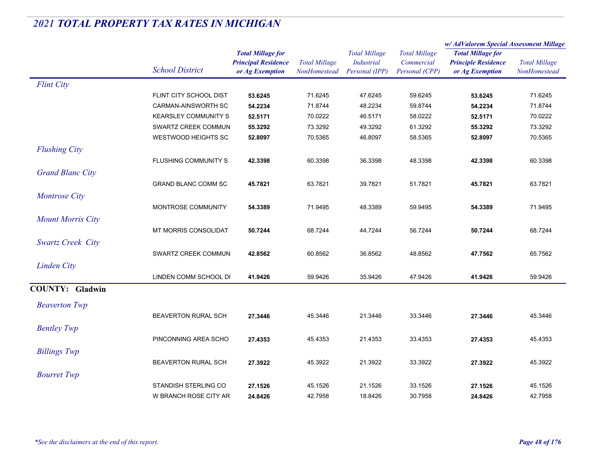|                          |                             | <b>Total Millage for</b><br><b>Principal Residence</b><br>or Ag Exemption | <b>Total Millage</b><br>NonHomestead | <b>Total Millage</b><br><b>Industrial</b><br>Personal (IPP) | <b>Total Millage</b><br>Commercial<br>Personal (CPP) | w/AdValorem Special Assessment Millage                                    |                                      |
|--------------------------|-----------------------------|---------------------------------------------------------------------------|--------------------------------------|-------------------------------------------------------------|------------------------------------------------------|---------------------------------------------------------------------------|--------------------------------------|
|                          | <b>School District</b>      |                                                                           |                                      |                                                             |                                                      | <b>Total Millage for</b><br><b>Principle Residence</b><br>or Ag Exemption | <b>Total Millage</b><br>NonHomestead |
| <b>Flint City</b>        |                             |                                                                           |                                      |                                                             |                                                      |                                                                           |                                      |
|                          | FLINT CITY SCHOOL DIST      | 53.6245                                                                   | 71.6245                              | 47.6245                                                     | 59.6245                                              | 53.6245                                                                   | 71.6245                              |
|                          | <b>CARMAN-AINSWORTH SC</b>  | 54.2234                                                                   | 71.8744                              | 48.2234                                                     | 59.8744                                              | 54.2234                                                                   | 71.8744                              |
|                          | <b>KEARSLEY COMMUNITY S</b> | 52.5171                                                                   | 70.0222                              | 46.5171                                                     | 58.0222                                              | 52.5171                                                                   | 70.0222                              |
|                          | SWARTZ CREEK COMMUN         | 55.3292                                                                   | 73.3292                              | 49.3292                                                     | 61.3292                                              | 55.3292                                                                   | 73.3292                              |
|                          | <b>WESTWOOD HEIGHTS SC</b>  | 52.8097                                                                   | 70.5365                              | 46.8097                                                     | 58.5365                                              | 52.8097                                                                   | 70.5365                              |
| <b>Flushing City</b>     |                             |                                                                           |                                      |                                                             |                                                      |                                                                           |                                      |
|                          | <b>FLUSHING COMMUNITY S</b> | 42.3398                                                                   | 60.3398                              | 36.3398                                                     | 48.3398                                              | 42.3398                                                                   | 60.3398                              |
| <b>Grand Blanc City</b>  |                             |                                                                           |                                      |                                                             |                                                      |                                                                           |                                      |
|                          | <b>GRAND BLANC COMM SC</b>  | 45.7821                                                                   | 63.7821                              | 39.7821                                                     | 51.7821                                              | 45.7821                                                                   | 63.7821                              |
| <b>Montrose City</b>     |                             |                                                                           |                                      |                                                             |                                                      |                                                                           |                                      |
|                          | MONTROSE COMMUNITY          | 54.3389                                                                   | 71.9495                              | 48.3389                                                     | 59.9495                                              | 54.3389                                                                   | 71.9495                              |
|                          |                             |                                                                           |                                      |                                                             |                                                      |                                                                           |                                      |
| <b>Mount Morris City</b> |                             |                                                                           |                                      |                                                             |                                                      |                                                                           |                                      |
|                          | <b>MT MORRIS CONSOLIDAT</b> | 50.7244                                                                   | 68.7244                              | 44.7244                                                     | 56.7244                                              | 50.7244                                                                   | 68.7244                              |
| Swartz Creek City        |                             |                                                                           |                                      |                                                             |                                                      |                                                                           |                                      |
|                          | SWARTZ CREEK COMMUN         | 42.8562                                                                   | 60.8562                              | 36.8562                                                     | 48.8562                                              | 47.7562                                                                   | 65.7562                              |
| Linden City              |                             |                                                                           |                                      |                                                             |                                                      |                                                                           |                                      |
|                          | LINDEN COMM SCHOOL DI       | 41.9426                                                                   | 59.9426                              | 35.9426                                                     | 47.9426                                              | 41.9426                                                                   | 59.9426                              |
| <b>COUNTY: Gladwin</b>   |                             |                                                                           |                                      |                                                             |                                                      |                                                                           |                                      |
| <b>Beaverton Twp</b>     |                             |                                                                           |                                      |                                                             |                                                      |                                                                           |                                      |
|                          | <b>BEAVERTON RURAL SCH</b>  | 27.3446                                                                   | 45.3446                              | 21.3446                                                     | 33.3446                                              | 27.3446                                                                   | 45.3446                              |
| <b>Bentley Twp</b>       |                             |                                                                           |                                      |                                                             |                                                      |                                                                           |                                      |
|                          | PINCONNING AREA SCHO        |                                                                           | 45.4353                              | 21.4353                                                     |                                                      |                                                                           |                                      |
|                          |                             | 27.4353                                                                   |                                      |                                                             | 33.4353                                              | 27.4353                                                                   | 45.4353                              |
| <b>Billings Twp</b>      |                             |                                                                           |                                      |                                                             |                                                      |                                                                           |                                      |
|                          | <b>BEAVERTON RURAL SCH</b>  | 27.3922                                                                   | 45.3922                              | 21.3922                                                     | 33.3922                                              | 27.3922                                                                   | 45.3922                              |
| <b>Bourret Twp</b>       |                             |                                                                           |                                      |                                                             |                                                      |                                                                           |                                      |
|                          | STANDISH STERLING CO        | 27.1526                                                                   | 45.1526                              | 21.1526                                                     | 33.1526                                              | 27.1526                                                                   | 45.1526                              |
|                          | W BRANCH ROSE CITY AR       | 24.8426                                                                   | 42.7958                              | 18.8426                                                     | 30.7958                                              | 24.8426                                                                   | 42.7958                              |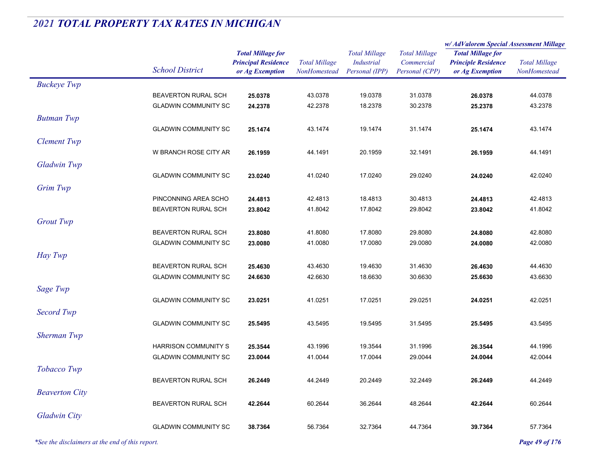|                       |                             |                                                                           |                                             |                                                             |                                                      | w/AdValorem Special Assessment Millage                                    |                                      |  |
|-----------------------|-----------------------------|---------------------------------------------------------------------------|---------------------------------------------|-------------------------------------------------------------|------------------------------------------------------|---------------------------------------------------------------------------|--------------------------------------|--|
|                       | <b>School District</b>      | <b>Total Millage for</b><br><b>Principal Residence</b><br>or Ag Exemption | <b>Total Millage</b><br><b>NonHomestead</b> | <b>Total Millage</b><br><b>Industrial</b><br>Personal (IPP) | <b>Total Millage</b><br>Commercial<br>Personal (CPP) | <b>Total Millage for</b><br><b>Principle Residence</b><br>or Ag Exemption | <b>Total Millage</b><br>NonHomestead |  |
| <b>Buckeye Twp</b>    |                             |                                                                           |                                             |                                                             |                                                      |                                                                           |                                      |  |
|                       | BEAVERTON RURAL SCH         | 25.0378                                                                   | 43.0378                                     | 19.0378                                                     | 31.0378                                              | 26.0378                                                                   | 44.0378                              |  |
|                       | <b>GLADWIN COMMUNITY SC</b> | 24.2378                                                                   | 42.2378                                     | 18.2378                                                     | 30.2378                                              | 25.2378                                                                   | 43.2378                              |  |
| <b>Butman Twp</b>     |                             |                                                                           |                                             |                                                             |                                                      |                                                                           |                                      |  |
|                       | <b>GLADWIN COMMUNITY SC</b> | 25.1474                                                                   | 43.1474                                     | 19.1474                                                     | 31.1474                                              | 25.1474                                                                   | 43.1474                              |  |
| <b>Clement Twp</b>    |                             |                                                                           |                                             |                                                             |                                                      |                                                                           |                                      |  |
|                       | W BRANCH ROSE CITY AR       | 26.1959                                                                   | 44.1491                                     | 20.1959                                                     | 32.1491                                              | 26.1959                                                                   | 44.1491                              |  |
| Gladwin Twp           |                             |                                                                           |                                             |                                                             |                                                      |                                                                           |                                      |  |
|                       | <b>GLADWIN COMMUNITY SC</b> | 23.0240                                                                   | 41.0240                                     | 17.0240                                                     | 29.0240                                              | 24.0240                                                                   | 42.0240                              |  |
| Grim Twp              |                             |                                                                           |                                             |                                                             |                                                      |                                                                           |                                      |  |
|                       | PINCONNING AREA SCHO        | 24.4813                                                                   | 42.4813                                     | 18.4813                                                     | 30.4813                                              | 24.4813                                                                   | 42.4813                              |  |
|                       | <b>BEAVERTON RURAL SCH</b>  | 23.8042                                                                   | 41.8042                                     | 17.8042                                                     | 29.8042                                              | 23.8042                                                                   | 41.8042                              |  |
| <b>Grout Twp</b>      |                             |                                                                           |                                             |                                                             |                                                      |                                                                           |                                      |  |
|                       | BEAVERTON RURAL SCH         | 23.8080                                                                   | 41.8080                                     | 17.8080                                                     | 29.8080                                              | 24.8080                                                                   | 42.8080                              |  |
|                       | <b>GLADWIN COMMUNITY SC</b> | 23.0080                                                                   | 41.0080                                     | 17.0080                                                     | 29.0080                                              | 24.0080                                                                   | 42.0080                              |  |
| Hay Twp               |                             |                                                                           |                                             |                                                             |                                                      |                                                                           |                                      |  |
|                       | BEAVERTON RURAL SCH         | 25.4630                                                                   | 43.4630                                     | 19.4630                                                     | 31.4630                                              | 26.4630                                                                   | 44.4630                              |  |
|                       | <b>GLADWIN COMMUNITY SC</b> | 24.6630                                                                   | 42.6630                                     | 18.6630                                                     | 30.6630                                              | 25.6630                                                                   | 43.6630                              |  |
| Sage Twp              |                             |                                                                           |                                             |                                                             |                                                      |                                                                           |                                      |  |
|                       | <b>GLADWIN COMMUNITY SC</b> | 23.0251                                                                   | 41.0251                                     | 17.0251                                                     | 29.0251                                              | 24.0251                                                                   | 42.0251                              |  |
| Secord Twp            |                             |                                                                           |                                             |                                                             |                                                      |                                                                           |                                      |  |
|                       | <b>GLADWIN COMMUNITY SC</b> | 25.5495                                                                   | 43.5495                                     | 19.5495                                                     | 31.5495                                              | 25.5495                                                                   | 43.5495                              |  |
| <b>Sherman Twp</b>    |                             |                                                                           |                                             |                                                             |                                                      |                                                                           |                                      |  |
|                       | <b>HARRISON COMMUNITY S</b> | 25.3544                                                                   | 43.1996                                     | 19.3544                                                     | 31.1996                                              | 26.3544                                                                   | 44.1996                              |  |
|                       | <b>GLADWIN COMMUNITY SC</b> | 23.0044                                                                   | 41.0044                                     | 17.0044                                                     | 29.0044                                              | 24.0044                                                                   | 42.0044                              |  |
| Tobacco Twp           |                             |                                                                           |                                             |                                                             |                                                      |                                                                           |                                      |  |
|                       | <b>BEAVERTON RURAL SCH</b>  | 26.2449                                                                   | 44.2449                                     | 20.2449                                                     | 32.2449                                              | 26.2449                                                                   | 44.2449                              |  |
| <b>Beaverton City</b> |                             |                                                                           |                                             |                                                             |                                                      |                                                                           |                                      |  |
|                       | BEAVERTON RURAL SCH         | 42.2644                                                                   | 60.2644                                     | 36.2644                                                     | 48.2644                                              | 42.2644                                                                   | 60.2644                              |  |
| <b>Gladwin City</b>   |                             |                                                                           |                                             |                                                             |                                                      |                                                                           |                                      |  |
|                       | <b>GLADWIN COMMUNITY SC</b> | 38.7364                                                                   | 56.7364                                     | 32.7364                                                     | 44.7364                                              | 39.7364                                                                   | 57.7364                              |  |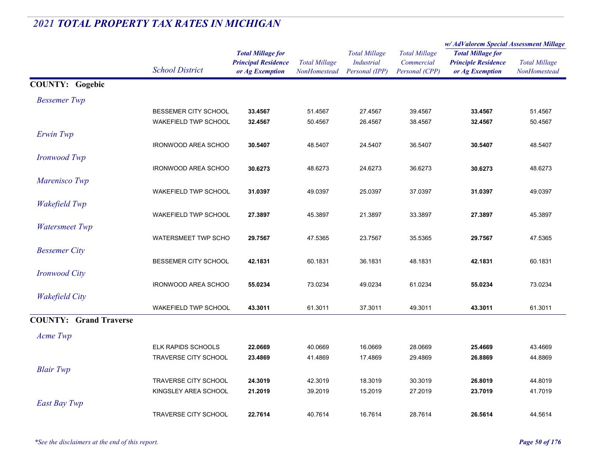|                               |                             |                                                                           |                                      |                                                             |                                                      | w/AdValorem Special Assessment Millage                                    |                                      |
|-------------------------------|-----------------------------|---------------------------------------------------------------------------|--------------------------------------|-------------------------------------------------------------|------------------------------------------------------|---------------------------------------------------------------------------|--------------------------------------|
|                               | <b>School District</b>      | <b>Total Millage for</b><br><b>Principal Residence</b><br>or Ag Exemption | <b>Total Millage</b><br>NonHomestead | <b>Total Millage</b><br><b>Industrial</b><br>Personal (IPP) | <b>Total Millage</b><br>Commercial<br>Personal (CPP) | <b>Total Millage for</b><br><b>Principle Residence</b><br>or Ag Exemption | <b>Total Millage</b><br>NonHomestead |
| <b>COUNTY: Gogebic</b>        |                             |                                                                           |                                      |                                                             |                                                      |                                                                           |                                      |
| <b>Bessemer</b> Twp           |                             |                                                                           |                                      |                                                             |                                                      |                                                                           |                                      |
|                               | BESSEMER CITY SCHOOL        | 33.4567                                                                   | 51.4567                              | 27.4567                                                     | 39.4567                                              | 33.4567                                                                   | 51.4567                              |
|                               | <b>WAKEFIELD TWP SCHOOL</b> | 32.4567                                                                   | 50.4567                              | 26.4567                                                     | 38.4567                                              | 32.4567                                                                   | 50.4567                              |
| Erwin Twp                     |                             |                                                                           |                                      |                                                             |                                                      |                                                                           |                                      |
|                               | <b>IRONWOOD AREA SCHOO</b>  | 30.5407                                                                   | 48.5407                              | 24.5407                                                     | 36.5407                                              | 30.5407                                                                   | 48.5407                              |
| <b>Ironwood Twp</b>           |                             |                                                                           |                                      |                                                             |                                                      |                                                                           |                                      |
|                               | <b>IRONWOOD AREA SCHOO</b>  | 30.6273                                                                   | 48.6273                              | 24.6273                                                     | 36.6273                                              | 30.6273                                                                   | 48.6273                              |
| Marenisco Twp                 |                             |                                                                           |                                      |                                                             |                                                      |                                                                           |                                      |
|                               | <b>WAKEFIELD TWP SCHOOL</b> | 31.0397                                                                   | 49.0397                              | 25.0397                                                     | 37.0397                                              | 31.0397                                                                   | 49.0397                              |
| <b>Wakefield Twp</b>          |                             |                                                                           |                                      |                                                             |                                                      |                                                                           |                                      |
|                               | WAKEFIELD TWP SCHOOL        | 27.3897                                                                   | 45.3897                              | 21.3897                                                     | 33.3897                                              | 27.3897                                                                   | 45.3897                              |
| <b>Watersmeet Twp</b>         |                             |                                                                           |                                      |                                                             |                                                      |                                                                           |                                      |
|                               | <b>WATERSMEET TWP SCHO</b>  | 29.7567                                                                   | 47.5365                              | 23.7567                                                     | 35.5365                                              | 29.7567                                                                   | 47.5365                              |
| <b>Bessemer City</b>          |                             |                                                                           |                                      |                                                             |                                                      |                                                                           |                                      |
|                               | BESSEMER CITY SCHOOL        | 42.1831                                                                   | 60.1831                              | 36.1831                                                     | 48.1831                                              | 42.1831                                                                   | 60.1831                              |
| <b>Ironwood City</b>          |                             |                                                                           |                                      |                                                             |                                                      |                                                                           |                                      |
|                               | <b>IRONWOOD AREA SCHOO</b>  | 55.0234                                                                   | 73.0234                              | 49.0234                                                     | 61.0234                                              | 55.0234                                                                   | 73.0234                              |
| <b>Wakefield City</b>         |                             |                                                                           |                                      |                                                             |                                                      |                                                                           |                                      |
|                               | WAKEFIELD TWP SCHOOL        | 43.3011                                                                   | 61.3011                              | 37.3011                                                     | 49.3011                                              | 43.3011                                                                   | 61.3011                              |
| <b>COUNTY: Grand Traverse</b> |                             |                                                                           |                                      |                                                             |                                                      |                                                                           |                                      |
| Acme Twp                      |                             |                                                                           |                                      |                                                             |                                                      |                                                                           |                                      |
|                               | <b>ELK RAPIDS SCHOOLS</b>   | 22.0669                                                                   | 40.0669                              | 16.0669                                                     | 28.0669                                              | 25.4669                                                                   | 43.4669                              |
|                               | TRAVERSE CITY SCHOOL        | 23.4869                                                                   | 41.4869                              | 17.4869                                                     | 29.4869                                              | 26.8869                                                                   | 44.8869                              |
| <b>Blair Twp</b>              |                             |                                                                           |                                      |                                                             |                                                      |                                                                           |                                      |
|                               | TRAVERSE CITY SCHOOL        | 24.3019                                                                   | 42.3019                              | 18.3019                                                     | 30.3019                                              | 26.8019                                                                   | 44.8019                              |
|                               | KINGSLEY AREA SCHOOL        | 21.2019                                                                   | 39.2019                              | 15.2019                                                     | 27.2019                                              | 23.7019                                                                   | 41.7019                              |
| East Bay Twp                  |                             |                                                                           |                                      |                                                             |                                                      |                                                                           |                                      |
|                               | <b>TRAVERSE CITY SCHOOL</b> | 22.7614                                                                   | 40.7614                              | 16.7614                                                     | 28.7614                                              | 26.5614                                                                   | 44.5614                              |
|                               |                             |                                                                           |                                      |                                                             |                                                      |                                                                           |                                      |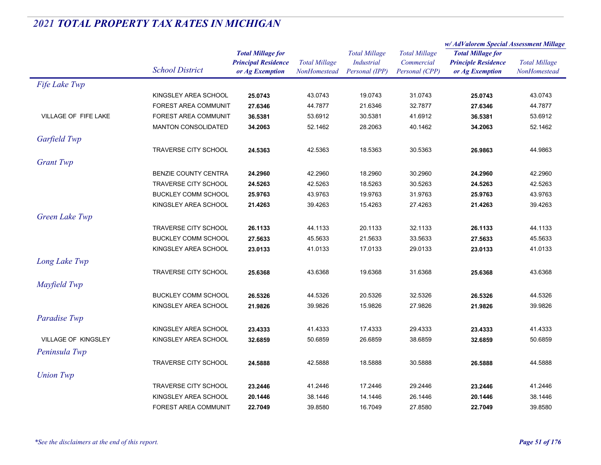|                             |                             |                            |                                      | <b>Total Millage</b> | <b>Total Millage</b> | w/AdValorem Special Assessment Millage |                      |
|-----------------------------|-----------------------------|----------------------------|--------------------------------------|----------------------|----------------------|----------------------------------------|----------------------|
|                             |                             | <b>Total Millage for</b>   | <b>Total Millage</b><br>NonHomestead |                      |                      | <b>Total Millage for</b>               |                      |
|                             |                             | <b>Principal Residence</b> |                                      | <b>Industrial</b>    | Commercial           | <b>Principle Residence</b>             | <b>Total Millage</b> |
|                             | <b>School District</b>      | or Ag Exemption            |                                      | Personal (IPP)       | Personal (CPP)       | or Ag Exemption                        | NonHomestead         |
| Fife Lake Twp               |                             |                            |                                      |                      |                      |                                        |                      |
|                             | KINGSLEY AREA SCHOOL        | 25.0743                    | 43.0743                              | 19.0743              | 31.0743              | 25.0743                                | 43.0743              |
|                             | <b>FOREST AREA COMMUNIT</b> | 27.6346                    | 44.7877                              | 21.6346              | 32.7877              | 27.6346                                | 44.7877              |
| <b>VILLAGE OF FIFE LAKE</b> | <b>FOREST AREA COMMUNIT</b> | 36.5381                    | 53.6912                              | 30.5381              | 41.6912              | 36.5381                                | 53.6912              |
|                             | <b>MANTON CONSOLIDATED</b>  | 34.2063                    | 52.1462                              | 28.2063              | 40.1462              | 34.2063                                | 52.1462              |
| Garfield Twp                |                             |                            |                                      |                      |                      |                                        |                      |
|                             | TRAVERSE CITY SCHOOL        | 24.5363                    | 42.5363                              | 18.5363              | 30.5363              | 26.9863                                | 44.9863              |
| <b>Grant</b> Twp            |                             |                            |                                      |                      |                      |                                        |                      |
|                             | BENZIE COUNTY CENTRA        | 24.2960                    | 42.2960                              | 18.2960              | 30.2960              | 24.2960                                | 42.2960              |
|                             | TRAVERSE CITY SCHOOL        | 24.5263                    | 42.5263                              | 18.5263              | 30.5263              | 24.5263                                | 42.5263              |
|                             | <b>BUCKLEY COMM SCHOOL</b>  | 25.9763                    | 43.9763                              | 19.9763              | 31.9763              | 25.9763                                | 43.9763              |
|                             | KINGSLEY AREA SCHOOL        | 21.4263                    | 39.4263                              | 15.4263              | 27.4263              | 21.4263                                | 39.4263              |
| Green Lake Twp              |                             |                            |                                      |                      |                      |                                        |                      |
|                             | <b>TRAVERSE CITY SCHOOL</b> | 26.1133                    | 44.1133                              | 20.1133              | 32.1133              | 26.1133                                | 44.1133              |
|                             | <b>BUCKLEY COMM SCHOOL</b>  | 27.5633                    | 45.5633                              | 21.5633              | 33.5633              | 27.5633                                | 45.5633              |
|                             | KINGSLEY AREA SCHOOL        | 23.0133                    | 41.0133                              | 17.0133              | 29.0133              | 23.0133                                | 41.0133              |
| Long Lake Twp               |                             |                            |                                      |                      |                      |                                        |                      |
|                             | <b>TRAVERSE CITY SCHOOL</b> | 25.6368                    | 43.6368                              | 19.6368              | 31.6368              | 25.6368                                | 43.6368              |
| Mayfield Twp                |                             |                            |                                      |                      |                      |                                        |                      |
|                             | <b>BUCKLEY COMM SCHOOL</b>  | 26.5326                    | 44.5326                              | 20.5326              | 32.5326              | 26.5326                                | 44.5326              |
|                             | KINGSLEY AREA SCHOOL        | 21.9826                    | 39.9826                              | 15.9826              | 27.9826              | 21.9826                                | 39.9826              |
| Paradise Twp                |                             |                            |                                      |                      |                      |                                        |                      |
|                             | KINGSLEY AREA SCHOOL        | 23.4333                    | 41.4333                              | 17.4333              | 29.4333              | 23.4333                                | 41.4333              |
| VILLAGE OF KINGSLEY         | KINGSLEY AREA SCHOOL        | 32.6859                    | 50.6859                              | 26.6859              | 38.6859              | 32.6859                                | 50.6859              |
| Peninsula Twp               |                             |                            |                                      |                      |                      |                                        |                      |
|                             | <b>TRAVERSE CITY SCHOOL</b> | 24.5888                    | 42.5888                              | 18.5888              | 30.5888              | 26.5888                                | 44.5888              |
| <b>Union Twp</b>            |                             |                            |                                      |                      |                      |                                        |                      |
|                             | <b>TRAVERSE CITY SCHOOL</b> | 23.2446                    | 41.2446                              | 17.2446              | 29.2446              | 23.2446                                | 41.2446              |
|                             | KINGSLEY AREA SCHOOL        | 20.1446                    | 38.1446                              | 14.1446              | 26.1446              | 20.1446                                | 38.1446              |
|                             | <b>FOREST AREA COMMUNIT</b> | 22.7049                    | 39.8580                              | 16.7049              | 27.8580              | 22.7049                                | 39.8580              |
|                             |                             |                            |                                      |                      |                      |                                        |                      |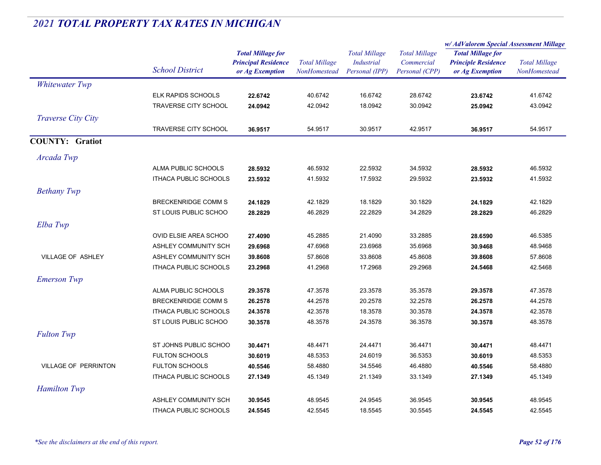|                             |                              | <b>Total Millage for</b>   | <b>Total Millage</b><br><b>NonHomestead</b> | <b>Total Millage</b><br><b>Industrial</b> | <b>Total Millage</b><br>Commercial | w/ AdValorem Special Assessment Millage |                      |
|-----------------------------|------------------------------|----------------------------|---------------------------------------------|-------------------------------------------|------------------------------------|-----------------------------------------|----------------------|
|                             | <b>School District</b>       |                            |                                             |                                           |                                    | <b>Total Millage for</b>                | <b>Total Millage</b> |
|                             |                              | <b>Principal Residence</b> |                                             |                                           |                                    | <b>Principle Residence</b>              |                      |
|                             |                              | or Ag Exemption            |                                             | Personal (IPP)                            | Personal (CPP)                     | or Ag Exemption                         | NonHomestead         |
| <b>Whitewater Twp</b>       |                              |                            |                                             |                                           |                                    |                                         |                      |
|                             | <b>ELK RAPIDS SCHOOLS</b>    | 22.6742                    | 40.6742                                     | 16.6742                                   | 28.6742                            | 23.6742                                 | 41.6742              |
|                             | TRAVERSE CITY SCHOOL         | 24.0942                    | 42.0942                                     | 18.0942                                   | 30.0942                            | 25.0942                                 | 43.0942              |
| Traverse City City          |                              |                            |                                             |                                           |                                    |                                         |                      |
|                             | <b>TRAVERSE CITY SCHOOL</b>  | 36.9517                    | 54.9517                                     | 30.9517                                   | 42.9517                            | 36.9517                                 | 54.9517              |
| <b>COUNTY: Gratiot</b>      |                              |                            |                                             |                                           |                                    |                                         |                      |
| Arcada Twp                  |                              |                            |                                             |                                           |                                    |                                         |                      |
|                             | ALMA PUBLIC SCHOOLS          | 28.5932                    | 46.5932                                     | 22.5932                                   | 34.5932                            | 28.5932                                 | 46.5932              |
|                             | <b>ITHACA PUBLIC SCHOOLS</b> | 23.5932                    | 41.5932                                     | 17.5932                                   | 29.5932                            | 23.5932                                 | 41.5932              |
| <b>Bethany Twp</b>          |                              |                            |                                             |                                           |                                    |                                         |                      |
|                             | <b>BRECKENRIDGE COMM S</b>   | 24.1829                    | 42.1829                                     | 18.1829                                   | 30.1829                            | 24.1829                                 | 42.1829              |
|                             | ST LOUIS PUBLIC SCHOO        | 28.2829                    | 46.2829                                     | 22.2829                                   | 34.2829                            | 28.2829                                 | 46.2829              |
| Elba Twp                    |                              |                            |                                             |                                           |                                    |                                         |                      |
|                             | OVID ELSIE AREA SCHOO        | 27.4090                    | 45.2885                                     | 21.4090                                   | 33.2885                            | 28.6590                                 | 46.5385              |
|                             | ASHLEY COMMUNITY SCH         | 29.6968                    | 47.6968                                     | 23.6968                                   | 35.6968                            | 30.9468                                 | 48.9468              |
| VILLAGE OF ASHLEY           | ASHLEY COMMUNITY SCH         | 39.8608                    | 57.8608                                     | 33.8608                                   | 45.8608                            | 39.8608                                 | 57.8608              |
|                             | <b>ITHACA PUBLIC SCHOOLS</b> | 23.2968                    | 41.2968                                     | 17.2968                                   | 29.2968                            | 24.5468                                 | 42.5468              |
| <b>Emerson Twp</b>          |                              |                            |                                             |                                           |                                    |                                         |                      |
|                             | ALMA PUBLIC SCHOOLS          | 29.3578                    | 47.3578                                     | 23.3578                                   | 35.3578                            | 29.3578                                 | 47.3578              |
|                             | <b>BRECKENRIDGE COMM S</b>   | 26.2578                    | 44.2578                                     | 20.2578                                   | 32.2578                            | 26.2578                                 | 44.2578              |
|                             | <b>ITHACA PUBLIC SCHOOLS</b> | 24.3578                    | 42.3578                                     | 18.3578                                   | 30.3578                            | 24.3578                                 | 42.3578              |
|                             | ST LOUIS PUBLIC SCHOO        | 30.3578                    | 48.3578                                     | 24.3578                                   | 36.3578                            | 30.3578                                 | 48.3578              |
| <b>Fulton Twp</b>           |                              |                            |                                             |                                           |                                    |                                         |                      |
|                             | ST JOHNS PUBLIC SCHOO        | 30.4471                    | 48.4471                                     | 24.4471                                   | 36.4471                            | 30.4471                                 | 48.4471              |
|                             | <b>FULTON SCHOOLS</b>        | 30.6019                    | 48.5353                                     | 24.6019                                   | 36.5353                            | 30.6019                                 | 48.5353              |
| <b>VILLAGE OF PERRINTON</b> | <b>FULTON SCHOOLS</b>        | 40.5546                    | 58.4880                                     | 34.5546                                   | 46.4880                            | 40.5546                                 | 58.4880              |
|                             | <b>ITHACA PUBLIC SCHOOLS</b> | 27.1349                    | 45.1349                                     | 21.1349                                   | 33.1349                            | 27.1349                                 | 45.1349              |
| <b>Hamilton Twp</b>         |                              |                            |                                             |                                           |                                    |                                         |                      |
|                             | ASHLEY COMMUNITY SCH         | 30.9545                    | 48.9545                                     | 24.9545                                   | 36.9545                            | 30.9545                                 | 48.9545              |
|                             | <b>ITHACA PUBLIC SCHOOLS</b> | 24.5545                    | 42.5545                                     | 18.5545                                   | 30.5545                            | 24.5545                                 | 42.5545              |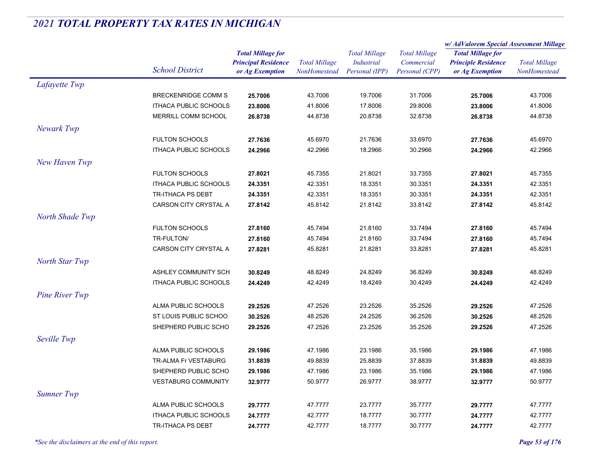|                       |                              |                            | <b>Total Millage</b> | <b>Total Millage</b><br><b>Industrial</b> | <b>Total Millage</b><br>Commercial | w/ AdValorem Special Assessment Millage |                                      |
|-----------------------|------------------------------|----------------------------|----------------------|-------------------------------------------|------------------------------------|-----------------------------------------|--------------------------------------|
|                       |                              | <b>Total Millage for</b>   |                      |                                           |                                    | <b>Total Millage for</b>                | <b>Total Millage</b><br>NonHomestead |
|                       | <b>School District</b>       | <b>Principal Residence</b> |                      |                                           |                                    | <b>Principle Residence</b>              |                                      |
|                       |                              | or Ag Exemption            | NonHomestead         | Personal (IPP)                            | Personal (CPP)                     | or Ag Exemption                         |                                      |
| Lafayette Twp         |                              |                            |                      |                                           |                                    |                                         |                                      |
|                       | <b>BRECKENRIDGE COMM S</b>   | 25.7006                    | 43.7006              | 19.7006                                   | 31.7006                            | 25.7006                                 | 43.7006                              |
|                       | ITHACA PUBLIC SCHOOLS        | 23.8006                    | 41.8006              | 17.8006                                   | 29.8006                            | 23.8006                                 | 41.8006                              |
|                       | MERRILL COMM SCHOOL          | 26.8738                    | 44.8738              | 20.8738                                   | 32.8738                            | 26.8738                                 | 44.8738                              |
| Newark Twp            |                              |                            |                      |                                           |                                    |                                         |                                      |
|                       | <b>FULTON SCHOOLS</b>        | 27.7636                    | 45.6970              | 21.7636                                   | 33.6970                            | 27.7636                                 | 45.6970                              |
|                       | <b>ITHACA PUBLIC SCHOOLS</b> | 24.2966                    | 42.2966              | 18.2966                                   | 30.2966                            | 24.2966                                 | 42.2966                              |
| New Haven Twp         |                              |                            |                      |                                           |                                    |                                         |                                      |
|                       | <b>FULTON SCHOOLS</b>        | 27.8021                    | 45.7355              | 21.8021                                   | 33.7355                            | 27.8021                                 | 45.7355                              |
|                       | <b>ITHACA PUBLIC SCHOOLS</b> | 24.3351                    | 42.3351              | 18.3351                                   | 30.3351                            | 24.3351                                 | 42.3351                              |
|                       | <b>TR-ITHACA PS DEBT</b>     | 24.3351                    | 42.3351              | 18.3351                                   | 30.3351                            | 24.3351                                 | 42.3351                              |
|                       | CARSON CITY CRYSTAL A        | 27.8142                    | 45.8142              | 21.8142                                   | 33.8142                            | 27.8142                                 | 45.8142                              |
| North Shade Twp       |                              |                            |                      |                                           |                                    |                                         |                                      |
|                       | <b>FULTON SCHOOLS</b>        | 27.8160                    | 45.7494              | 21.8160                                   | 33.7494                            | 27.8160                                 | 45.7494                              |
|                       | TR-FULTON/                   | 27.8160                    | 45.7494              | 21.8160                                   | 33.7494                            | 27.8160                                 | 45.7494                              |
|                       | CARSON CITY CRYSTAL A        | 27.8281                    | 45.8281              | 21.8281                                   | 33.8281                            | 27.8281                                 | 45.8281                              |
| North Star Twp        |                              |                            |                      |                                           |                                    |                                         |                                      |
|                       | ASHLEY COMMUNITY SCH         | 30.8249                    | 48.8249              | 24.8249                                   | 36.8249                            | 30.8249                                 | 48.8249                              |
|                       | <b>ITHACA PUBLIC SCHOOLS</b> | 24.4249                    | 42.4249              | 18.4249                                   | 30.4249                            | 24.4249                                 | 42.4249                              |
| <b>Pine River Twp</b> |                              |                            |                      |                                           |                                    |                                         |                                      |
|                       | ALMA PUBLIC SCHOOLS          | 29.2526                    | 47.2526              | 23.2526                                   | 35.2526                            | 29.2526                                 | 47.2526                              |
|                       | ST LOUIS PUBLIC SCHOO        | 30.2526                    | 48.2526              | 24.2526                                   | 36.2526                            | 30.2526                                 | 48.2526                              |
|                       | SHEPHERD PUBLIC SCHO         | 29.2526                    | 47.2526              | 23.2526                                   | 35.2526                            | 29.2526                                 | 47.2526                              |
| Seville Twp           |                              |                            |                      |                                           |                                    |                                         |                                      |
|                       | ALMA PUBLIC SCHOOLS          | 29.1986                    | 47.1986              | 23.1986                                   | 35.1986                            | 29.1986                                 | 47.1986                              |
|                       | TR-ALMA Fr VESTABURG         | 31.8839                    | 49.8839              | 25.8839                                   | 37.8839                            | 31.8839                                 | 49.8839                              |
|                       | SHEPHERD PUBLIC SCHO         | 29.1986                    | 47.1986              | 23.1986                                   | 35.1986                            | 29.1986                                 | 47.1986                              |
|                       | <b>VESTABURG COMMUNITY</b>   | 32.9777                    | 50.9777              | 26.9777                                   | 38.9777                            | 32.9777                                 | 50.9777                              |
| Sumner Twp            |                              |                            |                      |                                           |                                    |                                         |                                      |
|                       | ALMA PUBLIC SCHOOLS          | 29.7777                    | 47.7777              | 23.7777                                   | 35.7777                            | 29.7777                                 | 47.7777                              |
|                       | ITHACA PUBLIC SCHOOLS        | 24.7777                    | 42.7777              | 18.7777                                   | 30.7777                            | 24.7777                                 | 42.7777                              |
|                       | <b>TR-ITHACA PS DEBT</b>     | 24.7777                    | 42.7777              | 18.7777                                   | 30.7777                            | 24.7777                                 | 42.7777                              |
|                       |                              |                            |                      |                                           |                                    |                                         |                                      |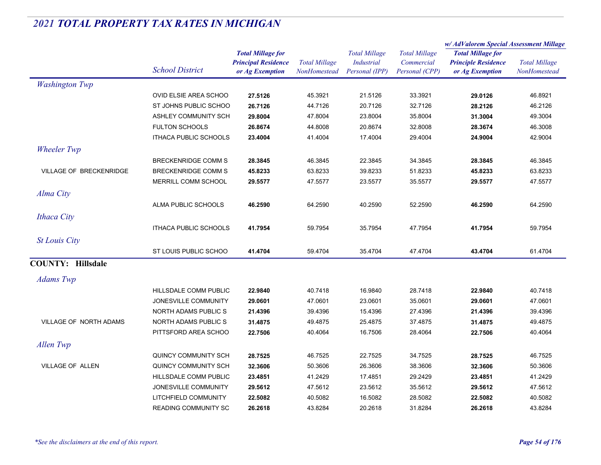|                          |                              |                                                                           |                                             |                                                      |                                                      | w/AdValorem Special Assessment Millage                                    |                                      |
|--------------------------|------------------------------|---------------------------------------------------------------------------|---------------------------------------------|------------------------------------------------------|------------------------------------------------------|---------------------------------------------------------------------------|--------------------------------------|
|                          | <b>School District</b>       | <b>Total Millage for</b><br><b>Principal Residence</b><br>or Ag Exemption | <b>Total Millage</b><br><b>NonHomestead</b> | <b>Total Millage</b><br>Industrial<br>Personal (IPP) | <b>Total Millage</b><br>Commercial<br>Personal (CPP) | <b>Total Millage for</b><br><b>Principle Residence</b><br>or Ag Exemption | <b>Total Millage</b><br>NonHomestead |
| <b>Washington Twp</b>    |                              |                                                                           |                                             |                                                      |                                                      |                                                                           |                                      |
|                          | OVID ELSIE AREA SCHOO        | 27.5126                                                                   | 45.3921                                     | 21.5126                                              | 33.3921                                              | 29.0126                                                                   | 46.8921                              |
|                          | ST JOHNS PUBLIC SCHOO        | 26.7126                                                                   | 44.7126                                     | 20.7126                                              | 32.7126                                              | 28.2126                                                                   | 46.2126                              |
|                          | ASHLEY COMMUNITY SCH         | 29.8004                                                                   | 47.8004                                     | 23.8004                                              | 35.8004                                              | 31.3004                                                                   | 49.3004                              |
|                          | <b>FULTON SCHOOLS</b>        | 26.8674                                                                   | 44.8008                                     | 20.8674                                              | 32.8008                                              | 28.3674                                                                   | 46.3008                              |
|                          | <b>ITHACA PUBLIC SCHOOLS</b> | 23.4004                                                                   | 41.4004                                     | 17.4004                                              | 29.4004                                              | 24.9004                                                                   | 42.9004                              |
| <b>Wheeler Twp</b>       |                              |                                                                           |                                             |                                                      |                                                      |                                                                           |                                      |
|                          | <b>BRECKENRIDGE COMM S</b>   | 28.3845                                                                   | 46.3845                                     | 22.3845                                              | 34.3845                                              | 28.3845                                                                   | 46.3845                              |
| VILLAGE OF BRECKENRIDGE  | <b>BRECKENRIDGE COMM S</b>   | 45.8233                                                                   | 63.8233                                     | 39.8233                                              | 51.8233                                              | 45.8233                                                                   | 63.8233                              |
|                          | MERRILL COMM SCHOOL          | 29.5577                                                                   | 47.5577                                     | 23.5577                                              | 35.5577                                              | 29.5577                                                                   | 47.5577                              |
| Alma City                |                              |                                                                           |                                             |                                                      |                                                      |                                                                           |                                      |
|                          | ALMA PUBLIC SCHOOLS          | 46.2590                                                                   | 64.2590                                     | 40.2590                                              | 52.2590                                              | 46.2590                                                                   | 64.2590                              |
| <b>Ithaca City</b>       |                              |                                                                           |                                             |                                                      |                                                      |                                                                           |                                      |
|                          | <b>ITHACA PUBLIC SCHOOLS</b> | 41.7954                                                                   | 59.7954                                     | 35.7954                                              | 47.7954                                              | 41.7954                                                                   | 59.7954                              |
| <b>St Louis City</b>     |                              |                                                                           |                                             |                                                      |                                                      |                                                                           |                                      |
|                          | ST LOUIS PUBLIC SCHOO        | 41.4704                                                                   | 59.4704                                     | 35.4704                                              | 47.4704                                              | 43.4704                                                                   | 61.4704                              |
| <b>COUNTY: Hillsdale</b> |                              |                                                                           |                                             |                                                      |                                                      |                                                                           |                                      |
| <b>Adams</b> Twp         |                              |                                                                           |                                             |                                                      |                                                      |                                                                           |                                      |
|                          | HILLSDALE COMM PUBLIC        | 22.9840                                                                   | 40.7418                                     | 16.9840                                              | 28.7418                                              | 22.9840                                                                   | 40.7418                              |
|                          | JONESVILLE COMMUNITY         | 29.0601                                                                   | 47.0601                                     | 23.0601                                              | 35.0601                                              | 29.0601                                                                   | 47.0601                              |
|                          | <b>NORTH ADAMS PUBLIC S</b>  | 21.4396                                                                   | 39.4396                                     | 15.4396                                              | 27.4396                                              | 21.4396                                                                   | 39.4396                              |
| VILLAGE OF NORTH ADAMS   | NORTH ADAMS PUBLIC S         | 31.4875                                                                   | 49.4875                                     | 25.4875                                              | 37.4875                                              | 31.4875                                                                   | 49.4875                              |
|                          | PITTSFORD AREA SCHOO         | 22.7506                                                                   | 40.4064                                     | 16.7506                                              | 28.4064                                              | 22.7506                                                                   | 40.4064                              |
| Allen Twp                |                              |                                                                           |                                             |                                                      |                                                      |                                                                           |                                      |
|                          | QUINCY COMMUNITY SCH         | 28.7525                                                                   | 46.7525                                     | 22.7525                                              | 34.7525                                              | 28.7525                                                                   | 46.7525                              |
| <b>VILLAGE OF ALLEN</b>  | QUINCY COMMUNITY SCH         | 32.3606                                                                   | 50.3606                                     | 26.3606                                              | 38.3606                                              | 32.3606                                                                   | 50.3606                              |
|                          | HILLSDALE COMM PUBLIC        | 23.4851                                                                   | 41.2429                                     | 17.4851                                              | 29.2429                                              | 23.4851                                                                   | 41.2429                              |
|                          | JONESVILLE COMMUNITY         | 29.5612                                                                   | 47.5612                                     | 23.5612                                              | 35.5612                                              | 29.5612                                                                   | 47.5612                              |
|                          | LITCHFIELD COMMUNITY         | 22.5082                                                                   | 40.5082                                     | 16.5082                                              | 28.5082                                              | 22.5082                                                                   | 40.5082                              |
|                          | <b>READING COMMUNITY SC</b>  | 26.2618                                                                   | 43.8284                                     | 20.2618                                              | 31.8284                                              | 26.2618                                                                   | 43.8284                              |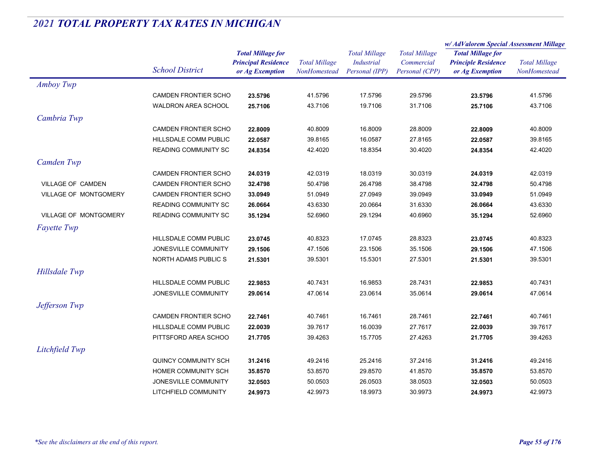|                              |                             |                                                                           | <b>Total Millage</b><br>NonHomestead | <b>Total Millage</b><br><b>Industrial</b><br>Personal (IPP) | <b>Total Millage</b><br>Commercial<br>Personal (CPP) | w/AdValorem Special Assessment Millage        |                                      |
|------------------------------|-----------------------------|---------------------------------------------------------------------------|--------------------------------------|-------------------------------------------------------------|------------------------------------------------------|-----------------------------------------------|--------------------------------------|
|                              |                             | <b>Total Millage for</b><br><b>Principal Residence</b><br>or Ag Exemption |                                      |                                                             |                                                      | <b>Total Millage for</b>                      | <b>Total Millage</b><br>NonHomestead |
|                              | <b>School District</b>      |                                                                           |                                      |                                                             |                                                      | <b>Principle Residence</b><br>or Ag Exemption |                                      |
|                              |                             |                                                                           |                                      |                                                             |                                                      |                                               |                                      |
| Amboy Twp                    |                             |                                                                           |                                      |                                                             |                                                      |                                               |                                      |
|                              | CAMDEN FRONTIER SCHO        | 23.5796                                                                   | 41.5796                              | 17.5796                                                     | 29.5796                                              | 23.5796                                       | 41.5796                              |
|                              | <b>WALDRON AREA SCHOOL</b>  | 25.7106                                                                   | 43.7106                              | 19.7106                                                     | 31.7106                                              | 25.7106                                       | 43.7106                              |
| Cambria Twp                  |                             |                                                                           |                                      |                                                             |                                                      |                                               |                                      |
|                              | <b>CAMDEN FRONTIER SCHO</b> | 22.8009                                                                   | 40.8009                              | 16.8009                                                     | 28.8009                                              | 22.8009                                       | 40.8009                              |
|                              | HILLSDALE COMM PUBLIC       | 22.0587                                                                   | 39.8165                              | 16.0587                                                     | 27.8165                                              | 22.0587                                       | 39.8165                              |
|                              | <b>READING COMMUNITY SC</b> | 24.8354                                                                   | 42.4020                              | 18.8354                                                     | 30.4020                                              | 24.8354                                       | 42.4020                              |
| Camden Twp                   |                             |                                                                           |                                      |                                                             |                                                      |                                               |                                      |
|                              | <b>CAMDEN FRONTIER SCHO</b> | 24.0319                                                                   | 42.0319                              | 18.0319                                                     | 30.0319                                              | 24.0319                                       | 42.0319                              |
| VILLAGE OF CAMDEN            | CAMDEN FRONTIER SCHO        | 32.4798                                                                   | 50.4798                              | 26.4798                                                     | 38.4798                                              | 32.4798                                       | 50.4798                              |
| <b>VILLAGE OF MONTGOMERY</b> | <b>CAMDEN FRONTIER SCHO</b> | 33.0949                                                                   | 51.0949                              | 27.0949                                                     | 39.0949                                              | 33.0949                                       | 51.0949                              |
|                              | <b>READING COMMUNITY SC</b> | 26.0664                                                                   | 43.6330                              | 20.0664                                                     | 31.6330                                              | 26.0664                                       | 43.6330                              |
| VILLAGE OF MONTGOMERY        | <b>READING COMMUNITY SC</b> | 35.1294                                                                   | 52.6960                              | 29.1294                                                     | 40.6960                                              | 35.1294                                       | 52.6960                              |
| <b>Fayette Twp</b>           |                             |                                                                           |                                      |                                                             |                                                      |                                               |                                      |
|                              | HILLSDALE COMM PUBLIC       | 23.0745                                                                   | 40.8323                              | 17.0745                                                     | 28.8323                                              | 23.0745                                       | 40.8323                              |
|                              | JONESVILLE COMMUNITY        | 29.1506                                                                   | 47.1506                              | 23.1506                                                     | 35.1506                                              | 29.1506                                       | 47.1506                              |
|                              | NORTH ADAMS PUBLIC S        | 21.5301                                                                   | 39.5301                              | 15.5301                                                     | 27.5301                                              | 21.5301                                       | 39.5301                              |
| Hillsdale Twp                |                             |                                                                           |                                      |                                                             |                                                      |                                               |                                      |
|                              | HILLSDALE COMM PUBLIC       | 22.9853                                                                   | 40.7431                              | 16.9853                                                     | 28.7431                                              | 22.9853                                       | 40.7431                              |
|                              | JONESVILLE COMMUNITY        | 29.0614                                                                   | 47.0614                              | 23.0614                                                     | 35.0614                                              | 29.0614                                       | 47.0614                              |
| Jefferson Twp                |                             |                                                                           |                                      |                                                             |                                                      |                                               |                                      |
|                              | <b>CAMDEN FRONTIER SCHO</b> | 22.7461                                                                   | 40.7461                              | 16.7461                                                     | 28.7461                                              | 22.7461                                       | 40.7461                              |
|                              | HILLSDALE COMM PUBLIC       | 22.0039                                                                   | 39.7617                              | 16.0039                                                     | 27.7617                                              | 22.0039                                       | 39.7617                              |
|                              | PITTSFORD AREA SCHOO        | 21.7705                                                                   | 39.4263                              | 15.7705                                                     | 27.4263                                              | 21.7705                                       | 39.4263                              |
| Litchfield Twp               |                             |                                                                           |                                      |                                                             |                                                      |                                               |                                      |
|                              | QUINCY COMMUNITY SCH        | 31.2416                                                                   | 49.2416                              | 25.2416                                                     | 37.2416                                              | 31.2416                                       | 49.2416                              |
|                              | HOMER COMMUNITY SCH         | 35.8570                                                                   | 53.8570                              | 29.8570                                                     | 41.8570                                              | 35.8570                                       | 53.8570                              |
|                              | JONESVILLE COMMUNITY        | 32.0503                                                                   | 50.0503                              | 26.0503                                                     | 38.0503                                              | 32.0503                                       | 50.0503                              |
|                              | LITCHFIELD COMMUNITY        | 24.9973                                                                   | 42.9973                              | 18.9973                                                     | 30.9973                                              | 24.9973                                       | 42.9973                              |
|                              |                             |                                                                           |                                      |                                                             |                                                      |                                               |                                      |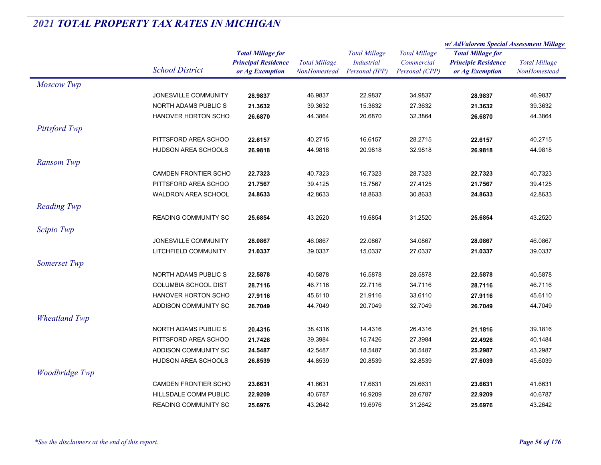|                      |                                                                                     |                               | <b>Total Millage</b>          | <b>Total Millage</b><br><b>Industrial</b> | <b>Total Millage</b><br>Commercial | w/AdValorem Special Assessment Millage                 |                               |
|----------------------|-------------------------------------------------------------------------------------|-------------------------------|-------------------------------|-------------------------------------------|------------------------------------|--------------------------------------------------------|-------------------------------|
|                      |                                                                                     | <b>Total Millage for</b>      |                               |                                           |                                    | <b>Total Millage for</b><br><b>Principle Residence</b> | <b>Total Millage</b>          |
|                      | <b>School District</b>                                                              | <b>Principal Residence</b>    |                               |                                           |                                    |                                                        |                               |
|                      |                                                                                     | or Ag Exemption               | NonHomestead                  | Personal (IPP)                            | Personal (CPP)                     | or Ag Exemption                                        | NonHomestead                  |
| <b>Moscow Twp</b>    |                                                                                     |                               |                               |                                           |                                    |                                                        |                               |
|                      | JONESVILLE COMMUNITY                                                                | 28.9837                       | 46.9837                       | 22.9837                                   | 34.9837                            | 28.9837                                                | 46.9837                       |
|                      | NORTH ADAMS PUBLIC S                                                                | 21.3632                       | 39.3632                       | 15.3632                                   | 27.3632                            | 21.3632                                                | 39.3632                       |
|                      | <b>HANOVER HORTON SCHO</b>                                                          | 26.6870                       | 44.3864                       | 20.6870                                   | 32.3864                            | 26.6870                                                | 44.3864                       |
| Pittsford Twp        |                                                                                     |                               |                               |                                           |                                    |                                                        |                               |
|                      | PITTSFORD AREA SCHOO                                                                | 22.6157                       | 40.2715                       | 16.6157                                   | 28.2715                            | 22.6157                                                | 40.2715                       |
|                      | HUDSON AREA SCHOOLS                                                                 | 26.9818                       | 44.9818                       | 20.9818                                   | 32.9818                            | 26.9818                                                | 44.9818                       |
| Ransom Twp           |                                                                                     |                               |                               |                                           |                                    |                                                        |                               |
|                      | <b>CAMDEN FRONTIER SCHO</b>                                                         | 22.7323                       | 40.7323                       | 16.7323                                   | 28.7323                            | 22.7323                                                | 40.7323                       |
|                      | PITTSFORD AREA SCHOO                                                                | 21.7567                       | 39.4125                       | 15.7567                                   | 27.4125                            | 21.7567                                                | 39.4125                       |
|                      | <b>WALDRON AREA SCHOOL</b>                                                          | 24.8633                       | 42.8633                       | 18.8633                                   | 30.8633                            | 24.8633                                                | 42.8633                       |
| <b>Reading Twp</b>   |                                                                                     |                               |                               |                                           |                                    |                                                        |                               |
|                      |                                                                                     |                               |                               |                                           |                                    |                                                        |                               |
|                      | <b>READING COMMUNITY SC</b>                                                         | 25.6854                       | 43.2520                       | 19.6854                                   | 31.2520                            | 25.6854                                                | 43.2520                       |
| Scipio Twp           |                                                                                     |                               |                               |                                           |                                    |                                                        |                               |
|                      | JONESVILLE COMMUNITY                                                                | 28.0867                       | 46.0867                       | 22.0867                                   | 34.0867                            | 28.0867                                                | 46.0867                       |
|                      | LITCHFIELD COMMUNITY                                                                | 21.0337                       | 39.0337                       | 15.0337                                   | 27.0337                            | 21.0337                                                | 39.0337                       |
| Somerset Twp         |                                                                                     |                               |                               |                                           |                                    |                                                        |                               |
|                      | NORTH ADAMS PUBLIC S                                                                | 22.5878                       | 40.5878                       | 16.5878                                   | 28.5878                            | 22.5878                                                | 40.5878                       |
|                      | <b>COLUMBIA SCHOOL DIST</b>                                                         | 28.7116                       | 46.7116                       | 22.7116                                   | 34.7116                            | 28.7116                                                | 46.7116                       |
|                      | <b>HANOVER HORTON SCHO</b>                                                          | 27.9116                       | 45.6110                       | 21.9116                                   | 33.6110                            | 27.9116                                                | 45.6110                       |
|                      | ADDISON COMMUNITY SC                                                                | 26.7049                       | 44.7049                       | 20.7049                                   | 32.7049                            | 26.7049                                                | 44.7049                       |
| <b>Wheatland Twp</b> |                                                                                     |                               |                               |                                           |                                    |                                                        |                               |
|                      | NORTH ADAMS PUBLIC S                                                                | 20.4316                       | 38.4316                       | 14.4316                                   | 26.4316                            | 21.1816                                                | 39.1816                       |
|                      | PITTSFORD AREA SCHOO                                                                | 21.7426                       | 39.3984                       | 15.7426                                   | 27.3984                            | 22.4926                                                | 40.1484                       |
|                      | ADDISON COMMUNITY SC                                                                | 24.5487                       | 42.5487                       | 18.5487                                   | 30.5487                            | 25.2987                                                | 43.2987                       |
|                      | <b>HUDSON AREA SCHOOLS</b>                                                          | 26.8539                       | 44.8539                       | 20.8539                                   | 32.8539                            | 27.6039                                                | 45.6039                       |
| Woodbridge Twp       |                                                                                     |                               |                               |                                           |                                    |                                                        |                               |
|                      |                                                                                     |                               |                               |                                           |                                    |                                                        |                               |
|                      |                                                                                     |                               |                               |                                           |                                    |                                                        |                               |
|                      |                                                                                     |                               |                               |                                           |                                    |                                                        |                               |
|                      | <b>CAMDEN FRONTIER SCHO</b><br>HILLSDALE COMM PUBLIC<br><b>READING COMMUNITY SC</b> | 23.6631<br>22.9209<br>25.6976 | 41.6631<br>40.6787<br>43.2642 | 17.6631<br>16.9209<br>19.6976             | 29.6631<br>28.6787<br>31.2642      | 23.6631<br>22.9209<br>25.6976                          | 41.6631<br>40.6787<br>43.2642 |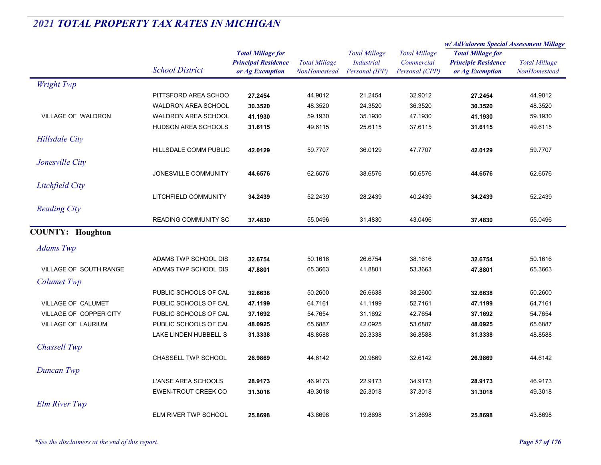|                               |                             |                                                                           |                                      |                                                             |                                                      | w/ AdValorem Special Assessment Millage                                   |                                      |
|-------------------------------|-----------------------------|---------------------------------------------------------------------------|--------------------------------------|-------------------------------------------------------------|------------------------------------------------------|---------------------------------------------------------------------------|--------------------------------------|
|                               | <b>School District</b>      | <b>Total Millage for</b><br><b>Principal Residence</b><br>or Ag Exemption | <b>Total Millage</b><br>NonHomestead | <b>Total Millage</b><br><b>Industrial</b><br>Personal (IPP) | <b>Total Millage</b><br>Commercial<br>Personal (CPP) | <b>Total Millage for</b><br><b>Principle Residence</b><br>or Ag Exemption | <b>Total Millage</b><br>NonHomestead |
| <b>Wright Twp</b>             |                             |                                                                           |                                      |                                                             |                                                      |                                                                           |                                      |
|                               | PITTSFORD AREA SCHOO        | 27.2454                                                                   | 44.9012                              | 21.2454                                                     | 32.9012                                              | 27.2454                                                                   | 44.9012                              |
|                               | <b>WALDRON AREA SCHOOL</b>  | 30.3520                                                                   | 48.3520                              | 24.3520                                                     | 36.3520                                              | 30.3520                                                                   | 48.3520                              |
| VILLAGE OF WALDRON            | <b>WALDRON AREA SCHOOL</b>  | 41.1930                                                                   | 59.1930                              | 35.1930                                                     | 47.1930                                              | 41.1930                                                                   | 59.1930                              |
|                               | HUDSON AREA SCHOOLS         | 31.6115                                                                   | 49.6115                              | 25.6115                                                     | 37.6115                                              | 31.6115                                                                   | 49.6115                              |
| <b>Hillsdale City</b>         |                             |                                                                           |                                      |                                                             |                                                      |                                                                           |                                      |
|                               | HILLSDALE COMM PUBLIC       | 42.0129                                                                   | 59.7707                              | 36.0129                                                     | 47.7707                                              | 42.0129                                                                   | 59.7707                              |
| Jonesville City               |                             |                                                                           |                                      |                                                             |                                                      |                                                                           |                                      |
|                               | JONESVILLE COMMUNITY        | 44.6576                                                                   | 62.6576                              | 38.6576                                                     | 50.6576                                              | 44.6576                                                                   | 62.6576                              |
| Litchfield City               |                             |                                                                           |                                      |                                                             |                                                      |                                                                           |                                      |
|                               | LITCHFIELD COMMUNITY        | 34.2439                                                                   | 52.2439                              | 28.2439                                                     | 40.2439                                              | 34.2439                                                                   | 52.2439                              |
|                               |                             |                                                                           |                                      |                                                             |                                                      |                                                                           |                                      |
| <b>Reading City</b>           |                             |                                                                           |                                      |                                                             |                                                      |                                                                           |                                      |
|                               | <b>READING COMMUNITY SC</b> | 37.4830                                                                   | 55.0496                              | 31.4830                                                     | 43.0496                                              | 37.4830                                                                   | 55.0496                              |
| <b>COUNTY: Houghton</b>       |                             |                                                                           |                                      |                                                             |                                                      |                                                                           |                                      |
| <b>Adams</b> Twp              |                             |                                                                           |                                      |                                                             |                                                      |                                                                           |                                      |
|                               | ADAMS TWP SCHOOL DIS        | 32.6754                                                                   | 50.1616                              | 26.6754                                                     | 38.1616                                              | 32.6754                                                                   | 50.1616                              |
| <b>VILLAGE OF SOUTH RANGE</b> | ADAMS TWP SCHOOL DIS        | 47.8801                                                                   | 65.3663                              | 41.8801                                                     | 53.3663                                              | 47.8801                                                                   | 65.3663                              |
| <b>Calumet Twp</b>            |                             |                                                                           |                                      |                                                             |                                                      |                                                                           |                                      |
|                               | PUBLIC SCHOOLS OF CAL       | 32.6638                                                                   | 50.2600                              | 26.6638                                                     | 38.2600                                              | 32.6638                                                                   | 50.2600                              |
| VILLAGE OF CALUMET            | PUBLIC SCHOOLS OF CAL       | 47.1199                                                                   | 64.7161                              | 41.1199                                                     | 52.7161                                              | 47.1199                                                                   | 64.7161                              |
| VILLAGE OF COPPER CITY        | PUBLIC SCHOOLS OF CAL       | 37.1692                                                                   | 54.7654                              | 31.1692                                                     | 42.7654                                              | 37.1692                                                                   | 54.7654                              |
| VILLAGE OF LAURIUM            | PUBLIC SCHOOLS OF CAL       | 48.0925                                                                   | 65.6887                              | 42.0925                                                     | 53.6887                                              | 48.0925                                                                   | 65.6887                              |
|                               | LAKE LINDEN HUBBELL S       | 31.3338                                                                   | 48.8588                              | 25.3338                                                     | 36.8588                                              | 31.3338                                                                   | 48.8588                              |
| Chassell Twp                  |                             |                                                                           |                                      |                                                             |                                                      |                                                                           |                                      |
|                               | CHASSELL TWP SCHOOL         | 26.9869                                                                   | 44.6142                              | 20.9869                                                     | 32.6142                                              | 26.9869                                                                   | 44.6142                              |
| Duncan Twp                    |                             |                                                                           |                                      |                                                             |                                                      |                                                                           |                                      |
|                               | L'ANSE AREA SCHOOLS         | 28.9173                                                                   | 46.9173                              | 22.9173                                                     | 34.9173                                              | 28.9173                                                                   | 46.9173                              |
|                               | EWEN-TROUT CREEK CO         | 31.3018                                                                   | 49.3018                              | 25.3018                                                     | 37.3018                                              | 31.3018                                                                   | 49.3018                              |
|                               |                             |                                                                           |                                      |                                                             |                                                      |                                                                           |                                      |
| <b>Elm River Twp</b>          |                             |                                                                           |                                      |                                                             |                                                      |                                                                           |                                      |
|                               | ELM RIVER TWP SCHOOL        | 25.8698                                                                   | 43.8698                              | 19.8698                                                     | 31.8698                                              | 25.8698                                                                   | 43.8698                              |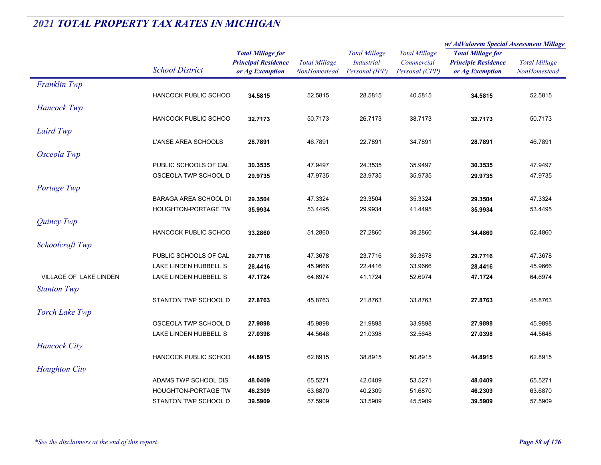|                               |                              |                            | <b>Total Millage</b> | <b>Total Millage</b> | <b>Total Millage</b> | w/AdValorem Special Assessment Millage |                      |
|-------------------------------|------------------------------|----------------------------|----------------------|----------------------|----------------------|----------------------------------------|----------------------|
|                               |                              | <b>Total Millage for</b>   |                      |                      |                      | <b>Total Millage for</b>               | <b>Total Millage</b> |
|                               | <b>School District</b>       | <b>Principal Residence</b> |                      | <b>Industrial</b>    | Commercial           | <b>Principle Residence</b>             |                      |
|                               |                              | or Ag Exemption            | NonHomestead         | Personal (IPP)       | Personal (CPP)       | or Ag Exemption                        | NonHomestead         |
| Franklin Twp                  |                              |                            |                      |                      |                      |                                        |                      |
|                               | <b>HANCOCK PUBLIC SCHOO</b>  | 34.5815                    | 52.5815              | 28.5815              | 40.5815              | 34.5815                                | 52.5815              |
| <b>Hancock Twp</b>            |                              |                            |                      |                      |                      |                                        |                      |
|                               | <b>HANCOCK PUBLIC SCHOO</b>  | 32.7173                    | 50.7173              | 26.7173              | 38.7173              | 32.7173                                | 50.7173              |
| Laird Twp                     |                              |                            |                      |                      |                      |                                        |                      |
|                               | L'ANSE AREA SCHOOLS          | 28.7891                    | 46.7891              | 22.7891              | 34.7891              | 28.7891                                | 46.7891              |
| Osceola Twp                   |                              |                            |                      |                      |                      |                                        |                      |
|                               | PUBLIC SCHOOLS OF CAL        | 30.3535                    | 47.9497              | 24.3535              | 35.9497              | 30.3535                                | 47.9497              |
|                               | OSCEOLA TWP SCHOOL D         | 29.9735                    | 47.9735              | 23.9735              | 35.9735              | 29.9735                                | 47.9735              |
| Portage Twp                   |                              |                            |                      |                      |                      |                                        |                      |
|                               | <b>BARAGA AREA SCHOOL DI</b> | 29.3504                    | 47.3324              | 23.3504              | 35.3324              | 29.3504                                | 47.3324              |
|                               | HOUGHTON-PORTAGE TW          | 35.9934                    | 53.4495              | 29.9934              | 41.4495              | 35.9934                                | 53.4495              |
| Quincy Twp                    |                              |                            |                      |                      |                      |                                        |                      |
|                               | <b>HANCOCK PUBLIC SCHOO</b>  | 33.2860                    | 51.2860              | 27.2860              | 39.2860              | 34.4860                                | 52.4860              |
| Schoolcraft Twp               |                              |                            |                      |                      |                      |                                        |                      |
|                               | PUBLIC SCHOOLS OF CAL        | 29.7716                    | 47.3678              | 23.7716              | 35.3678              | 29.7716                                | 47.3678              |
|                               | LAKE LINDEN HUBBELL S        | 28.4416                    | 45.9666              | 22.4416              | 33.9666              | 28.4416                                | 45.9666              |
| <b>VILLAGE OF LAKE LINDEN</b> | LAKE LINDEN HUBBELL S        | 47.1724                    | 64.6974              | 41.1724              | 52.6974              | 47.1724                                | 64.6974              |
| <b>Stanton Twp</b>            |                              |                            |                      |                      |                      |                                        |                      |
|                               | STANTON TWP SCHOOL D         | 27.8763                    | 45.8763              | 21.8763              | 33.8763              | 27.8763                                | 45.8763              |
|                               |                              |                            |                      |                      |                      |                                        |                      |
| <b>Torch Lake Twp</b>         |                              |                            |                      |                      |                      |                                        |                      |
|                               | OSCEOLA TWP SCHOOL D         | 27.9898                    | 45.9898              | 21.9898              | 33.9898              | 27.9898                                | 45.9898              |
|                               | LAKE LINDEN HUBBELL S        | 27.0398                    | 44.5648              | 21.0398              | 32.5648              | 27.0398                                | 44.5648              |
| <b>Hancock City</b>           |                              |                            |                      |                      |                      |                                        |                      |
|                               | <b>HANCOCK PUBLIC SCHOO</b>  | 44.8915                    | 62.8915              | 38.8915              | 50.8915              | 44.8915                                | 62.8915              |
| <b>Houghton City</b>          |                              |                            |                      |                      |                      |                                        |                      |
|                               | ADAMS TWP SCHOOL DIS         | 48.0409                    | 65.5271              | 42.0409              | 53.5271              | 48.0409                                | 65.5271              |
|                               | <b>HOUGHTON-PORTAGE TW</b>   | 46.2309                    | 63.6870              | 40.2309              | 51.6870              | 46.2309                                | 63.6870              |
|                               | STANTON TWP SCHOOL D         | 39.5909                    | 57.5909              | 33.5909              | 45.5909              | 39.5909                                | 57.5909              |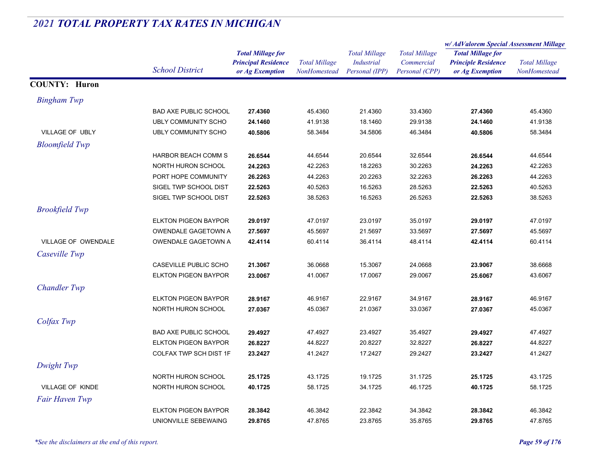|                       |                              |                                                        | <b>Total Millage</b> | <b>Total Millage</b><br><b>Industrial</b> | <b>Total Millage</b><br>Commercial | w/ AdValorem Special Assessment Millage                                   |                      |
|-----------------------|------------------------------|--------------------------------------------------------|----------------------|-------------------------------------------|------------------------------------|---------------------------------------------------------------------------|----------------------|
|                       |                              | <b>Total Millage for</b><br><b>Principal Residence</b> |                      |                                           |                                    | <b>Total Millage for</b><br><b>Principle Residence</b><br>or Ag Exemption | <b>Total Millage</b> |
|                       | <b>School District</b>       | or Ag Exemption                                        | NonHomestead         | Personal (IPP)                            | Personal (CPP)                     |                                                                           | NonHomestead         |
| <b>COUNTY: Huron</b>  |                              |                                                        |                      |                                           |                                    |                                                                           |                      |
| <b>Bingham Twp</b>    |                              |                                                        |                      |                                           |                                    |                                                                           |                      |
|                       | <b>BAD AXE PUBLIC SCHOOL</b> | 27.4360                                                | 45.4360              | 21.4360                                   | 33.4360                            | 27.4360                                                                   | 45.4360              |
|                       | <b>UBLY COMMUNITY SCHO</b>   | 24.1460                                                | 41.9138              | 18.1460                                   | 29.9138                            | 24.1460                                                                   | 41.9138              |
| VILLAGE OF UBLY       | <b>UBLY COMMUNITY SCHO</b>   | 40.5806                                                | 58.3484              | 34.5806                                   | 46.3484                            | 40.5806                                                                   | 58.3484              |
| <b>Bloomfield Twp</b> |                              |                                                        |                      |                                           |                                    |                                                                           |                      |
|                       | HARBOR BEACH COMM S          | 26.6544                                                | 44.6544              | 20.6544                                   | 32.6544                            | 26.6544                                                                   | 44.6544              |
|                       | NORTH HURON SCHOOL           | 24.2263                                                | 42.2263              | 18.2263                                   | 30.2263                            | 24.2263                                                                   | 42.2263              |
|                       | PORT HOPE COMMUNITY          | 26.2263                                                | 44.2263              | 20.2263                                   | 32.2263                            | 26.2263                                                                   | 44.2263              |
|                       | SIGEL TWP SCHOOL DIST        | 22.5263                                                | 40.5263              | 16.5263                                   | 28.5263                            | 22.5263                                                                   | 40.5263              |
|                       | SIGEL TWP SCHOOL DIST        | 22.5263                                                | 38.5263              | 16.5263                                   | 26.5263                            | 22.5263                                                                   | 38.5263              |
| <b>Brookfield Twp</b> |                              |                                                        |                      |                                           |                                    |                                                                           |                      |
|                       | <b>ELKTON PIGEON BAYPOR</b>  | 29.0197                                                | 47.0197              | 23.0197                                   | 35.0197                            | 29.0197                                                                   | 47.0197              |
|                       | OWENDALE GAGETOWN A          | 27.5697                                                | 45.5697              | 21.5697                                   | 33.5697                            | 27.5697                                                                   | 45.5697              |
| VILLAGE OF OWENDALE   | OWENDALE GAGETOWN A          | 42.4114                                                | 60.4114              | 36.4114                                   | 48.4114                            | 42.4114                                                                   | 60.4114              |
| Caseville Twp         |                              |                                                        |                      |                                           |                                    |                                                                           |                      |
|                       | CASEVILLE PUBLIC SCHO        | 21.3067                                                | 36.0668              | 15.3067                                   | 24.0668                            | 23.9067                                                                   | 38.6668              |
|                       | <b>ELKTON PIGEON BAYPOR</b>  | 23.0067                                                | 41.0067              | 17.0067                                   | 29.0067                            | 25.6067                                                                   | 43.6067              |
| <b>Chandler Twp</b>   |                              |                                                        |                      |                                           |                                    |                                                                           |                      |
|                       | <b>ELKTON PIGEON BAYPOR</b>  | 28.9167                                                | 46.9167              | 22.9167                                   | 34.9167                            | 28.9167                                                                   | 46.9167              |
|                       | NORTH HURON SCHOOL           | 27.0367                                                | 45.0367              | 21.0367                                   | 33.0367                            | 27.0367                                                                   | 45.0367              |
| Colfax Twp            |                              |                                                        |                      |                                           |                                    |                                                                           |                      |
|                       | <b>BAD AXE PUBLIC SCHOOL</b> | 29.4927                                                | 47.4927              | 23.4927                                   | 35.4927                            | 29.4927                                                                   | 47.4927              |
|                       | <b>ELKTON PIGEON BAYPOR</b>  | 26.8227                                                | 44.8227              | 20.8227                                   | 32.8227                            | 26.8227                                                                   | 44.8227              |
|                       | COLFAX TWP SCH DIST 1F       | 23.2427                                                | 41.2427              | 17.2427                                   | 29.2427                            | 23.2427                                                                   | 41.2427              |
| Dwight Twp            |                              |                                                        |                      |                                           |                                    |                                                                           |                      |
|                       | NORTH HURON SCHOOL           | 25.1725                                                | 43.1725              | 19.1725                                   | 31.1725                            | 25.1725                                                                   | 43.1725              |
| VILLAGE OF KINDE      | NORTH HURON SCHOOL           | 40.1725                                                | 58.1725              | 34.1725                                   | 46.1725                            | 40.1725                                                                   | 58.1725              |
| Fair Haven Twp        |                              |                                                        |                      |                                           |                                    |                                                                           |                      |
|                       | <b>ELKTON PIGEON BAYPOR</b>  | 28.3842                                                | 46.3842              | 22.3842                                   | 34.3842                            | 28.3842                                                                   | 46.3842              |
|                       | UNIONVILLE SEBEWAING         | 29.8765                                                | 47.8765              | 23.8765                                   | 35.8765                            | 29.8765                                                                   | 47.8765              |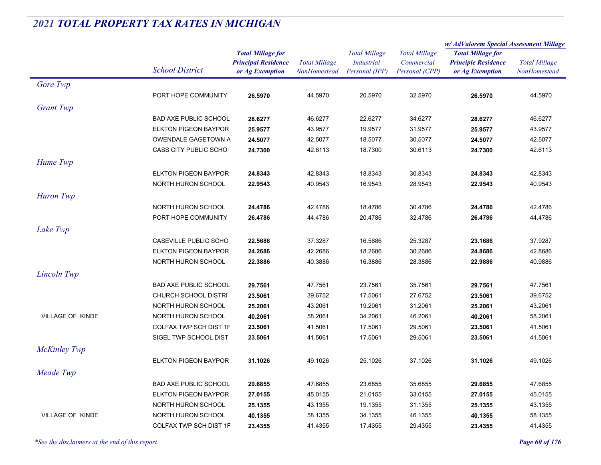|                         |                                          |                                                                           |                                      |                                                             |                                                      | w/ AdValorem Special Assessment Millage                                   |                                      |
|-------------------------|------------------------------------------|---------------------------------------------------------------------------|--------------------------------------|-------------------------------------------------------------|------------------------------------------------------|---------------------------------------------------------------------------|--------------------------------------|
|                         | <b>School District</b>                   | <b>Total Millage for</b><br><b>Principal Residence</b><br>or Ag Exemption | <b>Total Millage</b><br>NonHomestead | <b>Total Millage</b><br><b>Industrial</b><br>Personal (IPP) | <b>Total Millage</b><br>Commercial<br>Personal (CPP) | <b>Total Millage for</b><br><b>Principle Residence</b><br>or Ag Exemption | <b>Total Millage</b><br>NonHomestead |
| Gore Twp                |                                          |                                                                           |                                      |                                                             |                                                      |                                                                           |                                      |
|                         | PORT HOPE COMMUNITY                      | 26.5970                                                                   | 44.5970                              | 20.5970                                                     | 32.5970                                              | 26.5970                                                                   | 44.5970                              |
| <b>Grant Twp</b>        |                                          |                                                                           |                                      |                                                             |                                                      |                                                                           |                                      |
|                         | <b>BAD AXE PUBLIC SCHOOL</b>             | 28.6277                                                                   | 46.6277                              | 22.6277                                                     | 34.6277                                              | 28.6277                                                                   | 46.6277                              |
|                         | <b>ELKTON PIGEON BAYPOR</b>              | 25.9577                                                                   | 43.9577                              | 19.9577                                                     | 31.9577                                              | 25.9577                                                                   | 43.9577                              |
|                         | OWENDALE GAGETOWN A                      | 24.5077                                                                   | 42.5077                              | 18.5077                                                     | 30.5077                                              | 24.5077                                                                   | 42.5077                              |
|                         | <b>CASS CITY PUBLIC SCHO</b>             | 24.7300                                                                   | 42.6113                              | 18.7300                                                     | 30.6113                                              | 24.7300                                                                   | 42.6113                              |
| Hume Twp                |                                          |                                                                           |                                      |                                                             |                                                      |                                                                           |                                      |
|                         | <b>ELKTON PIGEON BAYPOR</b>              | 24.8343                                                                   | 42.8343                              | 18.8343                                                     | 30.8343                                              | 24.8343                                                                   | 42.8343                              |
|                         | NORTH HURON SCHOOL                       | 22.9543                                                                   | 40.9543                              | 16.9543                                                     | 28.9543                                              | 22.9543                                                                   | 40.9543                              |
| Huron Twp               |                                          |                                                                           |                                      |                                                             |                                                      |                                                                           |                                      |
|                         | NORTH HURON SCHOOL                       | 24.4786                                                                   | 42.4786                              | 18.4786                                                     | 30.4786                                              | 24.4786                                                                   | 42.4786                              |
|                         | PORT HOPE COMMUNITY                      | 26.4786                                                                   | 44.4786                              | 20.4786                                                     | 32.4786                                              | 26.4786                                                                   | 44.4786                              |
| Lake Twp                |                                          |                                                                           |                                      |                                                             |                                                      |                                                                           |                                      |
|                         | CASEVILLE PUBLIC SCHO                    | 22.5686                                                                   | 37.3287                              | 16.5686                                                     | 25.3287                                              | 23.1686                                                                   | 37.9287                              |
|                         | <b>ELKTON PIGEON BAYPOR</b>              | 24.2686                                                                   | 42.2686                              | 18.2686                                                     | 30.2686                                              | 24.8686                                                                   | 42.8686                              |
|                         | NORTH HURON SCHOOL                       | 22.3886                                                                   | 40.3886                              | 16.3886                                                     | 28.3886                                              | 22.9886                                                                   | 40.9886                              |
|                         |                                          |                                                                           |                                      |                                                             |                                                      |                                                                           |                                      |
| Lincoln Twp             |                                          |                                                                           |                                      |                                                             |                                                      |                                                                           |                                      |
|                         | <b>BAD AXE PUBLIC SCHOOL</b>             | 29.7561                                                                   | 47.7561                              | 23.7561                                                     | 35.7561                                              | 29.7561                                                                   | 47.7561                              |
|                         | <b>CHURCH SCHOOL DISTRI</b>              | 23.5061                                                                   | 39.6752                              | 17.5061                                                     | 27.6752                                              | 23.5061                                                                   | 39.6752                              |
| <b>VILLAGE OF KINDE</b> | NORTH HURON SCHOOL<br>NORTH HURON SCHOOL | 25.2061                                                                   | 43.2061<br>58.2061                   | 19.2061<br>34.2061                                          | 31.2061<br>46.2061                                   | 25.2061                                                                   | 43.2061                              |
|                         | COLFAX TWP SCH DIST 1F                   | 40.2061<br>23.5061                                                        | 41.5061                              | 17.5061                                                     | 29.5061                                              | 40.2061<br>23.5061                                                        | 58.2061<br>41.5061                   |
|                         | SIGEL TWP SCHOOL DIST                    | 23.5061                                                                   | 41.5061                              | 17.5061                                                     | 29.5061                                              | 23.5061                                                                   | 41.5061                              |
|                         |                                          |                                                                           |                                      |                                                             |                                                      |                                                                           |                                      |
| <b>McKinley Twp</b>     |                                          |                                                                           |                                      |                                                             |                                                      |                                                                           |                                      |
|                         | <b>ELKTON PIGEON BAYPOR</b>              | 31.1026                                                                   | 49.1026                              | 25.1026                                                     | 37.1026                                              | 31.1026                                                                   | 49.1026                              |
| Meade Twp               |                                          |                                                                           |                                      |                                                             |                                                      |                                                                           |                                      |
|                         | <b>BAD AXE PUBLIC SCHOOL</b>             | 29.6855                                                                   | 47.6855                              | 23.6855                                                     | 35.6855                                              | 29.6855                                                                   | 47.6855                              |
|                         | <b>ELKTON PIGEON BAYPOR</b>              | 27.0155                                                                   | 45.0155                              | 21.0155                                                     | 33.0155                                              | 27.0155                                                                   | 45.0155                              |
|                         | NORTH HURON SCHOOL                       | 25.1355                                                                   | 43.1355                              | 19.1355                                                     | 31.1355                                              | 25.1355                                                                   | 43.1355                              |
| <b>VILLAGE OF KINDE</b> | NORTH HURON SCHOOL                       | 40.1355                                                                   | 58.1355                              | 34.1355                                                     | 46.1355                                              | 40.1355                                                                   | 58.1355                              |
|                         | COLFAX TWP SCH DIST 1F                   | 23.4355                                                                   | 41.4355                              | 17.4355                                                     | 29.4355                                              | 23.4355                                                                   | 41.4355                              |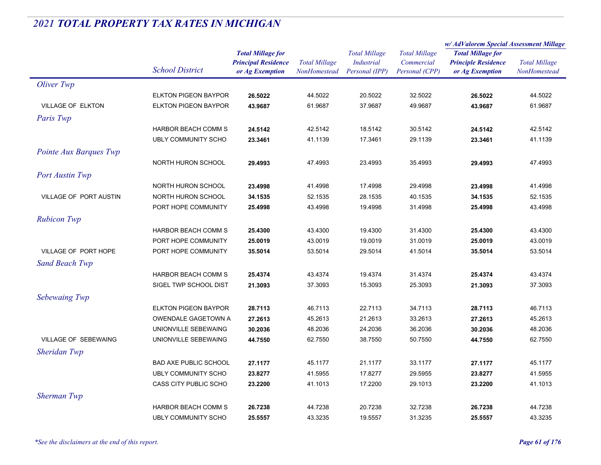|                               |                              |                            |                      | <b>Total Millage</b> | <b>Total Millage</b> | w/ AdValorem Special Assessment Millage |                      |
|-------------------------------|------------------------------|----------------------------|----------------------|----------------------|----------------------|-----------------------------------------|----------------------|
|                               |                              | <b>Total Millage for</b>   |                      |                      |                      | <b>Total Millage for</b>                | <b>Total Millage</b> |
|                               |                              | <b>Principal Residence</b> | <b>Total Millage</b> | <b>Industrial</b>    | Commercial           | <b>Principle Residence</b>              |                      |
|                               | <b>School District</b>       | or Ag Exemption            | NonHomestead         | Personal (IPP)       | Personal (CPP)       | or Ag Exemption                         | NonHomestead         |
| Oliver Twp                    |                              |                            |                      |                      |                      |                                         |                      |
|                               | <b>ELKTON PIGEON BAYPOR</b>  | 26.5022                    | 44.5022              | 20.5022              | 32.5022              | 26.5022                                 | 44.5022              |
| <b>VILLAGE OF ELKTON</b>      | <b>ELKTON PIGEON BAYPOR</b>  | 43.9687                    | 61.9687              | 37.9687              | 49.9687              | 43.9687                                 | 61.9687              |
| Paris Twp                     |                              |                            |                      |                      |                      |                                         |                      |
|                               | HARBOR BEACH COMM S          | 24.5142                    | 42.5142              | 18.5142              | 30.5142              | 24.5142                                 | 42.5142              |
|                               | <b>UBLY COMMUNITY SCHO</b>   | 23.3461                    | 41.1139              | 17.3461              | 29.1139              | 23.3461                                 | 41.1139              |
| Pointe Aux Barques Twp        |                              |                            |                      |                      |                      |                                         |                      |
|                               | NORTH HURON SCHOOL           | 29.4993                    | 47.4993              | 23.4993              | 35.4993              | 29.4993                                 | 47.4993              |
| <b>Port Austin Twp</b>        |                              |                            |                      |                      |                      |                                         |                      |
|                               | NORTH HURON SCHOOL           | 23.4998                    | 41.4998              | 17.4998              | 29.4998              | 23.4998                                 | 41.4998              |
| <b>VILLAGE OF PORT AUSTIN</b> | NORTH HURON SCHOOL           | 34.1535                    | 52.1535              | 28.1535              | 40.1535              | 34.1535                                 | 52.1535              |
|                               | PORT HOPE COMMUNITY          | 25.4998                    | 43.4998              | 19.4998              | 31.4998              | 25.4998                                 | 43.4998              |
| <b>Rubicon Twp</b>            |                              |                            |                      |                      |                      |                                         |                      |
|                               | <b>HARBOR BEACH COMM S</b>   | 25.4300                    | 43.4300              | 19.4300              | 31.4300              | 25.4300                                 | 43.4300              |
|                               | PORT HOPE COMMUNITY          | 25.0019                    | 43.0019              | 19.0019              | 31.0019              | 25.0019                                 | 43.0019              |
| VILLAGE OF PORT HOPE          | PORT HOPE COMMUNITY          | 35.5014                    | 53.5014              | 29.5014              | 41.5014              | 35.5014                                 | 53.5014              |
| <b>Sand Beach Twp</b>         |                              |                            |                      |                      |                      |                                         |                      |
|                               | <b>HARBOR BEACH COMM S</b>   | 25.4374                    | 43.4374              | 19.4374              | 31.4374              | 25.4374                                 | 43.4374              |
|                               | SIGEL TWP SCHOOL DIST        | 21.3093                    | 37.3093              | 15.3093              | 25.3093              | 21.3093                                 | 37.3093              |
| Sebewaing Twp                 |                              |                            |                      |                      |                      |                                         |                      |
|                               | <b>ELKTON PIGEON BAYPOR</b>  | 28.7113                    | 46.7113              | 22.7113              | 34.7113              | 28.7113                                 | 46.7113              |
|                               | OWENDALE GAGETOWN A          | 27.2613                    | 45.2613              | 21.2613              | 33.2613              | 27.2613                                 | 45.2613              |
|                               | UNIONVILLE SEBEWAING         | 30.2036                    | 48.2036              | 24.2036              | 36.2036              | 30.2036                                 | 48.2036              |
| VILLAGE OF SEBEWAING          | UNIONVILLE SEBEWAING         | 44.7550                    | 62.7550              | 38.7550              | 50.7550              | 44.7550                                 | 62.7550              |
| Sheridan Twp                  |                              |                            |                      |                      |                      |                                         |                      |
|                               | <b>BAD AXE PUBLIC SCHOOL</b> | 27.1177                    | 45.1177              | 21.1177              | 33.1177              | 27.1177                                 | 45.1177              |
|                               | <b>UBLY COMMUNITY SCHO</b>   | 23.8277                    | 41.5955              | 17.8277              | 29.5955              | 23.8277                                 | 41.5955              |
|                               | CASS CITY PUBLIC SCHO        | 23.2200                    | 41.1013              | 17.2200              | 29.1013              | 23.2200                                 | 41.1013              |
| <b>Sherman Twp</b>            |                              |                            |                      |                      |                      |                                         |                      |
|                               | <b>HARBOR BEACH COMM S</b>   | 26.7238                    | 44.7238              | 20.7238              | 32.7238              | 26.7238                                 | 44.7238              |
|                               | UBLY COMMUNITY SCHO          | 25.5557                    | 43.3235              | 19.5557              | 31.3235              | 25.5557                                 | 43.3235              |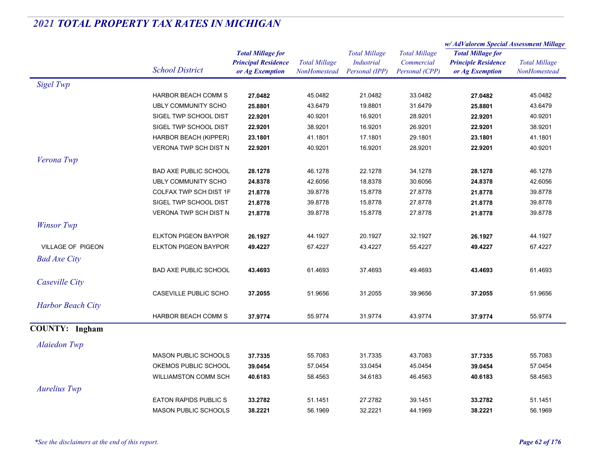|                          |                              |                            |                      | <b>Total Millage</b> | <b>Total Millage</b><br>Commercial | w/AdValorem Special Assessment Millage                 |                      |
|--------------------------|------------------------------|----------------------------|----------------------|----------------------|------------------------------------|--------------------------------------------------------|----------------------|
|                          |                              | <b>Total Millage for</b>   |                      |                      |                                    | <b>Total Millage for</b><br><b>Principle Residence</b> | <b>Total Millage</b> |
|                          | <b>School District</b>       | <b>Principal Residence</b> | <b>Total Millage</b> | <b>Industrial</b>    |                                    |                                                        |                      |
|                          |                              | or Ag Exemption            | NonHomestead         | Personal (IPP)       | Personal (CPP)                     | or Ag Exemption                                        | NonHomestead         |
| Sigel Twp                |                              |                            |                      |                      |                                    |                                                        |                      |
|                          | <b>HARBOR BEACH COMM S</b>   | 27.0482                    | 45.0482              | 21.0482              | 33.0482                            | 27.0482                                                | 45.0482              |
|                          | <b>UBLY COMMUNITY SCHO</b>   | 25.8801                    | 43.6479              | 19.8801              | 31.6479                            | 25.8801                                                | 43.6479              |
|                          | SIGEL TWP SCHOOL DIST        | 22.9201                    | 40.9201              | 16.9201              | 28.9201                            | 22.9201                                                | 40.9201              |
|                          | SIGEL TWP SCHOOL DIST        | 22.9201                    | 38.9201              | 16.9201              | 26.9201                            | 22.9201                                                | 38.9201              |
|                          | <b>HARBOR BEACH (KIPPER)</b> | 23.1801                    | 41.1801              | 17.1801              | 29.1801                            | 23.1801                                                | 41.1801              |
|                          | <b>VERONA TWP SCH DIST N</b> | 22.9201                    | 40.9201              | 16.9201              | 28.9201                            | 22.9201                                                | 40.9201              |
| Verona Twp               |                              |                            |                      |                      |                                    |                                                        |                      |
|                          | <b>BAD AXE PUBLIC SCHOOL</b> | 28.1278                    | 46.1278              | 22.1278              | 34.1278                            | 28.1278                                                | 46.1278              |
|                          | UBLY COMMUNITY SCHO          | 24.8378                    | 42.6056              | 18.8378              | 30.6056                            | 24.8378                                                | 42.6056              |
|                          | COLFAX TWP SCH DIST 1F       | 21.8778                    | 39.8778              | 15.8778              | 27.8778                            | 21.8778                                                | 39.8778              |
|                          | SIGEL TWP SCHOOL DIST        | 21.8778                    | 39.8778              | 15.8778              | 27.8778                            | 21.8778                                                | 39.8778              |
|                          | <b>VERONA TWP SCH DIST N</b> | 21.8778                    | 39.8778              | 15.8778              | 27.8778                            | 21.8778                                                | 39.8778              |
| <b>Winsor Twp</b>        |                              |                            |                      |                      |                                    |                                                        |                      |
|                          | <b>ELKTON PIGEON BAYPOR</b>  | 26.1927                    | 44.1927              | 20.1927              | 32.1927                            | 26.1927                                                | 44.1927              |
| <b>VILLAGE OF PIGEON</b> | <b>ELKTON PIGEON BAYPOR</b>  | 49.4227                    | 67.4227              | 43.4227              | 55.4227                            | 49.4227                                                | 67.4227              |
| <b>Bad Axe City</b>      |                              |                            |                      |                      |                                    |                                                        |                      |
|                          | <b>BAD AXE PUBLIC SCHOOL</b> | 43.4693                    | 61.4693              | 37.4693              | 49.4693                            | 43.4693                                                | 61.4693              |
| Caseville City           |                              |                            |                      |                      |                                    |                                                        |                      |
|                          | CASEVILLE PUBLIC SCHO        | 37.2055                    | 51.9656              |                      | 39.9656                            | 37.2055                                                | 51.9656              |
|                          |                              |                            |                      | 31.2055              |                                    |                                                        |                      |
| <b>Harbor Beach City</b> |                              |                            |                      |                      |                                    |                                                        |                      |
|                          | HARBOR BEACH COMM S          | 37.9774                    | 55.9774              | 31.9774              | 43.9774                            | 37.9774                                                | 55.9774              |
| <b>COUNTY:</b> Ingham    |                              |                            |                      |                      |                                    |                                                        |                      |
| <b>Alaiedon Twp</b>      |                              |                            |                      |                      |                                    |                                                        |                      |
|                          | <b>MASON PUBLIC SCHOOLS</b>  | 37.7335                    | 55.7083              | 31.7335              | 43.7083                            | 37.7335                                                | 55.7083              |
|                          | OKEMOS PUBLIC SCHOOL         | 39.0454                    | 57.0454              | 33.0454              | 45.0454                            | 39.0454                                                | 57.0454              |
|                          | <b>WILLIAMSTON COMM SCH</b>  | 40.6183                    | 58.4563              | 34.6183              | 46.4563                            | 40.6183                                                | 58.4563              |
| <b>Aurelius Twp</b>      |                              |                            |                      |                      |                                    |                                                        |                      |
|                          | <b>EATON RAPIDS PUBLICS</b>  | 33.2782                    | 51.1451              | 27.2782              | 39.1451                            | 33.2782                                                | 51.1451              |
|                          | <b>MASON PUBLIC SCHOOLS</b>  | 38.2221                    | 56.1969              | 32.2221              | 44.1969                            | 38.2221                                                | 56.1969              |
|                          |                              |                            |                      |                      |                                    |                                                        |                      |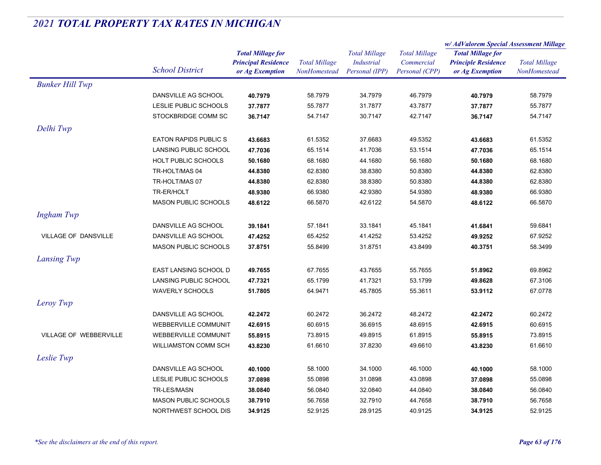|                             |                             |                            | <b>Total Millage</b><br>NonHomestead | <b>Total Millage</b> | <b>Total Millage</b> | w/ AdValorem Special Assessment Millage                                   |                      |
|-----------------------------|-----------------------------|----------------------------|--------------------------------------|----------------------|----------------------|---------------------------------------------------------------------------|----------------------|
|                             |                             | <b>Total Millage for</b>   |                                      |                      |                      | <b>Total Millage for</b><br><b>Principle Residence</b><br>or Ag Exemption | <b>Total Millage</b> |
|                             |                             | <b>Principal Residence</b> |                                      | <b>Industrial</b>    | Commercial           |                                                                           |                      |
|                             | <b>School District</b>      | or Ag Exemption            |                                      | Personal (IPP)       | Personal (CPP)       |                                                                           | NonHomestead         |
| <b>Bunker Hill Twp</b>      |                             |                            |                                      |                      |                      |                                                                           |                      |
|                             | DANSVILLE AG SCHOOL         | 40.7979                    | 58.7979                              | 34.7979              | 46.7979              | 40.7979                                                                   | 58.7979              |
|                             | LESLIE PUBLIC SCHOOLS       | 37.7877                    | 55.7877                              | 31.7877              | 43.7877              | 37.7877                                                                   | 55.7877              |
|                             | STOCKBRIDGE COMM SC         | 36.7147                    | 54.7147                              | 30.7147              | 42.7147              | 36.7147                                                                   | 54.7147              |
| Delhi Twp                   |                             |                            |                                      |                      |                      |                                                                           |                      |
|                             | <b>EATON RAPIDS PUBLICS</b> | 43.6683                    | 61.5352                              | 37.6683              | 49.5352              | 43.6683                                                                   | 61.5352              |
|                             | LANSING PUBLIC SCHOOL       | 47.7036                    | 65.1514                              | 41.7036              | 53.1514              | 47.7036                                                                   | 65.1514              |
|                             | <b>HOLT PUBLIC SCHOOLS</b>  | 50.1680                    | 68.1680                              | 44.1680              | 56.1680              | 50.1680                                                                   | 68.1680              |
|                             | TR-HOLT/MAS 04              | 44.8380                    | 62.8380                              | 38.8380              | 50.8380              | 44.8380                                                                   | 62.8380              |
|                             | TR-HOLT/MAS 07              | 44.8380                    | 62.8380                              | 38.8380              | 50.8380              | 44.8380                                                                   | 62.8380              |
|                             | TR-ER/HOLT                  | 48.9380                    | 66.9380                              | 42.9380              | 54.9380              | 48.9380                                                                   | 66.9380              |
|                             | <b>MASON PUBLIC SCHOOLS</b> | 48.6122                    | 66.5870                              | 42.6122              | 54.5870              | 48.6122                                                                   | 66.5870              |
| <b>Ingham Twp</b>           |                             |                            |                                      |                      |                      |                                                                           |                      |
|                             | DANSVILLE AG SCHOOL         | 39.1841                    | 57.1841                              | 33.1841              | 45.1841              | 41.6841                                                                   | 59.6841              |
| <b>VILLAGE OF DANSVILLE</b> | DANSVILLE AG SCHOOL         | 47.4252                    | 65.4252                              | 41.4252              | 53.4252              | 49.9252                                                                   | 67.9252              |
|                             | <b>MASON PUBLIC SCHOOLS</b> | 37.8751                    | 55.8499                              | 31.8751              | 43.8499              | 40.3751                                                                   | 58.3499              |
| Lansing Twp                 |                             |                            |                                      |                      |                      |                                                                           |                      |
|                             |                             |                            |                                      |                      |                      |                                                                           |                      |
|                             | EAST LANSING SCHOOL D       | 49.7655                    | 67.7655                              | 43.7655              | 55.7655              | 51.8962                                                                   | 69.8962              |
|                             | LANSING PUBLIC SCHOOL       | 47.7321                    | 65.1799                              | 41.7321              | 53.1799              | 49.8628                                                                   | 67.3106              |
|                             | <b>WAVERLY SCHOOLS</b>      | 51.7805                    | 64.9471                              | 45.7805              | 55.3611              | 53.9112                                                                   | 67.0778              |
| Leroy Twp                   |                             |                            |                                      |                      |                      |                                                                           |                      |
|                             | DANSVILLE AG SCHOOL         | 42.2472                    | 60.2472                              | 36.2472              | 48.2472              | 42.2472                                                                   | 60.2472              |
|                             | WEBBERVILLE COMMUNIT        | 42.6915                    | 60.6915                              | 36.6915              | 48.6915              | 42.6915                                                                   | 60.6915              |
| VILLAGE OF WEBBERVILLE      | <b>WEBBERVILLE COMMUNIT</b> | 55.8915                    | 73.8915                              | 49.8915              | 61.8915              | 55.8915                                                                   | 73.8915              |
|                             | <b>WILLIAMSTON COMM SCH</b> | 43.8230                    | 61.6610                              | 37.8230              | 49.6610              | 43.8230                                                                   | 61.6610              |
| Leslie Twp                  |                             |                            |                                      |                      |                      |                                                                           |                      |
|                             | DANSVILLE AG SCHOOL         | 40.1000                    | 58.1000                              | 34.1000              | 46.1000              | 40.1000                                                                   | 58.1000              |
|                             | LESLIE PUBLIC SCHOOLS       | 37.0898                    | 55.0898                              | 31.0898              | 43.0898              | 37.0898                                                                   | 55.0898              |
|                             | TR-LES/MASN                 | 38.0840                    | 56.0840                              | 32.0840              | 44.0840              | 38.0840                                                                   | 56.0840              |
|                             | <b>MASON PUBLIC SCHOOLS</b> | 38.7910                    | 56.7658                              | 32.7910              | 44.7658              | 38.7910                                                                   | 56.7658              |
|                             | NORTHWEST SCHOOL DIS        | 34.9125                    | 52.9125                              | 28.9125              | 40.9125              | 34.9125                                                                   | 52.9125              |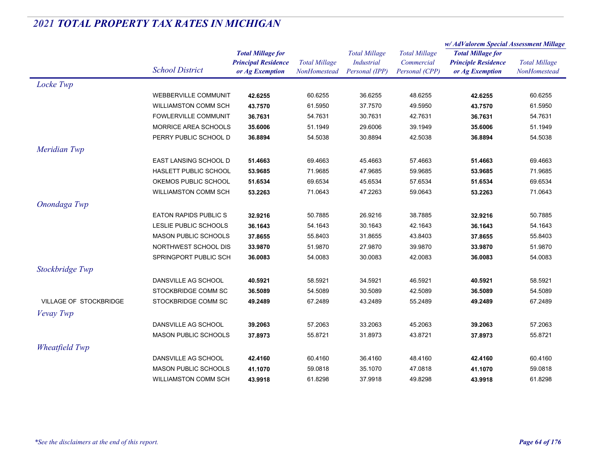|                               |                             |                                                                           |                                      |                                                             |                                                      | w/AdValorem Special Assessment Millage                                    |                                      |
|-------------------------------|-----------------------------|---------------------------------------------------------------------------|--------------------------------------|-------------------------------------------------------------|------------------------------------------------------|---------------------------------------------------------------------------|--------------------------------------|
|                               | <b>School District</b>      | <b>Total Millage for</b><br><b>Principal Residence</b><br>or Ag Exemption | <b>Total Millage</b><br>NonHomestead | <b>Total Millage</b><br><b>Industrial</b><br>Personal (IPP) | <b>Total Millage</b><br>Commercial<br>Personal (CPP) | <b>Total Millage for</b><br><b>Principle Residence</b><br>or Ag Exemption | <b>Total Millage</b><br>NonHomestead |
| Locke Twp                     |                             |                                                                           |                                      |                                                             |                                                      |                                                                           |                                      |
|                               | <b>WEBBERVILLE COMMUNIT</b> | 42.6255                                                                   | 60.6255                              | 36.6255                                                     | 48.6255                                              | 42.6255                                                                   | 60.6255                              |
|                               | WILLIAMSTON COMM SCH        | 43.7570                                                                   | 61.5950                              | 37.7570                                                     | 49.5950                                              | 43.7570                                                                   | 61.5950                              |
|                               | <b>FOWLERVILLE COMMUNIT</b> | 36.7631                                                                   | 54.7631                              | 30.7631                                                     | 42.7631                                              | 36.7631                                                                   | 54.7631                              |
|                               | MORRICE AREA SCHOOLS        | 35.6006                                                                   | 51.1949                              | 29.6006                                                     | 39.1949                                              | 35.6006                                                                   | 51.1949                              |
|                               | PERRY PUBLIC SCHOOL D       | 36.8894                                                                   | 54.5038                              | 30.8894                                                     | 42.5038                                              | 36.8894                                                                   | 54.5038                              |
| Meridian Twp                  |                             |                                                                           |                                      |                                                             |                                                      |                                                                           |                                      |
|                               | EAST LANSING SCHOOL D       | 51.4663                                                                   | 69.4663                              | 45.4663                                                     | 57.4663                                              | 51.4663                                                                   | 69.4663                              |
|                               | HASLETT PUBLIC SCHOOL       | 53.9685                                                                   | 71.9685                              | 47.9685                                                     | 59.9685                                              | 53.9685                                                                   | 71.9685                              |
|                               | OKEMOS PUBLIC SCHOOL        | 51.6534                                                                   | 69.6534                              | 45.6534                                                     | 57.6534                                              | 51.6534                                                                   | 69.6534                              |
|                               | <b>WILLIAMSTON COMM SCH</b> | 53.2263                                                                   | 71.0643                              | 47.2263                                                     | 59.0643                                              | 53.2263                                                                   | 71.0643                              |
| Onondaga Twp                  |                             |                                                                           |                                      |                                                             |                                                      |                                                                           |                                      |
|                               | <b>EATON RAPIDS PUBLICS</b> | 32.9216                                                                   | 50.7885                              | 26.9216                                                     | 38.7885                                              | 32.9216                                                                   | 50.7885                              |
|                               | LESLIE PUBLIC SCHOOLS       | 36.1643                                                                   | 54.1643                              | 30.1643                                                     | 42.1643                                              | 36.1643                                                                   | 54.1643                              |
|                               | <b>MASON PUBLIC SCHOOLS</b> | 37.8655                                                                   | 55.8403                              | 31.8655                                                     | 43.8403                                              | 37.8655                                                                   | 55.8403                              |
|                               | NORTHWEST SCHOOL DIS        | 33.9870                                                                   | 51.9870                              | 27.9870                                                     | 39.9870                                              | 33.9870                                                                   | 51.9870                              |
|                               | SPRINGPORT PUBLIC SCH       | 36.0083                                                                   | 54.0083                              | 30.0083                                                     | 42.0083                                              | 36.0083                                                                   | 54.0083                              |
| Stockbridge Twp               |                             |                                                                           |                                      |                                                             |                                                      |                                                                           |                                      |
|                               | DANSVILLE AG SCHOOL         | 40.5921                                                                   | 58.5921                              | 34.5921                                                     | 46.5921                                              | 40.5921                                                                   | 58.5921                              |
|                               | STOCKBRIDGE COMM SC         | 36.5089                                                                   | 54.5089                              | 30.5089                                                     | 42.5089                                              | 36.5089                                                                   | 54.5089                              |
| <b>VILLAGE OF STOCKBRIDGE</b> | STOCKBRIDGE COMM SC         | 49.2489                                                                   | 67.2489                              | 43.2489                                                     | 55.2489                                              | 49.2489                                                                   | 67.2489                              |
| Vevay Twp                     |                             |                                                                           |                                      |                                                             |                                                      |                                                                           |                                      |
|                               | DANSVILLE AG SCHOOL         | 39.2063                                                                   | 57.2063                              | 33.2063                                                     | 45.2063                                              | 39.2063                                                                   | 57.2063                              |
|                               | <b>MASON PUBLIC SCHOOLS</b> | 37.8973                                                                   | 55.8721                              | 31.8973                                                     | 43.8721                                              | 37.8973                                                                   | 55.8721                              |
| <b>Wheatfield Twp</b>         |                             |                                                                           |                                      |                                                             |                                                      |                                                                           |                                      |
|                               | DANSVILLE AG SCHOOL         | 42.4160                                                                   | 60.4160                              | 36.4160                                                     | 48.4160                                              | 42.4160                                                                   | 60.4160                              |
|                               | <b>MASON PUBLIC SCHOOLS</b> | 41.1070                                                                   | 59.0818                              | 35.1070                                                     | 47.0818                                              | 41.1070                                                                   | 59.0818                              |
|                               | <b>WILLIAMSTON COMM SCH</b> | 43.9918                                                                   | 61.8298                              | 37.9918                                                     | 49.8298                                              | 43.9918                                                                   | 61.8298                              |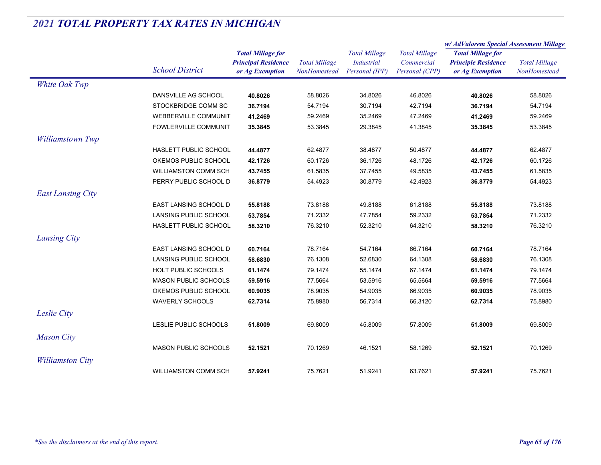|                          |                             |                                                                           |                                      |                                                      |                                                      | w/AdValorem Special Assessment Millage                                    |                                      |  |
|--------------------------|-----------------------------|---------------------------------------------------------------------------|--------------------------------------|------------------------------------------------------|------------------------------------------------------|---------------------------------------------------------------------------|--------------------------------------|--|
|                          | <b>School District</b>      | <b>Total Millage for</b><br><b>Principal Residence</b><br>or Ag Exemption | <b>Total Millage</b><br>NonHomestead | <b>Total Millage</b><br>Industrial<br>Personal (IPP) | <b>Total Millage</b><br>Commercial<br>Personal (CPP) | <b>Total Millage for</b><br><b>Principle Residence</b><br>or Ag Exemption | <b>Total Millage</b><br>NonHomestead |  |
| White Oak Twp            |                             |                                                                           |                                      |                                                      |                                                      |                                                                           |                                      |  |
|                          | DANSVILLE AG SCHOOL         | 40.8026                                                                   | 58.8026                              | 34.8026                                              | 46.8026                                              | 40.8026                                                                   | 58.8026                              |  |
|                          | STOCKBRIDGE COMM SC         | 36.7194                                                                   | 54.7194                              | 30.7194                                              | 42.7194                                              | 36.7194                                                                   | 54.7194                              |  |
|                          | <b>WEBBERVILLE COMMUNIT</b> | 41.2469                                                                   | 59.2469                              | 35.2469                                              | 47.2469                                              | 41.2469                                                                   | 59.2469                              |  |
|                          | FOWLERVILLE COMMUNIT        | 35.3845                                                                   | 53.3845                              | 29.3845                                              | 41.3845                                              | 35.3845                                                                   | 53.3845                              |  |
| <b>Williamstown Twp</b>  |                             |                                                                           |                                      |                                                      |                                                      |                                                                           |                                      |  |
|                          | HASLETT PUBLIC SCHOOL       | 44.4877                                                                   | 62.4877                              | 38.4877                                              | 50.4877                                              | 44.4877                                                                   | 62.4877                              |  |
|                          | OKEMOS PUBLIC SCHOOL        | 42.1726                                                                   | 60.1726                              | 36.1726                                              | 48.1726                                              | 42.1726                                                                   | 60.1726                              |  |
|                          | <b>WILLIAMSTON COMM SCH</b> | 43.7455                                                                   | 61.5835                              | 37.7455                                              | 49.5835                                              | 43.7455                                                                   | 61.5835                              |  |
|                          | PERRY PUBLIC SCHOOL D       | 36.8779                                                                   | 54.4923                              | 30.8779                                              | 42.4923                                              | 36.8779                                                                   | 54.4923                              |  |
| <b>East Lansing City</b> |                             |                                                                           |                                      |                                                      |                                                      |                                                                           |                                      |  |
|                          | EAST LANSING SCHOOL D       | 55.8188                                                                   | 73.8188                              | 49.8188                                              | 61.8188                                              | 55.8188                                                                   | 73.8188                              |  |
|                          | LANSING PUBLIC SCHOOL       | 53.7854                                                                   | 71.2332                              | 47.7854                                              | 59.2332                                              | 53.7854                                                                   | 71.2332                              |  |
|                          | HASLETT PUBLIC SCHOOL       | 58.3210                                                                   | 76.3210                              | 52.3210                                              | 64.3210                                              | 58.3210                                                                   | 76.3210                              |  |
| Lansing City             |                             |                                                                           |                                      |                                                      |                                                      |                                                                           |                                      |  |
|                          | EAST LANSING SCHOOL D       | 60.7164                                                                   | 78.7164                              | 54.7164                                              | 66.7164                                              | 60.7164                                                                   | 78.7164                              |  |
|                          | LANSING PUBLIC SCHOOL       | 58.6830                                                                   | 76.1308                              | 52.6830                                              | 64.1308                                              | 58.6830                                                                   | 76.1308                              |  |
|                          | HOLT PUBLIC SCHOOLS         | 61.1474                                                                   | 79.1474                              | 55.1474                                              | 67.1474                                              | 61.1474                                                                   | 79.1474                              |  |
|                          | <b>MASON PUBLIC SCHOOLS</b> | 59.5916                                                                   | 77.5664                              | 53.5916                                              | 65.5664                                              | 59.5916                                                                   | 77.5664                              |  |
|                          | OKEMOS PUBLIC SCHOOL        | 60.9035                                                                   | 78.9035                              | 54.9035                                              | 66.9035                                              | 60.9035                                                                   | 78.9035                              |  |
|                          | <b>WAVERLY SCHOOLS</b>      | 62.7314                                                                   | 75.8980                              | 56.7314                                              | 66.3120                                              | 62.7314                                                                   | 75.8980                              |  |
| Leslie City              |                             |                                                                           |                                      |                                                      |                                                      |                                                                           |                                      |  |
|                          | LESLIE PUBLIC SCHOOLS       | 51.8009                                                                   | 69.8009                              | 45.8009                                              | 57.8009                                              | 51.8009                                                                   | 69.8009                              |  |
| <b>Mason City</b>        |                             |                                                                           |                                      |                                                      |                                                      |                                                                           |                                      |  |
|                          | MASON PUBLIC SCHOOLS        | 52.1521                                                                   | 70.1269                              | 46.1521                                              | 58.1269                                              | 52.1521                                                                   | 70.1269                              |  |
| <b>Williamston City</b>  |                             |                                                                           |                                      |                                                      |                                                      |                                                                           |                                      |  |
|                          | <b>WILLIAMSTON COMM SCH</b> | 57.9241                                                                   | 75.7621                              | 51.9241                                              | 63.7621                                              | 57.9241                                                                   | 75.7621                              |  |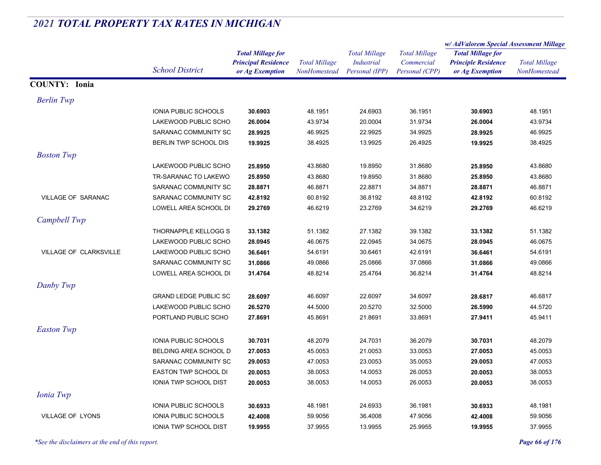|                        |                              |                                                        |                      |                                           |                                    | w/AdValorem Special Assessment Millage                 |                      |
|------------------------|------------------------------|--------------------------------------------------------|----------------------|-------------------------------------------|------------------------------------|--------------------------------------------------------|----------------------|
|                        |                              | <b>Total Millage for</b><br><b>Principal Residence</b> | <b>Total Millage</b> | <b>Total Millage</b><br><b>Industrial</b> | <b>Total Millage</b><br>Commercial | <b>Total Millage for</b><br><b>Principle Residence</b> | <b>Total Millage</b> |
|                        | <b>School District</b>       | or Ag Exemption                                        | NonHomestead         | Personal (IPP)                            | Personal (CPP)                     | or Ag Exemption                                        | NonHomestead         |
| <b>COUNTY: Ionia</b>   |                              |                                                        |                      |                                           |                                    |                                                        |                      |
| <b>Berlin Twp</b>      |                              |                                                        |                      |                                           |                                    |                                                        |                      |
|                        | IONIA PUBLIC SCHOOLS         | 30.6903                                                | 48.1951              | 24.6903                                   | 36.1951                            | 30.6903                                                | 48.1951              |
|                        | LAKEWOOD PUBLIC SCHO         | 26.0004                                                | 43.9734              | 20.0004                                   | 31.9734                            | 26.0004                                                | 43.9734              |
|                        | SARANAC COMMUNITY SC         | 28.9925                                                | 46.9925              | 22.9925                                   | 34.9925                            | 28.9925                                                | 46.9925              |
|                        | BERLIN TWP SCHOOL DIS        | 19.9925                                                | 38.4925              | 13.9925                                   | 26.4925                            | 19.9925                                                | 38.4925              |
| <b>Boston Twp</b>      |                              |                                                        |                      |                                           |                                    |                                                        |                      |
|                        | LAKEWOOD PUBLIC SCHO         | 25.8950                                                | 43.8680              | 19.8950                                   | 31.8680                            | 25.8950                                                | 43.8680              |
|                        | TR-SARANAC TO LAKEWO         | 25.8950                                                | 43.8680              | 19.8950                                   | 31.8680                            | 25.8950                                                | 43.8680              |
|                        | SARANAC COMMUNITY SC         | 28.8871                                                | 46.8871              | 22.8871                                   | 34.8871                            | 28.8871                                                | 46.8871              |
| VILLAGE OF SARANAC     | SARANAC COMMUNITY SC         | 42.8192                                                | 60.8192              | 36.8192                                   | 48.8192                            | 42.8192                                                | 60.8192              |
|                        | LOWELL AREA SCHOOL DI        | 29.2769                                                | 46.6219              | 23.2769                                   | 34.6219                            | 29.2769                                                | 46.6219              |
| Campbell Twp           |                              |                                                        |                      |                                           |                                    |                                                        |                      |
|                        | THORNAPPLE KELLOGG S         | 33.1382                                                | 51.1382              | 27.1382                                   | 39.1382                            | 33.1382                                                | 51.1382              |
|                        | LAKEWOOD PUBLIC SCHO         | 28.0945                                                | 46.0675              | 22.0945                                   | 34.0675                            | 28.0945                                                | 46.0675              |
| VILLAGE OF CLARKSVILLE | LAKEWOOD PUBLIC SCHO         | 36.6461                                                | 54.6191              | 30.6461                                   | 42.6191                            | 36.6461                                                | 54.6191              |
|                        | SARANAC COMMUNITY SC         | 31.0866                                                | 49.0866              | 25.0866                                   | 37.0866                            | 31.0866                                                | 49.0866              |
|                        | LOWELL AREA SCHOOL DI        | 31.4764                                                | 48.8214              | 25.4764                                   | 36.8214                            | 31.4764                                                | 48.8214              |
| Danby Twp              |                              |                                                        |                      |                                           |                                    |                                                        |                      |
|                        | <b>GRAND LEDGE PUBLIC SC</b> | 28.6097                                                | 46.6097              | 22.6097                                   | 34.6097                            | 28.6817                                                | 46.6817              |
|                        | LAKEWOOD PUBLIC SCHO         | 26.5270                                                | 44.5000              | 20.5270                                   | 32.5000                            | 26.5990                                                | 44.5720              |
|                        | PORTLAND PUBLIC SCHO         | 27.8691                                                | 45.8691              | 21.8691                                   | 33.8691                            | 27.9411                                                | 45.9411              |
| <b>Easton Twp</b>      |                              |                                                        |                      |                                           |                                    |                                                        |                      |
|                        | IONIA PUBLIC SCHOOLS         | 30.7031                                                | 48.2079              | 24.7031                                   | 36.2079                            | 30.7031                                                | 48.2079              |
|                        | BELDING AREA SCHOOL D        | 27.0053                                                | 45.0053              | 21.0053                                   | 33.0053                            | 27.0053                                                | 45.0053              |
|                        | SARANAC COMMUNITY SC         | 29.0053                                                | 47.0053              | 23.0053                                   | 35.0053                            | 29.0053                                                | 47.0053              |
|                        | EASTON TWP SCHOOL DI         | 20.0053                                                | 38.0053              | 14.0053                                   | 26.0053                            | 20.0053                                                | 38.0053              |
|                        | IONIA TWP SCHOOL DIST        | 20.0053                                                | 38.0053              | 14.0053                                   | 26.0053                            | 20.0053                                                | 38.0053              |
| Ionia Twp              |                              |                                                        |                      |                                           |                                    |                                                        |                      |
|                        | IONIA PUBLIC SCHOOLS         | 30.6933                                                | 48.1981              | 24.6933                                   | 36.1981                            | 30.6933                                                | 48.1981              |
| VILLAGE OF LYONS       | IONIA PUBLIC SCHOOLS         | 42.4008                                                | 59.9056              | 36.4008                                   | 47.9056                            | 42.4008                                                | 59.9056              |
|                        | <b>IONIA TWP SCHOOL DIST</b> | 19.9955                                                | 37.9955              | 13.9955                                   | 25.9955                            | 19.9955                                                | 37.9955              |

*\*See the disclaimers at the end of this report. Page 66 of 176*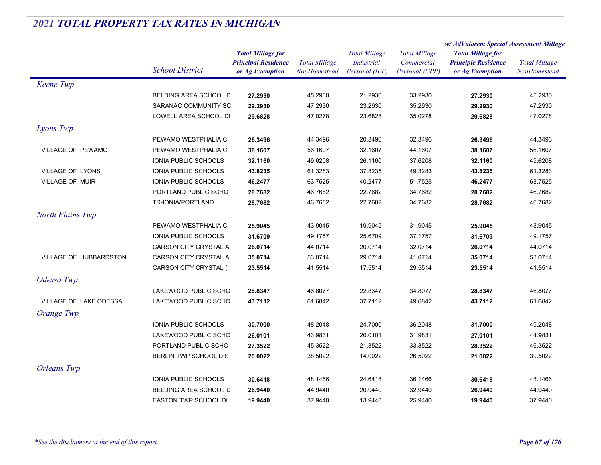|                          |                             |                            | <b>Total Millage</b> | <b>Total Millage</b> | <b>Total Millage</b> | w/AdValorem Special Assessment Millage                 |                      |
|--------------------------|-----------------------------|----------------------------|----------------------|----------------------|----------------------|--------------------------------------------------------|----------------------|
|                          |                             | <b>Total Millage for</b>   |                      |                      |                      | <b>Total Millage for</b><br><b>Principle Residence</b> | <b>Total Millage</b> |
|                          | <b>School District</b>      | <b>Principal Residence</b> |                      | Industrial           | Commercial           |                                                        |                      |
|                          |                             | or Ag Exemption            | NonHomestead         | Personal (IPP)       | Personal (CPP)       | or Ag Exemption                                        | NonHomestead         |
| Keene Twp                |                             |                            |                      |                      |                      |                                                        |                      |
|                          | BELDING AREA SCHOOL D       | 27.2930                    | 45.2930              | 21.2930              | 33.2930              | 27.2930                                                | 45.2930              |
|                          | SARANAC COMMUNITY SC        | 29.2930                    | 47.2930              | 23.2930              | 35.2930              | 29.2930                                                | 47.2930              |
|                          | LOWELL AREA SCHOOL DI       | 29.6828                    | 47.0278              | 23.6828              | 35.0278              | 29.6828                                                | 47.0278              |
| Lyons Twp                |                             |                            |                      |                      |                      |                                                        |                      |
|                          | PEWAMO WESTPHALIA C         | 26.3496                    | 44.3496              | 20.3496              | 32.3496              | 26.3496                                                | 44.3496              |
| <b>VILLAGE OF PEWAMO</b> | PEWAMO WESTPHALIA C         | 38.1607                    | 56.1607              | 32.1607              | 44.1607              | 38.1607                                                | 56.1607              |
|                          | <b>IONIA PUBLIC SCHOOLS</b> | 32.1160                    | 49.6208              | 26.1160              | 37.6208              | 32.1160                                                | 49.6208              |
| VILLAGE OF LYONS         | IONIA PUBLIC SCHOOLS        | 43.8235                    | 61.3283              | 37.8235              | 49.3283              | 43.8235                                                | 61.3283              |
| <b>VILLAGE OF MUIR</b>   | <b>IONIA PUBLIC SCHOOLS</b> | 46.2477                    | 63.7525              | 40.2477              | 51.7525              | 46.2477                                                | 63.7525              |
|                          | PORTLAND PUBLIC SCHO        | 28.7682                    | 46.7682              | 22.7682              | 34.7682              | 28.7682                                                | 46.7682              |
|                          | TR-IONIA/PORTLAND           | 28.7682                    | 46.7682              | 22.7682              | 34.7682              | 28.7682                                                | 46.7682              |
| <b>North Plains Twp</b>  |                             |                            |                      |                      |                      |                                                        |                      |
|                          | PEWAMO WESTPHALIA C         | 25.9045                    | 43.9045              | 19.9045              | 31.9045              | 25.9045                                                | 43.9045              |
|                          | IONIA PUBLIC SCHOOLS        | 31.6709                    | 49.1757              | 25.6709              | 37.1757              | 31.6709                                                | 49.1757              |
|                          | CARSON CITY CRYSTAL A       | 26.0714                    | 44.0714              | 20.0714              | 32.0714              | 26.0714                                                | 44.0714              |
| VILLAGE OF HUBBARDSTON   | CARSON CITY CRYSTAL A       | 35.0714                    | 53.0714              | 29.0714              | 41.0714              | 35.0714                                                | 53.0714              |
|                          | CARSON CITY CRYSTAL (       | 23.5514                    | 41.5514              | 17.5514              | 29.5514              | 23.5514                                                | 41.5514              |
| Odessa Twp               |                             |                            |                      |                      |                      |                                                        |                      |
|                          | LAKEWOOD PUBLIC SCHO        | 28.8347                    | 46.8077              | 22.8347              | 34.8077              | 28.8347                                                | 46.8077              |
| VILLAGE OF LAKE ODESSA   | LAKEWOOD PUBLIC SCHO        | 43.7112                    | 61.6842              | 37.7112              | 49.6842              | 43.7112                                                | 61.6842              |
| Orange Twp               |                             |                            |                      |                      |                      |                                                        |                      |
|                          | IONIA PUBLIC SCHOOLS        | 30.7000                    | 48.2048              | 24.7000              | 36.2048              | 31.7000                                                | 49.2048              |
|                          | LAKEWOOD PUBLIC SCHO        | 26.0101                    | 43.9831              | 20.0101              | 31.9831              | 27.0101                                                | 44.9831              |
|                          | PORTLAND PUBLIC SCHO        | 27.3522                    | 45.3522              | 21.3522              | 33.3522              | 28.3522                                                | 46.3522              |
|                          | BERLIN TWP SCHOOL DIS       | 20.0022                    | 38.5022              | 14.0022              | 26.5022              | 21.0022                                                | 39.5022              |
| <b>Orleans</b> Twp       |                             |                            |                      |                      |                      |                                                        |                      |
|                          | <b>IONIA PUBLIC SCHOOLS</b> | 30.6418                    | 48.1466              | 24.6418              | 36.1466              | 30.6418                                                | 48.1466              |
|                          | BELDING AREA SCHOOL D       | 26.9440                    | 44.9440              | 20.9440              | 32.9440              | 26.9440                                                | 44.9440              |
|                          | <b>EASTON TWP SCHOOL DI</b> | 19.9440                    | 37.9440              | 13.9440              | 25.9440              | 19.9440                                                | 37.9440              |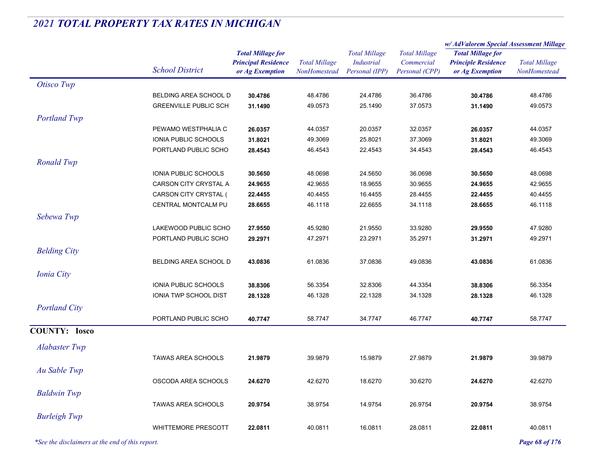|                                                 |                              |                                                                           |                                      |                                                             |                                                      | w/AdValorem Special Assessment Millage                                    |                                      |  |
|-------------------------------------------------|------------------------------|---------------------------------------------------------------------------|--------------------------------------|-------------------------------------------------------------|------------------------------------------------------|---------------------------------------------------------------------------|--------------------------------------|--|
|                                                 | <b>School District</b>       | <b>Total Millage for</b><br><b>Principal Residence</b><br>or Ag Exemption | <b>Total Millage</b><br>NonHomestead | <b>Total Millage</b><br><b>Industrial</b><br>Personal (IPP) | <b>Total Millage</b><br>Commercial<br>Personal (CPP) | <b>Total Millage for</b><br><b>Principle Residence</b><br>or Ag Exemption | <b>Total Millage</b><br>NonHomestead |  |
| Otisco Twp                                      |                              |                                                                           |                                      |                                                             |                                                      |                                                                           |                                      |  |
|                                                 | BELDING AREA SCHOOL D        | 30.4786                                                                   | 48.4786                              | 24.4786                                                     | 36.4786                                              | 30.4786                                                                   | 48.4786                              |  |
|                                                 | <b>GREENVILLE PUBLIC SCH</b> | 31.1490                                                                   | 49.0573                              | 25.1490                                                     | 37.0573                                              | 31.1490                                                                   | 49.0573                              |  |
| <b>Portland Twp</b>                             |                              |                                                                           |                                      |                                                             |                                                      |                                                                           |                                      |  |
|                                                 | PEWAMO WESTPHALIA C          | 26.0357                                                                   | 44.0357                              | 20.0357                                                     | 32.0357                                              | 26.0357                                                                   | 44.0357                              |  |
|                                                 | IONIA PUBLIC SCHOOLS         | 31.8021                                                                   | 49.3069                              | 25.8021                                                     | 37.3069                                              | 31.8021                                                                   | 49.3069                              |  |
|                                                 | PORTLAND PUBLIC SCHO         | 28.4543                                                                   | 46.4543                              | 22.4543                                                     | 34.4543                                              | 28.4543                                                                   | 46.4543                              |  |
| <b>Ronald Twp</b>                               |                              |                                                                           |                                      |                                                             |                                                      |                                                                           |                                      |  |
|                                                 | IONIA PUBLIC SCHOOLS         | 30.5650                                                                   | 48.0698                              | 24.5650                                                     | 36.0698                                              | 30.5650                                                                   | 48.0698                              |  |
|                                                 | CARSON CITY CRYSTAL A        | 24.9655                                                                   | 42.9655                              | 18.9655                                                     | 30.9655                                              | 24.9655                                                                   | 42.9655                              |  |
|                                                 | CARSON CITY CRYSTAL (        | 22.4455                                                                   | 40.4455                              | 16.4455                                                     | 28.4455                                              | 22.4455                                                                   | 40.4455                              |  |
|                                                 | CENTRAL MONTCALM PU          | 28.6655                                                                   | 46.1118                              | 22.6655                                                     | 34.1118                                              | 28.6655                                                                   | 46.1118                              |  |
| Sebewa Twp                                      |                              |                                                                           |                                      |                                                             |                                                      |                                                                           |                                      |  |
|                                                 | LAKEWOOD PUBLIC SCHO         | 27.9550                                                                   | 45.9280                              | 21.9550                                                     | 33.9280                                              | 29.9550                                                                   | 47.9280                              |  |
|                                                 | PORTLAND PUBLIC SCHO         | 29.2971                                                                   | 47.2971                              | 23.2971                                                     | 35.2971                                              | 31.2971                                                                   | 49.2971                              |  |
| <b>Belding City</b>                             |                              |                                                                           |                                      |                                                             |                                                      |                                                                           |                                      |  |
|                                                 | BELDING AREA SCHOOL D        | 43.0836                                                                   | 61.0836                              | 37.0836                                                     | 49.0836                                              | 43.0836                                                                   | 61.0836                              |  |
| <b>Ionia City</b>                               |                              |                                                                           |                                      |                                                             |                                                      |                                                                           |                                      |  |
|                                                 | IONIA PUBLIC SCHOOLS         | 38.8306                                                                   | 56.3354                              | 32.8306                                                     | 44.3354                                              | 38.8306                                                                   | 56.3354                              |  |
|                                                 | IONIA TWP SCHOOL DIST        | 28.1328                                                                   | 46.1328                              | 22.1328                                                     | 34.1328                                              | 28.1328                                                                   | 46.1328                              |  |
| <b>Portland City</b>                            |                              |                                                                           |                                      |                                                             |                                                      |                                                                           |                                      |  |
|                                                 | PORTLAND PUBLIC SCHO         | 40.7747                                                                   | 58.7747                              | 34.7747                                                     | 46.7747                                              | 40.7747                                                                   | 58.7747                              |  |
| <b>COUNTY: Iosco</b>                            |                              |                                                                           |                                      |                                                             |                                                      |                                                                           |                                      |  |
|                                                 |                              |                                                                           |                                      |                                                             |                                                      |                                                                           |                                      |  |
| <b>Alabaster Twp</b>                            |                              |                                                                           |                                      |                                                             |                                                      |                                                                           |                                      |  |
|                                                 | <b>TAWAS AREA SCHOOLS</b>    | 21.9879                                                                   | 39.9879                              | 15.9879                                                     | 27.9879                                              | 21.9879                                                                   | 39.9879                              |  |
| Au Sable Twp                                    |                              |                                                                           |                                      |                                                             |                                                      |                                                                           |                                      |  |
|                                                 | OSCODA AREA SCHOOLS          | 24.6270                                                                   | 42.6270                              | 18.6270                                                     | 30.6270                                              | 24.6270                                                                   | 42.6270                              |  |
| <b>Baldwin Twp</b>                              |                              |                                                                           |                                      |                                                             |                                                      |                                                                           |                                      |  |
|                                                 | <b>TAWAS AREA SCHOOLS</b>    | 20.9754                                                                   | 38.9754                              | 14.9754                                                     | 26.9754                                              | 20.9754                                                                   | 38.9754                              |  |
| <b>Burleigh Twp</b>                             |                              |                                                                           |                                      |                                                             |                                                      |                                                                           |                                      |  |
|                                                 | <b>WHITTEMORE PRESCOTT</b>   | 22.0811                                                                   | 40.0811                              | 16.0811                                                     | 28.0811                                              | 22.0811                                                                   | 40.0811                              |  |
| *See the disclaimers at the end of this report. |                              |                                                                           |                                      |                                                             |                                                      |                                                                           | Page 68 of 176                       |  |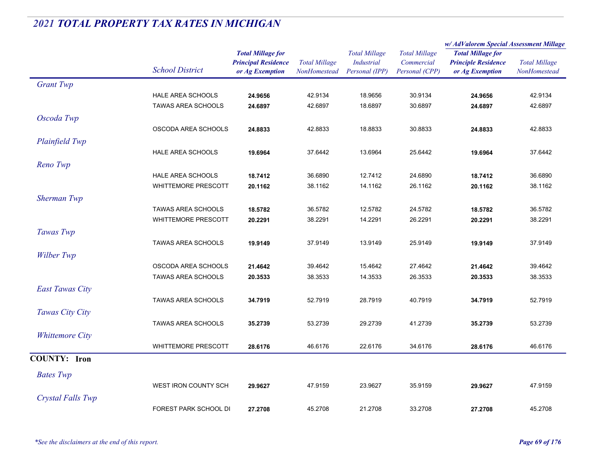|                        |                            |                                                                           |                                      | <b>Total Millage</b><br>Industrial<br>Personal (IPP) | <b>Total Millage</b><br>Commercial<br>Personal (CPP) | w/ AdValorem Special Assessment Millage                                   |                                      |
|------------------------|----------------------------|---------------------------------------------------------------------------|--------------------------------------|------------------------------------------------------|------------------------------------------------------|---------------------------------------------------------------------------|--------------------------------------|
|                        | <b>School District</b>     | <b>Total Millage for</b><br><b>Principal Residence</b><br>or Ag Exemption | <b>Total Millage</b><br>NonHomestead |                                                      |                                                      | <b>Total Millage for</b><br><b>Principle Residence</b><br>or Ag Exemption | <b>Total Millage</b><br>NonHomestead |
|                        |                            |                                                                           |                                      |                                                      |                                                      |                                                                           |                                      |
| <b>Grant Twp</b>       |                            |                                                                           |                                      |                                                      |                                                      |                                                                           |                                      |
|                        | HALE AREA SCHOOLS          | 24.9656                                                                   | 42.9134                              | 18.9656                                              | 30.9134                                              | 24.9656                                                                   | 42.9134                              |
|                        | TAWAS AREA SCHOOLS         | 24.6897                                                                   | 42.6897                              | 18.6897                                              | 30.6897                                              | 24.6897                                                                   | 42.6897                              |
| Oscoda Twp             |                            |                                                                           |                                      |                                                      |                                                      |                                                                           |                                      |
|                        | OSCODA AREA SCHOOLS        | 24.8833                                                                   | 42.8833                              | 18.8833                                              | 30.8833                                              | 24.8833                                                                   | 42.8833                              |
| Plainfield Twp         |                            |                                                                           |                                      |                                                      |                                                      |                                                                           |                                      |
|                        | <b>HALE AREA SCHOOLS</b>   | 19.6964                                                                   | 37.6442                              | 13.6964                                              | 25.6442                                              | 19.6964                                                                   | 37.6442                              |
| Reno Twp               |                            |                                                                           |                                      |                                                      |                                                      |                                                                           |                                      |
|                        | HALE AREA SCHOOLS          | 18.7412                                                                   | 36.6890                              | 12.7412                                              | 24.6890                                              | 18.7412                                                                   | 36.6890                              |
|                        | <b>WHITTEMORE PRESCOTT</b> | 20.1162                                                                   | 38.1162                              | 14.1162                                              | 26.1162                                              | 20.1162                                                                   | 38.1162                              |
| Sherman Twp            |                            |                                                                           |                                      |                                                      |                                                      |                                                                           |                                      |
|                        | <b>TAWAS AREA SCHOOLS</b>  | 18.5782                                                                   | 36.5782                              | 12.5782                                              | 24.5782                                              | 18.5782                                                                   | 36.5782                              |
|                        | <b>WHITTEMORE PRESCOTT</b> | 20.2291                                                                   | 38.2291                              | 14.2291                                              | 26.2291                                              | 20.2291                                                                   | 38.2291                              |
| Tawas Twp              |                            |                                                                           |                                      |                                                      |                                                      |                                                                           |                                      |
|                        | <b>TAWAS AREA SCHOOLS</b>  | 19.9149                                                                   | 37.9149                              | 13.9149                                              | 25.9149                                              | 19.9149                                                                   | 37.9149                              |
| Wilber Twp             |                            |                                                                           |                                      |                                                      |                                                      |                                                                           |                                      |
|                        | OSCODA AREA SCHOOLS        | 21.4642                                                                   | 39.4642                              | 15.4642                                              | 27.4642                                              | 21.4642                                                                   | 39.4642                              |
|                        | <b>TAWAS AREA SCHOOLS</b>  | 20.3533                                                                   | 38.3533                              | 14.3533                                              | 26.3533                                              | 20.3533                                                                   | 38.3533                              |
| <b>East Tawas City</b> |                            |                                                                           |                                      |                                                      |                                                      |                                                                           |                                      |
|                        | <b>TAWAS AREA SCHOOLS</b>  | 34.7919                                                                   | 52.7919                              | 28.7919                                              | 40.7919                                              | 34.7919                                                                   | 52.7919                              |
| Tawas City City        |                            |                                                                           |                                      |                                                      |                                                      |                                                                           |                                      |
|                        | <b>TAWAS AREA SCHOOLS</b>  | 35.2739                                                                   | 53.2739                              | 29.2739                                              | 41.2739                                              | 35.2739                                                                   | 53.2739                              |
| <b>Whittemore City</b> |                            |                                                                           |                                      |                                                      |                                                      |                                                                           |                                      |
|                        | <b>WHITTEMORE PRESCOTT</b> | 28.6176                                                                   | 46.6176                              | 22.6176                                              | 34.6176                                              | 28.6176                                                                   | 46.6176                              |
| <b>COUNTY: Iron</b>    |                            |                                                                           |                                      |                                                      |                                                      |                                                                           |                                      |
|                        |                            |                                                                           |                                      |                                                      |                                                      |                                                                           |                                      |
| <b>Bates</b> Twp       |                            |                                                                           |                                      |                                                      |                                                      |                                                                           |                                      |
|                        | WEST IRON COUNTY SCH       | 29.9627                                                                   | 47.9159                              | 23.9627                                              | 35.9159                                              | 29.9627                                                                   | 47.9159                              |
| Crystal Falls Twp      |                            |                                                                           |                                      |                                                      |                                                      |                                                                           |                                      |
|                        | FOREST PARK SCHOOL DI      | 27.2708                                                                   | 45.2708                              | 21.2708                                              | 33.2708                                              | 27.2708                                                                   | 45.2708                              |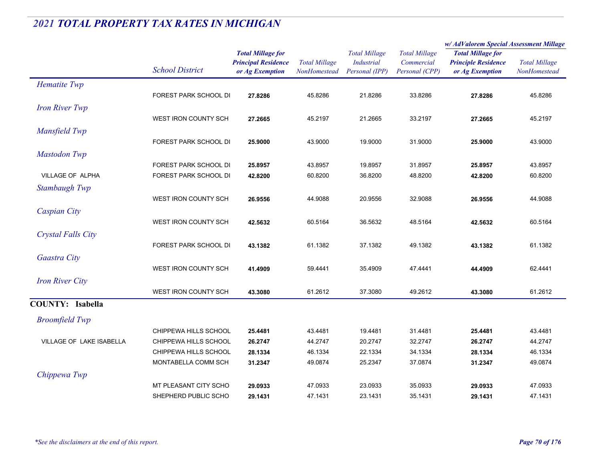|                           |                        |                                                                           |                                      |                                                             |                                                      | w/AdValorem Special Assessment Millage                                    |                                      |
|---------------------------|------------------------|---------------------------------------------------------------------------|--------------------------------------|-------------------------------------------------------------|------------------------------------------------------|---------------------------------------------------------------------------|--------------------------------------|
|                           | <b>School District</b> | <b>Total Millage for</b><br><b>Principal Residence</b><br>or Ag Exemption | <b>Total Millage</b><br>NonHomestead | <b>Total Millage</b><br><b>Industrial</b><br>Personal (IPP) | <b>Total Millage</b><br>Commercial<br>Personal (CPP) | <b>Total Millage for</b><br><b>Principle Residence</b><br>or Ag Exemption | <b>Total Millage</b><br>NonHomestead |
| Hematite Twp              |                        |                                                                           |                                      |                                                             |                                                      |                                                                           |                                      |
|                           | FOREST PARK SCHOOL DI  | 27.8286                                                                   | 45.8286                              | 21.8286                                                     | 33.8286                                              | 27.8286                                                                   | 45.8286                              |
| <b>Iron River Twp</b>     |                        |                                                                           |                                      |                                                             |                                                      |                                                                           |                                      |
|                           | WEST IRON COUNTY SCH   | 27.2665                                                                   | 45.2197                              | 21.2665                                                     | 33.2197                                              | 27.2665                                                                   | 45.2197                              |
| Mansfield Twp             |                        |                                                                           |                                      |                                                             |                                                      |                                                                           |                                      |
|                           | FOREST PARK SCHOOL DI  | 25.9000                                                                   | 43.9000                              | 19.9000                                                     | 31.9000                                              | 25.9000                                                                   | 43.9000                              |
| <b>Mastodon Twp</b>       |                        |                                                                           |                                      |                                                             |                                                      |                                                                           |                                      |
|                           | FOREST PARK SCHOOL DI  | 25.8957                                                                   | 43.8957                              | 19.8957                                                     | 31.8957                                              | 25.8957                                                                   | 43.8957                              |
| VILLAGE OF ALPHA          | FOREST PARK SCHOOL DI  | 42.8200                                                                   | 60.8200                              | 36.8200                                                     | 48.8200                                              | 42.8200                                                                   | 60.8200                              |
| Stambaugh Twp             |                        |                                                                           |                                      |                                                             |                                                      |                                                                           |                                      |
|                           | WEST IRON COUNTY SCH   | 26.9556                                                                   | 44.9088                              | 20.9556                                                     | 32.9088                                              | 26.9556                                                                   | 44.9088                              |
| Caspian City              |                        |                                                                           |                                      |                                                             |                                                      |                                                                           |                                      |
|                           | WEST IRON COUNTY SCH   | 42.5632                                                                   | 60.5164                              | 36.5632                                                     | 48.5164                                              | 42.5632                                                                   | 60.5164                              |
| <b>Crystal Falls City</b> |                        |                                                                           |                                      |                                                             |                                                      |                                                                           |                                      |
|                           | FOREST PARK SCHOOL DI  | 43.1382                                                                   | 61.1382                              | 37.1382                                                     | 49.1382                                              | 43.1382                                                                   | 61.1382                              |
| Gaastra City              |                        |                                                                           |                                      |                                                             |                                                      |                                                                           |                                      |
|                           | WEST IRON COUNTY SCH   | 41.4909                                                                   | 59.4441                              | 35.4909                                                     | 47.4441                                              | 44.4909                                                                   | 62.4441                              |
| <b>Iron River City</b>    |                        |                                                                           |                                      |                                                             |                                                      |                                                                           |                                      |
|                           | WEST IRON COUNTY SCH   | 43.3080                                                                   | 61.2612                              | 37.3080                                                     | 49.2612                                              | 43.3080                                                                   | 61.2612                              |
| <b>COUNTY:</b> Isabella   |                        |                                                                           |                                      |                                                             |                                                      |                                                                           |                                      |
| <b>Broomfield Twp</b>     |                        |                                                                           |                                      |                                                             |                                                      |                                                                           |                                      |
|                           | CHIPPEWA HILLS SCHOOL  | 25.4481                                                                   | 43.4481                              | 19.4481                                                     | 31.4481                                              | 25.4481                                                                   | 43.4481                              |
| VILLAGE OF LAKE ISABELLA  | CHIPPEWA HILLS SCHOOL  | 26.2747                                                                   | 44.2747                              | 20.2747                                                     | 32.2747                                              | 26.2747                                                                   | 44.2747                              |
|                           | CHIPPEWA HILLS SCHOOL  | 28.1334                                                                   | 46.1334                              | 22.1334                                                     | 34.1334                                              | 28.1334                                                                   | 46.1334                              |
|                           | MONTABELLA COMM SCH    | 31.2347                                                                   | 49.0874                              | 25.2347                                                     | 37.0874                                              | 31.2347                                                                   | 49.0874                              |
| Chippewa Twp              |                        |                                                                           |                                      |                                                             |                                                      |                                                                           |                                      |
|                           | MT PLEASANT CITY SCHO  | 29.0933                                                                   | 47.0933                              | 23.0933                                                     | 35.0933                                              | 29.0933                                                                   | 47.0933                              |
|                           | SHEPHERD PUBLIC SCHO   | 29.1431                                                                   | 47.1431                              | 23.1431                                                     | 35.1431                                              | 29.1431                                                                   | 47.1431                              |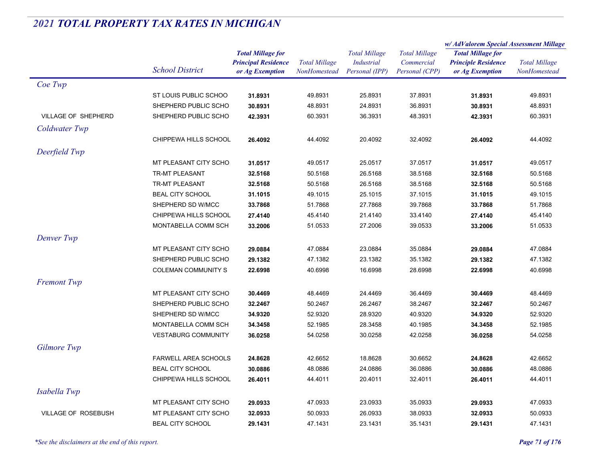|                     |                             |                            |                      | <b>Total Millage</b> | <b>Total Millage</b><br>Commercial | w/ AdValorem Special Assessment Millage                                   |                      |
|---------------------|-----------------------------|----------------------------|----------------------|----------------------|------------------------------------|---------------------------------------------------------------------------|----------------------|
|                     |                             | <b>Total Millage for</b>   |                      |                      |                                    | <b>Total Millage for</b><br><b>Principle Residence</b><br>or Ag Exemption | <b>Total Millage</b> |
|                     |                             | <b>Principal Residence</b> | <b>Total Millage</b> | <b>Industrial</b>    |                                    |                                                                           |                      |
|                     | <b>School District</b>      | or Ag Exemption            | NonHomestead         | Personal (IPP)       | Personal (CPP)                     |                                                                           | NonHomestead         |
| Coe Twp             |                             |                            |                      |                      |                                    |                                                                           |                      |
|                     | ST LOUIS PUBLIC SCHOO       | 31.8931                    | 49.8931              | 25.8931              | 37.8931                            | 31.8931                                                                   | 49.8931              |
|                     | SHEPHERD PUBLIC SCHO        | 30.8931                    | 48.8931              | 24.8931              | 36.8931                            | 30.8931                                                                   | 48.8931              |
| VILLAGE OF SHEPHERD | SHEPHERD PUBLIC SCHO        | 42.3931                    | 60.3931              | 36.3931              | 48.3931                            | 42.3931                                                                   | 60.3931              |
| Coldwater Twp       |                             |                            |                      |                      |                                    |                                                                           |                      |
|                     | CHIPPEWA HILLS SCHOOL       | 26.4092                    | 44.4092              | 20.4092              | 32.4092                            | 26.4092                                                                   | 44.4092              |
| Deerfield Twp       |                             |                            |                      |                      |                                    |                                                                           |                      |
|                     | MT PLEASANT CITY SCHO       | 31.0517                    | 49.0517              | 25.0517              | 37.0517                            | 31.0517                                                                   | 49.0517              |
|                     | <b>TR-MT PLEASANT</b>       | 32.5168                    | 50.5168              | 26.5168              | 38.5168                            | 32.5168                                                                   | 50.5168              |
|                     | <b>TR-MT PLEASANT</b>       | 32.5168                    | 50.5168              | 26.5168              | 38.5168                            | 32.5168                                                                   | 50.5168              |
|                     | <b>BEAL CITY SCHOOL</b>     | 31.1015                    | 49.1015              | 25.1015              | 37.1015                            | 31.1015                                                                   | 49.1015              |
|                     | SHEPHERD SD W/MCC           | 33.7868                    | 51.7868              | 27.7868              | 39.7868                            | 33.7868                                                                   | 51.7868              |
|                     | CHIPPEWA HILLS SCHOOL       | 27.4140                    | 45.4140              | 21.4140              | 33.4140                            | 27.4140                                                                   | 45.4140              |
|                     | MONTABELLA COMM SCH         | 33.2006                    | 51.0533              | 27.2006              | 39.0533                            | 33.2006                                                                   | 51.0533              |
| Denver Twp          |                             |                            |                      |                      |                                    |                                                                           |                      |
|                     | MT PLEASANT CITY SCHO       | 29.0884                    | 47.0884              | 23.0884              | 35.0884                            | 29.0884                                                                   | 47.0884              |
|                     | SHEPHERD PUBLIC SCHO        | 29.1382                    | 47.1382              | 23.1382              | 35.1382                            | 29.1382                                                                   | 47.1382              |
|                     | <b>COLEMAN COMMUNITY S</b>  | 22.6998                    | 40.6998              | 16.6998              | 28.6998                            | 22.6998                                                                   | 40.6998              |
| <b>Fremont Twp</b>  |                             |                            |                      |                      |                                    |                                                                           |                      |
|                     | MT PLEASANT CITY SCHO       | 30.4469                    | 48.4469              | 24.4469              | 36.4469                            | 30.4469                                                                   | 48.4469              |
|                     | SHEPHERD PUBLIC SCHO        | 32.2467                    | 50.2467              | 26.2467              | 38.2467                            | 32.2467                                                                   | 50.2467              |
|                     | SHEPHERD SD W/MCC           | 34.9320                    | 52.9320              | 28.9320              | 40.9320                            | 34.9320                                                                   | 52.9320              |
|                     | MONTABELLA COMM SCH         | 34.3458                    | 52.1985              | 28.3458              | 40.1985                            | 34.3458                                                                   | 52.1985              |
|                     | <b>VESTABURG COMMUNITY</b>  | 36.0258                    | 54.0258              | 30.0258              | 42.0258                            | 36.0258                                                                   | 54.0258              |
| <b>Gilmore Twp</b>  |                             |                            |                      |                      |                                    |                                                                           |                      |
|                     | <b>FARWELL AREA SCHOOLS</b> | 24.8628                    | 42.6652              | 18.8628              | 30.6652                            | 24.8628                                                                   | 42.6652              |
|                     | <b>BEAL CITY SCHOOL</b>     | 30.0886                    | 48.0886              | 24.0886              | 36.0886                            | 30.0886                                                                   | 48.0886              |
|                     | CHIPPEWA HILLS SCHOOL       | 26.4011                    | 44.4011              | 20.4011              | 32.4011                            | 26.4011                                                                   | 44.4011              |
|                     |                             |                            |                      |                      |                                    |                                                                           |                      |
| Isabella Twp        |                             |                            |                      |                      |                                    |                                                                           |                      |
|                     | MT PLEASANT CITY SCHO       | 29.0933                    | 47.0933              | 23.0933              | 35.0933                            | 29.0933                                                                   | 47.0933              |
| VILLAGE OF ROSEBUSH | MT PLEASANT CITY SCHO       | 32.0933                    | 50.0933              | 26.0933              | 38.0933                            | 32.0933                                                                   | 50.0933              |
|                     | <b>BEAL CITY SCHOOL</b>     | 29.1431                    | 47.1431              | 23.1431              | 35.1431                            | 29.1431                                                                   | 47.1431              |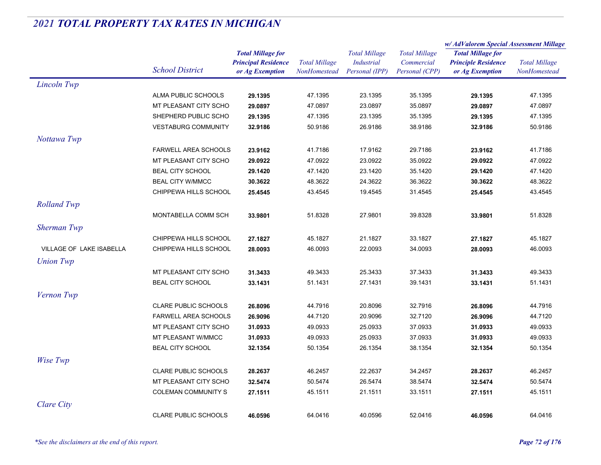|                          |                                                |                            | <b>Total Millage</b><br>NonHomestead | <b>Total Millage</b> | <b>Total Millage</b><br>Commercial | w/ AdValorem Special Assessment Millage                |                      |
|--------------------------|------------------------------------------------|----------------------------|--------------------------------------|----------------------|------------------------------------|--------------------------------------------------------|----------------------|
|                          |                                                | <b>Total Millage for</b>   |                                      |                      |                                    | <b>Total Millage for</b><br><b>Principle Residence</b> | <b>Total Millage</b> |
|                          |                                                | <b>Principal Residence</b> |                                      | <b>Industrial</b>    |                                    |                                                        |                      |
|                          | <b>School District</b>                         | or Ag Exemption            |                                      | Personal (IPP)       | Personal (CPP)                     | or Ag Exemption                                        | NonHomestead         |
| Lincoln Twp              |                                                |                            |                                      |                      |                                    |                                                        |                      |
|                          | ALMA PUBLIC SCHOOLS                            | 29.1395                    | 47.1395                              | 23.1395              | 35.1395                            | 29.1395                                                | 47.1395              |
|                          | MT PLEASANT CITY SCHO                          | 29.0897                    | 47.0897                              | 23.0897              | 35.0897                            | 29.0897                                                | 47.0897              |
|                          | SHEPHERD PUBLIC SCHO                           | 29.1395                    | 47.1395                              | 23.1395              | 35.1395                            | 29.1395                                                | 47.1395              |
|                          | <b>VESTABURG COMMUNITY</b>                     | 32.9186                    | 50.9186                              | 26.9186              | 38.9186                            | 32.9186                                                | 50.9186              |
| Nottawa Twp              |                                                |                            |                                      |                      |                                    |                                                        |                      |
|                          | <b>FARWELL AREA SCHOOLS</b>                    | 23.9162                    | 41.7186                              | 17.9162              | 29.7186                            | 23.9162                                                | 41.7186              |
|                          | MT PLEASANT CITY SCHO                          | 29.0922                    | 47.0922                              | 23.0922              | 35.0922                            | 29.0922                                                | 47.0922              |
|                          | <b>BEAL CITY SCHOOL</b>                        | 29.1420                    | 47.1420                              | 23.1420              | 35.1420                            | 29.1420                                                | 47.1420              |
|                          | <b>BEAL CITY W/MMCC</b>                        | 30.3622                    | 48.3622                              | 24.3622              | 36.3622                            | 30.3622                                                | 48.3622              |
|                          | CHIPPEWA HILLS SCHOOL                          | 25.4545                    | 43.4545                              | 19.4545              | 31.4545                            | 25.4545                                                | 43.4545              |
| <b>Rolland Twp</b>       |                                                |                            |                                      |                      |                                    |                                                        |                      |
|                          | MONTABELLA COMM SCH                            | 33.9801                    | 51.8328                              | 27.9801              | 39.8328                            | 33.9801                                                | 51.8328              |
| <b>Sherman Twp</b>       |                                                |                            |                                      |                      |                                    |                                                        |                      |
|                          |                                                |                            |                                      |                      | 33.1827                            | 27.1827                                                |                      |
| VILLAGE OF LAKE ISABELLA | CHIPPEWA HILLS SCHOOL<br>CHIPPEWA HILLS SCHOOL | 27.1827                    | 45.1827<br>46.0093                   | 21.1827<br>22.0093   | 34.0093                            | 28.0093                                                | 45.1827<br>46.0093   |
|                          |                                                | 28.0093                    |                                      |                      |                                    |                                                        |                      |
| <b>Union Twp</b>         |                                                |                            |                                      |                      |                                    |                                                        |                      |
|                          | MT PLEASANT CITY SCHO                          | 31.3433                    | 49.3433                              | 25.3433              | 37.3433                            | 31.3433                                                | 49.3433              |
|                          | <b>BEAL CITY SCHOOL</b>                        | 33.1431                    | 51.1431                              | 27.1431              | 39.1431                            | 33.1431                                                | 51.1431              |
| Vernon Twp               |                                                |                            |                                      |                      |                                    |                                                        |                      |
|                          | CLARE PUBLIC SCHOOLS                           | 26.8096                    | 44.7916                              | 20.8096              | 32.7916                            | 26.8096                                                | 44.7916              |
|                          | <b>FARWELL AREA SCHOOLS</b>                    | 26.9096                    | 44.7120                              | 20.9096              | 32.7120                            | 26.9096                                                | 44.7120              |
|                          | MT PLEASANT CITY SCHO                          | 31.0933                    | 49.0933                              | 25.0933              | 37.0933                            | 31.0933                                                | 49.0933              |
|                          | MT PLEASANT W/MMCC                             | 31.0933                    | 49.0933                              | 25.0933              | 37.0933                            | 31.0933                                                | 49.0933              |
|                          | <b>BEAL CITY SCHOOL</b>                        | 32.1354                    | 50.1354                              | 26.1354              | 38.1354                            | 32.1354                                                | 50.1354              |
| Wise Twp                 |                                                |                            |                                      |                      |                                    |                                                        |                      |
|                          | <b>CLARE PUBLIC SCHOOLS</b>                    | 28.2637                    | 46.2457                              | 22.2637              | 34.2457                            | 28.2637                                                | 46.2457              |
|                          | MT PLEASANT CITY SCHO                          | 32.5474                    | 50.5474                              | 26.5474              | 38.5474                            | 32.5474                                                | 50.5474              |
|                          | <b>COLEMAN COMMUNITY S</b>                     | 27.1511                    | 45.1511                              | 21.1511              | 33.1511                            | 27.1511                                                | 45.1511              |
| <b>Clare City</b>        |                                                |                            |                                      |                      |                                    |                                                        |                      |
|                          | <b>CLARE PUBLIC SCHOOLS</b>                    | 46.0596                    | 64.0416                              | 40.0596              | 52.0416                            | 46.0596                                                | 64.0416              |
|                          |                                                |                            |                                      |                      |                                    |                                                        |                      |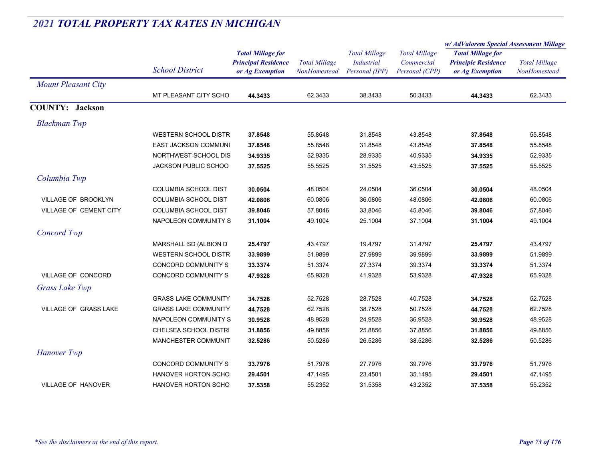|                              |                             |                                               | <b>Total Millage</b><br>NonHomestead | <b>Total Millage</b><br>Industrial<br>Personal (IPP) |                              | w/AdValorem Special Assessment Millage        |                                      |
|------------------------------|-----------------------------|-----------------------------------------------|--------------------------------------|------------------------------------------------------|------------------------------|-----------------------------------------------|--------------------------------------|
|                              |                             | <b>Total Millage for</b>                      |                                      |                                                      | <b>Total Millage</b>         | <b>Total Millage for</b>                      |                                      |
|                              | <b>School District</b>      | <b>Principal Residence</b><br>or Ag Exemption |                                      |                                                      | Commercial<br>Personal (CPP) | <b>Principle Residence</b><br>or Ag Exemption | <b>Total Millage</b><br>NonHomestead |
|                              |                             |                                               |                                      |                                                      |                              |                                               |                                      |
| <b>Mount Pleasant City</b>   |                             |                                               |                                      |                                                      |                              |                                               |                                      |
|                              | MT PLEASANT CITY SCHO       | 44.3433                                       | 62.3433                              | 38.3433                                              | 50.3433                      | 44.3433                                       | 62.3433                              |
| <b>COUNTY: Jackson</b>       |                             |                                               |                                      |                                                      |                              |                                               |                                      |
| <b>Blackman Twp</b>          |                             |                                               |                                      |                                                      |                              |                                               |                                      |
|                              | <b>WESTERN SCHOOL DISTR</b> | 37.8548                                       | 55.8548                              | 31.8548                                              | 43.8548                      | 37.8548                                       | 55.8548                              |
|                              | <b>EAST JACKSON COMMUNI</b> | 37.8548                                       | 55.8548                              | 31.8548                                              | 43.8548                      | 37.8548                                       | 55.8548                              |
|                              | NORTHWEST SCHOOL DIS        | 34.9335                                       | 52.9335                              | 28.9335                                              | 40.9335                      | 34.9335                                       | 52.9335                              |
|                              | <b>JACKSON PUBLIC SCHOO</b> | 37.5525                                       | 55.5525                              | 31.5525                                              | 43.5525                      | 37.5525                                       | 55.5525                              |
| Columbia Twp                 |                             |                                               |                                      |                                                      |                              |                                               |                                      |
|                              | COLUMBIA SCHOOL DIST        | 30.0504                                       | 48.0504                              | 24.0504                                              | 36.0504                      | 30.0504                                       | 48.0504                              |
| <b>VILLAGE OF BROOKLYN</b>   | COLUMBIA SCHOOL DIST        | 42.0806                                       | 60.0806                              | 36.0806                                              | 48.0806                      | 42.0806                                       | 60.0806                              |
| VILLAGE OF CEMENT CITY       | COLUMBIA SCHOOL DIST        | 39.8046                                       | 57.8046                              | 33.8046                                              | 45.8046                      | 39.8046                                       | 57.8046                              |
|                              | NAPOLEON COMMUNITY S        | 31.1004                                       | 49.1004                              | 25.1004                                              | 37.1004                      | 31.1004                                       | 49.1004                              |
| Concord Twp                  |                             |                                               |                                      |                                                      |                              |                                               |                                      |
|                              | MARSHALL SD (ALBION D       | 25.4797                                       | 43.4797                              | 19.4797                                              | 31.4797                      | 25.4797                                       | 43.4797                              |
|                              | <b>WESTERN SCHOOL DISTR</b> | 33.9899                                       | 51.9899                              | 27.9899                                              | 39.9899                      | 33.9899                                       | 51.9899                              |
|                              | CONCORD COMMUNITY S         | 33.3374                                       | 51.3374                              | 27.3374                                              | 39.3374                      | 33.3374                                       | 51.3374                              |
| VILLAGE OF CONCORD           | CONCORD COMMUNITY S         | 47.9328                                       | 65.9328                              | 41.9328                                              | 53.9328                      | 47.9328                                       | 65.9328                              |
| Grass Lake Twp               |                             |                                               |                                      |                                                      |                              |                                               |                                      |
|                              | <b>GRASS LAKE COMMUNITY</b> | 34.7528                                       | 52.7528                              | 28.7528                                              | 40.7528                      | 34.7528                                       | 52.7528                              |
| <b>VILLAGE OF GRASS LAKE</b> | <b>GRASS LAKE COMMUNITY</b> | 44.7528                                       | 62.7528                              | 38.7528                                              | 50.7528                      | 44.7528                                       | 62.7528                              |
|                              | NAPOLEON COMMUNITY S        | 30.9528                                       | 48.9528                              | 24.9528                                              | 36.9528                      | 30.9528                                       | 48.9528                              |
|                              | CHELSEA SCHOOL DISTRI       | 31.8856                                       | 49.8856                              | 25.8856                                              | 37.8856                      | 31.8856                                       | 49.8856                              |
|                              | MANCHESTER COMMUNIT         | 32.5286                                       | 50.5286                              | 26.5286                                              | 38.5286                      | 32.5286                                       | 50.5286                              |
| <b>Hanover</b> Twp           |                             |                                               |                                      |                                                      |                              |                                               |                                      |
|                              | CONCORD COMMUNITY S         | 33.7976                                       | 51.7976                              | 27.7976                                              | 39.7976                      | 33.7976                                       | 51.7976                              |
|                              | HANOVER HORTON SCHO         | 29.4501                                       | 47.1495                              | 23.4501                                              | 35.1495                      | 29.4501                                       | 47.1495                              |
| <b>VILLAGE OF HANOVER</b>    | <b>HANOVER HORTON SCHO</b>  | 37.5358                                       | 55.2352                              | 31.5358                                              | 43.2352                      | 37.5358                                       | 55.2352                              |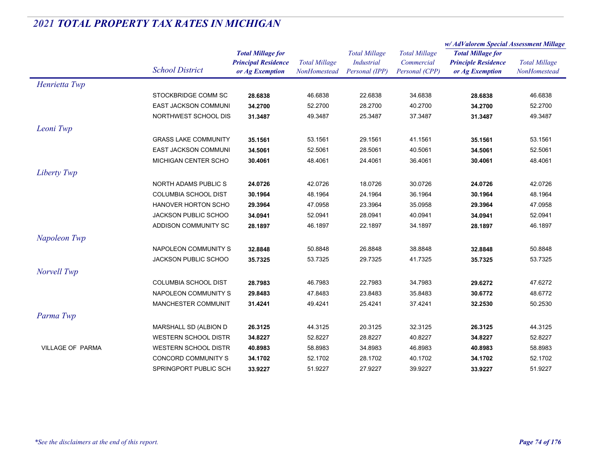|                         |                             | <b>Total Millage for</b><br><b>Total Millage</b><br><b>Principal Residence</b><br>or Ag Exemption<br>NonHomestead |         |                                                             | w/AdValorem Special Assessment Millage               |                                                                           |                                      |
|-------------------------|-----------------------------|-------------------------------------------------------------------------------------------------------------------|---------|-------------------------------------------------------------|------------------------------------------------------|---------------------------------------------------------------------------|--------------------------------------|
|                         | <b>School District</b>      |                                                                                                                   |         | <b>Total Millage</b><br><b>Industrial</b><br>Personal (IPP) | <b>Total Millage</b><br>Commercial<br>Personal (CPP) | <b>Total Millage for</b><br><b>Principle Residence</b><br>or Ag Exemption | <b>Total Millage</b><br>NonHomestead |
| Henrietta Twp           |                             |                                                                                                                   |         |                                                             |                                                      |                                                                           |                                      |
|                         | STOCKBRIDGE COMM SC         | 28.6838                                                                                                           | 46.6838 | 22.6838                                                     | 34.6838                                              | 28.6838                                                                   | 46.6838                              |
|                         | <b>EAST JACKSON COMMUNI</b> | 34.2700                                                                                                           | 52.2700 | 28.2700                                                     | 40.2700                                              | 34.2700                                                                   | 52.2700                              |
|                         | NORTHWEST SCHOOL DIS        | 31.3487                                                                                                           | 49.3487 | 25.3487                                                     | 37.3487                                              | 31.3487                                                                   | 49.3487                              |
| Leoni Twp               |                             |                                                                                                                   |         |                                                             |                                                      |                                                                           |                                      |
|                         | <b>GRASS LAKE COMMUNITY</b> | 35.1561                                                                                                           | 53.1561 | 29.1561                                                     | 41.1561                                              | 35.1561                                                                   | 53.1561                              |
|                         | <b>EAST JACKSON COMMUNI</b> | 34.5061                                                                                                           | 52.5061 | 28.5061                                                     | 40.5061                                              | 34.5061                                                                   | 52.5061                              |
|                         | MICHIGAN CENTER SCHO        | 30.4061                                                                                                           | 48.4061 | 24.4061                                                     | 36.4061                                              | 30.4061                                                                   | 48.4061                              |
| Liberty Twp             |                             |                                                                                                                   |         |                                                             |                                                      |                                                                           |                                      |
|                         | NORTH ADAMS PUBLIC S        | 24.0726                                                                                                           | 42.0726 | 18.0726                                                     | 30.0726                                              | 24.0726                                                                   | 42.0726                              |
|                         | <b>COLUMBIA SCHOOL DIST</b> | 30.1964                                                                                                           | 48.1964 | 24.1964                                                     | 36.1964                                              | 30.1964                                                                   | 48.1964                              |
|                         | HANOVER HORTON SCHO         | 29.3964                                                                                                           | 47.0958 | 23.3964                                                     | 35.0958                                              | 29.3964                                                                   | 47.0958                              |
|                         | <b>JACKSON PUBLIC SCHOO</b> | 34.0941                                                                                                           | 52.0941 | 28.0941                                                     | 40.0941                                              | 34.0941                                                                   | 52.0941                              |
|                         | ADDISON COMMUNITY SC        | 28.1897                                                                                                           | 46.1897 | 22.1897                                                     | 34.1897                                              | 28.1897                                                                   | 46.1897                              |
| Napoleon Twp            |                             |                                                                                                                   |         |                                                             |                                                      |                                                                           |                                      |
|                         | NAPOLEON COMMUNITY S        | 32.8848                                                                                                           | 50.8848 | 26.8848                                                     | 38.8848                                              | 32.8848                                                                   | 50.8848                              |
|                         | <b>JACKSON PUBLIC SCHOO</b> | 35.7325                                                                                                           | 53.7325 | 29.7325                                                     | 41.7325                                              | 35.7325                                                                   | 53.7325                              |
| Norvell Twp             |                             |                                                                                                                   |         |                                                             |                                                      |                                                                           |                                      |
|                         | <b>COLUMBIA SCHOOL DIST</b> | 28.7983                                                                                                           | 46.7983 | 22.7983                                                     | 34.7983                                              | 29.6272                                                                   | 47.6272                              |
|                         | NAPOLEON COMMUNITY S        | 29.8483                                                                                                           | 47.8483 | 23.8483                                                     | 35.8483                                              | 30.6772                                                                   | 48.6772                              |
|                         | MANCHESTER COMMUNIT         | 31.4241                                                                                                           | 49.4241 | 25.4241                                                     | 37.4241                                              | 32.2530                                                                   | 50.2530                              |
| Parma Twp               |                             |                                                                                                                   |         |                                                             |                                                      |                                                                           |                                      |
|                         | MARSHALL SD (ALBION D       | 26.3125                                                                                                           | 44.3125 | 20.3125                                                     | 32.3125                                              | 26.3125                                                                   | 44.3125                              |
|                         | <b>WESTERN SCHOOL DISTR</b> | 34.8227                                                                                                           | 52.8227 | 28.8227                                                     | 40.8227                                              | 34.8227                                                                   | 52.8227                              |
| <b>VILLAGE OF PARMA</b> | <b>WESTERN SCHOOL DISTR</b> | 40.8983                                                                                                           | 58.8983 | 34.8983                                                     | 46.8983                                              | 40.8983                                                                   | 58.8983                              |
|                         | CONCORD COMMUNITY S         | 34.1702                                                                                                           | 52.1702 | 28.1702                                                     | 40.1702                                              | 34.1702                                                                   | 52.1702                              |
|                         | SPRINGPORT PUBLIC SCH       | 33.9227                                                                                                           | 51.9227 | 27.9227                                                     | 39.9227                                              | 33.9227                                                                   | 51.9227                              |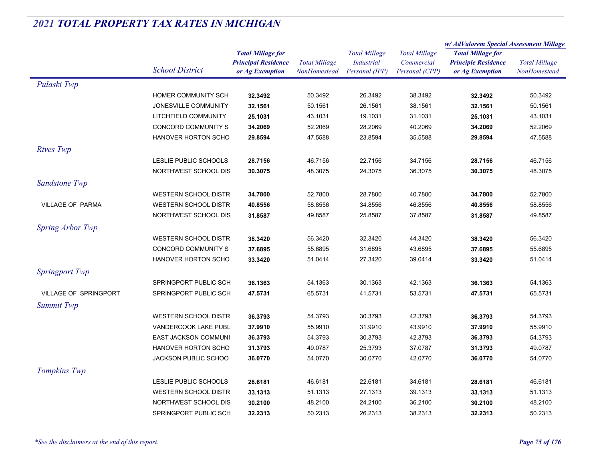|                              |                             |                            |                      | <b>Total Millage</b><br><b>Industrial</b> | <b>Total Millage</b> | w/ AdValorem Special Assessment Millage |                      |
|------------------------------|-----------------------------|----------------------------|----------------------|-------------------------------------------|----------------------|-----------------------------------------|----------------------|
|                              |                             | <b>Total Millage for</b>   |                      |                                           |                      | <b>Total Millage for</b>                | <b>Total Millage</b> |
|                              | <b>School District</b>      | <b>Principal Residence</b> | <b>Total Millage</b> |                                           | Commercial           | <b>Principle Residence</b>              |                      |
|                              |                             | or Ag Exemption            | NonHomestead         | Personal (IPP)                            | Personal (CPP)       | or Ag Exemption                         | NonHomestead         |
| Pulaski Twp                  |                             |                            |                      |                                           |                      |                                         |                      |
|                              | HOMER COMMUNITY SCH         | 32.3492                    | 50.3492              | 26.3492                                   | 38.3492              | 32.3492                                 | 50.3492              |
|                              | JONESVILLE COMMUNITY        | 32.1561                    | 50.1561              | 26.1561                                   | 38.1561              | 32.1561                                 | 50.1561              |
|                              | LITCHFIELD COMMUNITY        | 25.1031                    | 43.1031              | 19.1031                                   | 31.1031              | 25.1031                                 | 43.1031              |
|                              | CONCORD COMMUNITY S         | 34.2069                    | 52.2069              | 28.2069                                   | 40.2069              | 34.2069                                 | 52.2069              |
|                              | HANOVER HORTON SCHO         | 29.8594                    | 47.5588              | 23.8594                                   | 35.5588              | 29.8594                                 | 47.5588              |
| Rives Twp                    |                             |                            |                      |                                           |                      |                                         |                      |
|                              | LESLIE PUBLIC SCHOOLS       | 28.7156                    | 46.7156              | 22.7156                                   | 34.7156              | 28.7156                                 | 46.7156              |
|                              | NORTHWEST SCHOOL DIS        | 30.3075                    | 48.3075              | 24.3075                                   | 36.3075              | 30.3075                                 | 48.3075              |
| Sandstone Twp                |                             |                            |                      |                                           |                      |                                         |                      |
|                              | <b>WESTERN SCHOOL DISTR</b> | 34.7800                    | 52.7800              | 28.7800                                   | 40.7800              | 34.7800                                 | 52.7800              |
| <b>VILLAGE OF PARMA</b>      | <b>WESTERN SCHOOL DISTR</b> | 40.8556                    | 58.8556              | 34.8556                                   | 46.8556              | 40.8556                                 | 58.8556              |
|                              | NORTHWEST SCHOOL DIS        | 31.8587                    | 49.8587              | 25.8587                                   | 37.8587              | 31.8587                                 | 49.8587              |
| Spring Arbor Twp             |                             |                            |                      |                                           |                      |                                         |                      |
|                              | <b>WESTERN SCHOOL DISTR</b> | 38.3420                    | 56.3420              | 32.3420                                   | 44.3420              | 38.3420                                 | 56.3420              |
|                              | CONCORD COMMUNITY S         | 37.6895                    | 55.6895              | 31.6895                                   | 43.6895              | 37.6895                                 | 55.6895              |
|                              | <b>HANOVER HORTON SCHO</b>  | 33.3420                    | 51.0414              | 27.3420                                   | 39.0414              | 33.3420                                 | 51.0414              |
|                              |                             |                            |                      |                                           |                      |                                         |                      |
| <b>Springport Twp</b>        |                             |                            |                      |                                           |                      |                                         |                      |
|                              | SPRINGPORT PUBLIC SCH       | 36.1363                    | 54.1363              | 30.1363                                   | 42.1363              | 36.1363                                 | 54.1363              |
| <b>VILLAGE OF SPRINGPORT</b> | SPRINGPORT PUBLIC SCH       | 47.5731                    | 65.5731              | 41.5731                                   | 53.5731              | 47.5731                                 | 65.5731              |
| <b>Summit Twp</b>            |                             |                            |                      |                                           |                      |                                         |                      |
|                              | <b>WESTERN SCHOOL DISTR</b> | 36.3793                    | 54.3793              | 30.3793                                   | 42.3793              | 36.3793                                 | 54.3793              |
|                              | VANDERCOOK LAKE PUBL        | 37.9910                    | 55.9910              | 31.9910                                   | 43.9910              | 37.9910                                 | 55.9910              |
|                              | <b>EAST JACKSON COMMUNI</b> | 36.3793                    | 54.3793              | 30.3793                                   | 42.3793              | 36.3793                                 | 54.3793              |
|                              | HANOVER HORTON SCHO         | 31.3793                    | 49.0787              | 25.3793                                   | 37.0787              | 31.3793                                 | 49.0787              |
|                              | JACKSON PUBLIC SCHOO        | 36.0770                    | 54.0770              | 30.0770                                   | 42.0770              | 36.0770                                 | 54.0770              |
| Tompkins Twp                 |                             |                            |                      |                                           |                      |                                         |                      |
|                              | LESLIE PUBLIC SCHOOLS       | 28.6181                    | 46.6181              | 22.6181                                   | 34.6181              | 28.6181                                 | 46.6181              |
|                              | <b>WESTERN SCHOOL DISTR</b> | 33.1313                    | 51.1313              | 27.1313                                   | 39.1313              | 33.1313                                 | 51.1313              |
|                              | NORTHWEST SCHOOL DIS        | 30.2100                    | 48.2100              | 24.2100                                   | 36.2100              | 30.2100                                 | 48.2100              |
|                              | SPRINGPORT PUBLIC SCH       | 32.2313                    | 50.2313              | 26.2313                                   | 38.2313              | 32.2313                                 | 50.2313              |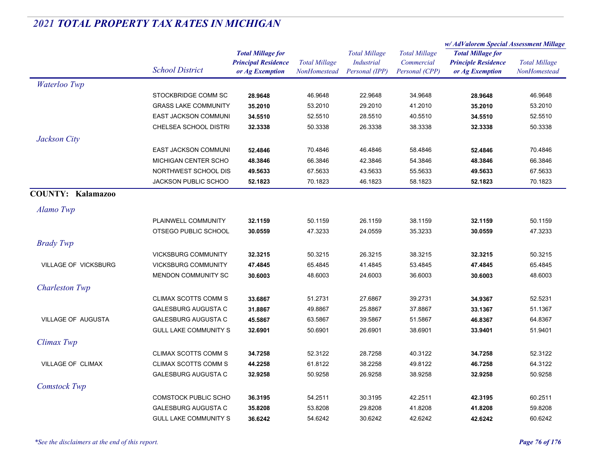|                             | <b>School District</b>       | <b>Total Millage for</b><br><b>Principal Residence</b><br>or Ag Exemption | <b>Total Millage</b><br>NonHomestead | <b>Total Millage</b><br><b>Industrial</b><br>Personal (IPP) | <b>Total Millage</b><br>Commercial<br>Personal (CPP) | w/AdValorem Special Assessment Millage                                    |                                      |
|-----------------------------|------------------------------|---------------------------------------------------------------------------|--------------------------------------|-------------------------------------------------------------|------------------------------------------------------|---------------------------------------------------------------------------|--------------------------------------|
|                             |                              |                                                                           |                                      |                                                             |                                                      | <b>Total Millage for</b><br><b>Principle Residence</b><br>or Ag Exemption | <b>Total Millage</b><br>NonHomestead |
| Waterloo Twp                |                              |                                                                           |                                      |                                                             |                                                      |                                                                           |                                      |
|                             | STOCKBRIDGE COMM SC          | 28.9648                                                                   | 46.9648                              | 22.9648                                                     | 34.9648                                              | 28.9648                                                                   | 46.9648                              |
|                             | <b>GRASS LAKE COMMUNITY</b>  | 35.2010                                                                   | 53.2010                              | 29.2010                                                     | 41.2010                                              | 35.2010                                                                   | 53.2010                              |
|                             | EAST JACKSON COMMUNI         | 34.5510                                                                   | 52.5510                              | 28.5510                                                     | 40.5510                                              | 34.5510                                                                   | 52.5510                              |
|                             | CHELSEA SCHOOL DISTRI        | 32.3338                                                                   | 50.3338                              | 26.3338                                                     | 38.3338                                              | 32.3338                                                                   | 50.3338                              |
| Jackson City                |                              |                                                                           |                                      |                                                             |                                                      |                                                                           |                                      |
|                             | <b>EAST JACKSON COMMUNI</b>  | 52.4846                                                                   | 70.4846                              | 46.4846                                                     | 58.4846                                              | 52.4846                                                                   | 70.4846                              |
|                             | MICHIGAN CENTER SCHO         | 48.3846                                                                   | 66.3846                              | 42.3846                                                     | 54.3846                                              | 48.3846                                                                   | 66.3846                              |
|                             | NORTHWEST SCHOOL DIS         | 49.5633                                                                   | 67.5633                              | 43.5633                                                     | 55.5633                                              | 49.5633                                                                   | 67.5633                              |
|                             | <b>JACKSON PUBLIC SCHOO</b>  | 52.1823                                                                   | 70.1823                              | 46.1823                                                     | 58.1823                                              | 52.1823                                                                   | 70.1823                              |
| <b>COUNTY: Kalamazoo</b>    |                              |                                                                           |                                      |                                                             |                                                      |                                                                           |                                      |
| Alamo Twp                   |                              |                                                                           |                                      |                                                             |                                                      |                                                                           |                                      |
|                             | PLAINWELL COMMUNITY          | 32.1159                                                                   | 50.1159                              | 26.1159                                                     | 38.1159                                              | 32.1159                                                                   | 50.1159                              |
|                             | OTSEGO PUBLIC SCHOOL         | 30.0559                                                                   | 47.3233                              | 24.0559                                                     | 35.3233                                              | 30.0559                                                                   | 47.3233                              |
| <b>Brady Twp</b>            |                              |                                                                           |                                      |                                                             |                                                      |                                                                           |                                      |
|                             | <b>VICKSBURG COMMUNITY</b>   | 32.3215                                                                   | 50.3215                              | 26.3215                                                     | 38.3215                                              | 32.3215                                                                   | 50.3215                              |
| <b>VILLAGE OF VICKSBURG</b> | <b>VICKSBURG COMMUNITY</b>   | 47.4845                                                                   | 65.4845                              | 41.4845                                                     | 53.4845                                              | 47.4845                                                                   | 65.4845                              |
|                             | MENDON COMMUNITY SC          | 30.6003                                                                   | 48.6003                              | 24.6003                                                     | 36.6003                                              | 30.6003                                                                   | 48.6003                              |
| <b>Charleston Twp</b>       |                              |                                                                           |                                      |                                                             |                                                      |                                                                           |                                      |
|                             | CLIMAX SCOTTS COMM S         | 33.6867                                                                   | 51.2731                              | 27.6867                                                     | 39.2731                                              | 34.9367                                                                   | 52.5231                              |
|                             | <b>GALESBURG AUGUSTA C</b>   | 31.8867                                                                   | 49.8867                              | 25.8867                                                     | 37.8867                                              | 33.1367                                                                   | 51.1367                              |
| <b>VILLAGE OF AUGUSTA</b>   | <b>GALESBURG AUGUSTA C</b>   | 45.5867                                                                   | 63.5867                              | 39.5867                                                     | 51.5867                                              | 46.8367                                                                   | 64.8367                              |
|                             | <b>GULL LAKE COMMUNITY S</b> | 32.6901                                                                   | 50.6901                              | 26.6901                                                     | 38.6901                                              | 33.9401                                                                   | 51.9401                              |
| Climax Twp                  |                              |                                                                           |                                      |                                                             |                                                      |                                                                           |                                      |
|                             | <b>CLIMAX SCOTTS COMM S</b>  | 34.7258                                                                   | 52.3122                              | 28.7258                                                     | 40.3122                                              | 34.7258                                                                   | 52.3122                              |
| VILLAGE OF CLIMAX           | CLIMAX SCOTTS COMM S         | 44.2258                                                                   | 61.8122                              | 38.2258                                                     | 49.8122                                              | 46.7258                                                                   | 64.3122                              |
|                             | <b>GALESBURG AUGUSTA C</b>   | 32.9258                                                                   | 50.9258                              | 26.9258                                                     | 38.9258                                              | 32.9258                                                                   | 50.9258                              |
| <b>Comstock Twp</b>         |                              |                                                                           |                                      |                                                             |                                                      |                                                                           |                                      |
|                             | <b>COMSTOCK PUBLIC SCHO</b>  | 36.3195                                                                   | 54.2511                              | 30.3195                                                     | 42.2511                                              | 42.3195                                                                   | 60.2511                              |
|                             | <b>GALESBURG AUGUSTA C</b>   | 35.8208                                                                   | 53.8208                              | 29.8208                                                     | 41.8208                                              | 41.8208                                                                   | 59.8208                              |
|                             | <b>GULL LAKE COMMUNITY S</b> | 36.6242                                                                   | 54.6242                              | 30.6242                                                     | 42.6242                                              | 42.6242                                                                   | 60.6242                              |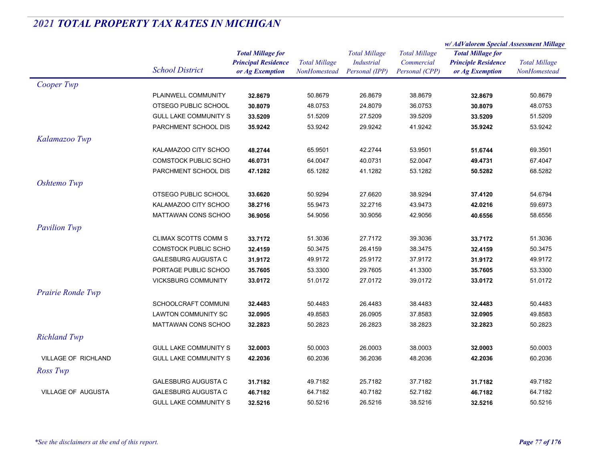|                           |                              |                                               |                      | <b>Total Millage</b><br>Industrial | <b>Total Millage</b><br>Commercial | w/ AdValorem Special Assessment Millage |                      |
|---------------------------|------------------------------|-----------------------------------------------|----------------------|------------------------------------|------------------------------------|-----------------------------------------|----------------------|
|                           |                              | <b>Total Millage for</b>                      | <b>Total Millage</b> |                                    |                                    | <b>Total Millage for</b>                | <b>Total Millage</b> |
|                           |                              | <b>Principal Residence</b><br>or Ag Exemption |                      |                                    |                                    | <b>Principle Residence</b>              |                      |
|                           | <b>School District</b>       |                                               | NonHomestead         | Personal (IPP)                     | Personal (CPP)                     | or Ag Exemption                         | NonHomestead         |
| Cooper Twp                |                              |                                               |                      |                                    |                                    |                                         |                      |
|                           | PLAINWELL COMMUNITY          | 32.8679                                       | 50.8679              | 26.8679                            | 38.8679                            | 32.8679                                 | 50.8679              |
|                           | OTSEGO PUBLIC SCHOOL         | 30.8079                                       | 48.0753              | 24.8079                            | 36.0753                            | 30.8079                                 | 48.0753              |
|                           | <b>GULL LAKE COMMUNITY S</b> | 33.5209                                       | 51.5209              | 27.5209                            | 39.5209                            | 33.5209                                 | 51.5209              |
|                           | PARCHMENT SCHOOL DIS         | 35.9242                                       | 53.9242              | 29.9242                            | 41.9242                            | 35.9242                                 | 53.9242              |
| Kalamazoo Twp             |                              |                                               |                      |                                    |                                    |                                         |                      |
|                           | KALAMAZOO CITY SCHOO         | 48.2744                                       | 65.9501              | 42.2744                            | 53.9501                            | 51.6744                                 | 69.3501              |
|                           | <b>COMSTOCK PUBLIC SCHO</b>  | 46.0731                                       | 64.0047              | 40.0731                            | 52.0047                            | 49.4731                                 | 67.4047              |
|                           | PARCHMENT SCHOOL DIS         | 47.1282                                       | 65.1282              | 41.1282                            | 53.1282                            | 50.5282                                 | 68.5282              |
| Oshtemo Twp               |                              |                                               |                      |                                    |                                    |                                         |                      |
|                           | OTSEGO PUBLIC SCHOOL         | 33.6620                                       | 50.9294              | 27.6620                            | 38.9294                            | 37.4120                                 | 54.6794              |
|                           | KALAMAZOO CITY SCHOO         | 38.2716                                       | 55.9473              | 32.2716                            | 43.9473                            | 42.0216                                 | 59.6973              |
|                           | <b>MATTAWAN CONS SCHOO</b>   | 36.9056                                       | 54.9056              | 30.9056                            | 42.9056                            | 40.6556                                 | 58.6556              |
| <b>Pavilion Twp</b>       |                              |                                               |                      |                                    |                                    |                                         |                      |
|                           | <b>CLIMAX SCOTTS COMM S</b>  | 33.7172                                       | 51.3036              | 27.7172                            | 39.3036                            | 33.7172                                 | 51.3036              |
|                           | COMSTOCK PUBLIC SCHO         | 32.4159                                       | 50.3475              | 26.4159                            | 38.3475                            | 32.4159                                 | 50.3475              |
|                           | <b>GALESBURG AUGUSTA C</b>   | 31.9172                                       | 49.9172              | 25.9172                            | 37.9172                            | 31.9172                                 | 49.9172              |
|                           | PORTAGE PUBLIC SCHOO         | 35.7605                                       | 53.3300              | 29.7605                            | 41.3300                            | 35.7605                                 | 53.3300              |
|                           | <b>VICKSBURG COMMUNITY</b>   | 33.0172                                       | 51.0172              | 27.0172                            | 39.0172                            | 33.0172                                 | 51.0172              |
| Prairie Ronde Twp         |                              |                                               |                      |                                    |                                    |                                         |                      |
|                           | SCHOOLCRAFT COMMUNI          | 32.4483                                       | 50.4483              | 26.4483                            | 38.4483                            | 32.4483                                 | 50.4483              |
|                           | LAWTON COMMUNITY SC          | 32.0905                                       | 49.8583              | 26.0905                            | 37.8583                            | 32.0905                                 | 49.8583              |
|                           | <b>MATTAWAN CONS SCHOO</b>   | 32.2823                                       | 50.2823              | 26.2823                            | 38.2823                            | 32.2823                                 | 50.2823              |
| <b>Richland Twp</b>       |                              |                                               |                      |                                    |                                    |                                         |                      |
|                           | <b>GULL LAKE COMMUNITY S</b> | 32.0003                                       | 50.0003              | 26.0003                            | 38.0003                            | 32.0003                                 | 50.0003              |
| VILLAGE OF RICHLAND       | <b>GULL LAKE COMMUNITY S</b> | 42.2036                                       | 60.2036              | 36.2036                            | 48.2036                            | 42.2036                                 | 60.2036              |
|                           |                              |                                               |                      |                                    |                                    |                                         |                      |
| Ross Twp                  |                              |                                               |                      |                                    |                                    |                                         |                      |
|                           | <b>GALESBURG AUGUSTA C</b>   | 31.7182                                       | 49.7182              | 25.7182                            | 37.7182                            | 31.7182                                 | 49.7182              |
| <b>VILLAGE OF AUGUSTA</b> | <b>GALESBURG AUGUSTA C</b>   | 46.7182                                       | 64.7182              | 40.7182                            | 52.7182                            | 46.7182                                 | 64.7182              |
|                           | <b>GULL LAKE COMMUNITY S</b> | 32.5216                                       | 50.5216              | 26.5216                            | 38.5216                            | 32.5216                                 | 50.5216              |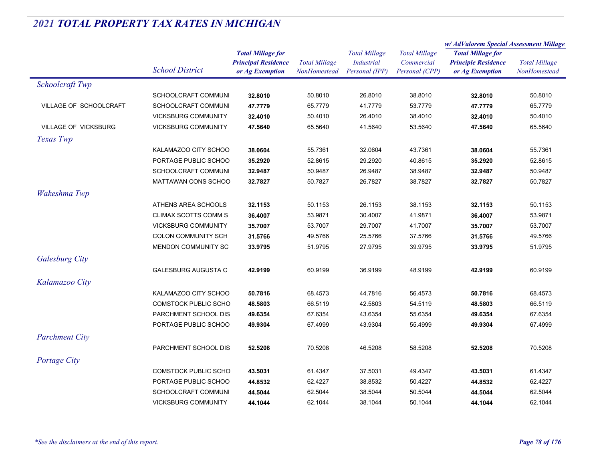|                        |                             | <b>Total Millage for</b><br><b>Principal Residence</b><br><b>Total Millage</b> |                     | <b>Total Millage</b><br><b>Industrial</b> | <b>Total Millage</b> | w/AdValorem Special Assessment Millage |                      |
|------------------------|-----------------------------|--------------------------------------------------------------------------------|---------------------|-------------------------------------------|----------------------|----------------------------------------|----------------------|
|                        |                             |                                                                                |                     |                                           |                      | <b>Total Millage for</b>               | <b>Total Millage</b> |
|                        |                             |                                                                                |                     |                                           | Commercial           | <b>Principle Residence</b>             |                      |
|                        | <b>School District</b>      | or Ag Exemption                                                                | <b>NonHomestead</b> | Personal (IPP)                            | Personal (CPP)       | or Ag Exemption                        | <b>NonHomestead</b>  |
| Schoolcraft Twp        |                             |                                                                                |                     |                                           |                      |                                        |                      |
|                        | SCHOOLCRAFT COMMUNI         | 32.8010                                                                        | 50.8010             | 26.8010                                   | 38.8010              | 32.8010                                | 50.8010              |
| VILLAGE OF SCHOOLCRAFT | SCHOOLCRAFT COMMUNI         | 47.7779                                                                        | 65.7779             | 41.7779                                   | 53.7779              | 47.7779                                | 65.7779              |
|                        | <b>VICKSBURG COMMUNITY</b>  | 32.4010                                                                        | 50.4010             | 26.4010                                   | 38.4010              | 32.4010                                | 50.4010              |
| VILLAGE OF VICKSBURG   | <b>VICKSBURG COMMUNITY</b>  | 47.5640                                                                        | 65.5640             | 41.5640                                   | 53.5640              | 47.5640                                | 65.5640              |
| Texas Twp              |                             |                                                                                |                     |                                           |                      |                                        |                      |
|                        | KALAMAZOO CITY SCHOO        | 38.0604                                                                        | 55.7361             | 32.0604                                   | 43.7361              | 38.0604                                | 55.7361              |
|                        | PORTAGE PUBLIC SCHOO        | 35.2920                                                                        | 52.8615             | 29.2920                                   | 40.8615              | 35.2920                                | 52.8615              |
|                        | SCHOOLCRAFT COMMUNI         | 32.9487                                                                        | 50.9487             | 26.9487                                   | 38.9487              | 32.9487                                | 50.9487              |
|                        | MATTAWAN CONS SCHOO         | 32.7827                                                                        | 50.7827             | 26.7827                                   | 38.7827              | 32.7827                                | 50.7827              |
| Wakeshma Twp           |                             |                                                                                |                     |                                           |                      |                                        |                      |
|                        | ATHENS AREA SCHOOLS         | 32.1153                                                                        | 50.1153             | 26.1153                                   | 38.1153              | 32.1153                                | 50.1153              |
|                        | <b>CLIMAX SCOTTS COMM S</b> | 36.4007                                                                        | 53.9871             | 30.4007                                   | 41.9871              | 36.4007                                | 53.9871              |
|                        | <b>VICKSBURG COMMUNITY</b>  | 35.7007                                                                        | 53.7007             | 29.7007                                   | 41.7007              | 35.7007                                | 53.7007              |
|                        | <b>COLON COMMUNITY SCH</b>  | 31.5766                                                                        | 49.5766             | 25.5766                                   | 37.5766              | 31.5766                                | 49.5766              |
|                        | MENDON COMMUNITY SC         | 33.9795                                                                        | 51.9795             | 27.9795                                   | 39.9795              | 33.9795                                | 51.9795              |
| <b>Galesburg City</b>  |                             |                                                                                |                     |                                           |                      |                                        |                      |
|                        | <b>GALESBURG AUGUSTA C</b>  | 42.9199                                                                        | 60.9199             | 36.9199                                   | 48.9199              | 42.9199                                | 60.9199              |
| Kalamazoo City         |                             |                                                                                |                     |                                           |                      |                                        |                      |
|                        | KALAMAZOO CITY SCHOO        | 50.7816                                                                        | 68.4573             | 44.7816                                   | 56.4573              | 50.7816                                | 68.4573              |
|                        | <b>COMSTOCK PUBLIC SCHO</b> | 48.5803                                                                        | 66.5119             | 42.5803                                   | 54.5119              | 48.5803                                | 66.5119              |
|                        | PARCHMENT SCHOOL DIS        | 49.6354                                                                        | 67.6354             | 43.6354                                   | 55.6354              | 49.6354                                | 67.6354              |
|                        | PORTAGE PUBLIC SCHOO        | 49.9304                                                                        | 67.4999             | 43.9304                                   | 55.4999              | 49.9304                                | 67.4999              |
| <b>Parchment City</b>  |                             |                                                                                |                     |                                           |                      |                                        |                      |
|                        | PARCHMENT SCHOOL DIS        | 52.5208                                                                        | 70.5208             | 46.5208                                   | 58.5208              | 52.5208                                | 70.5208              |
| Portage City           |                             |                                                                                |                     |                                           |                      |                                        |                      |
|                        | <b>COMSTOCK PUBLIC SCHO</b> | 43.5031                                                                        | 61.4347             | 37.5031                                   | 49.4347              | 43.5031                                | 61.4347              |
|                        | PORTAGE PUBLIC SCHOO        |                                                                                |                     |                                           |                      |                                        | 62.4227              |
|                        |                             | 44.8532                                                                        | 62.4227             | 38.8532                                   | 50.4227              | 44.8532                                |                      |
|                        | SCHOOLCRAFT COMMUNI         | 44.5044                                                                        | 62.5044             | 38.5044                                   | 50.5044              | 44.5044                                | 62.5044              |
|                        | <b>VICKSBURG COMMUNITY</b>  | 44.1044                                                                        | 62.1044             | 38.1044                                   | 50.1044              | 44.1044                                | 62.1044              |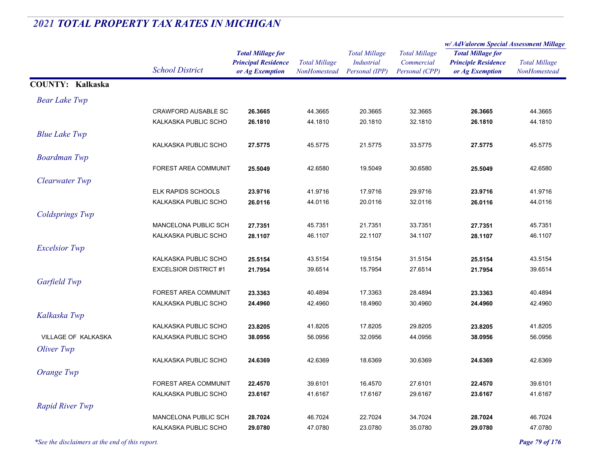#### *Total Millage for Principal Residence School District or Ag Exemption Total Millage NonHomesteadTotal Millage for Principle Residence or Ag Exemption Total Millage NonHomesteadw/ AdValorem Special Assessment Millage Total Millage CommercialPersonal (CPP) Total Millage IndustrialPersonal (IPP)* **COUNTY: Kalkaska***Bear Lake Twp* CRAWFORD AUSABLE SC **26.3665** 44.3665 20.3665 32.3665 **26.3665** 44.3665 KALKASKA PUBLIC SCHO **26.1810** 44.1810 20.1810 32.1810 **26.1810** 44.1810 **Blue Lake Twp** KALKASKA PUBLIC SCHO **27.5775** 45.5775 21.5775 33.5775 **27.5775** 45.5775 **Boardman Twp** FOREST AREA COMMUNIT **25.5049** 42.6580 19.5049 30.6580 **25.5049** 42.6580 *Clearwater Twp* ELK RAPIDS SCHOOLS **23.9716** 41.9716 17.9716 29.9716 **23.9716** 41.9716 KALKASKA PUBLIC SCHO **26.0116** 44.0116 20.0116 32.0116 **26.0116** 44.0116 *Coldsprings Twp* MANCELONA PUBLIC SCH **27.7351** 45.7351 21.7351 33.7351 **27.7351** 45.7351 KALKASKA PUBLIC SCHO **28.1107** 46.1107 22.1107 34.1107 **28.1107** 46.1107 *Excelsior Twp* KALKASKA PUBLIC SCHO **25.5154** 43.5154 19.5154 31.5154 **25.5154** 43.5154 EXCELSIOR DISTRICT #1 **21.7954** 39.6514 15.7954 27.6514 **21.7954** 39.6514 *Garfield Twp* FOREST AREA COMMUNIT **23.3363** 40.4894 17.3363 28.4894 **23.3363** 40.4894 KALKASKA PUBLIC SCHO **24.4960** 42.4960 18.4960 30.4960 **24.4960** 42.4960 **Kalkaska Twp** KALKASKA PUBLIC SCHO **23.8205** 41.8205 17.8205 29.8205 **23.8205** 41.8205 VILLAGE OF KALKASKA KALKASKA PUBLIC SCHO **38.0956** 56.0956 32.0956 44.0956 **38.0956** 56.0956 *Oliver Twp* KALKASKA PUBLIC SCHO **24.6369** 42.6369 18.6369 30.6369 **24.6369** 42.6369 *Orange Twp* FOREST AREA COMMUNIT **22.4570** 39.6101 16.4570 27.6101 **22.4570** 39.6101 KALKASKA PUBLIC SCHO **23.6167** 41.6167 17.6167 29.6167 **23.6167** 41.6167 **Rapid River Twp** MANCELONA PUBLIC SCH **28.7024** 46.7024 22.7024 34.7024 **28.7024** 46.7024 KALKASKA PUBLIC SCHO **29.0780**47.0780 23.0780 35.0780 **29.0780** 47.0780

# *2021 TOTAL PROPERTY TAX RATES IN MICHIGAN*

*\*See the disclaimers at the end of this report. Page 79 of 176*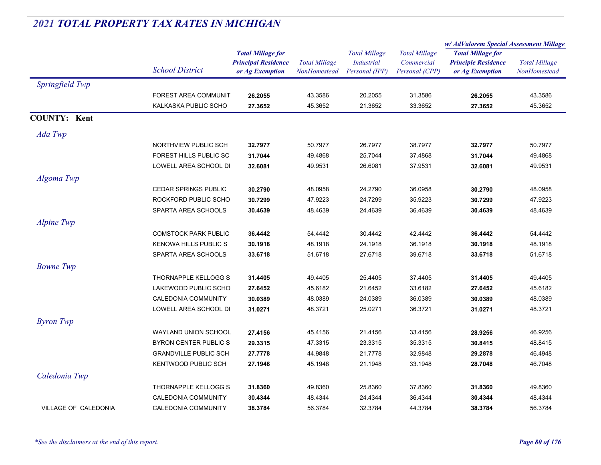|                             |                              |                            |                      | <b>Total Millage</b><br><b>Industrial</b> | <b>Total Millage</b><br>Commercial | w/AdValorem Special Assessment Millage        |                      |
|-----------------------------|------------------------------|----------------------------|----------------------|-------------------------------------------|------------------------------------|-----------------------------------------------|----------------------|
|                             | <b>School District</b>       | <b>Total Millage for</b>   | <b>Total Millage</b> |                                           |                                    | <b>Total Millage for</b>                      | <b>Total Millage</b> |
|                             |                              | <b>Principal Residence</b> |                      |                                           |                                    | <b>Principle Residence</b><br>or Ag Exemption |                      |
|                             |                              | or Ag Exemption            | <b>NonHomestead</b>  | Personal (IPP)                            | Personal (CPP)                     |                                               | NonHomestead         |
| Springfield Twp             |                              |                            |                      |                                           |                                    |                                               |                      |
|                             | FOREST AREA COMMUNIT         | 26.2055                    | 43.3586              | 20.2055                                   | 31.3586                            | 26.2055                                       | 43.3586              |
|                             | KALKASKA PUBLIC SCHO         | 27.3652                    | 45.3652              | 21.3652                                   | 33.3652                            | 27.3652                                       | 45.3652              |
| <b>COUNTY: Kent</b>         |                              |                            |                      |                                           |                                    |                                               |                      |
| Ada Twp                     |                              |                            |                      |                                           |                                    |                                               |                      |
|                             | NORTHVIEW PUBLIC SCH         | 32.7977                    | 50.7977              | 26.7977                                   | 38.7977                            | 32.7977                                       | 50.7977              |
|                             | FOREST HILLS PUBLIC SC       | 31.7044                    | 49.4868              | 25.7044                                   | 37.4868                            | 31.7044                                       | 49.4868              |
|                             | LOWELL AREA SCHOOL DI        | 32.6081                    | 49.9531              | 26.6081                                   | 37.9531                            | 32.6081                                       | 49.9531              |
| Algoma Twp                  |                              |                            |                      |                                           |                                    |                                               |                      |
|                             | <b>CEDAR SPRINGS PUBLIC</b>  | 30.2790                    | 48.0958              | 24.2790                                   | 36.0958                            | 30.2790                                       | 48.0958              |
|                             | ROCKFORD PUBLIC SCHO         | 30.7299                    | 47.9223              | 24.7299                                   | 35.9223                            | 30.7299                                       | 47.9223              |
|                             | SPARTA AREA SCHOOLS          | 30.4639                    | 48.4639              | 24.4639                                   | 36.4639                            | 30.4639                                       | 48.4639              |
| Alpine Twp                  |                              |                            |                      |                                           |                                    |                                               |                      |
|                             | <b>COMSTOCK PARK PUBLIC</b>  | 36.4442                    | 54.4442              | 30.4442                                   | 42.4442                            | 36.4442                                       | 54.4442              |
|                             | KENOWA HILLS PUBLIC S        | 30.1918                    | 48.1918              | 24.1918                                   | 36.1918                            | 30.1918                                       | 48.1918              |
|                             | SPARTA AREA SCHOOLS          | 33.6718                    | 51.6718              | 27.6718                                   | 39.6718                            | 33.6718                                       | 51.6718              |
| <b>Bowne Twp</b>            |                              |                            |                      |                                           |                                    |                                               |                      |
|                             | THORNAPPLE KELLOGG S         | 31.4405                    | 49.4405              | 25.4405                                   | 37.4405                            | 31.4405                                       | 49.4405              |
|                             | LAKEWOOD PUBLIC SCHO         | 27.6452                    | 45.6182              | 21.6452                                   | 33.6182                            | 27.6452                                       | 45.6182              |
|                             | CALEDONIA COMMUNITY          | 30.0389                    | 48.0389              | 24.0389                                   | 36.0389                            | 30.0389                                       | 48.0389              |
|                             | LOWELL AREA SCHOOL DI        | 31.0271                    | 48.3721              | 25.0271                                   | 36.3721                            | 31.0271                                       | 48.3721              |
| <b>Byron</b> Twp            |                              |                            |                      |                                           |                                    |                                               |                      |
|                             | WAYLAND UNION SCHOOL         | 27.4156                    | 45.4156              | 21.4156                                   | 33.4156                            | 28.9256                                       | 46.9256              |
|                             | BYRON CENTER PUBLIC S        | 29.3315                    | 47.3315              | 23.3315                                   | 35.3315                            | 30.8415                                       | 48.8415              |
|                             | <b>GRANDVILLE PUBLIC SCH</b> | 27.7778                    | 44.9848              | 21.7778                                   | 32.9848                            | 29.2878                                       | 46.4948              |
|                             | KENTWOOD PUBLIC SCH          | 27.1948                    | 45.1948              | 21.1948                                   | 33.1948                            | 28.7048                                       | 46.7048              |
| Caledonia Twp               |                              |                            |                      |                                           |                                    |                                               |                      |
|                             | THORNAPPLE KELLOGG S         | 31.8360                    | 49.8360              | 25.8360                                   | 37.8360                            | 31.8360                                       | 49.8360              |
|                             | CALEDONIA COMMUNITY          | 30.4344                    | 48.4344              | 24.4344                                   | 36.4344                            | 30.4344                                       | 48.4344              |
| <b>VILLAGE OF CALEDONIA</b> | <b>CALEDONIA COMMUNITY</b>   | 38.3784                    | 56.3784              | 32.3784                                   | 44.3784                            | 38.3784                                       | 56.3784              |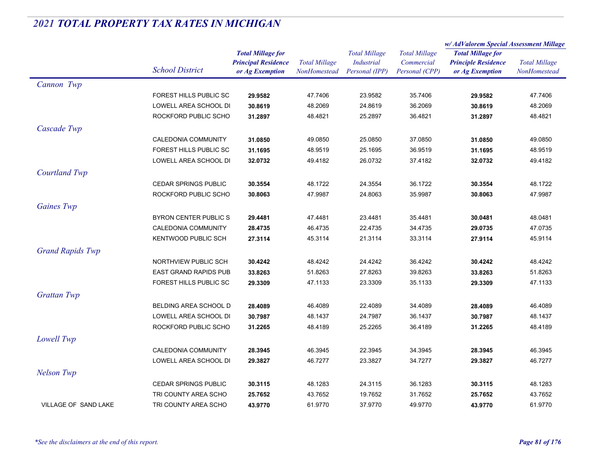|                             |                              |                            | <b>Total Millage</b> | <b>Total Millage</b><br>Industrial | <b>Total Millage</b><br>Commercial | w/ AdValorem Special Assessment Millage |                                      |
|-----------------------------|------------------------------|----------------------------|----------------------|------------------------------------|------------------------------------|-----------------------------------------|--------------------------------------|
|                             |                              | <b>Total Millage for</b>   |                      |                                    |                                    | <b>Total Millage for</b>                | <b>Total Millage</b><br>NonHomestead |
|                             | <b>School District</b>       | <b>Principal Residence</b> |                      |                                    |                                    | <b>Principle Residence</b>              |                                      |
|                             |                              | or Ag Exemption            | NonHomestead         | Personal (IPP)                     | Personal (CPP)                     | or Ag Exemption                         |                                      |
| Cannon Twp                  |                              |                            |                      |                                    |                                    |                                         |                                      |
|                             | FOREST HILLS PUBLIC SC       | 29.9582                    | 47.7406              | 23.9582                            | 35.7406                            | 29.9582                                 | 47.7406                              |
|                             | LOWELL AREA SCHOOL DI        | 30.8619                    | 48.2069              | 24.8619                            | 36.2069                            | 30.8619                                 | 48.2069                              |
|                             | ROCKFORD PUBLIC SCHO         | 31.2897                    | 48.4821              | 25.2897                            | 36.4821                            | 31.2897                                 | 48.4821                              |
| Cascade Twp                 |                              |                            |                      |                                    |                                    |                                         |                                      |
|                             | CALEDONIA COMMUNITY          | 31.0850                    | 49.0850              | 25.0850                            | 37.0850                            | 31.0850                                 | 49.0850                              |
|                             | FOREST HILLS PUBLIC SC       | 31.1695                    | 48.9519              | 25.1695                            | 36.9519                            | 31.1695                                 | 48.9519                              |
|                             | LOWELL AREA SCHOOL DI        | 32.0732                    | 49.4182              | 26.0732                            | 37.4182                            | 32.0732                                 | 49.4182                              |
| Courtland Twp               |                              |                            |                      |                                    |                                    |                                         |                                      |
|                             | <b>CEDAR SPRINGS PUBLIC</b>  | 30.3554                    | 48.1722              | 24.3554                            | 36.1722                            | 30.3554                                 | 48.1722                              |
|                             | ROCKFORD PUBLIC SCHO         | 30.8063                    | 47.9987              | 24.8063                            | 35.9987                            | 30.8063                                 | 47.9987                              |
| Gaines Twp                  |                              |                            |                      |                                    |                                    |                                         |                                      |
|                             | BYRON CENTER PUBLIC S        | 29.4481                    | 47.4481              | 23.4481                            | 35.4481                            | 30.0481                                 | 48.0481                              |
|                             | CALEDONIA COMMUNITY          | 28.4735                    | 46.4735              | 22.4735                            | 34.4735                            | 29.0735                                 | 47.0735                              |
|                             | <b>KENTWOOD PUBLIC SCH</b>   | 27.3114                    | 45.3114              | 21.3114                            | 33.3114                            | 27.9114                                 | 45.9114                              |
| <b>Grand Rapids Twp</b>     |                              |                            |                      |                                    |                                    |                                         |                                      |
|                             | NORTHVIEW PUBLIC SCH         | 30.4242                    | 48.4242              | 24.4242                            | 36.4242                            | 30.4242                                 | 48.4242                              |
|                             | <b>EAST GRAND RAPIDS PUB</b> | 33.8263                    | 51.8263              | 27.8263                            | 39.8263                            | 33.8263                                 | 51.8263                              |
|                             | FOREST HILLS PUBLIC SC       | 29.3309                    | 47.1133              | 23.3309                            | 35.1133                            | 29.3309                                 | 47.1133                              |
|                             |                              |                            |                      |                                    |                                    |                                         |                                      |
| <b>Grattan Twp</b>          |                              |                            |                      |                                    |                                    |                                         |                                      |
|                             | BELDING AREA SCHOOL D        | 28.4089                    | 46.4089              | 22.4089                            | 34.4089                            | 28.4089                                 | 46.4089                              |
|                             | LOWELL AREA SCHOOL DI        | 30.7987                    | 48.1437              | 24.7987                            | 36.1437                            | 30.7987                                 | 48.1437                              |
|                             | ROCKFORD PUBLIC SCHO         | 31.2265                    | 48.4189              | 25.2265                            | 36.4189                            | 31.2265                                 | 48.4189                              |
| Lowell Twp                  |                              |                            |                      |                                    |                                    |                                         |                                      |
|                             | CALEDONIA COMMUNITY          | 28.3945                    | 46.3945              | 22.3945                            | 34.3945                            | 28.3945                                 | 46.3945                              |
|                             | LOWELL AREA SCHOOL DI        | 29.3827                    | 46.7277              | 23.3827                            | 34.7277                            | 29.3827                                 | 46.7277                              |
| <b>Nelson Twp</b>           |                              |                            |                      |                                    |                                    |                                         |                                      |
|                             | <b>CEDAR SPRINGS PUBLIC</b>  | 30.3115                    | 48.1283              | 24.3115                            | 36.1283                            | 30.3115                                 | 48.1283                              |
|                             | TRI COUNTY AREA SCHO         | 25.7652                    | 43.7652              | 19.7652                            | 31.7652                            | 25.7652                                 | 43.7652                              |
| <b>VILLAGE OF SAND LAKE</b> | TRI COUNTY AREA SCHO         | 43.9770                    | 61.9770              | 37.9770                            | 49.9770                            | 43.9770                                 | 61.9770                              |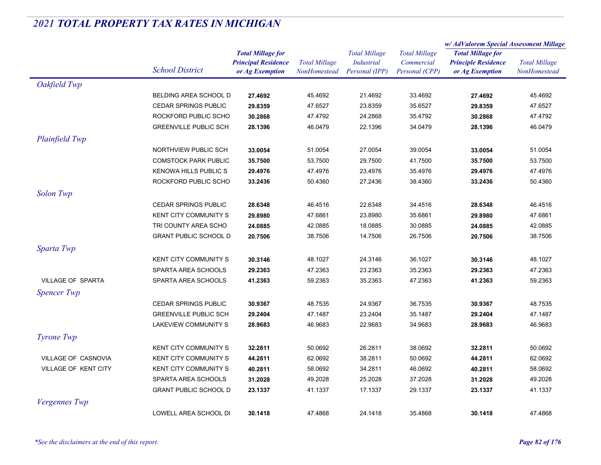|                          |                              |                            | <b>Total Millage</b> | <b>Total Millage</b><br><b>Industrial</b> | <b>Total Millage</b> | w/ AdValorem Special Assessment Millage |                      |
|--------------------------|------------------------------|----------------------------|----------------------|-------------------------------------------|----------------------|-----------------------------------------|----------------------|
|                          |                              | <b>Total Millage for</b>   |                      |                                           |                      | <b>Total Millage for</b>                | <b>Total Millage</b> |
|                          | <b>School District</b>       | <b>Principal Residence</b> |                      |                                           | Commercial           | <b>Principle Residence</b>              |                      |
|                          |                              | or Ag Exemption            | NonHomestead         | Personal (IPP)                            | Personal (CPP)       | or Ag Exemption                         | NonHomestead         |
| Oakfield Twp             |                              |                            |                      |                                           |                      |                                         |                      |
|                          | BELDING AREA SCHOOL D        | 27.4692                    | 45.4692              | 21.4692                                   | 33.4692              | 27.4692                                 | 45.4692              |
|                          | <b>CEDAR SPRINGS PUBLIC</b>  | 29.8359                    | 47.6527              | 23.8359                                   | 35.6527              | 29.8359                                 | 47.6527              |
|                          | ROCKFORD PUBLIC SCHO         | 30.2868                    | 47.4792              | 24.2868                                   | 35.4792              | 30.2868                                 | 47.4792              |
|                          | <b>GREENVILLE PUBLIC SCH</b> | 28.1396                    | 46.0479              | 22.1396                                   | 34.0479              | 28.1396                                 | 46.0479              |
| Plainfield Twp           |                              |                            |                      |                                           |                      |                                         |                      |
|                          | NORTHVIEW PUBLIC SCH         | 33.0054                    | 51.0054              | 27.0054                                   | 39.0054              | 33.0054                                 | 51.0054              |
|                          | <b>COMSTOCK PARK PUBLIC</b>  | 35.7500                    | 53.7500              | 29.7500                                   | 41.7500              | 35.7500                                 | 53.7500              |
|                          | <b>KENOWA HILLS PUBLIC S</b> | 29.4976                    | 47.4976              | 23.4976                                   | 35.4976              | 29.4976                                 | 47.4976              |
|                          | ROCKFORD PUBLIC SCHO         | 33.2436                    | 50.4360              | 27.2436                                   | 38.4360              | 33.2436                                 | 50.4360              |
| <b>Solon Twp</b>         |                              |                            |                      |                                           |                      |                                         |                      |
|                          | <b>CEDAR SPRINGS PUBLIC</b>  | 28.6348                    | 46.4516              | 22.6348                                   | 34.4516              | 28.6348                                 | 46.4516              |
|                          | <b>KENT CITY COMMUNITY S</b> | 29.8980                    | 47.6861              | 23.8980                                   | 35.6861              | 29.8980                                 | 47.6861              |
|                          | TRI COUNTY AREA SCHO         | 24.0885                    | 42.0885              | 18.0885                                   | 30.0885              | 24.0885                                 | 42.0885              |
|                          | <b>GRANT PUBLIC SCHOOL D</b> | 20.7506                    | 38.7506              | 14.7506                                   | 26.7506              | 20.7506                                 | 38.7506              |
| Sparta Twp               |                              |                            |                      |                                           |                      |                                         |                      |
|                          | <b>KENT CITY COMMUNITY S</b> | 30.3146                    | 48.1027              | 24.3146                                   | 36.1027              | 30.3146                                 | 48.1027              |
|                          | SPARTA AREA SCHOOLS          | 29.2363                    | 47.2363              | 23.2363                                   | 35.2363              | 29.2363                                 | 47.2363              |
| <b>VILLAGE OF SPARTA</b> | SPARTA AREA SCHOOLS          | 41.2363                    | 59.2363              | 35.2363                                   | 47.2363              | 41.2363                                 | 59.2363              |
|                          |                              |                            |                      |                                           |                      |                                         |                      |
| <b>Spencer Twp</b>       |                              |                            |                      |                                           |                      |                                         |                      |
|                          | <b>CEDAR SPRINGS PUBLIC</b>  | 30.9367                    | 48.7535              | 24.9367                                   | 36.7535              | 30.9367                                 | 48.7535              |
|                          | <b>GREENVILLE PUBLIC SCH</b> | 29.2404                    | 47.1487              | 23.2404                                   | 35.1487              | 29.2404                                 | 47.1487              |
|                          | LAKEVIEW COMMUNITY S         | 28.9683                    | 46.9683              | 22.9683                                   | 34.9683              | 28.9683                                 | 46.9683              |
| Tyrone Twp               |                              |                            |                      |                                           |                      |                                         |                      |
|                          | <b>KENT CITY COMMUNITY S</b> | 32.2811                    | 50.0692              | 26.2811                                   | 38.0692              | 32.2811                                 | 50.0692              |
| VILLAGE OF CASNOVIA      | <b>KENT CITY COMMUNITY S</b> | 44.2811                    | 62.0692              | 38.2811                                   | 50.0692              | 44.2811                                 | 62.0692              |
| VILLAGE OF KENT CITY     | KENT CITY COMMUNITY S        | 40.2811                    | 58.0692              | 34.2811                                   | 46.0692              | 40.2811                                 | 58.0692              |
|                          | SPARTA AREA SCHOOLS          | 31.2028                    | 49.2028              | 25.2028                                   | 37.2028              | 31.2028                                 | 49.2028              |
|                          | <b>GRANT PUBLIC SCHOOL D</b> | 23.1337                    | 41.1337              | 17.1337                                   | 29.1337              | 23.1337                                 | 41.1337              |
| <b>Vergennes</b> Twp     |                              |                            |                      |                                           |                      |                                         |                      |
|                          | LOWELL AREA SCHOOL DI        | 30.1418                    | 47.4868              | 24.1418                                   | 35.4868              | 30.1418                                 | 47.4868              |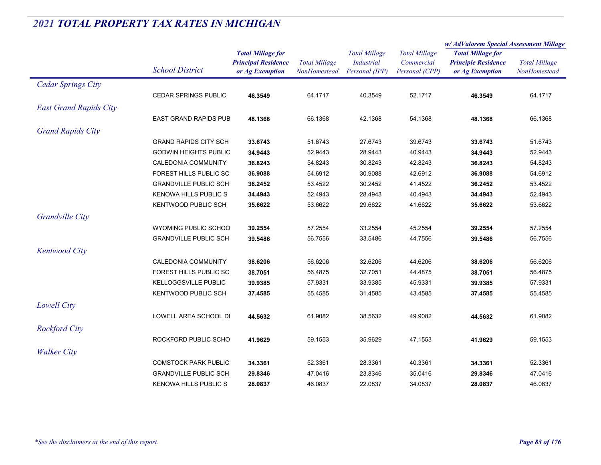|                               |                              |                                                                           |                                             |                                                             |                                                      | w/ AdValorem Special Assessment Millage                                   |                                      |  |
|-------------------------------|------------------------------|---------------------------------------------------------------------------|---------------------------------------------|-------------------------------------------------------------|------------------------------------------------------|---------------------------------------------------------------------------|--------------------------------------|--|
|                               | <b>School District</b>       | <b>Total Millage for</b><br><b>Principal Residence</b><br>or Ag Exemption | <b>Total Millage</b><br><b>NonHomestead</b> | <b>Total Millage</b><br><b>Industrial</b><br>Personal (IPP) | <b>Total Millage</b><br>Commercial<br>Personal (CPP) | <b>Total Millage for</b><br><b>Principle Residence</b><br>or Ag Exemption | <b>Total Millage</b><br>NonHomestead |  |
| <b>Cedar Springs City</b>     |                              |                                                                           |                                             |                                                             |                                                      |                                                                           |                                      |  |
|                               | <b>CEDAR SPRINGS PUBLIC</b>  | 46.3549                                                                   | 64.1717                                     | 40.3549                                                     | 52.1717                                              | 46.3549                                                                   | 64.1717                              |  |
| <b>East Grand Rapids City</b> |                              |                                                                           |                                             |                                                             |                                                      |                                                                           |                                      |  |
|                               | <b>EAST GRAND RAPIDS PUB</b> | 48.1368                                                                   | 66.1368                                     | 42.1368                                                     | 54.1368                                              | 48.1368                                                                   | 66.1368                              |  |
| <b>Grand Rapids City</b>      |                              |                                                                           |                                             |                                                             |                                                      |                                                                           |                                      |  |
|                               | <b>GRAND RAPIDS CITY SCH</b> | 33.6743                                                                   | 51.6743                                     | 27.6743                                                     | 39.6743                                              | 33.6743                                                                   | 51.6743                              |  |
|                               | <b>GODWIN HEIGHTS PUBLIC</b> | 34.9443                                                                   | 52.9443                                     | 28.9443                                                     | 40.9443                                              | 34.9443                                                                   | 52.9443                              |  |
|                               | CALEDONIA COMMUNITY          | 36.8243                                                                   | 54.8243                                     | 30.8243                                                     | 42.8243                                              | 36.8243                                                                   | 54.8243                              |  |
|                               | FOREST HILLS PUBLIC SC       | 36.9088                                                                   | 54.6912                                     | 30.9088                                                     | 42.6912                                              | 36.9088                                                                   | 54.6912                              |  |
|                               | <b>GRANDVILLE PUBLIC SCH</b> | 36.2452                                                                   | 53.4522                                     | 30.2452                                                     | 41.4522                                              | 36.2452                                                                   | 53.4522                              |  |
|                               | <b>KENOWA HILLS PUBLIC S</b> | 34.4943                                                                   | 52.4943                                     | 28.4943                                                     | 40.4943                                              | 34.4943                                                                   | 52.4943                              |  |
|                               | <b>KENTWOOD PUBLIC SCH</b>   | 35.6622                                                                   | 53.6622                                     | 29.6622                                                     | 41.6622                                              | 35.6622                                                                   | 53.6622                              |  |
| <b>Grandville City</b>        |                              |                                                                           |                                             |                                                             |                                                      |                                                                           |                                      |  |
|                               | WYOMING PUBLIC SCHOO         | 39.2554                                                                   | 57.2554                                     | 33.2554                                                     | 45.2554                                              | 39.2554                                                                   | 57.2554                              |  |
|                               | <b>GRANDVILLE PUBLIC SCH</b> | 39.5486                                                                   | 56.7556                                     | 33.5486                                                     | 44.7556                                              | 39.5486                                                                   | 56.7556                              |  |
| <b>Kentwood City</b>          |                              |                                                                           |                                             |                                                             |                                                      |                                                                           |                                      |  |
|                               | CALEDONIA COMMUNITY          | 38.6206                                                                   | 56.6206                                     | 32.6206                                                     | 44.6206                                              | 38.6206                                                                   | 56.6206                              |  |
|                               | FOREST HILLS PUBLIC SC       | 38.7051                                                                   | 56.4875                                     | 32.7051                                                     | 44.4875                                              | 38.7051                                                                   | 56.4875                              |  |
|                               | <b>KELLOGGSVILLE PUBLIC</b>  | 39.9385                                                                   | 57.9331                                     | 33.9385                                                     | 45.9331                                              | 39.9385                                                                   | 57.9331                              |  |
|                               | <b>KENTWOOD PUBLIC SCH</b>   | 37.4585                                                                   | 55.4585                                     | 31.4585                                                     | 43.4585                                              | 37.4585                                                                   | 55.4585                              |  |
| Lowell City                   |                              |                                                                           |                                             |                                                             |                                                      |                                                                           |                                      |  |
|                               | LOWELL AREA SCHOOL DI        | 44.5632                                                                   | 61.9082                                     | 38.5632                                                     | 49.9082                                              | 44.5632                                                                   | 61.9082                              |  |
| <b>Rockford City</b>          |                              |                                                                           |                                             |                                                             |                                                      |                                                                           |                                      |  |
|                               | ROCKFORD PUBLIC SCHO         | 41.9629                                                                   | 59.1553                                     | 35.9629                                                     | 47.1553                                              | 41.9629                                                                   | 59.1553                              |  |
| <b>Walker City</b>            |                              |                                                                           |                                             |                                                             |                                                      |                                                                           |                                      |  |
|                               | <b>COMSTOCK PARK PUBLIC</b>  | 34.3361                                                                   | 52.3361                                     | 28.3361                                                     | 40.3361                                              | 34.3361                                                                   | 52.3361                              |  |
|                               | <b>GRANDVILLE PUBLIC SCH</b> | 29.8346                                                                   | 47.0416                                     | 23.8346                                                     | 35.0416                                              | 29.8346                                                                   | 47.0416                              |  |
|                               | <b>KENOWA HILLS PUBLIC S</b> | 28.0837                                                                   | 46.0837                                     | 22.0837                                                     | 34.0837                                              | 28.0837                                                                   | 46.0837                              |  |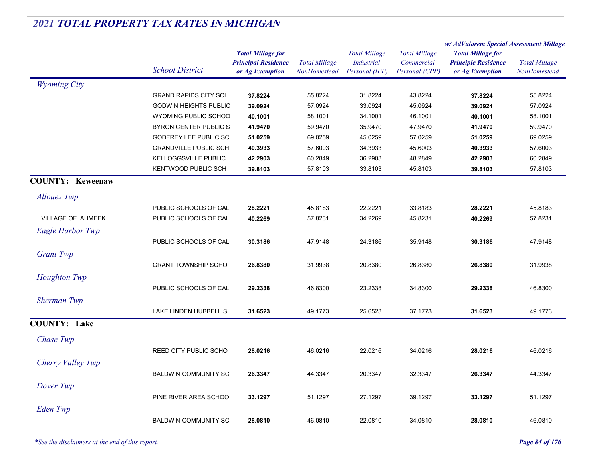|                          |                              |                                                                           |                                      |                                                             |                                                      | w/AdValorem Special Assessment Millage                                    |                                      |
|--------------------------|------------------------------|---------------------------------------------------------------------------|--------------------------------------|-------------------------------------------------------------|------------------------------------------------------|---------------------------------------------------------------------------|--------------------------------------|
|                          | <b>School District</b>       | <b>Total Millage for</b><br><b>Principal Residence</b><br>or Ag Exemption | <b>Total Millage</b><br>NonHomestead | <b>Total Millage</b><br><b>Industrial</b><br>Personal (IPP) | <b>Total Millage</b><br>Commercial<br>Personal (CPP) | <b>Total Millage for</b><br><b>Principle Residence</b><br>or Ag Exemption | <b>Total Millage</b><br>NonHomestead |
| <b>Wyoming City</b>      |                              |                                                                           |                                      |                                                             |                                                      |                                                                           |                                      |
|                          | <b>GRAND RAPIDS CITY SCH</b> | 37.8224                                                                   | 55.8224                              | 31.8224                                                     | 43.8224                                              | 37.8224                                                                   | 55.8224                              |
|                          | <b>GODWIN HEIGHTS PUBLIC</b> | 39.0924                                                                   | 57.0924                              | 33.0924                                                     | 45.0924                                              | 39.0924                                                                   | 57.0924                              |
|                          | WYOMING PUBLIC SCHOO         | 40.1001                                                                   | 58.1001                              | 34.1001                                                     | 46.1001                                              | 40.1001                                                                   | 58.1001                              |
|                          | <b>BYRON CENTER PUBLIC S</b> | 41.9470                                                                   | 59.9470                              | 35.9470                                                     | 47.9470                                              | 41.9470                                                                   | 59.9470                              |
|                          | <b>GODFREY LEE PUBLIC SC</b> | 51.0259                                                                   | 69.0259                              | 45.0259                                                     | 57.0259                                              | 51.0259                                                                   | 69.0259                              |
|                          | <b>GRANDVILLE PUBLIC SCH</b> | 40.3933                                                                   | 57.6003                              | 34.3933                                                     | 45.6003                                              | 40.3933                                                                   | 57.6003                              |
|                          | KELLOGGSVILLE PUBLIC         | 42.2903                                                                   | 60.2849                              | 36.2903                                                     | 48.2849                                              | 42.2903                                                                   | 60.2849                              |
|                          | <b>KENTWOOD PUBLIC SCH</b>   | 39.8103                                                                   | 57.8103                              | 33.8103                                                     | 45.8103                                              | 39.8103                                                                   | 57.8103                              |
| <b>COUNTY: Keweenaw</b>  |                              |                                                                           |                                      |                                                             |                                                      |                                                                           |                                      |
| <b>Allouez</b> Twp       |                              |                                                                           |                                      |                                                             |                                                      |                                                                           |                                      |
|                          | PUBLIC SCHOOLS OF CAL        | 28.2221                                                                   | 45.8183                              | 22.2221                                                     | 33.8183                                              | 28.2221                                                                   | 45.8183                              |
| <b>VILLAGE OF AHMEEK</b> | PUBLIC SCHOOLS OF CAL        | 40.2269                                                                   | 57.8231                              | 34.2269                                                     | 45.8231                                              | 40.2269                                                                   | 57.8231                              |
| <b>Eagle Harbor Twp</b>  |                              |                                                                           |                                      |                                                             |                                                      |                                                                           |                                      |
|                          | PUBLIC SCHOOLS OF CAL        | 30.3186                                                                   | 47.9148                              | 24.3186                                                     | 35.9148                                              | 30.3186                                                                   | 47.9148                              |
| <b>Grant Twp</b>         |                              |                                                                           |                                      |                                                             |                                                      |                                                                           |                                      |
|                          | <b>GRANT TOWNSHIP SCHO</b>   | 26.8380                                                                   | 31.9938                              | 20.8380                                                     | 26.8380                                              | 26.8380                                                                   | 31.9938                              |
| Houghton Twp             |                              |                                                                           |                                      |                                                             |                                                      |                                                                           |                                      |
|                          | PUBLIC SCHOOLS OF CAL        | 29.2338                                                                   | 46.8300                              | 23.2338                                                     | 34.8300                                              | 29.2338                                                                   | 46.8300                              |
| Sherman Twp              |                              |                                                                           |                                      |                                                             |                                                      |                                                                           |                                      |
|                          | LAKE LINDEN HUBBELL S        | 31.6523                                                                   | 49.1773                              | 25.6523                                                     | 37.1773                                              | 31.6523                                                                   | 49.1773                              |
| <b>COUNTY: Lake</b>      |                              |                                                                           |                                      |                                                             |                                                      |                                                                           |                                      |
| Chase Twp                |                              |                                                                           |                                      |                                                             |                                                      |                                                                           |                                      |
|                          | REED CITY PUBLIC SCHO        | 28.0216                                                                   | 46.0216                              | 22.0216                                                     | 34.0216                                              | 28.0216                                                                   | 46.0216                              |
| Cherry Valley Twp        |                              |                                                                           |                                      |                                                             |                                                      |                                                                           |                                      |
|                          | <b>BALDWIN COMMUNITY SC</b>  | 26.3347                                                                   | 44.3347                              | 20.3347                                                     | 32.3347                                              | 26.3347                                                                   | 44.3347                              |
| Dover Twp                |                              |                                                                           |                                      |                                                             |                                                      |                                                                           |                                      |
|                          | PINE RIVER AREA SCHOO        | 33.1297                                                                   | 51.1297                              | 27.1297                                                     | 39.1297                                              | 33.1297                                                                   | 51.1297                              |
|                          |                              |                                                                           |                                      |                                                             |                                                      |                                                                           |                                      |
| Eden Twp                 | <b>BALDWIN COMMUNITY SC</b>  | 28.0810                                                                   | 46.0810                              | 22.0810                                                     | 34.0810                                              | 28.0810                                                                   | 46.0810                              |
|                          |                              |                                                                           |                                      |                                                             |                                                      |                                                                           |                                      |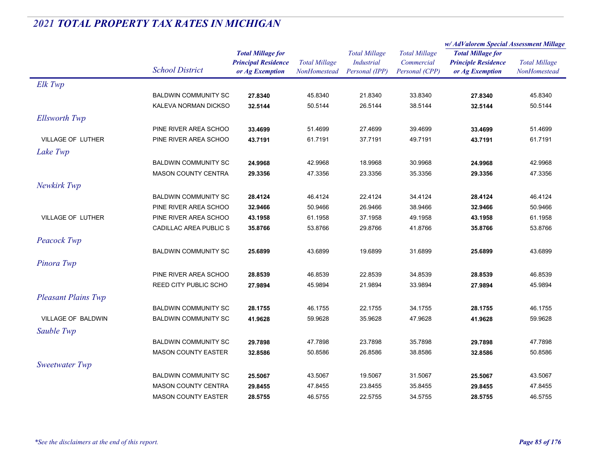|                            |                              |                                               |                                      | <b>Total Millage</b><br>Industrial<br>Personal (IPP) | <b>Total Millage</b>         | w/ AdValorem Special Assessment Millage       |                                      |
|----------------------------|------------------------------|-----------------------------------------------|--------------------------------------|------------------------------------------------------|------------------------------|-----------------------------------------------|--------------------------------------|
|                            |                              | <b>Total Millage for</b>                      |                                      |                                                      |                              | <b>Total Millage for</b>                      | <b>Total Millage</b><br>NonHomestead |
|                            | <b>School District</b>       | <b>Principal Residence</b><br>or Ag Exemption | <b>Total Millage</b><br>NonHomestead |                                                      | Commercial<br>Personal (CPP) | <b>Principle Residence</b><br>or Ag Exemption |                                      |
| Elk Twp                    |                              |                                               |                                      |                                                      |                              |                                               |                                      |
|                            | <b>BALDWIN COMMUNITY SC</b>  | 27.8340                                       | 45.8340                              | 21.8340                                              | 33.8340                      | 27.8340                                       | 45.8340                              |
|                            | KALEVA NORMAN DICKSO         | 32.5144                                       | 50.5144                              | 26.5144                                              | 38.5144                      | 32.5144                                       | 50.5144                              |
| <b>Ellsworth Twp</b>       |                              |                                               |                                      |                                                      |                              |                                               |                                      |
|                            | PINE RIVER AREA SCHOO        | 33.4699                                       | 51.4699                              | 27.4699                                              | 39.4699                      | 33.4699                                       | 51.4699                              |
| <b>VILLAGE OF LUTHER</b>   | PINE RIVER AREA SCHOO        | 43.7191                                       | 61.7191                              | 37.7191                                              | 49.7191                      | 43.7191                                       | 61.7191                              |
| Lake Twp                   |                              |                                               |                                      |                                                      |                              |                                               |                                      |
|                            | <b>BALDWIN COMMUNITY SC</b>  | 24.9968                                       | 42.9968                              | 18.9968                                              | 30.9968                      | 24.9968                                       | 42.9968                              |
|                            | MASON COUNTY CENTRA          | 29.3356                                       | 47.3356                              | 23.3356                                              | 35.3356                      | 29.3356                                       | 47.3356                              |
| Newkirk Twp                |                              |                                               |                                      |                                                      |                              |                                               |                                      |
|                            | <b>BALDWIN COMMUNITY SC</b>  | 28.4124                                       | 46.4124                              | 22.4124                                              | 34.4124                      | 28.4124                                       | 46.4124                              |
|                            | PINE RIVER AREA SCHOO        | 32.9466                                       | 50.9466                              | 26.9466                                              | 38.9466                      | 32.9466                                       | 50.9466                              |
| <b>VILLAGE OF LUTHER</b>   | PINE RIVER AREA SCHOO        | 43.1958                                       | 61.1958                              | 37.1958                                              | 49.1958                      | 43.1958                                       | 61.1958                              |
|                            | CADILLAC AREA PUBLIC S       | 35.8766                                       | 53.8766                              | 29.8766                                              | 41.8766                      | 35.8766                                       | 53.8766                              |
| Peacock Twp                |                              |                                               |                                      |                                                      |                              |                                               |                                      |
|                            | <b>BALDWIN COMMUNITY SC</b>  | 25.6899                                       | 43.6899                              | 19.6899                                              | 31.6899                      | 25.6899                                       | 43.6899                              |
| Pinora Twp                 |                              |                                               |                                      |                                                      |                              |                                               |                                      |
|                            | PINE RIVER AREA SCHOO        | 28.8539                                       | 46.8539                              | 22.8539                                              | 34.8539                      | 28.8539                                       | 46.8539                              |
|                            | <b>REED CITY PUBLIC SCHO</b> | 27.9894                                       | 45.9894                              | 21.9894                                              | 33.9894                      | 27.9894                                       | 45.9894                              |
| <b>Pleasant Plains Twp</b> |                              |                                               |                                      |                                                      |                              |                                               |                                      |
|                            | <b>BALDWIN COMMUNITY SC</b>  | 28.1755                                       | 46.1755                              | 22.1755                                              | 34.1755                      | 28.1755                                       | 46.1755                              |
| <b>VILLAGE OF BALDWIN</b>  | <b>BALDWIN COMMUNITY SC</b>  | 41.9628                                       | 59.9628                              | 35.9628                                              | 47.9628                      | 41.9628                                       | 59.9628                              |
| Sauble Twp                 |                              |                                               |                                      |                                                      |                              |                                               |                                      |
|                            | <b>BALDWIN COMMUNITY SC</b>  | 29.7898                                       | 47.7898                              | 23.7898                                              | 35.7898                      | 29.7898                                       | 47.7898                              |
|                            | <b>MASON COUNTY EASTER</b>   | 32.8586                                       | 50.8586                              | 26.8586                                              | 38.8586                      | 32.8586                                       | 50.8586                              |
| Sweetwater Twp             |                              |                                               |                                      |                                                      |                              |                                               |                                      |
|                            | <b>BALDWIN COMMUNITY SC</b>  | 25.5067                                       | 43.5067                              | 19.5067                                              | 31.5067                      | 25.5067                                       | 43.5067                              |
|                            | <b>MASON COUNTY CENTRA</b>   | 29.8455                                       | 47.8455                              | 23.8455                                              | 35.8455                      | 29.8455                                       | 47.8455                              |
|                            | <b>MASON COUNTY EASTER</b>   | 28.5755                                       | 46.5755                              | 22.5755                                              | 34.5755                      | 28.5755                                       | 46.5755                              |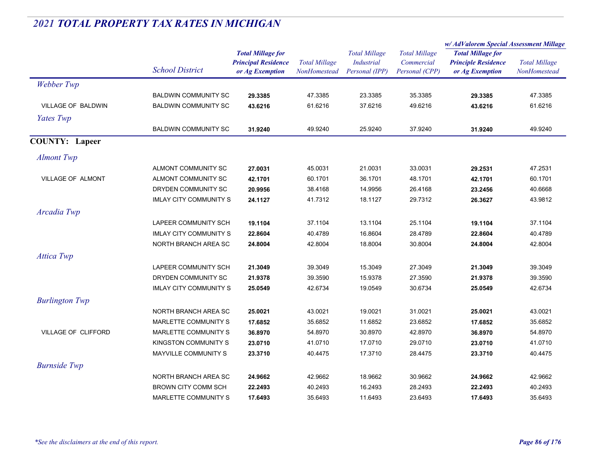|                       |                               |                                                                           |                                      |                                                             |                                                      | w/AdValorem Special Assessment Millage                                    |                                      |
|-----------------------|-------------------------------|---------------------------------------------------------------------------|--------------------------------------|-------------------------------------------------------------|------------------------------------------------------|---------------------------------------------------------------------------|--------------------------------------|
|                       | <b>School District</b>        | <b>Total Millage for</b><br><b>Principal Residence</b><br>or Ag Exemption | <b>Total Millage</b><br>NonHomestead | <b>Total Millage</b><br><b>Industrial</b><br>Personal (IPP) | <b>Total Millage</b><br>Commercial<br>Personal (CPP) | <b>Total Millage for</b><br><b>Principle Residence</b><br>or Ag Exemption | <b>Total Millage</b><br>NonHomestead |
| Webber Twp            |                               |                                                                           |                                      |                                                             |                                                      |                                                                           |                                      |
|                       | <b>BALDWIN COMMUNITY SC</b>   | 29.3385                                                                   | 47.3385                              | 23.3385                                                     | 35.3385                                              | 29.3385                                                                   | 47.3385                              |
| VILLAGE OF BALDWIN    | <b>BALDWIN COMMUNITY SC</b>   | 43.6216                                                                   | 61.6216                              | 37.6216                                                     | 49.6216                                              | 43.6216                                                                   | 61.6216                              |
| Yates Twp             |                               |                                                                           |                                      |                                                             |                                                      |                                                                           |                                      |
|                       | <b>BALDWIN COMMUNITY SC</b>   | 31.9240                                                                   | 49.9240                              | 25.9240                                                     | 37.9240                                              | 31.9240                                                                   | 49.9240                              |
| <b>COUNTY: Lapeer</b> |                               |                                                                           |                                      |                                                             |                                                      |                                                                           |                                      |
| <b>Almont Twp</b>     |                               |                                                                           |                                      |                                                             |                                                      |                                                                           |                                      |
|                       | ALMONT COMMUNITY SC           | 27.0031                                                                   | 45.0031                              | 21.0031                                                     | 33.0031                                              | 29.2531                                                                   | 47.2531                              |
| VILLAGE OF ALMONT     | ALMONT COMMUNITY SC           | 42.1701                                                                   | 60.1701                              | 36.1701                                                     | 48.1701                                              | 42.1701                                                                   | 60.1701                              |
|                       | DRYDEN COMMUNITY SC           | 20.9956                                                                   | 38.4168                              | 14.9956                                                     | 26.4168                                              | 23.2456                                                                   | 40.6668                              |
|                       | <b>IMLAY CITY COMMUNITY S</b> | 24.1127                                                                   | 41.7312                              | 18.1127                                                     | 29.7312                                              | 26.3627                                                                   | 43.9812                              |
| Arcadia Twp           |                               |                                                                           |                                      |                                                             |                                                      |                                                                           |                                      |
|                       | LAPEER COMMUNITY SCH          | 19.1104                                                                   | 37.1104                              | 13.1104                                                     | 25.1104                                              | 19.1104                                                                   | 37.1104                              |
|                       | <b>IMLAY CITY COMMUNITY S</b> | 22.8604                                                                   | 40.4789                              | 16.8604                                                     | 28.4789                                              | 22.8604                                                                   | 40.4789                              |
|                       | NORTH BRANCH AREA SC          | 24.8004                                                                   | 42.8004                              | 18.8004                                                     | 30.8004                                              | 24.8004                                                                   | 42.8004                              |
| <b>Attica Twp</b>     |                               |                                                                           |                                      |                                                             |                                                      |                                                                           |                                      |
|                       | LAPEER COMMUNITY SCH          | 21.3049                                                                   | 39.3049                              | 15.3049                                                     | 27.3049                                              | 21.3049                                                                   | 39.3049                              |
|                       | DRYDEN COMMUNITY SC           | 21.9378                                                                   | 39.3590                              | 15.9378                                                     | 27.3590                                              | 21.9378                                                                   | 39.3590                              |
|                       | <b>IMLAY CITY COMMUNITY S</b> | 25.0549                                                                   | 42.6734                              | 19.0549                                                     | 30.6734                                              | 25.0549                                                                   | 42.6734                              |
| <b>Burlington Twp</b> |                               |                                                                           |                                      |                                                             |                                                      |                                                                           |                                      |
|                       | NORTH BRANCH AREA SC          | 25.0021                                                                   | 43.0021                              | 19.0021                                                     | 31.0021                                              | 25.0021                                                                   | 43.0021                              |
|                       | MARLETTE COMMUNITY S          | 17.6852                                                                   | 35.6852                              | 11.6852                                                     | 23.6852                                              | 17.6852                                                                   | 35.6852                              |
| VILLAGE OF CLIFFORD   | MARLETTE COMMUNITY S          | 36.8970                                                                   | 54.8970                              | 30.8970                                                     | 42.8970                                              | 36.8970                                                                   | 54.8970                              |
|                       | KINGSTON COMMUNITY S          | 23.0710                                                                   | 41.0710                              | 17.0710                                                     | 29.0710                                              | 23.0710                                                                   | 41.0710                              |
|                       | <b>MAYVILLE COMMUNITY S</b>   | 23.3710                                                                   | 40.4475                              | 17.3710                                                     | 28.4475                                              | 23.3710                                                                   | 40.4475                              |
| <b>Burnside Twp</b>   |                               |                                                                           |                                      |                                                             |                                                      |                                                                           |                                      |
|                       | NORTH BRANCH AREA SC          | 24.9662                                                                   | 42.9662                              | 18.9662                                                     | 30.9662                                              | 24.9662                                                                   | 42.9662                              |
|                       | <b>BROWN CITY COMM SCH</b>    | 22.2493                                                                   | 40.2493                              | 16.2493                                                     | 28.2493                                              | 22.2493                                                                   | 40.2493                              |
|                       | MARLETTE COMMUNITY S          | 17.6493                                                                   | 35.6493                              | 11.6493                                                     | 23.6493                                              | 17.6493                                                                   | 35.6493                              |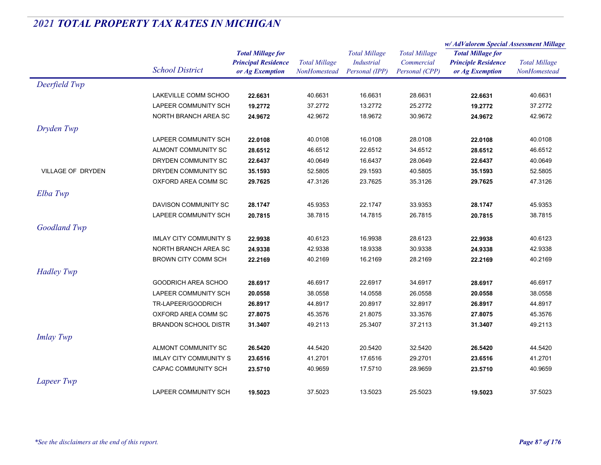|                     |                               | <b>Total Millage for</b>                      |                                      | <b>Total Millage</b>                | <b>Total Millage</b>         | w/AdValorem Special Assessment Millage        |                                             |
|---------------------|-------------------------------|-----------------------------------------------|--------------------------------------|-------------------------------------|------------------------------|-----------------------------------------------|---------------------------------------------|
|                     |                               |                                               |                                      |                                     |                              | <b>Total Millage for</b>                      |                                             |
|                     | <b>School District</b>        | <b>Principal Residence</b><br>or Ag Exemption | <b>Total Millage</b><br>NonHomestead | <b>Industrial</b><br>Personal (IPP) | Commercial<br>Personal (CPP) | <b>Principle Residence</b><br>or Ag Exemption | <b>Total Millage</b><br><b>NonHomestead</b> |
| Deerfield Twp       |                               |                                               |                                      |                                     |                              |                                               |                                             |
|                     | LAKEVILLE COMM SCHOO          | 22.6631                                       | 40.6631                              | 16.6631                             | 28.6631                      | 22.6631                                       | 40.6631                                     |
|                     | LAPEER COMMUNITY SCH          | 19.2772                                       | 37.2772                              | 13.2772                             | 25.2772                      | 19.2772                                       | 37.2772                                     |
|                     | NORTH BRANCH AREA SC          | 24.9672                                       | 42.9672                              | 18.9672                             | 30.9672                      | 24.9672                                       | 42.9672                                     |
| Dryden Twp          |                               |                                               |                                      |                                     |                              |                                               |                                             |
|                     | <b>LAPEER COMMUNITY SCH</b>   | 22.0108                                       | 40.0108                              | 16.0108                             | 28.0108                      | 22.0108                                       | 40.0108                                     |
|                     | ALMONT COMMUNITY SC           | 28.6512                                       | 46.6512                              | 22.6512                             | 34.6512                      | 28.6512                                       | 46.6512                                     |
|                     | DRYDEN COMMUNITY SC           | 22.6437                                       | 40.0649                              | 16.6437                             | 28.0649                      | 22.6437                                       | 40.0649                                     |
| VILLAGE OF DRYDEN   | DRYDEN COMMUNITY SC           | 35.1593                                       | 52.5805                              | 29.1593                             | 40.5805                      | 35.1593                                       | 52.5805                                     |
|                     | OXFORD AREA COMM SC           | 29.7625                                       | 47.3126                              | 23.7625                             | 35.3126                      | 29.7625                                       | 47.3126                                     |
| Elba Twp            |                               |                                               |                                      |                                     |                              |                                               |                                             |
|                     | DAVISON COMMUNITY SC          | 28.1747                                       | 45.9353                              | 22.1747                             | 33.9353                      | 28.1747                                       | 45.9353                                     |
|                     | LAPEER COMMUNITY SCH          | 20.7815                                       | 38.7815                              | 14.7815                             | 26.7815                      | 20.7815                                       | 38.7815                                     |
| <b>Goodland Twp</b> |                               |                                               |                                      |                                     |                              |                                               |                                             |
|                     | <b>IMLAY CITY COMMUNITY S</b> | 22.9938                                       | 40.6123                              | 16.9938                             | 28.6123                      | 22.9938                                       | 40.6123                                     |
|                     | NORTH BRANCH AREA SC          | 24.9338                                       | 42.9338                              | 18.9338                             | 30.9338                      | 24.9338                                       | 42.9338                                     |
|                     | <b>BROWN CITY COMM SCH</b>    | 22.2169                                       | 40.2169                              | 16.2169                             | 28.2169                      | 22.2169                                       | 40.2169                                     |
| <b>Hadley Twp</b>   |                               |                                               |                                      |                                     |                              |                                               |                                             |
|                     | GOODRICH AREA SCHOO           | 28.6917                                       | 46.6917                              | 22.6917                             | 34.6917                      | 28.6917                                       | 46.6917                                     |
|                     | <b>LAPEER COMMUNITY SCH</b>   | 20.0558                                       | 38.0558                              | 14.0558                             | 26.0558                      | 20.0558                                       | 38.0558                                     |
|                     | TR-LAPEER/GOODRICH            | 26.8917                                       | 44.8917                              | 20.8917                             | 32.8917                      | 26.8917                                       | 44.8917                                     |
|                     | OXFORD AREA COMM SC           | 27.8075                                       | 45.3576                              | 21.8075                             | 33.3576                      | 27.8075                                       | 45.3576                                     |
|                     | <b>BRANDON SCHOOL DISTR</b>   | 31.3407                                       | 49.2113                              | 25.3407                             | 37.2113                      | 31.3407                                       | 49.2113                                     |
| <b>Imlay Twp</b>    |                               |                                               |                                      |                                     |                              |                                               |                                             |
|                     | ALMONT COMMUNITY SC           | 26.5420                                       | 44.5420                              | 20.5420                             | 32.5420                      | 26.5420                                       | 44.5420                                     |
|                     | <b>IMLAY CITY COMMUNITY S</b> | 23.6516                                       | 41.2701                              | 17.6516                             | 29.2701                      | 23.6516                                       | 41.2701                                     |
|                     | CAPAC COMMUNITY SCH           | 23.5710                                       | 40.9659                              | 17.5710                             | 28.9659                      | 23.5710                                       | 40.9659                                     |
| Lapeer Twp          |                               |                                               |                                      |                                     |                              |                                               |                                             |
|                     | LAPEER COMMUNITY SCH          | 19.5023                                       | 37.5023                              | 13.5023                             | 25.5023                      | 19.5023                                       | 37.5023                                     |
|                     |                               |                                               |                                      |                                     |                              |                                               |                                             |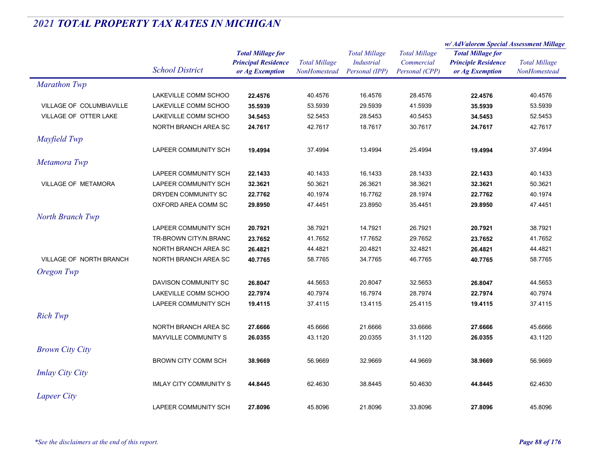|                                |                               | <b>Total Millage for</b><br><b>Principal Residence</b> | <b>Total Millage</b> | <b>Total Millage</b><br><b>Industrial</b><br>Personal (IPP) | <b>Total Millage</b><br>Commercial | w/ AdValorem Special Assessment Millage |                      |  |
|--------------------------------|-------------------------------|--------------------------------------------------------|----------------------|-------------------------------------------------------------|------------------------------------|-----------------------------------------|----------------------|--|
|                                |                               |                                                        |                      |                                                             |                                    | <b>Total Millage for</b>                |                      |  |
|                                |                               |                                                        |                      |                                                             |                                    | <b>Principle Residence</b>              | <b>Total Millage</b> |  |
|                                | <b>School District</b>        | or Ag Exemption                                        | NonHomestead         |                                                             | Personal (CPP)                     | or Ag Exemption                         | NonHomestead         |  |
| <b>Marathon Twp</b>            |                               |                                                        |                      |                                                             |                                    |                                         |                      |  |
|                                | LAKEVILLE COMM SCHOO          | 22.4576                                                | 40.4576              | 16.4576                                                     | 28.4576                            | 22.4576                                 | 40.4576              |  |
| VILLAGE OF COLUMBIAVILLE       | LAKEVILLE COMM SCHOO          | 35.5939                                                | 53.5939              | 29.5939                                                     | 41.5939                            | 35.5939                                 | 53.5939              |  |
| VILLAGE OF OTTER LAKE          | LAKEVILLE COMM SCHOO          | 34.5453                                                | 52.5453              | 28.5453                                                     | 40.5453                            | 34.5453                                 | 52.5453              |  |
|                                | NORTH BRANCH AREA SC          | 24.7617                                                | 42.7617              | 18.7617                                                     | 30.7617                            | 24.7617                                 | 42.7617              |  |
| Mayfield Twp                   |                               |                                                        |                      |                                                             |                                    |                                         |                      |  |
|                                | LAPEER COMMUNITY SCH          | 19.4994                                                | 37.4994              | 13.4994                                                     | 25.4994                            | 19.4994                                 | 37.4994              |  |
| Metamora Twp                   |                               |                                                        |                      |                                                             |                                    |                                         |                      |  |
|                                | LAPEER COMMUNITY SCH          | 22.1433                                                | 40.1433              | 16.1433                                                     | 28.1433                            | 22.1433                                 | 40.1433              |  |
| <b>VILLAGE OF METAMORA</b>     | LAPEER COMMUNITY SCH          | 32.3621                                                | 50.3621              | 26.3621                                                     | 38.3621                            | 32.3621                                 | 50.3621              |  |
|                                | DRYDEN COMMUNITY SC           | 22.7762                                                | 40.1974              | 16.7762                                                     | 28.1974                            | 22.7762                                 | 40.1974              |  |
|                                | OXFORD AREA COMM SC           | 29.8950                                                | 47.4451              | 23.8950                                                     | 35.4451                            | 29.8950                                 | 47.4451              |  |
| North Branch Twp               |                               |                                                        |                      |                                                             |                                    |                                         |                      |  |
|                                | LAPEER COMMUNITY SCH          | 20.7921                                                | 38.7921              | 14.7921                                                     | 26.7921                            | 20.7921                                 | 38.7921              |  |
|                                | TR-BROWN CITY/N.BRANC         | 23.7652                                                | 41.7652              | 17.7652                                                     | 29.7652                            | 23.7652                                 | 41.7652              |  |
|                                | NORTH BRANCH AREA SC          | 26.4821                                                | 44.4821              | 20.4821                                                     | 32.4821                            | 26.4821                                 | 44.4821              |  |
| <b>VILLAGE OF NORTH BRANCH</b> | NORTH BRANCH AREA SC          | 40.7765                                                | 58.7765              | 34.7765                                                     | 46.7765                            | 40.7765                                 | 58.7765              |  |
| Oregon Twp                     |                               |                                                        |                      |                                                             |                                    |                                         |                      |  |
|                                | DAVISON COMMUNITY SC          | 26.8047                                                | 44.5653              | 20.8047                                                     | 32.5653                            | 26.8047                                 | 44.5653              |  |
|                                | LAKEVILLE COMM SCHOO          | 22.7974                                                | 40.7974              | 16.7974                                                     | 28.7974                            | 22.7974                                 | 40.7974              |  |
|                                | LAPEER COMMUNITY SCH          | 19.4115                                                | 37.4115              | 13.4115                                                     | 25.4115                            | 19.4115                                 | 37.4115              |  |
| <b>Rich Twp</b>                |                               |                                                        |                      |                                                             |                                    |                                         |                      |  |
|                                | NORTH BRANCH AREA SC          | 27.6666                                                | 45.6666              | 21.6666                                                     | 33.6666                            | 27.6666                                 | 45.6666              |  |
|                                | <b>MAYVILLE COMMUNITY S</b>   | 26.0355                                                | 43.1120              | 20.0355                                                     | 31.1120                            | 26.0355                                 | 43.1120              |  |
| <b>Brown City City</b>         |                               |                                                        |                      |                                                             |                                    |                                         |                      |  |
|                                | <b>BROWN CITY COMM SCH</b>    | 38.9669                                                | 56.9669              | 32.9669                                                     | 44.9669                            | 38.9669                                 | 56.9669              |  |
|                                |                               |                                                        |                      |                                                             |                                    |                                         |                      |  |
| <b>Imlay City City</b>         |                               |                                                        |                      |                                                             |                                    |                                         |                      |  |
|                                | <b>IMLAY CITY COMMUNITY S</b> | 44.8445                                                | 62.4630              | 38.8445                                                     | 50.4630                            | 44.8445                                 | 62.4630              |  |
| Lapeer City                    |                               |                                                        |                      |                                                             |                                    |                                         |                      |  |
|                                | LAPEER COMMUNITY SCH          | 27.8096                                                | 45.8096              | 21.8096                                                     | 33.8096                            | 27.8096                                 | 45.8096              |  |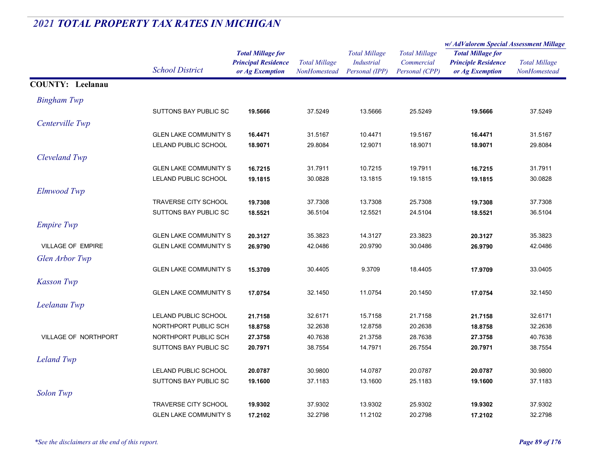|                         |                              |                            | <b>Total Millage</b> | <b>Total Millage</b><br><b>Industrial</b> | <b>Total Millage</b><br>Commercial | w/AdValorem Special Assessment Millage |                      |
|-------------------------|------------------------------|----------------------------|----------------------|-------------------------------------------|------------------------------------|----------------------------------------|----------------------|
|                         |                              | <b>Total Millage for</b>   |                      |                                           |                                    | <b>Total Millage for</b>               | <b>Total Millage</b> |
|                         | <b>School District</b>       | <b>Principal Residence</b> |                      |                                           |                                    | <b>Principle Residence</b>             |                      |
|                         |                              | or Ag Exemption            | NonHomestead         | Personal (IPP)                            | Personal (CPP)                     | or Ag Exemption                        | NonHomested          |
| <b>COUNTY: Leelanau</b> |                              |                            |                      |                                           |                                    |                                        |                      |
| <b>Bingham Twp</b>      |                              |                            |                      |                                           |                                    |                                        |                      |
|                         | SUTTONS BAY PUBLIC SC        | 19.5666                    | 37.5249              | 13.5666                                   | 25.5249                            | 19.5666                                | 37.5249              |
| Centerville Twp         |                              |                            |                      |                                           |                                    |                                        |                      |
|                         | <b>GLEN LAKE COMMUNITY S</b> | 16.4471                    | 31.5167              | 10.4471                                   | 19.5167                            | 16.4471                                | 31.5167              |
|                         | LELAND PUBLIC SCHOOL         | 18.9071                    | 29.8084              | 12.9071                                   | 18.9071                            | 18.9071                                | 29.8084              |
| Cleveland Twp           |                              |                            |                      |                                           |                                    |                                        |                      |
|                         | <b>GLEN LAKE COMMUNITY S</b> | 16.7215                    | 31.7911              | 10.7215                                   | 19.7911                            | 16.7215                                | 31.7911              |
|                         | LELAND PUBLIC SCHOOL         | 19.1815                    | 30.0828              | 13.1815                                   | 19.1815                            | 19.1815                                | 30.0828              |
| Elmwood Twp             |                              |                            |                      |                                           |                                    |                                        |                      |
|                         | <b>TRAVERSE CITY SCHOOL</b>  | 19.7308                    | 37.7308              | 13.7308                                   | 25.7308                            | 19.7308                                | 37.7308              |
|                         | SUTTONS BAY PUBLIC SC        | 18.5521                    | 36.5104              | 12.5521                                   | 24.5104                            | 18.5521                                | 36.5104              |
| <b>Empire Twp</b>       |                              |                            |                      |                                           |                                    |                                        |                      |
|                         | <b>GLEN LAKE COMMUNITY S</b> | 20.3127                    | 35.3823              | 14.3127                                   | 23.3823                            | 20.3127                                | 35.3823              |
| VILLAGE OF EMPIRE       | <b>GLEN LAKE COMMUNITY S</b> | 26.9790                    | 42.0486              | 20.9790                                   | 30.0486                            | 26.9790                                | 42.0486              |
| Glen Arbor Twp          |                              |                            |                      |                                           |                                    |                                        |                      |
|                         | <b>GLEN LAKE COMMUNITY S</b> | 15.3709                    | 30.4405              | 9.3709                                    | 18.4405                            | 17.9709                                | 33.0405              |
| <b>Kasson Twp</b>       |                              |                            |                      |                                           |                                    |                                        |                      |
|                         | <b>GLEN LAKE COMMUNITY S</b> | 17.0754                    | 32.1450              | 11.0754                                   | 20.1450                            | 17.0754                                | 32.1450              |
| Leelanau Twp            |                              |                            |                      |                                           |                                    |                                        |                      |
|                         | LELAND PUBLIC SCHOOL         | 21.7158                    | 32.6171              | 15.7158                                   | 21.7158                            | 21.7158                                | 32.6171              |
|                         | NORTHPORT PUBLIC SCH         | 18.8758                    | 32.2638              | 12.8758                                   | 20.2638                            | 18.8758                                | 32.2638              |
| VILLAGE OF NORTHPORT    | NORTHPORT PUBLIC SCH         | 27.3758                    | 40.7638              | 21.3758                                   | 28.7638                            | 27.3758                                | 40.7638              |
|                         | SUTTONS BAY PUBLIC SC        | 20.7971                    | 38.7554              | 14.7971                                   | 26.7554                            | 20.7971                                | 38.7554              |
| <b>Leland Twp</b>       |                              |                            |                      |                                           |                                    |                                        |                      |
|                         | LELAND PUBLIC SCHOOL         | 20.0787                    | 30.9800              | 14.0787                                   | 20.0787                            | 20.0787                                | 30.9800              |
|                         | SUTTONS BAY PUBLIC SC        | 19.1600                    | 37.1183              | 13.1600                                   | 25.1183                            | 19.1600                                | 37.1183              |
| <b>Solon Twp</b>        |                              |                            |                      |                                           |                                    |                                        |                      |
|                         | TRAVERSE CITY SCHOOL         | 19.9302                    | 37.9302              | 13.9302                                   | 25.9302                            | 19.9302                                | 37.9302              |
|                         | <b>GLEN LAKE COMMUNITY S</b> | 17.2102                    | 32.2798              | 11.2102                                   | 20.2798                            | 17.2102                                | 32.2798              |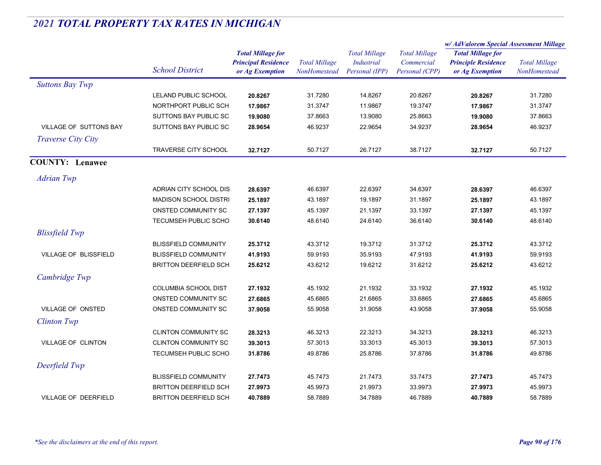|                               |                              |                                                                           |                                      |                                                      |                                                      | w/ AdValorem Special Assessment Millage                                   |                                      |
|-------------------------------|------------------------------|---------------------------------------------------------------------------|--------------------------------------|------------------------------------------------------|------------------------------------------------------|---------------------------------------------------------------------------|--------------------------------------|
|                               | <b>School District</b>       | <b>Total Millage for</b><br><b>Principal Residence</b><br>or Ag Exemption | <b>Total Millage</b><br>NonHomestead | <b>Total Millage</b><br>Industrial<br>Personal (IPP) | <b>Total Millage</b><br>Commercial<br>Personal (CPP) | <b>Total Millage for</b><br><b>Principle Residence</b><br>or Ag Exemption | <b>Total Millage</b><br>NonHomestead |
| <b>Suttons Bay Twp</b>        |                              |                                                                           |                                      |                                                      |                                                      |                                                                           |                                      |
|                               | LELAND PUBLIC SCHOOL         | 20.8267                                                                   | 31.7280                              | 14.8267                                              | 20.8267                                              | 20.8267                                                                   | 31.7280                              |
|                               | NORTHPORT PUBLIC SCH         | 17.9867                                                                   | 31.3747                              | 11.9867                                              | 19.3747                                              | 17.9867                                                                   | 31.3747                              |
|                               | SUTTONS BAY PUBLIC SC        | 19.9080                                                                   | 37.8663                              | 13.9080                                              | 25.8663                                              | 19.9080                                                                   | 37.8663                              |
| <b>VILLAGE OF SUTTONS BAY</b> | SUTTONS BAY PUBLIC SC        | 28.9654                                                                   | 46.9237                              | 22.9654                                              | 34.9237                                              | 28.9654                                                                   | 46.9237                              |
| Traverse City City            |                              |                                                                           |                                      |                                                      |                                                      |                                                                           |                                      |
|                               | <b>TRAVERSE CITY SCHOOL</b>  | 32.7127                                                                   | 50.7127                              | 26.7127                                              | 38.7127                                              | 32.7127                                                                   | 50.7127                              |
| <b>COUNTY: Lenawee</b>        |                              |                                                                           |                                      |                                                      |                                                      |                                                                           |                                      |
| <b>Adrian Twp</b>             |                              |                                                                           |                                      |                                                      |                                                      |                                                                           |                                      |
|                               | ADRIAN CITY SCHOOL DIS       | 28.6397                                                                   | 46.6397                              | 22.6397                                              | 34.6397                                              | 28.6397                                                                   | 46.6397                              |
|                               | <b>MADISON SCHOOL DISTRI</b> | 25.1897                                                                   | 43.1897                              | 19.1897                                              | 31.1897                                              | 25.1897                                                                   | 43.1897                              |
|                               | ONSTED COMMUNITY SC          | 27.1397                                                                   | 45.1397                              | 21.1397                                              | 33.1397                                              | 27.1397                                                                   | 45.1397                              |
|                               | TECUMSEH PUBLIC SCHO         | 30.6140                                                                   | 48.6140                              | 24.6140                                              | 36.6140                                              | 30.6140                                                                   | 48.6140                              |
| <b>Blissfield Twp</b>         |                              |                                                                           |                                      |                                                      |                                                      |                                                                           |                                      |
|                               | <b>BLISSFIELD COMMUNITY</b>  | 25.3712                                                                   | 43.3712                              | 19.3712                                              | 31.3712                                              | 25.3712                                                                   | 43.3712                              |
| <b>VILLAGE OF BLISSFIELD</b>  | <b>BLISSFIELD COMMUNITY</b>  | 41.9193                                                                   | 59.9193                              | 35.9193                                              | 47.9193                                              | 41.9193                                                                   | 59.9193                              |
|                               | <b>BRITTON DEERFIELD SCH</b> | 25.6212                                                                   | 43.6212                              | 19.6212                                              | 31.6212                                              | 25.6212                                                                   | 43.6212                              |
| Cambridge Twp                 |                              |                                                                           |                                      |                                                      |                                                      |                                                                           |                                      |
|                               | <b>COLUMBIA SCHOOL DIST</b>  | 27.1932                                                                   | 45.1932                              | 21.1932                                              | 33.1932                                              | 27.1932                                                                   | 45.1932                              |
|                               | ONSTED COMMUNITY SC          | 27.6865                                                                   | 45.6865                              | 21.6865                                              | 33.6865                                              | 27.6865                                                                   | 45.6865                              |
| VILLAGE OF ONSTED             | ONSTED COMMUNITY SC          | 37.9058                                                                   | 55.9058                              | 31.9058                                              | 43.9058                                              | 37.9058                                                                   | 55.9058                              |
| <b>Clinton Twp</b>            |                              |                                                                           |                                      |                                                      |                                                      |                                                                           |                                      |
|                               | <b>CLINTON COMMUNITY SC</b>  | 28.3213                                                                   | 46.3213                              | 22.3213                                              | 34.3213                                              | 28.3213                                                                   | 46.3213                              |
| VILLAGE OF CLINTON            | <b>CLINTON COMMUNITY SC</b>  | 39.3013                                                                   | 57.3013                              | 33.3013                                              | 45.3013                                              | 39.3013                                                                   | 57.3013                              |
|                               | <b>TECUMSEH PUBLIC SCHO</b>  | 31.8786                                                                   | 49.8786                              | 25.8786                                              | 37.8786                                              | 31.8786                                                                   | 49.8786                              |
| Deerfield Twp                 |                              |                                                                           |                                      |                                                      |                                                      |                                                                           |                                      |
|                               | <b>BLISSFIELD COMMUNITY</b>  | 27.7473                                                                   | 45.7473                              | 21.7473                                              | 33.7473                                              | 27.7473                                                                   | 45.7473                              |
|                               | <b>BRITTON DEERFIELD SCH</b> | 27.9973                                                                   | 45.9973                              | 21.9973                                              | 33.9973                                              | 27.9973                                                                   | 45.9973                              |
| <b>VILLAGE OF DEERFIELD</b>   | <b>BRITTON DEERFIELD SCH</b> | 40.7889                                                                   | 58.7889                              | 34.7889                                              | 46.7889                                              | 40.7889                                                                   | 58.7889                              |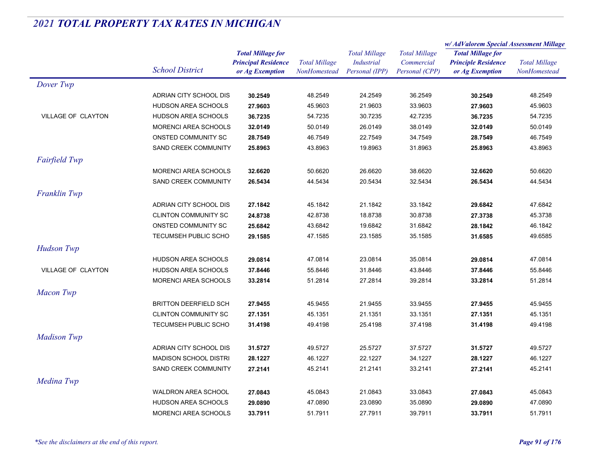|                           |                              | <b>Total Millage for</b>   | <b>Total Millage</b><br>NonHomestead | <b>Total Millage</b> | <b>Total Millage</b> | w/AdValorem Special Assessment Millage |                      |
|---------------------------|------------------------------|----------------------------|--------------------------------------|----------------------|----------------------|----------------------------------------|----------------------|
|                           |                              |                            |                                      |                      |                      | <b>Total Millage for</b>               |                      |
|                           |                              | <b>Principal Residence</b> |                                      | <b>Industrial</b>    | Commercial           | <b>Principle Residence</b>             | <b>Total Millage</b> |
|                           | <b>School District</b>       | or Ag Exemption            |                                      | Personal (IPP)       | Personal (CPP)       | or Ag Exemption                        | NonHomestead         |
| Dover Twp                 |                              |                            |                                      |                      |                      |                                        |                      |
|                           | ADRIAN CITY SCHOOL DIS       | 30.2549                    | 48.2549                              | 24.2549              | 36.2549              | 30.2549                                | 48.2549              |
|                           | HUDSON AREA SCHOOLS          | 27.9603                    | 45.9603                              | 21.9603              | 33.9603              | 27.9603                                | 45.9603              |
| VILLAGE OF CLAYTON        | HUDSON AREA SCHOOLS          | 36.7235                    | 54.7235                              | 30.7235              | 42.7235              | 36.7235                                | 54.7235              |
|                           | MORENCI AREA SCHOOLS         | 32.0149                    | 50.0149                              | 26.0149              | 38.0149              | 32.0149                                | 50.0149              |
|                           | ONSTED COMMUNITY SC          | 28.7549                    | 46.7549                              | 22.7549              | 34.7549              | 28.7549                                | 46.7549              |
|                           | SAND CREEK COMMUNITY         | 25.8963                    | 43.8963                              | 19.8963              | 31.8963              | 25.8963                                | 43.8963              |
| <b>Fairfield Twp</b>      |                              |                            |                                      |                      |                      |                                        |                      |
|                           | MORENCI AREA SCHOOLS         | 32.6620                    | 50.6620                              | 26.6620              | 38.6620              | 32.6620                                | 50.6620              |
|                           | SAND CREEK COMMUNITY         | 26.5434                    | 44.5434                              | 20.5434              | 32.5434              | 26.5434                                | 44.5434              |
| Franklin Twp              |                              |                            |                                      |                      |                      |                                        |                      |
|                           | ADRIAN CITY SCHOOL DIS       | 27.1842                    | 45.1842                              | 21.1842              | 33.1842              | 29.6842                                | 47.6842              |
|                           | <b>CLINTON COMMUNITY SC</b>  | 24.8738                    | 42.8738                              | 18.8738              | 30.8738              | 27.3738                                | 45.3738              |
|                           | ONSTED COMMUNITY SC          | 25.6842                    | 43.6842                              | 19.6842              | 31.6842              | 28.1842                                | 46.1842              |
|                           | TECUMSEH PUBLIC SCHO         | 29.1585                    | 47.1585                              | 23.1585              | 35.1585              | 31.6585                                | 49.6585              |
| <b>Hudson Twp</b>         |                              |                            |                                      |                      |                      |                                        |                      |
|                           | HUDSON AREA SCHOOLS          | 29.0814                    | 47.0814                              | 23.0814              | 35.0814              | 29.0814                                | 47.0814              |
| <b>VILLAGE OF CLAYTON</b> | HUDSON AREA SCHOOLS          | 37.8446                    | 55.8446                              | 31.8446              | 43.8446              | 37.8446                                | 55.8446              |
|                           | MORENCI AREA SCHOOLS         | 33.2814                    | 51.2814                              | 27.2814              | 39.2814              | 33.2814                                | 51.2814              |
|                           |                              |                            |                                      |                      |                      |                                        |                      |
| <b>Macon Twp</b>          |                              |                            |                                      |                      |                      |                                        |                      |
|                           | <b>BRITTON DEERFIELD SCH</b> | 27.9455                    | 45.9455                              | 21.9455              | 33.9455              | 27.9455                                | 45.9455              |
|                           | <b>CLINTON COMMUNITY SC</b>  | 27.1351                    | 45.1351                              | 21.1351              | 33.1351              | 27.1351                                | 45.1351              |
|                           | TECUMSEH PUBLIC SCHO         | 31.4198                    | 49.4198                              | 25.4198              | 37.4198              | 31.4198                                | 49.4198              |
| <b>Madison Twp</b>        |                              |                            |                                      |                      |                      |                                        |                      |
|                           | ADRIAN CITY SCHOOL DIS       | 31.5727                    | 49.5727                              | 25.5727              | 37.5727              | 31.5727                                | 49.5727              |
|                           | <b>MADISON SCHOOL DISTRI</b> | 28.1227                    | 46.1227                              | 22.1227              | 34.1227              | 28.1227                                | 46.1227              |
|                           | SAND CREEK COMMUNITY         | 27.2141                    | 45.2141                              | 21.2141              | 33.2141              | 27.2141                                | 45.2141              |
| Medina Twp                |                              |                            |                                      |                      |                      |                                        |                      |
|                           | <b>WALDRON AREA SCHOOL</b>   | 27.0843                    | 45.0843                              | 21.0843              | 33.0843              | 27.0843                                | 45.0843              |
|                           | <b>HUDSON AREA SCHOOLS</b>   | 29.0890                    | 47.0890                              | 23.0890              | 35.0890              | 29.0890                                | 47.0890              |
|                           | <b>MORENCI AREA SCHOOLS</b>  | 33.7911                    | 51.7911                              | 27.7911              | 39.7911              | 33.7911                                | 51.7911              |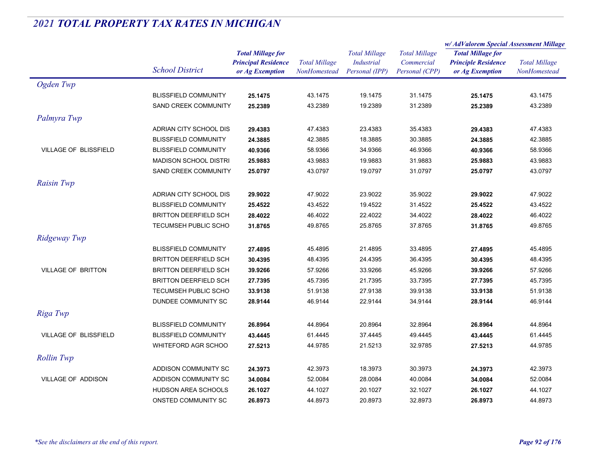|                              |                              |                                                                           | <b>Total Millage</b><br><b>NonHomestead</b> | <b>Total Millage</b><br>Industrial<br>Personal (IPP) | <b>Total Millage</b><br>Commercial<br>Personal (CPP) | w/AdValorem Special Assessment Millage        |                                      |
|------------------------------|------------------------------|---------------------------------------------------------------------------|---------------------------------------------|------------------------------------------------------|------------------------------------------------------|-----------------------------------------------|--------------------------------------|
|                              |                              | <b>Total Millage for</b><br><b>Principal Residence</b><br>or Ag Exemption |                                             |                                                      |                                                      | <b>Total Millage for</b>                      |                                      |
|                              | <b>School District</b>       |                                                                           |                                             |                                                      |                                                      | <b>Principle Residence</b><br>or Ag Exemption | <b>Total Millage</b><br>NonHomestead |
|                              |                              |                                                                           |                                             |                                                      |                                                      |                                               |                                      |
| Ogden Twp                    |                              |                                                                           |                                             |                                                      |                                                      |                                               |                                      |
|                              | <b>BLISSFIELD COMMUNITY</b>  | 25.1475                                                                   | 43.1475                                     | 19.1475                                              | 31.1475                                              | 25.1475                                       | 43.1475                              |
|                              | SAND CREEK COMMUNITY         | 25.2389                                                                   | 43.2389                                     | 19.2389                                              | 31.2389                                              | 25.2389                                       | 43.2389                              |
| Palmyra Twp                  |                              |                                                                           |                                             |                                                      |                                                      |                                               |                                      |
|                              | ADRIAN CITY SCHOOL DIS       | 29.4383                                                                   | 47.4383                                     | 23.4383                                              | 35.4383                                              | 29.4383                                       | 47.4383                              |
|                              | <b>BLISSFIELD COMMUNITY</b>  | 24.3885                                                                   | 42.3885                                     | 18.3885                                              | 30.3885                                              | 24.3885                                       | 42.3885                              |
| <b>VILLAGE OF BLISSFIELD</b> | <b>BLISSFIELD COMMUNITY</b>  | 40.9366                                                                   | 58.9366                                     | 34.9366                                              | 46.9366                                              | 40.9366                                       | 58.9366                              |
|                              | <b>MADISON SCHOOL DISTRI</b> | 25.9883                                                                   | 43.9883                                     | 19.9883                                              | 31.9883                                              | 25.9883                                       | 43.9883                              |
|                              | SAND CREEK COMMUNITY         | 25.0797                                                                   | 43.0797                                     | 19.0797                                              | 31.0797                                              | 25.0797                                       | 43.0797                              |
| <b>Raisin Twp</b>            |                              |                                                                           |                                             |                                                      |                                                      |                                               |                                      |
|                              | ADRIAN CITY SCHOOL DIS       | 29.9022                                                                   | 47.9022                                     | 23.9022                                              | 35.9022                                              | 29.9022                                       | 47.9022                              |
|                              | <b>BLISSFIELD COMMUNITY</b>  | 25.4522                                                                   | 43.4522                                     | 19.4522                                              | 31.4522                                              | 25.4522                                       | 43.4522                              |
|                              | <b>BRITTON DEERFIELD SCH</b> | 28.4022                                                                   | 46.4022                                     | 22.4022                                              | 34.4022                                              | 28.4022                                       | 46.4022                              |
|                              | TECUMSEH PUBLIC SCHO         | 31.8765                                                                   | 49.8765                                     | 25.8765                                              | 37.8765                                              | 31.8765                                       | 49.8765                              |
| Ridgeway Twp                 |                              |                                                                           |                                             |                                                      |                                                      |                                               |                                      |
|                              | <b>BLISSFIELD COMMUNITY</b>  | 27.4895                                                                   | 45.4895                                     | 21.4895                                              | 33.4895                                              | 27.4895                                       | 45.4895                              |
|                              | <b>BRITTON DEERFIELD SCH</b> | 30.4395                                                                   | 48.4395                                     | 24.4395                                              | 36.4395                                              | 30.4395                                       | 48.4395                              |
| <b>VILLAGE OF BRITTON</b>    | <b>BRITTON DEERFIELD SCH</b> | 39.9266                                                                   | 57.9266                                     | 33.9266                                              | 45.9266                                              | 39.9266                                       | 57.9266                              |
|                              | <b>BRITTON DEERFIELD SCH</b> | 27.7395                                                                   | 45.7395                                     | 21.7395                                              | 33.7395                                              | 27.7395                                       | 45.7395                              |
|                              | <b>TECUMSEH PUBLIC SCHO</b>  | 33.9138                                                                   | 51.9138                                     | 27.9138                                              | 39.9138                                              | 33.9138                                       | 51.9138                              |
|                              | DUNDEE COMMUNITY SC          | 28.9144                                                                   | 46.9144                                     | 22.9144                                              | 34.9144                                              | 28.9144                                       | 46.9144                              |
| Riga Twp                     |                              |                                                                           |                                             |                                                      |                                                      |                                               |                                      |
|                              | <b>BLISSFIELD COMMUNITY</b>  | 26.8964                                                                   | 44.8964                                     | 20.8964                                              | 32.8964                                              | 26.8964                                       | 44.8964                              |
| VILLAGE OF BLISSFIELD        | <b>BLISSFIELD COMMUNITY</b>  | 43.4445                                                                   | 61.4445                                     | 37.4445                                              | 49.4445                                              | 43.4445                                       | 61.4445                              |
|                              | WHITEFORD AGR SCHOO          | 27.5213                                                                   | 44.9785                                     | 21.5213                                              | 32.9785                                              | 27.5213                                       | 44.9785                              |
| <b>Rollin Twp</b>            |                              |                                                                           |                                             |                                                      |                                                      |                                               |                                      |
|                              |                              |                                                                           |                                             |                                                      |                                                      |                                               |                                      |
|                              | ADDISON COMMUNITY SC         | 24.3973                                                                   | 42.3973                                     | 18.3973                                              | 30.3973                                              | 24.3973                                       | 42.3973                              |
| <b>VILLAGE OF ADDISON</b>    | ADDISON COMMUNITY SC         | 34.0084                                                                   | 52.0084                                     | 28.0084                                              | 40.0084                                              | 34.0084                                       | 52.0084                              |
|                              | HUDSON AREA SCHOOLS          | 26.1027                                                                   | 44.1027                                     | 20.1027                                              | 32.1027                                              | 26.1027                                       | 44.1027                              |
|                              | ONSTED COMMUNITY SC          | 26.8973                                                                   | 44.8973                                     | 20.8973                                              | 32.8973                                              | 26.8973                                       | 44.8973                              |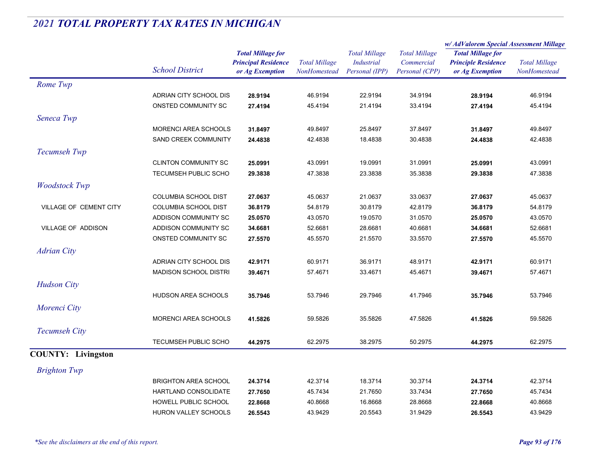|                           |                              |                                                                           |                                      |                                                             |                                                      | w/AdValorem Special Assessment Millage                                    |                                      |
|---------------------------|------------------------------|---------------------------------------------------------------------------|--------------------------------------|-------------------------------------------------------------|------------------------------------------------------|---------------------------------------------------------------------------|--------------------------------------|
|                           | <b>School District</b>       | <b>Total Millage for</b><br><b>Principal Residence</b><br>or Ag Exemption | <b>Total Millage</b><br>NonHomestead | <b>Total Millage</b><br><b>Industrial</b><br>Personal (IPP) | <b>Total Millage</b><br>Commercial<br>Personal (CPP) | <b>Total Millage for</b><br><b>Principle Residence</b><br>or Ag Exemption | <b>Total Millage</b><br>NonHomestead |
| Rome Twp                  |                              |                                                                           |                                      |                                                             |                                                      |                                                                           |                                      |
|                           | ADRIAN CITY SCHOOL DIS       | 28.9194                                                                   | 46.9194                              | 22.9194                                                     | 34.9194                                              | 28.9194                                                                   | 46.9194                              |
|                           | ONSTED COMMUNITY SC          | 27.4194                                                                   | 45.4194                              | 21.4194                                                     | 33.4194                                              | 27.4194                                                                   | 45.4194                              |
| Seneca Twp                |                              |                                                                           |                                      |                                                             |                                                      |                                                                           |                                      |
|                           | <b>MORENCI AREA SCHOOLS</b>  | 31.8497                                                                   | 49.8497                              | 25.8497                                                     | 37.8497                                              | 31.8497                                                                   | 49.8497                              |
|                           | <b>SAND CREEK COMMUNITY</b>  | 24.4838                                                                   | 42.4838                              | 18.4838                                                     | 30.4838                                              | 24.4838                                                                   | 42.4838                              |
| Tecumseh Twp              |                              |                                                                           |                                      |                                                             |                                                      |                                                                           |                                      |
|                           | <b>CLINTON COMMUNITY SC</b>  | 25.0991                                                                   | 43.0991                              | 19.0991                                                     | 31.0991                                              | 25.0991                                                                   | 43.0991                              |
|                           | TECUMSEH PUBLIC SCHO         | 29.3838                                                                   | 47.3838                              | 23.3838                                                     | 35.3838                                              | 29.3838                                                                   | 47.3838                              |
| <b>Woodstock Twp</b>      |                              |                                                                           |                                      |                                                             |                                                      |                                                                           |                                      |
|                           | <b>COLUMBIA SCHOOL DIST</b>  | 27.0637                                                                   | 45.0637                              | 21.0637                                                     | 33.0637                                              | 27.0637                                                                   | 45.0637                              |
| VILLAGE OF CEMENT CITY    | <b>COLUMBIA SCHOOL DIST</b>  | 36.8179                                                                   | 54.8179                              | 30.8179                                                     | 42.8179                                              | 36.8179                                                                   | 54.8179                              |
|                           | ADDISON COMMUNITY SC         | 25.0570                                                                   | 43.0570                              | 19.0570                                                     | 31.0570                                              | 25.0570                                                                   | 43.0570                              |
| VILLAGE OF ADDISON        | ADDISON COMMUNITY SC         | 34.6681                                                                   | 52.6681                              | 28.6681                                                     | 40.6681                                              | 34.6681                                                                   | 52.6681                              |
|                           | ONSTED COMMUNITY SC          | 27.5570                                                                   | 45.5570                              | 21.5570                                                     | 33.5570                                              | 27.5570                                                                   | 45.5570                              |
| <b>Adrian City</b>        |                              |                                                                           |                                      |                                                             |                                                      |                                                                           |                                      |
|                           | ADRIAN CITY SCHOOL DIS       | 42.9171                                                                   | 60.9171                              | 36.9171                                                     | 48.9171                                              | 42.9171                                                                   | 60.9171                              |
|                           | <b>MADISON SCHOOL DISTRI</b> | 39.4671                                                                   | 57.4671                              | 33.4671                                                     | 45.4671                                              | 39.4671                                                                   | 57.4671                              |
| <b>Hudson City</b>        |                              |                                                                           |                                      |                                                             |                                                      |                                                                           |                                      |
|                           | <b>HUDSON AREA SCHOOLS</b>   | 35.7946                                                                   | 53.7946                              | 29.7946                                                     | 41.7946                                              | 35.7946                                                                   | 53.7946                              |
| Morenci City              |                              |                                                                           |                                      |                                                             |                                                      |                                                                           |                                      |
|                           | <b>MORENCI AREA SCHOOLS</b>  | 41.5826                                                                   | 59.5826                              | 35.5826                                                     | 47.5826                                              | 41.5826                                                                   | 59.5826                              |
| <b>Tecumseh City</b>      |                              |                                                                           |                                      |                                                             |                                                      |                                                                           |                                      |
|                           | TECUMSEH PUBLIC SCHO         | 44.2975                                                                   | 62.2975                              | 38.2975                                                     | 50.2975                                              | 44.2975                                                                   | 62.2975                              |
|                           |                              |                                                                           |                                      |                                                             |                                                      |                                                                           |                                      |
| <b>COUNTY: Livingston</b> |                              |                                                                           |                                      |                                                             |                                                      |                                                                           |                                      |
| <b>Brighton Twp</b>       |                              |                                                                           |                                      |                                                             |                                                      |                                                                           |                                      |
|                           | <b>BRIGHTON AREA SCHOOL</b>  | 24.3714                                                                   | 42.3714                              | 18.3714                                                     | 30.3714                                              | 24.3714                                                                   | 42.3714                              |
|                           | HARTLAND CONSOLIDATE         | 27.7650                                                                   | 45.7434                              | 21.7650                                                     | 33.7434                                              | 27.7650                                                                   | 45.7434                              |
|                           | HOWELL PUBLIC SCHOOL         | 22.8668                                                                   | 40.8668                              | 16.8668                                                     | 28.8668                                              | 22.8668                                                                   | 40.8668                              |
|                           | <b>HURON VALLEY SCHOOLS</b>  | 26.5543                                                                   | 43.9429                              | 20.5543                                                     | 31.9429                                              | 26.5543                                                                   | 43.9429                              |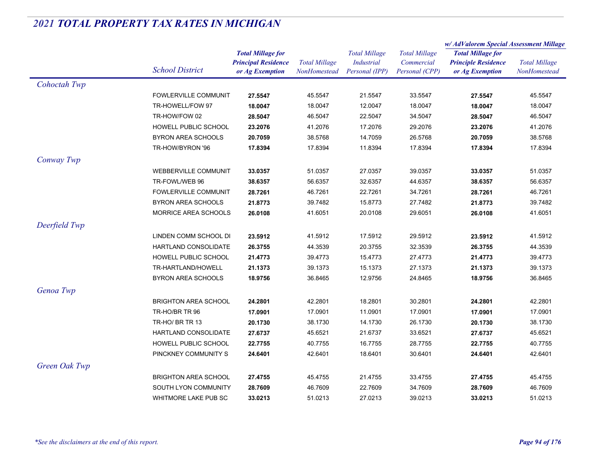|                             |                            |                                      | <b>Total Millage</b><br><b>Industrial</b><br>Personal (IPP) | <b>Total Millage</b><br>Commercial<br>Personal (CPP) | w/AdValorem Special Assessment Millage        |                                      |
|-----------------------------|----------------------------|--------------------------------------|-------------------------------------------------------------|------------------------------------------------------|-----------------------------------------------|--------------------------------------|
|                             | <b>Total Millage for</b>   |                                      |                                                             |                                                      | <b>Total Millage for</b>                      |                                      |
| <b>School District</b>      | <b>Principal Residence</b> | <b>Total Millage</b><br>NonHomestead |                                                             |                                                      | <b>Principle Residence</b><br>or Ag Exemption | <b>Total Millage</b><br>NonHomestead |
|                             | or Ag Exemption            |                                      |                                                             |                                                      |                                               |                                      |
| Cohoctah Twp                |                            |                                      |                                                             |                                                      |                                               |                                      |
| FOWLERVILLE COMMUNIT        | 27.5547                    | 45.5547                              | 21.5547                                                     | 33.5547                                              | 27.5547                                       | 45.5547                              |
| TR-HOWELL/FOW 97            | 18.0047                    | 18.0047                              | 12.0047                                                     | 18.0047                                              | 18.0047                                       | 18.0047                              |
| TR-HOW/FOW 02               | 28.5047                    | 46.5047                              | 22.5047                                                     | 34.5047                                              | 28.5047                                       | 46.5047                              |
| HOWELL PUBLIC SCHOOL        | 23.2076                    | 41.2076                              | 17.2076                                                     | 29.2076                                              | 23.2076                                       | 41.2076                              |
| BYRON AREA SCHOOLS          | 20.7059                    | 38.5768                              | 14.7059                                                     | 26.5768                                              | 20.7059                                       | 38.5768                              |
| TR-HOW/BYRON '96            | 17.8394                    | 17.8394                              | 11.8394                                                     | 17.8394                                              | 17.8394                                       | 17.8394                              |
| Conway Twp                  |                            |                                      |                                                             |                                                      |                                               |                                      |
| <b>WEBBERVILLE COMMUNIT</b> | 33.0357                    | 51.0357                              | 27.0357                                                     | 39.0357                                              | 33.0357                                       | 51.0357                              |
| TR-FOWL/WEB 96              | 38.6357                    | 56.6357                              | 32.6357                                                     | 44.6357                                              | 38.6357                                       | 56.6357                              |
| FOWLERVILLE COMMUNIT        | 28.7261                    | 46.7261                              | 22.7261                                                     | 34.7261                                              | 28.7261                                       | 46.7261                              |
| <b>BYRON AREA SCHOOLS</b>   | 21.8773                    | 39.7482                              | 15.8773                                                     | 27.7482                                              | 21.8773                                       | 39.7482                              |
| MORRICE AREA SCHOOLS        | 26.0108                    | 41.6051                              | 20.0108                                                     | 29.6051                                              | 26.0108                                       | 41.6051                              |
| Deerfield Twp               |                            |                                      |                                                             |                                                      |                                               |                                      |
| LINDEN COMM SCHOOL DI       | 23.5912                    | 41.5912                              | 17.5912                                                     | 29.5912                                              | 23.5912                                       | 41.5912                              |
| HARTLAND CONSOLIDATE        | 26.3755                    | 44.3539                              | 20.3755                                                     | 32.3539                                              | 26.3755                                       | 44.3539                              |
| HOWELL PUBLIC SCHOOL        | 21.4773                    | 39.4773                              | 15.4773                                                     | 27.4773                                              | 21.4773                                       | 39.4773                              |
| TR-HARTLAND/HOWELL          | 21.1373                    | 39.1373                              | 15.1373                                                     | 27.1373                                              | 21.1373                                       | 39.1373                              |
| BYRON AREA SCHOOLS          | 18.9756                    | 36.8465                              | 12.9756                                                     | 24.8465                                              | 18.9756                                       | 36.8465                              |
| Genoa Twp                   |                            |                                      |                                                             |                                                      |                                               |                                      |
| <b>BRIGHTON AREA SCHOOL</b> | 24.2801                    | 42.2801                              | 18.2801                                                     | 30.2801                                              | 24.2801                                       | 42.2801                              |
| TR-HO/BR TR 96              | 17.0901                    | 17.0901                              | 11.0901                                                     | 17.0901                                              | 17.0901                                       | 17.0901                              |
| TR-HO/BR TR 13              | 20.1730                    | 38.1730                              | 14.1730                                                     | 26.1730                                              | 20.1730                                       | 38.1730                              |
| HARTLAND CONSOLIDATE        | 27.6737                    | 45.6521                              | 21.6737                                                     | 33.6521                                              | 27.6737                                       | 45.6521                              |
| HOWELL PUBLIC SCHOOL        | 22.7755                    | 40.7755                              | 16.7755                                                     | 28.7755                                              | 22.7755                                       | 40.7755                              |
| PINCKNEY COMMUNITY S        | 24.6401                    | 42.6401                              | 18.6401                                                     | 30.6401                                              | 24.6401                                       | 42.6401                              |
| Green Oak Twp               |                            |                                      |                                                             |                                                      |                                               |                                      |
| <b>BRIGHTON AREA SCHOOL</b> | 27.4755                    | 45.4755                              | 21.4755                                                     | 33.4755                                              | 27.4755                                       | 45.4755                              |
| SOUTH LYON COMMUNITY        | 28.7609                    | 46.7609                              | 22.7609                                                     | 34.7609                                              | 28.7609                                       | 46.7609                              |
| <b>WHITMORE LAKE PUB SC</b> | 33.0213                    | 51.0213                              | 27.0213                                                     | 39.0213                                              | 33.0213                                       | 51.0213                              |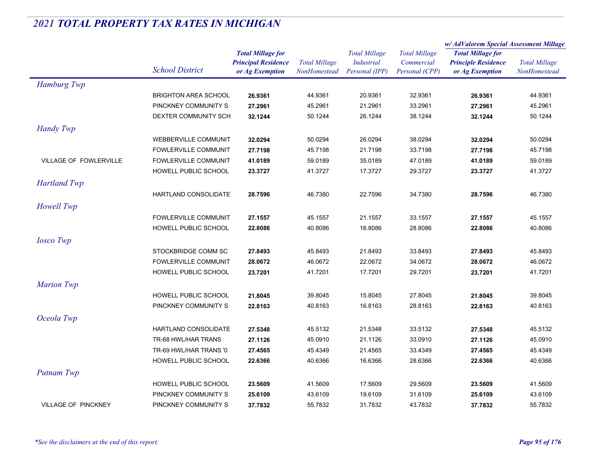|                               |                             | <b>Total Millage for</b><br><b>Principal Residence</b> | <b>Total Millage</b><br><b>NonHomestead</b> | <b>Total Millage</b><br>Industrial | <b>Total Millage</b><br>Commercial | w/AdValorem Special Assessment Millage |                      |
|-------------------------------|-----------------------------|--------------------------------------------------------|---------------------------------------------|------------------------------------|------------------------------------|----------------------------------------|----------------------|
|                               |                             |                                                        |                                             |                                    |                                    | <b>Total Millage for</b>               | <b>Total Millage</b> |
|                               | <b>School District</b>      |                                                        |                                             |                                    |                                    | <b>Principle Residence</b>             |                      |
|                               |                             | or Ag Exemption                                        |                                             | Personal (IPP)                     | Personal (CPP)                     | or Ag Exemption                        | NonHomestead         |
| Hamburg Twp                   |                             |                                                        |                                             |                                    |                                    |                                        |                      |
|                               | <b>BRIGHTON AREA SCHOOL</b> | 26.9361                                                | 44.9361                                     | 20.9361                            | 32.9361                            | 26.9361                                | 44.9361              |
|                               | PINCKNEY COMMUNITY S        | 27.2961                                                | 45.2961                                     | 21.2961                            | 33.2961                            | 27.2961                                | 45.2961              |
|                               | DEXTER COMMUNITY SCH        | 32.1244                                                | 50.1244                                     | 26.1244                            | 38.1244                            | 32.1244                                | 50.1244              |
| <b>Handy Twp</b>              |                             |                                                        |                                             |                                    |                                    |                                        |                      |
|                               | <b>WEBBERVILLE COMMUNIT</b> | 32.0294                                                | 50.0294                                     | 26.0294                            | 38.0294                            | 32.0294                                | 50.0294              |
|                               | <b>FOWLERVILLE COMMUNIT</b> | 27.7198                                                | 45.7198                                     | 21.7198                            | 33.7198                            | 27.7198                                | 45.7198              |
| <b>VILLAGE OF FOWLERVILLE</b> | <b>FOWLERVILLE COMMUNIT</b> | 41.0189                                                | 59.0189                                     | 35.0189                            | 47.0189                            | 41.0189                                | 59.0189              |
|                               | HOWELL PUBLIC SCHOOL        | 23.3727                                                | 41.3727                                     | 17.3727                            | 29.3727                            | 23.3727                                | 41.3727              |
| <b>Hartland Twp</b>           |                             |                                                        |                                             |                                    |                                    |                                        |                      |
|                               | <b>HARTLAND CONSOLIDATE</b> | 28.7596                                                | 46.7380                                     | 22.7596                            | 34.7380                            | 28.7596                                | 46.7380              |
| Howell Twp                    |                             |                                                        |                                             |                                    |                                    |                                        |                      |
|                               | <b>FOWLERVILLE COMMUNIT</b> | 27.1557                                                | 45.1557                                     | 21.1557                            | 33.1557                            | 27.1557                                | 45.1557              |
|                               | HOWELL PUBLIC SCHOOL        | 22.8086                                                | 40.8086                                     | 16.8086                            | 28.8086                            | 22.8086                                | 40.8086              |
| <b>Iosco</b> Twp              |                             |                                                        |                                             |                                    |                                    |                                        |                      |
|                               | STOCKBRIDGE COMM SC         | 27.8493                                                | 45.8493                                     | 21.8493                            | 33.8493                            |                                        | 45.8493              |
|                               | <b>FOWLERVILLE COMMUNIT</b> | 28.0672                                                | 46.0672                                     | 22.0672                            | 34.0672                            | 27.8493<br>28.0672                     | 46.0672              |
|                               | HOWELL PUBLIC SCHOOL        | 23.7201                                                | 41.7201                                     | 17.7201                            | 29.7201                            | 23.7201                                | 41.7201              |
|                               |                             |                                                        |                                             |                                    |                                    |                                        |                      |
| <b>Marion Twp</b>             |                             |                                                        |                                             |                                    |                                    |                                        |                      |
|                               | HOWELL PUBLIC SCHOOL        | 21.8045                                                | 39.8045                                     | 15.8045                            | 27.8045                            | 21.8045                                | 39.8045              |
|                               | PINCKNEY COMMUNITY S        | 22.8163                                                | 40.8163                                     | 16.8163                            | 28.8163                            | 22.8163                                | 40.8163              |
| Oceola Twp                    |                             |                                                        |                                             |                                    |                                    |                                        |                      |
|                               | HARTLAND CONSOLIDATE        | 27.5348                                                | 45.5132                                     | 21.5348                            | 33.5132                            | 27.5348                                | 45.5132              |
|                               | TR-68 HWL/HAR TRANS         | 27.1126                                                | 45.0910                                     | 21.1126                            | 33.0910                            | 27.1126                                | 45.0910              |
|                               | TR-69 HWL/HAR TRANS '0      | 27.4565                                                | 45.4349                                     | 21.4565                            | 33.4349                            | 27.4565                                | 45.4349              |
|                               | HOWELL PUBLIC SCHOOL        | 22.6366                                                | 40.6366                                     | 16.6366                            | 28.6366                            | 22.6366                                | 40.6366              |
| Putnam Twp                    |                             |                                                        |                                             |                                    |                                    |                                        |                      |
|                               | <b>HOWELL PUBLIC SCHOOL</b> | 23.5609                                                | 41.5609                                     | 17.5609                            | 29.5609                            | 23.5609                                | 41.5609              |
|                               | PINCKNEY COMMUNITY S        | 25.6109                                                | 43.6109                                     | 19.6109                            | 31.6109                            | 25.6109                                | 43.6109              |
| <b>VILLAGE OF PINCKNEY</b>    | PINCKNEY COMMUNITY S        | 37.7832                                                | 55.7832                                     | 31.7832                            | 43.7832                            | 37.7832                                | 55.7832              |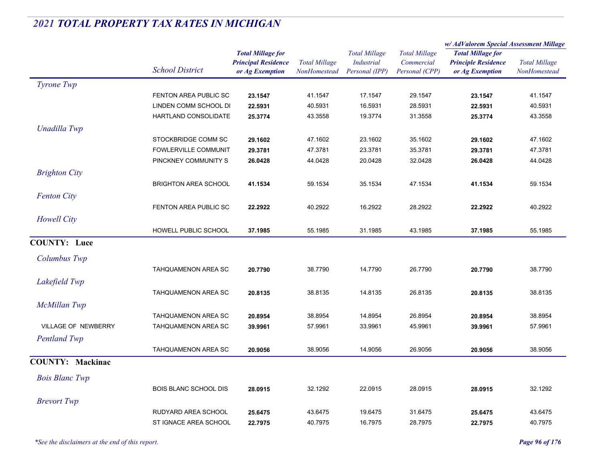|                         |                              |                            | <b>Total Millage</b> | <b>Total Millage</b><br><b>Industrial</b><br>Personal (IPP) | <b>Total Millage</b><br>Commercial | w/AdValorem Special Assessment Millage                 |                                      |
|-------------------------|------------------------------|----------------------------|----------------------|-------------------------------------------------------------|------------------------------------|--------------------------------------------------------|--------------------------------------|
|                         |                              | <b>Total Millage for</b>   |                      |                                                             |                                    | <b>Total Millage for</b><br><b>Principle Residence</b> | <b>Total Millage</b><br>NonHomestead |
|                         | <b>School District</b>       | <b>Principal Residence</b> |                      |                                                             |                                    |                                                        |                                      |
|                         |                              | or Ag Exemption            | NonHomestead         |                                                             | Personal (CPP)                     | or Ag Exemption                                        |                                      |
| Tyrone Twp              |                              |                            |                      |                                                             |                                    |                                                        |                                      |
|                         | FENTON AREA PUBLIC SC        | 23.1547                    | 41.1547              | 17.1547                                                     | 29.1547                            | 23.1547                                                | 41.1547                              |
|                         | LINDEN COMM SCHOOL DI        | 22.5931                    | 40.5931              | 16.5931                                                     | 28.5931                            | 22.5931                                                | 40.5931                              |
|                         | HARTLAND CONSOLIDATE         | 25.3774                    | 43.3558              | 19.3774                                                     | 31.3558                            | 25.3774                                                | 43.3558                              |
| Unadilla Twp            |                              |                            |                      |                                                             |                                    |                                                        |                                      |
|                         | STOCKBRIDGE COMM SC          | 29.1602                    | 47.1602              | 23.1602                                                     | 35.1602                            | 29.1602                                                | 47.1602                              |
|                         | FOWLERVILLE COMMUNIT         | 29.3781                    | 47.3781              | 23.3781                                                     | 35.3781                            | 29.3781                                                | 47.3781                              |
|                         | PINCKNEY COMMUNITY S         | 26.0428                    | 44.0428              | 20.0428                                                     | 32.0428                            | 26.0428                                                | 44.0428                              |
| <b>Brighton City</b>    |                              |                            |                      |                                                             |                                    |                                                        |                                      |
|                         | <b>BRIGHTON AREA SCHOOL</b>  | 41.1534                    | 59.1534              | 35.1534                                                     | 47.1534                            | 41.1534                                                | 59.1534                              |
| <b>Fenton City</b>      |                              |                            |                      |                                                             |                                    |                                                        |                                      |
|                         | FENTON AREA PUBLIC SC        | 22.2922                    | 40.2922              | 16.2922                                                     | 28.2922                            | 22.2922                                                | 40.2922                              |
|                         |                              |                            |                      |                                                             |                                    |                                                        |                                      |
| <b>Howell City</b>      |                              |                            |                      |                                                             |                                    |                                                        |                                      |
|                         | HOWELL PUBLIC SCHOOL         | 37.1985                    | 55.1985              | 31.1985                                                     | 43.1985                            | 37.1985                                                | 55.1985                              |
| <b>COUNTY: Luce</b>     |                              |                            |                      |                                                             |                                    |                                                        |                                      |
| Columbus Twp            |                              |                            |                      |                                                             |                                    |                                                        |                                      |
|                         | <b>TAHQUAMENON AREA SC</b>   | 20.7790                    | 38.7790              | 14.7790                                                     | 26.7790                            | 20.7790                                                | 38.7790                              |
| Lakefield Twp           |                              |                            |                      |                                                             |                                    |                                                        |                                      |
|                         |                              |                            | 38.8135              |                                                             | 26.8135                            |                                                        | 38.8135                              |
|                         | TAHQUAMENON AREA SC          | 20.8135                    |                      | 14.8135                                                     |                                    | 20.8135                                                |                                      |
| <b>McMillan Twp</b>     |                              |                            |                      |                                                             |                                    |                                                        |                                      |
|                         | TAHQUAMENON AREA SC          | 20.8954                    | 38.8954              | 14.8954                                                     | 26.8954                            | 20.8954                                                | 38.8954                              |
| VILLAGE OF NEWBERRY     | TAHQUAMENON AREA SC          | 39.9961                    | 57.9961              | 33.9961                                                     | 45.9961                            | 39.9961                                                | 57.9961                              |
| <b>Pentland Twp</b>     |                              |                            |                      |                                                             |                                    |                                                        |                                      |
|                         | TAHQUAMENON AREA SC          | 20.9056                    | 38.9056              | 14.9056                                                     | 26.9056                            | 20.9056                                                | 38.9056                              |
| <b>COUNTY: Mackinac</b> |                              |                            |                      |                                                             |                                    |                                                        |                                      |
|                         |                              |                            |                      |                                                             |                                    |                                                        |                                      |
| <b>Bois Blanc Twp</b>   |                              |                            |                      |                                                             |                                    |                                                        |                                      |
|                         | <b>BOIS BLANC SCHOOL DIS</b> | 28.0915                    | 32.1292              | 22.0915                                                     | 28.0915                            | 28.0915                                                | 32.1292                              |
| <b>Brevort</b> Twp      |                              |                            |                      |                                                             |                                    |                                                        |                                      |
|                         | RUDYARD AREA SCHOOL          | 25.6475                    | 43.6475              | 19.6475                                                     | 31.6475                            | 25.6475                                                | 43.6475                              |
|                         | ST IGNACE AREA SCHOOL        | 22.7975                    | 40.7975              | 16.7975                                                     | 28.7975                            | 22.7975                                                | 40.7975                              |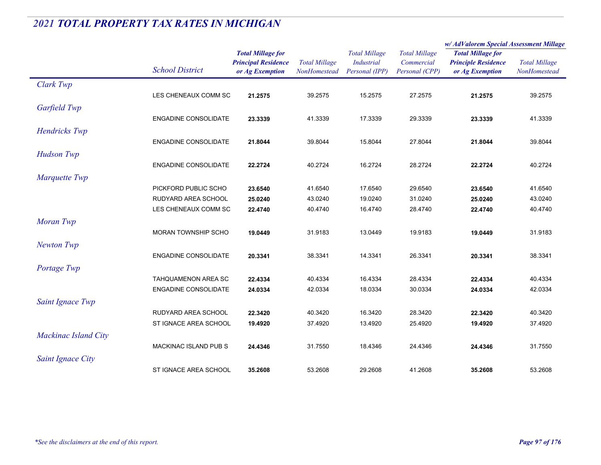|                      |                             |                                                                           |                                      |                                                             |                                                      | w/ AdValorem Special Assessment Millage                                   |                                      |  |
|----------------------|-----------------------------|---------------------------------------------------------------------------|--------------------------------------|-------------------------------------------------------------|------------------------------------------------------|---------------------------------------------------------------------------|--------------------------------------|--|
|                      | <b>School District</b>      | <b>Total Millage for</b><br><b>Principal Residence</b><br>or Ag Exemption | <b>Total Millage</b><br>NonHomestead | <b>Total Millage</b><br><b>Industrial</b><br>Personal (IPP) | <b>Total Millage</b><br>Commercial<br>Personal (CPP) | <b>Total Millage for</b><br><b>Principle Residence</b><br>or Ag Exemption | <b>Total Millage</b><br>NonHomestead |  |
| Clark Twp            |                             |                                                                           |                                      |                                                             |                                                      |                                                                           |                                      |  |
|                      | LES CHENEAUX COMM SC        | 21.2575                                                                   | 39.2575                              | 15.2575                                                     | 27.2575                                              | 21.2575                                                                   | 39.2575                              |  |
| Garfield Twp         |                             |                                                                           |                                      |                                                             |                                                      |                                                                           |                                      |  |
|                      | <b>ENGADINE CONSOLIDATE</b> | 23.3339                                                                   | 41.3339                              | 17.3339                                                     | 29.3339                                              | 23.3339                                                                   | 41.3339                              |  |
| Hendricks Twp        |                             |                                                                           |                                      |                                                             |                                                      |                                                                           |                                      |  |
|                      | ENGADINE CONSOLIDATE        | 21.8044                                                                   | 39.8044                              | 15.8044                                                     | 27.8044                                              | 21.8044                                                                   | 39.8044                              |  |
| <b>Hudson Twp</b>    |                             |                                                                           |                                      |                                                             |                                                      |                                                                           |                                      |  |
|                      | <b>ENGADINE CONSOLIDATE</b> | 22.2724                                                                   | 40.2724                              | 16.2724                                                     | 28.2724                                              | 22.2724                                                                   | 40.2724                              |  |
| Marquette Twp        |                             |                                                                           |                                      |                                                             |                                                      |                                                                           |                                      |  |
|                      | PICKFORD PUBLIC SCHO        | 23.6540                                                                   | 41.6540                              | 17.6540                                                     | 29.6540                                              | 23.6540                                                                   | 41.6540                              |  |
|                      | RUDYARD AREA SCHOOL         | 25.0240                                                                   | 43.0240                              | 19.0240                                                     | 31.0240                                              | 25.0240                                                                   | 43.0240                              |  |
|                      | LES CHENEAUX COMM SC        | 22.4740                                                                   | 40.4740                              | 16.4740                                                     | 28.4740                                              | 22.4740                                                                   | 40.4740                              |  |
| Moran Twp            |                             |                                                                           |                                      |                                                             |                                                      |                                                                           |                                      |  |
|                      | MORAN TOWNSHIP SCHO         | 19.0449                                                                   | 31.9183                              | 13.0449                                                     | 19.9183                                              | 19.0449                                                                   | 31.9183                              |  |
| <b>Newton Twp</b>    |                             |                                                                           |                                      |                                                             |                                                      |                                                                           |                                      |  |
|                      | <b>ENGADINE CONSOLIDATE</b> | 20.3341                                                                   | 38.3341                              | 14.3341                                                     | 26.3341                                              | 20.3341                                                                   | 38.3341                              |  |
| Portage Twp          |                             |                                                                           |                                      |                                                             |                                                      |                                                                           |                                      |  |
|                      | <b>TAHQUAMENON AREA SC</b>  | 22.4334                                                                   | 40.4334                              | 16.4334                                                     | 28.4334                                              | 22.4334                                                                   | 40.4334                              |  |
|                      | <b>ENGADINE CONSOLIDATE</b> | 24.0334                                                                   | 42.0334                              | 18.0334                                                     | 30.0334                                              | 24.0334                                                                   | 42.0334                              |  |
| Saint Ignace Twp     |                             |                                                                           |                                      |                                                             |                                                      |                                                                           |                                      |  |
|                      | RUDYARD AREA SCHOOL         | 22.3420                                                                   | 40.3420                              | 16.3420                                                     | 28.3420                                              | 22.3420                                                                   | 40.3420                              |  |
|                      | ST IGNACE AREA SCHOOL       | 19.4920                                                                   | 37.4920                              | 13.4920                                                     | 25.4920                                              | 19.4920                                                                   | 37.4920                              |  |
| Mackinac Island City |                             |                                                                           |                                      |                                                             |                                                      |                                                                           |                                      |  |
|                      | MACKINAC ISLAND PUB S       | 24.4346                                                                   | 31.7550                              | 18.4346                                                     | 24.4346                                              | 24.4346                                                                   | 31.7550                              |  |
| Saint Ignace City    |                             |                                                                           |                                      |                                                             |                                                      |                                                                           |                                      |  |
|                      | ST IGNACE AREA SCHOOL       | 35.2608                                                                   | 53.2608                              | 29.2608                                                     | 41.2608                                              | 35.2608                                                                   | 53.2608                              |  |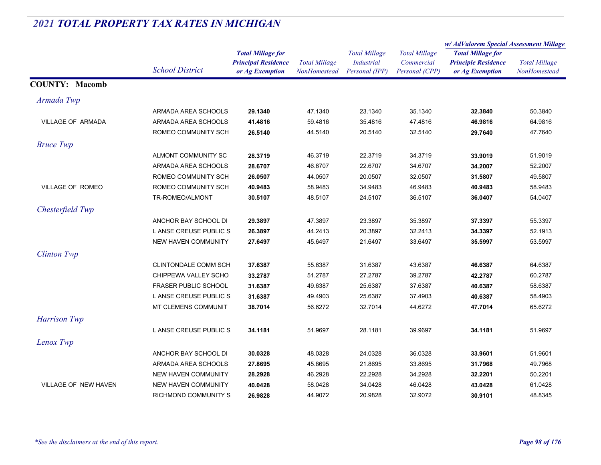|                             |                             |                                                                           |                                      |                                                             |                                                      | w/AdValorem Special Assessment Millage                                    |                                      |
|-----------------------------|-----------------------------|---------------------------------------------------------------------------|--------------------------------------|-------------------------------------------------------------|------------------------------------------------------|---------------------------------------------------------------------------|--------------------------------------|
|                             | <b>School District</b>      | <b>Total Millage for</b><br><b>Principal Residence</b><br>or Ag Exemption | <b>Total Millage</b><br>NonHomestead | <b>Total Millage</b><br><b>Industrial</b><br>Personal (IPP) | <b>Total Millage</b><br>Commercial<br>Personal (CPP) | <b>Total Millage for</b><br><b>Principle Residence</b><br>or Ag Exemption | <b>Total Millage</b><br>NonHomestead |
| <b>COUNTY: Macomb</b>       |                             |                                                                           |                                      |                                                             |                                                      |                                                                           |                                      |
| Armada Twp                  |                             |                                                                           |                                      |                                                             |                                                      |                                                                           |                                      |
|                             | ARMADA AREA SCHOOLS         | 29.1340                                                                   | 47.1340                              | 23.1340                                                     | 35.1340                                              | 32.3840                                                                   | 50.3840                              |
| VILLAGE OF ARMADA           | ARMADA AREA SCHOOLS         | 41.4816                                                                   | 59.4816                              | 35.4816                                                     | 47.4816                                              | 46.9816                                                                   | 64.9816                              |
|                             | ROMEO COMMUNITY SCH         | 26.5140                                                                   | 44.5140                              | 20.5140                                                     | 32.5140                                              | 29.7640                                                                   | 47.7640                              |
| <b>Bruce Twp</b>            |                             |                                                                           |                                      |                                                             |                                                      |                                                                           |                                      |
|                             | ALMONT COMMUNITY SC         | 28.3719                                                                   | 46.3719                              | 22.3719                                                     | 34.3719                                              | 33.9019                                                                   | 51.9019                              |
|                             | ARMADA AREA SCHOOLS         | 28.6707                                                                   | 46.6707                              | 22.6707                                                     | 34.6707                                              | 34.2007                                                                   | 52.2007                              |
|                             | ROMEO COMMUNITY SCH         | 26.0507                                                                   | 44.0507                              | 20.0507                                                     | 32.0507                                              | 31.5807                                                                   | 49.5807                              |
| VILLAGE OF ROMEO            | ROMEO COMMUNITY SCH         | 40.9483                                                                   | 58.9483                              | 34.9483                                                     | 46.9483                                              | 40.9483                                                                   | 58.9483                              |
|                             | TR-ROMEO/ALMONT             | 30.5107                                                                   | 48.5107                              | 24.5107                                                     | 36.5107                                              | 36.0407                                                                   | 54.0407                              |
| Chesterfield Twp            |                             |                                                                           |                                      |                                                             |                                                      |                                                                           |                                      |
|                             | ANCHOR BAY SCHOOL DI        | 29.3897                                                                   | 47.3897                              | 23.3897                                                     | 35.3897                                              | 37.3397                                                                   | 55.3397                              |
|                             | L ANSE CREUSE PUBLIC S      | 26.3897                                                                   | 44.2413                              | 20.3897                                                     | 32.2413                                              | 34.3397                                                                   | 52.1913                              |
|                             | <b>NEW HAVEN COMMUNITY</b>  | 27.6497                                                                   | 45.6497                              | 21.6497                                                     | 33.6497                                              | 35.5997                                                                   | 53.5997                              |
| <b>Clinton Twp</b>          |                             |                                                                           |                                      |                                                             |                                                      |                                                                           |                                      |
|                             | <b>CLINTONDALE COMM SCH</b> | 37.6387                                                                   | 55.6387                              | 31.6387                                                     | 43.6387                                              | 46.6387                                                                   | 64.6387                              |
|                             | CHIPPEWA VALLEY SCHO        | 33.2787                                                                   | 51.2787                              | 27.2787                                                     | 39.2787                                              | 42.2787                                                                   | 60.2787                              |
|                             | <b>FRASER PUBLIC SCHOOL</b> | 31.6387                                                                   | 49.6387                              | 25.6387                                                     | 37.6387                                              | 40.6387                                                                   | 58.6387                              |
|                             | L ANSE CREUSE PUBLIC S      | 31.6387                                                                   | 49.4903                              | 25.6387                                                     | 37.4903                                              | 40.6387                                                                   | 58.4903                              |
|                             | MT CLEMENS COMMUNIT         | 38.7014                                                                   | 56.6272                              | 32.7014                                                     | 44.6272                                              | 47.7014                                                                   | 65.6272                              |
| Harrison Twp                |                             |                                                                           |                                      |                                                             |                                                      |                                                                           |                                      |
|                             | L ANSE CREUSE PUBLIC S      | 34.1181                                                                   | 51.9697                              | 28.1181                                                     | 39.9697                                              | 34.1181                                                                   | 51.9697                              |
| Lenox Twp                   |                             |                                                                           |                                      |                                                             |                                                      |                                                                           |                                      |
|                             | ANCHOR BAY SCHOOL DI        | 30.0328                                                                   | 48.0328                              | 24.0328                                                     | 36.0328                                              | 33.9601                                                                   | 51.9601                              |
|                             | ARMADA AREA SCHOOLS         | 27.8695                                                                   | 45.8695                              | 21.8695                                                     | 33.8695                                              | 31.7968                                                                   | 49.7968                              |
|                             | NEW HAVEN COMMUNITY         | 28.2928                                                                   | 46.2928                              | 22.2928                                                     | 34.2928                                              | 32.2201                                                                   | 50.2201                              |
| <b>VILLAGE OF NEW HAVEN</b> | <b>NEW HAVEN COMMUNITY</b>  | 40.0428                                                                   | 58.0428                              | 34.0428                                                     | 46.0428                                              | 43.0428                                                                   | 61.0428                              |
|                             | <b>RICHMOND COMMUNITY S</b> | 26.9828                                                                   | 44.9072                              | 20.9828                                                     | 32.9072                                              | 30.9101                                                                   | 48.8345                              |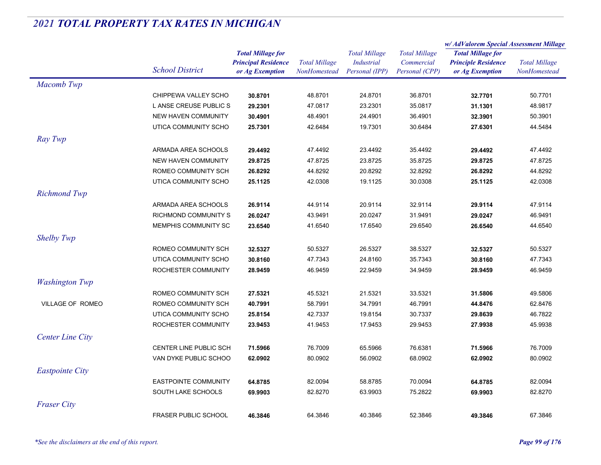|                         |                             |                                                        | <b>Total Millage</b><br>NonHomestead | <b>Total Millage</b> | <b>Total Millage</b> | w/ AdValorem Special Assessment Millage |                      |
|-------------------------|-----------------------------|--------------------------------------------------------|--------------------------------------|----------------------|----------------------|-----------------------------------------|----------------------|
|                         |                             | <b>Total Millage for</b><br><b>Principal Residence</b> |                                      |                      |                      | <b>Total Millage for</b>                |                      |
|                         | <b>School District</b>      |                                                        |                                      | <b>Industrial</b>    | Commercial           | <b>Principle Residence</b>              | <b>Total Millage</b> |
|                         |                             | or Ag Exemption                                        |                                      | Personal (IPP)       | Personal (CPP)       | or Ag Exemption                         | NonHomestead         |
| Macomb Twp              |                             |                                                        |                                      |                      |                      |                                         |                      |
|                         | CHIPPEWA VALLEY SCHO        | 30.8701                                                | 48.8701                              | 24.8701              | 36.8701              | 32.7701                                 | 50.7701              |
|                         | L ANSE CREUSE PUBLIC S      | 29.2301                                                | 47.0817                              | 23.2301              | 35.0817              | 31.1301                                 | 48.9817              |
|                         | <b>NEW HAVEN COMMUNITY</b>  | 30.4901                                                | 48.4901                              | 24.4901              | 36.4901              | 32.3901                                 | 50.3901              |
|                         | UTICA COMMUNITY SCHO        | 25.7301                                                | 42.6484                              | 19.7301              | 30.6484              | 27.6301                                 | 44.5484              |
| Ray Twp                 |                             |                                                        |                                      |                      |                      |                                         |                      |
|                         | ARMADA AREA SCHOOLS         | 29.4492                                                | 47.4492                              | 23.4492              | 35.4492              | 29.4492                                 | 47.4492              |
|                         | <b>NEW HAVEN COMMUNITY</b>  | 29.8725                                                | 47.8725                              | 23.8725              | 35.8725              | 29.8725                                 | 47.8725              |
|                         | ROMEO COMMUNITY SCH         | 26.8292                                                | 44.8292                              | 20.8292              | 32.8292              | 26.8292                                 | 44.8292              |
|                         | UTICA COMMUNITY SCHO        | 25.1125                                                | 42.0308                              | 19.1125              | 30.0308              | 25.1125                                 | 42.0308              |
| <b>Richmond Twp</b>     |                             |                                                        |                                      |                      |                      |                                         |                      |
|                         | ARMADA AREA SCHOOLS         | 26.9114                                                | 44.9114                              | 20.9114              | 32.9114              | 29.9114                                 | 47.9114              |
|                         | RICHMOND COMMUNITY S        | 26.0247                                                | 43.9491                              | 20.0247              | 31.9491              | 29.0247                                 | 46.9491              |
|                         | MEMPHIS COMMUNITY SC        | 23.6540                                                | 41.6540                              | 17.6540              | 29.6540              | 26.6540                                 | 44.6540              |
| <b>Shelby Twp</b>       |                             |                                                        |                                      |                      |                      |                                         |                      |
|                         | ROMEO COMMUNITY SCH         | 32.5327                                                | 50.5327                              | 26.5327              | 38.5327              | 32.5327                                 | 50.5327              |
|                         | UTICA COMMUNITY SCHO        | 30.8160                                                | 47.7343                              | 24.8160              | 35.7343              | 30.8160                                 | 47.7343              |
|                         | ROCHESTER COMMUNITY         | 28.9459                                                | 46.9459                              | 22.9459              | 34.9459              | 28.9459                                 | 46.9459              |
|                         |                             |                                                        |                                      |                      |                      |                                         |                      |
| <b>Washington Twp</b>   |                             |                                                        |                                      |                      |                      |                                         |                      |
|                         | ROMEO COMMUNITY SCH         | 27.5321                                                | 45.5321                              | 21.5321              | 33.5321              | 31.5806                                 | 49.5806              |
| <b>VILLAGE OF ROMEO</b> | ROMEO COMMUNITY SCH         | 40.7991                                                | 58.7991                              | 34.7991              | 46.7991              | 44.8476                                 | 62.8476              |
|                         | UTICA COMMUNITY SCHO        | 25.8154                                                | 42.7337                              | 19.8154              | 30.7337              | 29.8639                                 | 46.7822              |
|                         | ROCHESTER COMMUNITY         | 23.9453                                                | 41.9453                              | 17.9453              | 29.9453              | 27.9938                                 | 45.9938              |
| <b>Center Line City</b> |                             |                                                        |                                      |                      |                      |                                         |                      |
|                         | CENTER LINE PUBLIC SCH      | 71.5966                                                | 76.7009                              | 65.5966              | 76.6381              | 71.5966                                 | 76.7009              |
|                         | VAN DYKE PUBLIC SCHOO       | 62.0902                                                | 80.0902                              | 56.0902              | 68.0902              | 62.0902                                 | 80.0902              |
| <b>Eastpointe City</b>  |                             |                                                        |                                      |                      |                      |                                         |                      |
|                         | <b>EASTPOINTE COMMUNITY</b> | 64.8785                                                | 82.0094                              | 58.8785              | 70.0094              | 64.8785                                 | 82.0094              |
|                         | SOUTH LAKE SCHOOLS          | 69.9903                                                | 82.8270                              | 63.9903              | 75.2822              | 69.9903                                 | 82.8270              |
| <b>Fraser City</b>      |                             |                                                        |                                      |                      |                      |                                         |                      |
|                         | <b>FRASER PUBLIC SCHOOL</b> | 46.3846                                                | 64.3846                              | 40.3846              | 52.3846              | 49.3846                                 | 67.3846              |
|                         |                             |                                                        |                                      |                      |                      |                                         |                      |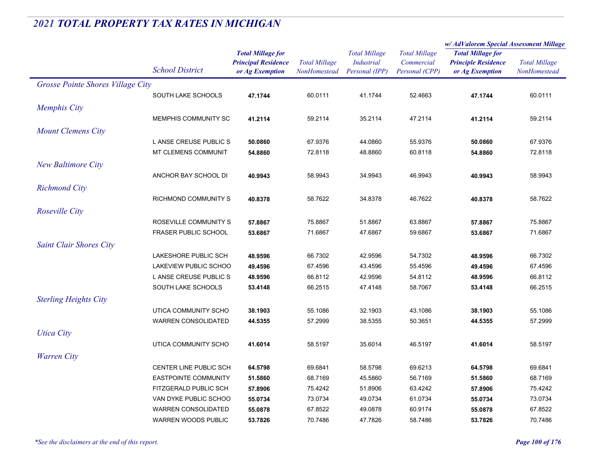|                                   |                             |                                                                           |                                      |                                                             |                                                      | w/AdValorem Special Assessment Millage                                    |                                      |
|-----------------------------------|-----------------------------|---------------------------------------------------------------------------|--------------------------------------|-------------------------------------------------------------|------------------------------------------------------|---------------------------------------------------------------------------|--------------------------------------|
|                                   | <b>School District</b>      | <b>Total Millage for</b><br><b>Principal Residence</b><br>or Ag Exemption | <b>Total Millage</b><br>NonHomestead | <b>Total Millage</b><br><b>Industrial</b><br>Personal (IPP) | <b>Total Millage</b><br>Commercial<br>Personal (CPP) | <b>Total Millage for</b><br><b>Principle Residence</b><br>or Ag Exemption | <b>Total Millage</b><br>NonHomestead |
| Grosse Pointe Shores Village City |                             |                                                                           |                                      |                                                             |                                                      |                                                                           |                                      |
|                                   | SOUTH LAKE SCHOOLS          | 47.1744                                                                   | 60.0111                              | 41.1744                                                     | 52.4663                                              | 47.1744                                                                   | 60.0111                              |
| <b>Memphis City</b>               |                             |                                                                           |                                      |                                                             |                                                      |                                                                           |                                      |
|                                   | MEMPHIS COMMUNITY SC        | 41.2114                                                                   | 59.2114                              | 35.2114                                                     | 47.2114                                              | 41.2114                                                                   | 59.2114                              |
| <b>Mount Clemens City</b>         |                             |                                                                           |                                      |                                                             |                                                      |                                                                           |                                      |
|                                   | L ANSE CREUSE PUBLIC S      | 50.0860                                                                   | 67.9376                              | 44.0860                                                     | 55.9376                                              | 50.0860                                                                   | 67.9376                              |
|                                   | MT CLEMENS COMMUNIT         | 54.8860                                                                   | 72.8118                              | 48.8860                                                     | 60.8118                                              | 54.8860                                                                   | 72.8118                              |
| <b>New Baltimore City</b>         |                             |                                                                           |                                      |                                                             |                                                      |                                                                           |                                      |
|                                   | ANCHOR BAY SCHOOL DI        | 40.9943                                                                   | 58.9943                              | 34.9943                                                     | 46.9943                                              | 40.9943                                                                   | 58.9943                              |
|                                   |                             |                                                                           |                                      |                                                             |                                                      |                                                                           |                                      |
| <b>Richmond City</b>              |                             |                                                                           |                                      |                                                             |                                                      |                                                                           |                                      |
|                                   | RICHMOND COMMUNITY S        | 40.8378                                                                   | 58.7622                              | 34.8378                                                     | 46.7622                                              | 40.8378                                                                   | 58.7622                              |
| Roseville City                    |                             |                                                                           |                                      |                                                             |                                                      |                                                                           |                                      |
|                                   | ROSEVILLE COMMUNITY S       | 57.8867                                                                   | 75.8867                              | 51.8867                                                     | 63.8867                                              | 57.8867                                                                   | 75.8867                              |
|                                   | <b>FRASER PUBLIC SCHOOL</b> | 53.6867                                                                   | 71.6867                              | 47.6867                                                     | 59.6867                                              | 53.6867                                                                   | 71.6867                              |
| <b>Saint Clair Shores City</b>    |                             |                                                                           |                                      |                                                             |                                                      |                                                                           |                                      |
|                                   | LAKESHORE PUBLIC SCH        | 48.9596                                                                   | 66.7302                              | 42.9596                                                     | 54.7302                                              | 48.9596                                                                   | 66.7302                              |
|                                   | LAKEVIEW PUBLIC SCHOO       | 49.4596                                                                   | 67.4596                              | 43.4596                                                     | 55.4596                                              | 49.4596                                                                   | 67.4596                              |
|                                   | L ANSE CREUSE PUBLIC S      | 48.9596                                                                   | 66.8112                              | 42.9596                                                     | 54.8112                                              | 48.9596                                                                   | 66.8112                              |
|                                   | SOUTH LAKE SCHOOLS          | 53.4148                                                                   | 66.2515                              | 47.4148                                                     | 58.7067                                              | 53.4148                                                                   | 66.2515                              |
| <b>Sterling Heights City</b>      |                             |                                                                           |                                      |                                                             |                                                      |                                                                           |                                      |
|                                   | UTICA COMMUNITY SCHO        | 38.1903                                                                   | 55.1086                              | 32.1903                                                     | 43.1086                                              | 38.1903                                                                   | 55.1086                              |
|                                   | <b>WARREN CONSOLIDATED</b>  | 44.5355                                                                   | 57.2999                              | 38.5355                                                     | 50.3651                                              | 44.5355                                                                   | 57.2999                              |
| <b>Utica City</b>                 |                             |                                                                           |                                      |                                                             |                                                      |                                                                           |                                      |
|                                   | UTICA COMMUNITY SCHO        | 41.6014                                                                   | 58.5197                              | 35.6014                                                     | 46.5197                                              | 41.6014                                                                   | 58.5197                              |
| <b>Warren City</b>                |                             |                                                                           |                                      |                                                             |                                                      |                                                                           |                                      |
|                                   | CENTER LINE PUBLIC SCH      | 64.5798                                                                   | 69.6841                              | 58.5798                                                     | 69.6213                                              | 64.5798                                                                   | 69.6841                              |
|                                   | <b>EASTPOINTE COMMUNITY</b> | 51.5860                                                                   | 68.7169                              | 45.5860                                                     | 56.7169                                              | 51.5860                                                                   | 68.7169                              |
|                                   | FITZGERALD PUBLIC SCH       | 57.8906                                                                   | 75.4242                              | 51.8906                                                     | 63.4242                                              | 57.8906                                                                   | 75.4242                              |
|                                   | VAN DYKE PUBLIC SCHOO       | 55.0734                                                                   | 73.0734                              | 49.0734                                                     | 61.0734                                              | 55.0734                                                                   | 73.0734                              |
|                                   | <b>WARREN CONSOLIDATED</b>  | 55.0878                                                                   | 67.8522                              | 49.0878                                                     | 60.9174                                              | 55.0878                                                                   | 67.8522                              |
|                                   | <b>WARREN WOODS PUBLIC</b>  | 53.7826                                                                   | 70.7486                              | 47.7826                                                     | 58.7486                                              | 53.7826                                                                   | 70.7486                              |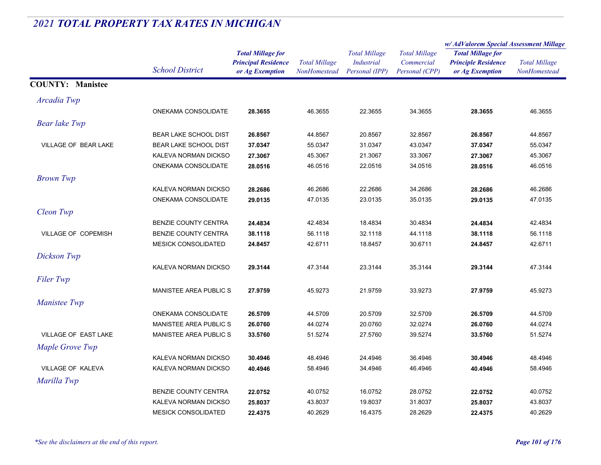|                             |                               | <b>Total Millage for</b><br><b>Principal Residence</b><br>or Ag Exemption | <b>Total Millage</b><br>NonHomestead | <b>Total Millage</b><br><b>Industrial</b><br>Personal (IPP) | <b>Total Millage</b><br>Commercial<br>Personal (CPP) | w/ AdValorem Special Assessment Millage                                   |                                      |  |
|-----------------------------|-------------------------------|---------------------------------------------------------------------------|--------------------------------------|-------------------------------------------------------------|------------------------------------------------------|---------------------------------------------------------------------------|--------------------------------------|--|
|                             |                               |                                                                           |                                      |                                                             |                                                      | <b>Total Millage for</b><br><b>Principle Residence</b><br>or Ag Exemption | <b>Total Millage</b><br>NonHomestead |  |
|                             | <b>School District</b>        |                                                                           |                                      |                                                             |                                                      |                                                                           |                                      |  |
|                             |                               |                                                                           |                                      |                                                             |                                                      |                                                                           |                                      |  |
| <b>COUNTY: Manistee</b>     |                               |                                                                           |                                      |                                                             |                                                      |                                                                           |                                      |  |
| Arcadia Twp                 |                               |                                                                           |                                      |                                                             |                                                      |                                                                           |                                      |  |
|                             | ONEKAMA CONSOLIDATE           | 28.3655                                                                   | 46.3655                              | 22.3655                                                     | 34.3655                                              | 28.3655                                                                   | 46.3655                              |  |
| <b>Bear lake Twp</b>        |                               |                                                                           |                                      |                                                             |                                                      |                                                                           |                                      |  |
|                             | <b>BEAR LAKE SCHOOL DIST</b>  | 26.8567                                                                   | 44.8567                              | 20.8567                                                     | 32.8567                                              | 26.8567                                                                   | 44.8567                              |  |
| VILLAGE OF BEAR LAKE        | <b>BEAR LAKE SCHOOL DIST</b>  | 37.0347                                                                   | 55.0347                              | 31.0347                                                     | 43.0347                                              | 37.0347                                                                   | 55.0347                              |  |
|                             | KALEVA NORMAN DICKSO          | 27.3067                                                                   | 45.3067                              | 21.3067                                                     | 33.3067                                              | 27.3067                                                                   | 45.3067                              |  |
|                             | ONEKAMA CONSOLIDATE           | 28.0516                                                                   | 46.0516                              | 22.0516                                                     | 34.0516                                              | 28.0516                                                                   | 46.0516                              |  |
| <b>Brown Twp</b>            |                               |                                                                           |                                      |                                                             |                                                      |                                                                           |                                      |  |
|                             | KALEVA NORMAN DICKSO          | 28.2686                                                                   | 46.2686                              | 22.2686                                                     | 34.2686                                              | 28.2686                                                                   | 46.2686                              |  |
|                             | ONEKAMA CONSOLIDATE           | 29.0135                                                                   | 47.0135                              | 23.0135                                                     | 35.0135                                              | 29.0135                                                                   | 47.0135                              |  |
| Cleon Twp                   |                               |                                                                           |                                      |                                                             |                                                      |                                                                           |                                      |  |
|                             | <b>BENZIE COUNTY CENTRA</b>   | 24.4834                                                                   | 42.4834                              | 18.4834                                                     | 30.4834                                              | 24.4834                                                                   | 42.4834                              |  |
| VILLAGE OF COPEMISH         | BENZIE COUNTY CENTRA          | 38.1118                                                                   | 56.1118                              | 32.1118                                                     | 44.1118                                              | 38.1118                                                                   | 56.1118                              |  |
|                             | <b>MESICK CONSOLIDATED</b>    | 24.8457                                                                   | 42.6711                              | 18.8457                                                     | 30.6711                                              | 24.8457                                                                   | 42.6711                              |  |
| Dickson Twp                 |                               |                                                                           |                                      |                                                             |                                                      |                                                                           |                                      |  |
|                             | KALEVA NORMAN DICKSO          | 29.3144                                                                   | 47.3144                              | 23.3144                                                     | 35.3144                                              | 29.3144                                                                   | 47.3144                              |  |
| <b>Filer Twp</b>            |                               |                                                                           |                                      |                                                             |                                                      |                                                                           |                                      |  |
|                             | MANISTEE AREA PUBLIC S        | 27.9759                                                                   | 45.9273                              | 21.9759                                                     | 33.9273                                              | 27.9759                                                                   | 45.9273                              |  |
| Manistee Twp                |                               |                                                                           |                                      |                                                             |                                                      |                                                                           |                                      |  |
|                             | ONEKAMA CONSOLIDATE           | 26.5709                                                                   | 44.5709                              | 20.5709                                                     | 32.5709                                              | 26.5709                                                                   | 44.5709                              |  |
|                             | <b>MANISTEE AREA PUBLIC S</b> | 26.0760                                                                   | 44.0274                              | 20.0760                                                     | 32.0274                                              | 26.0760                                                                   | 44.0274                              |  |
| <b>VILLAGE OF EAST LAKE</b> | <b>MANISTEE AREA PUBLIC S</b> | 33.5760                                                                   | 51.5274                              | 27.5760                                                     | 39.5274                                              | 33.5760                                                                   | 51.5274                              |  |
| Maple Grove Twp             |                               |                                                                           |                                      |                                                             |                                                      |                                                                           |                                      |  |
|                             | KALEVA NORMAN DICKSO          | 30.4946                                                                   | 48.4946                              | 24.4946                                                     | 36.4946                                              | 30.4946                                                                   | 48.4946                              |  |
| VILLAGE OF KALEVA           | KALEVA NORMAN DICKSO          | 40.4946                                                                   | 58.4946                              | 34.4946                                                     | 46.4946                                              | 40.4946                                                                   | 58.4946                              |  |
| Marilla Twp                 |                               |                                                                           |                                      |                                                             |                                                      |                                                                           |                                      |  |
|                             | BENZIE COUNTY CENTRA          | 22.0752                                                                   | 40.0752                              | 16.0752                                                     | 28.0752                                              | 22.0752                                                                   | 40.0752                              |  |
|                             | KALEVA NORMAN DICKSO          | 25.8037                                                                   | 43.8037                              | 19.8037                                                     | 31.8037                                              | 25.8037                                                                   | 43.8037                              |  |
|                             | <b>MESICK CONSOLIDATED</b>    | 22.4375                                                                   | 40.2629                              | 16.4375                                                     | 28.2629                                              | 22.4375                                                                   | 40.2629                              |  |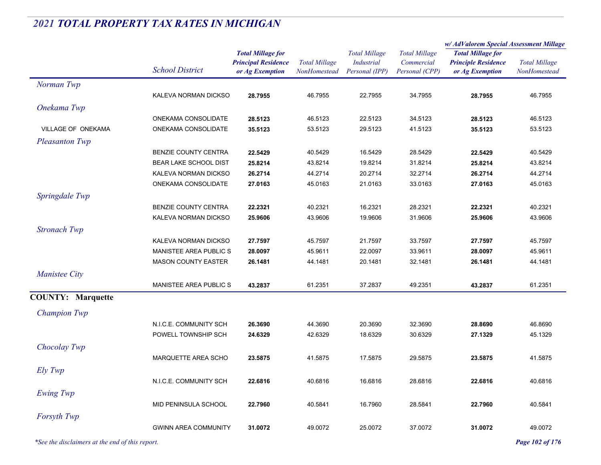|                                                 |                             |                                                                           |                                      |                                                             |                                                      | w/AdValorem Special Assessment Millage                                    |                                      |
|-------------------------------------------------|-----------------------------|---------------------------------------------------------------------------|--------------------------------------|-------------------------------------------------------------|------------------------------------------------------|---------------------------------------------------------------------------|--------------------------------------|
|                                                 | <b>School District</b>      | <b>Total Millage for</b><br><b>Principal Residence</b><br>or Ag Exemption | <b>Total Millage</b><br>NonHomestead | <b>Total Millage</b><br><b>Industrial</b><br>Personal (IPP) | <b>Total Millage</b><br>Commercial<br>Personal (CPP) | <b>Total Millage for</b><br><b>Principle Residence</b><br>or Ag Exemption | <b>Total Millage</b><br>NonHomestead |
| Norman Twp                                      |                             |                                                                           |                                      |                                                             |                                                      |                                                                           |                                      |
|                                                 | KALEVA NORMAN DICKSO        | 28.7955                                                                   | 46.7955                              | 22.7955                                                     | 34.7955                                              | 28.7955                                                                   | 46.7955                              |
| Onekama Twp                                     |                             |                                                                           |                                      |                                                             |                                                      |                                                                           |                                      |
|                                                 | ONEKAMA CONSOLIDATE         | 28.5123                                                                   | 46.5123                              | 22.5123                                                     | 34.5123                                              | 28.5123                                                                   | 46.5123                              |
| VILLAGE OF ONEKAMA                              | ONEKAMA CONSOLIDATE         | 35.5123                                                                   | 53.5123                              | 29.5123                                                     | 41.5123                                              | 35.5123                                                                   | 53.5123                              |
| <b>Pleasanton Twp</b>                           |                             |                                                                           |                                      |                                                             |                                                      |                                                                           |                                      |
|                                                 | BENZIE COUNTY CENTRA        | 22.5429                                                                   | 40.5429                              | 16.5429                                                     | 28.5429                                              | 22.5429                                                                   | 40.5429                              |
|                                                 | BEAR LAKE SCHOOL DIST       | 25.8214                                                                   | 43.8214                              | 19.8214                                                     | 31.8214                                              | 25.8214                                                                   | 43.8214                              |
|                                                 | KALEVA NORMAN DICKSO        | 26.2714                                                                   | 44.2714                              | 20.2714                                                     | 32.2714                                              | 26.2714                                                                   | 44.2714                              |
|                                                 | ONEKAMA CONSOLIDATE         | 27.0163                                                                   | 45.0163                              | 21.0163                                                     | 33.0163                                              | 27.0163                                                                   | 45.0163                              |
| Springdale Twp                                  |                             |                                                                           |                                      |                                                             |                                                      |                                                                           |                                      |
|                                                 | BENZIE COUNTY CENTRA        | 22.2321                                                                   | 40.2321                              | 16.2321                                                     | 28.2321                                              | 22.2321                                                                   | 40.2321                              |
|                                                 | KALEVA NORMAN DICKSO        | 25.9606                                                                   | 43.9606                              | 19.9606                                                     | 31.9606                                              | 25.9606                                                                   | 43.9606                              |
| <b>Stronach Twp</b>                             |                             |                                                                           |                                      |                                                             |                                                      |                                                                           |                                      |
|                                                 | KALEVA NORMAN DICKSO        | 27.7597                                                                   | 45.7597                              | 21.7597                                                     | 33.7597                                              | 27.7597                                                                   | 45.7597                              |
|                                                 | MANISTEE AREA PUBLIC S      | 28.0097                                                                   | 45.9611                              | 22.0097                                                     | 33.9611                                              | 28.0097                                                                   | 45.9611                              |
|                                                 | <b>MASON COUNTY EASTER</b>  | 26.1481                                                                   | 44.1481                              | 20.1481                                                     | 32.1481                                              | 26.1481                                                                   | 44.1481                              |
| <b>Manistee City</b>                            |                             |                                                                           |                                      |                                                             |                                                      |                                                                           |                                      |
|                                                 | MANISTEE AREA PUBLIC S      | 43.2837                                                                   | 61.2351                              | 37.2837                                                     | 49.2351                                              | 43.2837                                                                   | 61.2351                              |
| <b>COUNTY: Marquette</b>                        |                             |                                                                           |                                      |                                                             |                                                      |                                                                           |                                      |
| <b>Champion Twp</b>                             |                             |                                                                           |                                      |                                                             |                                                      |                                                                           |                                      |
|                                                 | N.I.C.E. COMMUNITY SCH      | 26.3690                                                                   | 44.3690                              | 20.3690                                                     | 32.3690                                              | 28.8690                                                                   | 46.8690                              |
|                                                 | POWELL TOWNSHIP SCH         | 24.6329                                                                   | 42.6329                              | 18.6329                                                     | 30.6329                                              | 27.1329                                                                   | 45.1329                              |
| Chocolay Twp                                    |                             |                                                                           |                                      |                                                             |                                                      |                                                                           |                                      |
|                                                 | MARQUETTE AREA SCHO         | 23.5875                                                                   | 41.5875                              | 17.5875                                                     | 29.5875                                              | 23.5875                                                                   | 41.5875                              |
|                                                 |                             |                                                                           |                                      |                                                             |                                                      |                                                                           |                                      |
| Ely Twp                                         |                             |                                                                           |                                      |                                                             |                                                      |                                                                           |                                      |
|                                                 | N.I.C.E. COMMUNITY SCH      | 22.6816                                                                   | 40.6816                              | 16.6816                                                     | 28.6816                                              | 22.6816                                                                   | 40.6816                              |
| Ewing Twp                                       |                             |                                                                           |                                      |                                                             |                                                      |                                                                           |                                      |
|                                                 | MID PENINSULA SCHOOL        | 22.7960                                                                   | 40.5841                              | 16.7960                                                     | 28.5841                                              | 22.7960                                                                   | 40.5841                              |
| Forsyth Twp                                     |                             |                                                                           |                                      |                                                             |                                                      |                                                                           |                                      |
|                                                 | <b>GWINN AREA COMMUNITY</b> | 31.0072                                                                   | 49.0072                              | 25.0072                                                     | 37.0072                                              | 31.0072                                                                   | 49.0072                              |
| *See the disclaimers at the end of this report. |                             |                                                                           |                                      |                                                             |                                                      |                                                                           | Page 102 of 176                      |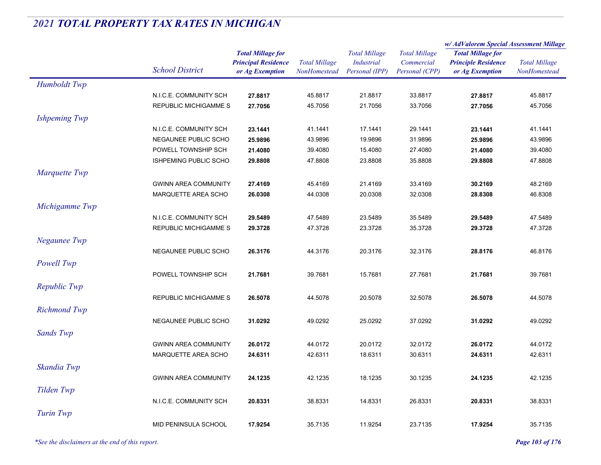|                      |                              |                                                        |                      |                                           |                                    | w/ AdValorem Special Assessment Millage                |                      |
|----------------------|------------------------------|--------------------------------------------------------|----------------------|-------------------------------------------|------------------------------------|--------------------------------------------------------|----------------------|
|                      |                              | <b>Total Millage for</b><br><b>Principal Residence</b> | <b>Total Millage</b> | <b>Total Millage</b><br><b>Industrial</b> | <b>Total Millage</b><br>Commercial | <b>Total Millage for</b><br><b>Principle Residence</b> | <b>Total Millage</b> |
|                      | <b>School District</b>       | or Ag Exemption                                        | NonHomestead         | Personal (IPP)                            | Personal (CPP)                     | or Ag Exemption                                        | NonHomestead         |
| Humboldt Twp         |                              |                                                        |                      |                                           |                                    |                                                        |                      |
|                      | N.I.C.E. COMMUNITY SCH       | 27.8817                                                | 45.8817              | 21.8817                                   | 33.8817                            | 27.8817                                                | 45.8817              |
|                      | <b>REPUBLIC MICHIGAMME S</b> | 27.7056                                                | 45.7056              | 21.7056                                   | 33.7056                            | 27.7056                                                | 45.7056              |
| <b>Ishpeming Twp</b> |                              |                                                        |                      |                                           |                                    |                                                        |                      |
|                      | N.I.C.E. COMMUNITY SCH       | 23.1441                                                | 41.1441              | 17.1441                                   | 29.1441                            | 23.1441                                                | 41.1441              |
|                      | NEGAUNEE PUBLIC SCHO         | 25.9896                                                | 43.9896              | 19.9896                                   | 31.9896                            | 25.9896                                                | 43.9896              |
|                      | POWELL TOWNSHIP SCH          | 21.4080                                                | 39.4080              | 15.4080                                   | 27.4080                            | 21.4080                                                | 39.4080              |
|                      | <b>ISHPEMING PUBLIC SCHO</b> | 29.8808                                                | 47.8808              | 23.8808                                   | 35.8808                            | 29.8808                                                | 47.8808              |
| Marquette Twp        |                              |                                                        |                      |                                           |                                    |                                                        |                      |
|                      | <b>GWINN AREA COMMUNITY</b>  | 27.4169                                                | 45.4169              | 21.4169                                   | 33.4169                            | 30.2169                                                | 48.2169              |
|                      | MARQUETTE AREA SCHO          | 26.0308                                                | 44.0308              | 20.0308                                   | 32.0308                            | 28.8308                                                | 46.8308              |
| Michigamme Twp       |                              |                                                        |                      |                                           |                                    |                                                        |                      |
|                      | N.I.C.E. COMMUNITY SCH       | 29.5489                                                | 47.5489              | 23.5489                                   | 35.5489                            | 29.5489                                                | 47.5489              |
|                      | <b>REPUBLIC MICHIGAMME S</b> | 29.3728                                                | 47.3728              | 23.3728                                   | 35.3728                            | 29.3728                                                | 47.3728              |
|                      |                              |                                                        |                      |                                           |                                    |                                                        |                      |
| Negaunee Twp         |                              |                                                        |                      |                                           |                                    |                                                        |                      |
|                      | NEGAUNEE PUBLIC SCHO         | 26.3176                                                | 44.3176              | 20.3176                                   | 32.3176                            | 28.8176                                                | 46.8176              |
| Powell Twp           |                              |                                                        |                      |                                           |                                    |                                                        |                      |
|                      | POWELL TOWNSHIP SCH          | 21.7681                                                | 39.7681              | 15.7681                                   | 27.7681                            | 21.7681                                                | 39.7681              |
| Republic Twp         |                              |                                                        |                      |                                           |                                    |                                                        |                      |
|                      | <b>REPUBLIC MICHIGAMME S</b> | 26.5078                                                | 44.5078              | 20.5078                                   | 32.5078                            | 26.5078                                                | 44.5078              |
| <b>Richmond Twp</b>  |                              |                                                        |                      |                                           |                                    |                                                        |                      |
|                      | NEGAUNEE PUBLIC SCHO         | 31.0292                                                | 49.0292              | 25.0292                                   | 37.0292                            | 31.0292                                                | 49.0292              |
| <b>Sands Twp</b>     |                              |                                                        |                      |                                           |                                    |                                                        |                      |
|                      | <b>GWINN AREA COMMUNITY</b>  | 26.0172                                                | 44.0172              | 20.0172                                   | 32.0172                            | 26.0172                                                | 44.0172              |
|                      | MARQUETTE AREA SCHO          | 24.6311                                                | 42.6311              | 18.6311                                   | 30.6311                            | 24.6311                                                | 42.6311              |
| Skandia Twp          |                              |                                                        |                      |                                           |                                    |                                                        |                      |
|                      |                              |                                                        |                      |                                           |                                    |                                                        |                      |
|                      | <b>GWINN AREA COMMUNITY</b>  | 24.1235                                                | 42.1235              | 18.1235                                   | 30.1235                            | 24.1235                                                | 42.1235              |
| Tilden Twp           |                              |                                                        |                      |                                           |                                    |                                                        |                      |
|                      | N.I.C.E. COMMUNITY SCH       | 20.8331                                                | 38.8331              | 14.8331                                   | 26.8331                            | 20.8331                                                | 38.8331              |
| Turin Twp            |                              |                                                        |                      |                                           |                                    |                                                        |                      |
|                      | MID PENINSULA SCHOOL         | 17.9254                                                | 35.7135              | 11.9254                                   | 23.7135                            | 17.9254                                                | 35.7135              |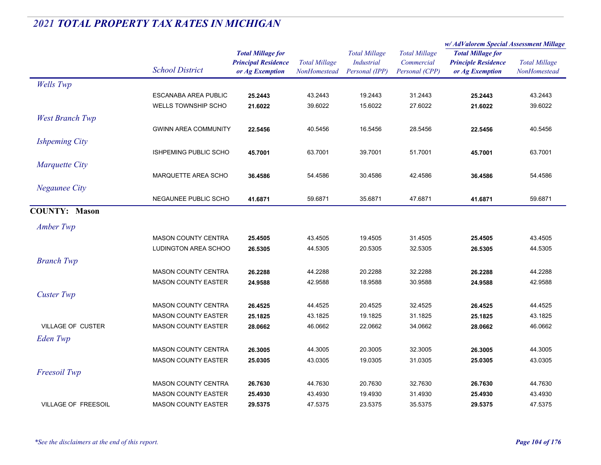|                            | <b>School District</b>       |                                                                           |                                      |                                                      |                                                      | w/AdValorem Special Assessment Millage                                    |                                      |
|----------------------------|------------------------------|---------------------------------------------------------------------------|--------------------------------------|------------------------------------------------------|------------------------------------------------------|---------------------------------------------------------------------------|--------------------------------------|
|                            |                              | <b>Total Millage for</b><br><b>Principal Residence</b><br>or Ag Exemption | <b>Total Millage</b><br>NonHomestead | <b>Total Millage</b><br>Industrial<br>Personal (IPP) | <b>Total Millage</b><br>Commercial<br>Personal (CPP) | <b>Total Millage for</b><br><b>Principle Residence</b><br>or Ag Exemption | <b>Total Millage</b><br>NonHomestead |
| <b>Wells</b> Twp           |                              |                                                                           |                                      |                                                      |                                                      |                                                                           |                                      |
|                            | <b>ESCANABA AREA PUBLIC</b>  | 25.2443                                                                   | 43.2443                              | 19.2443                                              | 31.2443                                              | 25.2443                                                                   | 43.2443                              |
|                            | <b>WELLS TOWNSHIP SCHO</b>   | 21.6022                                                                   | 39.6022                              | 15.6022                                              | 27.6022                                              | 21.6022                                                                   | 39.6022                              |
| <b>West Branch Twp</b>     |                              |                                                                           |                                      |                                                      |                                                      |                                                                           |                                      |
|                            | <b>GWINN AREA COMMUNITY</b>  | 22.5456                                                                   | 40.5456                              | 16.5456                                              | 28.5456                                              | 22.5456                                                                   | 40.5456                              |
| <b>Ishpeming City</b>      |                              |                                                                           |                                      |                                                      |                                                      |                                                                           |                                      |
|                            | <b>ISHPEMING PUBLIC SCHO</b> | 45.7001                                                                   | 63.7001                              | 39.7001                                              | 51.7001                                              | 45.7001                                                                   | 63.7001                              |
| <b>Marquette City</b>      |                              |                                                                           |                                      |                                                      |                                                      |                                                                           |                                      |
|                            | MARQUETTE AREA SCHO          | 36.4586                                                                   | 54.4586                              | 30.4586                                              | 42.4586                                              | 36.4586                                                                   | 54.4586                              |
| <b>Negaunee City</b>       |                              |                                                                           |                                      |                                                      |                                                      |                                                                           |                                      |
|                            | NEGAUNEE PUBLIC SCHO         | 41.6871                                                                   | 59.6871                              | 35.6871                                              | 47.6871                                              | 41.6871                                                                   | 59.6871                              |
| <b>COUNTY: Mason</b>       |                              |                                                                           |                                      |                                                      |                                                      |                                                                           |                                      |
| Amber Twp                  |                              |                                                                           |                                      |                                                      |                                                      |                                                                           |                                      |
|                            | <b>MASON COUNTY CENTRA</b>   | 25.4505                                                                   | 43.4505                              | 19.4505                                              | 31.4505                                              | 25.4505                                                                   | 43.4505                              |
|                            | LUDINGTON AREA SCHOO         | 26.5305                                                                   | 44.5305                              | 20.5305                                              | 32.5305                                              | 26.5305                                                                   | 44.5305                              |
| <b>Branch Twp</b>          |                              |                                                                           |                                      |                                                      |                                                      |                                                                           |                                      |
|                            | <b>MASON COUNTY CENTRA</b>   | 26.2288                                                                   | 44.2288                              | 20.2288                                              | 32.2288                                              | 26.2288                                                                   | 44.2288                              |
|                            | <b>MASON COUNTY EASTER</b>   | 24.9588                                                                   | 42.9588                              | 18.9588                                              | 30.9588                                              | 24.9588                                                                   | 42.9588                              |
| <b>Custer Twp</b>          |                              |                                                                           |                                      |                                                      |                                                      |                                                                           |                                      |
|                            | <b>MASON COUNTY CENTRA</b>   | 26.4525                                                                   | 44.4525                              | 20.4525                                              | 32.4525                                              | 26.4525                                                                   | 44.4525                              |
|                            | <b>MASON COUNTY EASTER</b>   | 25.1825                                                                   | 43.1825                              | 19.1825                                              | 31.1825                                              | 25.1825                                                                   | 43.1825                              |
| <b>VILLAGE OF CUSTER</b>   | <b>MASON COUNTY EASTER</b>   | 28.0662                                                                   | 46.0662                              | 22.0662                                              | 34.0662                                              | 28.0662                                                                   | 46.0662                              |
| Eden Twp                   |                              |                                                                           |                                      |                                                      |                                                      |                                                                           |                                      |
|                            | <b>MASON COUNTY CENTRA</b>   | 26.3005                                                                   | 44.3005                              | 20.3005                                              | 32.3005                                              | 26.3005                                                                   | 44.3005                              |
|                            | <b>MASON COUNTY EASTER</b>   | 25.0305                                                                   | 43.0305                              | 19.0305                                              | 31.0305                                              | 25.0305                                                                   | 43.0305                              |
| Freesoil Twp               |                              |                                                                           |                                      |                                                      |                                                      |                                                                           |                                      |
|                            | <b>MASON COUNTY CENTRA</b>   | 26.7630                                                                   | 44.7630                              | 20.7630                                              | 32.7630                                              | 26.7630                                                                   | 44.7630                              |
|                            | <b>MASON COUNTY EASTER</b>   | 25.4930                                                                   | 43.4930                              | 19.4930                                              | 31.4930                                              | 25.4930                                                                   | 43.4930                              |
| <b>VILLAGE OF FREESOIL</b> | <b>MASON COUNTY EASTER</b>   | 29.5375                                                                   | 47.5375                              | 23.5375                                              | 35.5375                                              | 29.5375                                                                   | 47.5375                              |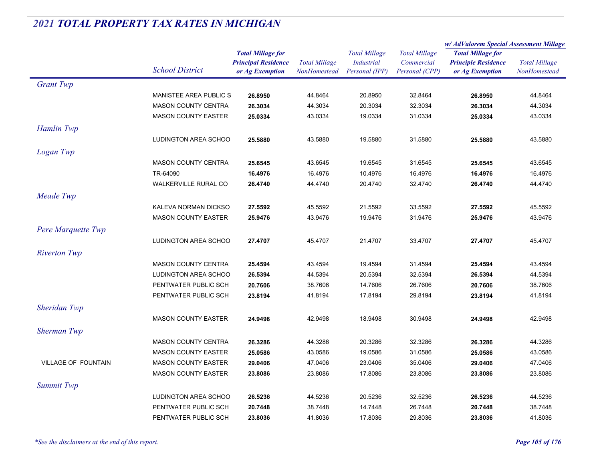|                            |                               | <b>Total Millage for</b>   | <b>Total Millage</b><br>NonHomestead | <b>Total Millage</b> |                      | w/ AdValorem Special Assessment Millage |                      |
|----------------------------|-------------------------------|----------------------------|--------------------------------------|----------------------|----------------------|-----------------------------------------|----------------------|
|                            |                               |                            |                                      |                      | <b>Total Millage</b> | <b>Total Millage for</b>                |                      |
|                            | <b>School District</b>        | <b>Principal Residence</b> |                                      | <b>Industrial</b>    | Commercial           | <b>Principle Residence</b>              | <b>Total Millage</b> |
|                            |                               | or Ag Exemption            |                                      | Personal (IPP)       | Personal (CPP)       | or Ag Exemption                         | NonHomestead         |
| <b>Grant Twp</b>           |                               |                            |                                      |                      |                      |                                         |                      |
|                            | <b>MANISTEE AREA PUBLIC S</b> | 26.8950                    | 44.8464                              | 20.8950              | 32.8464              | 26.8950                                 | 44.8464              |
|                            | <b>MASON COUNTY CENTRA</b>    | 26.3034                    | 44.3034                              | 20.3034              | 32.3034              | 26.3034                                 | 44.3034              |
|                            | <b>MASON COUNTY EASTER</b>    | 25.0334                    | 43.0334                              | 19.0334              | 31.0334              | 25.0334                                 | 43.0334              |
| Hamlin Twp                 |                               |                            |                                      |                      |                      |                                         |                      |
|                            | LUDINGTON AREA SCHOO          | 25.5880                    | 43.5880                              | 19.5880              | 31.5880              | 25.5880                                 | 43.5880              |
| Logan Twp                  |                               |                            |                                      |                      |                      |                                         |                      |
|                            | <b>MASON COUNTY CENTRA</b>    | 25.6545                    | 43.6545                              | 19.6545              | 31.6545              | 25.6545                                 | 43.6545              |
|                            | TR-64090                      | 16.4976                    | 16.4976                              | 10.4976              | 16.4976              | 16.4976                                 | 16.4976              |
|                            | WALKERVILLE RURAL CO          | 26.4740                    | 44.4740                              | 20.4740              | 32.4740              | 26.4740                                 | 44.4740              |
| Meade Twp                  |                               |                            |                                      |                      |                      |                                         |                      |
|                            | KALEVA NORMAN DICKSO          | 27.5592                    | 45.5592                              | 21.5592              | 33.5592              | 27.5592                                 | 45.5592              |
|                            | <b>MASON COUNTY EASTER</b>    | 25.9476                    | 43.9476                              | 19.9476              | 31.9476              | 25.9476                                 | 43.9476              |
|                            |                               |                            |                                      |                      |                      |                                         |                      |
| Pere Marquette Twp         |                               |                            |                                      |                      |                      |                                         |                      |
|                            | <b>LUDINGTON AREA SCHOO</b>   | 27.4707                    | 45.4707                              | 21.4707              | 33.4707              | 27.4707                                 | 45.4707              |
| <b>Riverton Twp</b>        |                               |                            |                                      |                      |                      |                                         |                      |
|                            | <b>MASON COUNTY CENTRA</b>    | 25.4594                    | 43.4594                              | 19.4594              | 31.4594              | 25.4594                                 | 43.4594              |
|                            | LUDINGTON AREA SCHOO          | 26.5394                    | 44.5394                              | 20.5394              | 32.5394              | 26.5394                                 | 44.5394              |
|                            | PENTWATER PUBLIC SCH          | 20.7606                    | 38.7606                              | 14.7606              | 26.7606              | 20.7606                                 | 38.7606              |
|                            | PENTWATER PUBLIC SCH          | 23.8194                    | 41.8194                              | 17.8194              | 29.8194              | 23.8194                                 | 41.8194              |
| Sheridan Twp               |                               |                            |                                      |                      |                      |                                         |                      |
|                            | <b>MASON COUNTY EASTER</b>    | 24.9498                    | 42.9498                              | 18.9498              | 30.9498              | 24.9498                                 | 42.9498              |
| <b>Sherman Twp</b>         |                               |                            |                                      |                      |                      |                                         |                      |
|                            | <b>MASON COUNTY CENTRA</b>    | 26.3286                    | 44.3286                              | 20.3286              | 32.3286              | 26.3286                                 | 44.3286              |
|                            | <b>MASON COUNTY EASTER</b>    | 25.0586                    | 43.0586                              | 19.0586              | 31.0586              | 25.0586                                 | 43.0586              |
| <b>VILLAGE OF FOUNTAIN</b> | <b>MASON COUNTY EASTER</b>    | 29.0406                    | 47.0406                              | 23.0406              | 35.0406              | 29.0406                                 | 47.0406              |
|                            | <b>MASON COUNTY EASTER</b>    | 23.8086                    | 23.8086                              | 17.8086              | 23.8086              | 23.8086                                 | 23.8086              |
| <b>Summit Twp</b>          |                               |                            |                                      |                      |                      |                                         |                      |
|                            | LUDINGTON AREA SCHOO          | 26.5236                    | 44.5236                              | 20.5236              | 32.5236              | 26.5236                                 | 44.5236              |
|                            | PENTWATER PUBLIC SCH          | 20.7448                    | 38.7448                              | 14.7448              | 26.7448              | 20.7448                                 | 38.7448              |
|                            | PENTWATER PUBLIC SCH          | 23.8036                    | 41.8036                              | 17.8036              | 29.8036              | 23.8036                                 | 41.8036              |
|                            |                               |                            |                                      |                      |                      |                                         |                      |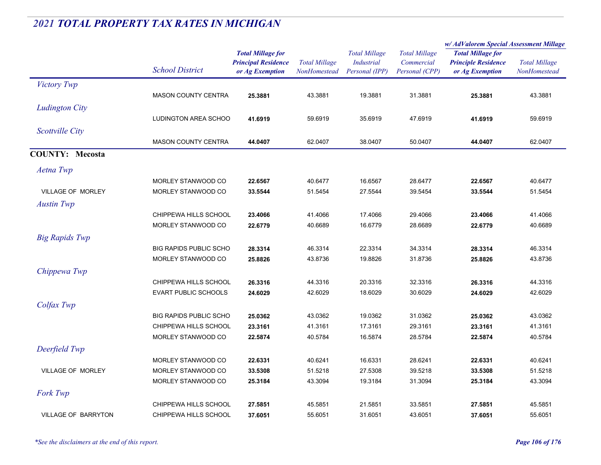|                        |                               |                                                                           |                                             |                                                             |                                                      | w/AdValorem Special Assessment Millage                                    |                                      |
|------------------------|-------------------------------|---------------------------------------------------------------------------|---------------------------------------------|-------------------------------------------------------------|------------------------------------------------------|---------------------------------------------------------------------------|--------------------------------------|
|                        | <b>School District</b>        | <b>Total Millage for</b><br><b>Principal Residence</b><br>or Ag Exemption | <b>Total Millage</b><br><b>NonHomestead</b> | <b>Total Millage</b><br><b>Industrial</b><br>Personal (IPP) | <b>Total Millage</b><br>Commercial<br>Personal (CPP) | <b>Total Millage for</b><br><b>Principle Residence</b><br>or Ag Exemption | <b>Total Millage</b><br>NonHomestead |
| Victory Twp            |                               |                                                                           |                                             |                                                             |                                                      |                                                                           |                                      |
|                        | <b>MASON COUNTY CENTRA</b>    | 25.3881                                                                   | 43.3881                                     | 19.3881                                                     | 31.3881                                              | 25.3881                                                                   | 43.3881                              |
| <b>Ludington City</b>  |                               |                                                                           |                                             |                                                             |                                                      |                                                                           |                                      |
|                        | <b>LUDINGTON AREA SCHOO</b>   | 41.6919                                                                   | 59.6919                                     | 35.6919                                                     | 47.6919                                              | 41.6919                                                                   | 59.6919                              |
| Scottville City        |                               |                                                                           |                                             |                                                             |                                                      |                                                                           |                                      |
|                        | <b>MASON COUNTY CENTRA</b>    | 44.0407                                                                   | 62.0407                                     | 38.0407                                                     | 50.0407                                              | 44.0407                                                                   | 62.0407                              |
| <b>COUNTY: Mecosta</b> |                               |                                                                           |                                             |                                                             |                                                      |                                                                           |                                      |
| Aetna Twp              |                               |                                                                           |                                             |                                                             |                                                      |                                                                           |                                      |
|                        | MORLEY STANWOOD CO            | 22.6567                                                                   | 40.6477                                     | 16.6567                                                     | 28.6477                                              | 22.6567                                                                   | 40.6477                              |
| VILLAGE OF MORLEY      | MORLEY STANWOOD CO            | 33.5544                                                                   | 51.5454                                     | 27.5544                                                     | 39.5454                                              | 33.5544                                                                   | 51.5454                              |
| <b>Austin Twp</b>      |                               |                                                                           |                                             |                                                             |                                                      |                                                                           |                                      |
|                        | CHIPPEWA HILLS SCHOOL         | 23.4066                                                                   | 41.4066                                     | 17.4066                                                     | 29.4066                                              | 23.4066                                                                   | 41.4066                              |
|                        | MORLEY STANWOOD CO            | 22.6779                                                                   | 40.6689                                     | 16.6779                                                     | 28.6689                                              | 22.6779                                                                   | 40.6689                              |
| <b>Big Rapids Twp</b>  |                               |                                                                           |                                             |                                                             |                                                      |                                                                           |                                      |
|                        | <b>BIG RAPIDS PUBLIC SCHO</b> | 28.3314                                                                   | 46.3314                                     | 22.3314                                                     | 34.3314                                              | 28.3314                                                                   | 46.3314                              |
|                        | MORLEY STANWOOD CO            | 25.8826                                                                   | 43.8736                                     | 19.8826                                                     | 31.8736                                              | 25.8826                                                                   | 43.8736                              |
| Chippewa Twp           |                               |                                                                           |                                             |                                                             |                                                      |                                                                           |                                      |
|                        | CHIPPEWA HILLS SCHOOL         | 26.3316                                                                   | 44.3316                                     | 20.3316                                                     | 32.3316                                              | 26.3316                                                                   | 44.3316                              |
|                        | <b>EVART PUBLIC SCHOOLS</b>   | 24.6029                                                                   | 42.6029                                     | 18.6029                                                     | 30.6029                                              | 24.6029                                                                   | 42.6029                              |
| Colfax Twp             |                               |                                                                           |                                             |                                                             |                                                      |                                                                           |                                      |
|                        | <b>BIG RAPIDS PUBLIC SCHO</b> | 25.0362                                                                   | 43.0362                                     | 19.0362                                                     | 31.0362                                              | 25.0362                                                                   | 43.0362                              |
|                        | CHIPPEWA HILLS SCHOOL         | 23.3161                                                                   | 41.3161                                     | 17.3161                                                     | 29.3161                                              | 23.3161                                                                   | 41.3161                              |
|                        | MORLEY STANWOOD CO            | 22.5874                                                                   | 40.5784                                     | 16.5874                                                     | 28.5784                                              | 22.5874                                                                   | 40.5784                              |
| Deerfield Twp          |                               |                                                                           |                                             |                                                             |                                                      |                                                                           |                                      |
|                        | MORLEY STANWOOD CO            | 22.6331                                                                   | 40.6241                                     | 16.6331                                                     | 28.6241                                              | 22.6331                                                                   | 40.6241                              |
| VILLAGE OF MORLEY      | MORLEY STANWOOD CO            | 33.5308                                                                   | 51.5218                                     | 27.5308                                                     | 39.5218                                              | 33.5308                                                                   | 51.5218                              |
|                        | MORLEY STANWOOD CO            | 25.3184                                                                   | 43.3094                                     | 19.3184                                                     | 31.3094                                              | 25.3184                                                                   | 43.3094                              |
| Fork Twp               |                               |                                                                           |                                             |                                                             |                                                      |                                                                           |                                      |
|                        | CHIPPEWA HILLS SCHOOL         | 27.5851                                                                   | 45.5851                                     | 21.5851                                                     | 33.5851                                              | 27.5851                                                                   | 45.5851                              |
| VILLAGE OF BARRYTON    | CHIPPEWA HILLS SCHOOL         | 37.6051                                                                   | 55.6051                                     | 31.6051                                                     | 43.6051                                              | 37.6051                                                                   | 55.6051                              |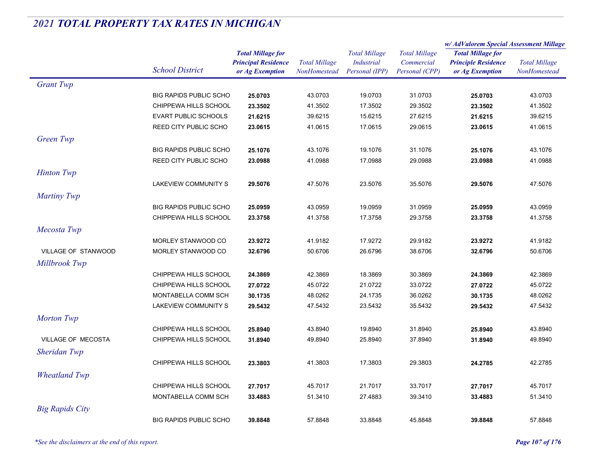|                        |                               |                            | <b>Total Millage</b> |                      |                      | w/AdValorem Special Assessment Millage |                      |
|------------------------|-------------------------------|----------------------------|----------------------|----------------------|----------------------|----------------------------------------|----------------------|
|                        |                               | <b>Total Millage for</b>   |                      | <b>Total Millage</b> | <b>Total Millage</b> | <b>Total Millage for</b>               | <b>Total Millage</b> |
|                        | <b>School District</b>        | <b>Principal Residence</b> |                      | Industrial           | Commercial           | <b>Principle Residence</b>             |                      |
|                        |                               | or Ag Exemption            | <b>NonHomestead</b>  | Personal (IPP)       | Personal (CPP)       | or Ag Exemption                        | <b>NonHomestead</b>  |
| <b>Grant Twp</b>       |                               |                            |                      |                      |                      |                                        |                      |
|                        | <b>BIG RAPIDS PUBLIC SCHO</b> | 25.0703                    | 43.0703              | 19.0703              | 31.0703              | 25.0703                                | 43.0703              |
|                        | CHIPPEWA HILLS SCHOOL         | 23.3502                    | 41.3502              | 17.3502              | 29.3502              | 23.3502                                | 41.3502              |
|                        | <b>EVART PUBLIC SCHOOLS</b>   | 21.6215                    | 39.6215              | 15.6215              | 27.6215              | 21.6215                                | 39.6215              |
|                        | REED CITY PUBLIC SCHO         | 23.0615                    | 41.0615              | 17.0615              | 29.0615              | 23.0615                                | 41.0615              |
| Green Twp              |                               |                            |                      |                      |                      |                                        |                      |
|                        | <b>BIG RAPIDS PUBLIC SCHO</b> | 25.1076                    | 43.1076              | 19.1076              | 31.1076              | 25.1076                                | 43.1076              |
|                        | <b>REED CITY PUBLIC SCHO</b>  | 23.0988                    | 41.0988              | 17.0988              | 29.0988              | 23.0988                                | 41.0988              |
| <b>Hinton Twp</b>      |                               |                            |                      |                      |                      |                                        |                      |
|                        | LAKEVIEW COMMUNITY S          | 29.5076                    | 47.5076              | 23.5076              | 35.5076              | 29.5076                                | 47.5076              |
| Martiny Twp            |                               |                            |                      |                      |                      |                                        |                      |
|                        | <b>BIG RAPIDS PUBLIC SCHO</b> | 25.0959                    | 43.0959              | 19.0959              | 31.0959              | 25.0959                                | 43.0959              |
|                        | CHIPPEWA HILLS SCHOOL         | 23.3758                    | 41.3758              | 17.3758              | 29.3758              | 23.3758                                | 41.3758              |
|                        |                               |                            |                      |                      |                      |                                        |                      |
| Mecosta Twp            |                               |                            |                      |                      |                      |                                        |                      |
|                        | MORLEY STANWOOD CO            | 23.9272                    | 41.9182              | 17.9272              | 29.9182              | 23.9272                                | 41.9182              |
| VILLAGE OF STANWOOD    | MORLEY STANWOOD CO            | 32.6796                    | 50.6706              | 26.6796              | 38.6706              | 32.6796                                | 50.6706              |
| Millbrook Twp          |                               |                            |                      |                      |                      |                                        |                      |
|                        | CHIPPEWA HILLS SCHOOL         | 24.3869                    | 42.3869              | 18.3869              | 30.3869              | 24.3869                                | 42.3869              |
|                        | CHIPPEWA HILLS SCHOOL         | 27.0722                    | 45.0722              | 21.0722              | 33.0722              | 27.0722                                | 45.0722              |
|                        | MONTABELLA COMM SCH           | 30.1735                    | 48.0262              | 24.1735              | 36.0262              | 30.1735                                | 48.0262              |
|                        | LAKEVIEW COMMUNITY S          | 29.5432                    | 47.5432              | 23.5432              | 35.5432              | 29.5432                                | 47.5432              |
| <b>Morton Twp</b>      |                               |                            |                      |                      |                      |                                        |                      |
|                        | CHIPPEWA HILLS SCHOOL         | 25.8940                    | 43.8940              | 19.8940              | 31.8940              | 25.8940                                | 43.8940              |
| VILLAGE OF MECOSTA     | CHIPPEWA HILLS SCHOOL         | 31.8940                    | 49.8940              | 25.8940              | 37.8940              | 31.8940                                | 49.8940              |
| Sheridan Twp           |                               |                            |                      |                      |                      |                                        |                      |
|                        | CHIPPEWA HILLS SCHOOL         | 23.3803                    | 41.3803              | 17.3803              | 29.3803              | 24.2785                                | 42.2785              |
| <b>Wheatland Twp</b>   |                               |                            |                      |                      |                      |                                        |                      |
|                        | CHIPPEWA HILLS SCHOOL         | 27.7017                    | 45.7017              | 21.7017              | 33.7017              | 27.7017                                | 45.7017              |
|                        | MONTABELLA COMM SCH           |                            |                      |                      | 39.3410              |                                        |                      |
|                        |                               | 33.4883                    | 51.3410              | 27.4883              |                      | 33.4883                                | 51.3410              |
| <b>Big Rapids City</b> |                               |                            |                      |                      |                      |                                        |                      |
|                        | <b>BIG RAPIDS PUBLIC SCHO</b> | 39.8848                    | 57.8848              | 33.8848              | 45.8848              | 39.8848                                | 57.8848              |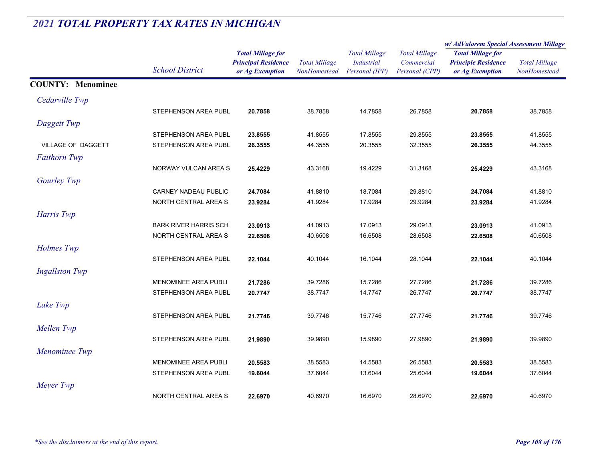|                           |                              |                            | <b>Total Millage</b><br>NonHomested | <b>Total Millage</b><br><b>Industrial</b> | <b>Total Millage</b> | w/AdValorem Special Assessment Millage |                      |
|---------------------------|------------------------------|----------------------------|-------------------------------------|-------------------------------------------|----------------------|----------------------------------------|----------------------|
|                           |                              | <b>Total Millage for</b>   |                                     |                                           |                      | <b>Total Millage for</b>               | <b>Total Millage</b> |
|                           |                              | <b>Principal Residence</b> |                                     |                                           | Commercial           | <b>Principle Residence</b>             |                      |
|                           | <b>School District</b>       | or Ag Exemption            |                                     | Personal (IPP)                            | Personal (CPP)       | or Ag Exemption                        | NonHomestead         |
| <b>COUNTY: Menominee</b>  |                              |                            |                                     |                                           |                      |                                        |                      |
| Cedarville Twp            |                              |                            |                                     |                                           |                      |                                        |                      |
|                           | STEPHENSON AREA PUBL         | 20.7858                    | 38.7858                             | 14.7858                                   | 26.7858              | 20.7858                                | 38.7858              |
| Daggett Twp               |                              |                            |                                     |                                           |                      |                                        |                      |
|                           | STEPHENSON AREA PUBL         | 23.8555                    | 41.8555                             | 17.8555                                   | 29.8555              | 23.8555                                | 41.8555              |
| <b>VILLAGE OF DAGGETT</b> | STEPHENSON AREA PUBL         | 26.3555                    | 44.3555                             | 20.3555                                   | 32.3555              | 26.3555                                | 44.3555              |
| <b>Faithorn Twp</b>       |                              |                            |                                     |                                           |                      |                                        |                      |
|                           | NORWAY VULCAN AREA S         | 25.4229                    | 43.3168                             | 19.4229                                   | 31.3168              | 25.4229                                | 43.3168              |
| Gourley Twp               |                              |                            |                                     |                                           |                      |                                        |                      |
|                           | <b>CARNEY NADEAU PUBLIC</b>  | 24.7084                    | 41.8810                             | 18.7084                                   | 29.8810              | 24.7084                                | 41.8810              |
|                           | NORTH CENTRAL AREA S         | 23.9284                    | 41.9284                             | 17.9284                                   | 29.9284              | 23.9284                                | 41.9284              |
| Harris Twp                |                              |                            |                                     |                                           |                      |                                        |                      |
|                           | <b>BARK RIVER HARRIS SCH</b> | 23.0913                    | 41.0913                             | 17.0913                                   | 29.0913              | 23.0913                                | 41.0913              |
|                           | NORTH CENTRAL AREA S         | 22.6508                    | 40.6508                             | 16.6508                                   | 28.6508              | 22.6508                                | 40.6508              |
| Holmes Twp                |                              |                            |                                     |                                           |                      |                                        |                      |
|                           | STEPHENSON AREA PUBL         | 22.1044                    | 40.1044                             | 16.1044                                   | 28.1044              | 22.1044                                | 40.1044              |
| <b>Ingallston Twp</b>     |                              |                            |                                     |                                           |                      |                                        |                      |
|                           | <b>MENOMINEE AREA PUBLI</b>  | 21.7286                    | 39.7286                             | 15.7286                                   | 27.7286              | 21.7286                                | 39.7286              |
|                           | STEPHENSON AREA PUBL         | 20.7747                    | 38.7747                             | 14.7747                                   | 26.7747              | 20.7747                                | 38.7747              |
| Lake Twp                  |                              |                            |                                     |                                           |                      |                                        |                      |
|                           | STEPHENSON AREA PUBL         | 21.7746                    | 39.7746                             | 15.7746                                   | 27.7746              | 21.7746                                | 39.7746              |
| Mellen Twp                |                              |                            |                                     |                                           |                      |                                        |                      |
|                           | STEPHENSON AREA PUBL         | 21.9890                    | 39.9890                             | 15.9890                                   | 27.9890              | 21.9890                                | 39.9890              |
| Menominee Twp             |                              |                            |                                     |                                           |                      |                                        |                      |
|                           | <b>MENOMINEE AREA PUBLI</b>  | 20.5583                    | 38.5583                             | 14.5583                                   | 26.5583              | 20.5583                                | 38.5583              |
|                           | STEPHENSON AREA PUBL         | 19.6044                    | 37.6044                             | 13.6044                                   | 25.6044              | 19.6044                                | 37.6044              |
| Meyer Twp                 |                              |                            |                                     |                                           |                      |                                        |                      |
|                           | NORTH CENTRAL AREA S         | 22.6970                    | 40.6970                             | 16.6970                                   | 28.6970              | 22.6970                                | 40.6970              |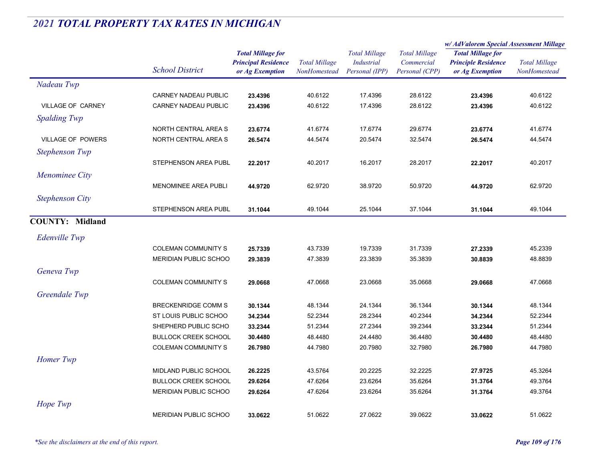|                          |                              |                                                                           |                                             |                                                             |                                                      | w/ AdValorem Special Assessment Millage                                   |                                      |  |
|--------------------------|------------------------------|---------------------------------------------------------------------------|---------------------------------------------|-------------------------------------------------------------|------------------------------------------------------|---------------------------------------------------------------------------|--------------------------------------|--|
|                          | <b>School District</b>       | <b>Total Millage for</b><br><b>Principal Residence</b><br>or Ag Exemption | <b>Total Millage</b><br><b>NonHomestead</b> | <b>Total Millage</b><br><b>Industrial</b><br>Personal (IPP) | <b>Total Millage</b><br>Commercial<br>Personal (CPP) | <b>Total Millage for</b><br><b>Principle Residence</b><br>or Ag Exemption | <b>Total Millage</b><br>NonHomestead |  |
| Nadeau Twp               |                              |                                                                           |                                             |                                                             |                                                      |                                                                           |                                      |  |
|                          | <b>CARNEY NADEAU PUBLIC</b>  | 23.4396                                                                   | 40.6122                                     | 17.4396                                                     | 28.6122                                              | 23.4396                                                                   | 40.6122                              |  |
| <b>VILLAGE OF CARNEY</b> | CARNEY NADEAU PUBLIC         | 23.4396                                                                   | 40.6122                                     | 17.4396                                                     | 28.6122                                              | 23.4396                                                                   | 40.6122                              |  |
| <b>Spalding Twp</b>      |                              |                                                                           |                                             |                                                             |                                                      |                                                                           |                                      |  |
|                          | NORTH CENTRAL AREA S         | 23.6774                                                                   | 41.6774                                     | 17.6774                                                     | 29.6774                                              | 23.6774                                                                   | 41.6774                              |  |
| <b>VILLAGE OF POWERS</b> | NORTH CENTRAL AREA S         | 26.5474                                                                   | 44.5474                                     | 20.5474                                                     | 32.5474                                              | 26.5474                                                                   | 44.5474                              |  |
| <b>Stephenson Twp</b>    |                              |                                                                           |                                             |                                                             |                                                      |                                                                           |                                      |  |
|                          | STEPHENSON AREA PUBL         | 22.2017                                                                   | 40.2017                                     | 16.2017                                                     | 28.2017                                              | 22.2017                                                                   | 40.2017                              |  |
| Menominee City           |                              |                                                                           |                                             |                                                             |                                                      |                                                                           |                                      |  |
|                          | MENOMINEE AREA PUBLI         | 44.9720                                                                   | 62.9720                                     | 38.9720                                                     | 50.9720                                              | 44.9720                                                                   | 62.9720                              |  |
| <b>Stephenson City</b>   |                              |                                                                           |                                             |                                                             |                                                      |                                                                           |                                      |  |
|                          | STEPHENSON AREA PUBL         | 31.1044                                                                   | 49.1044                                     | 25.1044                                                     | 37.1044                                              | 31.1044                                                                   | 49.1044                              |  |
| <b>COUNTY: Midland</b>   |                              |                                                                           |                                             |                                                             |                                                      |                                                                           |                                      |  |
|                          |                              |                                                                           |                                             |                                                             |                                                      |                                                                           |                                      |  |
| Edenville Twp            |                              |                                                                           |                                             |                                                             |                                                      |                                                                           |                                      |  |
|                          | <b>COLEMAN COMMUNITY S</b>   | 25.7339                                                                   | 43.7339                                     | 19.7339                                                     | 31.7339                                              | 27.2339                                                                   | 45.2339                              |  |
|                          | MERIDIAN PUBLIC SCHOO        | 29.3839                                                                   | 47.3839                                     | 23.3839                                                     | 35.3839                                              | 30.8839                                                                   | 48.8839                              |  |
| Geneva Twp               |                              |                                                                           |                                             |                                                             |                                                      |                                                                           |                                      |  |
|                          | <b>COLEMAN COMMUNITY S</b>   | 29.0668                                                                   | 47.0668                                     | 23.0668                                                     | 35.0668                                              | 29.0668                                                                   | 47.0668                              |  |
| Greendale Twp            |                              |                                                                           |                                             |                                                             |                                                      |                                                                           |                                      |  |
|                          | <b>BRECKENRIDGE COMM S</b>   | 30.1344                                                                   | 48.1344                                     | 24.1344                                                     | 36.1344                                              | 30.1344                                                                   | 48.1344                              |  |
|                          | ST LOUIS PUBLIC SCHOO        | 34.2344                                                                   | 52.2344                                     | 28.2344                                                     | 40.2344                                              | 34.2344                                                                   | 52.2344                              |  |
|                          | SHEPHERD PUBLIC SCHO         | 33.2344                                                                   | 51.2344                                     | 27.2344                                                     | 39.2344                                              | 33.2344                                                                   | 51.2344                              |  |
|                          | <b>BULLOCK CREEK SCHOOL</b>  | 30.4480                                                                   | 48.4480                                     | 24.4480                                                     | 36.4480                                              | 30.4480                                                                   | 48.4480                              |  |
|                          | COLEMAN COMMUNITY S          | 26.7980                                                                   | 44.7980                                     | 20.7980                                                     | 32.7980                                              | 26.7980                                                                   | 44.7980                              |  |
| Homer Twp                |                              |                                                                           |                                             |                                                             |                                                      |                                                                           |                                      |  |
|                          | MIDLAND PUBLIC SCHOOL        | 26.2225                                                                   | 43.5764                                     | 20.2225                                                     | 32.2225                                              | 27.9725                                                                   | 45.3264                              |  |
|                          | <b>BULLOCK CREEK SCHOOL</b>  | 29.6264                                                                   | 47.6264                                     | 23.6264                                                     | 35.6264                                              | 31.3764                                                                   | 49.3764                              |  |
|                          | MERIDIAN PUBLIC SCHOO        | 29.6264                                                                   | 47.6264                                     | 23.6264                                                     | 35.6264                                              | 31.3764                                                                   | 49.3764                              |  |
| Hope Twp                 |                              |                                                                           |                                             |                                                             |                                                      |                                                                           |                                      |  |
|                          | <b>MERIDIAN PUBLIC SCHOO</b> | 33.0622                                                                   | 51.0622                                     | 27.0622                                                     | 39.0622                                              | 33.0622                                                                   | 51.0622                              |  |
|                          |                              |                                                                           |                                             |                                                             |                                                      |                                                                           |                                      |  |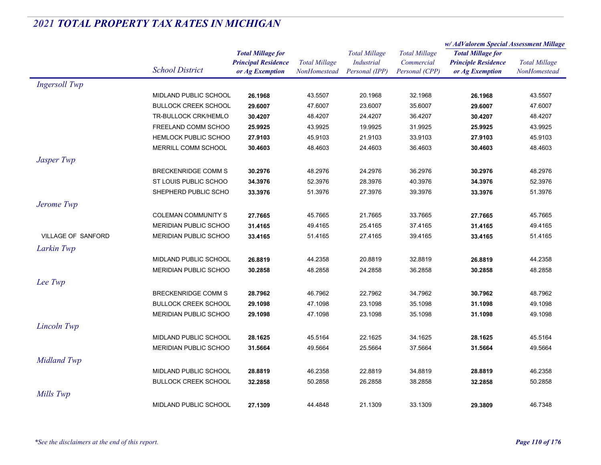|                           |                              | <b>Total Millage for</b><br><b>Principal Residence</b> | <b>Total Millage</b> | <b>Total Millage</b><br><b>Industrial</b> | <b>Total Millage</b><br>Commercial | w/AdValorem Special Assessment Millage |                      |
|---------------------------|------------------------------|--------------------------------------------------------|----------------------|-------------------------------------------|------------------------------------|----------------------------------------|----------------------|
|                           |                              |                                                        |                      |                                           |                                    | <b>Total Millage for</b>               | <b>Total Millage</b> |
|                           | <b>School District</b>       |                                                        |                      |                                           |                                    | <b>Principle Residence</b>             |                      |
|                           |                              | or Ag Exemption                                        | NonHomestead         | Personal (IPP)                            | Personal (CPP)                     | or Ag Exemption                        | NonHomestead         |
| <b>Ingersoll Twp</b>      |                              |                                                        |                      |                                           |                                    |                                        |                      |
|                           | MIDLAND PUBLIC SCHOOL        | 26.1968                                                | 43.5507              | 20.1968                                   | 32.1968                            | 26.1968                                | 43.5507              |
|                           | <b>BULLOCK CREEK SCHOOL</b>  | 29.6007                                                | 47.6007              | 23.6007                                   | 35.6007                            | 29.6007                                | 47.6007              |
|                           | TR-BULLOCK CRK/HEMLO         | 30.4207                                                | 48.4207              | 24.4207                                   | 36.4207                            | 30.4207                                | 48.4207              |
|                           | FREELAND COMM SCHOO          | 25.9925                                                | 43.9925              | 19.9925                                   | 31.9925                            | 25.9925                                | 43.9925              |
|                           | <b>HEMLOCK PUBLIC SCHOO</b>  | 27.9103                                                | 45.9103              | 21.9103                                   | 33.9103                            | 27.9103                                | 45.9103              |
|                           | MERRILL COMM SCHOOL          | 30.4603                                                | 48.4603              | 24.4603                                   | 36.4603                            | 30.4603                                | 48.4603              |
| Jasper Twp                |                              |                                                        |                      |                                           |                                    |                                        |                      |
|                           | <b>BRECKENRIDGE COMM S</b>   | 30.2976                                                | 48.2976              | 24.2976                                   | 36.2976                            | 30.2976                                | 48.2976              |
|                           | ST LOUIS PUBLIC SCHOO        | 34.3976                                                | 52.3976              | 28.3976                                   | 40.3976                            | 34.3976                                | 52.3976              |
|                           | SHEPHERD PUBLIC SCHO         | 33.3976                                                | 51.3976              | 27.3976                                   | 39.3976                            | 33.3976                                | 51.3976              |
| Jerome Twp                |                              |                                                        |                      |                                           |                                    |                                        |                      |
|                           | <b>COLEMAN COMMUNITY S</b>   | 27.7665                                                | 45.7665              | 21.7665                                   | 33.7665                            | 27.7665                                | 45.7665              |
|                           | <b>MERIDIAN PUBLIC SCHOO</b> | 31.4165                                                | 49.4165              | 25.4165                                   | 37.4165                            | 31.4165                                | 49.4165              |
| <b>VILLAGE OF SANFORD</b> | MERIDIAN PUBLIC SCHOO        | 33.4165                                                | 51.4165              | 27.4165                                   | 39.4165                            | 33.4165                                | 51.4165              |
| Larkin Twp                |                              |                                                        |                      |                                           |                                    |                                        |                      |
|                           | MIDLAND PUBLIC SCHOOL        | 26.8819                                                | 44.2358              | 20.8819                                   | 32.8819                            | 26.8819                                | 44.2358              |
|                           | MERIDIAN PUBLIC SCHOO        | 30.2858                                                | 48.2858              | 24.2858                                   | 36.2858                            | 30.2858                                | 48.2858              |
| Lee Twp                   |                              |                                                        |                      |                                           |                                    |                                        |                      |
|                           | <b>BRECKENRIDGE COMM S</b>   | 28.7962                                                | 46.7962              | 22.7962                                   | 34.7962                            | 30.7962                                | 48.7962              |
|                           | <b>BULLOCK CREEK SCHOOL</b>  | 29.1098                                                | 47.1098              | 23.1098                                   | 35.1098                            | 31.1098                                | 49.1098              |
|                           | <b>MERIDIAN PUBLIC SCHOO</b> | 29.1098                                                | 47.1098              | 23.1098                                   | 35.1098                            | 31.1098                                | 49.1098              |
| Lincoln Twp               |                              |                                                        |                      |                                           |                                    |                                        |                      |
|                           | MIDLAND PUBLIC SCHOOL        | 28.1625                                                | 45.5164              | 22.1625                                   | 34.1625                            | 28.1625                                | 45.5164              |
|                           | <b>MERIDIAN PUBLIC SCHOO</b> | 31.5664                                                | 49.5664              | 25.5664                                   | 37.5664                            | 31.5664                                | 49.5664              |
| <b>Midland Twp</b>        |                              |                                                        |                      |                                           |                                    |                                        |                      |
|                           | MIDLAND PUBLIC SCHOOL        | 28.8819                                                | 46.2358              | 22.8819                                   | 34.8819                            | 28.8819                                | 46.2358              |
|                           | <b>BULLOCK CREEK SCHOOL</b>  | 32.2858                                                | 50.2858              | 26.2858                                   | 38.2858                            | 32.2858                                | 50.2858              |
| Mills Twp                 |                              |                                                        |                      |                                           |                                    |                                        |                      |
|                           | <b>MIDLAND PUBLIC SCHOOL</b> | 27.1309                                                | 44.4848              | 21.1309                                   | 33.1309                            | 29.3809                                | 46.7348              |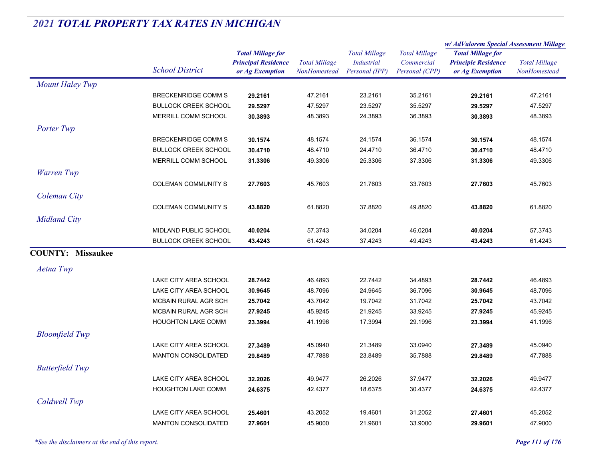|                          |                             |                                                                           |                                      |                                                             |                                                      | w/ AdValorem Special Assessment Millage                                   |                                             |
|--------------------------|-----------------------------|---------------------------------------------------------------------------|--------------------------------------|-------------------------------------------------------------|------------------------------------------------------|---------------------------------------------------------------------------|---------------------------------------------|
|                          | <b>School District</b>      | <b>Total Millage for</b><br><b>Principal Residence</b><br>or Ag Exemption | <b>Total Millage</b><br>NonHomestead | <b>Total Millage</b><br><b>Industrial</b><br>Personal (IPP) | <b>Total Millage</b><br>Commercial<br>Personal (CPP) | <b>Total Millage for</b><br><b>Principle Residence</b><br>or Ag Exemption | <b>Total Millage</b><br><b>NonHomestead</b> |
| Mount Haley Twp          |                             |                                                                           |                                      |                                                             |                                                      |                                                                           |                                             |
|                          | <b>BRECKENRIDGE COMM S</b>  | 29.2161                                                                   | 47.2161                              | 23.2161                                                     | 35.2161                                              | 29.2161                                                                   | 47.2161                                     |
|                          | <b>BULLOCK CREEK SCHOOL</b> | 29.5297                                                                   | 47.5297                              | 23.5297                                                     | 35.5297                                              | 29.5297                                                                   | 47.5297                                     |
|                          | MERRILL COMM SCHOOL         | 30.3893                                                                   | 48.3893                              | 24.3893                                                     | 36.3893                                              | 30.3893                                                                   | 48.3893                                     |
| Porter Twp               |                             |                                                                           |                                      |                                                             |                                                      |                                                                           |                                             |
|                          | <b>BRECKENRIDGE COMM S</b>  | 30.1574                                                                   | 48.1574                              | 24.1574                                                     | 36.1574                                              | 30.1574                                                                   | 48.1574                                     |
|                          | <b>BULLOCK CREEK SCHOOL</b> | 30.4710                                                                   | 48.4710                              | 24.4710                                                     | 36.4710                                              | 30.4710                                                                   | 48.4710                                     |
|                          | MERRILL COMM SCHOOL         | 31.3306                                                                   | 49.3306                              | 25.3306                                                     | 37.3306                                              | 31.3306                                                                   | 49.3306                                     |
| Warren Twp               |                             |                                                                           |                                      |                                                             |                                                      |                                                                           |                                             |
|                          | <b>COLEMAN COMMUNITY S</b>  | 27.7603                                                                   | 45.7603                              | 21.7603                                                     | 33.7603                                              | 27.7603                                                                   | 45.7603                                     |
| Coleman City             |                             |                                                                           |                                      |                                                             |                                                      |                                                                           |                                             |
|                          | <b>COLEMAN COMMUNITY S</b>  | 43.8820                                                                   | 61.8820                              | 37.8820                                                     | 49.8820                                              | 43.8820                                                                   | 61.8820                                     |
| <b>Midland City</b>      |                             |                                                                           |                                      |                                                             |                                                      |                                                                           |                                             |
|                          | MIDLAND PUBLIC SCHOOL       | 40.0204                                                                   | 57.3743                              | 34.0204                                                     | 46.0204                                              | 40.0204                                                                   | 57.3743                                     |
|                          | <b>BULLOCK CREEK SCHOOL</b> | 43.4243                                                                   | 61.4243                              | 37.4243                                                     | 49.4243                                              | 43.4243                                                                   | 61.4243                                     |
| <b>COUNTY: Missaukee</b> |                             |                                                                           |                                      |                                                             |                                                      |                                                                           |                                             |
|                          |                             |                                                                           |                                      |                                                             |                                                      |                                                                           |                                             |
| Aetna Twp                |                             |                                                                           |                                      |                                                             |                                                      |                                                                           |                                             |
|                          | LAKE CITY AREA SCHOOL       | 28.7442                                                                   | 46.4893                              | 22.7442                                                     | 34.4893                                              | 28.7442                                                                   | 46.4893                                     |
|                          | LAKE CITY AREA SCHOOL       | 30.9645                                                                   | 48.7096                              | 24.9645                                                     | 36.7096                                              | 30.9645                                                                   | 48.7096                                     |
|                          | MCBAIN RURAL AGR SCH        | 25.7042                                                                   | 43.7042                              | 19.7042                                                     | 31.7042                                              | 25.7042                                                                   | 43.7042                                     |
|                          | MCBAIN RURAL AGR SCH        | 27.9245                                                                   | 45.9245                              | 21.9245                                                     | 33.9245                                              | 27.9245                                                                   | 45.9245                                     |
|                          | <b>HOUGHTON LAKE COMM</b>   | 23.3994                                                                   | 41.1996                              | 17.3994                                                     | 29.1996                                              | 23.3994                                                                   | 41.1996                                     |
| <b>Bloomfield Twp</b>    |                             |                                                                           |                                      |                                                             |                                                      |                                                                           |                                             |
|                          | LAKE CITY AREA SCHOOL       | 27.3489                                                                   | 45.0940                              | 21.3489                                                     | 33.0940                                              | 27.3489                                                                   | 45.0940                                     |
|                          | <b>MANTON CONSOLIDATED</b>  | 29.8489                                                                   | 47.7888                              | 23.8489                                                     | 35.7888                                              | 29.8489                                                                   | 47.7888                                     |
| <b>Butterfield Twp</b>   |                             |                                                                           |                                      |                                                             |                                                      |                                                                           |                                             |
|                          | LAKE CITY AREA SCHOOL       | 32.2026                                                                   | 49.9477                              | 26.2026                                                     | 37.9477                                              | 32.2026                                                                   | 49.9477                                     |
|                          | <b>HOUGHTON LAKE COMM</b>   | 24.6375                                                                   | 42.4377                              | 18.6375                                                     | 30.4377                                              | 24.6375                                                                   | 42.4377                                     |
| Caldwell Twp             |                             |                                                                           |                                      |                                                             |                                                      |                                                                           |                                             |
|                          | LAKE CITY AREA SCHOOL       | 25.4601                                                                   | 43.2052                              | 19.4601                                                     | 31.2052                                              | 27.4601                                                                   | 45.2052                                     |
|                          | <b>MANTON CONSOLIDATED</b>  | 27.9601                                                                   | 45.9000                              | 21.9601                                                     | 33.9000                                              | 29.9601                                                                   | 47.9000                                     |
|                          |                             |                                                                           |                                      |                                                             |                                                      |                                                                           |                                             |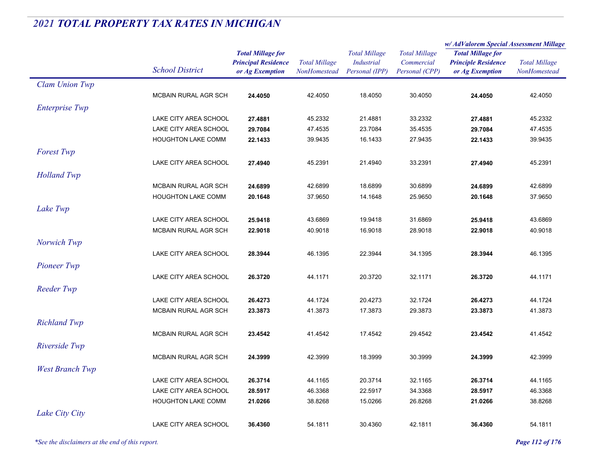|                        |                           |                                                                           |                                      |                                                             |                                                      | w/AdValorem Special Assessment Millage                                    |                                      |
|------------------------|---------------------------|---------------------------------------------------------------------------|--------------------------------------|-------------------------------------------------------------|------------------------------------------------------|---------------------------------------------------------------------------|--------------------------------------|
|                        | <b>School District</b>    | <b>Total Millage for</b><br><b>Principal Residence</b><br>or Ag Exemption | <b>Total Millage</b><br>NonHomestead | <b>Total Millage</b><br><b>Industrial</b><br>Personal (IPP) | <b>Total Millage</b><br>Commercial<br>Personal (CPP) | <b>Total Millage for</b><br><b>Principle Residence</b><br>or Ag Exemption | <b>Total Millage</b><br>NonHomestead |
| Clam Union Twp         |                           |                                                                           |                                      |                                                             |                                                      |                                                                           |                                      |
|                        | MCBAIN RURAL AGR SCH      | 24.4050                                                                   | 42.4050                              | 18.4050                                                     | 30.4050                                              | 24.4050                                                                   | 42.4050                              |
| <b>Enterprise Twp</b>  |                           |                                                                           |                                      |                                                             |                                                      |                                                                           |                                      |
|                        | LAKE CITY AREA SCHOOL     | 27.4881                                                                   | 45.2332                              | 21.4881                                                     | 33.2332                                              | 27.4881                                                                   | 45.2332                              |
|                        | LAKE CITY AREA SCHOOL     | 29.7084                                                                   | 47.4535                              | 23.7084                                                     | 35.4535                                              | 29.7084                                                                   | 47.4535                              |
|                        | <b>HOUGHTON LAKE COMM</b> | 22.1433                                                                   | 39.9435                              | 16.1433                                                     | 27.9435                                              | 22.1433                                                                   | 39.9435                              |
| <b>Forest Twp</b>      |                           |                                                                           |                                      |                                                             |                                                      |                                                                           |                                      |
|                        | LAKE CITY AREA SCHOOL     | 27.4940                                                                   | 45.2391                              | 21.4940                                                     | 33.2391                                              | 27.4940                                                                   | 45.2391                              |
| <b>Holland Twp</b>     |                           |                                                                           |                                      |                                                             |                                                      |                                                                           |                                      |
|                        | MCBAIN RURAL AGR SCH      | 24.6899                                                                   | 42.6899                              | 18.6899                                                     | 30.6899                                              | 24.6899                                                                   | 42.6899                              |
|                        | <b>HOUGHTON LAKE COMM</b> | 20.1648                                                                   | 37.9650                              | 14.1648                                                     | 25.9650                                              | 20.1648                                                                   | 37.9650                              |
| Lake Twp               |                           |                                                                           |                                      |                                                             |                                                      |                                                                           |                                      |
|                        | LAKE CITY AREA SCHOOL     | 25.9418                                                                   | 43.6869                              | 19.9418                                                     | 31.6869                                              | 25.9418                                                                   | 43.6869                              |
|                        | MCBAIN RURAL AGR SCH      | 22.9018                                                                   | 40.9018                              | 16.9018                                                     | 28.9018                                              | 22.9018                                                                   | 40.9018                              |
| Norwich Twp            |                           |                                                                           |                                      |                                                             |                                                      |                                                                           |                                      |
|                        | LAKE CITY AREA SCHOOL     | 28.3944                                                                   | 46.1395                              | 22.3944                                                     | 34.1395                                              | 28.3944                                                                   | 46.1395                              |
| <b>Pioneer Twp</b>     |                           |                                                                           |                                      |                                                             |                                                      |                                                                           |                                      |
|                        | LAKE CITY AREA SCHOOL     | 26.3720                                                                   | 44.1171                              | 20.3720                                                     | 32.1171                                              | 26.3720                                                                   | 44.1171                              |
| <b>Reeder Twp</b>      |                           |                                                                           |                                      |                                                             |                                                      |                                                                           |                                      |
|                        | LAKE CITY AREA SCHOOL     | 26.4273                                                                   | 44.1724                              | 20.4273                                                     | 32.1724                                              | 26.4273                                                                   | 44.1724                              |
|                        | MCBAIN RURAL AGR SCH      | 23.3873                                                                   | 41.3873                              | 17.3873                                                     | 29.3873                                              | 23.3873                                                                   | 41.3873                              |
| <b>Richland Twp</b>    |                           |                                                                           |                                      |                                                             |                                                      |                                                                           |                                      |
|                        | MCBAIN RURAL AGR SCH      | 23.4542                                                                   | 41.4542                              | 17.4542                                                     | 29.4542                                              | 23.4542                                                                   | 41.4542                              |
| Riverside Twp          |                           |                                                                           |                                      |                                                             |                                                      |                                                                           |                                      |
|                        | MCBAIN RURAL AGR SCH      | 24.3999                                                                   | 42.3999                              | 18.3999                                                     | 30.3999                                              | 24.3999                                                                   | 42.3999                              |
| <b>West Branch Twp</b> |                           |                                                                           |                                      |                                                             |                                                      |                                                                           |                                      |
|                        | LAKE CITY AREA SCHOOL     | 26.3714                                                                   | 44.1165                              | 20.3714                                                     | 32.1165                                              | 26.3714                                                                   | 44.1165                              |
|                        | LAKE CITY AREA SCHOOL     | 28.5917                                                                   | 46.3368                              | 22.5917                                                     | 34.3368                                              | 28.5917                                                                   | 46.3368                              |
|                        | <b>HOUGHTON LAKE COMM</b> | 21.0266                                                                   | 38.8268                              | 15.0266                                                     | 26.8268                                              | 21.0266                                                                   | 38.8268                              |
| Lake City City         |                           |                                                                           |                                      |                                                             |                                                      |                                                                           |                                      |
|                        | LAKE CITY AREA SCHOOL     | 36.4360                                                                   | 54.1811                              | 30.4360                                                     | 42.1811                                              | 36.4360                                                                   | 54.1811                              |
|                        |                           |                                                                           |                                      |                                                             |                                                      |                                                                           |                                      |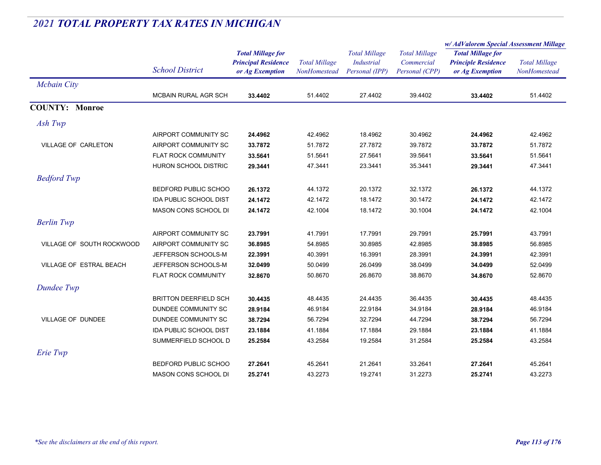|                            |                               |                                                                           | <b>Total Millage</b><br>NonHomestead | <b>Total Millage</b><br><b>Industrial</b><br>Personal (IPP) |                                                      | w/ AdValorem Special Assessment Millage                                   |                                      |
|----------------------------|-------------------------------|---------------------------------------------------------------------------|--------------------------------------|-------------------------------------------------------------|------------------------------------------------------|---------------------------------------------------------------------------|--------------------------------------|
|                            | <b>School District</b>        | <b>Total Millage for</b><br><b>Principal Residence</b><br>or Ag Exemption |                                      |                                                             | <b>Total Millage</b><br>Commercial<br>Personal (CPP) | <b>Total Millage for</b><br><b>Principle Residence</b><br>or Ag Exemption | <b>Total Millage</b><br>NonHomestead |
| <b>Mcbain City</b>         |                               |                                                                           |                                      |                                                             |                                                      |                                                                           |                                      |
|                            | MCBAIN RURAL AGR SCH          | 33.4402                                                                   | 51.4402                              | 27.4402                                                     | 39.4402                                              | 33.4402                                                                   | 51.4402                              |
| <b>COUNTY: Monroe</b>      |                               |                                                                           |                                      |                                                             |                                                      |                                                                           |                                      |
| Ash Twp                    |                               |                                                                           |                                      |                                                             |                                                      |                                                                           |                                      |
|                            | AIRPORT COMMUNITY SC          | 24.4962                                                                   | 42.4962                              | 18.4962                                                     | 30.4962                                              | 24.4962                                                                   | 42.4962                              |
| <b>VILLAGE OF CARLETON</b> | AIRPORT COMMUNITY SC          | 33.7872                                                                   | 51.7872                              | 27.7872                                                     | 39.7872                                              | 33.7872                                                                   | 51.7872                              |
|                            | FLAT ROCK COMMUNITY           | 33.5641                                                                   | 51.5641                              | 27.5641                                                     | 39.5641                                              | 33.5641                                                                   | 51.5641                              |
|                            | <b>HURON SCHOOL DISTRIC</b>   | 29.3441                                                                   | 47.3441                              | 23.3441                                                     | 35.3441                                              | 29.3441                                                                   | 47.3441                              |
| <b>Bedford Twp</b>         |                               |                                                                           |                                      |                                                             |                                                      |                                                                           |                                      |
|                            | BEDFORD PUBLIC SCHOO          | 26.1372                                                                   | 44.1372                              | 20.1372                                                     | 32.1372                                              | 26.1372                                                                   | 44.1372                              |
|                            | <b>IDA PUBLIC SCHOOL DIST</b> | 24.1472                                                                   | 42.1472                              | 18.1472                                                     | 30.1472                                              | 24.1472                                                                   | 42.1472                              |
|                            | MASON CONS SCHOOL DI          | 24.1472                                                                   | 42.1004                              | 18.1472                                                     | 30.1004                                              | 24.1472                                                                   | 42.1004                              |
| <b>Berlin Twp</b>          |                               |                                                                           |                                      |                                                             |                                                      |                                                                           |                                      |
|                            | AIRPORT COMMUNITY SC          | 23.7991                                                                   | 41.7991                              | 17.7991                                                     | 29.7991                                              | 25.7991                                                                   | 43.7991                              |
| VILLAGE OF SOUTH ROCKWOOD  | AIRPORT COMMUNITY SC          | 36.8985                                                                   | 54.8985                              | 30.8985                                                     | 42.8985                                              | 38.8985                                                                   | 56.8985                              |
|                            | JEFFERSON SCHOOLS-M           | 22.3991                                                                   | 40.3991                              | 16.3991                                                     | 28.3991                                              | 24.3991                                                                   | 42.3991                              |
| VILLAGE OF ESTRAL BEACH    | JEFFERSON SCHOOLS-M           | 32.0499                                                                   | 50.0499                              | 26.0499                                                     | 38.0499                                              | 34.0499                                                                   | 52.0499                              |
|                            | FLAT ROCK COMMUNITY           | 32.8670                                                                   | 50.8670                              | 26.8670                                                     | 38.8670                                              | 34.8670                                                                   | 52.8670                              |
| Dundee Twp                 |                               |                                                                           |                                      |                                                             |                                                      |                                                                           |                                      |
|                            | <b>BRITTON DEERFIELD SCH</b>  | 30.4435                                                                   | 48.4435                              | 24.4435                                                     | 36.4435                                              | 30.4435                                                                   | 48.4435                              |
|                            | DUNDEE COMMUNITY SC           | 28.9184                                                                   | 46.9184                              | 22.9184                                                     | 34.9184                                              | 28.9184                                                                   | 46.9184                              |
| <b>VILLAGE OF DUNDEE</b>   | DUNDEE COMMUNITY SC           | 38.7294                                                                   | 56.7294                              | 32.7294                                                     | 44.7294                                              | 38.7294                                                                   | 56.7294                              |
|                            | IDA PUBLIC SCHOOL DIST        | 23.1884                                                                   | 41.1884                              | 17.1884                                                     | 29.1884                                              | 23.1884                                                                   | 41.1884                              |
|                            | SUMMERFIELD SCHOOL D          | 25.2584                                                                   | 43.2584                              | 19.2584                                                     | 31.2584                                              | 25.2584                                                                   | 43.2584                              |
| Erie Twp                   |                               |                                                                           |                                      |                                                             |                                                      |                                                                           |                                      |
|                            | BEDFORD PUBLIC SCHOO          | 27.2641                                                                   | 45.2641                              | 21.2641                                                     | 33.2641                                              | 27.2641                                                                   | 45.2641                              |
|                            | MASON CONS SCHOOL DI          | 25.2741                                                                   | 43.2273                              | 19.2741                                                     | 31.2273                                              | 25.2741                                                                   | 43.2273                              |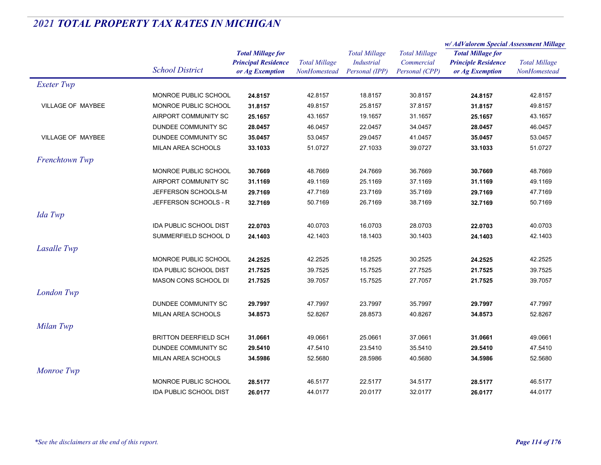|                          |                               |                                               |                                      | <b>Total Millage</b>                | <b>Total Millage</b>         | w/AdValorem Special Assessment Millage        |                                      |
|--------------------------|-------------------------------|-----------------------------------------------|--------------------------------------|-------------------------------------|------------------------------|-----------------------------------------------|--------------------------------------|
|                          |                               | <b>Total Millage for</b>                      |                                      |                                     |                              | <b>Total Millage for</b>                      |                                      |
|                          | <b>School District</b>        | <b>Principal Residence</b><br>or Ag Exemption | <b>Total Millage</b><br>NonHomestead | <b>Industrial</b><br>Personal (IPP) | Commercial<br>Personal (CPP) | <b>Principle Residence</b><br>or Ag Exemption | <b>Total Millage</b><br>NonHomestead |
| <b>Exeter Twp</b>        |                               |                                               |                                      |                                     |                              |                                               |                                      |
|                          | MONROE PUBLIC SCHOOL          | 24.8157                                       | 42.8157                              | 18.8157                             | 30.8157                      | 24.8157                                       | 42.8157                              |
| <b>VILLAGE OF MAYBEE</b> | MONROE PUBLIC SCHOOL          | 31.8157                                       | 49.8157                              | 25.8157                             | 37.8157                      | 31.8157                                       | 49.8157                              |
|                          | AIRPORT COMMUNITY SC          | 25.1657                                       | 43.1657                              | 19.1657                             | 31.1657                      | 25.1657                                       | 43.1657                              |
|                          | DUNDEE COMMUNITY SC           | 28.0457                                       | 46.0457                              | 22.0457                             | 34.0457                      | 28.0457                                       | 46.0457                              |
| <b>VILLAGE OF MAYBEE</b> | DUNDEE COMMUNITY SC           | 35.0457                                       | 53.0457                              | 29.0457                             | 41.0457                      | 35.0457                                       | 53.0457                              |
|                          | MILAN AREA SCHOOLS            | 33.1033                                       | 51.0727                              | 27.1033                             | 39.0727                      | 33.1033                                       | 51.0727                              |
| Frenchtown Twp           |                               |                                               |                                      |                                     |                              |                                               |                                      |
|                          | MONROE PUBLIC SCHOOL          | 30.7669                                       | 48.7669                              | 24.7669                             | 36.7669                      | 30.7669                                       | 48.7669                              |
|                          | AIRPORT COMMUNITY SC          | 31.1169                                       | 49.1169                              | 25.1169                             | 37.1169                      | 31.1169                                       | 49.1169                              |
|                          | JEFFERSON SCHOOLS-M           | 29.7169                                       | 47.7169                              | 23.7169                             | 35.7169                      | 29.7169                                       | 47.7169                              |
|                          | JEFFERSON SCHOOLS - R         | 32.7169                                       | 50.7169                              | 26.7169                             | 38.7169                      | 32.7169                                       | 50.7169                              |
| Ida Twp                  |                               |                                               |                                      |                                     |                              |                                               |                                      |
|                          | <b>IDA PUBLIC SCHOOL DIST</b> | 22.0703                                       | 40.0703                              | 16.0703                             | 28.0703                      | 22.0703                                       | 40.0703                              |
|                          | SUMMERFIELD SCHOOL D          | 24.1403                                       | 42.1403                              | 18.1403                             | 30.1403                      | 24.1403                                       | 42.1403                              |
| Lasalle Twp              |                               |                                               |                                      |                                     |                              |                                               |                                      |
|                          | MONROE PUBLIC SCHOOL          | 24.2525                                       | 42.2525                              | 18.2525                             | 30.2525                      | 24.2525                                       | 42.2525                              |
|                          | IDA PUBLIC SCHOOL DIST        | 21.7525                                       | 39.7525                              | 15.7525                             | 27.7525                      | 21.7525                                       | 39.7525                              |
|                          | MASON CONS SCHOOL DI          | 21.7525                                       | 39.7057                              | 15.7525                             | 27.7057                      | 21.7525                                       | 39.7057                              |
| London Twp               |                               |                                               |                                      |                                     |                              |                                               |                                      |
|                          | DUNDEE COMMUNITY SC           | 29.7997                                       | 47.7997                              | 23.7997                             | 35.7997                      | 29.7997                                       | 47.7997                              |
|                          | MILAN AREA SCHOOLS            | 34.8573                                       | 52.8267                              | 28.8573                             | 40.8267                      | 34.8573                                       | 52.8267                              |
| Milan Twp                |                               |                                               |                                      |                                     |                              |                                               |                                      |
|                          | <b>BRITTON DEERFIELD SCH</b>  | 31.0661                                       | 49.0661                              | 25.0661                             | 37.0661                      | 31.0661                                       | 49.0661                              |
|                          | DUNDEE COMMUNITY SC           | 29.5410                                       | 47.5410                              | 23.5410                             | 35.5410                      | 29.5410                                       | 47.5410                              |
|                          | MILAN AREA SCHOOLS            | 34.5986                                       | 52.5680                              | 28.5986                             | 40.5680                      | 34.5986                                       | 52.5680                              |
| Monroe Twp               |                               |                                               |                                      |                                     |                              |                                               |                                      |
|                          | MONROE PUBLIC SCHOOL          | 28.5177                                       | 46.5177                              | 22.5177                             | 34.5177                      | 28.5177                                       | 46.5177                              |
|                          | <b>IDA PUBLIC SCHOOL DIST</b> | 26.0177                                       | 44.0177                              | 20.0177                             | 32.0177                      | 26.0177                                       | 44.0177                              |
|                          |                               |                                               |                                      |                                     |                              |                                               |                                      |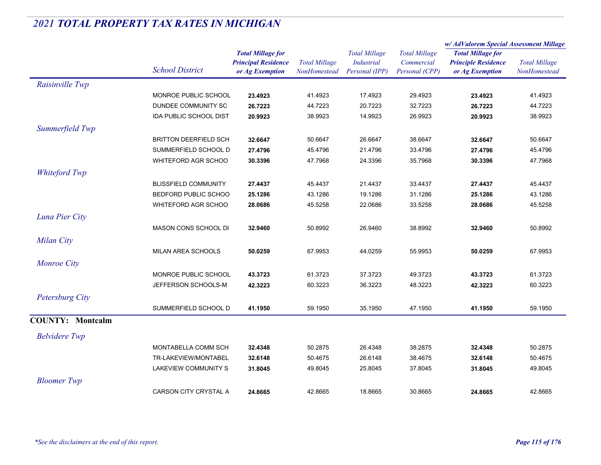|                         |                               |                                                                           |                                      |                                                      |                                                      | w/ AdValorem Special Assessment Millage                                   |                                             |
|-------------------------|-------------------------------|---------------------------------------------------------------------------|--------------------------------------|------------------------------------------------------|------------------------------------------------------|---------------------------------------------------------------------------|---------------------------------------------|
|                         | <b>School District</b>        | <b>Total Millage for</b><br><b>Principal Residence</b><br>or Ag Exemption | <b>Total Millage</b><br>NonHomestead | <b>Total Millage</b><br>Industrial<br>Personal (IPP) | <b>Total Millage</b><br>Commercial<br>Personal (CPP) | <b>Total Millage for</b><br><b>Principle Residence</b><br>or Ag Exemption | <b>Total Millage</b><br><b>NonHomestead</b> |
| Raisinville Twp         |                               |                                                                           |                                      |                                                      |                                                      |                                                                           |                                             |
|                         | MONROE PUBLIC SCHOOL          | 23.4923                                                                   | 41.4923                              | 17.4923                                              | 29.4923                                              | 23.4923                                                                   | 41.4923                                     |
|                         | DUNDEE COMMUNITY SC           | 26.7223                                                                   | 44.7223                              | 20.7223                                              | 32.7223                                              | 26.7223                                                                   | 44.7223                                     |
|                         | <b>IDA PUBLIC SCHOOL DIST</b> | 20.9923                                                                   | 38.9923                              | 14.9923                                              | 26.9923                                              | 20.9923                                                                   | 38.9923                                     |
| Summerfield Twp         |                               |                                                                           |                                      |                                                      |                                                      |                                                                           |                                             |
|                         | <b>BRITTON DEERFIELD SCH</b>  | 32.6647                                                                   | 50.6647                              | 26.6647                                              | 38.6647                                              | 32.6647                                                                   | 50.6647                                     |
|                         | SUMMERFIELD SCHOOL D          | 27.4796                                                                   | 45.4796                              | 21.4796                                              | 33.4796                                              | 27.4796                                                                   | 45.4796                                     |
|                         | WHITEFORD AGR SCHOO           | 30.3396                                                                   | 47.7968                              | 24.3396                                              | 35.7968                                              | 30.3396                                                                   | 47.7968                                     |
| Whiteford Twp           |                               |                                                                           |                                      |                                                      |                                                      |                                                                           |                                             |
|                         | <b>BLISSFIELD COMMUNITY</b>   | 27.4437                                                                   | 45.4437                              | 21.4437                                              | 33.4437                                              | 27.4437                                                                   | 45.4437                                     |
|                         | BEDFORD PUBLIC SCHOO          | 25.1286                                                                   | 43.1286                              | 19.1286                                              | 31.1286                                              | 25.1286                                                                   | 43.1286                                     |
|                         | <b>WHITEFORD AGR SCHOO</b>    | 28.0686                                                                   | 45.5258                              | 22.0686                                              | 33.5258                                              | 28.0686                                                                   | 45.5258                                     |
| Luna Pier City          |                               |                                                                           |                                      |                                                      |                                                      |                                                                           |                                             |
|                         | MASON CONS SCHOOL DI          | 32.9460                                                                   | 50.8992                              | 26.9460                                              | 38.8992                                              | 32.9460                                                                   | 50.8992                                     |
| Milan City              |                               |                                                                           |                                      |                                                      |                                                      |                                                                           |                                             |
|                         | MILAN AREA SCHOOLS            | 50.0259                                                                   | 67.9953                              | 44.0259                                              | 55.9953                                              | 50.0259                                                                   | 67.9953                                     |
| <b>Monroe City</b>      |                               |                                                                           |                                      |                                                      |                                                      |                                                                           |                                             |
|                         | MONROE PUBLIC SCHOOL          | 43.3723                                                                   | 61.3723                              | 37.3723                                              | 49.3723                                              | 43.3723                                                                   | 61.3723                                     |
|                         | JEFFERSON SCHOOLS-M           | 42.3223                                                                   | 60.3223                              | 36.3223                                              | 48.3223                                              | 42.3223                                                                   | 60.3223                                     |
| Petersburg City         |                               |                                                                           |                                      |                                                      |                                                      |                                                                           |                                             |
|                         | SUMMERFIELD SCHOOL D          | 41.1950                                                                   | 59.1950                              | 35.1950                                              | 47.1950                                              | 41.1950                                                                   | 59.1950                                     |
| <b>COUNTY: Montcalm</b> |                               |                                                                           |                                      |                                                      |                                                      |                                                                           |                                             |
| <b>Belvidere</b> Twp    |                               |                                                                           |                                      |                                                      |                                                      |                                                                           |                                             |
|                         | MONTABELLA COMM SCH           | 32.4348                                                                   | 50.2875                              | 26.4348                                              | 38.2875                                              | 32.4348                                                                   | 50.2875                                     |
|                         | TR-LAKEVIEW/MONTABEL          | 32.6148                                                                   | 50.4675                              | 26.6148                                              | 38.4675                                              | 32.6148                                                                   | 50.4675                                     |
|                         | LAKEVIEW COMMUNITY S          | 31.8045                                                                   | 49.8045                              | 25.8045                                              | 37.8045                                              | 31.8045                                                                   | 49.8045                                     |
| <b>Bloomer</b> Twp      |                               |                                                                           |                                      |                                                      |                                                      |                                                                           |                                             |
|                         | CARSON CITY CRYSTAL A         | 24.8665                                                                   | 42.8665                              | 18.8665                                              | 30.8665                                              | 24.8665                                                                   | 42.8665                                     |
|                         |                               |                                                                           |                                      |                                                      |                                                      |                                                                           |                                             |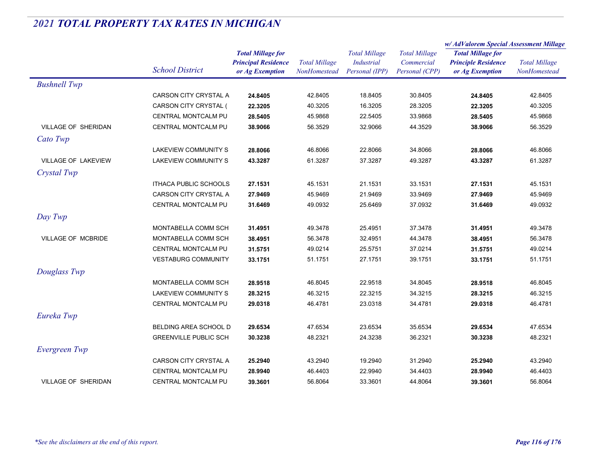|                            |                              |                                                                           |                                      |                                                             |                                                      | w/AdValorem Special Assessment Millage                                    |                                      |
|----------------------------|------------------------------|---------------------------------------------------------------------------|--------------------------------------|-------------------------------------------------------------|------------------------------------------------------|---------------------------------------------------------------------------|--------------------------------------|
|                            | <b>School District</b>       | <b>Total Millage for</b><br><b>Principal Residence</b><br>or Ag Exemption | <b>Total Millage</b><br>NonHomestead | <b>Total Millage</b><br><b>Industrial</b><br>Personal (IPP) | <b>Total Millage</b><br>Commercial<br>Personal (CPP) | <b>Total Millage for</b><br><b>Principle Residence</b><br>or Ag Exemption | <b>Total Millage</b><br>NonHomestead |
| <b>Bushnell Twp</b>        |                              |                                                                           |                                      |                                                             |                                                      |                                                                           |                                      |
|                            | CARSON CITY CRYSTAL A        | 24.8405                                                                   | 42.8405                              | 18.8405                                                     | 30.8405                                              | 24.8405                                                                   | 42.8405                              |
|                            | CARSON CITY CRYSTAL (        | 22.3205                                                                   | 40.3205                              | 16.3205                                                     | 28.3205                                              | 22.3205                                                                   | 40.3205                              |
|                            | <b>CENTRAL MONTCALM PU</b>   | 28.5405                                                                   | 45.9868                              | 22.5405                                                     | 33.9868                                              | 28.5405                                                                   | 45.9868                              |
| <b>VILLAGE OF SHERIDAN</b> | CENTRAL MONTCALM PU          | 38.9066                                                                   | 56.3529                              | 32.9066                                                     | 44.3529                                              | 38.9066                                                                   | 56.3529                              |
| Cato Twp                   |                              |                                                                           |                                      |                                                             |                                                      |                                                                           |                                      |
|                            | <b>LAKEVIEW COMMUNITY S</b>  | 28.8066                                                                   | 46.8066                              | 22.8066                                                     | 34.8066                                              | 28.8066                                                                   | 46.8066                              |
| <b>VILLAGE OF LAKEVIEW</b> | <b>LAKEVIEW COMMUNITY S</b>  | 43.3287                                                                   | 61.3287                              | 37.3287                                                     | 49.3287                                              | 43.3287                                                                   | 61.3287                              |
| Crystal Twp                |                              |                                                                           |                                      |                                                             |                                                      |                                                                           |                                      |
|                            | <b>ITHACA PUBLIC SCHOOLS</b> | 27.1531                                                                   | 45.1531                              | 21.1531                                                     | 33.1531                                              | 27.1531                                                                   | 45.1531                              |
|                            | CARSON CITY CRYSTAL A        | 27.9469                                                                   | 45.9469                              | 21.9469                                                     | 33.9469                                              | 27.9469                                                                   | 45.9469                              |
|                            | CENTRAL MONTCALM PU          | 31.6469                                                                   | 49.0932                              | 25.6469                                                     | 37.0932                                              | 31.6469                                                                   | 49.0932                              |
| Day Twp                    |                              |                                                                           |                                      |                                                             |                                                      |                                                                           |                                      |
|                            | MONTABELLA COMM SCH          | 31.4951                                                                   | 49.3478                              | 25.4951                                                     | 37.3478                                              | 31.4951                                                                   | 49.3478                              |
| VILLAGE OF MCBRIDE         | MONTABELLA COMM SCH          | 38.4951                                                                   | 56.3478                              | 32.4951                                                     | 44.3478                                              | 38.4951                                                                   | 56.3478                              |
|                            | CENTRAL MONTCALM PU          | 31.5751                                                                   | 49.0214                              | 25.5751                                                     | 37.0214                                              | 31.5751                                                                   | 49.0214                              |
|                            | <b>VESTABURG COMMUNITY</b>   | 33.1751                                                                   | 51.1751                              | 27.1751                                                     | 39.1751                                              | 33.1751                                                                   | 51.1751                              |
| Douglass Twp               |                              |                                                                           |                                      |                                                             |                                                      |                                                                           |                                      |
|                            | MONTABELLA COMM SCH          | 28.9518                                                                   | 46.8045                              | 22.9518                                                     | 34.8045                                              | 28.9518                                                                   | 46.8045                              |
|                            | LAKEVIEW COMMUNITY S         | 28.3215                                                                   | 46.3215                              | 22.3215                                                     | 34.3215                                              | 28.3215                                                                   | 46.3215                              |
|                            | CENTRAL MONTCALM PU          | 29.0318                                                                   | 46.4781                              | 23.0318                                                     | 34.4781                                              | 29.0318                                                                   | 46.4781                              |
| Eureka Twp                 |                              |                                                                           |                                      |                                                             |                                                      |                                                                           |                                      |
|                            | BELDING AREA SCHOOL D        | 29.6534                                                                   | 47.6534                              | 23.6534                                                     | 35.6534                                              | 29.6534                                                                   | 47.6534                              |
|                            | <b>GREENVILLE PUBLIC SCH</b> | 30.3238                                                                   | 48.2321                              | 24.3238                                                     | 36.2321                                              | 30.3238                                                                   | 48.2321                              |
| Evergreen Twp              |                              |                                                                           |                                      |                                                             |                                                      |                                                                           |                                      |
|                            | CARSON CITY CRYSTAL A        | 25.2940                                                                   | 43.2940                              | 19.2940                                                     | 31.2940                                              | 25.2940                                                                   | 43.2940                              |
|                            | CENTRAL MONTCALM PU          | 28.9940                                                                   | 46.4403                              | 22.9940                                                     | 34.4403                                              | 28.9940                                                                   | 46.4403                              |
| <b>VILLAGE OF SHERIDAN</b> | <b>CENTRAL MONTCALM PU</b>   | 39.3601                                                                   | 56.8064                              | 33.3601                                                     | 44.8064                                              | 39.3601                                                                   | 56.8064                              |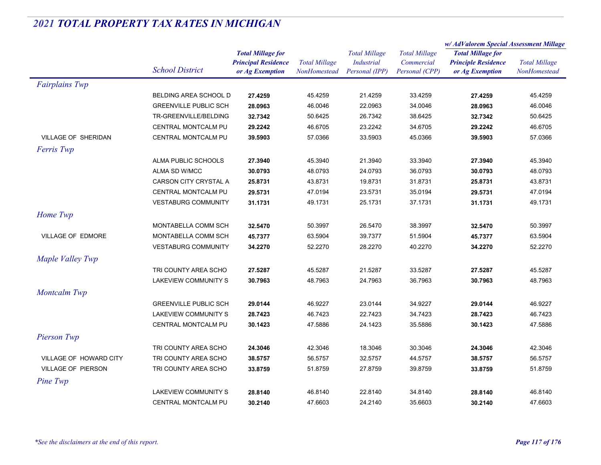|                            |                              | <b>Total Millage for</b>   |                      | <b>Total Millage</b> | <b>Total Millage</b><br>Commercial | w/ AdValorem Special Assessment Millage       |                                      |
|----------------------------|------------------------------|----------------------------|----------------------|----------------------|------------------------------------|-----------------------------------------------|--------------------------------------|
|                            |                              |                            |                      |                      |                                    | <b>Total Millage for</b>                      | <b>Total Millage</b><br>NonHomestead |
|                            | <b>School District</b>       | <b>Principal Residence</b> | <b>Total Millage</b> | <b>Industrial</b>    |                                    | <b>Principle Residence</b><br>or Ag Exemption |                                      |
|                            |                              | or Ag Exemption            | NonHomestead         | Personal (IPP)       | Personal (CPP)                     |                                               |                                      |
| <b>Fairplains Twp</b>      |                              |                            |                      |                      |                                    |                                               |                                      |
|                            | BELDING AREA SCHOOL D        | 27.4259                    | 45.4259              | 21.4259              | 33.4259                            | 27.4259                                       | 45.4259                              |
|                            | <b>GREENVILLE PUBLIC SCH</b> | 28.0963                    | 46.0046              | 22.0963              | 34.0046                            | 28.0963                                       | 46.0046                              |
|                            | TR-GREENVILLE/BELDING        | 32.7342                    | 50.6425              | 26.7342              | 38.6425                            | 32.7342                                       | 50.6425                              |
|                            | CENTRAL MONTCALM PU          | 29.2242                    | 46.6705              | 23.2242              | 34.6705                            | 29.2242                                       | 46.6705                              |
| <b>VILLAGE OF SHERIDAN</b> | <b>CENTRAL MONTCALM PU</b>   | 39.5903                    | 57.0366              | 33.5903              | 45.0366                            | 39.5903                                       | 57.0366                              |
| Ferris Twp                 |                              |                            |                      |                      |                                    |                                               |                                      |
|                            | <b>ALMA PUBLIC SCHOOLS</b>   | 27.3940                    | 45.3940              | 21.3940              | 33.3940                            | 27.3940                                       | 45.3940                              |
|                            | ALMA SD W/MCC                | 30.0793                    | 48.0793              | 24.0793              | 36.0793                            | 30.0793                                       | 48.0793                              |
|                            | CARSON CITY CRYSTAL A        | 25.8731                    | 43.8731              | 19.8731              | 31.8731                            | 25.8731                                       | 43.8731                              |
|                            | CENTRAL MONTCALM PU          | 29.5731                    | 47.0194              | 23.5731              | 35.0194                            | 29.5731                                       | 47.0194                              |
|                            | <b>VESTABURG COMMUNITY</b>   | 31.1731                    | 49.1731              | 25.1731              | 37.1731                            | 31.1731                                       | 49.1731                              |
| Home Twp                   |                              |                            |                      |                      |                                    |                                               |                                      |
|                            | MONTABELLA COMM SCH          | 32.5470                    | 50.3997              | 26.5470              | 38.3997                            | 32.5470                                       | 50.3997                              |
| <b>VILLAGE OF EDMORE</b>   | MONTABELLA COMM SCH          | 45.7377                    | 63.5904              | 39.7377              | 51.5904                            | 45.7377                                       | 63.5904                              |
|                            | <b>VESTABURG COMMUNITY</b>   | 34.2270                    | 52.2270              | 28.2270              | 40.2270                            | 34.2270                                       | 52.2270                              |
| Maple Valley Twp           |                              |                            |                      |                      |                                    |                                               |                                      |
|                            | TRI COUNTY AREA SCHO         | 27.5287                    | 45.5287              | 21.5287              | 33.5287                            | 27.5287                                       | 45.5287                              |
|                            | LAKEVIEW COMMUNITY S         | 30.7963                    | 48.7963              | 24.7963              | 36.7963                            | 30.7963                                       | 48.7963                              |
| Montcalm Twp               |                              |                            |                      |                      |                                    |                                               |                                      |
|                            | <b>GREENVILLE PUBLIC SCH</b> | 29.0144                    | 46.9227              | 23.0144              | 34.9227                            | 29.0144                                       | 46.9227                              |
|                            | LAKEVIEW COMMUNITY S         | 28.7423                    | 46.7423              | 22.7423              | 34.7423                            | 28.7423                                       | 46.7423                              |
|                            | CENTRAL MONTCALM PU          | 30.1423                    | 47.5886              | 24.1423              | 35.5886                            | 30.1423                                       | 47.5886                              |
| Pierson Twp                |                              |                            |                      |                      |                                    |                                               |                                      |
|                            | TRI COUNTY AREA SCHO         | 24.3046                    | 42.3046              | 18.3046              | 30.3046                            | 24.3046                                       | 42.3046                              |
| VILLAGE OF HOWARD CITY     | TRI COUNTY AREA SCHO         | 38.5757                    | 56.5757              | 32.5757              | 44.5757                            | 38.5757                                       | 56.5757                              |
| <b>VILLAGE OF PIERSON</b>  | TRI COUNTY AREA SCHO         | 33.8759                    | 51.8759              | 27.8759              | 39.8759                            | 33.8759                                       | 51.8759                              |
| Pine Twp                   |                              |                            |                      |                      |                                    |                                               |                                      |
|                            | LAKEVIEW COMMUNITY S         | 28.8140                    | 46.8140              | 22.8140              | 34.8140                            | 28.8140                                       | 46.8140                              |
|                            | <b>CENTRAL MONTCALM PU</b>   | 30.2140                    | 47.6603              | 24.2140              | 35.6603                            | 30.2140                                       | 47.6603                              |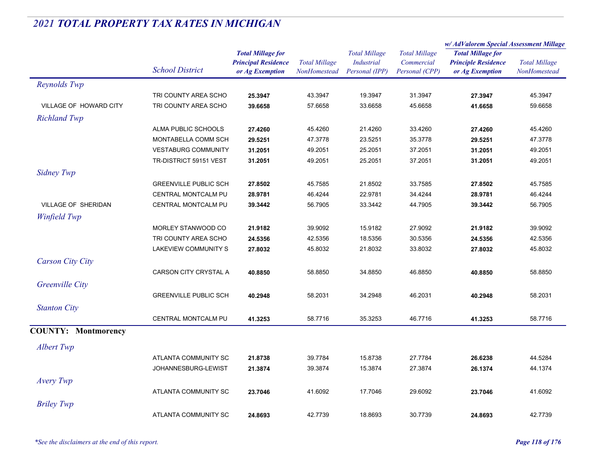|                            |                              |                                                                           |                                      |                                                             |                                                      | w/ AdValorem Special Assessment Millage                                   |                                      |
|----------------------------|------------------------------|---------------------------------------------------------------------------|--------------------------------------|-------------------------------------------------------------|------------------------------------------------------|---------------------------------------------------------------------------|--------------------------------------|
|                            | <b>School District</b>       | <b>Total Millage for</b><br><b>Principal Residence</b><br>or Ag Exemption | <b>Total Millage</b><br>NonHomestead | <b>Total Millage</b><br><b>Industrial</b><br>Personal (IPP) | <b>Total Millage</b><br>Commercial<br>Personal (CPP) | <b>Total Millage for</b><br><b>Principle Residence</b><br>or Ag Exemption | <b>Total Millage</b><br>NonHomestead |
| Reynolds Twp               |                              |                                                                           |                                      |                                                             |                                                      |                                                                           |                                      |
|                            | TRI COUNTY AREA SCHO         | 25.3947                                                                   | 43.3947                              | 19.3947                                                     | 31.3947                                              | 27.3947                                                                   | 45.3947                              |
| VILLAGE OF HOWARD CITY     | TRI COUNTY AREA SCHO         | 39.6658                                                                   | 57.6658                              | 33.6658                                                     | 45.6658                                              | 41.6658                                                                   | 59.6658                              |
| <b>Richland Twp</b>        |                              |                                                                           |                                      |                                                             |                                                      |                                                                           |                                      |
|                            | ALMA PUBLIC SCHOOLS          | 27.4260                                                                   | 45.4260                              | 21.4260                                                     | 33.4260                                              | 27.4260                                                                   | 45.4260                              |
|                            | MONTABELLA COMM SCH          | 29.5251                                                                   | 47.3778                              | 23.5251                                                     | 35.3778                                              | 29.5251                                                                   | 47.3778                              |
|                            | <b>VESTABURG COMMUNITY</b>   | 31.2051                                                                   | 49.2051                              | 25.2051                                                     | 37.2051                                              | 31.2051                                                                   | 49.2051                              |
|                            | TR-DISTRICT 59151 VEST       | 31.2051                                                                   | 49.2051                              | 25.2051                                                     | 37.2051                                              | 31.2051                                                                   | 49.2051                              |
| Sidney Twp                 |                              |                                                                           |                                      |                                                             |                                                      |                                                                           |                                      |
|                            | <b>GREENVILLE PUBLIC SCH</b> | 27.8502                                                                   | 45.7585                              | 21.8502                                                     | 33.7585                                              | 27.8502                                                                   | 45.7585                              |
|                            | CENTRAL MONTCALM PU          | 28.9781                                                                   | 46.4244                              | 22.9781                                                     | 34.4244                                              | 28.9781                                                                   | 46.4244                              |
| VILLAGE OF SHERIDAN        | CENTRAL MONTCALM PU          | 39.3442                                                                   | 56.7905                              | 33.3442                                                     | 44.7905                                              | 39.3442                                                                   | 56.7905                              |
| Winfield Twp               |                              |                                                                           |                                      |                                                             |                                                      |                                                                           |                                      |
|                            | MORLEY STANWOOD CO           | 21.9182                                                                   | 39.9092                              | 15.9182                                                     | 27.9092                                              | 21.9182                                                                   | 39.9092                              |
|                            | TRI COUNTY AREA SCHO         | 24.5356                                                                   | 42.5356                              | 18.5356                                                     | 30.5356                                              | 24.5356                                                                   | 42.5356                              |
|                            | LAKEVIEW COMMUNITY S         | 27.8032                                                                   | 45.8032                              | 21.8032                                                     | 33.8032                                              | 27.8032                                                                   | 45.8032                              |
| <b>Carson City City</b>    |                              |                                                                           |                                      |                                                             |                                                      |                                                                           |                                      |
|                            | CARSON CITY CRYSTAL A        | 40.8850                                                                   | 58.8850                              | 34.8850                                                     | 46.8850                                              | 40.8850                                                                   | 58.8850                              |
| Greenville City            |                              |                                                                           |                                      |                                                             |                                                      |                                                                           |                                      |
|                            | <b>GREENVILLE PUBLIC SCH</b> | 40.2948                                                                   | 58.2031                              | 34.2948                                                     | 46.2031                                              | 40.2948                                                                   | 58.2031                              |
| <b>Stanton City</b>        |                              |                                                                           |                                      |                                                             |                                                      |                                                                           |                                      |
|                            | CENTRAL MONTCALM PU          | 41.3253                                                                   | 58.7716                              | 35.3253                                                     | 46.7716                                              | 41.3253                                                                   | 58.7716                              |
| <b>COUNTY: Montmorency</b> |                              |                                                                           |                                      |                                                             |                                                      |                                                                           |                                      |
|                            |                              |                                                                           |                                      |                                                             |                                                      |                                                                           |                                      |
| Albert Twp                 |                              |                                                                           |                                      |                                                             |                                                      |                                                                           |                                      |
|                            | ATLANTA COMMUNITY SC         | 21.8738                                                                   | 39.7784                              | 15.8738                                                     | 27.7784                                              | 26.6238                                                                   | 44.5284                              |
|                            | JOHANNESBURG-LEWIST          | 21.3874                                                                   | 39.3874                              | 15.3874                                                     | 27.3874                                              | 26.1374                                                                   | 44.1374                              |
| Avery Twp                  |                              |                                                                           |                                      |                                                             |                                                      |                                                                           |                                      |
|                            | ATLANTA COMMUNITY SC         | 23.7046                                                                   | 41.6092                              | 17.7046                                                     | 29.6092                                              | 23.7046                                                                   | 41.6092                              |
| <b>Briley Twp</b>          |                              |                                                                           |                                      |                                                             |                                                      |                                                                           |                                      |
|                            | ATLANTA COMMUNITY SC         | 24.8693                                                                   | 42.7739                              | 18.8693                                                     | 30.7739                                              | 24.8693                                                                   | 42.7739                              |
|                            |                              |                                                                           |                                      |                                                             |                                                      |                                                                           |                                      |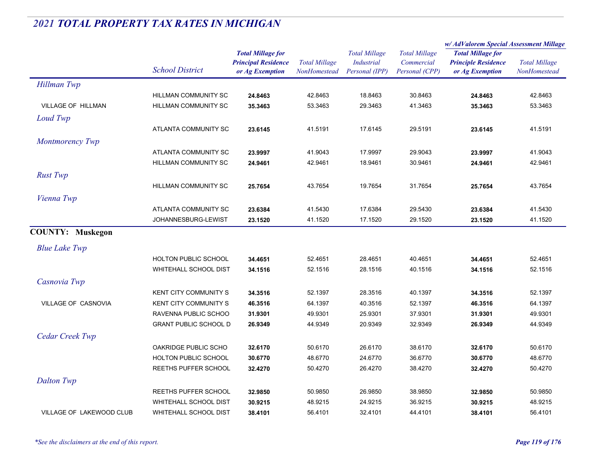|                           |                              |                                                                           |                                      |                                                             |                                                      | w/ AdValorem Special Assessment Millage                                   |                                      |
|---------------------------|------------------------------|---------------------------------------------------------------------------|--------------------------------------|-------------------------------------------------------------|------------------------------------------------------|---------------------------------------------------------------------------|--------------------------------------|
|                           | <b>School District</b>       | <b>Total Millage for</b><br><b>Principal Residence</b><br>or Ag Exemption | <b>Total Millage</b><br>NonHomestead | <b>Total Millage</b><br><b>Industrial</b><br>Personal (IPP) | <b>Total Millage</b><br>Commercial<br>Personal (CPP) | <b>Total Millage for</b><br><b>Principle Residence</b><br>or Ag Exemption | <b>Total Millage</b><br>NonHomestead |
| <b>Hillman Twp</b>        |                              |                                                                           |                                      |                                                             |                                                      |                                                                           |                                      |
|                           | HILLMAN COMMUNITY SC         | 24.8463                                                                   | 42.8463                              | 18.8463                                                     | 30.8463                                              | 24.8463                                                                   | 42.8463                              |
| <b>VILLAGE OF HILLMAN</b> | HILLMAN COMMUNITY SC         | 35.3463                                                                   | 53.3463                              | 29.3463                                                     | 41.3463                                              | 35.3463                                                                   | 53.3463                              |
| Loud Twp                  |                              |                                                                           |                                      |                                                             |                                                      |                                                                           |                                      |
|                           | ATLANTA COMMUNITY SC         | 23.6145                                                                   | 41.5191                              | 17.6145                                                     | 29.5191                                              | 23.6145                                                                   | 41.5191                              |
| Montmorency Twp           |                              |                                                                           |                                      |                                                             |                                                      |                                                                           |                                      |
|                           | ATLANTA COMMUNITY SC         | 23.9997                                                                   | 41.9043                              | 17.9997                                                     | 29.9043                                              | 23.9997                                                                   | 41.9043                              |
|                           | HILLMAN COMMUNITY SC         | 24.9461                                                                   | 42.9461                              | 18.9461                                                     | 30.9461                                              | 24.9461                                                                   | 42.9461                              |
| <b>Rust Twp</b>           |                              |                                                                           |                                      |                                                             |                                                      |                                                                           |                                      |
|                           | HILLMAN COMMUNITY SC         | 25.7654                                                                   | 43.7654                              | 19.7654                                                     | 31.7654                                              | 25.7654                                                                   | 43.7654                              |
| Vienna Twp                |                              |                                                                           |                                      |                                                             |                                                      |                                                                           |                                      |
|                           | ATLANTA COMMUNITY SC         | 23.6384                                                                   | 41.5430                              | 17.6384                                                     | 29.5430                                              | 23.6384                                                                   | 41.5430                              |
|                           | JOHANNESBURG-LEWIST          | 23.1520                                                                   | 41.1520                              | 17.1520                                                     | 29.1520                                              | 23.1520                                                                   | 41.1520                              |
| <b>COUNTY: Muskegon</b>   |                              |                                                                           |                                      |                                                             |                                                      |                                                                           |                                      |
| <b>Blue Lake Twp</b>      |                              |                                                                           |                                      |                                                             |                                                      |                                                                           |                                      |
|                           | HOLTON PUBLIC SCHOOL         | 34.4651                                                                   | 52.4651                              | 28.4651                                                     | 40.4651                                              | 34.4651                                                                   | 52.4651                              |
|                           | <b>WHITEHALL SCHOOL DIST</b> | 34.1516                                                                   | 52.1516                              | 28.1516                                                     | 40.1516                                              | 34.1516                                                                   | 52.1516                              |
| Casnovia Twp              |                              |                                                                           |                                      |                                                             |                                                      |                                                                           |                                      |
|                           | <b>KENT CITY COMMUNITY S</b> | 34.3516                                                                   | 52.1397                              | 28.3516                                                     | 40.1397                                              | 34.3516                                                                   | 52.1397                              |
| VILLAGE OF CASNOVIA       | <b>KENT CITY COMMUNITY S</b> | 46.3516                                                                   | 64.1397                              | 40.3516                                                     | 52.1397                                              | 46.3516                                                                   | 64.1397                              |
|                           | RAVENNA PUBLIC SCHOO         | 31.9301                                                                   | 49.9301                              | 25.9301                                                     | 37.9301                                              | 31.9301                                                                   | 49.9301                              |
|                           | <b>GRANT PUBLIC SCHOOL D</b> | 26.9349                                                                   | 44.9349                              | 20.9349                                                     | 32.9349                                              | 26.9349                                                                   | 44.9349                              |
| Cedar Creek Twp           |                              |                                                                           |                                      |                                                             |                                                      |                                                                           |                                      |
|                           | OAKRIDGE PUBLIC SCHO         | 32.6170                                                                   | 50.6170                              | 26.6170                                                     | 38.6170                                              | 32.6170                                                                   | 50.6170                              |
|                           | <b>HOLTON PUBLIC SCHOOL</b>  | 30.6770                                                                   | 48.6770                              | 24.6770                                                     | 36.6770                                              | 30.6770                                                                   | 48.6770                              |
|                           | REETHS PUFFER SCHOOL         | 32.4270                                                                   | 50.4270                              | 26.4270                                                     | 38.4270                                              | 32.4270                                                                   | 50.4270                              |
| <b>Dalton Twp</b>         |                              |                                                                           |                                      |                                                             |                                                      |                                                                           |                                      |
|                           | REETHS PUFFER SCHOOL         | 32.9850                                                                   | 50.9850                              | 26.9850                                                     | 38.9850                                              | 32.9850                                                                   | 50.9850                              |
|                           | <b>WHITEHALL SCHOOL DIST</b> | 30.9215                                                                   | 48.9215                              | 24.9215                                                     | 36.9215                                              | 30.9215                                                                   | 48.9215                              |
| VILLAGE OF LAKEWOOD CLUB  | <b>WHITEHALL SCHOOL DIST</b> | 38.4101                                                                   | 56.4101                              | 32.4101                                                     | 44.4101                                              | 38.4101                                                                   | 56.4101                              |
|                           |                              |                                                                           |                                      |                                                             |                                                      |                                                                           |                                      |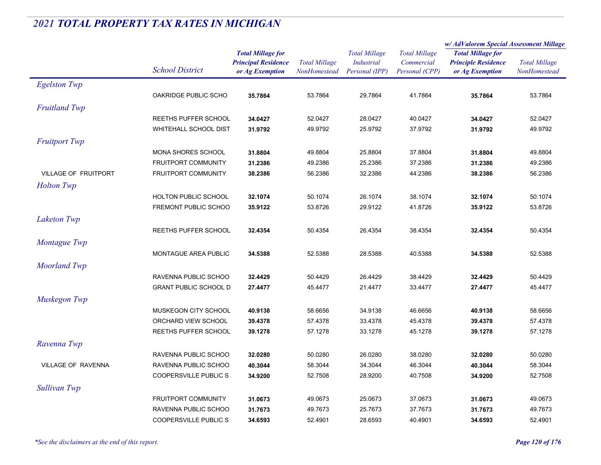|                             |                              |                                                                           |                                      |                                                      |                                                      | w/AdValorem Special Assessment Millage                                    |                                      |
|-----------------------------|------------------------------|---------------------------------------------------------------------------|--------------------------------------|------------------------------------------------------|------------------------------------------------------|---------------------------------------------------------------------------|--------------------------------------|
|                             | <b>School District</b>       | <b>Total Millage for</b><br><b>Principal Residence</b><br>or Ag Exemption | <b>Total Millage</b><br>NonHomestead | <b>Total Millage</b><br>Industrial<br>Personal (IPP) | <b>Total Millage</b><br>Commercial<br>Personal (CPP) | <b>Total Millage for</b><br><b>Principle Residence</b><br>or Ag Exemption | <b>Total Millage</b><br>NonHomestead |
| <b>Egelston Twp</b>         |                              |                                                                           |                                      |                                                      |                                                      |                                                                           |                                      |
|                             | OAKRIDGE PUBLIC SCHO         | 35.7864                                                                   | 53.7864                              | 29.7864                                              | 41.7864                                              | 35.7864                                                                   | 53.7864                              |
| <b>Fruitland Twp</b>        |                              |                                                                           |                                      |                                                      |                                                      |                                                                           |                                      |
|                             | REETHS PUFFER SCHOOL         | 34.0427                                                                   | 52.0427                              | 28.0427                                              | 40.0427                                              | 34.0427                                                                   | 52.0427                              |
|                             | <b>WHITEHALL SCHOOL DIST</b> | 31.9792                                                                   | 49.9792                              | 25.9792                                              | 37.9792                                              | 31.9792                                                                   | 49.9792                              |
| <b>Fruitport Twp</b>        |                              |                                                                           |                                      |                                                      |                                                      |                                                                           |                                      |
|                             | MONA SHORES SCHOOL           | 31.8804                                                                   | 49.8804                              | 25.8804                                              | 37.8804                                              | 31.8804                                                                   | 49.8804                              |
|                             | FRUITPORT COMMUNITY          | 31.2386                                                                   | 49.2386                              | 25.2386                                              | 37.2386                                              | 31.2386                                                                   | 49.2386                              |
| <b>VILLAGE OF FRUITPORT</b> | <b>FRUITPORT COMMUNITY</b>   | 38.2386                                                                   | 56.2386                              | 32.2386                                              | 44.2386                                              | 38.2386                                                                   | 56.2386                              |
| <b>Holton</b> Twp           |                              |                                                                           |                                      |                                                      |                                                      |                                                                           |                                      |
|                             | HOLTON PUBLIC SCHOOL         | 32.1074                                                                   | 50.1074                              | 26.1074                                              | 38.1074                                              | 32.1074                                                                   | 50.1074                              |
|                             | FREMONT PUBLIC SCHOO         | 35.9122                                                                   | 53.8726                              | 29.9122                                              | 41.8726                                              | 35.9122                                                                   | 53.8726                              |
| <b>Laketon Twp</b>          |                              |                                                                           |                                      |                                                      |                                                      |                                                                           |                                      |
|                             | REETHS PUFFER SCHOOL         | 32.4354                                                                   | 50.4354                              | 26.4354                                              | 38.4354                                              | 32.4354                                                                   | 50.4354                              |
| Montague Twp                |                              |                                                                           |                                      |                                                      |                                                      |                                                                           |                                      |
|                             | MONTAGUE AREA PUBLIC         | 34.5388                                                                   | 52.5388                              | 28.5388                                              | 40.5388                                              | 34.5388                                                                   | 52.5388                              |
| <b>Moorland Twp</b>         |                              |                                                                           |                                      |                                                      |                                                      |                                                                           |                                      |
|                             | RAVENNA PUBLIC SCHOO         | 32.4429                                                                   | 50.4429                              | 26.4429                                              | 38.4429                                              | 32.4429                                                                   | 50.4429                              |
|                             | <b>GRANT PUBLIC SCHOOL D</b> | 27.4477                                                                   | 45.4477                              | 21.4477                                              | 33.4477                                              | 27.4477                                                                   | 45.4477                              |
| Muskegon Twp                |                              |                                                                           |                                      |                                                      |                                                      |                                                                           |                                      |
|                             | MUSKEGON CITY SCHOOL         | 40.9138                                                                   | 58.6656                              | 34.9138                                              | 46.6656                                              | 40.9138                                                                   | 58.6656                              |
|                             | ORCHARD VIEW SCHOOL          | 39.4378                                                                   | 57.4378                              | 33.4378                                              | 45.4378                                              | 39.4378                                                                   | 57.4378                              |
|                             | <b>REETHS PUFFER SCHOOL</b>  | 39.1278                                                                   | 57.1278                              | 33.1278                                              | 45.1278                                              | 39.1278                                                                   | 57.1278                              |
| Ravenna Twp                 |                              |                                                                           |                                      |                                                      |                                                      |                                                                           |                                      |
|                             | RAVENNA PUBLIC SCHOO         | 32.0280                                                                   | 50.0280                              | 26.0280                                              | 38.0280                                              | 32.0280                                                                   | 50.0280                              |
| <b>VILLAGE OF RAVENNA</b>   | RAVENNA PUBLIC SCHOO         | 40.3044                                                                   | 58.3044                              | 34.3044                                              | 46.3044                                              | 40.3044                                                                   | 58.3044                              |
|                             | <b>COOPERSVILLE PUBLICS</b>  | 34.9200                                                                   | 52.7508                              | 28.9200                                              | 40.7508                                              | 34.9200                                                                   | 52.7508                              |
| Sullivan Twp                |                              |                                                                           |                                      |                                                      |                                                      |                                                                           |                                      |
|                             | <b>FRUITPORT COMMUNITY</b>   | 31.0673                                                                   | 49.0673                              | 25.0673                                              | 37.0673                                              | 31.0673                                                                   | 49.0673                              |
|                             | RAVENNA PUBLIC SCHOO         | 31.7673                                                                   | 49.7673                              | 25.7673                                              | 37.7673                                              | 31.7673                                                                   | 49.7673                              |
|                             | <b>COOPERSVILLE PUBLICS</b>  | 34.6593                                                                   | 52.4901                              | 28.6593                                              | 40.4901                                              | 34.6593                                                                   | 52.4901                              |
|                             |                              |                                                                           |                                      |                                                      |                                                      |                                                                           |                                      |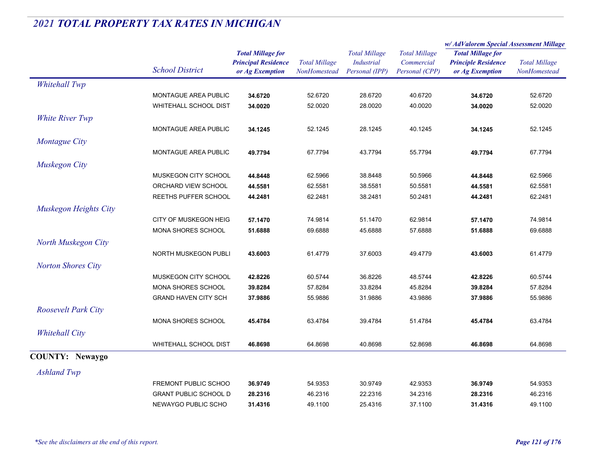|                            |                              |                            | <b>Total Millage</b> | <b>Total Millage</b><br><b>Industrial</b><br>Personal (IPP) | <b>Total Millage</b><br>Commercial<br>Personal (CPP) | w/ AdValorem Special Assessment Millage                                   |                      |
|----------------------------|------------------------------|----------------------------|----------------------|-------------------------------------------------------------|------------------------------------------------------|---------------------------------------------------------------------------|----------------------|
|                            |                              | <b>Total Millage for</b>   |                      |                                                             |                                                      | <b>Total Millage for</b><br><b>Principle Residence</b><br>or Ag Exemption | <b>Total Millage</b> |
|                            |                              | <b>Principal Residence</b> |                      |                                                             |                                                      |                                                                           |                      |
|                            | <b>School District</b>       | or Ag Exemption            | NonHomestead         |                                                             |                                                      |                                                                           | NonHomestead         |
| <b>Whitehall Twp</b>       |                              |                            |                      |                                                             |                                                      |                                                                           |                      |
|                            | MONTAGUE AREA PUBLIC         | 34.6720                    | 52.6720              | 28.6720                                                     | 40.6720                                              | 34.6720                                                                   | 52.6720              |
|                            | <b>WHITEHALL SCHOOL DIST</b> | 34.0020                    | 52.0020              | 28.0020                                                     | 40.0020                                              | 34.0020                                                                   | 52.0020              |
| White River Twp            |                              |                            |                      |                                                             |                                                      |                                                                           |                      |
|                            | MONTAGUE AREA PUBLIC         | 34.1245                    | 52.1245              | 28.1245                                                     | 40.1245                                              | 34.1245                                                                   | 52.1245              |
| Montague City              |                              |                            |                      |                                                             |                                                      |                                                                           |                      |
|                            | MONTAGUE AREA PUBLIC         | 49.7794                    | 67.7794              | 43.7794                                                     | 55.7794                                              | 49.7794                                                                   | 67.7794              |
| Muskegon City              |                              |                            |                      |                                                             |                                                      |                                                                           |                      |
|                            | MUSKEGON CITY SCHOOL         | 44.8448                    | 62.5966              | 38.8448                                                     | 50.5966                                              | 44.8448                                                                   | 62.5966              |
|                            | ORCHARD VIEW SCHOOL          | 44.5581                    | 62.5581              | 38.5581                                                     | 50.5581                                              | 44.5581                                                                   | 62.5581              |
|                            | REETHS PUFFER SCHOOL         | 44.2481                    | 62.2481              | 38.2481                                                     | 50.2481                                              | 44.2481                                                                   | 62.2481              |
| Muskegon Heights City      |                              |                            |                      |                                                             |                                                      |                                                                           |                      |
|                            | CITY OF MUSKEGON HEIG        | 57.1470                    | 74.9814              | 51.1470                                                     | 62.9814                                              | 57.1470                                                                   | 74.9814              |
|                            | MONA SHORES SCHOOL           | 51.6888                    | 69.6888              | 45.6888                                                     | 57.6888                                              | 51.6888                                                                   | 69.6888              |
| North Muskegon City        |                              |                            |                      |                                                             |                                                      |                                                                           |                      |
|                            | NORTH MUSKEGON PUBLI         | 43.6003                    | 61.4779              | 37.6003                                                     | 49.4779                                              | 43.6003                                                                   | 61.4779              |
| <b>Norton Shores City</b>  |                              |                            |                      |                                                             |                                                      |                                                                           |                      |
|                            | MUSKEGON CITY SCHOOL         | 42.8226                    | 60.5744              | 36.8226                                                     | 48.5744                                              | 42.8226                                                                   | 60.5744              |
|                            | MONA SHORES SCHOOL           | 39.8284                    | 57.8284              | 33.8284                                                     | 45.8284                                              | 39.8284                                                                   | 57.8284              |
|                            | <b>GRAND HAVEN CITY SCH</b>  | 37.9886                    | 55.9886              | 31.9886                                                     | 43.9886                                              | 37.9886                                                                   | 55.9886              |
| <b>Roosevelt Park City</b> |                              |                            |                      |                                                             |                                                      |                                                                           |                      |
|                            | MONA SHORES SCHOOL           | 45.4784                    | 63.4784              | 39.4784                                                     | 51.4784                                              | 45.4784                                                                   | 63.4784              |
| <b>Whitehall City</b>      |                              |                            |                      |                                                             |                                                      |                                                                           |                      |
|                            | <b>WHITEHALL SCHOOL DIST</b> | 46.8698                    | 64.8698              | 40.8698                                                     | 52.8698                                              | 46.8698                                                                   | 64.8698              |
| <b>COUNTY: Newaygo</b>     |                              |                            |                      |                                                             |                                                      |                                                                           |                      |
| <b>Ashland Twp</b>         |                              |                            |                      |                                                             |                                                      |                                                                           |                      |
|                            | FREMONT PUBLIC SCHOO         | 36.9749                    | 54.9353              | 30.9749                                                     | 42.9353                                              | 36.9749                                                                   | 54.9353              |
|                            | <b>GRANT PUBLIC SCHOOL D</b> | 28.2316                    | 46.2316              | 22.2316                                                     | 34.2316                                              | 28.2316                                                                   | 46.2316              |
|                            | NEWAYGO PUBLIC SCHO          | 31.4316                    | 49.1100              | 25.4316                                                     | 37.1100                                              | 31.4316                                                                   | 49.1100              |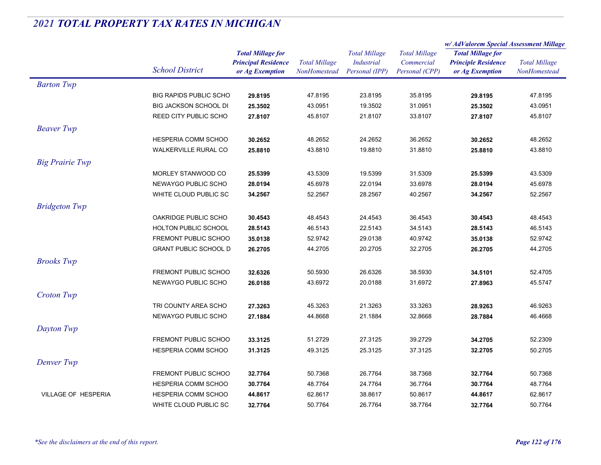|                            |                               |                            | <b>Total Millage</b><br><b>NonHomestead</b> | <b>Total Millage</b><br>Industrial | <b>Total Millage</b><br>Commercial | w/AdValorem Special Assessment Millage                 |                      |
|----------------------------|-------------------------------|----------------------------|---------------------------------------------|------------------------------------|------------------------------------|--------------------------------------------------------|----------------------|
|                            |                               | <b>Total Millage for</b>   |                                             |                                    |                                    | <b>Total Millage for</b><br><b>Principle Residence</b> |                      |
|                            | <b>School District</b>        | <b>Principal Residence</b> |                                             |                                    |                                    |                                                        | <b>Total Millage</b> |
|                            |                               | or Ag Exemption            |                                             | Personal (IPP)                     | Personal (CPP)                     | or Ag Exemption                                        | NonHomestead         |
| <b>Barton Twp</b>          |                               |                            |                                             |                                    |                                    |                                                        |                      |
|                            | <b>BIG RAPIDS PUBLIC SCHO</b> | 29.8195                    | 47.8195                                     | 23.8195                            | 35.8195                            | 29.8195                                                | 47.8195              |
|                            | <b>BIG JACKSON SCHOOL DI</b>  | 25.3502                    | 43.0951                                     | 19.3502                            | 31.0951                            | 25.3502                                                | 43.0951              |
|                            | REED CITY PUBLIC SCHO         | 27.8107                    | 45.8107                                     | 21.8107                            | 33.8107                            | 27.8107                                                | 45.8107              |
| <b>Beaver</b> Twp          |                               |                            |                                             |                                    |                                    |                                                        |                      |
|                            | HESPERIA COMM SCHOO           | 30.2652                    | 48.2652                                     | 24.2652                            | 36.2652                            | 30.2652                                                | 48.2652              |
|                            | WALKERVILLE RURAL CO          | 25.8810                    | 43.8810                                     | 19.8810                            | 31.8810                            | 25.8810                                                | 43.8810              |
| <b>Big Prairie Twp</b>     |                               |                            |                                             |                                    |                                    |                                                        |                      |
|                            | MORLEY STANWOOD CO            | 25.5399                    | 43.5309                                     | 19.5399                            | 31.5309                            | 25.5399                                                | 43.5309              |
|                            | NEWAYGO PUBLIC SCHO           | 28.0194                    | 45.6978                                     | 22.0194                            | 33.6978                            | 28.0194                                                | 45.6978              |
|                            | WHITE CLOUD PUBLIC SC         | 34.2567                    | 52.2567                                     | 28.2567                            | 40.2567                            | 34.2567                                                | 52.2567              |
| <b>Bridgeton Twp</b>       |                               |                            |                                             |                                    |                                    |                                                        |                      |
|                            | OAKRIDGE PUBLIC SCHO          | 30.4543                    | 48.4543                                     | 24.4543                            | 36.4543                            | 30.4543                                                | 48.4543              |
|                            | <b>HOLTON PUBLIC SCHOOL</b>   | 28.5143                    | 46.5143                                     | 22.5143                            | 34.5143                            | 28.5143                                                | 46.5143              |
|                            | FREMONT PUBLIC SCHOO          | 35.0138                    | 52.9742                                     | 29.0138                            | 40.9742                            | 35.0138                                                | 52.9742              |
|                            | <b>GRANT PUBLIC SCHOOL D</b>  | 26.2705                    | 44.2705                                     | 20.2705                            | 32.2705                            | 26.2705                                                | 44.2705              |
|                            |                               |                            |                                             |                                    |                                    |                                                        |                      |
| <b>Brooks</b> Twp          |                               |                            |                                             |                                    |                                    |                                                        |                      |
|                            | FREMONT PUBLIC SCHOO          | 32.6326                    | 50.5930                                     | 26.6326                            | 38.5930                            | 34.5101                                                | 52.4705              |
|                            | NEWAYGO PUBLIC SCHO           | 26.0188                    | 43.6972                                     | 20.0188                            | 31.6972                            | 27.8963                                                | 45.5747              |
| Croton Twp                 |                               |                            |                                             |                                    |                                    |                                                        |                      |
|                            | TRI COUNTY AREA SCHO          | 27.3263                    | 45.3263                                     | 21.3263                            | 33.3263                            | 28.9263                                                | 46.9263              |
|                            | NEWAYGO PUBLIC SCHO           | 27.1884                    | 44.8668                                     | 21.1884                            | 32.8668                            | 28.7884                                                | 46.4668              |
| Dayton Twp                 |                               |                            |                                             |                                    |                                    |                                                        |                      |
|                            | <b>FREMONT PUBLIC SCHOO</b>   | 33.3125                    | 51.2729                                     | 27.3125                            | 39.2729                            | 34.2705                                                | 52.2309              |
|                            | HESPERIA COMM SCHOO           | 31.3125                    | 49.3125                                     | 25.3125                            | 37.3125                            | 32.2705                                                | 50.2705              |
| Denver Twp                 |                               |                            |                                             |                                    |                                    |                                                        |                      |
|                            | <b>FREMONT PUBLIC SCHOO</b>   | 32.7764                    | 50.7368                                     | 26.7764                            | 38.7368                            | 32.7764                                                | 50.7368              |
|                            | HESPERIA COMM SCHOO           | 30.7764                    | 48.7764                                     | 24.7764                            | 36.7764                            | 30.7764                                                | 48.7764              |
| <b>VILLAGE OF HESPERIA</b> | <b>HESPERIA COMM SCHOO</b>    | 44.8617                    | 62.8617                                     | 38.8617                            | 50.8617                            | 44.8617                                                | 62.8617              |
|                            | WHITE CLOUD PUBLIC SC         | 32.7764                    | 50.7764                                     | 26.7764                            | 38.7764                            | 32.7764                                                | 50.7764              |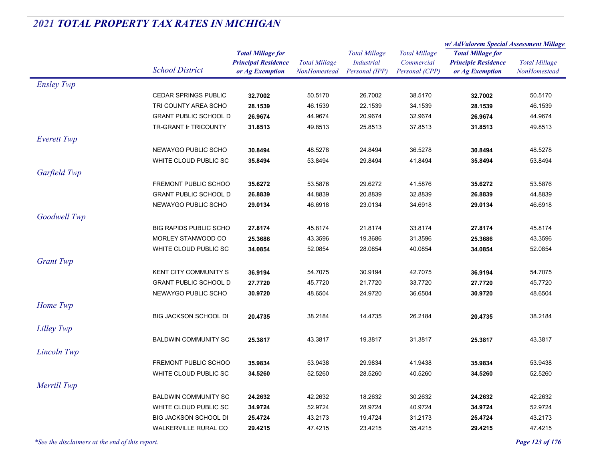|                   |                               | <b>Total Millage for</b><br><b>Principal Residence</b> | <b>Total Millage</b><br>NonHomestead | <b>Total Millage</b><br><b>Industrial</b> | <b>Total Millage</b><br>Commercial | w/ AdValorem Special Assessment Millage                |                      |
|-------------------|-------------------------------|--------------------------------------------------------|--------------------------------------|-------------------------------------------|------------------------------------|--------------------------------------------------------|----------------------|
|                   |                               |                                                        |                                      |                                           |                                    | <b>Total Millage for</b><br><b>Principle Residence</b> |                      |
|                   | <b>School District</b>        |                                                        |                                      |                                           |                                    |                                                        | <b>Total Millage</b> |
|                   |                               | or Ag Exemption                                        |                                      | Personal (IPP)                            | Personal (CPP)                     | or Ag Exemption                                        | NonHomestead         |
| <b>Ensley Twp</b> |                               |                                                        |                                      |                                           |                                    |                                                        |                      |
|                   | <b>CEDAR SPRINGS PUBLIC</b>   | 32.7002                                                | 50.5170                              | 26.7002                                   | 38.5170                            | 32.7002                                                | 50.5170              |
|                   | TRI COUNTY AREA SCHO          | 28.1539                                                | 46.1539                              | 22.1539                                   | 34.1539                            | 28.1539                                                | 46.1539              |
|                   | <b>GRANT PUBLIC SCHOOL D</b>  | 26.9674                                                | 44.9674                              | 20.9674                                   | 32.9674                            | 26.9674                                                | 44.9674              |
|                   | TR-GRANT fr TRICOUNTY         | 31.8513                                                | 49.8513                              | 25.8513                                   | 37.8513                            | 31.8513                                                | 49.8513              |
| Everett Twp       |                               |                                                        |                                      |                                           |                                    |                                                        |                      |
|                   | NEWAYGO PUBLIC SCHO           | 30.8494                                                | 48.5278                              | 24.8494                                   | 36.5278                            | 30.8494                                                | 48.5278              |
|                   | WHITE CLOUD PUBLIC SC         | 35.8494                                                | 53.8494                              | 29.8494                                   | 41.8494                            | 35.8494                                                | 53.8494              |
| Garfield Twp      |                               |                                                        |                                      |                                           |                                    |                                                        |                      |
|                   | FREMONT PUBLIC SCHOO          | 35.6272                                                | 53.5876                              | 29.6272                                   | 41.5876                            | 35.6272                                                | 53.5876              |
|                   | <b>GRANT PUBLIC SCHOOL D</b>  | 26.8839                                                | 44.8839                              | 20.8839                                   | 32.8839                            | 26.8839                                                | 44.8839              |
|                   | NEWAYGO PUBLIC SCHO           | 29.0134                                                | 46.6918                              | 23.0134                                   | 34.6918                            | 29.0134                                                | 46.6918              |
|                   |                               |                                                        |                                      |                                           |                                    |                                                        |                      |
| Goodwell Twp      |                               |                                                        |                                      |                                           |                                    |                                                        |                      |
|                   | <b>BIG RAPIDS PUBLIC SCHO</b> | 27.8174                                                | 45.8174                              | 21.8174                                   | 33.8174                            | 27.8174                                                | 45.8174              |
|                   | MORLEY STANWOOD CO            | 25.3686                                                | 43.3596                              | 19.3686                                   | 31.3596                            | 25.3686                                                | 43.3596              |
|                   | WHITE CLOUD PUBLIC SC         | 34.0854                                                | 52.0854                              | 28.0854                                   | 40.0854                            | 34.0854                                                | 52.0854              |
| <b>Grant Twp</b>  |                               |                                                        |                                      |                                           |                                    |                                                        |                      |
|                   | <b>KENT CITY COMMUNITY S</b>  | 36.9194                                                | 54.7075                              | 30.9194                                   | 42.7075                            | 36.9194                                                | 54.7075              |
|                   | <b>GRANT PUBLIC SCHOOL D</b>  | 27.7720                                                | 45.7720                              | 21.7720                                   | 33.7720                            | 27.7720                                                | 45.7720              |
|                   | NEWAYGO PUBLIC SCHO           | 30.9720                                                | 48.6504                              | 24.9720                                   | 36.6504                            | 30.9720                                                | 48.6504              |
| Home Twp          |                               |                                                        |                                      |                                           |                                    |                                                        |                      |
|                   | <b>BIG JACKSON SCHOOL DI</b>  | 20.4735                                                | 38.2184                              | 14.4735                                   | 26.2184                            | 20.4735                                                | 38.2184              |
| Lilley Twp        |                               |                                                        |                                      |                                           |                                    |                                                        |                      |
|                   | <b>BALDWIN COMMUNITY SC</b>   | 25.3817                                                | 43.3817                              | 19.3817                                   | 31.3817                            | 25.3817                                                | 43.3817              |
|                   |                               |                                                        |                                      |                                           |                                    |                                                        |                      |
| Lincoln Twp       |                               |                                                        |                                      |                                           |                                    |                                                        |                      |
|                   | FREMONT PUBLIC SCHOO          | 35.9834                                                | 53.9438                              | 29.9834                                   | 41.9438                            | 35.9834                                                | 53.9438              |
|                   | WHITE CLOUD PUBLIC SC         | 34.5260                                                | 52.5260                              | 28.5260                                   | 40.5260                            | 34.5260                                                | 52.5260              |
| Merrill Twp       |                               |                                                        |                                      |                                           |                                    |                                                        |                      |
|                   | <b>BALDWIN COMMUNITY SC</b>   | 24.2632                                                | 42.2632                              | 18.2632                                   | 30.2632                            | 24.2632                                                | 42.2632              |
|                   | WHITE CLOUD PUBLIC SC         | 34.9724                                                | 52.9724                              | 28.9724                                   | 40.9724                            | 34.9724                                                | 52.9724              |
|                   | <b>BIG JACKSON SCHOOL DI</b>  | 25.4724                                                | 43.2173                              | 19.4724                                   | 31.2173                            | 25.4724                                                | 43.2173              |
|                   | <b>WALKERVILLE RURAL CO</b>   | 29.4215                                                | 47.4215                              | 23.4215                                   | 35.4215                            | 29.4215                                                | 47.4215              |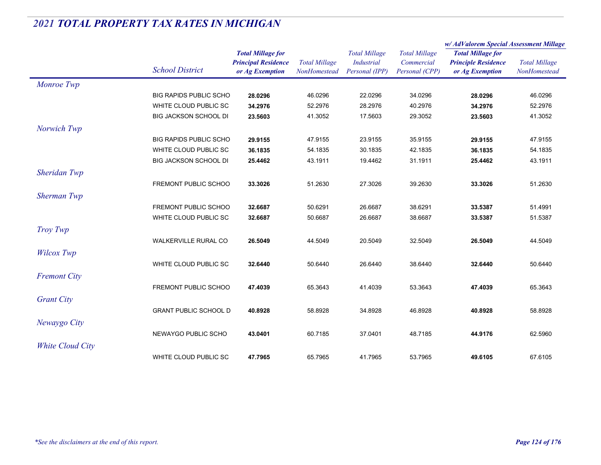|                     |                               |                                                                           |                                      |                                                             |                                                      | w/ AdValorem Special Assessment Millage                                   |                                      |
|---------------------|-------------------------------|---------------------------------------------------------------------------|--------------------------------------|-------------------------------------------------------------|------------------------------------------------------|---------------------------------------------------------------------------|--------------------------------------|
|                     | <b>School District</b>        | <b>Total Millage for</b><br><b>Principal Residence</b><br>or Ag Exemption | <b>Total Millage</b><br>NonHomestead | <b>Total Millage</b><br><b>Industrial</b><br>Personal (IPP) | <b>Total Millage</b><br>Commercial<br>Personal (CPP) | <b>Total Millage for</b><br><b>Principle Residence</b><br>or Ag Exemption | <b>Total Millage</b><br>NonHomestead |
| Monroe Twp          |                               |                                                                           |                                      |                                                             |                                                      |                                                                           |                                      |
|                     | BIG RAPIDS PUBLIC SCHO        | 28.0296                                                                   | 46.0296                              | 22.0296                                                     | 34.0296                                              | 28.0296                                                                   | 46.0296                              |
|                     | WHITE CLOUD PUBLIC SC         | 34.2976                                                                   | 52.2976                              | 28.2976                                                     | 40.2976                                              | 34.2976                                                                   | 52.2976                              |
|                     | <b>BIG JACKSON SCHOOL DI</b>  | 23.5603                                                                   | 41.3052                              | 17.5603                                                     | 29.3052                                              | 23.5603                                                                   | 41.3052                              |
| Norwich Twp         |                               |                                                                           |                                      |                                                             |                                                      |                                                                           |                                      |
|                     | <b>BIG RAPIDS PUBLIC SCHO</b> | 29.9155                                                                   | 47.9155                              | 23.9155                                                     | 35.9155                                              | 29.9155                                                                   | 47.9155                              |
|                     | WHITE CLOUD PUBLIC SC         | 36.1835                                                                   | 54.1835                              | 30.1835                                                     | 42.1835                                              | 36.1835                                                                   | 54.1835                              |
|                     | <b>BIG JACKSON SCHOOL DI</b>  | 25.4462                                                                   | 43.1911                              | 19.4462                                                     | 31.1911                                              | 25.4462                                                                   | 43.1911                              |
| <b>Sheridan Twp</b> |                               |                                                                           |                                      |                                                             |                                                      |                                                                           |                                      |
|                     | FREMONT PUBLIC SCHOO          | 33.3026                                                                   | 51.2630                              | 27.3026                                                     | 39.2630                                              | 33.3026                                                                   | 51.2630                              |
| Sherman Twp         |                               |                                                                           |                                      |                                                             |                                                      |                                                                           |                                      |
|                     | FREMONT PUBLIC SCHOO          | 32.6687                                                                   | 50.6291                              | 26.6687                                                     | 38.6291                                              | 33.5387                                                                   | 51.4991                              |
|                     | WHITE CLOUD PUBLIC SC         | 32.6687                                                                   | 50.6687                              | 26.6687                                                     | 38.6687                                              | 33.5387                                                                   | 51.5387                              |
| Troy Twp            |                               |                                                                           |                                      |                                                             |                                                      |                                                                           |                                      |
|                     | WALKERVILLE RURAL CO          | 26.5049                                                                   | 44.5049                              | 20.5049                                                     | 32.5049                                              | 26.5049                                                                   | 44.5049                              |
| Wilcox Twp          |                               |                                                                           |                                      |                                                             |                                                      |                                                                           |                                      |
|                     | WHITE CLOUD PUBLIC SC         | 32.6440                                                                   | 50.6440                              | 26.6440                                                     | 38.6440                                              | 32.6440                                                                   | 50.6440                              |
| <b>Fremont City</b> |                               |                                                                           |                                      |                                                             |                                                      |                                                                           |                                      |
|                     | FREMONT PUBLIC SCHOO          | 47.4039                                                                   | 65.3643                              | 41.4039                                                     | 53.3643                                              | 47.4039                                                                   | 65.3643                              |
|                     |                               |                                                                           |                                      |                                                             |                                                      |                                                                           |                                      |
| <b>Grant City</b>   | <b>GRANT PUBLIC SCHOOL D</b>  | 40.8928                                                                   |                                      | 34.8928                                                     | 46.8928                                              | 40.8928                                                                   |                                      |
|                     |                               |                                                                           | 58.8928                              |                                                             |                                                      |                                                                           | 58.8928                              |
| Newaygo City        |                               |                                                                           |                                      |                                                             |                                                      |                                                                           |                                      |
|                     | NEWAYGO PUBLIC SCHO           | 43.0401                                                                   | 60.7185                              | 37.0401                                                     | 48.7185                                              | 44.9176                                                                   | 62.5960                              |
| White Cloud City    |                               |                                                                           |                                      |                                                             |                                                      |                                                                           |                                      |
|                     | WHITE CLOUD PUBLIC SC         | 47.7965                                                                   | 65.7965                              | 41.7965                                                     | 53.7965                                              | 49.6105                                                                   | 67.6105                              |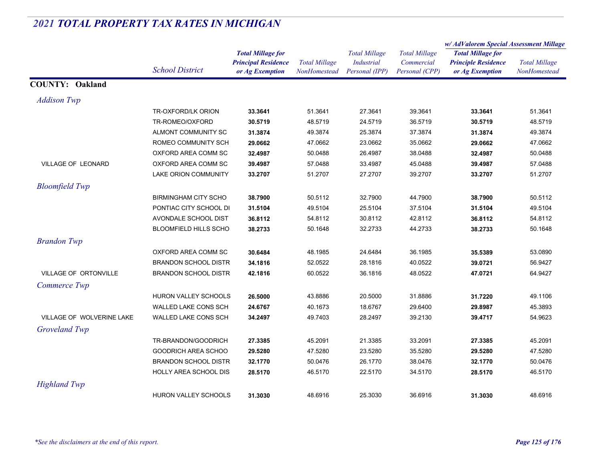|                           |                              |                                                                           |                                      |                                                             |                                                      | w/AdValorem Special Assessment Millage                                    |                                      |
|---------------------------|------------------------------|---------------------------------------------------------------------------|--------------------------------------|-------------------------------------------------------------|------------------------------------------------------|---------------------------------------------------------------------------|--------------------------------------|
|                           | <b>School District</b>       | <b>Total Millage for</b><br><b>Principal Residence</b><br>or Ag Exemption | <b>Total Millage</b><br>NonHomestead | <b>Total Millage</b><br><b>Industrial</b><br>Personal (IPP) | <b>Total Millage</b><br>Commercial<br>Personal (CPP) | <b>Total Millage for</b><br><b>Principle Residence</b><br>or Ag Exemption | <b>Total Millage</b><br>NonHomestead |
| <b>COUNTY: Oakland</b>    |                              |                                                                           |                                      |                                                             |                                                      |                                                                           |                                      |
| <b>Addison Twp</b>        |                              |                                                                           |                                      |                                                             |                                                      |                                                                           |                                      |
|                           | TR-OXFORD/LK ORION           | 33.3641                                                                   | 51.3641                              | 27.3641                                                     | 39.3641                                              | 33.3641                                                                   | 51.3641                              |
|                           | TR-ROMEO/OXFORD              | 30.5719                                                                   | 48.5719                              | 24.5719                                                     | 36.5719                                              | 30.5719                                                                   | 48.5719                              |
|                           | ALMONT COMMUNITY SC          | 31.3874                                                                   | 49.3874                              | 25.3874                                                     | 37.3874                                              | 31.3874                                                                   | 49.3874                              |
|                           | ROMEO COMMUNITY SCH          | 29.0662                                                                   | 47.0662                              | 23.0662                                                     | 35.0662                                              | 29.0662                                                                   | 47.0662                              |
|                           | OXFORD AREA COMM SC          | 32.4987                                                                   | 50.0488                              | 26.4987                                                     | 38.0488                                              | 32.4987                                                                   | 50.0488                              |
| VILLAGE OF LEONARD        | OXFORD AREA COMM SC          | 39.4987                                                                   | 57.0488                              | 33.4987                                                     | 45.0488                                              | 39.4987                                                                   | 57.0488                              |
|                           | <b>LAKE ORION COMMUNITY</b>  | 33.2707                                                                   | 51.2707                              | 27.2707                                                     | 39.2707                                              | 33.2707                                                                   | 51.2707                              |
| <b>Bloomfield Twp</b>     |                              |                                                                           |                                      |                                                             |                                                      |                                                                           |                                      |
|                           | <b>BIRMINGHAM CITY SCHO</b>  | 38.7900                                                                   | 50.5112                              | 32.7900                                                     | 44.7900                                              | 38.7900                                                                   | 50.5112                              |
|                           | PONTIAC CITY SCHOOL DI       | 31.5104                                                                   | 49.5104                              | 25.5104                                                     | 37.5104                                              | 31.5104                                                                   | 49.5104                              |
|                           | AVONDALE SCHOOL DIST         | 36.8112                                                                   | 54.8112                              | 30.8112                                                     | 42.8112                                              | 36.8112                                                                   | 54.8112                              |
|                           | <b>BLOOMFIELD HILLS SCHO</b> | 38.2733                                                                   | 50.1648                              | 32.2733                                                     | 44.2733                                              | 38.2733                                                                   | 50.1648                              |
| <b>Brandon Twp</b>        |                              |                                                                           |                                      |                                                             |                                                      |                                                                           |                                      |
|                           | OXFORD AREA COMM SC          | 30.6484                                                                   | 48.1985                              | 24.6484                                                     | 36.1985                                              | 35.5389                                                                   | 53.0890                              |
|                           | <b>BRANDON SCHOOL DISTR</b>  | 34.1816                                                                   | 52.0522                              | 28.1816                                                     | 40.0522                                              | 39.0721                                                                   | 56.9427                              |
| VILLAGE OF ORTONVILLE     | <b>BRANDON SCHOOL DISTR</b>  | 42.1816                                                                   | 60.0522                              | 36.1816                                                     | 48.0522                                              | 47.0721                                                                   | 64.9427                              |
| Commerce Twp              |                              |                                                                           |                                      |                                                             |                                                      |                                                                           |                                      |
|                           | HURON VALLEY SCHOOLS         | 26.5000                                                                   | 43.8886                              | 20.5000                                                     | 31.8886                                              | 31.7220                                                                   | 49.1106                              |
|                           | WALLED LAKE CONS SCH         | 24.6767                                                                   | 40.1673                              | 18.6767                                                     | 29.6400                                              | 29.8987                                                                   | 45.3893                              |
| VILLAGE OF WOLVERINE LAKE | WALLED LAKE CONS SCH         | 34.2497                                                                   | 49.7403                              | 28.2497                                                     | 39.2130                                              | 39.4717                                                                   | 54.9623                              |
| Groveland Twp             |                              |                                                                           |                                      |                                                             |                                                      |                                                                           |                                      |
|                           | TR-BRANDON/GOODRICH          | 27.3385                                                                   | 45.2091                              | 21.3385                                                     | 33.2091                                              | 27.3385                                                                   | 45.2091                              |
|                           | GOODRICH AREA SCHOO          | 29.5280                                                                   | 47.5280                              | 23.5280                                                     | 35.5280                                              | 29.5280                                                                   | 47.5280                              |
|                           | <b>BRANDON SCHOOL DISTR</b>  | 32.1770                                                                   | 50.0476                              | 26.1770                                                     | 38.0476                                              | 32.1770                                                                   | 50.0476                              |
|                           | HOLLY AREA SCHOOL DIS        | 28.5170                                                                   | 46.5170                              | 22.5170                                                     | 34.5170                                              | 28.5170                                                                   | 46.5170                              |
| <b>Highland Twp</b>       |                              |                                                                           |                                      |                                                             |                                                      |                                                                           |                                      |
|                           | <b>HURON VALLEY SCHOOLS</b>  | 31.3030                                                                   | 48.6916                              | 25.3030                                                     | 36.6916                                              | 31.3030                                                                   | 48.6916                              |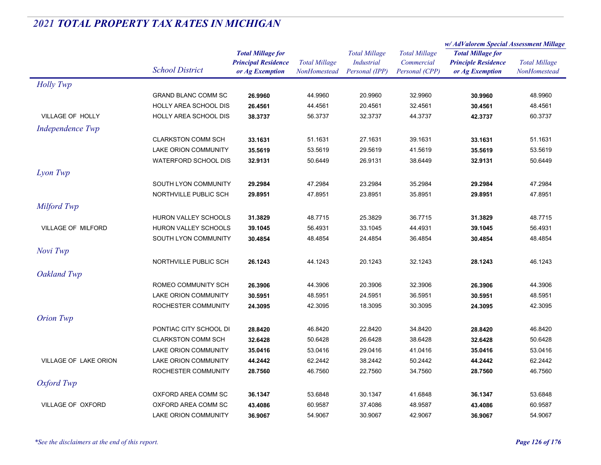|                              |                              |                            | <b>Total Millage</b><br><b>NonHomestead</b> | <b>Total Millage</b><br>Industrial<br>Personal (IPP) | <b>Total Millage</b><br>Commercial<br>Personal (CPP) | w/AdValorem Special Assessment Millage                                    |                      |
|------------------------------|------------------------------|----------------------------|---------------------------------------------|------------------------------------------------------|------------------------------------------------------|---------------------------------------------------------------------------|----------------------|
|                              |                              | <b>Total Millage for</b>   |                                             |                                                      |                                                      | <b>Total Millage for</b><br><b>Principle Residence</b><br>or Ag Exemption |                      |
|                              | <b>School District</b>       | <b>Principal Residence</b> |                                             |                                                      |                                                      |                                                                           | <b>Total Millage</b> |
|                              |                              | or Ag Exemption            |                                             |                                                      |                                                      |                                                                           | NonHomestead         |
| <b>Holly Twp</b>             |                              |                            |                                             |                                                      |                                                      |                                                                           |                      |
|                              | <b>GRAND BLANC COMM SC</b>   | 26.9960                    | 44.9960                                     | 20.9960                                              | 32.9960                                              | 30.9960                                                                   | 48.9960              |
|                              | HOLLY AREA SCHOOL DIS        | 26.4561                    | 44.4561                                     | 20.4561                                              | 32.4561                                              | 30.4561                                                                   | 48.4561              |
| VILLAGE OF HOLLY             | <b>HOLLY AREA SCHOOL DIS</b> | 38.3737                    | 56.3737                                     | 32.3737                                              | 44.3737                                              | 42.3737                                                                   | 60.3737              |
| Independence Twp             |                              |                            |                                             |                                                      |                                                      |                                                                           |                      |
|                              | <b>CLARKSTON COMM SCH</b>    | 33.1631                    | 51.1631                                     | 27.1631                                              | 39.1631                                              | 33.1631                                                                   | 51.1631              |
|                              | <b>LAKE ORION COMMUNITY</b>  | 35.5619                    | 53.5619                                     | 29.5619                                              | 41.5619                                              | 35.5619                                                                   | 53.5619              |
|                              | <b>WATERFORD SCHOOL DIS</b>  | 32.9131                    | 50.6449                                     | 26.9131                                              | 38.6449                                              | 32.9131                                                                   | 50.6449              |
| Lyon Twp                     |                              |                            |                                             |                                                      |                                                      |                                                                           |                      |
|                              | SOUTH LYON COMMUNITY         | 29.2984                    | 47.2984                                     | 23.2984                                              | 35.2984                                              | 29.2984                                                                   | 47.2984              |
|                              | NORTHVILLE PUBLIC SCH        | 29.8951                    | 47.8951                                     | 23.8951                                              | 35.8951                                              | 29.8951                                                                   | 47.8951              |
| Milford Twp                  |                              |                            |                                             |                                                      |                                                      |                                                                           |                      |
|                              | HURON VALLEY SCHOOLS         | 31.3829                    | 48.7715                                     | 25.3829                                              | 36.7715                                              | 31.3829                                                                   | 48.7715              |
| <b>VILLAGE OF MILFORD</b>    | <b>HURON VALLEY SCHOOLS</b>  | 39.1045                    | 56.4931                                     | 33.1045                                              | 44.4931                                              | 39.1045                                                                   | 56.4931              |
|                              | SOUTH LYON COMMUNITY         | 30.4854                    | 48.4854                                     | 24.4854                                              | 36.4854                                              | 30.4854                                                                   | 48.4854              |
|                              |                              |                            |                                             |                                                      |                                                      |                                                                           |                      |
| Novi Twp                     |                              |                            |                                             |                                                      |                                                      |                                                                           |                      |
|                              | NORTHVILLE PUBLIC SCH        | 26.1243                    | 44.1243                                     | 20.1243                                              | 32.1243                                              | 28.1243                                                                   | 46.1243              |
| Oakland Twp                  |                              |                            |                                             |                                                      |                                                      |                                                                           |                      |
|                              | ROMEO COMMUNITY SCH          | 26.3906                    | 44.3906                                     | 20.3906                                              | 32.3906                                              | 26.3906                                                                   | 44.3906              |
|                              | LAKE ORION COMMUNITY         | 30.5951                    | 48.5951                                     | 24.5951                                              | 36.5951                                              | 30.5951                                                                   | 48.5951              |
|                              | ROCHESTER COMMUNITY          | 24.3095                    | 42.3095                                     | 18.3095                                              | 30.3095                                              | 24.3095                                                                   | 42.3095              |
| <b>Orion Twp</b>             |                              |                            |                                             |                                                      |                                                      |                                                                           |                      |
|                              | PONTIAC CITY SCHOOL DI       | 28.8420                    | 46.8420                                     | 22.8420                                              | 34.8420                                              | 28.8420                                                                   | 46.8420              |
|                              | <b>CLARKSTON COMM SCH</b>    | 32.6428                    | 50.6428                                     | 26.6428                                              | 38.6428                                              | 32.6428                                                                   | 50.6428              |
|                              | <b>LAKE ORION COMMUNITY</b>  | 35.0416                    | 53.0416                                     | 29.0416                                              | 41.0416                                              | 35.0416                                                                   | 53.0416              |
| <b>VILLAGE OF LAKE ORION</b> | LAKE ORION COMMUNITY         | 44.2442                    | 62.2442                                     | 38.2442                                              | 50.2442                                              | 44.2442                                                                   | 62.2442              |
|                              | ROCHESTER COMMUNITY          | 28.7560                    | 46.7560                                     | 22.7560                                              | 34.7560                                              | 28.7560                                                                   | 46.7560              |
| Oxford Twp                   |                              |                            |                                             |                                                      |                                                      |                                                                           |                      |
|                              | OXFORD AREA COMM SC          | 36.1347                    | 53.6848                                     | 30.1347                                              | 41.6848                                              | 36.1347                                                                   | 53.6848              |
| VILLAGE OF OXFORD            | OXFORD AREA COMM SC          | 43.4086                    | 60.9587                                     | 37.4086                                              | 48.9587                                              | 43.4086                                                                   | 60.9587              |
|                              | <b>LAKE ORION COMMUNITY</b>  | 36.9067                    | 54.9067                                     | 30.9067                                              | 42.9067                                              | 36.9067                                                                   | 54.9067              |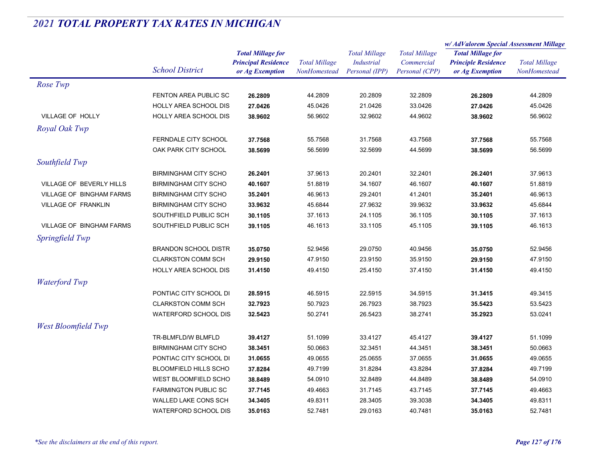|                            |                              |                          |                            | <b>Total Millage</b> | <b>Total Millage</b> | w/ AdValorem Special Assessment Millage |                            |                      |
|----------------------------|------------------------------|--------------------------|----------------------------|----------------------|----------------------|-----------------------------------------|----------------------------|----------------------|
|                            |                              | <b>Total Millage for</b> |                            |                      |                      | <b>Total Millage for</b>                |                            |                      |
|                            |                              | <b>School District</b>   | <b>Principal Residence</b> | <b>Total Millage</b> | <b>Industrial</b>    | Commercial                              | <b>Principle Residence</b> | <b>Total Millage</b> |
|                            |                              | or Ag Exemption          | NonHomestead               | Personal (IPP)       | Personal (CPP)       | or Ag Exemption                         | NonHomestead               |                      |
| Rose Twp                   |                              |                          |                            |                      |                      |                                         |                            |                      |
|                            | FENTON AREA PUBLIC SC        | 26.2809                  | 44.2809                    | 20.2809              | 32.2809              | 26.2809                                 | 44.2809                    |                      |
|                            | HOLLY AREA SCHOOL DIS        | 27.0426                  | 45.0426                    | 21.0426              | 33.0426              | 27.0426                                 | 45.0426                    |                      |
| VILLAGE OF HOLLY           | <b>HOLLY AREA SCHOOL DIS</b> | 38.9602                  | 56.9602                    | 32.9602              | 44.9602              | 38.9602                                 | 56.9602                    |                      |
| Royal Oak Twp              |                              |                          |                            |                      |                      |                                         |                            |                      |
|                            | FERNDALE CITY SCHOOL         | 37.7568                  | 55.7568                    | 31.7568              | 43.7568              | 37.7568                                 | 55.7568                    |                      |
|                            | OAK PARK CITY SCHOOL         | 38.5699                  | 56.5699                    | 32.5699              | 44.5699              | 38.5699                                 | 56.5699                    |                      |
| Southfield Twp             |                              |                          |                            |                      |                      |                                         |                            |                      |
|                            | <b>BIRMINGHAM CITY SCHO</b>  | 26.2401                  | 37.9613                    | 20.2401              | 32.2401              | 26.2401                                 | 37.9613                    |                      |
| VILLAGE OF BEVERLY HILLS   | <b>BIRMINGHAM CITY SCHO</b>  | 40.1607                  | 51.8819                    | 34.1607              | 46.1607              | 40.1607                                 | 51.8819                    |                      |
| VILLAGE OF BINGHAM FARMS   | <b>BIRMINGHAM CITY SCHO</b>  | 35.2401                  | 46.9613                    | 29.2401              | 41.2401              | 35.2401                                 | 46.9613                    |                      |
| VILLAGE OF FRANKLIN        | <b>BIRMINGHAM CITY SCHO</b>  | 33.9632                  | 45.6844                    | 27.9632              | 39.9632              | 33.9632                                 | 45.6844                    |                      |
|                            | SOUTHFIELD PUBLIC SCH        | 30.1105                  | 37.1613                    | 24.1105              | 36.1105              | 30.1105                                 | 37.1613                    |                      |
| VILLAGE OF BINGHAM FARMS   | SOUTHFIELD PUBLIC SCH        | 39.1105                  | 46.1613                    | 33.1105              | 45.1105              | 39.1105                                 | 46.1613                    |                      |
| Springfield Twp            |                              |                          |                            |                      |                      |                                         |                            |                      |
|                            | <b>BRANDON SCHOOL DISTR</b>  | 35.0750                  | 52.9456                    | 29.0750              | 40.9456              | 35.0750                                 | 52.9456                    |                      |
|                            | <b>CLARKSTON COMM SCH</b>    | 29.9150                  | 47.9150                    | 23.9150              | 35.9150              | 29.9150                                 | 47.9150                    |                      |
|                            | <b>HOLLY AREA SCHOOL DIS</b> | 31.4150                  | 49.4150                    | 25.4150              | 37.4150              | 31.4150                                 | 49.4150                    |                      |
| <b>Waterford Twp</b>       |                              |                          |                            |                      |                      |                                         |                            |                      |
|                            | PONTIAC CITY SCHOOL DI       | 28.5915                  | 46.5915                    | 22.5915              | 34.5915              | 31.3415                                 | 49.3415                    |                      |
|                            | <b>CLARKSTON COMM SCH</b>    | 32.7923                  | 50.7923                    | 26.7923              | 38.7923              | 35.5423                                 | 53.5423                    |                      |
|                            | <b>WATERFORD SCHOOL DIS</b>  | 32.5423                  | 50.2741                    | 26.5423              | 38.2741              | 35.2923                                 | 53.0241                    |                      |
| <b>West Bloomfield Twp</b> |                              |                          |                            |                      |                      |                                         |                            |                      |
|                            | TR-BLMFLD/W BLMFLD           | 39.4127                  | 51.1099                    | 33.4127              | 45.4127              | 39.4127                                 | 51.1099                    |                      |
|                            | <b>BIRMINGHAM CITY SCHO</b>  | 38.3451                  | 50.0663                    | 32.3451              | 44.3451              | 38.3451                                 | 50.0663                    |                      |
|                            | PONTIAC CITY SCHOOL DI       | 31.0655                  | 49.0655                    | 25.0655              | 37.0655              | 31.0655                                 | 49.0655                    |                      |
|                            | <b>BLOOMFIELD HILLS SCHO</b> | 37.8284                  | 49.7199                    | 31.8284              | 43.8284              | 37.8284                                 | 49.7199                    |                      |
|                            | WEST BLOOMFIELD SCHO         | 38.8489                  | 54.0910                    | 32.8489              | 44.8489              | 38.8489                                 | 54.0910                    |                      |
|                            | <b>FARMINGTON PUBLIC SC</b>  | 37.7145                  | 49.4663                    | 31.7145              | 43.7145              | 37.7145                                 | 49.4663                    |                      |
|                            | WALLED LAKE CONS SCH         | 34.3405                  | 49.8311                    | 28.3405              | 39.3038              | 34.3405                                 | 49.8311                    |                      |
|                            | <b>WATERFORD SCHOOL DIS</b>  | 35.0163                  | 52.7481                    | 29.0163              | 40.7481              | 35.0163                                 | 52.7481                    |                      |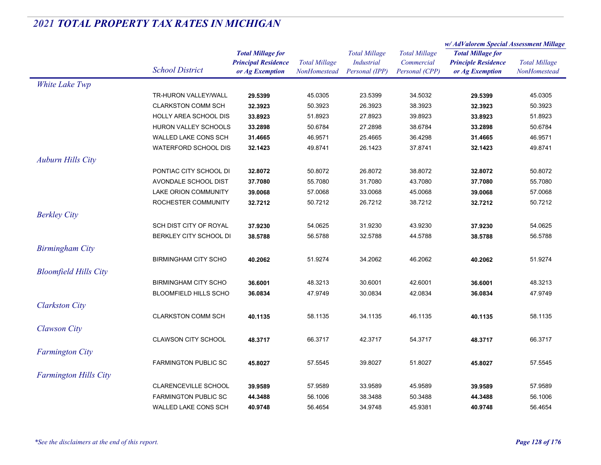|                              |                              | <b>Total Millage for</b><br><b>Principal Residence</b> | <b>Total Millage</b><br>NonHomestead | <b>Total Millage</b><br><b>Industrial</b> | <b>Total Millage</b><br>Commercial | w/ AdValorem Special Assessment Millage                |                      |
|------------------------------|------------------------------|--------------------------------------------------------|--------------------------------------|-------------------------------------------|------------------------------------|--------------------------------------------------------|----------------------|
|                              |                              |                                                        |                                      |                                           |                                    | <b>Total Millage for</b><br><b>Principle Residence</b> |                      |
|                              | <b>School District</b>       |                                                        |                                      |                                           |                                    |                                                        | <b>Total Millage</b> |
|                              |                              | or Ag Exemption                                        |                                      | Personal (IPP)                            | Personal (CPP)                     | or Ag Exemption                                        | NonHomestead         |
| White Lake Twp               |                              |                                                        |                                      |                                           |                                    |                                                        |                      |
|                              | TR-HURON VALLEY/WALL         | 29.5399                                                | 45.0305                              | 23.5399                                   | 34.5032                            | 29.5399                                                | 45.0305              |
|                              | <b>CLARKSTON COMM SCH</b>    | 32.3923                                                | 50.3923                              | 26.3923                                   | 38.3923                            | 32.3923                                                | 50.3923              |
|                              | HOLLY AREA SCHOOL DIS        | 33.8923                                                | 51.8923                              | 27.8923                                   | 39.8923                            | 33.8923                                                | 51.8923              |
|                              | HURON VALLEY SCHOOLS         | 33.2898                                                | 50.6784                              | 27.2898                                   | 38.6784                            | 33.2898                                                | 50.6784              |
|                              | WALLED LAKE CONS SCH         | 31.4665                                                | 46.9571                              | 25.4665                                   | 36.4298                            | 31.4665                                                | 46.9571              |
|                              | <b>WATERFORD SCHOOL DIS</b>  | 32.1423                                                | 49.8741                              | 26.1423                                   | 37.8741                            | 32.1423                                                | 49.8741              |
| <b>Auburn Hills City</b>     |                              |                                                        |                                      |                                           |                                    |                                                        |                      |
|                              | PONTIAC CITY SCHOOL DI       | 32.8072                                                | 50.8072                              | 26.8072                                   | 38.8072                            | 32.8072                                                | 50.8072              |
|                              | AVONDALE SCHOOL DIST         | 37.7080                                                | 55.7080                              | 31.7080                                   | 43.7080                            | 37.7080                                                | 55.7080              |
|                              | <b>LAKE ORION COMMUNITY</b>  | 39.0068                                                | 57.0068                              | 33.0068                                   | 45.0068                            | 39.0068                                                | 57.0068              |
|                              | ROCHESTER COMMUNITY          | 32.7212                                                | 50.7212                              | 26.7212                                   | 38.7212                            | 32.7212                                                | 50.7212              |
| <b>Berkley City</b>          |                              |                                                        |                                      |                                           |                                    |                                                        |                      |
|                              | SCH DIST CITY OF ROYAL       | 37.9230                                                | 54.0625                              | 31.9230                                   | 43.9230                            | 37.9230                                                | 54.0625              |
|                              | BERKLEY CITY SCHOOL DI       | 38.5788                                                | 56.5788                              | 32.5788                                   | 44.5788                            | 38.5788                                                | 56.5788              |
| <b>Birmingham City</b>       |                              |                                                        |                                      |                                           |                                    |                                                        |                      |
|                              | <b>BIRMINGHAM CITY SCHO</b>  | 40.2062                                                | 51.9274                              | 34.2062                                   | 46.2062                            | 40.2062                                                | 51.9274              |
| <b>Bloomfield Hills City</b> |                              |                                                        |                                      |                                           |                                    |                                                        |                      |
|                              | <b>BIRMINGHAM CITY SCHO</b>  | 36.6001                                                | 48.3213                              | 30.6001                                   | 42.6001                            | 36.6001                                                | 48.3213              |
|                              | <b>BLOOMFIELD HILLS SCHO</b> | 36.0834                                                | 47.9749                              | 30.0834                                   | 42.0834                            | 36.0834                                                | 47.9749              |
|                              |                              |                                                        |                                      |                                           |                                    |                                                        |                      |
| <b>Clarkston City</b>        |                              |                                                        |                                      |                                           |                                    |                                                        |                      |
|                              | <b>CLARKSTON COMM SCH</b>    | 40.1135                                                | 58.1135                              | 34.1135                                   | 46.1135                            | 40.1135                                                | 58.1135              |
| <b>Clawson City</b>          |                              |                                                        |                                      |                                           |                                    |                                                        |                      |
|                              | <b>CLAWSON CITY SCHOOL</b>   | 48.3717                                                | 66.3717                              | 42.3717                                   | 54.3717                            | 48.3717                                                | 66.3717              |
| <b>Farmington City</b>       |                              |                                                        |                                      |                                           |                                    |                                                        |                      |
|                              | <b>FARMINGTON PUBLIC SC</b>  | 45.8027                                                | 57.5545                              | 39.8027                                   | 51.8027                            | 45.8027                                                | 57.5545              |
| <b>Farmington Hills City</b> |                              |                                                        |                                      |                                           |                                    |                                                        |                      |
|                              | <b>CLARENCEVILLE SCHOOL</b>  | 39.9589                                                | 57.9589                              | 33.9589                                   | 45.9589                            | 39.9589                                                | 57.9589              |
|                              | <b>FARMINGTON PUBLIC SC</b>  | 44.3488                                                | 56.1006                              | 38.3488                                   | 50.3488                            | 44.3488                                                | 56.1006              |
|                              | WALLED LAKE CONS SCH         | 40.9748                                                | 56.4654                              | 34.9748                                   | 45.9381                            | 40.9748                                                | 56.4654              |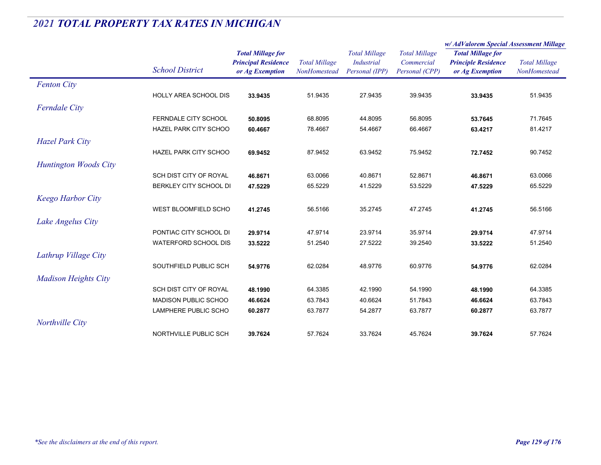|                              |                              |                                                                           |                                      |                                                             | w/AdValorem Special Assessment Millage               |                                                                           |                                      |
|------------------------------|------------------------------|---------------------------------------------------------------------------|--------------------------------------|-------------------------------------------------------------|------------------------------------------------------|---------------------------------------------------------------------------|--------------------------------------|
|                              | <b>School District</b>       | <b>Total Millage for</b><br><b>Principal Residence</b><br>or Ag Exemption | <b>Total Millage</b><br>NonHomestead | <b>Total Millage</b><br><b>Industrial</b><br>Personal (IPP) | <b>Total Millage</b><br>Commercial<br>Personal (CPP) | <b>Total Millage for</b><br><b>Principle Residence</b><br>or Ag Exemption | <b>Total Millage</b><br>NonHomestead |
| <b>Fenton City</b>           |                              |                                                                           |                                      |                                                             |                                                      |                                                                           |                                      |
|                              | <b>HOLLY AREA SCHOOL DIS</b> | 33.9435                                                                   | 51.9435                              | 27.9435                                                     | 39.9435                                              | 33.9435                                                                   | 51.9435                              |
| <b>Ferndale City</b>         |                              |                                                                           |                                      |                                                             |                                                      |                                                                           |                                      |
|                              | FERNDALE CITY SCHOOL         | 50.8095                                                                   | 68.8095                              | 44.8095                                                     | 56.8095                                              | 53.7645                                                                   | 71.7645                              |
|                              | HAZEL PARK CITY SCHOO        | 60.4667                                                                   | 78.4667                              | 54.4667                                                     | 66.4667                                              | 63.4217                                                                   | 81.4217                              |
| <b>Hazel Park City</b>       |                              |                                                                           |                                      |                                                             |                                                      |                                                                           |                                      |
|                              | <b>HAZEL PARK CITY SCHOO</b> | 69.9452                                                                   | 87.9452                              | 63.9452                                                     | 75.9452                                              | 72.7452                                                                   | 90.7452                              |
| <b>Huntington Woods City</b> |                              |                                                                           |                                      |                                                             |                                                      |                                                                           |                                      |
|                              | SCH DIST CITY OF ROYAL       | 46.8671                                                                   | 63.0066                              | 40.8671                                                     | 52.8671                                              | 46.8671                                                                   | 63.0066                              |
|                              | BERKLEY CITY SCHOOL DI       | 47.5229                                                                   | 65.5229                              | 41.5229                                                     | 53.5229                                              | 47.5229                                                                   | 65.5229                              |
| <b>Keego Harbor City</b>     |                              |                                                                           |                                      |                                                             |                                                      |                                                                           |                                      |
|                              | <b>WEST BLOOMFIELD SCHO</b>  | 41.2745                                                                   | 56.5166                              | 35.2745                                                     | 47.2745                                              | 41.2745                                                                   | 56.5166                              |
| Lake Angelus City            |                              |                                                                           |                                      |                                                             |                                                      |                                                                           |                                      |
|                              | PONTIAC CITY SCHOOL DI       | 29.9714                                                                   | 47.9714                              | 23.9714                                                     | 35.9714                                              | 29.9714                                                                   | 47.9714                              |
|                              | <b>WATERFORD SCHOOL DIS</b>  | 33.5222                                                                   | 51.2540                              | 27.5222                                                     | 39.2540                                              | 33.5222                                                                   | 51.2540                              |
| Lathrup Village City         |                              |                                                                           |                                      |                                                             |                                                      |                                                                           |                                      |
|                              | SOUTHFIELD PUBLIC SCH        | 54.9776                                                                   | 62.0284                              | 48.9776                                                     | 60.9776                                              | 54.9776                                                                   | 62.0284                              |
| <b>Madison Heights City</b>  |                              |                                                                           |                                      |                                                             |                                                      |                                                                           |                                      |
|                              | SCH DIST CITY OF ROYAL       | 48.1990                                                                   | 64.3385                              | 42.1990                                                     | 54.1990                                              | 48.1990                                                                   | 64.3385                              |
|                              | MADISON PUBLIC SCHOO         | 46.6624                                                                   | 63.7843                              | 40.6624                                                     | 51.7843                                              | 46.6624                                                                   | 63.7843                              |
|                              | LAMPHERE PUBLIC SCHO         | 60.2877                                                                   | 63.7877                              | 54.2877                                                     | 63.7877                                              | 60.2877                                                                   | 63.7877                              |
| Northville City              |                              |                                                                           |                                      |                                                             |                                                      |                                                                           |                                      |
|                              | NORTHVILLE PUBLIC SCH        | 39.7624                                                                   | 57.7624                              | 33.7624                                                     | 45.7624                                              | 39.7624                                                                   | 57.7624                              |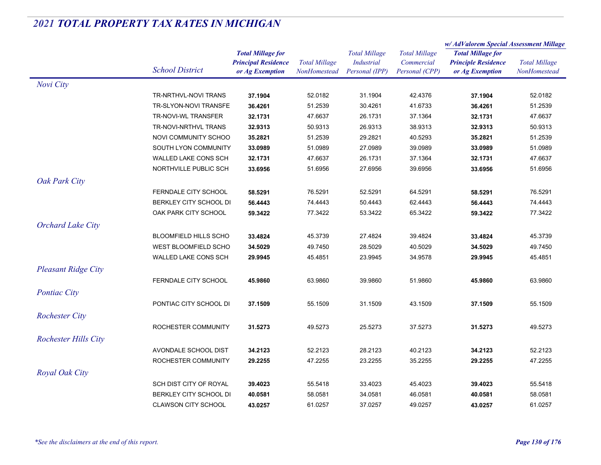|  | 2021 TOTAL PROPERTY TAX RATES IN MICHIGAN |  |  |  |
|--|-------------------------------------------|--|--|--|
|--|-------------------------------------------|--|--|--|

|                             |                              |                            | <b>Total Millage</b> | <b>Total Millage</b><br>Industrial | <b>Total Millage</b><br>Commercial<br>Personal (CPP) | w/ AdValorem Special Assessment Millage                |                      |
|-----------------------------|------------------------------|----------------------------|----------------------|------------------------------------|------------------------------------------------------|--------------------------------------------------------|----------------------|
|                             |                              | <b>Total Millage for</b>   |                      |                                    |                                                      | <b>Total Millage for</b><br><b>Principle Residence</b> | <b>Total Millage</b> |
|                             | <b>School District</b>       | <b>Principal Residence</b> |                      |                                    |                                                      |                                                        |                      |
|                             |                              | or Ag Exemption            | NonHomestead         | Personal (IPP)                     |                                                      | or Ag Exemption                                        | NonHomestead         |
| Novi City                   |                              |                            |                      |                                    |                                                      |                                                        |                      |
|                             | TR-NRTHVL-NOVI TRANS         | 37.1904                    | 52.0182              | 31.1904                            | 42.4376                                              | 37.1904                                                | 52.0182              |
|                             | TR-SLYON-NOVI TRANSFE        | 36.4261                    | 51.2539              | 30.4261                            | 41.6733                                              | 36.4261                                                | 51.2539              |
|                             | TR-NOVI-WL TRANSFER          | 32.1731                    | 47.6637              | 26.1731                            | 37.1364                                              | 32.1731                                                | 47.6637              |
|                             | TR-NOVI-NRTHVL TRANS         | 32.9313                    | 50.9313              | 26.9313                            | 38.9313                                              | 32.9313                                                | 50.9313              |
|                             | NOVI COMMUNITY SCHOO         | 35.2821                    | 51.2539              | 29.2821                            | 40.5293                                              | 35.2821                                                | 51.2539              |
|                             | SOUTH LYON COMMUNITY         | 33.0989                    | 51.0989              | 27.0989                            | 39.0989                                              | 33.0989                                                | 51.0989              |
|                             | WALLED LAKE CONS SCH         | 32.1731                    | 47.6637              | 26.1731                            | 37.1364                                              | 32.1731                                                | 47.6637              |
|                             | NORTHVILLE PUBLIC SCH        | 33.6956                    | 51.6956              | 27.6956                            | 39.6956                                              | 33.6956                                                | 51.6956              |
| Oak Park City               |                              |                            |                      |                                    |                                                      |                                                        |                      |
|                             | FERNDALE CITY SCHOOL         | 58.5291                    | 76.5291              | 52.5291                            | 64.5291                                              | 58.5291                                                | 76.5291              |
|                             | BERKLEY CITY SCHOOL DI       | 56.4443                    | 74.4443              | 50.4443                            | 62.4443                                              | 56.4443                                                | 74.4443              |
|                             | OAK PARK CITY SCHOOL         | 59.3422                    | 77.3422              | 53.3422                            | 65.3422                                              | 59.3422                                                | 77.3422              |
| <b>Orchard Lake City</b>    |                              |                            |                      |                                    |                                                      |                                                        |                      |
|                             | <b>BLOOMFIELD HILLS SCHO</b> | 33.4824                    | 45.3739              | 27.4824                            | 39.4824                                              | 33.4824                                                | 45.3739              |
|                             | <b>WEST BLOOMFIELD SCHO</b>  | 34.5029                    | 49.7450              | 28.5029                            | 40.5029                                              | 34.5029                                                | 49.7450              |
|                             | WALLED LAKE CONS SCH         | 29.9945                    | 45.4851              | 23.9945                            | 34.9578                                              | 29.9945                                                | 45.4851              |
| <b>Pleasant Ridge City</b>  |                              |                            |                      |                                    |                                                      |                                                        |                      |
|                             | FERNDALE CITY SCHOOL         | 45.9860                    | 63.9860              | 39.9860                            | 51.9860                                              | 45.9860                                                | 63.9860              |
|                             |                              |                            |                      |                                    |                                                      |                                                        |                      |
| <b>Pontiac City</b>         |                              |                            |                      |                                    |                                                      |                                                        |                      |
|                             | PONTIAC CITY SCHOOL DI       | 37.1509                    | 55.1509              | 31.1509                            | 43.1509                                              | 37.1509                                                | 55.1509              |
| <b>Rochester City</b>       |                              |                            |                      |                                    |                                                      |                                                        |                      |
|                             | ROCHESTER COMMUNITY          | 31.5273                    | 49.5273              | 25.5273                            | 37.5273                                              | 31.5273                                                | 49.5273              |
| <b>Rochester Hills City</b> |                              |                            |                      |                                    |                                                      |                                                        |                      |
|                             | AVONDALE SCHOOL DIST         | 34.2123                    | 52.2123              | 28.2123                            | 40.2123                                              | 34.2123                                                | 52.2123              |
|                             | ROCHESTER COMMUNITY          | 29.2255                    | 47.2255              | 23.2255                            | 35.2255                                              | 29.2255                                                | 47.2255              |
| Royal Oak City              |                              |                            |                      |                                    |                                                      |                                                        |                      |
|                             | SCH DIST CITY OF ROYAL       | 39.4023                    | 55.5418              | 33.4023                            | 45.4023                                              | 39.4023                                                | 55.5418              |
|                             | BERKLEY CITY SCHOOL DI       | 40.0581                    | 58.0581              | 34.0581                            | 46.0581                                              | 40.0581                                                | 58.0581              |
|                             | <b>CLAWSON CITY SCHOOL</b>   | 43.0257                    | 61.0257              | 37.0257                            | 49.0257                                              | 43.0257                                                | 61.0257              |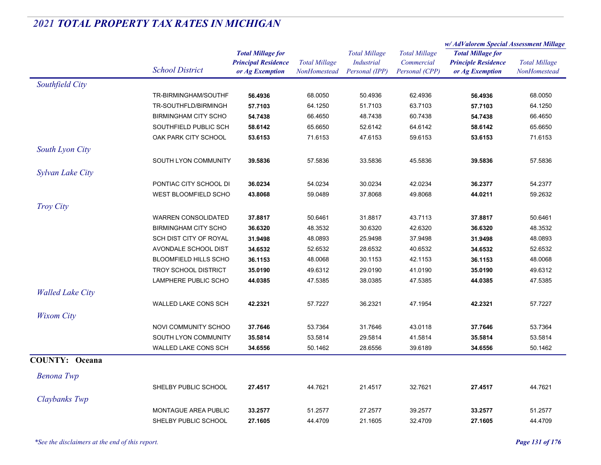|                         |                              |                                                                           |                                      |                                                             |                                                      | w/ AdValorem Special Assessment Millage                                   |                                      |
|-------------------------|------------------------------|---------------------------------------------------------------------------|--------------------------------------|-------------------------------------------------------------|------------------------------------------------------|---------------------------------------------------------------------------|--------------------------------------|
|                         | <b>School District</b>       | <b>Total Millage for</b><br><b>Principal Residence</b><br>or Ag Exemption | <b>Total Millage</b><br>NonHomestead | <b>Total Millage</b><br><b>Industrial</b><br>Personal (IPP) | <b>Total Millage</b><br>Commercial<br>Personal (CPP) | <b>Total Millage for</b><br><b>Principle Residence</b><br>or Ag Exemption | <b>Total Millage</b><br>NonHomestead |
| Southfield City         |                              |                                                                           |                                      |                                                             |                                                      |                                                                           |                                      |
|                         | TR-BIRMINGHAM/SOUTHF         | 56.4936                                                                   | 68.0050                              | 50.4936                                                     | 62.4936                                              | 56.4936                                                                   | 68.0050                              |
|                         | TR-SOUTHFLD/BIRMINGH         | 57.7103                                                                   | 64.1250                              | 51.7103                                                     | 63.7103                                              | 57.7103                                                                   | 64.1250                              |
|                         | <b>BIRMINGHAM CITY SCHO</b>  | 54.7438                                                                   | 66.4650                              | 48.7438                                                     | 60.7438                                              | 54.7438                                                                   | 66.4650                              |
|                         | SOUTHFIELD PUBLIC SCH        | 58.6142                                                                   | 65.6650                              | 52.6142                                                     | 64.6142                                              | 58.6142                                                                   | 65.6650                              |
|                         | OAK PARK CITY SCHOOL         | 53.6153                                                                   | 71.6153                              | 47.6153                                                     | 59.6153                                              | 53.6153                                                                   | 71.6153                              |
| South Lyon City         |                              |                                                                           |                                      |                                                             |                                                      |                                                                           |                                      |
|                         | SOUTH LYON COMMUNITY         | 39.5836                                                                   | 57.5836                              | 33.5836                                                     | 45.5836                                              | 39.5836                                                                   | 57.5836                              |
| Sylvan Lake City        |                              |                                                                           |                                      |                                                             |                                                      |                                                                           |                                      |
|                         | PONTIAC CITY SCHOOL DI       | 36.0234                                                                   | 54.0234                              | 30.0234                                                     | 42.0234                                              | 36.2377                                                                   | 54.2377                              |
|                         | <b>WEST BLOOMFIELD SCHO</b>  | 43.8068                                                                   | 59.0489                              | 37.8068                                                     | 49.8068                                              | 44.0211                                                                   | 59.2632                              |
| Troy City               |                              |                                                                           |                                      |                                                             |                                                      |                                                                           |                                      |
|                         | <b>WARREN CONSOLIDATED</b>   | 37.8817                                                                   | 50.6461                              | 31.8817                                                     | 43.7113                                              | 37.8817                                                                   | 50.6461                              |
|                         | <b>BIRMINGHAM CITY SCHO</b>  | 36.6320                                                                   | 48.3532                              | 30.6320                                                     | 42.6320                                              | 36.6320                                                                   | 48.3532                              |
|                         | SCH DIST CITY OF ROYAL       | 31.9498                                                                   | 48.0893                              | 25.9498                                                     | 37.9498                                              | 31.9498                                                                   | 48.0893                              |
|                         | AVONDALE SCHOOL DIST         | 34.6532                                                                   | 52.6532                              | 28.6532                                                     | 40.6532                                              | 34.6532                                                                   | 52.6532                              |
|                         | <b>BLOOMFIELD HILLS SCHO</b> | 36.1153                                                                   | 48.0068                              | 30.1153                                                     | 42.1153                                              | 36.1153                                                                   | 48.0068                              |
|                         | <b>TROY SCHOOL DISTRICT</b>  | 35.0190                                                                   | 49.6312                              | 29.0190                                                     | 41.0190                                              | 35.0190                                                                   | 49.6312                              |
|                         | LAMPHERE PUBLIC SCHO         | 44.0385                                                                   | 47.5385                              | 38.0385                                                     | 47.5385                                              | 44.0385                                                                   | 47.5385                              |
| <b>Walled Lake City</b> |                              |                                                                           |                                      |                                                             |                                                      |                                                                           |                                      |
|                         | <b>WALLED LAKE CONS SCH</b>  | 42.2321                                                                   | 57.7227                              | 36.2321                                                     | 47.1954                                              | 42.2321                                                                   | 57.7227                              |
| <b>Wixom City</b>       |                              |                                                                           |                                      |                                                             |                                                      |                                                                           |                                      |
|                         | NOVI COMMUNITY SCHOO         | 37.7646                                                                   | 53.7364                              | 31.7646                                                     | 43.0118                                              | 37.7646                                                                   | 53.7364                              |
|                         | SOUTH LYON COMMUNITY         | 35.5814                                                                   | 53.5814                              | 29.5814                                                     | 41.5814                                              | 35.5814                                                                   | 53.5814                              |
|                         | WALLED LAKE CONS SCH         | 34.6556                                                                   | 50.1462                              | 28.6556                                                     | 39.6189                                              | 34.6556                                                                   | 50.1462                              |
| <b>COUNTY: Oceana</b>   |                              |                                                                           |                                      |                                                             |                                                      |                                                                           |                                      |
| Benona Twp              |                              |                                                                           |                                      |                                                             |                                                      |                                                                           |                                      |
|                         | SHELBY PUBLIC SCHOOL         | 27.4517                                                                   | 44.7621                              | 21.4517                                                     | 32.7621                                              | 27.4517                                                                   | 44.7621                              |
| Claybanks Twp           |                              |                                                                           |                                      |                                                             |                                                      |                                                                           |                                      |
|                         | MONTAGUE AREA PUBLIC         | 33.2577                                                                   | 51.2577                              | 27.2577                                                     | 39.2577                                              | 33.2577                                                                   | 51.2577                              |
|                         | SHELBY PUBLIC SCHOOL         | 27.1605                                                                   | 44.4709                              | 21.1605                                                     | 32.4709                                              | 27.1605                                                                   | 44.4709                              |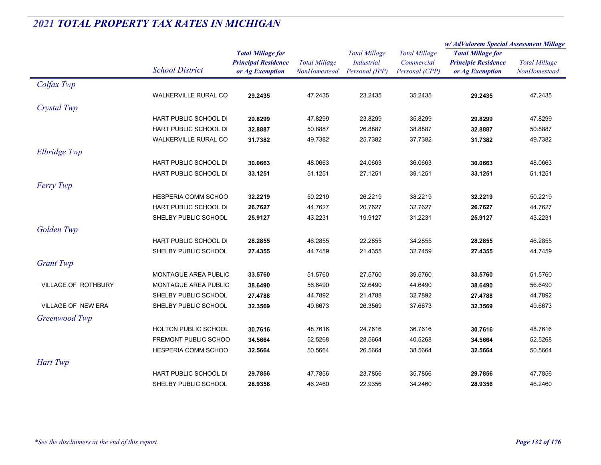|                           |                              |                                                                           |                                      |                                                             |                                                      | w/AdValorem Special Assessment Millage                                    |                                      |
|---------------------------|------------------------------|---------------------------------------------------------------------------|--------------------------------------|-------------------------------------------------------------|------------------------------------------------------|---------------------------------------------------------------------------|--------------------------------------|
|                           | <b>School District</b>       | <b>Total Millage for</b><br><b>Principal Residence</b><br>or Ag Exemption | <b>Total Millage</b><br>NonHomestead | <b>Total Millage</b><br><b>Industrial</b><br>Personal (IPP) | <b>Total Millage</b><br>Commercial<br>Personal (CPP) | <b>Total Millage for</b><br><b>Principle Residence</b><br>or Ag Exemption | <b>Total Millage</b><br>NonHomestead |
| Colfax Twp                |                              |                                                                           |                                      |                                                             |                                                      |                                                                           |                                      |
|                           | <b>WALKERVILLE RURAL CO</b>  | 29.2435                                                                   | 47.2435                              | 23.2435                                                     | 35.2435                                              | 29.2435                                                                   | 47.2435                              |
| Crystal Twp               |                              |                                                                           |                                      |                                                             |                                                      |                                                                           |                                      |
|                           | HART PUBLIC SCHOOL DI        | 29.8299                                                                   | 47.8299                              | 23.8299                                                     | 35.8299                                              | 29.8299                                                                   | 47.8299                              |
|                           | HART PUBLIC SCHOOL DI        | 32.8887                                                                   | 50.8887                              | 26.8887                                                     | 38.8887                                              | 32.8887                                                                   | 50.8887                              |
|                           | WALKERVILLE RURAL CO         | 31.7382                                                                   | 49.7382                              | 25.7382                                                     | 37.7382                                              | 31.7382                                                                   | 49.7382                              |
| Elbridge Twp              |                              |                                                                           |                                      |                                                             |                                                      |                                                                           |                                      |
|                           | HART PUBLIC SCHOOL DI        | 30.0663                                                                   | 48.0663                              | 24.0663                                                     | 36.0663                                              | 30.0663                                                                   | 48.0663                              |
|                           | <b>HART PUBLIC SCHOOL DI</b> | 33.1251                                                                   | 51.1251                              | 27.1251                                                     | 39.1251                                              | 33.1251                                                                   | 51.1251                              |
| <b>Ferry Twp</b>          |                              |                                                                           |                                      |                                                             |                                                      |                                                                           |                                      |
|                           | HESPERIA COMM SCHOO          | 32.2219                                                                   | 50.2219                              | 26.2219                                                     | 38.2219                                              | 32.2219                                                                   | 50.2219                              |
|                           | HART PUBLIC SCHOOL DI        | 26.7627                                                                   | 44.7627                              | 20.7627                                                     | 32.7627                                              | 26.7627                                                                   | 44.7627                              |
|                           | SHELBY PUBLIC SCHOOL         | 25.9127                                                                   | 43.2231                              | 19.9127                                                     | 31.2231                                              | 25.9127                                                                   | 43.2231                              |
| Golden Twp                |                              |                                                                           |                                      |                                                             |                                                      |                                                                           |                                      |
|                           | HART PUBLIC SCHOOL DI        | 28.2855                                                                   | 46.2855                              | 22.2855                                                     | 34.2855                                              | 28.2855                                                                   | 46.2855                              |
|                           | SHELBY PUBLIC SCHOOL         | 27.4355                                                                   | 44.7459                              | 21.4355                                                     | 32.7459                                              | 27.4355                                                                   | 44.7459                              |
| <b>Grant Twp</b>          |                              |                                                                           |                                      |                                                             |                                                      |                                                                           |                                      |
|                           | MONTAGUE AREA PUBLIC         | 33.5760                                                                   | 51.5760                              | 27.5760                                                     | 39.5760                                              | 33.5760                                                                   | 51.5760                              |
| VILLAGE OF ROTHBURY       | MONTAGUE AREA PUBLIC         | 38.6490                                                                   | 56.6490                              | 32.6490                                                     | 44.6490                                              | 38.6490                                                                   | 56.6490                              |
|                           | SHELBY PUBLIC SCHOOL         | 27.4788                                                                   | 44.7892                              | 21.4788                                                     | 32.7892                                              | 27.4788                                                                   | 44.7892                              |
| <b>VILLAGE OF NEW ERA</b> | SHELBY PUBLIC SCHOOL         | 32.3569                                                                   | 49.6673                              | 26.3569                                                     | 37.6673                                              | 32.3569                                                                   | 49.6673                              |
| Greenwood Twp             |                              |                                                                           |                                      |                                                             |                                                      |                                                                           |                                      |
|                           | HOLTON PUBLIC SCHOOL         | 30.7616                                                                   | 48.7616                              | 24.7616                                                     | 36.7616                                              | 30.7616                                                                   | 48.7616                              |
|                           | FREMONT PUBLIC SCHOO         | 34.5664                                                                   | 52.5268                              | 28.5664                                                     | 40.5268                                              | 34.5664                                                                   | 52.5268                              |
|                           | HESPERIA COMM SCHOO          | 32.5664                                                                   | 50.5664                              | 26.5664                                                     | 38.5664                                              | 32.5664                                                                   | 50.5664                              |
| Hart Twp                  |                              |                                                                           |                                      |                                                             |                                                      |                                                                           |                                      |
|                           | HART PUBLIC SCHOOL DI        | 29.7856                                                                   | 47.7856                              | 23.7856                                                     | 35.7856                                              | 29.7856                                                                   | 47.7856                              |
|                           | SHELBY PUBLIC SCHOOL         | 28.9356                                                                   | 46.2460                              | 22.9356                                                     | 34.2460                                              | 28.9356                                                                   | 46.2460                              |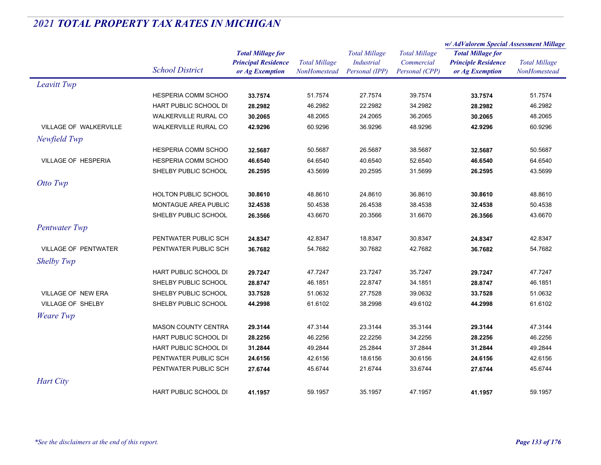|                             |                              | <b>Total Millage for</b><br><b>Principal Residence</b><br>or Ag Exemption | <b>Total Millage</b><br>NonHomestead | <b>Total Millage</b><br><b>Industrial</b><br>Personal (IPP) | <b>Total Millage</b><br>Commercial<br>Personal (CPP) | w/ AdValorem Special Assessment Millage       |                                      |
|-----------------------------|------------------------------|---------------------------------------------------------------------------|--------------------------------------|-------------------------------------------------------------|------------------------------------------------------|-----------------------------------------------|--------------------------------------|
|                             |                              |                                                                           |                                      |                                                             |                                                      | <b>Total Millage for</b>                      | <b>Total Millage</b><br>NonHomestead |
|                             | <b>School District</b>       |                                                                           |                                      |                                                             |                                                      | <b>Principle Residence</b><br>or Ag Exemption |                                      |
|                             |                              |                                                                           |                                      |                                                             |                                                      |                                               |                                      |
| Leavitt Twp                 |                              |                                                                           |                                      |                                                             |                                                      |                                               |                                      |
|                             | HESPERIA COMM SCHOO          | 33.7574                                                                   | 51.7574                              | 27.7574                                                     | 39.7574                                              | 33.7574                                       | 51.7574                              |
|                             | <b>HART PUBLIC SCHOOL DI</b> | 28.2982                                                                   | 46.2982                              | 22.2982                                                     | 34.2982                                              | 28.2982                                       | 46.2982                              |
|                             | <b>WALKERVILLE RURAL CO</b>  | 30.2065                                                                   | 48.2065                              | 24.2065                                                     | 36.2065                                              | 30.2065                                       | 48.2065                              |
| VILLAGE OF WALKERVILLE      | WALKERVILLE RURAL CO         | 42.9296                                                                   | 60.9296                              | 36.9296                                                     | 48.9296                                              | 42.9296                                       | 60.9296                              |
| Newfield Twp                |                              |                                                                           |                                      |                                                             |                                                      |                                               |                                      |
|                             | HESPERIA COMM SCHOO          | 32.5687                                                                   | 50.5687                              | 26.5687                                                     | 38.5687                                              | 32.5687                                       | 50.5687                              |
| VILLAGE OF HESPERIA         | HESPERIA COMM SCHOO          | 46.6540                                                                   | 64.6540                              | 40.6540                                                     | 52.6540                                              | 46.6540                                       | 64.6540                              |
|                             | SHELBY PUBLIC SCHOOL         | 26.2595                                                                   | 43.5699                              | 20.2595                                                     | 31.5699                                              | 26.2595                                       | 43.5699                              |
| Otto Twp                    |                              |                                                                           |                                      |                                                             |                                                      |                                               |                                      |
|                             | <b>HOLTON PUBLIC SCHOOL</b>  | 30.8610                                                                   | 48.8610                              | 24.8610                                                     | 36.8610                                              | 30.8610                                       | 48.8610                              |
|                             | MONTAGUE AREA PUBLIC         | 32.4538                                                                   | 50.4538                              | 26.4538                                                     | 38.4538                                              | 32.4538                                       | 50.4538                              |
|                             | SHELBY PUBLIC SCHOOL         | 26.3566                                                                   | 43.6670                              | 20.3566                                                     | 31.6670                                              | 26.3566                                       | 43.6670                              |
| <b>Pentwater Twp</b>        |                              |                                                                           |                                      |                                                             |                                                      |                                               |                                      |
|                             | PENTWATER PUBLIC SCH         | 24.8347                                                                   | 42.8347                              | 18.8347                                                     | 30.8347                                              | 24.8347                                       | 42.8347                              |
| <b>VILLAGE OF PENTWATER</b> | PENTWATER PUBLIC SCH         | 36.7682                                                                   | 54.7682                              | 30.7682                                                     | 42.7682                                              | 36.7682                                       | 54.7682                              |
| Shelby Twp                  |                              |                                                                           |                                      |                                                             |                                                      |                                               |                                      |
|                             | HART PUBLIC SCHOOL DI        | 29.7247                                                                   | 47.7247                              | 23.7247                                                     | 35.7247                                              | 29.7247                                       | 47.7247                              |
|                             | SHELBY PUBLIC SCHOOL         | 28.8747                                                                   | 46.1851                              | 22.8747                                                     | 34.1851                                              | 28.8747                                       | 46.1851                              |
| VILLAGE OF NEW ERA          | SHELBY PUBLIC SCHOOL         | 33.7528                                                                   | 51.0632                              | 27.7528                                                     | 39.0632                                              | 33.7528                                       | 51.0632                              |
| VILLAGE OF SHELBY           | SHELBY PUBLIC SCHOOL         | 44.2998                                                                   | 61.6102                              | 38.2998                                                     | 49.6102                                              | 44.2998                                       | 61.6102                              |
| <b>Weare</b> Twp            |                              |                                                                           |                                      |                                                             |                                                      |                                               |                                      |
|                             | <b>MASON COUNTY CENTRA</b>   | 29.3144                                                                   | 47.3144                              | 23.3144                                                     | 35.3144                                              | 29.3144                                       | 47.3144                              |
|                             | <b>HART PUBLIC SCHOOL DI</b> | 28.2256                                                                   | 46.2256                              | 22.2256                                                     | 34.2256                                              | 28.2256                                       | 46.2256                              |
|                             | HART PUBLIC SCHOOL DI        | 31.2844                                                                   | 49.2844                              | 25.2844                                                     | 37.2844                                              | 31.2844                                       | 49.2844                              |
|                             | PENTWATER PUBLIC SCH         | 24.6156                                                                   | 42.6156                              | 18.6156                                                     | 30.6156                                              | 24.6156                                       | 42.6156                              |
|                             | PENTWATER PUBLIC SCH         | 27.6744                                                                   | 45.6744                              | 21.6744                                                     | 33.6744                                              | 27.6744                                       | 45.6744                              |
| <b>Hart City</b>            |                              |                                                                           |                                      |                                                             |                                                      |                                               |                                      |
|                             | <b>HART PUBLIC SCHOOL DI</b> | 41.1957                                                                   | 59.1957                              | 35.1957                                                     | 47.1957                                              | 41.1957                                       | 59.1957                              |
|                             |                              |                                                                           |                                      |                                                             |                                                      |                                               |                                      |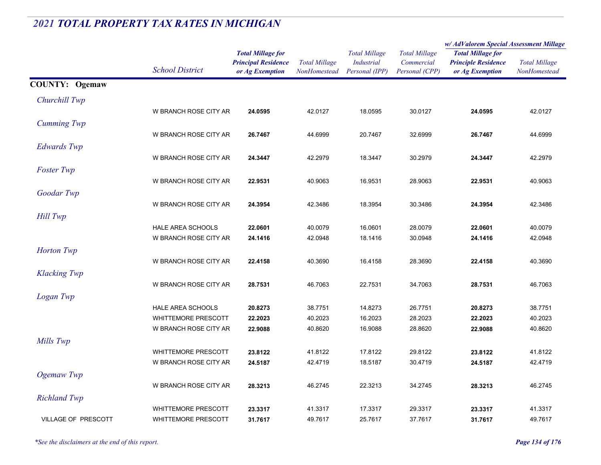|                            |                            |                                                                           |                                      |                                                             |                                                      | w/ AdValorem Special Assessment Millage                                   |                                      |
|----------------------------|----------------------------|---------------------------------------------------------------------------|--------------------------------------|-------------------------------------------------------------|------------------------------------------------------|---------------------------------------------------------------------------|--------------------------------------|
|                            | <b>School District</b>     | <b>Total Millage for</b><br><b>Principal Residence</b><br>or Ag Exemption | <b>Total Millage</b><br>NonHomestead | <b>Total Millage</b><br><b>Industrial</b><br>Personal (IPP) | <b>Total Millage</b><br>Commercial<br>Personal (CPP) | <b>Total Millage for</b><br><b>Principle Residence</b><br>or Ag Exemption | <b>Total Millage</b><br>NonHomestead |
| <b>COUNTY: Ogemaw</b>      |                            |                                                                           |                                      |                                                             |                                                      |                                                                           |                                      |
| Churchill Twp              |                            |                                                                           |                                      |                                                             |                                                      |                                                                           |                                      |
|                            | W BRANCH ROSE CITY AR      | 24.0595                                                                   | 42.0127                              | 18.0595                                                     | 30.0127                                              | 24.0595                                                                   | 42.0127                              |
| <b>Cumming Twp</b>         |                            |                                                                           |                                      |                                                             |                                                      |                                                                           |                                      |
|                            | W BRANCH ROSE CITY AR      | 26.7467                                                                   | 44.6999                              | 20.7467                                                     | 32.6999                                              | 26.7467                                                                   | 44.6999                              |
| <b>Edwards</b> Twp         |                            |                                                                           |                                      |                                                             |                                                      |                                                                           |                                      |
|                            | W BRANCH ROSE CITY AR      | 24.3447                                                                   | 42.2979                              | 18.3447                                                     | 30.2979                                              | 24.3447                                                                   | 42.2979                              |
| <b>Foster Twp</b>          |                            |                                                                           |                                      |                                                             |                                                      |                                                                           |                                      |
|                            | W BRANCH ROSE CITY AR      | 22.9531                                                                   | 40.9063                              | 16.9531                                                     | 28.9063                                              | 22.9531                                                                   | 40.9063                              |
| Goodar Twp                 |                            |                                                                           |                                      |                                                             |                                                      |                                                                           |                                      |
|                            | W BRANCH ROSE CITY AR      | 24.3954                                                                   | 42.3486                              | 18.3954                                                     | 30.3486                                              | 24.3954                                                                   | 42.3486                              |
| <b>Hill Twp</b>            |                            |                                                                           |                                      |                                                             |                                                      |                                                                           |                                      |
|                            | HALE AREA SCHOOLS          | 22.0601                                                                   | 40.0079                              | 16.0601                                                     | 28.0079                                              | 22.0601                                                                   | 40.0079                              |
|                            | W BRANCH ROSE CITY AR      | 24.1416                                                                   | 42.0948                              | 18.1416                                                     | 30.0948                                              | 24.1416                                                                   | 42.0948                              |
| <b>Horton</b> Twp          |                            |                                                                           |                                      |                                                             |                                                      |                                                                           |                                      |
|                            | W BRANCH ROSE CITY AR      | 22.4158                                                                   | 40.3690                              | 16.4158                                                     | 28.3690                                              | 22.4158                                                                   | 40.3690                              |
| <b>Klacking Twp</b>        |                            |                                                                           |                                      |                                                             |                                                      |                                                                           |                                      |
|                            | W BRANCH ROSE CITY AR      | 28.7531                                                                   | 46.7063                              | 22.7531                                                     | 34.7063                                              | 28.7531                                                                   | 46.7063                              |
| Logan Twp                  |                            |                                                                           |                                      |                                                             |                                                      |                                                                           |                                      |
|                            | <b>HALE AREA SCHOOLS</b>   | 20.8273                                                                   | 38.7751                              | 14.8273                                                     | 26.7751                                              | 20.8273                                                                   | 38.7751                              |
|                            | <b>WHITTEMORE PRESCOTT</b> | 22.2023                                                                   | 40.2023                              | 16.2023                                                     | 28.2023                                              | 22.2023                                                                   | 40.2023                              |
|                            | W BRANCH ROSE CITY AR      | 22.9088                                                                   | 40.8620                              | 16.9088                                                     | 28.8620                                              | 22.9088                                                                   | 40.8620                              |
| Mills Twp                  |                            |                                                                           |                                      |                                                             |                                                      |                                                                           |                                      |
|                            | <b>WHITTEMORE PRESCOTT</b> | 23.8122                                                                   | 41.8122                              | 17.8122                                                     | 29.8122                                              | 23.8122                                                                   | 41.8122                              |
|                            | W BRANCH ROSE CITY AR      | 24.5187                                                                   | 42.4719                              | 18.5187                                                     | 30.4719                                              | 24.5187                                                                   | 42.4719                              |
| Ogemaw Twp                 |                            |                                                                           |                                      |                                                             |                                                      |                                                                           |                                      |
|                            | W BRANCH ROSE CITY AR      | 28.3213                                                                   | 46.2745                              | 22.3213                                                     | 34.2745                                              | 28.3213                                                                   | 46.2745                              |
| <b>Richland Twp</b>        |                            |                                                                           |                                      |                                                             |                                                      |                                                                           |                                      |
|                            | <b>WHITTEMORE PRESCOTT</b> | 23.3317                                                                   | 41.3317                              | 17.3317                                                     | 29.3317                                              | 23.3317                                                                   | 41.3317                              |
| <b>VILLAGE OF PRESCOTT</b> | <b>WHITTEMORE PRESCOTT</b> | 31.7617                                                                   | 49.7617                              | 25.7617                                                     | 37.7617                                              | 31.7617                                                                   | 49.7617                              |

*\*See the disclaimers at the end of this report. Page 134 of 176*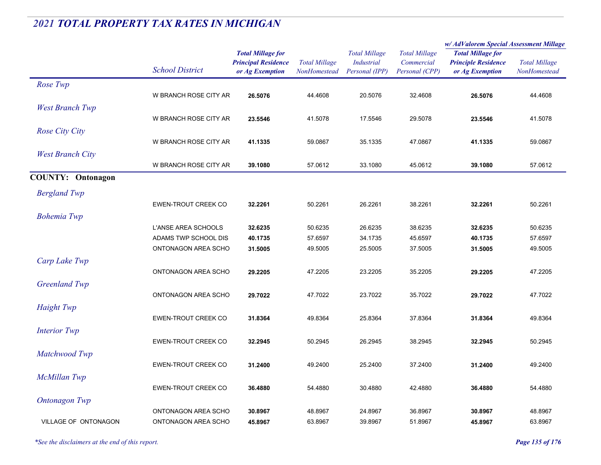|                          |                            |                                                                           |                                             |                                                             |                                                      | w/ AdValorem Special Assessment Millage                                   |                                      |
|--------------------------|----------------------------|---------------------------------------------------------------------------|---------------------------------------------|-------------------------------------------------------------|------------------------------------------------------|---------------------------------------------------------------------------|--------------------------------------|
|                          | <b>School District</b>     | <b>Total Millage for</b><br><b>Principal Residence</b><br>or Ag Exemption | <b>Total Millage</b><br><b>NonHomestead</b> | <b>Total Millage</b><br><b>Industrial</b><br>Personal (IPP) | <b>Total Millage</b><br>Commercial<br>Personal (CPP) | <b>Total Millage for</b><br><b>Principle Residence</b><br>or Ag Exemption | <b>Total Millage</b><br>NonHomestead |
| Rose Twp                 |                            |                                                                           |                                             |                                                             |                                                      |                                                                           |                                      |
|                          | W BRANCH ROSE CITY AR      | 26.5076                                                                   | 44.4608                                     | 20.5076                                                     | 32.4608                                              | 26.5076                                                                   | 44.4608                              |
| <b>West Branch Twp</b>   |                            |                                                                           |                                             |                                                             |                                                      |                                                                           |                                      |
|                          | W BRANCH ROSE CITY AR      | 23.5546                                                                   | 41.5078                                     | 17.5546                                                     | 29.5078                                              | 23.5546                                                                   | 41.5078                              |
| <b>Rose City City</b>    |                            |                                                                           |                                             |                                                             |                                                      |                                                                           |                                      |
|                          | W BRANCH ROSE CITY AR      | 41.1335                                                                   | 59.0867                                     | 35.1335                                                     | 47.0867                                              | 41.1335                                                                   | 59.0867                              |
| <b>West Branch City</b>  |                            |                                                                           |                                             |                                                             |                                                      |                                                                           |                                      |
|                          | W BRANCH ROSE CITY AR      | 39.1080                                                                   | 57.0612                                     | 33.1080                                                     | 45.0612                                              | 39.1080                                                                   | 57.0612                              |
|                          |                            |                                                                           |                                             |                                                             |                                                      |                                                                           |                                      |
| <b>COUNTY: Ontonagon</b> |                            |                                                                           |                                             |                                                             |                                                      |                                                                           |                                      |
| <b>Bergland Twp</b>      |                            |                                                                           |                                             |                                                             |                                                      |                                                                           |                                      |
|                          | <b>EWEN-TROUT CREEK CO</b> | 32.2261                                                                   | 50.2261                                     | 26.2261                                                     | 38.2261                                              | 32.2261                                                                   | 50.2261                              |
| <b>Bohemia Twp</b>       |                            |                                                                           |                                             |                                                             |                                                      |                                                                           |                                      |
|                          | L'ANSE AREA SCHOOLS        | 32.6235                                                                   | 50.6235                                     | 26.6235                                                     | 38.6235                                              | 32.6235                                                                   | 50.6235                              |
|                          | ADAMS TWP SCHOOL DIS       | 40.1735                                                                   | 57.6597                                     | 34.1735                                                     | 45.6597                                              | 40.1735                                                                   | 57.6597                              |
|                          | ONTONAGON AREA SCHO        | 31.5005                                                                   | 49.5005                                     | 25.5005                                                     | 37.5005                                              | 31.5005                                                                   | 49.5005                              |
| Carp Lake Twp            |                            |                                                                           |                                             |                                                             |                                                      |                                                                           |                                      |
|                          | ONTONAGON AREA SCHO        | 29.2205                                                                   | 47.2205                                     | 23.2205                                                     | 35.2205                                              | 29.2205                                                                   | 47.2205                              |
| <b>Greenland Twp</b>     |                            |                                                                           |                                             |                                                             |                                                      |                                                                           |                                      |
|                          | ONTONAGON AREA SCHO        | 29.7022                                                                   | 47.7022                                     | 23.7022                                                     | 35.7022                                              | 29.7022                                                                   | 47.7022                              |
| Haight Twp               |                            |                                                                           |                                             |                                                             |                                                      |                                                                           |                                      |
|                          | EWEN-TROUT CREEK CO        | 31.8364                                                                   | 49.8364                                     | 25.8364                                                     | 37.8364                                              | 31.8364                                                                   | 49.8364                              |
| <b>Interior Twp</b>      |                            |                                                                           |                                             |                                                             |                                                      |                                                                           |                                      |
|                          | <b>EWEN-TROUT CREEK CO</b> | 32.2945                                                                   | 50.2945                                     | 26.2945                                                     | 38.2945                                              | 32.2945                                                                   | 50.2945                              |
|                          |                            |                                                                           |                                             |                                                             |                                                      |                                                                           |                                      |
| Matchwood Twp            |                            |                                                                           |                                             |                                                             |                                                      |                                                                           |                                      |
|                          | <b>EWEN-TROUT CREEK CO</b> | 31.2400                                                                   | 49.2400                                     | 25.2400                                                     | 37.2400                                              | 31.2400                                                                   | 49.2400                              |
| McMillan Twp             |                            |                                                                           |                                             |                                                             |                                                      |                                                                           |                                      |
|                          | EWEN-TROUT CREEK CO        | 36.4880                                                                   | 54.4880                                     | 30.4880                                                     | 42.4880                                              | 36.4880                                                                   | 54.4880                              |
| <b>Ontonagon</b> Twp     |                            |                                                                           |                                             |                                                             |                                                      |                                                                           |                                      |
|                          | ONTONAGON AREA SCHO        | 30.8967                                                                   | 48.8967                                     | 24.8967                                                     | 36.8967                                              | 30.8967                                                                   | 48.8967                              |
| VILLAGE OF ONTONAGON     | ONTONAGON AREA SCHO        | 45.8967                                                                   | 63.8967                                     | 39.8967                                                     | 51.8967                                              | 45.8967                                                                   | 63.8967                              |

*\*See the disclaimers at the end of this report. Page 135 of 176*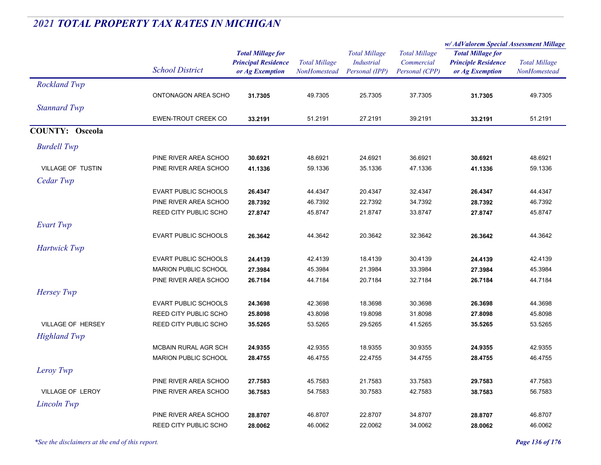|                        |                              |                                                                           |                                      |                                                             |                                                      | w/AdValorem Special Assessment Millage                                    |                                      |  |
|------------------------|------------------------------|---------------------------------------------------------------------------|--------------------------------------|-------------------------------------------------------------|------------------------------------------------------|---------------------------------------------------------------------------|--------------------------------------|--|
|                        | <b>School District</b>       | <b>Total Millage for</b><br><b>Principal Residence</b><br>or Ag Exemption | <b>Total Millage</b><br>NonHomestead | <b>Total Millage</b><br><b>Industrial</b><br>Personal (IPP) | <b>Total Millage</b><br>Commercial<br>Personal (CPP) | <b>Total Millage for</b><br><b>Principle Residence</b><br>or Ag Exemption | <b>Total Millage</b><br>NonHomestead |  |
| <b>Rockland Twp</b>    |                              |                                                                           |                                      |                                                             |                                                      |                                                                           |                                      |  |
|                        | ONTONAGON AREA SCHO          | 31.7305                                                                   | 49.7305                              | 25.7305                                                     | 37.7305                                              | 31.7305                                                                   | 49.7305                              |  |
| <b>Stannard Twp</b>    |                              |                                                                           |                                      |                                                             |                                                      |                                                                           |                                      |  |
|                        | <b>EWEN-TROUT CREEK CO</b>   | 33.2191                                                                   | 51.2191                              | 27.2191                                                     | 39.2191                                              | 33.2191                                                                   | 51.2191                              |  |
| <b>COUNTY: Osceola</b> |                              |                                                                           |                                      |                                                             |                                                      |                                                                           |                                      |  |
| <b>Burdell Twp</b>     |                              |                                                                           |                                      |                                                             |                                                      |                                                                           |                                      |  |
|                        | PINE RIVER AREA SCHOO        | 30.6921                                                                   | 48.6921                              | 24.6921                                                     | 36.6921                                              | 30.6921                                                                   | 48.6921                              |  |
| VILLAGE OF TUSTIN      | PINE RIVER AREA SCHOO        | 41.1336                                                                   | 59.1336                              | 35.1336                                                     | 47.1336                                              | 41.1336                                                                   | 59.1336                              |  |
| Cedar Twp              |                              |                                                                           |                                      |                                                             |                                                      |                                                                           |                                      |  |
|                        | <b>EVART PUBLIC SCHOOLS</b>  | 26.4347                                                                   | 44.4347                              | 20.4347                                                     | 32.4347                                              | 26.4347                                                                   | 44.4347                              |  |
|                        | PINE RIVER AREA SCHOO        | 28.7392                                                                   | 46.7392                              | 22.7392                                                     | 34.7392                                              | 28.7392                                                                   | 46.7392                              |  |
|                        | REED CITY PUBLIC SCHO        | 27.8747                                                                   | 45.8747                              | 21.8747                                                     | 33.8747                                              | 27.8747                                                                   | 45.8747                              |  |
| Evart Twp              |                              |                                                                           |                                      |                                                             |                                                      |                                                                           |                                      |  |
|                        | <b>EVART PUBLIC SCHOOLS</b>  | 26.3642                                                                   | 44.3642                              | 20.3642                                                     | 32.3642                                              | 26.3642                                                                   | 44.3642                              |  |
| <b>Hartwick Twp</b>    |                              |                                                                           |                                      |                                                             |                                                      |                                                                           |                                      |  |
|                        | <b>EVART PUBLIC SCHOOLS</b>  | 24.4139                                                                   | 42.4139                              | 18.4139                                                     | 30.4139                                              | 24.4139                                                                   | 42.4139                              |  |
|                        | <b>MARION PUBLIC SCHOOL</b>  | 27.3984                                                                   | 45.3984                              | 21.3984                                                     | 33.3984                                              | 27.3984                                                                   | 45.3984                              |  |
|                        | PINE RIVER AREA SCHOO        | 26.7184                                                                   | 44.7184                              | 20.7184                                                     | 32.7184                                              | 26.7184                                                                   | 44.7184                              |  |
| <b>Hersey Twp</b>      |                              |                                                                           |                                      |                                                             |                                                      |                                                                           |                                      |  |
|                        | <b>EVART PUBLIC SCHOOLS</b>  | 24.3698                                                                   | 42.3698                              | 18.3698                                                     | 30.3698                                              | 26.3698                                                                   | 44.3698                              |  |
|                        | <b>REED CITY PUBLIC SCHO</b> | 25.8098                                                                   | 43.8098                              | 19.8098                                                     | 31.8098                                              | 27.8098                                                                   | 45.8098                              |  |
| VILLAGE OF HERSEY      | REED CITY PUBLIC SCHO        | 35.5265                                                                   | 53.5265                              | 29.5265                                                     | 41.5265                                              | 35.5265                                                                   | 53.5265                              |  |
| <b>Highland Twp</b>    |                              |                                                                           |                                      |                                                             |                                                      |                                                                           |                                      |  |
|                        | MCBAIN RURAL AGR SCH         | 24.9355                                                                   | 42.9355                              | 18.9355                                                     | 30.9355                                              | 24.9355                                                                   | 42.9355                              |  |
|                        | <b>MARION PUBLIC SCHOOL</b>  | 28.4755                                                                   | 46.4755                              | 22.4755                                                     | 34.4755                                              | 28.4755                                                                   | 46.4755                              |  |
| Leroy Twp              |                              |                                                                           |                                      |                                                             |                                                      |                                                                           |                                      |  |
|                        | PINE RIVER AREA SCHOO        | 27.7583                                                                   | 45.7583                              | 21.7583                                                     | 33.7583                                              | 29.7583                                                                   | 47.7583                              |  |
| VILLAGE OF LEROY       | PINE RIVER AREA SCHOO        | 36.7583                                                                   | 54.7583                              | 30.7583                                                     | 42.7583                                              | 38.7583                                                                   | 56.7583                              |  |
| Lincoln Twp            |                              |                                                                           |                                      |                                                             |                                                      |                                                                           |                                      |  |
|                        | PINE RIVER AREA SCHOO        | 28.8707                                                                   | 46.8707                              | 22.8707                                                     | 34.8707                                              | 28.8707                                                                   | 46.8707                              |  |
|                        | REED CITY PUBLIC SCHO        | 28.0062                                                                   | 46.0062                              | 22.0062                                                     | 34.0062                                              | 28.0062                                                                   | 46.0062                              |  |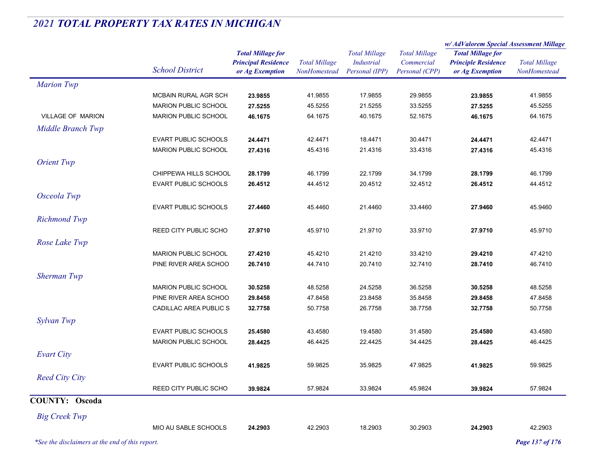|                                                 |                              |                                               |                                      | <b>Total Millage</b>                | <b>Total Millage</b>         | w/ AdValorem Special Assessment Millage       |                                      |  |
|-------------------------------------------------|------------------------------|-----------------------------------------------|--------------------------------------|-------------------------------------|------------------------------|-----------------------------------------------|--------------------------------------|--|
|                                                 |                              | <b>Total Millage for</b>                      |                                      |                                     |                              | <b>Total Millage for</b>                      |                                      |  |
|                                                 | <b>School District</b>       | <b>Principal Residence</b><br>or Ag Exemption | <b>Total Millage</b><br>NonHomestead | <b>Industrial</b><br>Personal (IPP) | Commercial<br>Personal (CPP) | <b>Principle Residence</b><br>or Ag Exemption | <b>Total Millage</b><br>NonHomestead |  |
|                                                 |                              |                                               |                                      |                                     |                              |                                               |                                      |  |
| <b>Marion Twp</b>                               |                              |                                               |                                      |                                     |                              |                                               |                                      |  |
|                                                 | MCBAIN RURAL AGR SCH         | 23.9855                                       | 41.9855                              | 17.9855                             | 29.9855                      | 23.9855                                       | 41.9855                              |  |
|                                                 | MARION PUBLIC SCHOOL         | 27.5255                                       | 45.5255                              | 21.5255                             | 33.5255                      | 27.5255                                       | 45.5255                              |  |
| VILLAGE OF MARION                               | <b>MARION PUBLIC SCHOOL</b>  | 46.1675                                       | 64.1675                              | 40.1675                             | 52.1675                      | 46.1675                                       | 64.1675                              |  |
| Middle Branch Twp                               |                              |                                               |                                      |                                     |                              |                                               |                                      |  |
|                                                 | <b>EVART PUBLIC SCHOOLS</b>  | 24.4471                                       | 42.4471                              | 18.4471                             | 30.4471                      | 24.4471                                       | 42.4471                              |  |
|                                                 | MARION PUBLIC SCHOOL         | 27.4316                                       | 45.4316                              | 21.4316                             | 33.4316                      | 27.4316                                       | 45.4316                              |  |
| <b>Orient Twp</b>                               |                              |                                               |                                      |                                     |                              |                                               |                                      |  |
|                                                 | CHIPPEWA HILLS SCHOOL        | 28.1799                                       | 46.1799                              | 22.1799                             | 34.1799                      | 28.1799                                       | 46.1799                              |  |
|                                                 | EVART PUBLIC SCHOOLS         | 26.4512                                       | 44.4512                              | 20.4512                             | 32.4512                      | 26.4512                                       | 44.4512                              |  |
| Osceola Twp                                     |                              |                                               |                                      |                                     |                              |                                               |                                      |  |
|                                                 |                              |                                               |                                      |                                     |                              |                                               |                                      |  |
|                                                 | <b>EVART PUBLIC SCHOOLS</b>  | 27.4460                                       | 45.4460                              | 21.4460                             | 33.4460                      | 27.9460                                       | 45.9460                              |  |
| <b>Richmond Twp</b>                             |                              |                                               |                                      |                                     |                              |                                               |                                      |  |
|                                                 | <b>REED CITY PUBLIC SCHO</b> | 27.9710                                       | 45.9710                              | 21.9710                             | 33.9710                      | 27.9710                                       | 45.9710                              |  |
| Rose Lake Twp                                   |                              |                                               |                                      |                                     |                              |                                               |                                      |  |
|                                                 | MARION PUBLIC SCHOOL         | 27.4210                                       | 45.4210                              | 21.4210                             | 33.4210                      | 29.4210                                       | 47.4210                              |  |
|                                                 | PINE RIVER AREA SCHOO        | 26.7410                                       | 44.7410                              | 20.7410                             | 32.7410                      | 28.7410                                       | 46.7410                              |  |
| <b>Sherman Twp</b>                              |                              |                                               |                                      |                                     |                              |                                               |                                      |  |
|                                                 | <b>MARION PUBLIC SCHOOL</b>  | 30.5258                                       | 48.5258                              | 24.5258                             | 36.5258                      | 30.5258                                       | 48.5258                              |  |
|                                                 | PINE RIVER AREA SCHOO        | 29.8458                                       | 47.8458                              | 23.8458                             | 35.8458                      | 29.8458                                       | 47.8458                              |  |
|                                                 | CADILLAC AREA PUBLIC S       | 32.7758                                       | 50.7758                              | 26.7758                             | 38.7758                      | 32.7758                                       | 50.7758                              |  |
| Sylvan Twp                                      |                              |                                               |                                      |                                     |                              |                                               |                                      |  |
|                                                 | <b>EVART PUBLIC SCHOOLS</b>  | 25.4580                                       | 43.4580                              | 19.4580                             | 31.4580                      | 25.4580                                       | 43.4580                              |  |
|                                                 | <b>MARION PUBLIC SCHOOL</b>  | 28.4425                                       | 46.4425                              | 22.4425                             | 34.4425                      | 28.4425                                       | 46.4425                              |  |
|                                                 |                              |                                               |                                      |                                     |                              |                                               |                                      |  |
| <b>Evart City</b>                               |                              |                                               |                                      |                                     |                              |                                               |                                      |  |
|                                                 | <b>EVART PUBLIC SCHOOLS</b>  | 41.9825                                       | 59.9825                              | 35.9825                             | 47.9825                      | 41.9825                                       | 59.9825                              |  |
| <b>Reed City City</b>                           |                              |                                               |                                      |                                     |                              |                                               |                                      |  |
|                                                 | REED CITY PUBLIC SCHO        | 39.9824                                       | 57.9824                              | 33.9824                             | 45.9824                      | 39.9824                                       | 57.9824                              |  |
| <b>COUNTY: Oscoda</b>                           |                              |                                               |                                      |                                     |                              |                                               |                                      |  |
|                                                 |                              |                                               |                                      |                                     |                              |                                               |                                      |  |
| <b>Big Creek Twp</b>                            |                              |                                               |                                      |                                     |                              |                                               |                                      |  |
|                                                 | MIO AU SABLE SCHOOLS         | 24.2903                                       | 42.2903                              | 18.2903                             | 30.2903                      | 24.2903                                       | 42.2903                              |  |
| *See the disclaimers at the end of this report. |                              |                                               |                                      |                                     |                              |                                               | Page 137 of 176                      |  |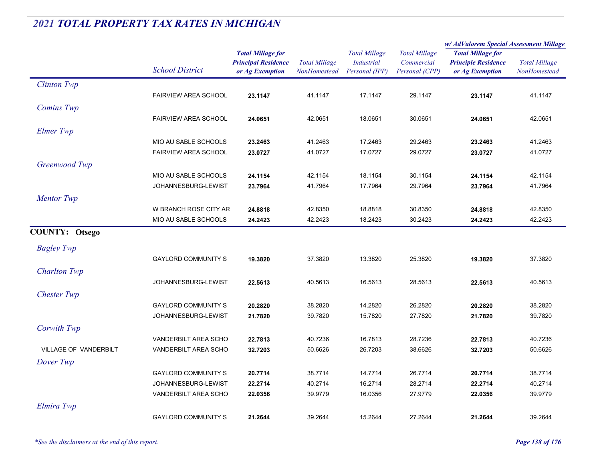|                       |                             |                                                                           |                                      |                                                             |                                                      | w/AdValorem Special Assessment Millage                                    |                                      |
|-----------------------|-----------------------------|---------------------------------------------------------------------------|--------------------------------------|-------------------------------------------------------------|------------------------------------------------------|---------------------------------------------------------------------------|--------------------------------------|
|                       | <b>School District</b>      | <b>Total Millage for</b><br><b>Principal Residence</b><br>or Ag Exemption | <b>Total Millage</b><br>NonHomestead | <b>Total Millage</b><br><b>Industrial</b><br>Personal (IPP) | <b>Total Millage</b><br>Commercial<br>Personal (CPP) | <b>Total Millage for</b><br><b>Principle Residence</b><br>or Ag Exemption | <b>Total Millage</b><br>NonHomestead |
| <b>Clinton Twp</b>    |                             |                                                                           |                                      |                                                             |                                                      |                                                                           |                                      |
|                       | <b>FAIRVIEW AREA SCHOOL</b> | 23.1147                                                                   | 41.1147                              | 17.1147                                                     | 29.1147                                              | 23.1147                                                                   | 41.1147                              |
| <b>Comins Twp</b>     |                             |                                                                           |                                      |                                                             |                                                      |                                                                           |                                      |
|                       | <b>FAIRVIEW AREA SCHOOL</b> | 24.0651                                                                   | 42.0651                              | 18.0651                                                     | 30.0651                                              | 24.0651                                                                   | 42.0651                              |
| Elmer Twp             |                             |                                                                           |                                      |                                                             |                                                      |                                                                           |                                      |
|                       | MIO AU SABLE SCHOOLS        | 23.2463                                                                   | 41.2463                              | 17.2463                                                     | 29.2463                                              | 23.2463                                                                   | 41.2463                              |
|                       | FAIRVIEW AREA SCHOOL        | 23.0727                                                                   | 41.0727                              | 17.0727                                                     | 29.0727                                              | 23.0727                                                                   | 41.0727                              |
| Greenwood Twp         |                             |                                                                           |                                      |                                                             |                                                      |                                                                           |                                      |
|                       | MIO AU SABLE SCHOOLS        | 24.1154                                                                   | 42.1154                              | 18.1154                                                     | 30.1154                                              | 24.1154                                                                   | 42.1154                              |
|                       | JOHANNESBURG-LEWIST         | 23.7964                                                                   | 41.7964                              | 17.7964                                                     | 29.7964                                              | 23.7964                                                                   | 41.7964                              |
| <b>Mentor</b> Twp     |                             |                                                                           |                                      |                                                             |                                                      |                                                                           |                                      |
|                       | W BRANCH ROSE CITY AR       | 24.8818                                                                   | 42.8350                              | 18.8818                                                     | 30.8350                                              | 24.8818                                                                   | 42.8350                              |
|                       | MIO AU SABLE SCHOOLS        | 24.2423                                                                   | 42.2423                              | 18.2423                                                     | 30.2423                                              | 24.2423                                                                   | 42.2423                              |
| <b>COUNTY: Otsego</b> |                             |                                                                           |                                      |                                                             |                                                      |                                                                           |                                      |
| <b>Bagley Twp</b>     |                             |                                                                           |                                      |                                                             |                                                      |                                                                           |                                      |
|                       | <b>GAYLORD COMMUNITY S</b>  | 19.3820                                                                   | 37.3820                              | 13.3820                                                     | 25.3820                                              | 19.3820                                                                   | 37.3820                              |
| <b>Charlton Twp</b>   |                             |                                                                           |                                      |                                                             |                                                      |                                                                           |                                      |
|                       | JOHANNESBURG-LEWIST         | 22.5613                                                                   | 40.5613                              | 16.5613                                                     | 28.5613                                              | 22.5613                                                                   | 40.5613                              |
| <b>Chester Twp</b>    |                             |                                                                           |                                      |                                                             |                                                      |                                                                           |                                      |
|                       | <b>GAYLORD COMMUNITY S</b>  | 20.2820                                                                   | 38.2820                              | 14.2820                                                     | 26.2820                                              | 20.2820                                                                   | 38.2820                              |
|                       | JOHANNESBURG-LEWIST         | 21.7820                                                                   | 39.7820                              | 15.7820                                                     | 27.7820                                              | 21.7820                                                                   | 39.7820                              |
| Corwith Twp           |                             |                                                                           |                                      |                                                             |                                                      |                                                                           |                                      |
|                       | VANDERBILT AREA SCHO        | 22.7813                                                                   | 40.7236                              | 16.7813                                                     | 28.7236                                              | 22.7813                                                                   | 40.7236                              |
| VILLAGE OF VANDERBILT | VANDERBILT AREA SCHO        | 32.7203                                                                   | 50.6626                              | 26.7203                                                     | 38.6626                                              | 32.7203                                                                   | 50.6626                              |
| Dover Twp             |                             |                                                                           |                                      |                                                             |                                                      |                                                                           |                                      |
|                       | <b>GAYLORD COMMUNITY S</b>  | 20.7714                                                                   | 38.7714                              | 14.7714                                                     | 26.7714                                              | 20.7714                                                                   | 38.7714                              |
|                       | JOHANNESBURG-LEWIST         | 22.2714                                                                   | 40.2714                              | 16.2714                                                     | 28.2714                                              | 22.2714                                                                   | 40.2714                              |
|                       | VANDERBILT AREA SCHO        | 22.0356                                                                   | 39.9779                              | 16.0356                                                     | 27.9779                                              | 22.0356                                                                   | 39.9779                              |
| Elmira Twp            |                             |                                                                           |                                      |                                                             |                                                      |                                                                           |                                      |
|                       | <b>GAYLORD COMMUNITY S</b>  | 21.2644                                                                   | 39.2644                              | 15.2644                                                     | 27.2644                                              | 21.2644                                                                   | 39.2644                              |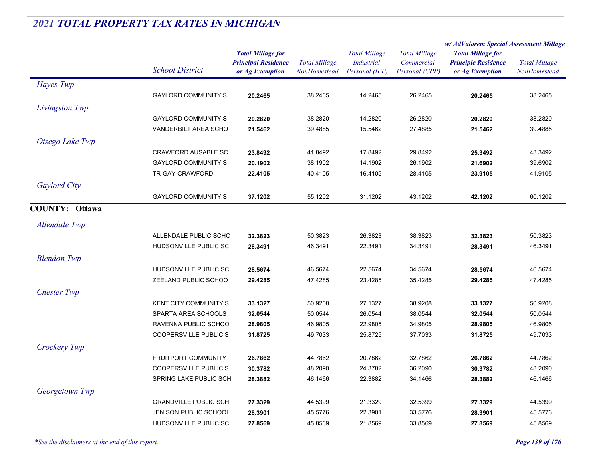|                       |                              |                                                                           |                                             |                                                             |                                                      | w/AdValorem Special Assessment Millage                                    |                                      |
|-----------------------|------------------------------|---------------------------------------------------------------------------|---------------------------------------------|-------------------------------------------------------------|------------------------------------------------------|---------------------------------------------------------------------------|--------------------------------------|
|                       | <b>School District</b>       | <b>Total Millage for</b><br><b>Principal Residence</b><br>or Ag Exemption | <b>Total Millage</b><br><b>NonHomestead</b> | <b>Total Millage</b><br><b>Industrial</b><br>Personal (IPP) | <b>Total Millage</b><br>Commercial<br>Personal (CPP) | <b>Total Millage for</b><br><b>Principle Residence</b><br>or Ag Exemption | <b>Total Millage</b><br>NonHomestead |
| Hayes Twp             |                              |                                                                           |                                             |                                                             |                                                      |                                                                           |                                      |
|                       | <b>GAYLORD COMMUNITY S</b>   | 20.2465                                                                   | 38.2465                                     | 14.2465                                                     | 26.2465                                              | 20.2465                                                                   | 38.2465                              |
| Livingston Twp        |                              |                                                                           |                                             |                                                             |                                                      |                                                                           |                                      |
|                       | <b>GAYLORD COMMUNITY S</b>   | 20.2820                                                                   | 38.2820                                     | 14.2820                                                     | 26.2820                                              | 20.2820                                                                   | 38.2820                              |
|                       | <b>VANDERBILT AREA SCHO</b>  | 21.5462                                                                   | 39.4885                                     | 15.5462                                                     | 27.4885                                              | 21.5462                                                                   | 39.4885                              |
| Otsego Lake Twp       |                              |                                                                           |                                             |                                                             |                                                      |                                                                           |                                      |
|                       | <b>CRAWFORD AUSABLE SC</b>   | 23.8492                                                                   | 41.8492                                     | 17.8492                                                     | 29.8492                                              | 25.3492                                                                   | 43.3492                              |
|                       | <b>GAYLORD COMMUNITY S</b>   | 20.1902                                                                   | 38.1902                                     | 14.1902                                                     | 26.1902                                              | 21.6902                                                                   | 39.6902                              |
|                       | TR-GAY-CRAWFORD              | 22.4105                                                                   | 40.4105                                     | 16.4105                                                     | 28.4105                                              | 23.9105                                                                   | 41.9105                              |
| <b>Gaylord City</b>   |                              |                                                                           |                                             |                                                             |                                                      |                                                                           |                                      |
|                       | <b>GAYLORD COMMUNITY S</b>   | 37.1202                                                                   | 55.1202                                     | 31.1202                                                     | 43.1202                                              | 42.1202                                                                   | 60.1202                              |
| <b>COUNTY: Ottawa</b> |                              |                                                                           |                                             |                                                             |                                                      |                                                                           |                                      |
| Allendale Twp         |                              |                                                                           |                                             |                                                             |                                                      |                                                                           |                                      |
|                       | ALLENDALE PUBLIC SCHO        | 32.3823                                                                   | 50.3823                                     | 26.3823                                                     | 38.3823                                              | 32.3823                                                                   | 50.3823                              |
|                       | HUDSONVILLE PUBLIC SC        | 28.3491                                                                   | 46.3491                                     | 22.3491                                                     | 34.3491                                              | 28.3491                                                                   | 46.3491                              |
| <b>Blendon</b> Twp    |                              |                                                                           |                                             |                                                             |                                                      |                                                                           |                                      |
|                       | HUDSONVILLE PUBLIC SC        | 28.5674                                                                   | 46.5674                                     | 22.5674                                                     | 34.5674                                              | 28.5674                                                                   | 46.5674                              |
|                       | ZEELAND PUBLIC SCHOO         | 29.4285                                                                   | 47.4285                                     | 23.4285                                                     | 35.4285                                              | 29.4285                                                                   | 47.4285                              |
| <b>Chester Twp</b>    |                              |                                                                           |                                             |                                                             |                                                      |                                                                           |                                      |
|                       | <b>KENT CITY COMMUNITY S</b> | 33.1327                                                                   | 50.9208                                     | 27.1327                                                     | 38.9208                                              | 33.1327                                                                   | 50.9208                              |
|                       | SPARTA AREA SCHOOLS          | 32.0544                                                                   | 50.0544                                     | 26.0544                                                     | 38.0544                                              | 32.0544                                                                   | 50.0544                              |
|                       | RAVENNA PUBLIC SCHOO         | 28.9805                                                                   | 46.9805                                     | 22.9805                                                     | 34.9805                                              | 28.9805                                                                   | 46.9805                              |
|                       | <b>COOPERSVILLE PUBLIC S</b> | 31.8725                                                                   | 49.7033                                     | 25.8725                                                     | 37.7033                                              | 31.8725                                                                   | 49.7033                              |
| Crockery Twp          |                              |                                                                           |                                             |                                                             |                                                      |                                                                           |                                      |
|                       | FRUITPORT COMMUNITY          | 26.7862                                                                   | 44.7862                                     | 20.7862                                                     | 32.7862                                              | 26.7862                                                                   | 44.7862                              |
|                       | <b>COOPERSVILLE PUBLIC S</b> | 30.3782                                                                   | 48.2090                                     | 24.3782                                                     | 36.2090                                              | 30.3782                                                                   | 48.2090                              |
|                       | SPRING LAKE PUBLIC SCH       | 28.3882                                                                   | 46.1466                                     | 22.3882                                                     | 34.1466                                              | 28.3882                                                                   | 46.1466                              |
| Georgetown Twp        |                              |                                                                           |                                             |                                                             |                                                      |                                                                           |                                      |
|                       | <b>GRANDVILLE PUBLIC SCH</b> | 27.3329                                                                   | 44.5399                                     | 21.3329                                                     | 32.5399                                              | 27.3329                                                                   | 44.5399                              |
|                       | <b>JENISON PUBLIC SCHOOL</b> | 28.3901                                                                   | 45.5776                                     | 22.3901                                                     | 33.5776                                              | 28.3901                                                                   | 45.5776                              |
|                       | HUDSONVILLE PUBLIC SC        | 27.8569                                                                   | 45.8569                                     | 21.8569                                                     | 33.8569                                              | 27.8569                                                                   | 45.8569                              |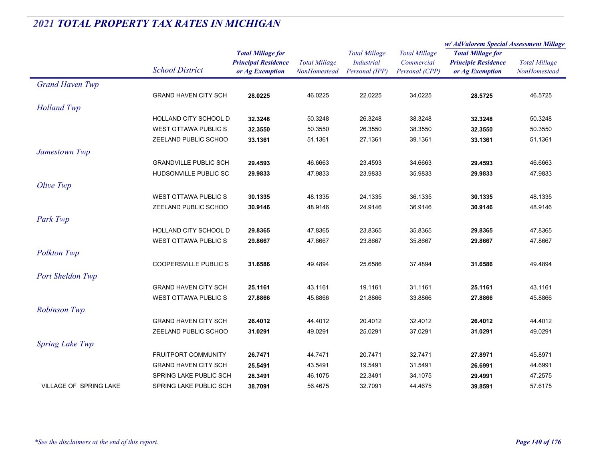|                               |                              | <b>Total Millage for</b>                      |                                      |                                     |                              | w/AdValorem Special Assessment Millage        |                                      |
|-------------------------------|------------------------------|-----------------------------------------------|--------------------------------------|-------------------------------------|------------------------------|-----------------------------------------------|--------------------------------------|
|                               |                              |                                               |                                      | <b>Total Millage</b>                | <b>Total Millage</b>         | <b>Total Millage for</b>                      | <b>Total Millage</b><br>NonHomestead |
|                               | <b>School District</b>       | <b>Principal Residence</b><br>or Ag Exemption | <b>Total Millage</b><br>NonHomestead | <b>Industrial</b><br>Personal (IPP) | Commercial<br>Personal (CPP) | <b>Principle Residence</b><br>or Ag Exemption |                                      |
| <b>Grand Haven Twp</b>        |                              |                                               |                                      |                                     |                              |                                               |                                      |
|                               | <b>GRAND HAVEN CITY SCH</b>  | 28.0225                                       | 46.0225                              | 22.0225                             | 34.0225                      | 28.5725                                       | 46.5725                              |
| <b>Holland Twp</b>            |                              |                                               |                                      |                                     |                              |                                               |                                      |
|                               | HOLLAND CITY SCHOOL D        | 32.3248                                       | 50.3248                              | 26.3248                             | 38.3248                      | 32.3248                                       | 50.3248                              |
|                               | <b>WEST OTTAWA PUBLICS</b>   | 32.3550                                       | 50.3550                              | 26.3550                             | 38.3550                      | 32.3550                                       | 50.3550                              |
|                               | ZEELAND PUBLIC SCHOO         | 33.1361                                       | 51.1361                              | 27.1361                             | 39.1361                      | 33.1361                                       | 51.1361                              |
| Jamestown Twp                 |                              |                                               |                                      |                                     |                              |                                               |                                      |
|                               | <b>GRANDVILLE PUBLIC SCH</b> | 29.4593                                       | 46.6663                              | 23.4593                             | 34.6663                      | 29.4593                                       | 46.6663                              |
|                               | HUDSONVILLE PUBLIC SC        | 29.9833                                       | 47.9833                              | 23.9833                             | 35.9833                      | 29.9833                                       | 47.9833                              |
| Olive Twp                     |                              |                                               |                                      |                                     |                              |                                               |                                      |
|                               | WEST OTTAWA PUBLIC S         | 30.1335                                       | 48.1335                              | 24.1335                             | 36.1335                      | 30.1335                                       | 48.1335                              |
|                               | ZEELAND PUBLIC SCHOO         | 30.9146                                       | 48.9146                              | 24.9146                             | 36.9146                      | 30.9146                                       | 48.9146                              |
| Park Twp                      |                              |                                               |                                      |                                     |                              |                                               |                                      |
|                               | HOLLAND CITY SCHOOL D        | 29.8365                                       | 47.8365                              | 23.8365                             | 35.8365                      | 29.8365                                       | 47.8365                              |
|                               | <b>WEST OTTAWA PUBLIC S</b>  | 29.8667                                       | 47.8667                              | 23.8667                             | 35.8667                      | 29.8667                                       | 47.8667                              |
| Polkton Twp                   |                              |                                               |                                      |                                     |                              |                                               |                                      |
|                               | <b>COOPERSVILLE PUBLICS</b>  | 31.6586                                       | 49.4894                              | 25.6586                             | 37.4894                      | 31.6586                                       | 49.4894                              |
| Port Sheldon Twp              |                              |                                               |                                      |                                     |                              |                                               |                                      |
|                               | <b>GRAND HAVEN CITY SCH</b>  | 25.1161                                       | 43.1161                              | 19.1161                             | 31.1161                      | 25.1161                                       | 43.1161                              |
|                               | <b>WEST OTTAWA PUBLICS</b>   | 27.8866                                       | 45.8866                              | 21.8866                             | 33.8866                      | 27.8866                                       | 45.8866                              |
| <b>Robinson Twp</b>           |                              |                                               |                                      |                                     |                              |                                               |                                      |
|                               | <b>GRAND HAVEN CITY SCH</b>  | 26.4012                                       | 44.4012                              | 20.4012                             | 32.4012                      | 26.4012                                       | 44.4012                              |
|                               | ZEELAND PUBLIC SCHOO         | 31.0291                                       | 49.0291                              | 25.0291                             | 37.0291                      | 31.0291                                       | 49.0291                              |
| <b>Spring Lake Twp</b>        |                              |                                               |                                      |                                     |                              |                                               |                                      |
|                               | FRUITPORT COMMUNITY          | 26.7471                                       | 44.7471                              | 20.7471                             | 32.7471                      | 27.8971                                       | 45.8971                              |
|                               | <b>GRAND HAVEN CITY SCH</b>  | 25.5491                                       | 43.5491                              | 19.5491                             | 31.5491                      | 26.6991                                       | 44.6991                              |
|                               | SPRING LAKE PUBLIC SCH       | 28.3491                                       | 46.1075                              | 22.3491                             | 34.1075                      | 29.4991                                       | 47.2575                              |
| <b>VILLAGE OF SPRING LAKE</b> | SPRING LAKE PUBLIC SCH       | 38.7091                                       | 56.4675                              | 32.7091                             | 44.4675                      | 39.8591                                       | 57.6175                              |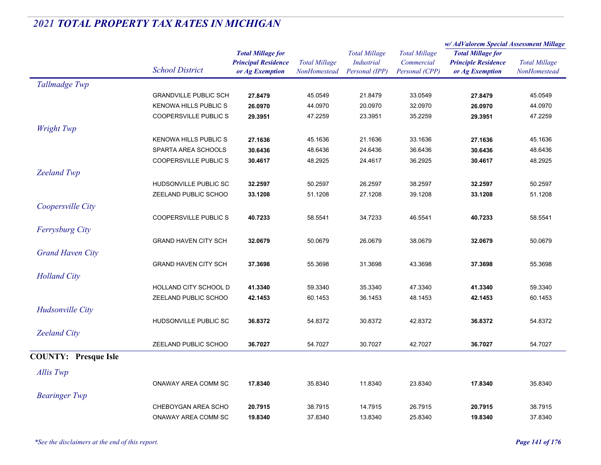|                             |                              |                                                                           |                                      |                                                             |                                                      | w/ AdValorem Special Assessment Millage                                   |                                      |
|-----------------------------|------------------------------|---------------------------------------------------------------------------|--------------------------------------|-------------------------------------------------------------|------------------------------------------------------|---------------------------------------------------------------------------|--------------------------------------|
|                             | <b>School District</b>       | <b>Total Millage for</b><br><b>Principal Residence</b><br>or Ag Exemption | <b>Total Millage</b><br>NonHomestead | <b>Total Millage</b><br><b>Industrial</b><br>Personal (IPP) | <b>Total Millage</b><br>Commercial<br>Personal (CPP) | <b>Total Millage for</b><br><b>Principle Residence</b><br>or Ag Exemption | <b>Total Millage</b><br>NonHomestead |
| Tallmadge Twp               |                              |                                                                           |                                      |                                                             |                                                      |                                                                           |                                      |
|                             | <b>GRANDVILLE PUBLIC SCH</b> | 27.8479                                                                   | 45.0549                              | 21.8479                                                     | 33.0549                                              | 27.8479                                                                   | 45.0549                              |
|                             | <b>KENOWA HILLS PUBLIC S</b> | 26.0970                                                                   | 44.0970                              | 20.0970                                                     | 32.0970                                              | 26.0970                                                                   | 44.0970                              |
|                             | <b>COOPERSVILLE PUBLIC S</b> | 29.3951                                                                   | 47.2259                              | 23.3951                                                     | 35.2259                                              | 29.3951                                                                   | 47.2259                              |
| <b>Wright Twp</b>           |                              |                                                                           |                                      |                                                             |                                                      |                                                                           |                                      |
|                             | <b>KENOWA HILLS PUBLIC S</b> | 27.1636                                                                   | 45.1636                              | 21.1636                                                     | 33.1636                                              | 27.1636                                                                   | 45.1636                              |
|                             | SPARTA AREA SCHOOLS          | 30.6436                                                                   | 48.6436                              | 24.6436                                                     | 36.6436                                              | 30.6436                                                                   | 48.6436                              |
|                             | <b>COOPERSVILLE PUBLIC S</b> | 30.4617                                                                   | 48.2925                              | 24.4617                                                     | 36.2925                                              | 30.4617                                                                   | 48.2925                              |
| <b>Zeeland Twp</b>          |                              |                                                                           |                                      |                                                             |                                                      |                                                                           |                                      |
|                             | HUDSONVILLE PUBLIC SC        | 32.2597                                                                   | 50.2597                              | 26.2597                                                     | 38.2597                                              | 32.2597                                                                   | 50.2597                              |
|                             | ZEELAND PUBLIC SCHOO         | 33.1208                                                                   | 51.1208                              | 27.1208                                                     | 39.1208                                              | 33.1208                                                                   | 51.1208                              |
| Coopersville City           |                              |                                                                           |                                      |                                                             |                                                      |                                                                           |                                      |
|                             | <b>COOPERSVILLE PUBLIC S</b> | 40.7233                                                                   | 58.5541                              | 34.7233                                                     | 46.5541                                              | 40.7233                                                                   | 58.5541                              |
| Ferrysburg City             |                              |                                                                           |                                      |                                                             |                                                      |                                                                           |                                      |
|                             | <b>GRAND HAVEN CITY SCH</b>  | 32.0679                                                                   | 50.0679                              | 26.0679                                                     | 38.0679                                              | 32.0679                                                                   | 50.0679                              |
| <b>Grand Haven City</b>     |                              |                                                                           |                                      |                                                             |                                                      |                                                                           |                                      |
|                             | <b>GRAND HAVEN CITY SCH</b>  | 37.3698                                                                   | 55.3698                              | 31.3698                                                     | 43.3698                                              | 37.3698                                                                   | 55.3698                              |
| <b>Holland City</b>         |                              |                                                                           |                                      |                                                             |                                                      |                                                                           |                                      |
|                             | HOLLAND CITY SCHOOL D        | 41.3340                                                                   | 59.3340                              | 35.3340                                                     | 47.3340                                              | 41.3340                                                                   | 59.3340                              |
|                             | ZEELAND PUBLIC SCHOO         | 42.1453                                                                   | 60.1453                              | 36.1453                                                     | 48.1453                                              | 42.1453                                                                   | 60.1453                              |
| Hudsonville City            |                              |                                                                           |                                      |                                                             |                                                      |                                                                           |                                      |
|                             | HUDSONVILLE PUBLIC SC        | 36.8372                                                                   | 54.8372                              | 30.8372                                                     | 42.8372                                              | 36.8372                                                                   | 54.8372                              |
|                             |                              |                                                                           |                                      |                                                             |                                                      |                                                                           |                                      |
| <b>Zeeland City</b>         |                              |                                                                           |                                      |                                                             |                                                      |                                                                           |                                      |
|                             | ZEELAND PUBLIC SCHOO         | 36.7027                                                                   | 54.7027                              | 30.7027                                                     | 42.7027                                              | 36.7027                                                                   | 54.7027                              |
| <b>COUNTY: Presque Isle</b> |                              |                                                                           |                                      |                                                             |                                                      |                                                                           |                                      |
| Allis Twp                   |                              |                                                                           |                                      |                                                             |                                                      |                                                                           |                                      |
|                             | ONAWAY AREA COMM SC          | 17.8340                                                                   | 35.8340                              | 11.8340                                                     | 23.8340                                              | 17.8340                                                                   | 35.8340                              |
| <b>Bearinger</b> Twp        |                              |                                                                           |                                      |                                                             |                                                      |                                                                           |                                      |
|                             | CHEBOYGAN AREA SCHO          | 20.7915                                                                   | 38.7915                              | 14.7915                                                     | 26.7915                                              | 20.7915                                                                   | 38.7915                              |
|                             | <b>ONAWAY AREA COMM SC</b>   | 19.8340                                                                   | 37.8340                              | 13.8340                                                     | 25.8340                                              | 19.8340                                                                   | 37.8340                              |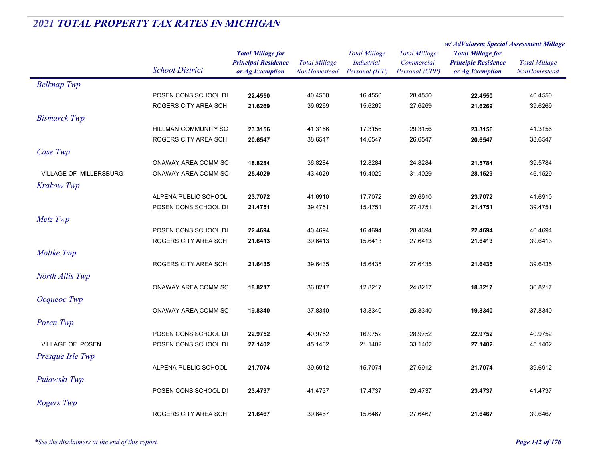|                               |                        |                                               |                                      | <b>Total Millage</b>                | <b>Total Millage</b><br>Commercial | w/ AdValorem Special Assessment Millage       |                                      |
|-------------------------------|------------------------|-----------------------------------------------|--------------------------------------|-------------------------------------|------------------------------------|-----------------------------------------------|--------------------------------------|
|                               | <b>School District</b> | <b>Total Millage for</b>                      |                                      |                                     |                                    | <b>Total Millage for</b>                      | <b>Total Millage</b><br>NonHomestead |
|                               |                        | <b>Principal Residence</b><br>or Ag Exemption | <b>Total Millage</b><br>NonHomestead | <b>Industrial</b><br>Personal (IPP) | Personal (CPP)                     | <b>Principle Residence</b><br>or Ag Exemption |                                      |
| <b>Belknap Twp</b>            |                        |                                               |                                      |                                     |                                    |                                               |                                      |
|                               | POSEN CONS SCHOOL DI   | 22.4550                                       | 40.4550                              | 16.4550                             | 28.4550                            | 22.4550                                       | 40.4550                              |
|                               | ROGERS CITY AREA SCH   | 21.6269                                       | 39.6269                              | 15.6269                             | 27.6269                            | 21.6269                                       | 39.6269                              |
| <b>Bismarck Twp</b>           |                        |                                               |                                      |                                     |                                    |                                               |                                      |
|                               | HILLMAN COMMUNITY SC   | 23.3156                                       | 41.3156                              | 17.3156                             | 29.3156                            | 23.3156                                       | 41.3156                              |
|                               | ROGERS CITY AREA SCH   | 20.6547                                       | 38.6547                              | 14.6547                             | 26.6547                            | 20.6547                                       | 38.6547                              |
| Case Twp                      |                        |                                               |                                      |                                     |                                    |                                               |                                      |
|                               | ONAWAY AREA COMM SC    | 18.8284                                       | 36.8284                              | 12.8284                             | 24.8284                            | 21.5784                                       | 39.5784                              |
| <b>VILLAGE OF MILLERSBURG</b> | ONAWAY AREA COMM SC    | 25.4029                                       | 43.4029                              | 19.4029                             | 31.4029                            | 28.1529                                       | 46.1529                              |
| <b>Krakow Twp</b>             |                        |                                               |                                      |                                     |                                    |                                               |                                      |
|                               | ALPENA PUBLIC SCHOOL   | 23.7072                                       | 41.6910                              | 17.7072                             | 29.6910                            | 23.7072                                       | 41.6910                              |
|                               | POSEN CONS SCHOOL DI   | 21.4751                                       | 39.4751                              | 15.4751                             | 27.4751                            | 21.4751                                       | 39.4751                              |
| Metz Twp                      |                        |                                               |                                      |                                     |                                    |                                               |                                      |
|                               | POSEN CONS SCHOOL DI   | 22.4694                                       | 40.4694                              | 16.4694                             | 28.4694                            | 22.4694                                       | 40.4694                              |
|                               | ROGERS CITY AREA SCH   | 21.6413                                       | 39.6413                              | 15.6413                             | 27.6413                            | 21.6413                                       | 39.6413                              |
| Moltke Twp                    |                        |                                               |                                      |                                     |                                    |                                               |                                      |
|                               | ROGERS CITY AREA SCH   | 21.6435                                       | 39.6435                              | 15.6435                             | 27.6435                            | 21.6435                                       | 39.6435                              |
| North Allis Twp               |                        |                                               |                                      |                                     |                                    |                                               |                                      |
|                               | ONAWAY AREA COMM SC    | 18.8217                                       | 36.8217                              | 12.8217                             | 24.8217                            | 18.8217                                       | 36.8217                              |
| Ocqueoc Twp                   |                        |                                               |                                      |                                     |                                    |                                               |                                      |
|                               | ONAWAY AREA COMM SC    | 19.8340                                       | 37.8340                              | 13.8340                             | 25.8340                            | 19.8340                                       | 37.8340                              |
| Posen Twp                     |                        |                                               |                                      |                                     |                                    |                                               |                                      |
|                               | POSEN CONS SCHOOL DI   | 22.9752                                       | 40.9752                              | 16.9752                             | 28.9752                            | 22.9752                                       | 40.9752                              |
| <b>VILLAGE OF POSEN</b>       | POSEN CONS SCHOOL DI   | 27.1402                                       | 45.1402                              | 21.1402                             | 33.1402                            | 27.1402                                       | 45.1402                              |
| Presque Isle Twp              |                        |                                               |                                      |                                     |                                    |                                               |                                      |
|                               | ALPENA PUBLIC SCHOOL   | 21.7074                                       | 39.6912                              | 15.7074                             | 27.6912                            | 21.7074                                       | 39.6912                              |
| Pulawski Twp                  |                        |                                               |                                      |                                     |                                    |                                               |                                      |
|                               | POSEN CONS SCHOOL DI   | 23.4737                                       | 41.4737                              | 17.4737                             | 29.4737                            | 23.4737                                       | 41.4737                              |
| Rogers Twp                    |                        |                                               |                                      |                                     |                                    |                                               |                                      |
|                               | ROGERS CITY AREA SCH   | 21.6467                                       | 39.6467                              | 15.6467                             | 27.6467                            | 21.6467                                       | 39.6467                              |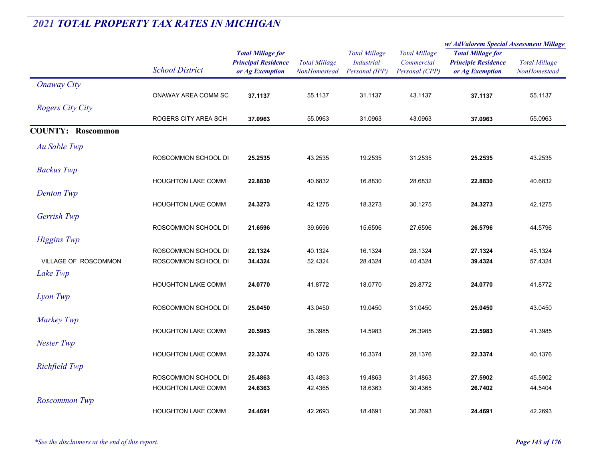|                          |                           |                                                                           |                                      |                                                             |                                                      | w/ AdValorem Special Assessment Millage                                   |                                      |
|--------------------------|---------------------------|---------------------------------------------------------------------------|--------------------------------------|-------------------------------------------------------------|------------------------------------------------------|---------------------------------------------------------------------------|--------------------------------------|
|                          | <b>School District</b>    | <b>Total Millage for</b><br><b>Principal Residence</b><br>or Ag Exemption | <b>Total Millage</b><br>NonHomestead | <b>Total Millage</b><br><b>Industrial</b><br>Personal (IPP) | <b>Total Millage</b><br>Commercial<br>Personal (CPP) | <b>Total Millage for</b><br><b>Principle Residence</b><br>or Ag Exemption | <b>Total Millage</b><br>NonHomestead |
| <b>Onaway City</b>       |                           |                                                                           |                                      |                                                             |                                                      |                                                                           |                                      |
|                          | ONAWAY AREA COMM SC       | 37.1137                                                                   | 55.1137                              | 31.1137                                                     | 43.1137                                              | 37.1137                                                                   | 55.1137                              |
| <b>Rogers City City</b>  |                           |                                                                           |                                      |                                                             |                                                      |                                                                           |                                      |
|                          | ROGERS CITY AREA SCH      | 37.0963                                                                   | 55.0963                              | 31.0963                                                     | 43.0963                                              | 37.0963                                                                   | 55.0963                              |
| <b>COUNTY: Roscommon</b> |                           |                                                                           |                                      |                                                             |                                                      |                                                                           |                                      |
| Au Sable Twp             |                           |                                                                           |                                      |                                                             |                                                      |                                                                           |                                      |
|                          | ROSCOMMON SCHOOL DI       | 25.2535                                                                   | 43.2535                              | 19.2535                                                     | 31.2535                                              | 25.2535                                                                   | 43.2535                              |
| <b>Backus</b> Twp        |                           |                                                                           |                                      |                                                             |                                                      |                                                                           |                                      |
|                          | <b>HOUGHTON LAKE COMM</b> | 22.8830                                                                   | 40.6832                              | 16.8830                                                     | 28.6832                                              | 22.8830                                                                   | 40.6832                              |
| Denton Twp               |                           |                                                                           |                                      |                                                             |                                                      |                                                                           |                                      |
|                          | <b>HOUGHTON LAKE COMM</b> | 24.3273                                                                   | 42.1275                              | 18.3273                                                     | 30.1275                                              | 24.3273                                                                   | 42.1275                              |
| Gerrish Twp              |                           |                                                                           |                                      |                                                             |                                                      |                                                                           |                                      |
|                          | ROSCOMMON SCHOOL DI       | 21.6596                                                                   | 39.6596                              | 15.6596                                                     | 27.6596                                              | 26.5796                                                                   | 44.5796                              |
| <b>Higgins</b> Twp       |                           |                                                                           |                                      |                                                             |                                                      |                                                                           |                                      |
|                          | ROSCOMMON SCHOOL DI       | 22.1324                                                                   | 40.1324                              | 16.1324                                                     | 28.1324                                              | 27.1324                                                                   | 45.1324                              |
| VILLAGE OF ROSCOMMON     | ROSCOMMON SCHOOL DI       | 34.4324                                                                   | 52.4324                              | 28.4324                                                     | 40.4324                                              | 39.4324                                                                   | 57.4324                              |
| Lake Twp                 |                           |                                                                           |                                      |                                                             |                                                      |                                                                           |                                      |
|                          | <b>HOUGHTON LAKE COMM</b> | 24.0770                                                                   | 41.8772                              | 18.0770                                                     | 29.8772                                              | 24.0770                                                                   | 41.8772                              |
| Lyon Twp                 |                           |                                                                           |                                      |                                                             |                                                      |                                                                           |                                      |
|                          | ROSCOMMON SCHOOL DI       | 25.0450                                                                   | 43.0450                              | 19.0450                                                     | 31.0450                                              | 25.0450                                                                   | 43.0450                              |
| Markey Twp               | <b>HOUGHTON LAKE COMM</b> | 20.5983                                                                   | 38.3985                              | 14.5983                                                     | 26.3985                                              | 23.5983                                                                   | 41.3985                              |
| Nester Twp               |                           |                                                                           |                                      |                                                             |                                                      |                                                                           |                                      |
|                          | <b>HOUGHTON LAKE COMM</b> | 22.3374                                                                   | 40.1376                              | 16.3374                                                     | 28.1376                                              | 22.3374                                                                   | 40.1376                              |
| Richfield Twp            |                           |                                                                           |                                      |                                                             |                                                      |                                                                           |                                      |
|                          | ROSCOMMON SCHOOL DI       | 25.4863                                                                   | 43.4863                              | 19.4863                                                     | 31.4863                                              | 27.5902                                                                   | 45.5902                              |
|                          | <b>HOUGHTON LAKE COMM</b> | 24.6363                                                                   | 42.4365                              | 18.6363                                                     | 30.4365                                              | 26.7402                                                                   | 44.5404                              |
| Roscommon Twp            |                           |                                                                           |                                      |                                                             |                                                      |                                                                           |                                      |
|                          | <b>HOUGHTON LAKE COMM</b> | 24.4691                                                                   | 42.2693                              | 18.4691                                                     | 30.2693                                              | 24.4691                                                                   | 42.2693                              |
|                          |                           |                                                                           |                                      |                                                             |                                                      |                                                                           |                                      |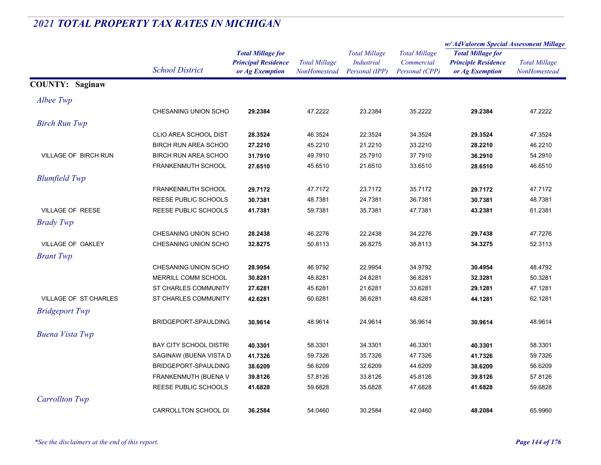|                         | <b>School District</b>        | <b>Total Millage for</b><br><b>Principal Residence</b><br>or Ag Exemption | <b>Total Millage</b><br>NonHomestead | <b>Total Millage</b><br><b>Industrial</b><br>Personal (IPP) | <b>Total Millage</b><br>Commercial<br>Personal (CPP) | w/AdValorem Special Assessment Millage                                    |                                      |
|-------------------------|-------------------------------|---------------------------------------------------------------------------|--------------------------------------|-------------------------------------------------------------|------------------------------------------------------|---------------------------------------------------------------------------|--------------------------------------|
|                         |                               |                                                                           |                                      |                                                             |                                                      | <b>Total Millage for</b><br><b>Principle Residence</b><br>or Ag Exemption | <b>Total Millage</b><br>NonHomestead |
|                         |                               |                                                                           |                                      |                                                             |                                                      |                                                                           |                                      |
|                         |                               |                                                                           |                                      |                                                             |                                                      |                                                                           |                                      |
| <b>COUNTY: Saginaw</b>  |                               |                                                                           |                                      |                                                             |                                                      |                                                                           |                                      |
| Albee Twp               |                               |                                                                           |                                      |                                                             |                                                      |                                                                           |                                      |
|                         | CHESANING UNION SCHO          | 29.2384                                                                   | 47.2222                              | 23.2384                                                     | 35.2222                                              | 29.2384                                                                   | 47.2222                              |
| <b>Birch Run Twp</b>    |                               |                                                                           |                                      |                                                             |                                                      |                                                                           |                                      |
|                         | CLIO AREA SCHOOL DIST         | 28.3524                                                                   | 46.3524                              | 22.3524                                                     | 34.3524                                              | 29.3524                                                                   | 47.3524                              |
|                         | <b>BIRCH RUN AREA SCHOO</b>   | 27.2210                                                                   | 45.2210                              | 21.2210                                                     | 33.2210                                              | 28.2210                                                                   | 46.2210                              |
| VILLAGE OF BIRCH RUN    | <b>BIRCH RUN AREA SCHOO</b>   | 31.7910                                                                   | 49.7910                              | 25.7910                                                     | 37.7910                                              | 36.2910                                                                   | 54.2910                              |
|                         | <b>FRANKENMUTH SCHOOL</b>     | 27.6510                                                                   | 45.6510                              | 21.6510                                                     | 33.6510                                              | 28.6510                                                                   | 46.6510                              |
| <b>Blumfield Twp</b>    |                               |                                                                           |                                      |                                                             |                                                      |                                                                           |                                      |
|                         | <b>FRANKENMUTH SCHOOL</b>     | 29.7172                                                                   | 47.7172                              | 23.7172                                                     | 35.7172                                              | 29.7172                                                                   | 47.7172                              |
|                         | REESE PUBLIC SCHOOLS          | 30.7381                                                                   | 48.7381                              | 24.7381                                                     | 36.7381                                              | 30.7381                                                                   | 48.7381                              |
| <b>VILLAGE OF REESE</b> | REESE PUBLIC SCHOOLS          | 41.7381                                                                   | 59.7381                              | 35.7381                                                     | 47.7381                                              | 43.2381                                                                   | 61.2381                              |
| <b>Brady Twp</b>        |                               |                                                                           |                                      |                                                             |                                                      |                                                                           |                                      |
|                         | CHESANING UNION SCHO          | 28.2438                                                                   | 46.2276                              | 22.2438                                                     | 34.2276                                              | 29.7438                                                                   | 47.7276                              |
| VILLAGE OF OAKLEY       | CHESANING UNION SCHO          | 32.8275                                                                   | 50.8113                              | 26.8275                                                     | 38.8113                                              | 34.3275                                                                   | 52.3113                              |
| <b>Brant Twp</b>        |                               |                                                                           |                                      |                                                             |                                                      |                                                                           |                                      |
|                         | CHESANING UNION SCHO          | 28.9954                                                                   | 46.9792                              | 22.9954                                                     | 34.9792                                              | 30.4954                                                                   | 48.4792                              |
|                         | MERRILL COMM SCHOOL           | 30.8281                                                                   | 48.8281                              | 24.8281                                                     | 36.8281                                              | 32.3281                                                                   | 50.3281                              |
|                         | ST CHARLES COMMUNITY          | 27.6281                                                                   | 45.6281                              | 21.6281                                                     | 33.6281                                              | 29.1281                                                                   | 47.1281                              |
| VILLAGE OF ST CHARLES   | ST CHARLES COMMUNITY          | 42.6281                                                                   | 60.6281                              | 36.6281                                                     | 48.6281                                              | 44.1281                                                                   | 62.1281                              |
| <b>Bridgeport Twp</b>   |                               |                                                                           |                                      |                                                             |                                                      |                                                                           |                                      |
|                         | BRIDGEPORT-SPAULDING          | 30.9614                                                                   | 48.9614                              | 24.9614                                                     | 36.9614                                              | 30.9614                                                                   | 48.9614                              |
| <b>Buena Vista Twp</b>  |                               |                                                                           |                                      |                                                             |                                                      |                                                                           |                                      |
|                         | <b>BAY CITY SCHOOL DISTRI</b> | 40.3301                                                                   | 58.3301                              | 34.3301                                                     | 46.3301                                              | 40.3301                                                                   | 58.3301                              |
|                         | SAGINAW (BUENA VISTA D        | 41.7326                                                                   | 59.7326                              | 35.7326                                                     | 47.7326                                              | 41.7326                                                                   | 59.7326                              |
|                         | BRIDGEPORT-SPAULDING          | 38.6209                                                                   | 56.6209                              | 32.6209                                                     | 44.6209                                              | 38.6209                                                                   | 56.6209                              |
|                         | FRANKENMUTH (BUENA V          | 39.8126                                                                   | 57.8126                              | 33.8126                                                     | 45.8126                                              | 39.8126                                                                   | 57.8126                              |
|                         | REESE PUBLIC SCHOOLS          | 41.6828                                                                   | 59.6828                              | 35.6828                                                     | 47.6828                                              | 41.6828                                                                   | 59.6828                              |
| <b>Carrollton Twp</b>   |                               |                                                                           |                                      |                                                             |                                                      |                                                                           |                                      |
|                         | CARROLLTON SCHOOL DI          | 36.2584                                                                   | 54.0460                              | 30.2584                                                     | 42.0460                                              | 48.2084                                                                   | 65.9960                              |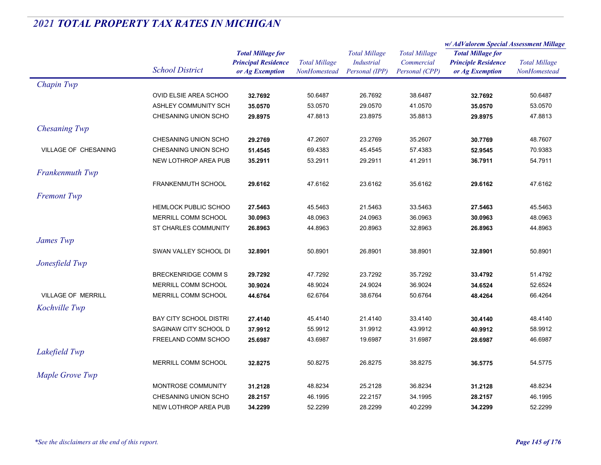|                           |                               |                            |                                      | <b>Total Millage</b> | <b>Total Millage</b><br>Commercial | w/ AdValorem Special Assessment Millage                                   |                                      |
|---------------------------|-------------------------------|----------------------------|--------------------------------------|----------------------|------------------------------------|---------------------------------------------------------------------------|--------------------------------------|
|                           |                               | <b>Total Millage for</b>   | <b>Total Millage</b><br>NonHomestead |                      |                                    | <b>Total Millage for</b><br><b>Principle Residence</b><br>or Ag Exemption | <b>Total Millage</b><br>NonHomestead |
|                           | <b>School District</b>        | <b>Principal Residence</b> |                                      | <b>Industrial</b>    |                                    |                                                                           |                                      |
|                           |                               | or Ag Exemption            |                                      | Personal (IPP)       | Personal (CPP)                     |                                                                           |                                      |
| Chapin Twp                |                               |                            |                                      |                      |                                    |                                                                           |                                      |
|                           | OVID ELSIE AREA SCHOO         | 32.7692                    | 50.6487                              | 26.7692              | 38.6487                            | 32.7692                                                                   | 50.6487                              |
|                           | ASHLEY COMMUNITY SCH          | 35.0570                    | 53.0570                              | 29.0570              | 41.0570                            | 35.0570                                                                   | 53.0570                              |
|                           | CHESANING UNION SCHO          | 29.8975                    | 47.8813                              | 23.8975              | 35.8813                            | 29.8975                                                                   | 47.8813                              |
| <b>Chesaning Twp</b>      |                               |                            |                                      |                      |                                    |                                                                           |                                      |
|                           | CHESANING UNION SCHO          | 29.2769                    | 47.2607                              | 23.2769              | 35.2607                            | 30.7769                                                                   | 48.7607                              |
| VILLAGE OF CHESANING      | CHESANING UNION SCHO          | 51.4545                    | 69.4383                              | 45.4545              | 57.4383                            | 52.9545                                                                   | 70.9383                              |
|                           | NEW LOTHROP AREA PUB          | 35.2911                    | 53.2911                              | 29.2911              | 41.2911                            | 36.7911                                                                   | 54.7911                              |
| Frankenmuth Twp           |                               |                            |                                      |                      |                                    |                                                                           |                                      |
|                           | FRANKENMUTH SCHOOL            | 29.6162                    | 47.6162                              | 23.6162              | 35.6162                            | 29.6162                                                                   | 47.6162                              |
| <b>Fremont Twp</b>        |                               |                            |                                      |                      |                                    |                                                                           |                                      |
|                           | <b>HEMLOCK PUBLIC SCHOO</b>   | 27.5463                    | 45.5463                              | 21.5463              | 33.5463                            | 27.5463                                                                   | 45.5463                              |
|                           | MERRILL COMM SCHOOL           | 30.0963                    | 48.0963                              | 24.0963              | 36.0963                            | 30.0963                                                                   | 48.0963                              |
|                           | ST CHARLES COMMUNITY          | 26.8963                    | 44.8963                              | 20.8963              | 32.8963                            | 26.8963                                                                   | 44.8963                              |
| James Twp                 |                               |                            |                                      |                      |                                    |                                                                           |                                      |
|                           | SWAN VALLEY SCHOOL DI         | 32.8901                    | 50.8901                              | 26.8901              | 38.8901                            | 32.8901                                                                   | 50.8901                              |
|                           |                               |                            |                                      |                      |                                    |                                                                           |                                      |
| Jonesfield Twp            |                               |                            |                                      |                      |                                    |                                                                           |                                      |
|                           | <b>BRECKENRIDGE COMM S</b>    | 29.7292                    | 47.7292                              | 23.7292              | 35.7292                            | 33.4792                                                                   | 51.4792                              |
|                           | MERRILL COMM SCHOOL           | 30.9024                    | 48.9024                              | 24.9024              | 36.9024                            | 34.6524                                                                   | 52.6524                              |
| <b>VILLAGE OF MERRILL</b> | MERRILL COMM SCHOOL           | 44.6764                    | 62.6764                              | 38.6764              | 50.6764                            | 48.4264                                                                   | 66.4264                              |
| Kochville Twp             |                               |                            |                                      |                      |                                    |                                                                           |                                      |
|                           | <b>BAY CITY SCHOOL DISTRI</b> | 27.4140                    | 45.4140                              | 21.4140              | 33.4140                            | 30.4140                                                                   | 48.4140                              |
|                           | SAGINAW CITY SCHOOL D         | 37.9912                    | 55.9912                              | 31.9912              | 43.9912                            | 40.9912                                                                   | 58.9912                              |
|                           | FREELAND COMM SCHOO           | 25.6987                    | 43.6987                              | 19.6987              | 31.6987                            | 28.6987                                                                   | 46.6987                              |
| Lakefield Twp             |                               |                            |                                      |                      |                                    |                                                                           |                                      |
|                           | MERRILL COMM SCHOOL           | 32.8275                    | 50.8275                              | 26.8275              | 38.8275                            | 36.5775                                                                   | 54.5775                              |
| Maple Grove Twp           |                               |                            |                                      |                      |                                    |                                                                           |                                      |
|                           | MONTROSE COMMUNITY            | 31.2128                    | 48.8234                              | 25.2128              | 36.8234                            | 31.2128                                                                   | 48.8234                              |
|                           | CHESANING UNION SCHO          | 28.2157                    | 46.1995                              | 22.2157              | 34.1995                            | 28.2157                                                                   | 46.1995                              |
|                           | NEW LOTHROP AREA PUB          | 34.2299                    | 52.2299                              | 28.2299              | 40.2299                            | 34.2299                                                                   | 52.2299                              |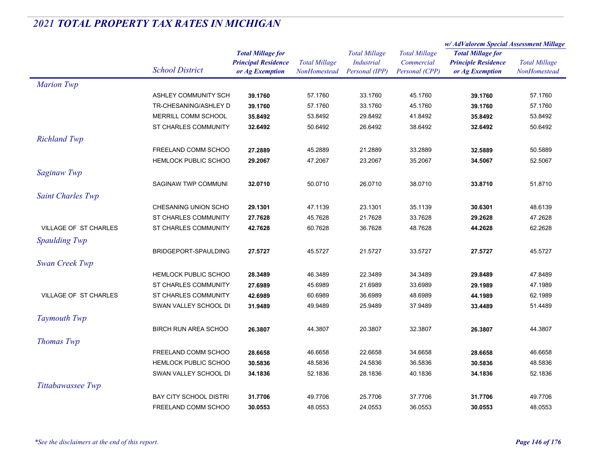|                              |                               |                            |                      | <b>Total Millage</b> | <b>Total Millage</b><br>Commercial | w/ AdValorem Special Assessment Millage                |                      |
|------------------------------|-------------------------------|----------------------------|----------------------|----------------------|------------------------------------|--------------------------------------------------------|----------------------|
|                              |                               | <b>Total Millage for</b>   |                      |                      |                                    | <b>Total Millage for</b><br><b>Principle Residence</b> |                      |
|                              |                               | <b>Principal Residence</b> | <b>Total Millage</b> | <b>Industrial</b>    |                                    |                                                        | <b>Total Millage</b> |
|                              | <b>School District</b>        | or Ag Exemption            | NonHomestead         | Personal (IPP)       | Personal (CPP)                     | or Ag Exemption                                        | NonHomestead         |
| <b>Marion Twp</b>            |                               |                            |                      |                      |                                    |                                                        |                      |
|                              | ASHLEY COMMUNITY SCH          | 39.1760                    | 57.1760              | 33.1760              | 45.1760                            | 39.1760                                                | 57.1760              |
|                              | TR-CHESANING/ASHLEY D         | 39.1760                    | 57.1760              | 33.1760              | 45.1760                            | 39.1760                                                | 57.1760              |
|                              | MERRILL COMM SCHOOL           | 35.8492                    | 53.8492              | 29.8492              | 41.8492                            | 35.8492                                                | 53.8492              |
|                              | ST CHARLES COMMUNITY          | 32.6492                    | 50.6492              | 26.6492              | 38.6492                            | 32.6492                                                | 50.6492              |
| <b>Richland Twp</b>          |                               |                            |                      |                      |                                    |                                                        |                      |
|                              | FREELAND COMM SCHOO           | 27.2889                    | 45.2889              | 21.2889              | 33.2889                            | 32.5889                                                | 50.5889              |
|                              | HEMLOCK PUBLIC SCHOO          | 29.2067                    | 47.2067              | 23.2067              | 35.2067                            | 34.5067                                                | 52.5067              |
| Saginaw Twp                  |                               |                            |                      |                      |                                    |                                                        |                      |
|                              | SAGINAW TWP COMMUNI           | 32.0710                    | 50.0710              | 26.0710              | 38.0710                            | 33.8710                                                | 51.8710              |
| <b>Saint Charles Twp</b>     |                               |                            |                      |                      |                                    |                                                        |                      |
|                              | CHESANING UNION SCHO          | 29.1301                    | 47.1139              | 23.1301              | 35.1139                            | 30.6301                                                | 48.6139              |
|                              | ST CHARLES COMMUNITY          | 27.7628                    | 45.7628              | 21.7628              | 33.7628                            | 29.2628                                                | 47.2628              |
| <b>VILLAGE OF ST CHARLES</b> | <b>ST CHARLES COMMUNITY</b>   | 42.7628                    | 60.7628              | 36.7628              | 48.7628                            | 44.2628                                                | 62.2628              |
| Spaulding Twp                |                               |                            |                      |                      |                                    |                                                        |                      |
|                              | BRIDGEPORT-SPAULDING          | 27.5727                    | 45.5727              | 21.5727              | 33.5727                            | 27.5727                                                | 45.5727              |
| Swan Creek Twp               |                               |                            |                      |                      |                                    |                                                        |                      |
|                              | <b>HEMLOCK PUBLIC SCHOO</b>   | 28.3489                    | 46.3489              | 22.3489              | 34.3489                            | 29.8489                                                | 47.8489              |
|                              | ST CHARLES COMMUNITY          | 27.6989                    | 45.6989              | 21.6989              | 33.6989                            | 29.1989                                                | 47.1989              |
| <b>VILLAGE OF ST CHARLES</b> | ST CHARLES COMMUNITY          | 42.6989                    | 60.6989              | 36.6989              | 48.6989                            | 44.1989                                                | 62.1989              |
|                              | SWAN VALLEY SCHOOL DI         | 31.9489                    | 49.9489              | 25.9489              | 37.9489                            | 33.4489                                                | 51.4489              |
| <b>Taymouth Twp</b>          |                               |                            |                      |                      |                                    |                                                        |                      |
|                              | <b>BIRCH RUN AREA SCHOO</b>   | 26.3807                    | 44.3807              | 20.3807              | 32.3807                            | 26.3807                                                | 44.3807              |
|                              |                               |                            |                      |                      |                                    |                                                        |                      |
| <b>Thomas Twp</b>            |                               |                            |                      |                      |                                    |                                                        |                      |
|                              | FREELAND COMM SCHOO           | 28.6658                    | 46.6658              | 22.6658              | 34.6658                            | 28.6658                                                | 46.6658              |
|                              | <b>HEMLOCK PUBLIC SCHOO</b>   | 30.5836                    | 48.5836              | 24.5836              | 36.5836                            | 30.5836                                                | 48.5836              |
|                              | SWAN VALLEY SCHOOL DI         | 34.1836                    | 52.1836              | 28.1836              | 40.1836                            | 34.1836                                                | 52.1836              |
| Tittabawassee Twp            |                               |                            |                      |                      |                                    |                                                        |                      |
|                              | <b>BAY CITY SCHOOL DISTRI</b> | 31.7706                    | 49.7706              | 25.7706              | 37.7706                            | 31.7706                                                | 49.7706              |
|                              | <b>FREELAND COMM SCHOO</b>    | 30.0553                    | 48.0553              | 24.0553              | 36.0553                            | 30.0553                                                | 48.0553              |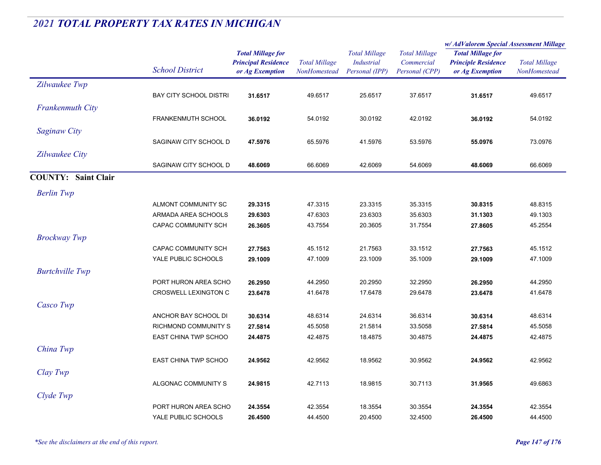|                            |                                            |                                                                           |                                      |                                                             |                                                      | w/ AdValorem Special Assessment Millage                                   |                                      |
|----------------------------|--------------------------------------------|---------------------------------------------------------------------------|--------------------------------------|-------------------------------------------------------------|------------------------------------------------------|---------------------------------------------------------------------------|--------------------------------------|
|                            | <b>School District</b>                     | <b>Total Millage for</b><br><b>Principal Residence</b><br>or Ag Exemption | <b>Total Millage</b><br>NonHomestead | <b>Total Millage</b><br><b>Industrial</b><br>Personal (IPP) | <b>Total Millage</b><br>Commercial<br>Personal (CPP) | <b>Total Millage for</b><br><b>Principle Residence</b><br>or Ag Exemption | <b>Total Millage</b><br>NonHomestead |
| Zilwaukee Twp              |                                            |                                                                           |                                      |                                                             |                                                      |                                                                           |                                      |
|                            | <b>BAY CITY SCHOOL DISTRI</b>              | 31.6517                                                                   | 49.6517                              | 25.6517                                                     | 37.6517                                              | 31.6517                                                                   | 49.6517                              |
| Frankenmuth City           |                                            |                                                                           |                                      |                                                             |                                                      |                                                                           |                                      |
|                            | <b>FRANKENMUTH SCHOOL</b>                  | 36.0192                                                                   | 54.0192                              | 30.0192                                                     | 42.0192                                              | 36.0192                                                                   | 54.0192                              |
| <b>Saginaw City</b>        |                                            |                                                                           |                                      |                                                             |                                                      |                                                                           |                                      |
|                            | SAGINAW CITY SCHOOL D                      | 47.5976                                                                   | 65.5976                              | 41.5976                                                     | 53.5976                                              | 55.0976                                                                   | 73.0976                              |
| Zilwaukee City             |                                            |                                                                           |                                      |                                                             |                                                      |                                                                           |                                      |
|                            | SAGINAW CITY SCHOOL D                      | 48.6069                                                                   | 66.6069                              | 42.6069                                                     | 54.6069                                              | 48.6069                                                                   | 66.6069                              |
| <b>COUNTY: Saint Clair</b> |                                            |                                                                           |                                      |                                                             |                                                      |                                                                           |                                      |
|                            |                                            |                                                                           |                                      |                                                             |                                                      |                                                                           |                                      |
| <b>Berlin Twp</b>          |                                            |                                                                           |                                      |                                                             |                                                      |                                                                           |                                      |
|                            | ALMONT COMMUNITY SC<br>ARMADA AREA SCHOOLS | 29.3315<br>29.6303                                                        | 47.3315<br>47.6303                   | 23.3315<br>23.6303                                          | 35.3315<br>35.6303                                   | 30.8315<br>31.1303                                                        | 48.8315<br>49.1303                   |
|                            | <b>CAPAC COMMUNITY SCH</b>                 | 26.3605                                                                   | 43.7554                              | 20.3605                                                     | 31.7554                                              | 27.8605                                                                   | 45.2554                              |
|                            |                                            |                                                                           |                                      |                                                             |                                                      |                                                                           |                                      |
| <b>Brockway Twp</b>        |                                            |                                                                           |                                      |                                                             |                                                      |                                                                           |                                      |
|                            | CAPAC COMMUNITY SCH<br>YALE PUBLIC SCHOOLS | 27.7563<br>29.1009                                                        | 45.1512<br>47.1009                   | 21.7563                                                     | 33.1512                                              | 27.7563<br>29.1009                                                        | 45.1512                              |
|                            |                                            |                                                                           |                                      | 23.1009                                                     | 35.1009                                              |                                                                           | 47.1009                              |
| <b>Burtchville</b> Twp     |                                            |                                                                           |                                      |                                                             |                                                      |                                                                           |                                      |
|                            | PORT HURON AREA SCHO                       | 26.2950                                                                   | 44.2950                              | 20.2950                                                     | 32.2950                                              | 26.2950                                                                   | 44.2950                              |
|                            | CROSWELL LEXINGTON C                       | 23.6478                                                                   | 41.6478                              | 17.6478                                                     | 29.6478                                              | 23.6478                                                                   | 41.6478                              |
| Casco Twp                  |                                            |                                                                           |                                      |                                                             |                                                      |                                                                           |                                      |
|                            | ANCHOR BAY SCHOOL DI                       | 30.6314                                                                   | 48.6314                              | 24.6314                                                     | 36.6314                                              | 30.6314                                                                   | 48.6314                              |
|                            | <b>RICHMOND COMMUNITY S</b>                | 27.5814                                                                   | 45.5058                              | 21.5814                                                     | 33.5058                                              | 27.5814                                                                   | 45.5058                              |
|                            | EAST CHINA TWP SCHOO                       | 24.4875                                                                   | 42.4875                              | 18.4875                                                     | 30.4875                                              | 24.4875                                                                   | 42.4875                              |
| China Twp                  |                                            |                                                                           |                                      |                                                             |                                                      |                                                                           |                                      |
|                            | EAST CHINA TWP SCHOO                       | 24.9562                                                                   | 42.9562                              | 18.9562                                                     | 30.9562                                              | 24.9562                                                                   | 42.9562                              |
| Clay Twp                   |                                            |                                                                           |                                      |                                                             |                                                      |                                                                           |                                      |
|                            | ALGONAC COMMUNITY S                        | 24.9815                                                                   | 42.7113                              | 18.9815                                                     | 30.7113                                              | 31.9565                                                                   | 49.6863                              |
| Clyde Twp                  |                                            |                                                                           |                                      |                                                             |                                                      |                                                                           |                                      |
|                            | PORT HURON AREA SCHO                       | 24.3554                                                                   | 42.3554                              | 18.3554                                                     | 30.3554                                              | 24.3554                                                                   | 42.3554                              |
|                            | YALE PUBLIC SCHOOLS                        | 26.4500                                                                   | 44.4500                              | 20.4500                                                     | 32.4500                                              | 26.4500                                                                   | 44.4500                              |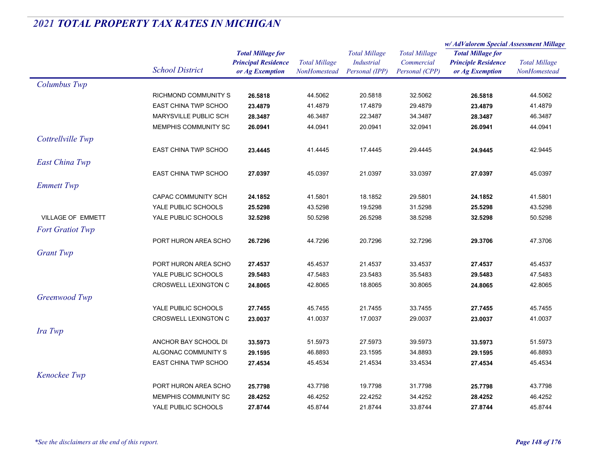|                          |                                            |                            |                      |                                           | w/AdValorem Special Assessment Millage |                                                                           |                      |
|--------------------------|--------------------------------------------|----------------------------|----------------------|-------------------------------------------|----------------------------------------|---------------------------------------------------------------------------|----------------------|
|                          |                                            | <b>Total Millage for</b>   |                      | <b>Total Millage</b><br><b>Industrial</b> | <b>Total Millage</b><br>Commercial     | <b>Total Millage for</b><br><b>Principle Residence</b><br>or Ag Exemption | <b>Total Millage</b> |
|                          |                                            | <b>Principal Residence</b> | <b>Total Millage</b> |                                           |                                        |                                                                           |                      |
|                          | <b>School District</b>                     | or Ag Exemption            | NonHomestead         | Personal (IPP)                            | Personal (CPP)                         |                                                                           | NonHomestead         |
| Columbus Twp             |                                            |                            |                      |                                           |                                        |                                                                           |                      |
|                          | RICHMOND COMMUNITY S                       | 26.5818                    | 44.5062              | 20.5818                                   | 32.5062                                | 26.5818                                                                   | 44.5062              |
|                          | <b>EAST CHINA TWP SCHOO</b>                | 23.4879                    | 41.4879              | 17.4879                                   | 29.4879                                | 23.4879                                                                   | 41.4879              |
|                          | MARYSVILLE PUBLIC SCH                      | 28.3487                    | 46.3487              | 22.3487                                   | 34.3487                                | 28.3487                                                                   | 46.3487              |
|                          | MEMPHIS COMMUNITY SC                       | 26.0941                    | 44.0941              | 20.0941                                   | 32.0941                                | 26.0941                                                                   | 44.0941              |
| Cottrellville Twp        |                                            |                            |                      |                                           |                                        |                                                                           |                      |
|                          | <b>EAST CHINA TWP SCHOO</b>                | 23.4445                    | 41.4445              | 17.4445                                   | 29.4445                                | 24.9445                                                                   | 42.9445              |
| <b>East China Twp</b>    |                                            |                            |                      |                                           |                                        |                                                                           |                      |
|                          | EAST CHINA TWP SCHOO                       | 27.0397                    | 45.0397              | 21.0397                                   | 33.0397                                | 27.0397                                                                   | 45.0397              |
|                          |                                            |                            |                      |                                           |                                        |                                                                           |                      |
| <b>Emmett Twp</b>        |                                            |                            |                      |                                           |                                        |                                                                           |                      |
|                          | <b>CAPAC COMMUNITY SCH</b>                 | 24.1852                    | 41.5801              | 18.1852                                   | 29.5801                                | 24.1852                                                                   | 41.5801              |
| <b>VILLAGE OF EMMETT</b> | YALE PUBLIC SCHOOLS<br>YALE PUBLIC SCHOOLS | 25.5298                    | 43.5298              | 19.5298                                   | 31.5298                                | 25.5298                                                                   | 43.5298              |
|                          |                                            | 32.5298                    | 50.5298              | 26.5298                                   | 38.5298                                | 32.5298                                                                   | 50.5298              |
| <b>Fort Gratiot Twp</b>  |                                            |                            |                      |                                           |                                        |                                                                           |                      |
|                          | PORT HURON AREA SCHO                       | 26.7296                    | 44.7296              | 20.7296                                   | 32.7296                                | 29.3706                                                                   | 47.3706              |
| <b>Grant Twp</b>         |                                            |                            |                      |                                           |                                        |                                                                           |                      |
|                          | PORT HURON AREA SCHO                       | 27.4537                    | 45.4537              | 21.4537                                   | 33.4537                                | 27.4537                                                                   | 45.4537              |
|                          | YALE PUBLIC SCHOOLS                        | 29.5483                    | 47.5483              | 23.5483                                   | 35.5483                                | 29.5483                                                                   | 47.5483              |
|                          | <b>CROSWELL LEXINGTON C</b>                | 24.8065                    | 42.8065              | 18.8065                                   | 30.8065                                | 24.8065                                                                   | 42.8065              |
| Greenwood Twp            |                                            |                            |                      |                                           |                                        |                                                                           |                      |
|                          | YALE PUBLIC SCHOOLS                        | 27.7455                    | 45.7455              | 21.7455                                   | 33.7455                                | 27.7455                                                                   | 45.7455              |
|                          | CROSWELL LEXINGTON C                       | 23.0037                    | 41.0037              | 17.0037                                   | 29.0037                                | 23.0037                                                                   | 41.0037              |
| Ira Twp                  |                                            |                            |                      |                                           |                                        |                                                                           |                      |
|                          | ANCHOR BAY SCHOOL DI                       | 33.5973                    | 51.5973              | 27.5973                                   | 39.5973                                | 33.5973                                                                   | 51.5973              |
|                          | ALGONAC COMMUNITY S                        | 29.1595                    | 46.8893              | 23.1595                                   | 34.8893                                | 29.1595                                                                   | 46.8893              |
|                          | <b>EAST CHINA TWP SCHOO</b>                | 27.4534                    | 45.4534              | 21.4534                                   | 33.4534                                | 27.4534                                                                   | 45.4534              |
| Kenockee Twp             |                                            |                            |                      |                                           |                                        |                                                                           |                      |
|                          | PORT HURON AREA SCHO                       | 25.7798                    | 43.7798              | 19.7798                                   | 31.7798                                | 25.7798                                                                   | 43.7798              |
|                          | MEMPHIS COMMUNITY SC                       | 28.4252                    | 46.4252              | 22.4252                                   | 34.4252                                | 28.4252                                                                   | 46.4252              |
|                          | YALE PUBLIC SCHOOLS                        | 27.8744                    | 45.8744              | 21.8744                                   | 33.8744                                | 27.8744                                                                   | 45.8744              |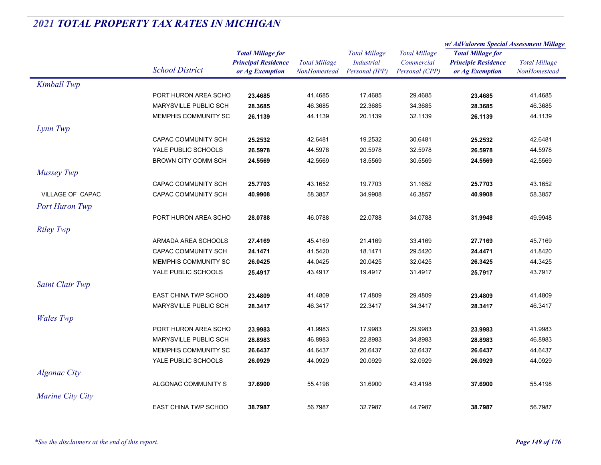|                       |                             |                            |                      | <b>Total Millage</b><br><b>Industrial</b> | <b>Total Millage</b><br>Commercial | w/AdValorem Special Assessment Millage                                    |                      |
|-----------------------|-----------------------------|----------------------------|----------------------|-------------------------------------------|------------------------------------|---------------------------------------------------------------------------|----------------------|
|                       |                             | <b>Total Millage for</b>   |                      |                                           |                                    | <b>Total Millage for</b><br><b>Principle Residence</b><br>or Ag Exemption |                      |
|                       |                             | <b>Principal Residence</b> | <b>Total Millage</b> |                                           |                                    |                                                                           | <b>Total Millage</b> |
|                       | <b>School District</b>      | or Ag Exemption            | NonHomestead         | Personal (IPP)                            | Personal (CPP)                     |                                                                           | NonHomestead         |
| Kimball Twp           |                             |                            |                      |                                           |                                    |                                                                           |                      |
|                       | PORT HURON AREA SCHO        | 23.4685                    | 41.4685              | 17.4685                                   | 29.4685                            | 23.4685                                                                   | 41.4685              |
|                       | MARYSVILLE PUBLIC SCH       | 28.3685                    | 46.3685              | 22.3685                                   | 34.3685                            | 28.3685                                                                   | 46.3685              |
|                       | MEMPHIS COMMUNITY SC        | 26.1139                    | 44.1139              | 20.1139                                   | 32.1139                            | 26.1139                                                                   | 44.1139              |
| Lynn Twp              |                             |                            |                      |                                           |                                    |                                                                           |                      |
|                       | CAPAC COMMUNITY SCH         | 25.2532                    | 42.6481              | 19.2532                                   | 30.6481                            | 25.2532                                                                   | 42.6481              |
|                       | YALE PUBLIC SCHOOLS         | 26.5978                    | 44.5978              | 20.5978                                   | 32.5978                            | 26.5978                                                                   | 44.5978              |
|                       | <b>BROWN CITY COMM SCH</b>  | 24.5569                    | 42.5569              | 18.5569                                   | 30.5569                            | 24.5569                                                                   | 42.5569              |
| <b>Mussey Twp</b>     |                             |                            |                      |                                           |                                    |                                                                           |                      |
|                       | CAPAC COMMUNITY SCH         | 25.7703                    | 43.1652              | 19.7703                                   | 31.1652                            | 25.7703                                                                   | 43.1652              |
| VILLAGE OF CAPAC      | CAPAC COMMUNITY SCH         | 40.9908                    | 58.3857              | 34.9908                                   | 46.3857                            | 40.9908                                                                   | 58.3857              |
| <b>Port Huron Twp</b> |                             |                            |                      |                                           |                                    |                                                                           |                      |
|                       | PORT HURON AREA SCHO        | 28.0788                    | 46.0788              | 22.0788                                   | 34.0788                            | 31.9948                                                                   | 49.9948              |
| <b>Riley Twp</b>      |                             |                            |                      |                                           |                                    |                                                                           |                      |
|                       | ARMADA AREA SCHOOLS         | 27.4169                    | 45.4169              | 21.4169                                   | 33.4169                            | 27.7169                                                                   | 45.7169              |
|                       | CAPAC COMMUNITY SCH         | 24.1471                    | 41.5420              | 18.1471                                   | 29.5420                            | 24.4471                                                                   | 41.8420              |
|                       | MEMPHIS COMMUNITY SC        | 26.0425                    | 44.0425              | 20.0425                                   | 32.0425                            | 26.3425                                                                   | 44.3425              |
|                       | YALE PUBLIC SCHOOLS         | 25.4917                    | 43.4917              | 19.4917                                   | 31.4917                            | 25.7917                                                                   | 43.7917              |
| Saint Clair Twp       |                             |                            |                      |                                           |                                    |                                                                           |                      |
|                       | <b>EAST CHINA TWP SCHOO</b> | 23.4809                    | 41.4809              | 17.4809                                   | 29.4809                            | 23.4809                                                                   | 41.4809              |
|                       | MARYSVILLE PUBLIC SCH       | 28.3417                    | 46.3417              | 22.3417                                   | 34.3417                            | 28.3417                                                                   | 46.3417              |
| <b>Wales</b> Twp      |                             |                            |                      |                                           |                                    |                                                                           |                      |
|                       | PORT HURON AREA SCHO        | 23.9983                    | 41.9983              | 17.9983                                   | 29.9983                            | 23.9983                                                                   | 41.9983              |
|                       | MARYSVILLE PUBLIC SCH       | 28.8983                    | 46.8983              | 22.8983                                   | 34.8983                            | 28.8983                                                                   | 46.8983              |
|                       | MEMPHIS COMMUNITY SC        | 26.6437                    | 44.6437              | 20.6437                                   | 32.6437                            | 26.6437                                                                   | 44.6437              |
|                       | YALE PUBLIC SCHOOLS         | 26.0929                    | 44.0929              | 20.0929                                   | 32.0929                            | 26.0929                                                                   | 44.0929              |
| <b>Algonac City</b>   |                             |                            |                      |                                           |                                    |                                                                           |                      |
|                       | ALGONAC COMMUNITY S         | 37.6900                    | 55.4198              | 31.6900                                   | 43.4198                            | 37.6900                                                                   | 55.4198              |
| Marine City City      |                             |                            |                      |                                           |                                    |                                                                           |                      |
|                       |                             |                            |                      |                                           |                                    |                                                                           |                      |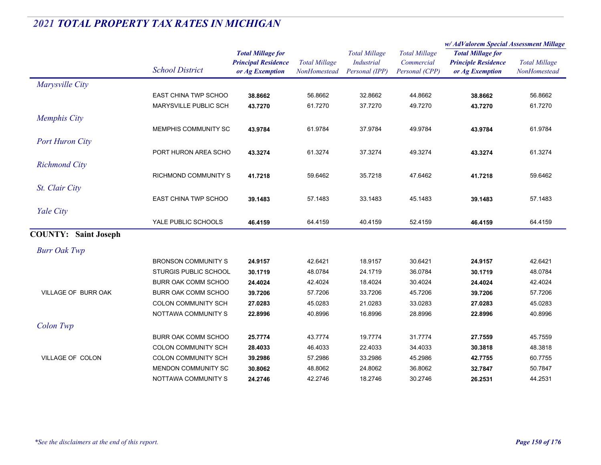|                             |                            |                                                                           |                                      |                                                             |                                                      | w/AdValorem Special Assessment Millage                                    |                                      |
|-----------------------------|----------------------------|---------------------------------------------------------------------------|--------------------------------------|-------------------------------------------------------------|------------------------------------------------------|---------------------------------------------------------------------------|--------------------------------------|
|                             | <b>School District</b>     | <b>Total Millage for</b><br><b>Principal Residence</b><br>or Ag Exemption | <b>Total Millage</b><br>NonHomestead | <b>Total Millage</b><br><b>Industrial</b><br>Personal (IPP) | <b>Total Millage</b><br>Commercial<br>Personal (CPP) | <b>Total Millage for</b><br><b>Principle Residence</b><br>or Ag Exemption | <b>Total Millage</b><br>NonHomestead |
| Marysville City             |                            |                                                                           |                                      |                                                             |                                                      |                                                                           |                                      |
|                             | EAST CHINA TWP SCHOO       | 38.8662                                                                   | 56.8662                              | 32.8662                                                     | 44.8662                                              | 38.8662                                                                   | 56.8662                              |
|                             | MARYSVILLE PUBLIC SCH      | 43.7270                                                                   | 61.7270                              | 37.7270                                                     | 49.7270                                              | 43.7270                                                                   | 61.7270                              |
| <b>Memphis City</b>         |                            |                                                                           |                                      |                                                             |                                                      |                                                                           |                                      |
|                             | MEMPHIS COMMUNITY SC       | 43.9784                                                                   | 61.9784                              | 37.9784                                                     | 49.9784                                              | 43.9784                                                                   | 61.9784                              |
| <b>Port Huron City</b>      |                            |                                                                           |                                      |                                                             |                                                      |                                                                           |                                      |
|                             | PORT HURON AREA SCHO       | 43.3274                                                                   | 61.3274                              | 37.3274                                                     | 49.3274                                              | 43.3274                                                                   | 61.3274                              |
| <b>Richmond City</b>        |                            |                                                                           |                                      |                                                             |                                                      |                                                                           |                                      |
|                             | RICHMOND COMMUNITY S       | 41.7218                                                                   | 59.6462                              | 35.7218                                                     | 47.6462                                              | 41.7218                                                                   | 59.6462                              |
| St. Clair City              |                            |                                                                           |                                      |                                                             |                                                      |                                                                           |                                      |
|                             | EAST CHINA TWP SCHOO       | 39.1483                                                                   | 57.1483                              | 33.1483                                                     | 45.1483                                              | 39.1483                                                                   | 57.1483                              |
|                             |                            |                                                                           |                                      |                                                             |                                                      |                                                                           |                                      |
| Yale City                   | YALE PUBLIC SCHOOLS        |                                                                           |                                      |                                                             |                                                      |                                                                           |                                      |
|                             |                            | 46.4159                                                                   | 64.4159                              | 40.4159                                                     | 52.4159                                              | 46.4159                                                                   | 64.4159                              |
| <b>COUNTY: Saint Joseph</b> |                            |                                                                           |                                      |                                                             |                                                      |                                                                           |                                      |
| <b>Burr Oak Twp</b>         |                            |                                                                           |                                      |                                                             |                                                      |                                                                           |                                      |
|                             | <b>BRONSON COMMUNITY S</b> | 24.9157                                                                   | 42.6421                              | 18.9157                                                     | 30.6421                                              | 24.9157                                                                   | 42.6421                              |
|                             | STURGIS PUBLIC SCHOOL      | 30.1719                                                                   | 48.0784                              | 24.1719                                                     | 36.0784                                              | 30.1719                                                                   | 48.0784                              |
|                             | BURR OAK COMM SCHOO        | 24.4024                                                                   | 42.4024                              | 18.4024                                                     | 30.4024                                              | 24.4024                                                                   | 42.4024                              |
| VILLAGE OF BURR OAK         | BURR OAK COMM SCHOO        | 39.7206                                                                   | 57.7206                              | 33.7206                                                     | 45.7206                                              | 39.7206                                                                   | 57.7206                              |
|                             | COLON COMMUNITY SCH        | 27.0283                                                                   | 45.0283                              | 21.0283                                                     | 33.0283                                              | 27.0283                                                                   | 45.0283                              |
|                             | NOTTAWA COMMUNITY S        | 22.8996                                                                   | 40.8996                              | 16.8996                                                     | 28.8996                                              | 22.8996                                                                   | 40.8996                              |
| Colon Twp                   |                            |                                                                           |                                      |                                                             |                                                      |                                                                           |                                      |
|                             | BURR OAK COMM SCHOO        | 25.7774                                                                   | 43.7774                              | 19.7774                                                     | 31.7774                                              | 27.7559                                                                   | 45.7559                              |
|                             | <b>COLON COMMUNITY SCH</b> | 28.4033                                                                   | 46.4033                              | 22.4033                                                     | 34.4033                                              | 30.3818                                                                   | 48.3818                              |
| VILLAGE OF COLON            | <b>COLON COMMUNITY SCH</b> | 39.2986                                                                   | 57.2986                              | 33.2986                                                     | 45.2986                                              | 42.7755                                                                   | 60.7755                              |
|                             | MENDON COMMUNITY SC        | 30.8062                                                                   | 48.8062                              | 24.8062                                                     | 36.8062                                              | 32.7847                                                                   | 50.7847                              |
|                             | NOTTAWA COMMUNITY S        | 24.2746                                                                   | 42.2746                              | 18.2746                                                     | 30.2746                                              | 26.2531                                                                   | 44.2531                              |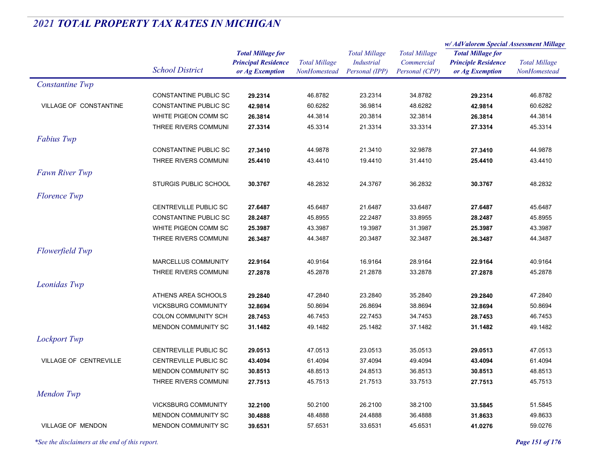|                          |                              |                                                                           |                                      |                                                             |                                                      | w/ AdValorem Special Assessment Millage                                   |                                      |  |
|--------------------------|------------------------------|---------------------------------------------------------------------------|--------------------------------------|-------------------------------------------------------------|------------------------------------------------------|---------------------------------------------------------------------------|--------------------------------------|--|
|                          | <b>School District</b>       | <b>Total Millage for</b><br><b>Principal Residence</b><br>or Ag Exemption | <b>Total Millage</b><br>NonHomestead | <b>Total Millage</b><br><b>Industrial</b><br>Personal (IPP) | <b>Total Millage</b><br>Commercial<br>Personal (CPP) | <b>Total Millage for</b><br><b>Principle Residence</b><br>or Ag Exemption | <b>Total Millage</b><br>NonHomestead |  |
|                          |                              |                                                                           |                                      |                                                             |                                                      |                                                                           |                                      |  |
| <b>Constantine Twp</b>   |                              |                                                                           |                                      |                                                             |                                                      |                                                                           |                                      |  |
|                          | <b>CONSTANTINE PUBLIC SC</b> | 29.2314                                                                   | 46.8782                              | 23.2314                                                     | 34.8782                                              | 29.2314                                                                   | 46.8782                              |  |
| VILLAGE OF CONSTANTINE   | <b>CONSTANTINE PUBLIC SC</b> | 42.9814                                                                   | 60.6282                              | 36.9814                                                     | 48.6282                                              | 42.9814                                                                   | 60.6282                              |  |
|                          | WHITE PIGEON COMM SC         | 26.3814                                                                   | 44.3814                              | 20.3814                                                     | 32.3814                                              | 26.3814                                                                   | 44.3814                              |  |
|                          | THREE RIVERS COMMUNI         | 27.3314                                                                   | 45.3314                              | 21.3314                                                     | 33.3314                                              | 27.3314                                                                   | 45.3314                              |  |
| <b>Fabius Twp</b>        |                              |                                                                           |                                      |                                                             |                                                      |                                                                           |                                      |  |
|                          | <b>CONSTANTINE PUBLIC SC</b> | 27.3410                                                                   | 44.9878                              | 21.3410                                                     | 32.9878                                              | 27.3410                                                                   | 44.9878                              |  |
|                          | THREE RIVERS COMMUNI         | 25.4410                                                                   | 43.4410                              | 19.4410                                                     | 31.4410                                              | 25.4410                                                                   | 43.4410                              |  |
| <b>Fawn River Twp</b>    |                              |                                                                           |                                      |                                                             |                                                      |                                                                           |                                      |  |
|                          | <b>STURGIS PUBLIC SCHOOL</b> | 30.3767                                                                   | 48.2832                              | 24.3767                                                     | 36.2832                                              | 30.3767                                                                   | 48.2832                              |  |
| <b>Florence Twp</b>      |                              |                                                                           |                                      |                                                             |                                                      |                                                                           |                                      |  |
|                          | CENTREVILLE PUBLIC SC        | 27.6487                                                                   | 45.6487                              | 21.6487                                                     | 33.6487                                              | 27.6487                                                                   | 45.6487                              |  |
|                          | <b>CONSTANTINE PUBLIC SC</b> | 28.2487                                                                   | 45.8955                              | 22.2487                                                     | 33.8955                                              | 28.2487                                                                   | 45.8955                              |  |
|                          | WHITE PIGEON COMM SC         | 25.3987                                                                   | 43.3987                              | 19.3987                                                     | 31.3987                                              | 25.3987                                                                   | 43.3987                              |  |
|                          | THREE RIVERS COMMUNI         | 26.3487                                                                   | 44.3487                              | 20.3487                                                     | 32.3487                                              | 26.3487                                                                   | 44.3487                              |  |
| <b>Flowerfield Twp</b>   |                              |                                                                           |                                      |                                                             |                                                      |                                                                           |                                      |  |
|                          | MARCELLUS COMMUNITY          | 22.9164                                                                   | 40.9164                              | 16.9164                                                     | 28.9164                                              | 22.9164                                                                   | 40.9164                              |  |
|                          | THREE RIVERS COMMUNI         | 27.2878                                                                   | 45.2878                              | 21.2878                                                     | 33.2878                                              | 27.2878                                                                   | 45.2878                              |  |
| Leonidas Twp             |                              |                                                                           |                                      |                                                             |                                                      |                                                                           |                                      |  |
|                          |                              |                                                                           |                                      |                                                             |                                                      |                                                                           |                                      |  |
|                          | ATHENS AREA SCHOOLS          | 29.2840                                                                   | 47.2840                              | 23.2840                                                     | 35.2840                                              | 29.2840                                                                   | 47.2840                              |  |
|                          | <b>VICKSBURG COMMUNITY</b>   | 32.8694                                                                   | 50.8694                              | 26.8694                                                     | 38.8694                                              | 32.8694                                                                   | 50.8694                              |  |
|                          | <b>COLON COMMUNITY SCH</b>   | 28.7453                                                                   | 46.7453                              | 22.7453                                                     | 34.7453                                              | 28.7453                                                                   | 46.7453                              |  |
|                          | MENDON COMMUNITY SC          | 31.1482                                                                   | 49.1482                              | 25.1482                                                     | 37.1482                                              | 31.1482                                                                   | 49.1482                              |  |
| <b>Lockport Twp</b>      |                              |                                                                           |                                      |                                                             |                                                      |                                                                           |                                      |  |
|                          | CENTREVILLE PUBLIC SC        | 29.0513                                                                   | 47.0513                              | 23.0513                                                     | 35.0513                                              | 29.0513                                                                   | 47.0513                              |  |
| VILLAGE OF CENTREVILLE   | CENTREVILLE PUBLIC SC        | 43.4094                                                                   | 61.4094                              | 37.4094                                                     | 49.4094                                              | 43.4094                                                                   | 61.4094                              |  |
|                          | MENDON COMMUNITY SC          | 30.8513                                                                   | 48.8513                              | 24.8513                                                     | 36.8513                                              | 30.8513                                                                   | 48.8513                              |  |
|                          | THREE RIVERS COMMUNI         | 27.7513                                                                   | 45.7513                              | 21.7513                                                     | 33.7513                                              | 27.7513                                                                   | 45.7513                              |  |
| Mendon Twp               |                              |                                                                           |                                      |                                                             |                                                      |                                                                           |                                      |  |
|                          | <b>VICKSBURG COMMUNITY</b>   | 32.2100                                                                   | 50.2100                              | 26.2100                                                     | 38.2100                                              | 33.5845                                                                   | 51.5845                              |  |
|                          | MENDON COMMUNITY SC          | 30.4888                                                                   | 48.4888                              | 24.4888                                                     | 36.4888                                              | 31.8633                                                                   | 49.8633                              |  |
| <b>VILLAGE OF MENDON</b> | MENDON COMMUNITY SC          | 39.6531                                                                   | 57.6531                              | 33.6531                                                     | 45.6531                                              | 41.0276                                                                   | 59.0276                              |  |

*\*See the disclaimers at the end of this report. Page 151 of 176*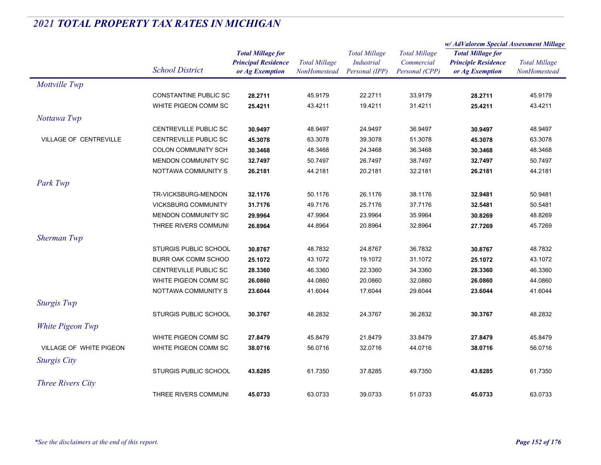| <b>Total Millage for</b><br><b>Total Millage</b><br><b>Total Millage</b><br><b>Total Millage for</b><br><b>Total Millage</b><br><b>Principal Residence</b><br><b>Industrial</b><br>Commercial<br><b>Principle Residence</b><br><b>Total Millage</b><br><b>School District</b><br>Personal (IPP)<br>NonHomestead<br>Personal (CPP)<br>NonHomestead<br>or Ag Exemption<br>or Ag Exemption<br>Mottville Twp<br>CONSTANTINE PUBLIC SC<br>22.2711<br>33.9179<br>28.2711<br>45.9179<br>28.2711<br>45.9179<br>WHITE PIGEON COMM SC<br>25.4211<br>43.4211<br>19.4211<br>31.4211<br>25.4211<br>43.4211<br>Nottawa Twp<br><b>CENTREVILLE PUBLIC SC</b><br>48.9497<br>24.9497<br>36.9497<br>48.9497<br>30.9497<br>30.9497<br>VILLAGE OF CENTREVILLE<br>CENTREVILLE PUBLIC SC<br>63.3078<br>39.3078<br>51.3078<br>63.3078<br>45.3078<br>45.3078<br><b>COLON COMMUNITY SCH</b><br>48.3468<br>24.3468<br>36.3468<br>48.3468<br>30.3468<br>30.3468<br>MENDON COMMUNITY SC<br>50.7497<br>26.7497<br>38.7497<br>32.7497<br>50.7497<br>32.7497<br>NOTTAWA COMMUNITY S<br>26.2181<br>44.2181<br>20.2181<br>32.2181<br>26.2181<br>44.2181<br>Park Twp<br>TR-VICKSBURG-MENDON<br>32.1176<br>50.1176<br>26.1176<br>38.1176<br>50.9481<br>32.9481<br>49.7176<br><b>VICKSBURG COMMUNITY</b><br>31.7176<br>25.7176<br>37.7176<br>32.5481<br>50.5481<br>MENDON COMMUNITY SC<br>47.9964<br>23.9964<br>35.9964<br>30.8269<br>48.8269<br>29.9964<br>THREE RIVERS COMMUNI<br>20.8964<br>32.8964<br>27.7269<br>26.8964<br>44.8964<br>45.7269<br><b>Sherman Twp</b><br><b>STURGIS PUBLIC SCHOOL</b><br>48.7832<br>24.8767<br>36.7832<br>48.7832<br>30.8767<br>30.8767<br>BURR OAK COMM SCHOO<br>43.1072<br>19.1072<br>31.1072<br>43.1072<br>25.1072<br>25.1072<br>CENTREVILLE PUBLIC SC<br>46.3360<br>22.3360<br>34.3360<br>28.3360<br>46.3360<br>28.3360<br>WHITE PIGEON COMM SC<br>26.0860<br>44.0860<br>20.0860<br>32.0860<br>26.0860<br>44.0860<br>NOTTAWA COMMUNITY S<br>23.6044<br>41.6044<br>23.6044<br>17.6044<br>29.6044<br>41.6044<br><b>Sturgis Twp</b><br><b>STURGIS PUBLIC SCHOOL</b><br>48.2832<br>24.3767<br>36.2832<br>48.2832<br>30.3767<br>30.3767<br>White Pigeon Twp<br>WHITE PIGEON COMM SC<br>45.8479<br>21.8479<br>33.8479<br>45.8479<br>27.8479<br>27.8479<br>VILLAGE OF WHITE PIGEON<br>WHITE PIGEON COMM SC<br>38.0716<br>56.0716<br>32.0716<br>44.0716<br>38.0716<br>56.0716<br><b>Sturgis City</b><br>STURGIS PUBLIC SCHOOL<br>61.7350<br>37.8285<br>49.7350<br>43.8285<br>43.8285<br>61.7350<br><b>Three Rivers City</b> |                      |         |         |         |         | w/ AdValorem Special Assessment Millage |         |
|-----------------------------------------------------------------------------------------------------------------------------------------------------------------------------------------------------------------------------------------------------------------------------------------------------------------------------------------------------------------------------------------------------------------------------------------------------------------------------------------------------------------------------------------------------------------------------------------------------------------------------------------------------------------------------------------------------------------------------------------------------------------------------------------------------------------------------------------------------------------------------------------------------------------------------------------------------------------------------------------------------------------------------------------------------------------------------------------------------------------------------------------------------------------------------------------------------------------------------------------------------------------------------------------------------------------------------------------------------------------------------------------------------------------------------------------------------------------------------------------------------------------------------------------------------------------------------------------------------------------------------------------------------------------------------------------------------------------------------------------------------------------------------------------------------------------------------------------------------------------------------------------------------------------------------------------------------------------------------------------------------------------------------------------------------------------------------------------------------------------------------------------------------------------------------------------------------------------------------------------------------------------------------------------------------------------------------------------------------------------------------------------------------------------------------------------------------------------------------------------------------------------------|----------------------|---------|---------|---------|---------|-----------------------------------------|---------|
|                                                                                                                                                                                                                                                                                                                                                                                                                                                                                                                                                                                                                                                                                                                                                                                                                                                                                                                                                                                                                                                                                                                                                                                                                                                                                                                                                                                                                                                                                                                                                                                                                                                                                                                                                                                                                                                                                                                                                                                                                                                                                                                                                                                                                                                                                                                                                                                                                                                                                                                       |                      |         |         |         |         |                                         |         |
|                                                                                                                                                                                                                                                                                                                                                                                                                                                                                                                                                                                                                                                                                                                                                                                                                                                                                                                                                                                                                                                                                                                                                                                                                                                                                                                                                                                                                                                                                                                                                                                                                                                                                                                                                                                                                                                                                                                                                                                                                                                                                                                                                                                                                                                                                                                                                                                                                                                                                                                       |                      |         |         |         |         |                                         |         |
|                                                                                                                                                                                                                                                                                                                                                                                                                                                                                                                                                                                                                                                                                                                                                                                                                                                                                                                                                                                                                                                                                                                                                                                                                                                                                                                                                                                                                                                                                                                                                                                                                                                                                                                                                                                                                                                                                                                                                                                                                                                                                                                                                                                                                                                                                                                                                                                                                                                                                                                       |                      |         |         |         |         |                                         |         |
|                                                                                                                                                                                                                                                                                                                                                                                                                                                                                                                                                                                                                                                                                                                                                                                                                                                                                                                                                                                                                                                                                                                                                                                                                                                                                                                                                                                                                                                                                                                                                                                                                                                                                                                                                                                                                                                                                                                                                                                                                                                                                                                                                                                                                                                                                                                                                                                                                                                                                                                       |                      |         |         |         |         |                                         |         |
|                                                                                                                                                                                                                                                                                                                                                                                                                                                                                                                                                                                                                                                                                                                                                                                                                                                                                                                                                                                                                                                                                                                                                                                                                                                                                                                                                                                                                                                                                                                                                                                                                                                                                                                                                                                                                                                                                                                                                                                                                                                                                                                                                                                                                                                                                                                                                                                                                                                                                                                       |                      |         |         |         |         |                                         |         |
|                                                                                                                                                                                                                                                                                                                                                                                                                                                                                                                                                                                                                                                                                                                                                                                                                                                                                                                                                                                                                                                                                                                                                                                                                                                                                                                                                                                                                                                                                                                                                                                                                                                                                                                                                                                                                                                                                                                                                                                                                                                                                                                                                                                                                                                                                                                                                                                                                                                                                                                       |                      |         |         |         |         |                                         |         |
|                                                                                                                                                                                                                                                                                                                                                                                                                                                                                                                                                                                                                                                                                                                                                                                                                                                                                                                                                                                                                                                                                                                                                                                                                                                                                                                                                                                                                                                                                                                                                                                                                                                                                                                                                                                                                                                                                                                                                                                                                                                                                                                                                                                                                                                                                                                                                                                                                                                                                                                       |                      |         |         |         |         |                                         |         |
|                                                                                                                                                                                                                                                                                                                                                                                                                                                                                                                                                                                                                                                                                                                                                                                                                                                                                                                                                                                                                                                                                                                                                                                                                                                                                                                                                                                                                                                                                                                                                                                                                                                                                                                                                                                                                                                                                                                                                                                                                                                                                                                                                                                                                                                                                                                                                                                                                                                                                                                       |                      |         |         |         |         |                                         |         |
|                                                                                                                                                                                                                                                                                                                                                                                                                                                                                                                                                                                                                                                                                                                                                                                                                                                                                                                                                                                                                                                                                                                                                                                                                                                                                                                                                                                                                                                                                                                                                                                                                                                                                                                                                                                                                                                                                                                                                                                                                                                                                                                                                                                                                                                                                                                                                                                                                                                                                                                       |                      |         |         |         |         |                                         |         |
|                                                                                                                                                                                                                                                                                                                                                                                                                                                                                                                                                                                                                                                                                                                                                                                                                                                                                                                                                                                                                                                                                                                                                                                                                                                                                                                                                                                                                                                                                                                                                                                                                                                                                                                                                                                                                                                                                                                                                                                                                                                                                                                                                                                                                                                                                                                                                                                                                                                                                                                       |                      |         |         |         |         |                                         |         |
|                                                                                                                                                                                                                                                                                                                                                                                                                                                                                                                                                                                                                                                                                                                                                                                                                                                                                                                                                                                                                                                                                                                                                                                                                                                                                                                                                                                                                                                                                                                                                                                                                                                                                                                                                                                                                                                                                                                                                                                                                                                                                                                                                                                                                                                                                                                                                                                                                                                                                                                       |                      |         |         |         |         |                                         |         |
|                                                                                                                                                                                                                                                                                                                                                                                                                                                                                                                                                                                                                                                                                                                                                                                                                                                                                                                                                                                                                                                                                                                                                                                                                                                                                                                                                                                                                                                                                                                                                                                                                                                                                                                                                                                                                                                                                                                                                                                                                                                                                                                                                                                                                                                                                                                                                                                                                                                                                                                       |                      |         |         |         |         |                                         |         |
|                                                                                                                                                                                                                                                                                                                                                                                                                                                                                                                                                                                                                                                                                                                                                                                                                                                                                                                                                                                                                                                                                                                                                                                                                                                                                                                                                                                                                                                                                                                                                                                                                                                                                                                                                                                                                                                                                                                                                                                                                                                                                                                                                                                                                                                                                                                                                                                                                                                                                                                       |                      |         |         |         |         |                                         |         |
|                                                                                                                                                                                                                                                                                                                                                                                                                                                                                                                                                                                                                                                                                                                                                                                                                                                                                                                                                                                                                                                                                                                                                                                                                                                                                                                                                                                                                                                                                                                                                                                                                                                                                                                                                                                                                                                                                                                                                                                                                                                                                                                                                                                                                                                                                                                                                                                                                                                                                                                       |                      |         |         |         |         |                                         |         |
|                                                                                                                                                                                                                                                                                                                                                                                                                                                                                                                                                                                                                                                                                                                                                                                                                                                                                                                                                                                                                                                                                                                                                                                                                                                                                                                                                                                                                                                                                                                                                                                                                                                                                                                                                                                                                                                                                                                                                                                                                                                                                                                                                                                                                                                                                                                                                                                                                                                                                                                       |                      |         |         |         |         |                                         |         |
|                                                                                                                                                                                                                                                                                                                                                                                                                                                                                                                                                                                                                                                                                                                                                                                                                                                                                                                                                                                                                                                                                                                                                                                                                                                                                                                                                                                                                                                                                                                                                                                                                                                                                                                                                                                                                                                                                                                                                                                                                                                                                                                                                                                                                                                                                                                                                                                                                                                                                                                       |                      |         |         |         |         |                                         |         |
|                                                                                                                                                                                                                                                                                                                                                                                                                                                                                                                                                                                                                                                                                                                                                                                                                                                                                                                                                                                                                                                                                                                                                                                                                                                                                                                                                                                                                                                                                                                                                                                                                                                                                                                                                                                                                                                                                                                                                                                                                                                                                                                                                                                                                                                                                                                                                                                                                                                                                                                       |                      |         |         |         |         |                                         |         |
|                                                                                                                                                                                                                                                                                                                                                                                                                                                                                                                                                                                                                                                                                                                                                                                                                                                                                                                                                                                                                                                                                                                                                                                                                                                                                                                                                                                                                                                                                                                                                                                                                                                                                                                                                                                                                                                                                                                                                                                                                                                                                                                                                                                                                                                                                                                                                                                                                                                                                                                       |                      |         |         |         |         |                                         |         |
|                                                                                                                                                                                                                                                                                                                                                                                                                                                                                                                                                                                                                                                                                                                                                                                                                                                                                                                                                                                                                                                                                                                                                                                                                                                                                                                                                                                                                                                                                                                                                                                                                                                                                                                                                                                                                                                                                                                                                                                                                                                                                                                                                                                                                                                                                                                                                                                                                                                                                                                       |                      |         |         |         |         |                                         |         |
|                                                                                                                                                                                                                                                                                                                                                                                                                                                                                                                                                                                                                                                                                                                                                                                                                                                                                                                                                                                                                                                                                                                                                                                                                                                                                                                                                                                                                                                                                                                                                                                                                                                                                                                                                                                                                                                                                                                                                                                                                                                                                                                                                                                                                                                                                                                                                                                                                                                                                                                       |                      |         |         |         |         |                                         |         |
|                                                                                                                                                                                                                                                                                                                                                                                                                                                                                                                                                                                                                                                                                                                                                                                                                                                                                                                                                                                                                                                                                                                                                                                                                                                                                                                                                                                                                                                                                                                                                                                                                                                                                                                                                                                                                                                                                                                                                                                                                                                                                                                                                                                                                                                                                                                                                                                                                                                                                                                       |                      |         |         |         |         |                                         |         |
|                                                                                                                                                                                                                                                                                                                                                                                                                                                                                                                                                                                                                                                                                                                                                                                                                                                                                                                                                                                                                                                                                                                                                                                                                                                                                                                                                                                                                                                                                                                                                                                                                                                                                                                                                                                                                                                                                                                                                                                                                                                                                                                                                                                                                                                                                                                                                                                                                                                                                                                       |                      |         |         |         |         |                                         |         |
|                                                                                                                                                                                                                                                                                                                                                                                                                                                                                                                                                                                                                                                                                                                                                                                                                                                                                                                                                                                                                                                                                                                                                                                                                                                                                                                                                                                                                                                                                                                                                                                                                                                                                                                                                                                                                                                                                                                                                                                                                                                                                                                                                                                                                                                                                                                                                                                                                                                                                                                       |                      |         |         |         |         |                                         |         |
|                                                                                                                                                                                                                                                                                                                                                                                                                                                                                                                                                                                                                                                                                                                                                                                                                                                                                                                                                                                                                                                                                                                                                                                                                                                                                                                                                                                                                                                                                                                                                                                                                                                                                                                                                                                                                                                                                                                                                                                                                                                                                                                                                                                                                                                                                                                                                                                                                                                                                                                       |                      |         |         |         |         |                                         |         |
|                                                                                                                                                                                                                                                                                                                                                                                                                                                                                                                                                                                                                                                                                                                                                                                                                                                                                                                                                                                                                                                                                                                                                                                                                                                                                                                                                                                                                                                                                                                                                                                                                                                                                                                                                                                                                                                                                                                                                                                                                                                                                                                                                                                                                                                                                                                                                                                                                                                                                                                       |                      |         |         |         |         |                                         |         |
|                                                                                                                                                                                                                                                                                                                                                                                                                                                                                                                                                                                                                                                                                                                                                                                                                                                                                                                                                                                                                                                                                                                                                                                                                                                                                                                                                                                                                                                                                                                                                                                                                                                                                                                                                                                                                                                                                                                                                                                                                                                                                                                                                                                                                                                                                                                                                                                                                                                                                                                       |                      |         |         |         |         |                                         |         |
|                                                                                                                                                                                                                                                                                                                                                                                                                                                                                                                                                                                                                                                                                                                                                                                                                                                                                                                                                                                                                                                                                                                                                                                                                                                                                                                                                                                                                                                                                                                                                                                                                                                                                                                                                                                                                                                                                                                                                                                                                                                                                                                                                                                                                                                                                                                                                                                                                                                                                                                       |                      |         |         |         |         |                                         |         |
|                                                                                                                                                                                                                                                                                                                                                                                                                                                                                                                                                                                                                                                                                                                                                                                                                                                                                                                                                                                                                                                                                                                                                                                                                                                                                                                                                                                                                                                                                                                                                                                                                                                                                                                                                                                                                                                                                                                                                                                                                                                                                                                                                                                                                                                                                                                                                                                                                                                                                                                       |                      |         |         |         |         |                                         |         |
|                                                                                                                                                                                                                                                                                                                                                                                                                                                                                                                                                                                                                                                                                                                                                                                                                                                                                                                                                                                                                                                                                                                                                                                                                                                                                                                                                                                                                                                                                                                                                                                                                                                                                                                                                                                                                                                                                                                                                                                                                                                                                                                                                                                                                                                                                                                                                                                                                                                                                                                       |                      |         |         |         |         |                                         |         |
|                                                                                                                                                                                                                                                                                                                                                                                                                                                                                                                                                                                                                                                                                                                                                                                                                                                                                                                                                                                                                                                                                                                                                                                                                                                                                                                                                                                                                                                                                                                                                                                                                                                                                                                                                                                                                                                                                                                                                                                                                                                                                                                                                                                                                                                                                                                                                                                                                                                                                                                       |                      |         |         |         |         |                                         |         |
|                                                                                                                                                                                                                                                                                                                                                                                                                                                                                                                                                                                                                                                                                                                                                                                                                                                                                                                                                                                                                                                                                                                                                                                                                                                                                                                                                                                                                                                                                                                                                                                                                                                                                                                                                                                                                                                                                                                                                                                                                                                                                                                                                                                                                                                                                                                                                                                                                                                                                                                       | THREE RIVERS COMMUNI | 45.0733 | 63.0733 | 39.0733 | 51.0733 | 45.0733                                 | 63.0733 |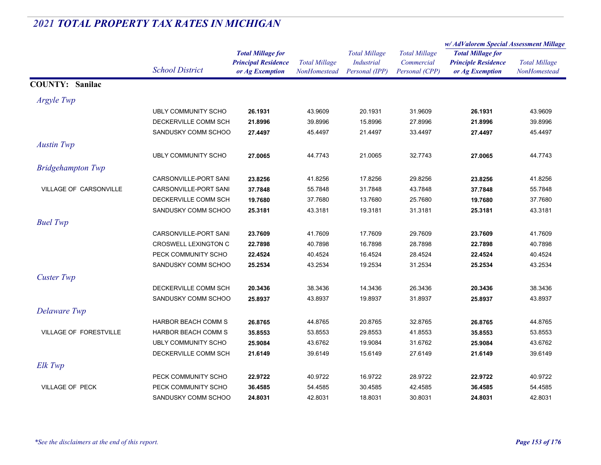|                               |                            |                            | <b>Total Millage</b> | <b>Total Millage</b> | <b>Total Millage</b> | w/AdValorem Special Assessment Millage |                      |
|-------------------------------|----------------------------|----------------------------|----------------------|----------------------|----------------------|----------------------------------------|----------------------|
|                               |                            | <b>Total Millage for</b>   |                      |                      |                      | <b>Total Millage for</b>               | <b>Total Millage</b> |
|                               |                            | <b>Principal Residence</b> |                      | <b>Industrial</b>    | Commercial           | <b>Principle Residence</b>             |                      |
|                               | <b>School District</b>     | or Ag Exemption            | NonHomestead         | Personal (IPP)       | Personal (CPP)       | or Ag Exemption                        | NonHomestead         |
| <b>COUNTY: Sanilac</b>        |                            |                            |                      |                      |                      |                                        |                      |
| Argyle Twp                    |                            |                            |                      |                      |                      |                                        |                      |
|                               | <b>UBLY COMMUNITY SCHO</b> | 26.1931                    | 43.9609              | 20.1931              | 31.9609              | 26.1931                                | 43.9609              |
|                               | DECKERVILLE COMM SCH       | 21.8996                    | 39.8996              | 15.8996              | 27.8996              | 21.8996                                | 39.8996              |
|                               | SANDUSKY COMM SCHOO        | 27.4497                    | 45.4497              | 21.4497              | 33.4497              | 27.4497                                | 45.4497              |
| <b>Austin Twp</b>             |                            |                            |                      |                      |                      |                                        |                      |
|                               | <b>UBLY COMMUNITY SCHO</b> | 27.0065                    | 44.7743              | 21.0065              | 32.7743              | 27.0065                                | 44.7743              |
| <b>Bridgehampton Twp</b>      |                            |                            |                      |                      |                      |                                        |                      |
|                               | CARSONVILLE-PORT SANI      | 23.8256                    | 41.8256              | 17.8256              | 29.8256              | 23.8256                                | 41.8256              |
| <b>VILLAGE OF CARSONVILLE</b> | CARSONVILLE-PORT SANI      | 37.7848                    | 55.7848              | 31.7848              | 43.7848              | 37.7848                                | 55.7848              |
|                               | DECKERVILLE COMM SCH       | 19.7680                    | 37.7680              | 13.7680              | 25.7680              | 19.7680                                | 37.7680              |
|                               | SANDUSKY COMM SCHOO        | 25.3181                    | 43.3181              | 19.3181              | 31.3181              | 25.3181                                | 43.3181              |
| <b>Buel Twp</b>               |                            |                            |                      |                      |                      |                                        |                      |
|                               | CARSONVILLE-PORT SANI      | 23.7609                    | 41.7609              | 17.7609              | 29.7609              | 23.7609                                | 41.7609              |
|                               | CROSWELL LEXINGTON C       | 22.7898                    | 40.7898              | 16.7898              | 28.7898              | 22.7898                                | 40.7898              |
|                               | PECK COMMUNITY SCHO        | 22.4524                    | 40.4524              | 16.4524              | 28.4524              | 22.4524                                | 40.4524              |
|                               | SANDUSKY COMM SCHOO        | 25.2534                    | 43.2534              | 19.2534              | 31.2534              | 25.2534                                | 43.2534              |
| <b>Custer Twp</b>             |                            |                            |                      |                      |                      |                                        |                      |
|                               | DECKERVILLE COMM SCH       | 20.3436                    | 38.3436              | 14.3436              | 26.3436              | 20.3436                                | 38.3436              |
|                               | SANDUSKY COMM SCHOO        | 25.8937                    | 43.8937              | 19.8937              | 31.8937              | 25.8937                                | 43.8937              |
| Delaware Twp                  |                            |                            |                      |                      |                      |                                        |                      |
|                               | <b>HARBOR BEACH COMM S</b> | 26.8765                    | 44.8765              | 20.8765              | 32.8765              | 26.8765                                | 44.8765              |
| <b>VILLAGE OF FORESTVILLE</b> | <b>HARBOR BEACH COMM S</b> | 35.8553                    | 53.8553              | 29.8553              | 41.8553              | 35.8553                                | 53.8553              |
|                               | <b>UBLY COMMUNITY SCHO</b> | 25.9084                    | 43.6762              | 19.9084              | 31.6762              | 25.9084                                | 43.6762              |
|                               | DECKERVILLE COMM SCH       | 21.6149                    | 39.6149              | 15.6149              | 27.6149              | 21.6149                                | 39.6149              |
| Elk Twp                       |                            |                            |                      |                      |                      |                                        |                      |
|                               | PECK COMMUNITY SCHO        | 22.9722                    | 40.9722              | 16.9722              | 28.9722              | 22.9722                                | 40.9722              |
| VILLAGE OF PECK               | PECK COMMUNITY SCHO        | 36.4585                    | 54.4585              | 30.4585              | 42.4585              | 36.4585                                | 54.4585              |
|                               | SANDUSKY COMM SCHOO        | 24.8031                    | 42.8031              | 18.8031              | 30.8031              | 24.8031                                | 42.8031              |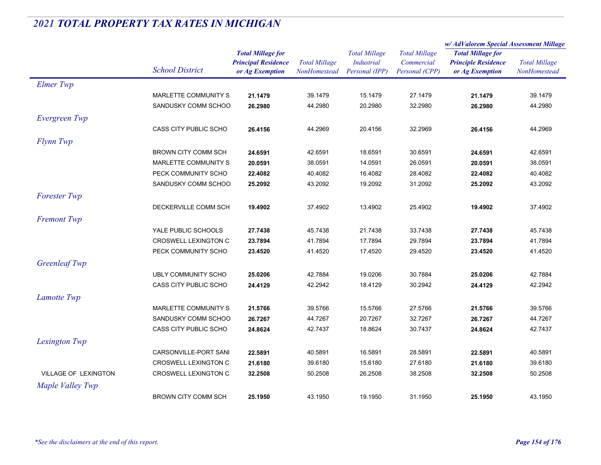|                      |                            |                            | <b>Total Millage</b> | <b>Total Millage</b><br><b>Industrial</b><br>Personal (IPP) | <b>Total Millage</b><br>Commercial<br>Personal (CPP) | w/AdValorem Special Assessment Millage                 |                      |
|----------------------|----------------------------|----------------------------|----------------------|-------------------------------------------------------------|------------------------------------------------------|--------------------------------------------------------|----------------------|
|                      |                            | <b>Total Millage for</b>   |                      |                                                             |                                                      | <b>Total Millage for</b><br><b>Principle Residence</b> | <b>Total Millage</b> |
|                      | <b>School District</b>     | <b>Principal Residence</b> |                      |                                                             |                                                      |                                                        |                      |
|                      |                            | or Ag Exemption            | <b>NonHomestead</b>  |                                                             |                                                      | or Ag Exemption                                        | NonHomestead         |
| <b>Elmer Twp</b>     |                            |                            |                      |                                                             |                                                      |                                                        |                      |
|                      | MARLETTE COMMUNITY S       | 21.1479                    | 39.1479              | 15.1479                                                     | 27.1479                                              | 21.1479                                                | 39.1479              |
|                      | SANDUSKY COMM SCHOO        | 26.2980                    | 44.2980              | 20.2980                                                     | 32.2980                                              | 26.2980                                                | 44.2980              |
| Evergreen Twp        |                            |                            |                      |                                                             |                                                      |                                                        |                      |
|                      | CASS CITY PUBLIC SCHO      | 26.4156                    | 44.2969              | 20.4156                                                     | 32.2969                                              | 26.4156                                                | 44.2969              |
| Flynn Twp            |                            |                            |                      |                                                             |                                                      |                                                        |                      |
|                      | <b>BROWN CITY COMM SCH</b> | 24.6591                    | 42.6591              | 18.6591                                                     | 30.6591                                              | 24.6591                                                | 42.6591              |
|                      | MARLETTE COMMUNITY S       | 20.0591                    | 38.0591              | 14.0591                                                     | 26.0591                                              | 20.0591                                                | 38.0591              |
|                      | PECK COMMUNITY SCHO        | 22.4082                    | 40.4082              | 16.4082                                                     | 28.4082                                              | 22.4082                                                | 40.4082              |
|                      | SANDUSKY COMM SCHOO        | 25.2092                    | 43.2092              | 19.2092                                                     | 31.2092                                              | 25.2092                                                | 43.2092              |
| <b>Forester Twp</b>  |                            |                            |                      |                                                             |                                                      |                                                        |                      |
|                      | DECKERVILLE COMM SCH       | 19.4902                    | 37.4902              | 13.4902                                                     | 25.4902                                              | 19.4902                                                | 37.4902              |
| <b>Fremont Twp</b>   |                            |                            |                      |                                                             |                                                      |                                                        |                      |
|                      | YALE PUBLIC SCHOOLS        | 27.7438                    | 45.7438              | 21.7438                                                     | 33.7438                                              | 27.7438                                                | 45.7438              |
|                      | CROSWELL LEXINGTON C       | 23.7894                    | 41.7894              | 17.7894                                                     | 29.7894                                              | 23.7894                                                | 41.7894              |
|                      | PECK COMMUNITY SCHO        | 23.4520                    | 41.4520              | 17.4520                                                     | 29.4520                                              | 23.4520                                                | 41.4520              |
| <b>Greenleaf Twp</b> |                            |                            |                      |                                                             |                                                      |                                                        |                      |
|                      | <b>UBLY COMMUNITY SCHO</b> | 25.0206                    | 42.7884              | 19.0206                                                     | 30.7884                                              | 25.0206                                                | 42.7884              |
|                      | CASS CITY PUBLIC SCHO      | 24.4129                    | 42.2942              | 18.4129                                                     | 30.2942                                              | 24.4129                                                | 42.2942              |
| Lamotte Twp          |                            |                            |                      |                                                             |                                                      |                                                        |                      |
|                      | MARLETTE COMMUNITY S       | 21.5766                    | 39.5766              | 15.5766                                                     | 27.5766                                              | 21.5766                                                | 39.5766              |
|                      | SANDUSKY COMM SCHOO        | 26.7267                    | 44.7267              | 20.7267                                                     | 32.7267                                              | 26.7267                                                | 44.7267              |
|                      | CASS CITY PUBLIC SCHO      | 24.8624                    | 42.7437              | 18.8624                                                     | 30.7437                                              | 24.8624                                                | 42.7437              |
| Lexington Twp        |                            |                            |                      |                                                             |                                                      |                                                        |                      |
|                      | CARSONVILLE-PORT SANI      | 22.5891                    | 40.5891              | 16.5891                                                     | 28.5891                                              | 22.5891                                                | 40.5891              |
|                      | CROSWELL LEXINGTON C       | 21.6180                    | 39.6180              | 15.6180                                                     | 27.6180                                              | 21.6180                                                | 39.6180              |
| VILLAGE OF LEXINGTON | CROSWELL LEXINGTON C       | 32.2508                    | 50.2508              | 26.2508                                                     | 38.2508                                              | 32.2508                                                | 50.2508              |
| Maple Valley Twp     |                            |                            |                      |                                                             |                                                      |                                                        |                      |
|                      | BROWN CITY COMM SCH        | 25.1950                    | 43.1950              | 19.1950                                                     | 31.1950                                              | 25.1950                                                | 43.1950              |
|                      |                            |                            |                      |                                                             |                                                      |                                                        |                      |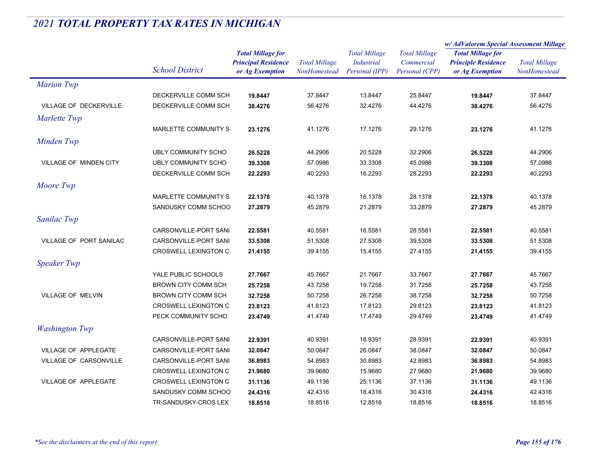|                                |                             |                            |                      | <b>Total Millage</b><br><b>Industrial</b><br>Personal (IPP) | <b>Total Millage</b><br>Commercial | w/AdValorem Special Assessment Millage                 |                      |
|--------------------------------|-----------------------------|----------------------------|----------------------|-------------------------------------------------------------|------------------------------------|--------------------------------------------------------|----------------------|
|                                |                             | <b>Total Millage for</b>   |                      |                                                             |                                    | <b>Total Millage for</b><br><b>Principle Residence</b> |                      |
|                                |                             | <b>Principal Residence</b> | <b>Total Millage</b> |                                                             |                                    |                                                        | <b>Total Millage</b> |
|                                | <b>School District</b>      | or Ag Exemption            | NonHomestead         |                                                             | Personal (CPP)                     | or Ag Exemption                                        | NonHomestead         |
| <b>Marion Twp</b>              |                             |                            |                      |                                                             |                                    |                                                        |                      |
|                                | DECKERVILLE COMM SCH        | 19.8447                    | 37.8447              | 13.8447                                                     | 25.8447                            | 19.8447                                                | 37.8447              |
| VILLAGE OF DECKERVILLE         | DECKERVILLE COMM SCH        | 38.4276                    | 56.4276              | 32.4276                                                     | 44.4276                            | 38.4276                                                | 56.4276              |
| Marlette Twp                   |                             |                            |                      |                                                             |                                    |                                                        |                      |
|                                | MARLETTE COMMUNITY S        | 23.1276                    | 41.1276              | 17.1276                                                     | 29.1276                            | 23.1276                                                | 41.1276              |
| Minden Twp                     |                             |                            |                      |                                                             |                                    |                                                        |                      |
|                                | UBLY COMMUNITY SCHO         | 26.5228                    | 44.2906              | 20.5228                                                     | 32.2906                            | 26.5228                                                | 44.2906              |
| <b>VILLAGE OF MINDEN CITY</b>  | <b>UBLY COMMUNITY SCHO</b>  | 39.3308                    | 57.0986              | 33.3308                                                     | 45.0986                            | 39.3308                                                | 57.0986              |
|                                | DECKERVILLE COMM SCH        | 22.2293                    | 40.2293              | 16.2293                                                     | 28.2293                            | 22.2293                                                | 40.2293              |
| Moore Twp                      |                             |                            |                      |                                                             |                                    |                                                        |                      |
|                                | MARLETTE COMMUNITY S        | 22.1378                    | 40.1378              | 16.1378                                                     | 28.1378                            | 22.1378                                                | 40.1378              |
|                                | SANDUSKY COMM SCHOO         | 27.2879                    | 45.2879              | 21.2879                                                     | 33.2879                            | 27.2879                                                | 45.2879              |
|                                |                             |                            |                      |                                                             |                                    |                                                        |                      |
| Sanilac Twp                    |                             |                            |                      |                                                             |                                    |                                                        |                      |
|                                | CARSONVILLE-PORT SANI       | 22.5581                    | 40.5581              | 16.5581                                                     | 28.5581                            | 22.5581                                                | 40.5581              |
| <b>VILLAGE OF PORT SANILAC</b> | CARSONVILLE-PORT SANI       | 33.5308                    | 51.5308              | 27.5308                                                     | 39.5308                            | 33.5308                                                | 51.5308              |
|                                | <b>CROSWELL LEXINGTON C</b> | 21.4155                    | 39.4155              | 15.4155                                                     | 27.4155                            | 21.4155                                                | 39.4155              |
| <b>Speaker Twp</b>             |                             |                            |                      |                                                             |                                    |                                                        |                      |
|                                | YALE PUBLIC SCHOOLS         | 27.7667                    | 45.7667              | 21.7667                                                     | 33.7667                            | 27.7667                                                | 45.7667              |
|                                | <b>BROWN CITY COMM SCH</b>  | 25.7258                    | 43.7258              | 19.7258                                                     | 31.7258                            | 25.7258                                                | 43.7258              |
| VILLAGE OF MELVIN              | BROWN CITY COMM SCH         | 32.7258                    | 50.7258              | 26.7258                                                     | 38.7258                            | 32.7258                                                | 50.7258              |
|                                | CROSWELL LEXINGTON C        | 23.8123                    | 41.8123              | 17.8123                                                     | 29.8123                            | 23.8123                                                | 41.8123              |
|                                | PECK COMMUNITY SCHO         | 23.4749                    | 41.4749              | 17.4749                                                     | 29.4749                            | 23.4749                                                | 41.4749              |
| <b>Washington Twp</b>          |                             |                            |                      |                                                             |                                    |                                                        |                      |
|                                | CARSONVILLE-PORT SANI       | 22.9391                    | 40.9391              | 16.9391                                                     | 28.9391                            | 22.9391                                                | 40.9391              |
| <b>VILLAGE OF APPLEGATE</b>    | CARSONVILLE-PORT SANI       | 32.0847                    | 50.0847              | 26.0847                                                     | 38.0847                            | 32.0847                                                | 50.0847              |
| VILLAGE OF CARSONVILLE         | CARSONVILLE-PORT SANI       | 36.8983                    | 54.8983              | 30.8983                                                     | 42.8983                            | 36.8983                                                | 54.8983              |
|                                | <b>CROSWELL LEXINGTON C</b> | 21.9680                    | 39.9680              | 15.9680                                                     | 27.9680                            | 21.9680                                                | 39.9680              |
| <b>VILLAGE OF APPLEGATE</b>    | <b>CROSWELL LEXINGTON C</b> | 31.1136                    | 49.1136              | 25.1136                                                     | 37.1136                            | 31.1136                                                | 49.1136              |
|                                | SANDUSKY COMM SCHOO         | 24.4316                    | 42.4316              | 18.4316                                                     | 30.4316                            | 24.4316                                                | 42.4316              |
|                                | TR-SANDUSKY-CROS LEX        | 18.8516                    | 18.8516              | 12.8516                                                     | 18.8516                            | 18.8516                                                | 18.8516              |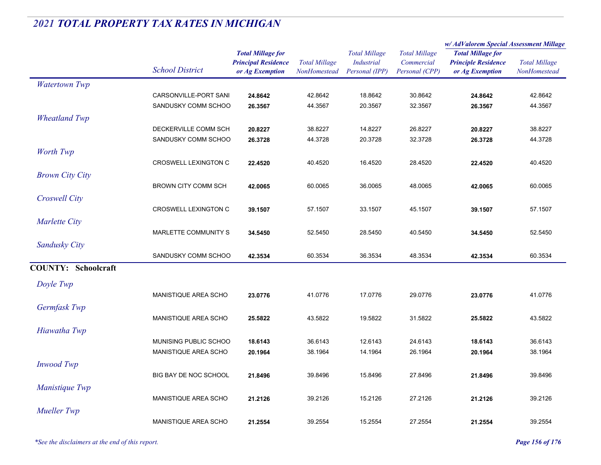|                            |                             |                                                                           |                                      |                                                             |                                                      | w/AdValorem Special Assessment Millage                                    |                                      |
|----------------------------|-----------------------------|---------------------------------------------------------------------------|--------------------------------------|-------------------------------------------------------------|------------------------------------------------------|---------------------------------------------------------------------------|--------------------------------------|
|                            | <b>School District</b>      | <b>Total Millage for</b><br><b>Principal Residence</b><br>or Ag Exemption | <b>Total Millage</b><br>NonHomestead | <b>Total Millage</b><br><b>Industrial</b><br>Personal (IPP) | <b>Total Millage</b><br>Commercial<br>Personal (CPP) | <b>Total Millage for</b><br><b>Principle Residence</b><br>or Ag Exemption | <b>Total Millage</b><br>NonHomestead |
| <b>Watertown Twp</b>       |                             |                                                                           |                                      |                                                             |                                                      |                                                                           |                                      |
|                            | CARSONVILLE-PORT SANI       | 24.8642                                                                   | 42.8642                              | 18.8642                                                     | 30.8642                                              | 24.8642                                                                   | 42.8642                              |
|                            | SANDUSKY COMM SCHOO         | 26.3567                                                                   | 44.3567                              | 20.3567                                                     | 32.3567                                              | 26.3567                                                                   | 44.3567                              |
| <b>Wheatland Twp</b>       |                             |                                                                           |                                      |                                                             |                                                      |                                                                           |                                      |
|                            | DECKERVILLE COMM SCH        | 20.8227                                                                   | 38.8227                              | 14.8227                                                     | 26.8227                                              | 20.8227                                                                   | 38.8227                              |
|                            | SANDUSKY COMM SCHOO         | 26.3728                                                                   | 44.3728                              | 20.3728                                                     | 32.3728                                              | 26.3728                                                                   | 44.3728                              |
| Worth Twp                  |                             |                                                                           |                                      |                                                             |                                                      |                                                                           |                                      |
|                            | <b>CROSWELL LEXINGTON C</b> | 22.4520                                                                   | 40.4520                              | 16.4520                                                     | 28.4520                                              | 22.4520                                                                   | 40.4520                              |
| <b>Brown City City</b>     |                             |                                                                           |                                      |                                                             |                                                      |                                                                           |                                      |
|                            | <b>BROWN CITY COMM SCH</b>  | 42.0065                                                                   | 60.0065                              | 36.0065                                                     | 48.0065                                              | 42.0065                                                                   | 60.0065                              |
| Croswell City              |                             |                                                                           |                                      |                                                             |                                                      |                                                                           |                                      |
|                            | <b>CROSWELL LEXINGTON C</b> | 39.1507                                                                   | 57.1507                              | 33.1507                                                     | 45.1507                                              | 39.1507                                                                   | 57.1507                              |
| Marlette City              |                             |                                                                           |                                      |                                                             |                                                      |                                                                           |                                      |
|                            | MARLETTE COMMUNITY S        | 34.5450                                                                   | 52.5450                              | 28.5450                                                     | 40.5450                                              | 34.5450                                                                   | 52.5450                              |
| Sandusky City              |                             |                                                                           |                                      |                                                             |                                                      |                                                                           |                                      |
|                            | SANDUSKY COMM SCHOO         | 42.3534                                                                   | 60.3534                              | 36.3534                                                     | 48.3534                                              | 42.3534                                                                   | 60.3534                              |
| <b>COUNTY: Schoolcraft</b> |                             |                                                                           |                                      |                                                             |                                                      |                                                                           |                                      |
| Doyle Twp                  |                             |                                                                           |                                      |                                                             |                                                      |                                                                           |                                      |
|                            | MANISTIQUE AREA SCHO        | 23.0776                                                                   | 41.0776                              | 17.0776                                                     | 29.0776                                              | 23.0776                                                                   | 41.0776                              |
| Germfask Twp               |                             |                                                                           |                                      |                                                             |                                                      |                                                                           |                                      |
|                            | <b>MANISTIQUE AREA SCHO</b> | 25.5822                                                                   | 43.5822                              | 19.5822                                                     | 31.5822                                              | 25.5822                                                                   | 43.5822                              |
| Hiawatha Twp               |                             |                                                                           |                                      |                                                             |                                                      |                                                                           |                                      |
|                            | MUNISING PUBLIC SCHOO       | 18.6143                                                                   | 36.6143                              | 12.6143                                                     | 24.6143                                              | 18.6143                                                                   | 36.6143                              |
|                            | MANISTIQUE AREA SCHO        | 20.1964                                                                   | 38.1964                              | 14.1964                                                     | 26.1964                                              | 20.1964                                                                   | 38.1964                              |
| <b>Inwood</b> Twp          |                             |                                                                           |                                      |                                                             |                                                      |                                                                           |                                      |
|                            | BIG BAY DE NOC SCHOOL       | 21.8496                                                                   | 39.8496                              | 15.8496                                                     | 27.8496                                              | 21.8496                                                                   | 39.8496                              |
| Manistique Twp             |                             |                                                                           |                                      |                                                             |                                                      |                                                                           |                                      |
|                            | MANISTIQUE AREA SCHO        | 21.2126                                                                   | 39.2126                              | 15.2126                                                     | 27.2126                                              | 21.2126                                                                   | 39.2126                              |
| <b>Mueller Twp</b>         |                             |                                                                           |                                      |                                                             |                                                      |                                                                           |                                      |
|                            | <b>MANISTIQUE AREA SCHO</b> | 21.2554                                                                   | 39.2554                              | 15.2554                                                     | 27.2554                                              | 21.2554                                                                   | 39.2554                              |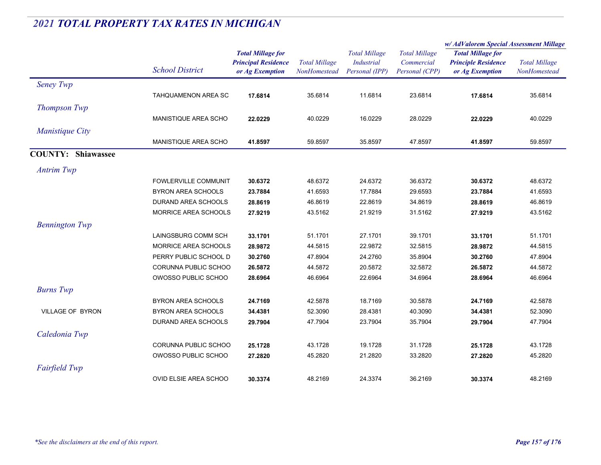|                           |                              |                                                                           | <b>Total Millage</b><br>NonHomestead | <b>Total Millage</b><br><b>Industrial</b><br>Personal (IPP) | <b>Total Millage</b><br>Commercial<br>Personal (CPP) | w/AdValorem Special Assessment Millage                                    |                                      |
|---------------------------|------------------------------|---------------------------------------------------------------------------|--------------------------------------|-------------------------------------------------------------|------------------------------------------------------|---------------------------------------------------------------------------|--------------------------------------|
|                           | <b>School District</b>       | <b>Total Millage for</b><br><b>Principal Residence</b><br>or Ag Exemption |                                      |                                                             |                                                      | <b>Total Millage for</b><br><b>Principle Residence</b><br>or Ag Exemption | <b>Total Millage</b><br>NonHomestead |
| Seney Twp                 |                              |                                                                           |                                      |                                                             |                                                      |                                                                           |                                      |
|                           | TAHQUAMENON AREA SC          | 17.6814                                                                   | 35.6814                              | 11.6814                                                     | 23.6814                                              | 17.6814                                                                   | 35.6814                              |
| <b>Thompson Twp</b>       |                              |                                                                           |                                      |                                                             |                                                      |                                                                           |                                      |
|                           | <b>MANISTIQUE AREA SCHO</b>  | 22.0229                                                                   | 40.0229                              | 16.0229                                                     | 28.0229                                              | 22.0229                                                                   | 40.0229                              |
| Manistique City           |                              |                                                                           |                                      |                                                             |                                                      |                                                                           |                                      |
|                           | <b>MANISTIQUE AREA SCHO</b>  | 41.8597                                                                   | 59.8597                              | 35.8597                                                     | 47.8597                                              | 41.8597                                                                   | 59.8597                              |
| <b>COUNTY: Shiawassee</b> |                              |                                                                           |                                      |                                                             |                                                      |                                                                           |                                      |
| <b>Antrim Twp</b>         |                              |                                                                           |                                      |                                                             |                                                      |                                                                           |                                      |
|                           | FOWLERVILLE COMMUNIT         | 30.6372                                                                   | 48.6372                              | 24.6372                                                     | 36.6372                                              | 30.6372                                                                   | 48.6372                              |
|                           | <b>BYRON AREA SCHOOLS</b>    | 23.7884                                                                   | 41.6593                              | 17.7884                                                     | 29.6593                                              | 23.7884                                                                   | 41.6593                              |
|                           | DURAND AREA SCHOOLS          | 28.8619                                                                   | 46.8619                              | 22.8619                                                     | 34.8619                                              | 28.8619                                                                   | 46.8619                              |
|                           | MORRICE AREA SCHOOLS         | 27.9219                                                                   | 43.5162                              | 21.9219                                                     | 31.5162                                              | 27.9219                                                                   | 43.5162                              |
| <b>Bennington Twp</b>     |                              |                                                                           |                                      |                                                             |                                                      |                                                                           |                                      |
|                           | LAINGSBURG COMM SCH          | 33.1701                                                                   | 51.1701                              | 27.1701                                                     | 39.1701                                              | 33.1701                                                                   | 51.1701                              |
|                           | MORRICE AREA SCHOOLS         | 28.9872                                                                   | 44.5815                              | 22.9872                                                     | 32.5815                                              | 28.9872                                                                   | 44.5815                              |
|                           | PERRY PUBLIC SCHOOL D        | 30.2760                                                                   | 47.8904                              | 24.2760                                                     | 35.8904                                              | 30.2760                                                                   | 47.8904                              |
|                           | CORUNNA PUBLIC SCHOO         | 26.5872                                                                   | 44.5872                              | 20.5872                                                     | 32.5872                                              | 26.5872                                                                   | 44.5872                              |
|                           | OWOSSO PUBLIC SCHOO          | 28.6964                                                                   | 46.6964                              | 22.6964                                                     | 34.6964                                              | 28.6964                                                                   | 46.6964                              |
| <b>Burns</b> Twp          |                              |                                                                           |                                      |                                                             |                                                      |                                                                           |                                      |
|                           | BYRON AREA SCHOOLS           | 24.7169                                                                   | 42.5878                              | 18.7169                                                     | 30.5878                                              | 24.7169                                                                   | 42.5878                              |
| VILLAGE OF BYRON          | <b>BYRON AREA SCHOOLS</b>    | 34.4381                                                                   | 52.3090                              | 28.4381                                                     | 40.3090                                              | 34.4381                                                                   | 52.3090                              |
|                           | DURAND AREA SCHOOLS          | 29.7904                                                                   | 47.7904                              | 23.7904                                                     | 35.7904                                              | 29.7904                                                                   | 47.7904                              |
| Caledonia Twp             |                              |                                                                           |                                      |                                                             |                                                      |                                                                           |                                      |
|                           | CORUNNA PUBLIC SCHOO         | 25.1728                                                                   | 43.1728                              | 19.1728                                                     | 31.1728                                              | 25.1728                                                                   | 43.1728                              |
|                           | OWOSSO PUBLIC SCHOO          | 27.2820                                                                   | 45.2820                              | 21.2820                                                     | 33.2820                                              | 27.2820                                                                   | 45.2820                              |
| <b>Fairfield Twp</b>      |                              |                                                                           |                                      |                                                             |                                                      |                                                                           |                                      |
|                           | <b>OVID ELSIE AREA SCHOO</b> | 30.3374                                                                   | 48.2169                              | 24.3374                                                     | 36.2169                                              | 30.3374                                                                   | 48.2169                              |
|                           |                              |                                                                           |                                      |                                                             |                                                      |                                                                           |                                      |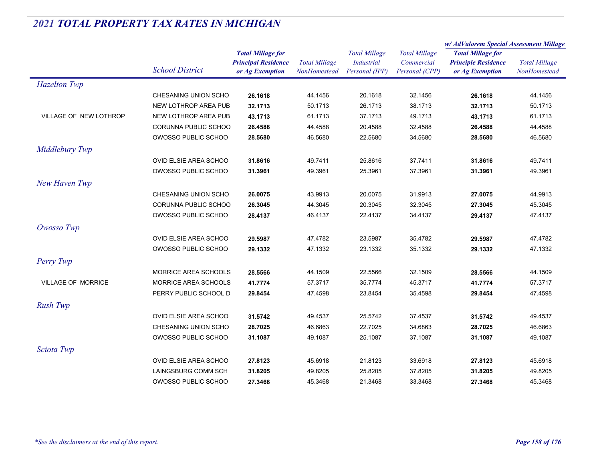|                           |                        |                                                                           |                                      |                                                             |                                                      | w/AdValorem Special Assessment Millage                                    |                                      |
|---------------------------|------------------------|---------------------------------------------------------------------------|--------------------------------------|-------------------------------------------------------------|------------------------------------------------------|---------------------------------------------------------------------------|--------------------------------------|
|                           | <b>School District</b> | <b>Total Millage for</b><br><b>Principal Residence</b><br>or Ag Exemption | <b>Total Millage</b><br>NonHomestead | <b>Total Millage</b><br><b>Industrial</b><br>Personal (IPP) | <b>Total Millage</b><br>Commercial<br>Personal (CPP) | <b>Total Millage for</b><br><b>Principle Residence</b><br>or Ag Exemption | <b>Total Millage</b><br>NonHomestead |
| <b>Hazelton Twp</b>       |                        |                                                                           |                                      |                                                             |                                                      |                                                                           |                                      |
|                           | CHESANING UNION SCHO   | 26.1618                                                                   | 44.1456                              | 20.1618                                                     | 32.1456                                              | 26.1618                                                                   | 44.1456                              |
|                           | NEW LOTHROP AREA PUB   | 32.1713                                                                   | 50.1713                              | 26.1713                                                     | 38.1713                                              | 32.1713                                                                   | 50.1713                              |
| VILLAGE OF NEW LOTHROP    | NEW LOTHROP AREA PUB   | 43.1713                                                                   | 61.1713                              | 37.1713                                                     | 49.1713                                              | 43.1713                                                                   | 61.1713                              |
|                           | CORUNNA PUBLIC SCHOO   | 26.4588                                                                   | 44.4588                              | 20.4588                                                     | 32.4588                                              | 26.4588                                                                   | 44.4588                              |
|                           | OWOSSO PUBLIC SCHOO    | 28.5680                                                                   | 46.5680                              | 22.5680                                                     | 34.5680                                              | 28.5680                                                                   | 46.5680                              |
| Middlebury Twp            |                        |                                                                           |                                      |                                                             |                                                      |                                                                           |                                      |
|                           | OVID ELSIE AREA SCHOO  | 31.8616                                                                   | 49.7411                              | 25.8616                                                     | 37.7411                                              | 31.8616                                                                   | 49.7411                              |
|                           | OWOSSO PUBLIC SCHOO    | 31.3961                                                                   | 49.3961                              | 25.3961                                                     | 37.3961                                              | 31.3961                                                                   | 49.3961                              |
| New Haven Twp             |                        |                                                                           |                                      |                                                             |                                                      |                                                                           |                                      |
|                           | CHESANING UNION SCHO   | 26.0075                                                                   | 43.9913                              | 20.0075                                                     | 31.9913                                              | 27.0075                                                                   | 44.9913                              |
|                           | CORUNNA PUBLIC SCHOO   | 26.3045                                                                   | 44.3045                              | 20.3045                                                     | 32.3045                                              | 27.3045                                                                   | 45.3045                              |
|                           | OWOSSO PUBLIC SCHOO    | 28.4137                                                                   | 46.4137                              | 22.4137                                                     | 34.4137                                              | 29.4137                                                                   | 47.4137                              |
| Owosso Twp                |                        |                                                                           |                                      |                                                             |                                                      |                                                                           |                                      |
|                           | OVID ELSIE AREA SCHOO  | 29.5987                                                                   | 47.4782                              | 23.5987                                                     | 35.4782                                              | 29.5987                                                                   | 47.4782                              |
|                           | OWOSSO PUBLIC SCHOO    | 29.1332                                                                   | 47.1332                              | 23.1332                                                     | 35.1332                                              | 29.1332                                                                   | 47.1332                              |
| Perry Twp                 |                        |                                                                           |                                      |                                                             |                                                      |                                                                           |                                      |
|                           | MORRICE AREA SCHOOLS   | 28.5566                                                                   | 44.1509                              | 22.5566                                                     | 32.1509                                              | 28.5566                                                                   | 44.1509                              |
| <b>VILLAGE OF MORRICE</b> | MORRICE AREA SCHOOLS   | 41.7774                                                                   | 57.3717                              | 35.7774                                                     | 45.3717                                              | 41.7774                                                                   | 57.3717                              |
|                           | PERRY PUBLIC SCHOOL D  | 29.8454                                                                   | 47.4598                              | 23.8454                                                     | 35.4598                                              | 29.8454                                                                   | 47.4598                              |
| <b>Rush Twp</b>           |                        |                                                                           |                                      |                                                             |                                                      |                                                                           |                                      |
|                           | OVID ELSIE AREA SCHOO  | 31.5742                                                                   | 49.4537                              | 25.5742                                                     | 37.4537                                              | 31.5742                                                                   | 49.4537                              |
|                           | CHESANING UNION SCHO   | 28.7025                                                                   | 46.6863                              | 22.7025                                                     | 34.6863                                              | 28.7025                                                                   | 46.6863                              |
|                           | OWOSSO PUBLIC SCHOO    | 31.1087                                                                   | 49.1087                              | 25.1087                                                     | 37.1087                                              | 31.1087                                                                   | 49.1087                              |
| Sciota Twp                |                        |                                                                           |                                      |                                                             |                                                      |                                                                           |                                      |
|                           | OVID ELSIE AREA SCHOO  | 27.8123                                                                   | 45.6918                              | 21.8123                                                     | 33.6918                                              | 27.8123                                                                   | 45.6918                              |
|                           | LAINGSBURG COMM SCH    | 31.8205                                                                   | 49.8205                              | 25.8205                                                     | 37.8205                                              | 31.8205                                                                   | 49.8205                              |
|                           | OWOSSO PUBLIC SCHOO    | 27.3468                                                                   | 45.3468                              | 21.3468                                                     | 33.3468                                              | 27.3468                                                                   | 45.3468                              |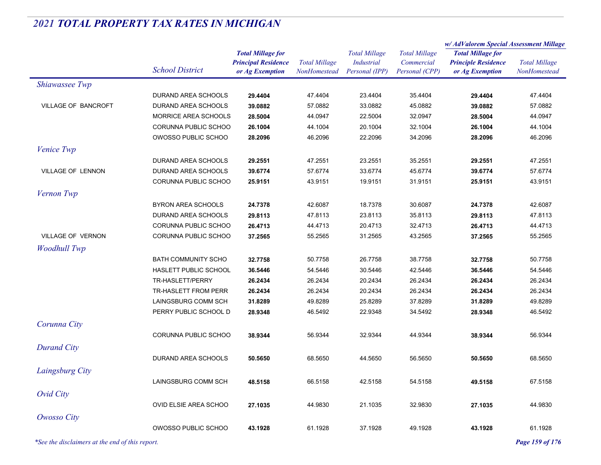|                                                 |                           |                            |                      | <b>Total Millage</b><br><b>Industrial</b> | <b>Total Millage</b> | w/AdValorem Special Assessment Millage |                      |  |
|-------------------------------------------------|---------------------------|----------------------------|----------------------|-------------------------------------------|----------------------|----------------------------------------|----------------------|--|
|                                                 |                           | <b>Total Millage for</b>   |                      |                                           |                      | <b>Total Millage for</b>               | <b>Total Millage</b> |  |
|                                                 | <b>School District</b>    | <b>Principal Residence</b> | <b>Total Millage</b> |                                           | Commercial           | <b>Principle Residence</b>             |                      |  |
|                                                 |                           | or Ag Exemption            | NonHomestead         | Personal (IPP)                            | Personal (CPP)       | or Ag Exemption                        | NonHomested          |  |
| Shiawassee Twp                                  |                           |                            |                      |                                           |                      |                                        |                      |  |
|                                                 | DURAND AREA SCHOOLS       | 29.4404                    | 47.4404              | 23.4404                                   | 35.4404              | 29.4404                                | 47.4404              |  |
| VILLAGE OF BANCROFT                             | DURAND AREA SCHOOLS       | 39.0882                    | 57.0882              | 33.0882                                   | 45.0882              | 39.0882                                | 57.0882              |  |
|                                                 | MORRICE AREA SCHOOLS      | 28.5004                    | 44.0947              | 22.5004                                   | 32.0947              | 28.5004                                | 44.0947              |  |
|                                                 | CORUNNA PUBLIC SCHOO      | 26.1004                    | 44.1004              | 20.1004                                   | 32.1004              | 26.1004                                | 44.1004              |  |
|                                                 | OWOSSO PUBLIC SCHOO       | 28.2096                    | 46.2096              | 22.2096                                   | 34.2096              | 28.2096                                | 46.2096              |  |
| Venice Twp                                      |                           |                            |                      |                                           |                      |                                        |                      |  |
|                                                 | DURAND AREA SCHOOLS       | 29.2551                    | 47.2551              | 23.2551                                   | 35.2551              | 29.2551                                | 47.2551              |  |
| VILLAGE OF LENNON                               | DURAND AREA SCHOOLS       | 39.6774                    | 57.6774              | 33.6774                                   | 45.6774              | 39.6774                                | 57.6774              |  |
|                                                 | CORUNNA PUBLIC SCHOO      | 25.9151                    | 43.9151              | 19.9151                                   | 31.9151              | 25.9151                                | 43.9151              |  |
| Vernon Twp                                      |                           |                            |                      |                                           |                      |                                        |                      |  |
|                                                 | <b>BYRON AREA SCHOOLS</b> | 24.7378                    | 42.6087              | 18.7378                                   | 30.6087              | 24.7378                                | 42.6087              |  |
|                                                 | DURAND AREA SCHOOLS       | 29.8113                    | 47.8113              | 23.8113                                   | 35.8113              | 29.8113                                | 47.8113              |  |
|                                                 | CORUNNA PUBLIC SCHOO      | 26.4713                    | 44.4713              | 20.4713                                   | 32.4713              | 26.4713                                | 44.4713              |  |
| VILLAGE OF VERNON                               | CORUNNA PUBLIC SCHOO      | 37.2565                    | 55.2565              | 31.2565                                   | 43.2565              | 37.2565                                | 55.2565              |  |
| <b>Woodhull Twp</b>                             |                           |                            |                      |                                           |                      |                                        |                      |  |
|                                                 | BATH COMMUNITY SCHO       | 32.7758                    | 50.7758              | 26.7758                                   | 38.7758              | 32.7758                                | 50.7758              |  |
|                                                 | HASLETT PUBLIC SCHOOL     | 36.5446                    | 54.5446              | 30.5446                                   | 42.5446              | 36.5446                                | 54.5446              |  |
|                                                 | TR-HASLETT/PERRY          | 26.2434                    | 26.2434              | 20.2434                                   | 26.2434              | 26.2434                                | 26.2434              |  |
|                                                 | TR-HASLETT FROM PERR      | 26.2434                    | 26.2434              | 20.2434                                   | 26.2434              | 26.2434                                | 26.2434              |  |
|                                                 | LAINGSBURG COMM SCH       | 31.8289                    | 49.8289              | 25.8289                                   | 37.8289              | 31.8289                                | 49.8289              |  |
|                                                 | PERRY PUBLIC SCHOOL D     | 28.9348                    | 46.5492              | 22.9348                                   | 34.5492              | 28.9348                                | 46.5492              |  |
|                                                 |                           |                            |                      |                                           |                      |                                        |                      |  |
| Corunna City                                    |                           |                            |                      |                                           |                      |                                        |                      |  |
|                                                 | CORUNNA PUBLIC SCHOO      | 38.9344                    | 56.9344              | 32.9344                                   | 44.9344              | 38.9344                                | 56.9344              |  |
| <b>Durand City</b>                              |                           |                            |                      |                                           |                      |                                        |                      |  |
|                                                 | DURAND AREA SCHOOLS       | 50.5650                    | 68.5650              | 44.5650                                   | 56.5650              | 50.5650                                | 68.5650              |  |
| Laingsburg City                                 |                           |                            |                      |                                           |                      |                                        |                      |  |
|                                                 | LAINGSBURG COMM SCH       | 48.5158                    | 66.5158              | 42.5158                                   | 54.5158              | 49.5158                                | 67.5158              |  |
| Ovid City                                       |                           |                            |                      |                                           |                      |                                        |                      |  |
|                                                 | OVID ELSIE AREA SCHOO     | 27.1035                    | 44.9830              | 21.1035                                   | 32.9830              | 27.1035                                | 44.9830              |  |
| <b>Owosso City</b>                              |                           |                            |                      |                                           |                      |                                        |                      |  |
|                                                 | OWOSSO PUBLIC SCHOO       | 43.1928                    | 61.1928              | 37.1928                                   | 49.1928              | 43.1928                                | 61.1928              |  |
|                                                 |                           |                            |                      |                                           |                      |                                        |                      |  |
| *See the disclaimers at the end of this report. |                           |                            |                      |                                           |                      |                                        | Page 159 of 176      |  |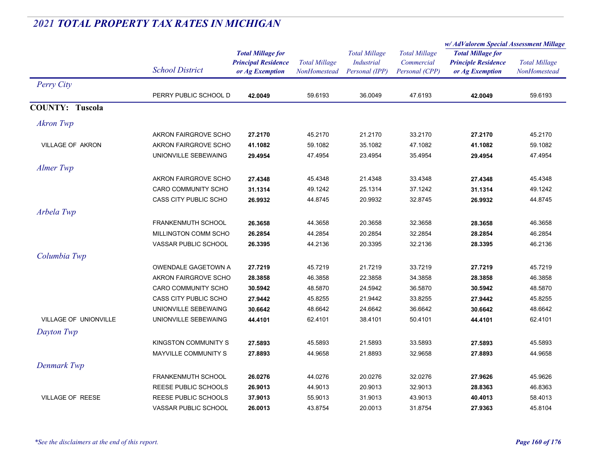#### *Total Millage for Principal Residence School District or Ag Exemption Total Millage NonHomesteadTotal Millage for Principle Residence or Ag Exemption Total Millage NonHomesteadw/ AdValorem Special Assessment Millage Total Millage CommercialPersonal (CPP) Total Millage Industrial Personal (IPP) Perry City* PERRY PUBLIC SCHOOL D **42.0049** 59.6193 36.0049 47.6193 **42.0049** 59.6193 **COUNTY: Tuscola***Akron Twp* AKRON FAIRGROVE SCHO **27.2170** 45.2170 21.2170 33.2170 **27.2170** 45.2170 VILLAGE OF AKRON AKRON FAIRGROVE SCHO **41.1082** 59.1082 35.1082 47.1082 **41.1082** 59.1082 UNIONVILLE SEBEWAING **29.4954** 47.4954 23.4954 35.4954 **29.4954** 47.4954 *Almer Twp* AKRON FAIRGROVE SCHO **27.4348** 45.4348 21.4348 33.4348 **27.4348** 45.4348 CARO COMMUNITY SCHO **31.1314** 49.1242 25.1314 37.1242 **31.1314** 49.1242 CASS CITY PUBLIC SCHO **26.9932** 44.8745 20.9932 32.8745 **26.9932** 44.8745 *Arbela Twp* FRANKENMUTH SCHOOL **26.3658** 44.3658 20.3658 32.3658 **28.3658** 46.3658 MILLINGTON COMM SCHO **26.2854** 44.2854 20.2854 32.2854 **28.2854** 46.2854 VASSAR PUBLIC SCHOOL **26.3395** 44.2136 20.3395 32.2136 **28.3395** 46.2136 *Columbia Twp* OWENDALE GAGETOWN A **27.7219** 45.7219 21.7219 33.7219 **27.7219** 45.7219 AKRON FAIRGROVE SCHO **28.3858** 46.3858 22.3858 34.3858 **28.3858** 46.3858 CARO COMMUNITY SCHO **30.5942** 48.5870 24.5942 36.5870 **30.5942** 48.5870 CASS CITY PUBLIC SCHO **27.9442** 45.8255 21.9442 33.8255 **27.9442** 45.8255 UNIONVILLE SEBEWAING **30.6642** 48.6642 24.6642 36.6642 **30.6642** 48.6642 VILLAGE OF UNIONVILLE UNIONVILLE SEBEWAING **44.4101** 62.4101 38.4101 50.4101 **44.4101** 62.4101 *Dayton Twp* KINGSTON COMMUNITY S **27.5893** 45.5893 21.5893 33.5893 **27.5893** 45.5893 MAYVILLE COMMUNITY S **27.8893** 44.9658 21.8893 32.9658 **27.8893** 44.9658 *Denmark Twp* FRANKENMUTH SCHOOL **26.0276** 44.0276 20.0276 32.0276 **27.9626** 45.9626 REESE PUBLIC SCHOOLS **26.9013** 44.9013 20.9013 32.9013 **28.8363** 46.8363 VILLAGE OF REESE REESE PUBLIC SCHOOLS **37.9013** 55.9013 31.9013 43.9013 **40.4013** 58.4013 VASSAR PUBLIC SCHOOL **26.0013**43.8754 20.0013 31.8754 **27.9363** 45.8104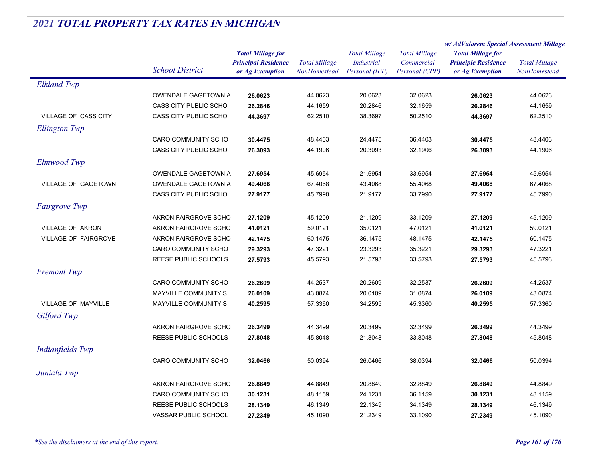|                             |                              |                            |                      | <b>Total Millage</b> | <b>Total Millage</b> | w/ AdValorem Special Assessment Millage |                      |
|-----------------------------|------------------------------|----------------------------|----------------------|----------------------|----------------------|-----------------------------------------|----------------------|
|                             |                              | <b>Total Millage for</b>   |                      |                      |                      | <b>Total Millage for</b>                | <b>Total Millage</b> |
|                             |                              | <b>Principal Residence</b> | <b>Total Millage</b> | <b>Industrial</b>    | Commercial           | <b>Principle Residence</b>              |                      |
|                             | <b>School District</b>       | or Ag Exemption            | NonHomestead         | Personal (IPP)       | Personal (CPP)       | or Ag Exemption                         | NonHomestead         |
| <b>Elkland Twp</b>          |                              |                            |                      |                      |                      |                                         |                      |
|                             | OWENDALE GAGETOWN A          | 26.0623                    | 44.0623              | 20.0623              | 32.0623              | 26.0623                                 | 44.0623              |
|                             | CASS CITY PUBLIC SCHO        | 26.2846                    | 44.1659              | 20.2846              | 32.1659              | 26.2846                                 | 44.1659              |
| VILLAGE OF CASS CITY        | CASS CITY PUBLIC SCHO        | 44.3697                    | 62.2510              | 38.3697              | 50.2510              | 44.3697                                 | 62.2510              |
| <b>Ellington Twp</b>        |                              |                            |                      |                      |                      |                                         |                      |
|                             | CARO COMMUNITY SCHO          | 30.4475                    | 48.4403              | 24.4475              | 36.4403              | 30.4475                                 | 48.4403              |
|                             | <b>CASS CITY PUBLIC SCHO</b> | 26.3093                    | 44.1906              | 20.3093              | 32.1906              | 26.3093                                 | 44.1906              |
| Elmwood Twp                 |                              |                            |                      |                      |                      |                                         |                      |
|                             | OWENDALE GAGETOWN A          | 27.6954                    | 45.6954              | 21.6954              | 33.6954              | 27.6954                                 | 45.6954              |
| <b>VILLAGE OF GAGETOWN</b>  | OWENDALE GAGETOWN A          | 49.4068                    | 67.4068              | 43.4068              | 55.4068              | 49.4068                                 | 67.4068              |
|                             | CASS CITY PUBLIC SCHO        | 27.9177                    | 45.7990              | 21.9177              | 33.7990              | 27.9177                                 | 45.7990              |
| <b>Fairgrove Twp</b>        |                              |                            |                      |                      |                      |                                         |                      |
|                             | AKRON FAIRGROVE SCHO         | 27.1209                    | 45.1209              | 21.1209              | 33.1209              | 27.1209                                 | 45.1209              |
| <b>VILLAGE OF AKRON</b>     | AKRON FAIRGROVE SCHO         | 41.0121                    | 59.0121              | 35.0121              | 47.0121              | 41.0121                                 | 59.0121              |
| <b>VILLAGE OF FAIRGROVE</b> | AKRON FAIRGROVE SCHO         | 42.1475                    | 60.1475              | 36.1475              | 48.1475              | 42.1475                                 | 60.1475              |
|                             | CARO COMMUNITY SCHO          | 29.3293                    | 47.3221              | 23.3293              | 35.3221              | 29.3293                                 | 47.3221              |
|                             | <b>REESE PUBLIC SCHOOLS</b>  | 27.5793                    | 45.5793              | 21.5793              | 33.5793              | 27.5793                                 | 45.5793              |
| <b>Fremont Twp</b>          |                              |                            |                      |                      |                      |                                         |                      |
|                             | <b>CARO COMMUNITY SCHO</b>   | 26.2609                    | 44.2537              | 20.2609              | 32.2537              | 26.2609                                 | 44.2537              |
|                             | MAYVILLE COMMUNITY S         | 26.0109                    | 43.0874              | 20.0109              | 31.0874              | 26.0109                                 | 43.0874              |
| <b>VILLAGE OF MAYVILLE</b>  | <b>MAYVILLE COMMUNITY S</b>  | 40.2595                    | 57.3360              | 34.2595              | 45.3360              | 40.2595                                 | 57.3360              |
| Gilford Twp                 |                              |                            |                      |                      |                      |                                         |                      |
|                             | AKRON FAIRGROVE SCHO         | 26.3499                    | 44.3499              | 20.3499              | 32.3499              | 26.3499                                 | 44.3499              |
|                             | <b>REESE PUBLIC SCHOOLS</b>  | 27.8048                    | 45.8048              | 21.8048              | 33.8048              | 27.8048                                 | 45.8048              |
| Indianfields Twp            |                              |                            |                      |                      |                      |                                         |                      |
|                             | CARO COMMUNITY SCHO          | 32.0466                    | 50.0394              | 26.0466              | 38.0394              | 32.0466                                 | 50.0394              |
| Juniata Twp                 |                              |                            |                      |                      |                      |                                         |                      |
|                             | AKRON FAIRGROVE SCHO         | 26.8849                    | 44.8849              | 20.8849              | 32.8849              | 26.8849                                 | 44.8849              |
|                             | CARO COMMUNITY SCHO          | 30.1231                    | 48.1159              | 24.1231              | 36.1159              | 30.1231                                 | 48.1159              |
|                             | REESE PUBLIC SCHOOLS         | 28.1349                    | 46.1349              | 22.1349              | 34.1349              | 28.1349                                 | 46.1349              |
|                             | <b>VASSAR PUBLIC SCHOOL</b>  | 27.2349                    | 45.1090              | 21.2349              | 33.1090              | 27.2349                                 | 45.1090              |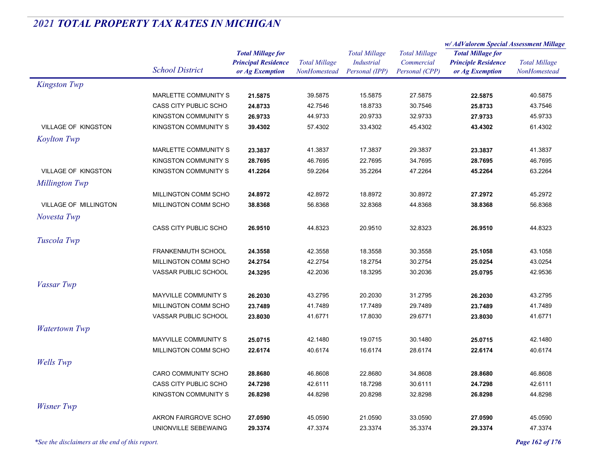|                              |                             |                            | <b>Total Millage</b> | <b>Total Millage</b><br><b>Industrial</b> | <b>Total Millage</b> | w/ AdValorem Special Assessment Millage |                      |
|------------------------------|-----------------------------|----------------------------|----------------------|-------------------------------------------|----------------------|-----------------------------------------|----------------------|
|                              |                             | <b>Total Millage for</b>   |                      |                                           |                      | <b>Total Millage for</b>                | <b>Total Millage</b> |
|                              | <b>School District</b>      | <b>Principal Residence</b> |                      |                                           | Commercial           | <b>Principle Residence</b>              |                      |
|                              |                             | or Ag Exemption            | NonHomestead         | Personal (IPP)                            | Personal (CPP)       | or Ag Exemption                         | NonHomestead         |
| <b>Kingston Twp</b>          |                             |                            |                      |                                           |                      |                                         |                      |
|                              | MARLETTE COMMUNITY S        | 21.5875                    | 39.5875              | 15.5875                                   | 27.5875              | 22.5875                                 | 40.5875              |
|                              | CASS CITY PUBLIC SCHO       | 24.8733                    | 42.7546              | 18.8733                                   | 30.7546              | 25.8733                                 | 43.7546              |
|                              | KINGSTON COMMUNITY S        | 26.9733                    | 44.9733              | 20.9733                                   | 32.9733              | 27.9733                                 | 45.9733              |
| <b>VILLAGE OF KINGSTON</b>   | KINGSTON COMMUNITY S        | 39.4302                    | 57.4302              | 33.4302                                   | 45.4302              | 43.4302                                 | 61.4302              |
| <b>Koylton Twp</b>           |                             |                            |                      |                                           |                      |                                         |                      |
|                              | MARLETTE COMMUNITY S        | 23.3837                    | 41.3837              | 17.3837                                   | 29.3837              | 23.3837                                 | 41.3837              |
|                              | <b>KINGSTON COMMUNITY S</b> | 28.7695                    | 46.7695              | 22.7695                                   | 34.7695              | 28.7695                                 | 46.7695              |
| <b>VILLAGE OF KINGSTON</b>   | <b>KINGSTON COMMUNITY S</b> | 41.2264                    | 59.2264              | 35.2264                                   | 47.2264              | 45.2264                                 | 63.2264              |
| Millington Twp               |                             |                            |                      |                                           |                      |                                         |                      |
|                              | MILLINGTON COMM SCHO        | 24.8972                    | 42.8972              | 18.8972                                   | 30.8972              | 27.2972                                 | 45.2972              |
| <b>VILLAGE OF MILLINGTON</b> | MILLINGTON COMM SCHO        | 38.8368                    | 56.8368              | 32.8368                                   | 44.8368              | 38.8368                                 | 56.8368              |
| Novesta Twp                  |                             |                            |                      |                                           |                      |                                         |                      |
|                              | CASS CITY PUBLIC SCHO       | 26.9510                    | 44.8323              | 20.9510                                   | 32.8323              | 26.9510                                 | 44.8323              |
|                              |                             |                            |                      |                                           |                      |                                         |                      |
| Tuscola Twp                  |                             |                            |                      |                                           |                      |                                         |                      |
|                              | FRANKENMUTH SCHOOL          | 24.3558                    | 42.3558              | 18.3558                                   | 30.3558              | 25.1058                                 | 43.1058              |
|                              | MILLINGTON COMM SCHO        | 24.2754                    | 42.2754              | 18.2754                                   | 30.2754              | 25.0254                                 | 43.0254              |
|                              | VASSAR PUBLIC SCHOOL        | 24.3295                    | 42.2036              | 18.3295                                   | 30.2036              | 25.0795                                 | 42.9536              |
| Vassar Twp                   |                             |                            |                      |                                           |                      |                                         |                      |
|                              | MAYVILLE COMMUNITY S        | 26.2030                    | 43.2795              | 20.2030                                   | 31.2795              | 26.2030                                 | 43.2795              |
|                              | MILLINGTON COMM SCHO        | 23.7489                    | 41.7489              | 17.7489                                   | 29.7489              | 23.7489                                 | 41.7489              |
|                              | VASSAR PUBLIC SCHOOL        | 23.8030                    | 41.6771              | 17.8030                                   | 29.6771              | 23.8030                                 | 41.6771              |
| <b>Watertown Twp</b>         |                             |                            |                      |                                           |                      |                                         |                      |
|                              | MAYVILLE COMMUNITY S        | 25.0715                    | 42.1480              | 19.0715                                   | 30.1480              | 25.0715                                 | 42.1480              |
|                              | MILLINGTON COMM SCHO        | 22.6174                    | 40.6174              | 16.6174                                   | 28.6174              | 22.6174                                 | 40.6174              |
| <b>Wells</b> Twp             |                             |                            |                      |                                           |                      |                                         |                      |
|                              | CARO COMMUNITY SCHO         | 28.8680                    | 46.8608              | 22.8680                                   | 34.8608              | 28.8680                                 | 46.8608              |
|                              | CASS CITY PUBLIC SCHO       | 24.7298                    | 42.6111              | 18.7298                                   | 30.6111              | 24.7298                                 | 42.6111              |
|                              | KINGSTON COMMUNITY S        | 26.8298                    | 44.8298              | 20.8298                                   | 32.8298              | 26.8298                                 | 44.8298              |
| <b>Wisner Twp</b>            |                             |                            |                      |                                           |                      |                                         |                      |
|                              | AKRON FAIRGROVE SCHO        | 27.0590                    | 45.0590              | 21.0590                                   | 33.0590              | 27.0590                                 | 45.0590              |
|                              | UNIONVILLE SEBEWAING        | 29.3374                    | 47.3374              | 23.3374                                   | 35.3374              | 29.3374                                 | 47.3374              |
|                              |                             |                            |                      |                                           |                      |                                         |                      |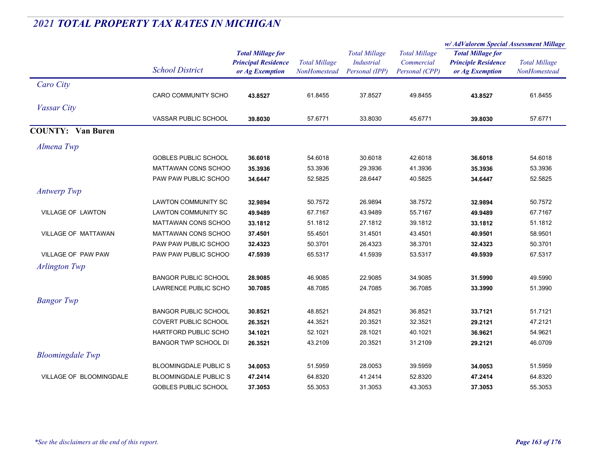|                            |                              |                                               |                                      |                                     |                              | w/AdValorem Special Assessment Millage        |                                      |
|----------------------------|------------------------------|-----------------------------------------------|--------------------------------------|-------------------------------------|------------------------------|-----------------------------------------------|--------------------------------------|
|                            |                              | <b>Total Millage for</b>                      |                                      | <b>Total Millage</b>                | <b>Total Millage</b>         | <b>Total Millage for</b>                      |                                      |
|                            | <b>School District</b>       | <b>Principal Residence</b><br>or Ag Exemption | <b>Total Millage</b><br>NonHomestead | <b>Industrial</b><br>Personal (IPP) | Commercial<br>Personal (CPP) | <b>Principle Residence</b><br>or Ag Exemption | <b>Total Millage</b><br>NonHomestead |
| Caro City                  |                              |                                               |                                      |                                     |                              |                                               |                                      |
|                            | <b>CARO COMMUNITY SCHO</b>   | 43.8527                                       | 61.8455                              | 37.8527                             | 49.8455                      | 43.8527                                       | 61.8455                              |
| <i>Vassar City</i>         |                              |                                               |                                      |                                     |                              |                                               |                                      |
|                            | VASSAR PUBLIC SCHOOL         | 39.8030                                       | 57.6771                              | 33.8030                             | 45.6771                      | 39.8030                                       | 57.6771                              |
| <b>COUNTY:</b> Van Buren   |                              |                                               |                                      |                                     |                              |                                               |                                      |
| Almena Twp                 |                              |                                               |                                      |                                     |                              |                                               |                                      |
|                            | <b>GOBLES PUBLIC SCHOOL</b>  | 36.6018                                       | 54.6018                              | 30.6018                             | 42.6018                      | 36.6018                                       | 54.6018                              |
|                            | <b>MATTAWAN CONS SCHOO</b>   | 35.3936                                       | 53.3936                              | 29.3936                             | 41.3936                      | 35.3936                                       | 53.3936                              |
|                            | PAW PAW PUBLIC SCHOO         | 34.6447                                       | 52.5825                              | 28.6447                             | 40.5825                      | 34.6447                                       | 52.5825                              |
| <b>Antwerp Twp</b>         |                              |                                               |                                      |                                     |                              |                                               |                                      |
|                            | <b>LAWTON COMMUNITY SC</b>   | 32.9894                                       | 50.7572                              | 26.9894                             | 38.7572                      | 32.9894                                       | 50.7572                              |
| <b>VILLAGE OF LAWTON</b>   | <b>LAWTON COMMUNITY SC</b>   | 49.9489                                       | 67.7167                              | 43.9489                             | 55.7167                      | 49.9489                                       | 67.7167                              |
|                            | <b>MATTAWAN CONS SCHOO</b>   | 33.1812                                       | 51.1812                              | 27.1812                             | 39.1812                      | 33.1812                                       | 51.1812                              |
| <b>VILLAGE OF MATTAWAN</b> | <b>MATTAWAN CONS SCHOO</b>   | 37.4501                                       | 55.4501                              | 31.4501                             | 43.4501                      | 40.9501                                       | 58.9501                              |
|                            | PAW PAW PUBLIC SCHOO         | 32.4323                                       | 50.3701                              | 26.4323                             | 38.3701                      | 32.4323                                       | 50.3701                              |
| <b>VILLAGE OF PAW PAW</b>  | PAW PAW PUBLIC SCHOO         | 47.5939                                       | 65.5317                              | 41.5939                             | 53.5317                      | 49.5939                                       | 67.5317                              |
| Arlington Twp              |                              |                                               |                                      |                                     |                              |                                               |                                      |
|                            | <b>BANGOR PUBLIC SCHOOL</b>  | 28.9085                                       | 46.9085                              | 22.9085                             | 34.9085                      | 31.5990                                       | 49.5990                              |
|                            | LAWRENCE PUBLIC SCHO         | 30.7085                                       | 48.7085                              | 24.7085                             | 36.7085                      | 33.3990                                       | 51.3990                              |
| <b>Bangor</b> Twp          |                              |                                               |                                      |                                     |                              |                                               |                                      |
|                            | <b>BANGOR PUBLIC SCHOOL</b>  | 30.8521                                       | 48.8521                              | 24.8521                             | 36.8521                      | 33.7121                                       | 51.7121                              |
|                            | COVERT PUBLIC SCHOOL         | 26.3521                                       | 44.3521                              | 20.3521                             | 32.3521                      | 29.2121                                       | 47.2121                              |
|                            | HARTFORD PUBLIC SCHO         | 34.1021                                       | 52.1021                              | 28.1021                             | 40.1021                      | 36.9621                                       | 54.9621                              |
|                            | <b>BANGOR TWP SCHOOL DI</b>  | 26.3521                                       | 43.2109                              | 20.3521                             | 31.2109                      | 29.2121                                       | 46.0709                              |
| <b>Bloomingdale</b> Twp    |                              |                                               |                                      |                                     |                              |                                               |                                      |
|                            | <b>BLOOMINGDALE PUBLIC S</b> | 34.0053                                       | 51.5959                              | 28.0053                             | 39.5959                      | 34.0053                                       | 51.5959                              |
| VILLAGE OF BLOOMINGDALE    | <b>BLOOMINGDALE PUBLIC S</b> | 47.2414                                       | 64.8320                              | 41.2414                             | 52.8320                      | 47.2414                                       | 64.8320                              |
|                            | <b>GOBLES PUBLIC SCHOOL</b>  | 37.3053                                       | 55.3053                              | 31.3053                             | 43.3053                      | 37.3053                                       | 55.3053                              |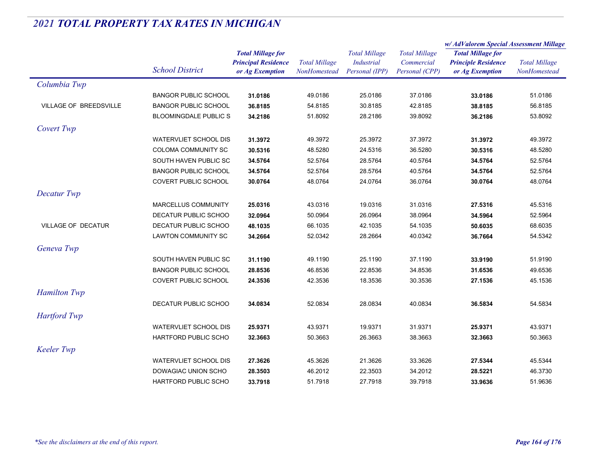|                           |                              |                                                                           |                                      |                                                             |                                                      | w/AdValorem Special Assessment Millage                                    |                                      |
|---------------------------|------------------------------|---------------------------------------------------------------------------|--------------------------------------|-------------------------------------------------------------|------------------------------------------------------|---------------------------------------------------------------------------|--------------------------------------|
|                           | <b>School District</b>       | <b>Total Millage for</b><br><b>Principal Residence</b><br>or Ag Exemption | <b>Total Millage</b><br>NonHomestead | <b>Total Millage</b><br><b>Industrial</b><br>Personal (IPP) | <b>Total Millage</b><br>Commercial<br>Personal (CPP) | <b>Total Millage for</b><br><b>Principle Residence</b><br>or Ag Exemption | <b>Total Millage</b><br>NonHomestead |
| Columbia Twp              |                              |                                                                           |                                      |                                                             |                                                      |                                                                           |                                      |
|                           | <b>BANGOR PUBLIC SCHOOL</b>  | 31.0186                                                                   | 49.0186                              | 25.0186                                                     | 37.0186                                              | 33.0186                                                                   | 51.0186                              |
| VILLAGE OF BREEDSVILLE    | <b>BANGOR PUBLIC SCHOOL</b>  | 36.8185                                                                   | 54.8185                              | 30.8185                                                     | 42.8185                                              | 38.8185                                                                   | 56.8185                              |
|                           | <b>BLOOMINGDALE PUBLIC S</b> | 34.2186                                                                   | 51.8092                              | 28.2186                                                     | 39.8092                                              | 36.2186                                                                   | 53.8092                              |
| Covert Twp                |                              |                                                                           |                                      |                                                             |                                                      |                                                                           |                                      |
|                           | <b>WATERVLIET SCHOOL DIS</b> | 31.3972                                                                   | 49.3972                              | 25.3972                                                     | 37.3972                                              | 31.3972                                                                   | 49.3972                              |
|                           | COLOMA COMMUNITY SC          | 30.5316                                                                   | 48.5280                              | 24.5316                                                     | 36.5280                                              | 30.5316                                                                   | 48.5280                              |
|                           | SOUTH HAVEN PUBLIC SC        | 34.5764                                                                   | 52.5764                              | 28.5764                                                     | 40.5764                                              | 34.5764                                                                   | 52.5764                              |
|                           | <b>BANGOR PUBLIC SCHOOL</b>  | 34.5764                                                                   | 52.5764                              | 28.5764                                                     | 40.5764                                              | 34.5764                                                                   | 52.5764                              |
|                           | <b>COVERT PUBLIC SCHOOL</b>  | 30.0764                                                                   | 48.0764                              | 24.0764                                                     | 36.0764                                              | 30.0764                                                                   | 48.0764                              |
| Decatur Twp               |                              |                                                                           |                                      |                                                             |                                                      |                                                                           |                                      |
|                           | MARCELLUS COMMUNITY          | 25.0316                                                                   | 43.0316                              | 19.0316                                                     | 31.0316                                              | 27.5316                                                                   | 45.5316                              |
|                           | DECATUR PUBLIC SCHOO         | 32.0964                                                                   | 50.0964                              | 26.0964                                                     | 38.0964                                              | 34.5964                                                                   | 52.5964                              |
| <b>VILLAGE OF DECATUR</b> | DECATUR PUBLIC SCHOO         | 48.1035                                                                   | 66.1035                              | 42.1035                                                     | 54.1035                                              | 50.6035                                                                   | 68.6035                              |
|                           | <b>LAWTON COMMUNITY SC</b>   | 34.2664                                                                   | 52.0342                              | 28.2664                                                     | 40.0342                                              | 36.7664                                                                   | 54.5342                              |
| Geneva Twp                |                              |                                                                           |                                      |                                                             |                                                      |                                                                           |                                      |
|                           | SOUTH HAVEN PUBLIC SC        | 31.1190                                                                   | 49.1190                              | 25.1190                                                     | 37.1190                                              | 33.9190                                                                   | 51.9190                              |
|                           | <b>BANGOR PUBLIC SCHOOL</b>  | 28.8536                                                                   | 46.8536                              | 22.8536                                                     | 34.8536                                              | 31.6536                                                                   | 49.6536                              |
|                           | COVERT PUBLIC SCHOOL         | 24.3536                                                                   | 42.3536                              | 18.3536                                                     | 30.3536                                              | 27.1536                                                                   | 45.1536                              |
| <b>Hamilton Twp</b>       |                              |                                                                           |                                      |                                                             |                                                      |                                                                           |                                      |
|                           | DECATUR PUBLIC SCHOO         | 34.0834                                                                   | 52.0834                              | 28.0834                                                     | 40.0834                                              | 36.5834                                                                   | 54.5834                              |
| <b>Hartford Twp</b>       |                              |                                                                           |                                      |                                                             |                                                      |                                                                           |                                      |
|                           | <b>WATERVLIET SCHOOL DIS</b> | 25.9371                                                                   | 43.9371                              | 19.9371                                                     | 31.9371                                              | 25.9371                                                                   | 43.9371                              |
|                           | <b>HARTFORD PUBLIC SCHO</b>  | 32.3663                                                                   | 50.3663                              | 26.3663                                                     | 38.3663                                              | 32.3663                                                                   | 50.3663                              |
| <b>Keeler Twp</b>         |                              |                                                                           |                                      |                                                             |                                                      |                                                                           |                                      |
|                           | <b>WATERVLIET SCHOOL DIS</b> | 27.3626                                                                   | 45.3626                              | 21.3626                                                     | 33.3626                                              | 27.5344                                                                   | 45.5344                              |
|                           | DOWAGIAC UNION SCHO          | 28.3503                                                                   | 46.2012                              | 22.3503                                                     | 34.2012                                              | 28.5221                                                                   | 46.3730                              |
|                           | <b>HARTFORD PUBLIC SCHO</b>  | 33.7918                                                                   | 51.7918                              | 27.7918                                                     | 39.7918                                              | 33.9636                                                                   | 51.9636                              |
|                           |                              |                                                                           |                                      |                                                             |                                                      |                                                                           |                                      |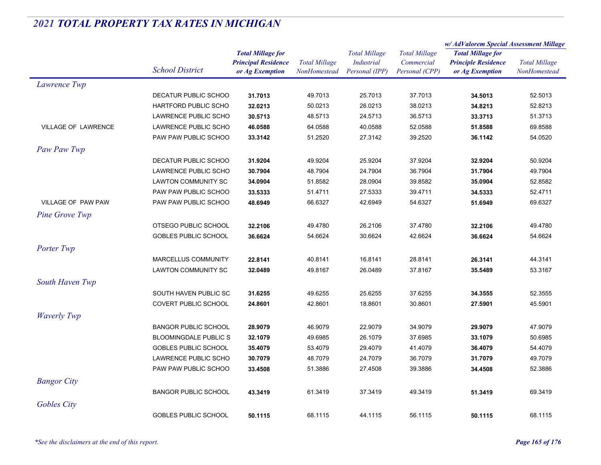|                            |                              |                            | <b>Total Millage</b><br>NonHomestead | <b>Total Millage</b><br><b>Industrial</b> | <b>Total Millage</b> | w/ AdValorem Special Assessment Millage                |                                      |
|----------------------------|------------------------------|----------------------------|--------------------------------------|-------------------------------------------|----------------------|--------------------------------------------------------|--------------------------------------|
|                            |                              | <b>Total Millage for</b>   |                                      |                                           |                      | <b>Total Millage for</b><br><b>Principle Residence</b> | <b>Total Millage</b><br>NonHomestead |
|                            | <b>School District</b>       | <b>Principal Residence</b> |                                      |                                           | Commercial           |                                                        |                                      |
|                            |                              | or Ag Exemption            |                                      | Personal (IPP)                            | Personal (CPP)       | or Ag Exemption                                        |                                      |
| Lawrence Twp               |                              |                            |                                      |                                           |                      |                                                        |                                      |
|                            | DECATUR PUBLIC SCHOO         | 31.7013                    | 49.7013                              | 25.7013                                   | 37.7013              | 34.5013                                                | 52.5013                              |
|                            | <b>HARTFORD PUBLIC SCHO</b>  | 32.0213                    | 50.0213                              | 26.0213                                   | 38.0213              | 34.8213                                                | 52.8213                              |
|                            | <b>LAWRENCE PUBLIC SCHO</b>  | 30.5713                    | 48.5713                              | 24.5713                                   | 36.5713              | 33.3713                                                | 51.3713                              |
| <b>VILLAGE OF LAWRENCE</b> | LAWRENCE PUBLIC SCHO         | 46.0588                    | 64.0588                              | 40.0588                                   | 52.0588              | 51.8588                                                | 69.8588                              |
|                            | PAW PAW PUBLIC SCHOO         | 33.3142                    | 51.2520                              | 27.3142                                   | 39.2520              | 36.1142                                                | 54.0520                              |
| Paw Paw Twp                |                              |                            |                                      |                                           |                      |                                                        |                                      |
|                            | DECATUR PUBLIC SCHOO         | 31.9204                    | 49.9204                              | 25.9204                                   | 37.9204              | 32.9204                                                | 50.9204                              |
|                            | LAWRENCE PUBLIC SCHO         | 30.7904                    | 48.7904                              | 24.7904                                   | 36.7904              | 31.7904                                                | 49.7904                              |
|                            | LAWTON COMMUNITY SC          | 34.0904                    | 51.8582                              | 28.0904                                   | 39.8582              | 35.0904                                                | 52.8582                              |
|                            | PAW PAW PUBLIC SCHOO         | 33.5333                    | 51.4711                              | 27.5333                                   | 39.4711              | 34.5333                                                | 52.4711                              |
| VILLAGE OF PAW PAW         | PAW PAW PUBLIC SCHOO         | 48.6949                    | 66.6327                              | 42.6949                                   | 54.6327              | 51.6949                                                | 69.6327                              |
| Pine Grove Twp             |                              |                            |                                      |                                           |                      |                                                        |                                      |
|                            | OTSEGO PUBLIC SCHOOL         | 32.2106                    | 49.4780                              | 26.2106                                   | 37.4780              | 32.2106                                                | 49.4780                              |
|                            | <b>GOBLES PUBLIC SCHOOL</b>  | 36.6624                    | 54.6624                              | 30.6624                                   | 42.6624              | 36.6624                                                | 54.6624                              |
| Porter Twp                 |                              |                            |                                      |                                           |                      |                                                        |                                      |
|                            | MARCELLUS COMMUNITY          | 22.8141                    | 40.8141                              | 16.8141                                   | 28.8141              | 26.3141                                                | 44.3141                              |
|                            | LAWTON COMMUNITY SC          | 32.0489                    | 49.8167                              | 26.0489                                   | 37.8167              | 35.5489                                                | 53.3167                              |
| South Haven Twp            |                              |                            |                                      |                                           |                      |                                                        |                                      |
|                            | SOUTH HAVEN PUBLIC SC        | 31.6255                    | 49.6255                              | 25.6255                                   | 37.6255              | 34.3555                                                | 52.3555                              |
|                            | COVERT PUBLIC SCHOOL         | 24.8601                    | 42.8601                              | 18.8601                                   | 30.8601              | 27.5901                                                | 45.5901                              |
|                            |                              |                            |                                      |                                           |                      |                                                        |                                      |
| <b>Waverly Twp</b>         |                              |                            |                                      |                                           |                      |                                                        |                                      |
|                            | <b>BANGOR PUBLIC SCHOOL</b>  | 28.9079                    | 46.9079                              | 22.9079                                   | 34.9079              | 29.9079                                                | 47.9079                              |
|                            | <b>BLOOMINGDALE PUBLIC S</b> | 32.1079                    | 49.6985                              | 26.1079                                   | 37.6985              | 33.1079                                                | 50.6985                              |
|                            | <b>GOBLES PUBLIC SCHOOL</b>  | 35.4079                    | 53.4079                              | 29.4079                                   | 41.4079              | 36.4079                                                | 54.4079                              |
|                            | <b>LAWRENCE PUBLIC SCHO</b>  | 30.7079                    | 48.7079                              | 24.7079                                   | 36.7079              | 31.7079                                                | 49.7079                              |
|                            | PAW PAW PUBLIC SCHOO         | 33.4508                    | 51.3886                              | 27.4508                                   | 39.3886              | 34.4508                                                | 52.3886                              |
| <b>Bangor City</b>         |                              |                            |                                      |                                           |                      |                                                        |                                      |
|                            | <b>BANGOR PUBLIC SCHOOL</b>  | 43.3419                    | 61.3419                              | 37.3419                                   | 49.3419              | 51.3419                                                | 69.3419                              |
| Gobles City                |                              |                            |                                      |                                           |                      |                                                        |                                      |
|                            | <b>GOBLES PUBLIC SCHOOL</b>  | 50.1115                    | 68.1115                              | 44.1115                                   | 56.1115              | 50.1115                                                | 68.1115                              |
|                            |                              |                            |                                      |                                           |                      |                                                        |                                      |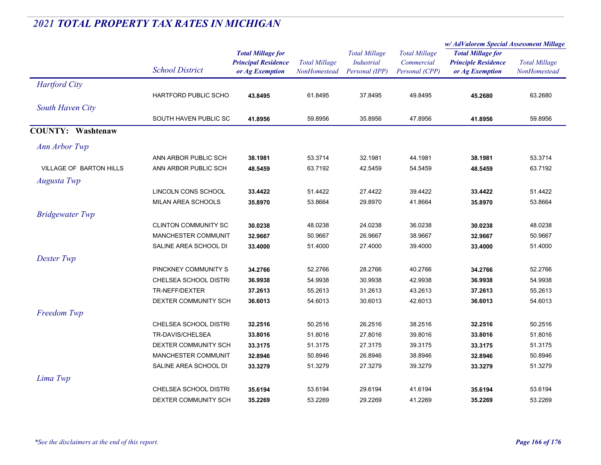|                                |                              |                            | <b>Total Millage</b> | <b>Total Millage</b><br><b>Industrial</b> | <b>Total Millage</b><br>Commercial | w/AdValorem Special Assessment Millage        |                      |
|--------------------------------|------------------------------|----------------------------|----------------------|-------------------------------------------|------------------------------------|-----------------------------------------------|----------------------|
|                                |                              | <b>Total Millage for</b>   |                      |                                           |                                    | <b>Total Millage for</b>                      |                      |
|                                | <b>School District</b>       | <b>Principal Residence</b> |                      |                                           |                                    | <b>Principle Residence</b><br>or Ag Exemption | <b>Total Millage</b> |
|                                |                              | or Ag Exemption            | <b>NonHomestead</b>  | Personal (IPP)                            | Personal (CPP)                     |                                               | NonHomestead         |
| <b>Hartford City</b>           |                              |                            |                      |                                           |                                    |                                               |                      |
|                                | HARTFORD PUBLIC SCHO         | 43.8495                    | 61.8495              | 37.8495                                   | 49.8495                            | 45.2680                                       | 63.2680              |
| South Haven City               |                              |                            |                      |                                           |                                    |                                               |                      |
|                                | SOUTH HAVEN PUBLIC SC        | 41.8956                    | 59.8956              | 35.8956                                   | 47.8956                            | 41.8956                                       | 59.8956              |
| <b>COUNTY: Washtenaw</b>       |                              |                            |                      |                                           |                                    |                                               |                      |
| Ann Arbor Twp                  |                              |                            |                      |                                           |                                    |                                               |                      |
|                                | ANN ARBOR PUBLIC SCH         | 38.1981                    | 53.3714              | 32.1981                                   | 44.1981                            | 38.1981                                       | 53.3714              |
| <b>VILLAGE OF BARTON HILLS</b> | ANN ARBOR PUBLIC SCH         | 48.5459                    | 63.7192              | 42.5459                                   | 54.5459                            | 48.5459                                       | 63.7192              |
| <b>Augusta Twp</b>             |                              |                            |                      |                                           |                                    |                                               |                      |
|                                | LINCOLN CONS SCHOOL          | 33.4422                    | 51.4422              | 27.4422                                   | 39.4422                            | 33.4422                                       | 51.4422              |
|                                | MILAN AREA SCHOOLS           | 35.8970                    | 53.8664              | 29.8970                                   | 41.8664                            | 35.8970                                       | 53.8664              |
| <b>Bridgewater Twp</b>         |                              |                            |                      |                                           |                                    |                                               |                      |
|                                | CLINTON COMMUNITY SC         | 30.0238                    | 48.0238              | 24.0238                                   | 36.0238                            | 30.0238                                       | 48.0238              |
|                                | MANCHESTER COMMUNIT          | 32.9667                    | 50.9667              | 26.9667                                   | 38.9667                            | 32.9667                                       | 50.9667              |
|                                | SALINE AREA SCHOOL DI        | 33.4000                    | 51.4000              | 27.4000                                   | 39.4000                            | 33.4000                                       | 51.4000              |
| Dexter Twp                     |                              |                            |                      |                                           |                                    |                                               |                      |
|                                | PINCKNEY COMMUNITY S         | 34.2766                    | 52.2766              | 28.2766                                   | 40.2766                            | 34.2766                                       | 52.2766              |
|                                | CHELSEA SCHOOL DISTRI        | 36.9938                    | 54.9938              | 30.9938                                   | 42.9938                            | 36.9938                                       | 54.9938              |
|                                | TR-NEFF/DEXTER               | 37.2613                    | 55.2613              | 31.2613                                   | 43.2613                            | 37.2613                                       | 55.2613              |
|                                | DEXTER COMMUNITY SCH         | 36.6013                    | 54.6013              | 30.6013                                   | 42.6013                            | 36.6013                                       | 54.6013              |
| Freedom Twp                    |                              |                            |                      |                                           |                                    |                                               |                      |
|                                | CHELSEA SCHOOL DISTRI        | 32.2516                    | 50.2516              | 26.2516                                   | 38.2516                            | 32.2516                                       | 50.2516              |
|                                | TR-DAVIS/CHELSEA             | 33.8016                    | 51.8016              | 27.8016                                   | 39.8016                            | 33.8016                                       | 51.8016              |
|                                | DEXTER COMMUNITY SCH         | 33.3175                    | 51.3175              | 27.3175                                   | 39.3175                            | 33.3175                                       | 51.3175              |
|                                | MANCHESTER COMMUNIT          | 32.8946                    | 50.8946              | 26.8946                                   | 38.8946                            | 32.8946                                       | 50.8946              |
|                                | SALINE AREA SCHOOL DI        | 33.3279                    | 51.3279              | 27.3279                                   | 39.3279                            | 33.3279                                       | 51.3279              |
| Lima Twp                       |                              |                            |                      |                                           |                                    |                                               |                      |
|                                | <b>CHELSEA SCHOOL DISTRI</b> | 35.6194                    | 53.6194              | 29.6194                                   | 41.6194                            | 35.6194                                       | 53.6194              |
|                                | DEXTER COMMUNITY SCH         | 35.2269                    | 53.2269              | 29.2269                                   | 41.2269                            | 35.2269                                       | 53.2269              |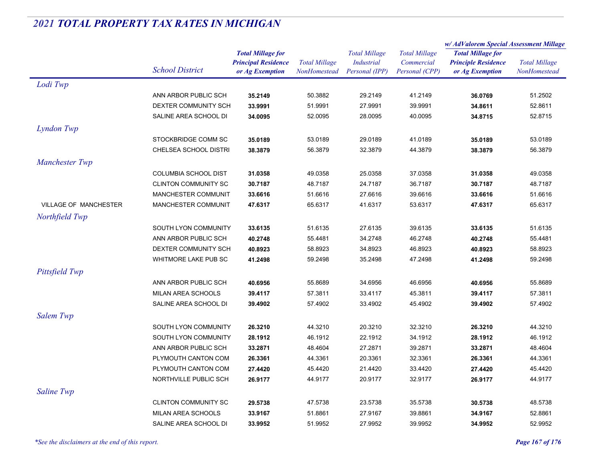|                              |                             |                            | <b>Total Millage</b><br>NonHomestead | <b>Total Millage</b><br><b>Industrial</b> | <b>Total Millage</b> | w/ AdValorem Special Assessment Millage |                                      |
|------------------------------|-----------------------------|----------------------------|--------------------------------------|-------------------------------------------|----------------------|-----------------------------------------|--------------------------------------|
|                              |                             | <b>Total Millage for</b>   |                                      |                                           |                      | <b>Total Millage for</b>                | <b>Total Millage</b><br>NonHomestead |
|                              | <b>School District</b>      | <b>Principal Residence</b> |                                      |                                           | Commercial           | <b>Principle Residence</b>              |                                      |
|                              |                             | or Ag Exemption            |                                      | Personal (IPP)                            | Personal (CPP)       | or Ag Exemption                         |                                      |
| Lodi Twp                     |                             |                            |                                      |                                           |                      |                                         |                                      |
|                              | ANN ARBOR PUBLIC SCH        | 35.2149                    | 50.3882                              | 29.2149                                   | 41.2149              | 36.0769                                 | 51.2502                              |
|                              | DEXTER COMMUNITY SCH        | 33.9991                    | 51.9991                              | 27.9991                                   | 39.9991              | 34.8611                                 | 52.8611                              |
|                              | SALINE AREA SCHOOL DI       | 34.0095                    | 52.0095                              | 28.0095                                   | 40.0095              | 34.8715                                 | 52.8715                              |
| Lyndon Twp                   |                             |                            |                                      |                                           |                      |                                         |                                      |
|                              | STOCKBRIDGE COMM SC         | 35.0189                    | 53.0189                              | 29.0189                                   | 41.0189              | 35.0189                                 | 53.0189                              |
|                              | CHELSEA SCHOOL DISTRI       | 38.3879                    | 56.3879                              | 32.3879                                   | 44.3879              | 38.3879                                 | 56.3879                              |
| Manchester Twp               |                             |                            |                                      |                                           |                      |                                         |                                      |
|                              | <b>COLUMBIA SCHOOL DIST</b> | 31.0358                    | 49.0358                              | 25.0358                                   | 37.0358              | 31.0358                                 | 49.0358                              |
|                              | <b>CLINTON COMMUNITY SC</b> | 30.7187                    | 48.7187                              | 24.7187                                   | 36.7187              | 30.7187                                 | 48.7187                              |
|                              | MANCHESTER COMMUNIT         | 33.6616                    | 51.6616                              | 27.6616                                   | 39.6616              | 33.6616                                 | 51.6616                              |
| <b>VILLAGE OF MANCHESTER</b> | MANCHESTER COMMUNIT         | 47.6317                    | 65.6317                              | 41.6317                                   | 53.6317              | 47.6317                                 | 65.6317                              |
| Northfield Twp               |                             |                            |                                      |                                           |                      |                                         |                                      |
|                              |                             |                            |                                      |                                           |                      |                                         |                                      |
|                              | SOUTH LYON COMMUNITY        | 33.6135                    | 51.6135                              | 27.6135                                   | 39.6135              | 33.6135                                 | 51.6135                              |
|                              | ANN ARBOR PUBLIC SCH        | 40.2748                    | 55.4481                              | 34.2748                                   | 46.2748              | 40.2748                                 | 55.4481                              |
|                              | DEXTER COMMUNITY SCH        | 40.8923                    | 58.8923                              | 34.8923                                   | 46.8923              | 40.8923                                 | 58.8923                              |
|                              | WHITMORE LAKE PUB SC        | 41.2498                    | 59.2498                              | 35.2498                                   | 47.2498              | 41.2498                                 | 59.2498                              |
| Pittsfield Twp               |                             |                            |                                      |                                           |                      |                                         |                                      |
|                              | ANN ARBOR PUBLIC SCH        | 40.6956                    | 55.8689                              | 34.6956                                   | 46.6956              | 40.6956                                 | 55.8689                              |
|                              | <b>MILAN AREA SCHOOLS</b>   | 39.4117                    | 57.3811                              | 33.4117                                   | 45.3811              | 39.4117                                 | 57.3811                              |
|                              | SALINE AREA SCHOOL DI       | 39.4902                    | 57.4902                              | 33.4902                                   | 45.4902              | 39.4902                                 | 57.4902                              |
| Salem Twp                    |                             |                            |                                      |                                           |                      |                                         |                                      |
|                              | SOUTH LYON COMMUNITY        | 26.3210                    | 44.3210                              | 20.3210                                   | 32.3210              | 26.3210                                 | 44.3210                              |
|                              | SOUTH LYON COMMUNITY        | 28.1912                    | 46.1912                              | 22.1912                                   | 34.1912              | 28.1912                                 | 46.1912                              |
|                              | ANN ARBOR PUBLIC SCH        | 33.2871                    | 48.4604                              | 27.2871                                   | 39.2871              | 33.2871                                 | 48.4604                              |
|                              | PLYMOUTH CANTON COM         | 26.3361                    | 44.3361                              | 20.3361                                   | 32.3361              | 26.3361                                 | 44.3361                              |
|                              | PLYMOUTH CANTON COM         | 27.4420                    | 45.4420                              | 21.4420                                   | 33.4420              | 27.4420                                 | 45.4420                              |
|                              | NORTHVILLE PUBLIC SCH       | 26.9177                    | 44.9177                              | 20.9177                                   | 32.9177              | 26.9177                                 | 44.9177                              |
| Saline Twp                   |                             |                            |                                      |                                           |                      |                                         |                                      |
|                              | <b>CLINTON COMMUNITY SC</b> | 29.5738                    | 47.5738                              | 23.5738                                   | 35.5738              | 30.5738                                 | 48.5738                              |
|                              | MILAN AREA SCHOOLS          | 33.9167                    | 51.8861                              | 27.9167                                   | 39.8861              | 34.9167                                 | 52.8861                              |
|                              | SALINE AREA SCHOOL DI       | 33.9952                    | 51.9952                              | 27.9952                                   | 39.9952              | 34.9952                                 | 52.9952                              |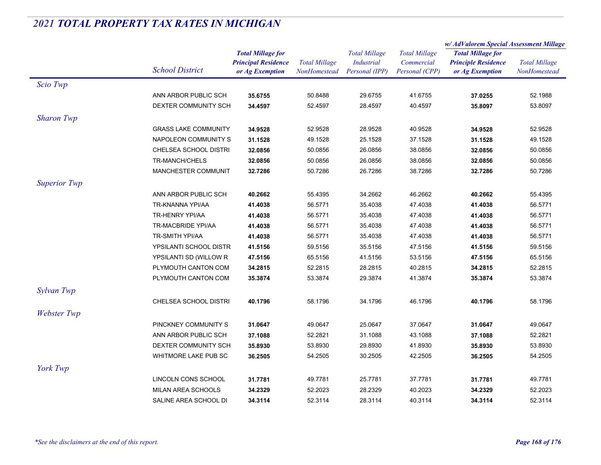|                     |                             |                            | <b>Total Millage</b><br>NonHomestead |                      |                      | w/AdValorem Special Assessment Millage |                      |
|---------------------|-----------------------------|----------------------------|--------------------------------------|----------------------|----------------------|----------------------------------------|----------------------|
|                     |                             | <b>Total Millage for</b>   |                                      | <b>Total Millage</b> | <b>Total Millage</b> | <b>Total Millage for</b>               | <b>Total Millage</b> |
|                     | <b>School District</b>      | <b>Principal Residence</b> |                                      | Industrial           | Commercial           | <b>Principle Residence</b>             |                      |
|                     |                             | or Ag Exemption            |                                      | Personal (IPP)       | Personal (CPP)       | or Ag Exemption                        | NonHomestead         |
| Scio Twp            |                             |                            |                                      |                      |                      |                                        |                      |
|                     | ANN ARBOR PUBLIC SCH        | 35.6755                    | 50.8488                              | 29.6755              | 41.6755              | 37.0255                                | 52.1988              |
|                     | DEXTER COMMUNITY SCH        | 34.4597                    | 52.4597                              | 28.4597              | 40.4597              | 35.8097                                | 53.8097              |
| <b>Sharon Twp</b>   |                             |                            |                                      |                      |                      |                                        |                      |
|                     | <b>GRASS LAKE COMMUNITY</b> | 34.9528                    | 52.9528                              | 28.9528              | 40.9528              | 34.9528                                | 52.9528              |
|                     | NAPOLEON COMMUNITY S        | 31.1528                    | 49.1528                              | 25.1528              | 37.1528              | 31.1528                                | 49.1528              |
|                     | CHELSEA SCHOOL DISTRI       | 32.0856                    | 50.0856                              | 26.0856              | 38.0856              | 32.0856                                | 50.0856              |
|                     | TR-MANCH/CHELS              | 32.0856                    | 50.0856                              | 26.0856              | 38.0856              | 32.0856                                | 50.0856              |
|                     | MANCHESTER COMMUNIT         | 32.7286                    | 50.7286                              | 26.7286              | 38.7286              | 32.7286                                | 50.7286              |
| <b>Superior Twp</b> |                             |                            |                                      |                      |                      |                                        |                      |
|                     | ANN ARBOR PUBLIC SCH        | 40.2662                    | 55.4395                              | 34.2662              | 46.2662              | 40.2662                                | 55.4395              |
|                     | TR-KNANNA YPI/AA            | 41.4038                    | 56.5771                              | 35.4038              | 47.4038              | 41.4038                                | 56.5771              |
|                     | TR-HENRY YPI/AA             | 41.4038                    | 56.5771                              | 35.4038              | 47.4038              | 41.4038                                | 56.5771              |
|                     | TR-MACBRIDE YPI/AA          | 41.4038                    | 56.5771                              | 35.4038              | 47.4038              | 41.4038                                | 56.5771              |
|                     | TR-SMITH YPI/AA             | 41.4038                    | 56.5771                              | 35.4038              | 47.4038              | 41.4038                                | 56.5771              |
|                     | YPSILANTI SCHOOL DISTR      | 41.5156                    | 59.5156                              | 35.5156              | 47.5156              | 41.5156                                | 59.5156              |
|                     | YPSILANTI SD (WILLOW R      | 47.5156                    | 65.5156                              | 41.5156              | 53.5156              | 47.5156                                | 65.5156              |
|                     | PLYMOUTH CANTON COM         | 34.2815                    | 52.2815                              | 28.2815              | 40.2815              | 34.2815                                | 52.2815              |
|                     | PLYMOUTH CANTON COM         | 35.3874                    | 53.3874                              | 29.3874              | 41.3874              | 35.3874                                | 53.3874              |
| Sylvan Twp          |                             |                            |                                      |                      |                      |                                        |                      |
|                     | CHELSEA SCHOOL DISTRI       | 40.1796                    | 58.1796                              | 34.1796              | 46.1796              | 40.1796                                | 58.1796              |
| Webster Twp         |                             |                            |                                      |                      |                      |                                        |                      |
|                     | PINCKNEY COMMUNITY S        | 31.0647                    | 49.0647                              | 25.0647              | 37.0647              | 31.0647                                | 49.0647              |
|                     | ANN ARBOR PUBLIC SCH        | 37.1088                    | 52.2821                              | 31.1088              | 43.1088              | 37.1088                                | 52.2821              |
|                     | DEXTER COMMUNITY SCH        | 35.8930                    | 53.8930                              | 29.8930              | 41.8930              | 35.8930                                | 53.8930              |
|                     | WHITMORE LAKE PUB SC        | 36.2505                    | 54.2505                              | 30.2505              | 42.2505              | 36.2505                                | 54.2505              |
|                     |                             |                            |                                      |                      |                      |                                        |                      |
| York Twp            |                             |                            |                                      |                      |                      |                                        |                      |
|                     | LINCOLN CONS SCHOOL         | 31.7781                    | 49.7781                              | 25.7781              | 37.7781              | 31.7781                                | 49.7781              |
|                     | MILAN AREA SCHOOLS          | 34.2329                    | 52.2023                              | 28.2329              | 40.2023              | 34.2329                                | 52.2023              |
|                     | SALINE AREA SCHOOL DI       | 34.3114                    | 52.3114                              | 28.3114              | 40.3114              | 34.3114                                | 52.3114              |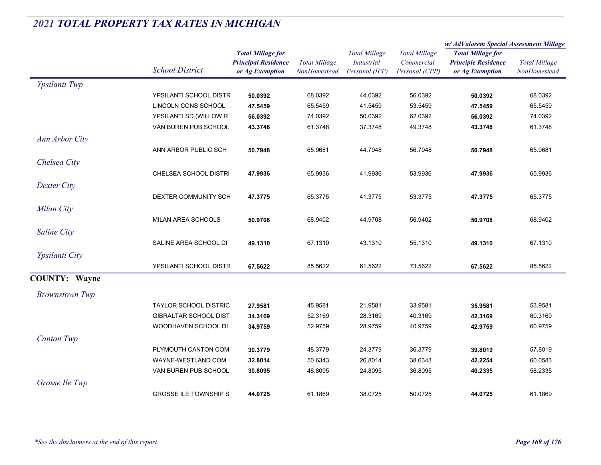|                       |                              |                            |                      | <b>Total Millage</b> |                      | w/AdValorem Special Assessment Millage |                      |  |
|-----------------------|------------------------------|----------------------------|----------------------|----------------------|----------------------|----------------------------------------|----------------------|--|
|                       |                              | <b>Total Millage for</b>   |                      |                      | <b>Total Millage</b> | <b>Total Millage for</b>               | <b>Total Millage</b> |  |
|                       |                              | <b>Principal Residence</b> | <b>Total Millage</b> | <b>Industrial</b>    | Commercial           | <b>Principle Residence</b>             |                      |  |
|                       | <b>School District</b>       | or Ag Exemption            | NonHomestead         | Personal (IPP)       | Personal (CPP)       | or Ag Exemption                        | NonHomestead         |  |
| Ypsilanti Twp         |                              |                            |                      |                      |                      |                                        |                      |  |
|                       | YPSILANTI SCHOOL DISTR       | 50.0392                    | 68.0392              | 44.0392              | 56.0392              | 50.0392                                | 68.0392              |  |
|                       | LINCOLN CONS SCHOOL          | 47.5459                    | 65.5459              | 41.5459              | 53.5459              | 47.5459                                | 65.5459              |  |
|                       | YPSILANTI SD (WILLOW R       | 56.0392                    | 74.0392              | 50.0392              | 62.0392              | 56.0392                                | 74.0392              |  |
|                       | VAN BUREN PUB SCHOOL         | 43.3748                    | 61.3748              | 37.3748              | 49.3748              | 43.3748                                | 61.3748              |  |
| <b>Ann Arbor City</b> |                              |                            |                      |                      |                      |                                        |                      |  |
|                       | ANN ARBOR PUBLIC SCH         | 50.7948                    | 65.9681              | 44.7948              | 56.7948              | 50.7948                                | 65.9681              |  |
| Chelsea City          |                              |                            |                      |                      |                      |                                        |                      |  |
|                       | <b>CHELSEA SCHOOL DISTRI</b> | 47.9936                    | 65.9936              | 41.9936              | 53.9936              | 47.9936                                | 65.9936              |  |
| Dexter City           |                              |                            |                      |                      |                      |                                        |                      |  |
|                       | DEXTER COMMUNITY SCH         | 47.3775                    | 65.3775              | 41.3775              | 53.3775              | 47.3775                                | 65.3775              |  |
|                       |                              |                            |                      |                      |                      |                                        |                      |  |
| <b>Milan City</b>     |                              |                            |                      |                      |                      |                                        |                      |  |
|                       | MILAN AREA SCHOOLS           | 50.9708                    | 68.9402              | 44.9708              | 56.9402              | 50.9708                                | 68.9402              |  |
| <b>Saline City</b>    |                              |                            |                      |                      |                      |                                        |                      |  |
|                       | SALINE AREA SCHOOL DI        | 49.1310                    | 67.1310              | 43.1310              | 55.1310              | 49.1310                                | 67.1310              |  |
| Ypsilanti City        |                              |                            |                      |                      |                      |                                        |                      |  |
|                       | YPSILANTI SCHOOL DISTR       | 67.5622                    | 85.5622              | 61.5622              | 73.5622              | 67.5622                                | 85.5622              |  |
| <b>COUNTY: Wayne</b>  |                              |                            |                      |                      |                      |                                        |                      |  |
| <b>Brownstown Twp</b> |                              |                            |                      |                      |                      |                                        |                      |  |
|                       | <b>TAYLOR SCHOOL DISTRIC</b> | 27.9581                    | 45.9581              | 21.9581              | 33.9581              | 35.9581                                | 53.9581              |  |
|                       | GIBRALTAR SCHOOL DIST        | 34.3169                    | 52.3169              | 28.3169              | 40.3169              | 42.3169                                | 60.3169              |  |
|                       | WOODHAVEN SCHOOL DI          | 34.9759                    | 52.9759              | 28.9759              | 40.9759              | 42.9759                                | 60.9759              |  |
| <b>Canton Twp</b>     |                              |                            |                      |                      |                      |                                        |                      |  |
|                       | PLYMOUTH CANTON COM          | 30.3779                    | 48.3779              | 24.3779              | 36.3779              | 39.8019                                | 57.8019              |  |
|                       | WAYNE-WESTLAND COM           | 32.8014                    | 50.6343              | 26.8014              | 38.6343              | 42.2254                                | 60.0583              |  |
|                       | VAN BUREN PUB SCHOOL         | 30.8095                    | 48.8095              | 24.8095              | 36.8095              | 40.2335                                | 58.2335              |  |
| Grosse Ile Twp        |                              |                            |                      |                      |                      |                                        |                      |  |
|                       | <b>GROSSE ILE TOWNSHIP S</b> | 44.0725                    | 61.1869              | 38.0725              | 50.0725              | 44.0725                                | 61.1869              |  |
|                       |                              |                            |                      |                      |                      |                                        |                      |  |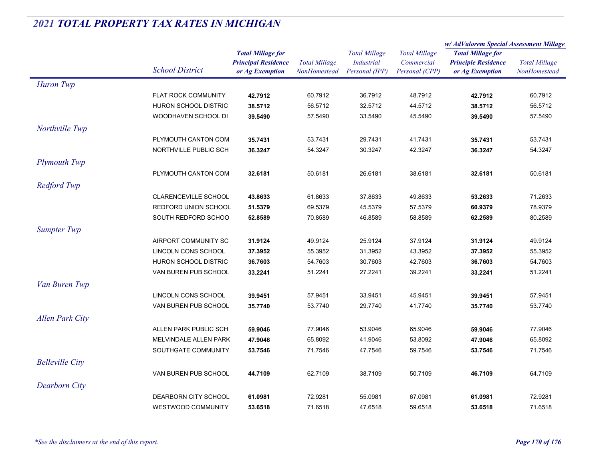| <b>Total Millage for</b><br><b>Total Millage</b><br><b>Total Millage</b><br><b>Total Millage for</b><br><b>Principal Residence</b><br><b>Total Millage</b><br><b>Industrial</b><br>Commercial<br><b>Principle Residence</b><br><b>Total Millage</b><br><b>School District</b><br>Personal (IPP)<br>or Ag Exemption<br>NonHomestead<br>Personal (CPP)<br>or Ag Exemption<br>NonHomestead<br>Huron Twp<br><b>FLAT ROCK COMMUNITY</b><br>60.7912<br>36.7912<br>48.7912<br>42.7912<br>42.7912<br>60.7912<br>38.5712<br>56.5712<br>HURON SCHOOL DISTRIC<br>38.5712<br>56.5712<br>32.5712<br>44.5712<br>WOODHAVEN SCHOOL DI<br>39.5490<br>57.5490<br>33.5490<br>45.5490<br>39.5490<br>57.5490<br>PLYMOUTH CANTON COM<br>53.7431<br>29.7431<br>41.7431<br>53.7431<br>35.7431<br>35.7431<br>NORTHVILLE PUBLIC SCH<br>54.3247<br>30.3247<br>42.3247<br>54.3247<br>36.3247<br>36.3247<br><b>Plymouth Twp</b><br>PLYMOUTH CANTON COM<br>32.6181<br>50.6181<br>26.6181<br>38.6181<br>32.6181<br>50.6181<br><b>Redford Twp</b><br>CLARENCEVILLE SCHOOL<br>61.8633<br>37.8633<br>49.8633<br>71.2633<br>43.8633<br>53.2633<br>REDFORD UNION SCHOOL<br>78.9379<br>51.5379<br>69.5379<br>45.5379<br>57.5379<br>60.9379<br>SOUTH REDFORD SCHOO<br>70.8589<br>46.8589<br>58.8589<br>80.2589<br>52.8589<br>62.2589<br><b>Sumpter Twp</b><br>AIRPORT COMMUNITY SC<br>49.9124<br>25.9124<br>31.9124<br>37.9124<br>31.9124<br>49.9124<br>LINCOLN CONS SCHOOL<br>37.3952<br>55.3952<br>31.3952<br>43.3952<br>37.3952<br>55.3952<br>HURON SCHOOL DISTRIC<br>54.7603<br>30.7603<br>42.7603<br>54.7603<br>36.7603<br>36.7603<br>VAN BUREN PUB SCHOOL<br>51.2241<br>27.2241<br>39.2241<br>51.2241<br>33.2241<br>33.2241<br>Van Buren Twp<br>LINCOLN CONS SCHOOL<br>57.9451<br>33.9451<br>45.9451<br>57.9451<br>39.9451<br>39.9451<br>VAN BUREN PUB SCHOOL<br>35.7740<br>53.7740<br>29.7740<br>41.7740<br>35.7740<br>53.7740<br>ALLEN PARK PUBLIC SCH<br>77.9046<br>65.9046<br>77.9046<br>59.9046<br>53.9046<br>59.9046<br>MELVINDALE ALLEN PARK<br>65.8092<br>41.9046<br>53.8092<br>47.9046<br>65.8092<br>47.9046<br>SOUTHGATE COMMUNITY<br>53.7546<br>71.7546<br>47.7546<br>59.7546<br>53.7546<br>71.7546<br>VAN BUREN PUB SCHOOL<br>44.7109<br>62.7109<br>38.7109<br>50.7109<br>46.7109<br>64.7109<br><b>Dearborn City</b><br>DEARBORN CITY SCHOOL<br>72.9281<br>55.0981<br>67.0981<br>72.9281<br>61.0981<br>61.0981<br><b>WESTWOOD COMMUNITY</b><br>71.6518<br>47.6518<br>59.6518<br>71.6518 |                        |         |  |  | w/ AdValorem Special Assessment Millage |  |
|---------------------------------------------------------------------------------------------------------------------------------------------------------------------------------------------------------------------------------------------------------------------------------------------------------------------------------------------------------------------------------------------------------------------------------------------------------------------------------------------------------------------------------------------------------------------------------------------------------------------------------------------------------------------------------------------------------------------------------------------------------------------------------------------------------------------------------------------------------------------------------------------------------------------------------------------------------------------------------------------------------------------------------------------------------------------------------------------------------------------------------------------------------------------------------------------------------------------------------------------------------------------------------------------------------------------------------------------------------------------------------------------------------------------------------------------------------------------------------------------------------------------------------------------------------------------------------------------------------------------------------------------------------------------------------------------------------------------------------------------------------------------------------------------------------------------------------------------------------------------------------------------------------------------------------------------------------------------------------------------------------------------------------------------------------------------------------------------------------------------------------------------------------------------------------------------------------------------------------------------------------------------------------------------------------------------------------------------------------------------------------------------------------------------------------------------------------------------|------------------------|---------|--|--|-----------------------------------------|--|
|                                                                                                                                                                                                                                                                                                                                                                                                                                                                                                                                                                                                                                                                                                                                                                                                                                                                                                                                                                                                                                                                                                                                                                                                                                                                                                                                                                                                                                                                                                                                                                                                                                                                                                                                                                                                                                                                                                                                                                                                                                                                                                                                                                                                                                                                                                                                                                                                                                                                     |                        |         |  |  |                                         |  |
|                                                                                                                                                                                                                                                                                                                                                                                                                                                                                                                                                                                                                                                                                                                                                                                                                                                                                                                                                                                                                                                                                                                                                                                                                                                                                                                                                                                                                                                                                                                                                                                                                                                                                                                                                                                                                                                                                                                                                                                                                                                                                                                                                                                                                                                                                                                                                                                                                                                                     |                        |         |  |  |                                         |  |
|                                                                                                                                                                                                                                                                                                                                                                                                                                                                                                                                                                                                                                                                                                                                                                                                                                                                                                                                                                                                                                                                                                                                                                                                                                                                                                                                                                                                                                                                                                                                                                                                                                                                                                                                                                                                                                                                                                                                                                                                                                                                                                                                                                                                                                                                                                                                                                                                                                                                     |                        |         |  |  |                                         |  |
|                                                                                                                                                                                                                                                                                                                                                                                                                                                                                                                                                                                                                                                                                                                                                                                                                                                                                                                                                                                                                                                                                                                                                                                                                                                                                                                                                                                                                                                                                                                                                                                                                                                                                                                                                                                                                                                                                                                                                                                                                                                                                                                                                                                                                                                                                                                                                                                                                                                                     |                        |         |  |  |                                         |  |
|                                                                                                                                                                                                                                                                                                                                                                                                                                                                                                                                                                                                                                                                                                                                                                                                                                                                                                                                                                                                                                                                                                                                                                                                                                                                                                                                                                                                                                                                                                                                                                                                                                                                                                                                                                                                                                                                                                                                                                                                                                                                                                                                                                                                                                                                                                                                                                                                                                                                     |                        |         |  |  |                                         |  |
|                                                                                                                                                                                                                                                                                                                                                                                                                                                                                                                                                                                                                                                                                                                                                                                                                                                                                                                                                                                                                                                                                                                                                                                                                                                                                                                                                                                                                                                                                                                                                                                                                                                                                                                                                                                                                                                                                                                                                                                                                                                                                                                                                                                                                                                                                                                                                                                                                                                                     |                        |         |  |  |                                         |  |
|                                                                                                                                                                                                                                                                                                                                                                                                                                                                                                                                                                                                                                                                                                                                                                                                                                                                                                                                                                                                                                                                                                                                                                                                                                                                                                                                                                                                                                                                                                                                                                                                                                                                                                                                                                                                                                                                                                                                                                                                                                                                                                                                                                                                                                                                                                                                                                                                                                                                     |                        |         |  |  |                                         |  |
|                                                                                                                                                                                                                                                                                                                                                                                                                                                                                                                                                                                                                                                                                                                                                                                                                                                                                                                                                                                                                                                                                                                                                                                                                                                                                                                                                                                                                                                                                                                                                                                                                                                                                                                                                                                                                                                                                                                                                                                                                                                                                                                                                                                                                                                                                                                                                                                                                                                                     | Northville Twp         |         |  |  |                                         |  |
|                                                                                                                                                                                                                                                                                                                                                                                                                                                                                                                                                                                                                                                                                                                                                                                                                                                                                                                                                                                                                                                                                                                                                                                                                                                                                                                                                                                                                                                                                                                                                                                                                                                                                                                                                                                                                                                                                                                                                                                                                                                                                                                                                                                                                                                                                                                                                                                                                                                                     |                        |         |  |  |                                         |  |
|                                                                                                                                                                                                                                                                                                                                                                                                                                                                                                                                                                                                                                                                                                                                                                                                                                                                                                                                                                                                                                                                                                                                                                                                                                                                                                                                                                                                                                                                                                                                                                                                                                                                                                                                                                                                                                                                                                                                                                                                                                                                                                                                                                                                                                                                                                                                                                                                                                                                     |                        |         |  |  |                                         |  |
|                                                                                                                                                                                                                                                                                                                                                                                                                                                                                                                                                                                                                                                                                                                                                                                                                                                                                                                                                                                                                                                                                                                                                                                                                                                                                                                                                                                                                                                                                                                                                                                                                                                                                                                                                                                                                                                                                                                                                                                                                                                                                                                                                                                                                                                                                                                                                                                                                                                                     |                        |         |  |  |                                         |  |
|                                                                                                                                                                                                                                                                                                                                                                                                                                                                                                                                                                                                                                                                                                                                                                                                                                                                                                                                                                                                                                                                                                                                                                                                                                                                                                                                                                                                                                                                                                                                                                                                                                                                                                                                                                                                                                                                                                                                                                                                                                                                                                                                                                                                                                                                                                                                                                                                                                                                     |                        |         |  |  |                                         |  |
|                                                                                                                                                                                                                                                                                                                                                                                                                                                                                                                                                                                                                                                                                                                                                                                                                                                                                                                                                                                                                                                                                                                                                                                                                                                                                                                                                                                                                                                                                                                                                                                                                                                                                                                                                                                                                                                                                                                                                                                                                                                                                                                                                                                                                                                                                                                                                                                                                                                                     |                        |         |  |  |                                         |  |
|                                                                                                                                                                                                                                                                                                                                                                                                                                                                                                                                                                                                                                                                                                                                                                                                                                                                                                                                                                                                                                                                                                                                                                                                                                                                                                                                                                                                                                                                                                                                                                                                                                                                                                                                                                                                                                                                                                                                                                                                                                                                                                                                                                                                                                                                                                                                                                                                                                                                     |                        |         |  |  |                                         |  |
|                                                                                                                                                                                                                                                                                                                                                                                                                                                                                                                                                                                                                                                                                                                                                                                                                                                                                                                                                                                                                                                                                                                                                                                                                                                                                                                                                                                                                                                                                                                                                                                                                                                                                                                                                                                                                                                                                                                                                                                                                                                                                                                                                                                                                                                                                                                                                                                                                                                                     |                        |         |  |  |                                         |  |
|                                                                                                                                                                                                                                                                                                                                                                                                                                                                                                                                                                                                                                                                                                                                                                                                                                                                                                                                                                                                                                                                                                                                                                                                                                                                                                                                                                                                                                                                                                                                                                                                                                                                                                                                                                                                                                                                                                                                                                                                                                                                                                                                                                                                                                                                                                                                                                                                                                                                     |                        |         |  |  |                                         |  |
|                                                                                                                                                                                                                                                                                                                                                                                                                                                                                                                                                                                                                                                                                                                                                                                                                                                                                                                                                                                                                                                                                                                                                                                                                                                                                                                                                                                                                                                                                                                                                                                                                                                                                                                                                                                                                                                                                                                                                                                                                                                                                                                                                                                                                                                                                                                                                                                                                                                                     |                        |         |  |  |                                         |  |
|                                                                                                                                                                                                                                                                                                                                                                                                                                                                                                                                                                                                                                                                                                                                                                                                                                                                                                                                                                                                                                                                                                                                                                                                                                                                                                                                                                                                                                                                                                                                                                                                                                                                                                                                                                                                                                                                                                                                                                                                                                                                                                                                                                                                                                                                                                                                                                                                                                                                     |                        |         |  |  |                                         |  |
|                                                                                                                                                                                                                                                                                                                                                                                                                                                                                                                                                                                                                                                                                                                                                                                                                                                                                                                                                                                                                                                                                                                                                                                                                                                                                                                                                                                                                                                                                                                                                                                                                                                                                                                                                                                                                                                                                                                                                                                                                                                                                                                                                                                                                                                                                                                                                                                                                                                                     |                        |         |  |  |                                         |  |
|                                                                                                                                                                                                                                                                                                                                                                                                                                                                                                                                                                                                                                                                                                                                                                                                                                                                                                                                                                                                                                                                                                                                                                                                                                                                                                                                                                                                                                                                                                                                                                                                                                                                                                                                                                                                                                                                                                                                                                                                                                                                                                                                                                                                                                                                                                                                                                                                                                                                     |                        |         |  |  |                                         |  |
|                                                                                                                                                                                                                                                                                                                                                                                                                                                                                                                                                                                                                                                                                                                                                                                                                                                                                                                                                                                                                                                                                                                                                                                                                                                                                                                                                                                                                                                                                                                                                                                                                                                                                                                                                                                                                                                                                                                                                                                                                                                                                                                                                                                                                                                                                                                                                                                                                                                                     |                        |         |  |  |                                         |  |
|                                                                                                                                                                                                                                                                                                                                                                                                                                                                                                                                                                                                                                                                                                                                                                                                                                                                                                                                                                                                                                                                                                                                                                                                                                                                                                                                                                                                                                                                                                                                                                                                                                                                                                                                                                                                                                                                                                                                                                                                                                                                                                                                                                                                                                                                                                                                                                                                                                                                     |                        |         |  |  |                                         |  |
|                                                                                                                                                                                                                                                                                                                                                                                                                                                                                                                                                                                                                                                                                                                                                                                                                                                                                                                                                                                                                                                                                                                                                                                                                                                                                                                                                                                                                                                                                                                                                                                                                                                                                                                                                                                                                                                                                                                                                                                                                                                                                                                                                                                                                                                                                                                                                                                                                                                                     |                        |         |  |  |                                         |  |
|                                                                                                                                                                                                                                                                                                                                                                                                                                                                                                                                                                                                                                                                                                                                                                                                                                                                                                                                                                                                                                                                                                                                                                                                                                                                                                                                                                                                                                                                                                                                                                                                                                                                                                                                                                                                                                                                                                                                                                                                                                                                                                                                                                                                                                                                                                                                                                                                                                                                     |                        |         |  |  |                                         |  |
|                                                                                                                                                                                                                                                                                                                                                                                                                                                                                                                                                                                                                                                                                                                                                                                                                                                                                                                                                                                                                                                                                                                                                                                                                                                                                                                                                                                                                                                                                                                                                                                                                                                                                                                                                                                                                                                                                                                                                                                                                                                                                                                                                                                                                                                                                                                                                                                                                                                                     |                        |         |  |  |                                         |  |
|                                                                                                                                                                                                                                                                                                                                                                                                                                                                                                                                                                                                                                                                                                                                                                                                                                                                                                                                                                                                                                                                                                                                                                                                                                                                                                                                                                                                                                                                                                                                                                                                                                                                                                                                                                                                                                                                                                                                                                                                                                                                                                                                                                                                                                                                                                                                                                                                                                                                     | <b>Allen Park City</b> |         |  |  |                                         |  |
|                                                                                                                                                                                                                                                                                                                                                                                                                                                                                                                                                                                                                                                                                                                                                                                                                                                                                                                                                                                                                                                                                                                                                                                                                                                                                                                                                                                                                                                                                                                                                                                                                                                                                                                                                                                                                                                                                                                                                                                                                                                                                                                                                                                                                                                                                                                                                                                                                                                                     |                        |         |  |  |                                         |  |
|                                                                                                                                                                                                                                                                                                                                                                                                                                                                                                                                                                                                                                                                                                                                                                                                                                                                                                                                                                                                                                                                                                                                                                                                                                                                                                                                                                                                                                                                                                                                                                                                                                                                                                                                                                                                                                                                                                                                                                                                                                                                                                                                                                                                                                                                                                                                                                                                                                                                     |                        |         |  |  |                                         |  |
|                                                                                                                                                                                                                                                                                                                                                                                                                                                                                                                                                                                                                                                                                                                                                                                                                                                                                                                                                                                                                                                                                                                                                                                                                                                                                                                                                                                                                                                                                                                                                                                                                                                                                                                                                                                                                                                                                                                                                                                                                                                                                                                                                                                                                                                                                                                                                                                                                                                                     |                        |         |  |  |                                         |  |
|                                                                                                                                                                                                                                                                                                                                                                                                                                                                                                                                                                                                                                                                                                                                                                                                                                                                                                                                                                                                                                                                                                                                                                                                                                                                                                                                                                                                                                                                                                                                                                                                                                                                                                                                                                                                                                                                                                                                                                                                                                                                                                                                                                                                                                                                                                                                                                                                                                                                     | <b>Belleville City</b> |         |  |  |                                         |  |
|                                                                                                                                                                                                                                                                                                                                                                                                                                                                                                                                                                                                                                                                                                                                                                                                                                                                                                                                                                                                                                                                                                                                                                                                                                                                                                                                                                                                                                                                                                                                                                                                                                                                                                                                                                                                                                                                                                                                                                                                                                                                                                                                                                                                                                                                                                                                                                                                                                                                     |                        |         |  |  |                                         |  |
|                                                                                                                                                                                                                                                                                                                                                                                                                                                                                                                                                                                                                                                                                                                                                                                                                                                                                                                                                                                                                                                                                                                                                                                                                                                                                                                                                                                                                                                                                                                                                                                                                                                                                                                                                                                                                                                                                                                                                                                                                                                                                                                                                                                                                                                                                                                                                                                                                                                                     |                        |         |  |  |                                         |  |
|                                                                                                                                                                                                                                                                                                                                                                                                                                                                                                                                                                                                                                                                                                                                                                                                                                                                                                                                                                                                                                                                                                                                                                                                                                                                                                                                                                                                                                                                                                                                                                                                                                                                                                                                                                                                                                                                                                                                                                                                                                                                                                                                                                                                                                                                                                                                                                                                                                                                     |                        |         |  |  |                                         |  |
|                                                                                                                                                                                                                                                                                                                                                                                                                                                                                                                                                                                                                                                                                                                                                                                                                                                                                                                                                                                                                                                                                                                                                                                                                                                                                                                                                                                                                                                                                                                                                                                                                                                                                                                                                                                                                                                                                                                                                                                                                                                                                                                                                                                                                                                                                                                                                                                                                                                                     |                        | 53.6518 |  |  | 53.6518                                 |  |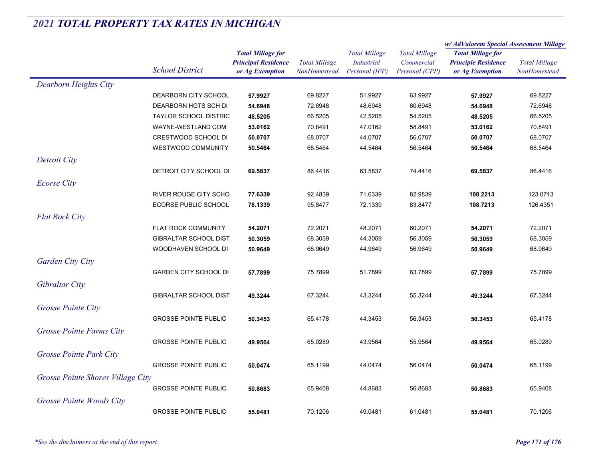|                                   |                              |                            | <b>Total Millage</b> |                                           | <b>Total Millage</b><br>Commercial | w/ AdValorem Special Assessment Millage                |                      |
|-----------------------------------|------------------------------|----------------------------|----------------------|-------------------------------------------|------------------------------------|--------------------------------------------------------|----------------------|
|                                   |                              | <b>Total Millage for</b>   |                      | <b>Total Millage</b><br><b>Industrial</b> |                                    | <b>Total Millage for</b><br><b>Principle Residence</b> | <b>Total Millage</b> |
|                                   |                              | <b>Principal Residence</b> |                      |                                           |                                    |                                                        |                      |
|                                   | <b>School District</b>       | or Ag Exemption            | NonHomestead         | Personal (IPP)                            | Personal (CPP)                     | or Ag Exemption                                        | NonHomestead         |
| <b>Dearborn Heights City</b>      |                              |                            |                      |                                           |                                    |                                                        |                      |
|                                   | DEARBORN CITY SCHOOL         | 57.9927                    | 69.8227              | 51.9927                                   | 63.9927                            | 57.9927                                                | 69.8227              |
|                                   | DEARBORN HGTS SCH DI         | 54.6948                    | 72.6948              | 48.6948                                   | 60.6948                            | 54.6948                                                | 72.6948              |
|                                   | <b>TAYLOR SCHOOL DISTRIC</b> | 48.5205                    | 66.5205              | 42.5205                                   | 54.5205                            | 48.5205                                                | 66.5205              |
|                                   | WAYNE-WESTLAND COM           | 53.0162                    | 70.8491              | 47.0162                                   | 58.8491                            | 53.0162                                                | 70.8491              |
|                                   | CRESTWOOD SCHOOL DI          | 50.0707                    | 68.0707              | 44.0707                                   | 56.0707                            | 50.0707                                                | 68.0707              |
|                                   | WESTWOOD COMMUNITY           | 50.5464                    | 68.5464              | 44.5464                                   | 56.5464                            | 50.5464                                                | 68.5464              |
| Detroit City                      |                              |                            |                      |                                           |                                    |                                                        |                      |
|                                   | DETROIT CITY SCHOOL DI       | 69.5837                    | 86.4416              | 63.5837                                   | 74.4416                            | 69.5837                                                | 86.4416              |
| <b>Ecorse City</b>                |                              |                            |                      |                                           |                                    |                                                        |                      |
|                                   | <b>RIVER ROUGE CITY SCHO</b> | 77.6339                    | 92.4839              | 71.6339                                   | 82.9839                            | 108.2213                                               | 123.0713             |
|                                   | <b>ECORSE PUBLIC SCHOOL</b>  | 78.1339                    | 95.8477              | 72.1339                                   | 83.8477                            | 108.7213                                               | 126.4351             |
|                                   |                              |                            |                      |                                           |                                    |                                                        |                      |
| <b>Flat Rock City</b>             |                              |                            |                      |                                           |                                    |                                                        |                      |
|                                   | <b>FLAT ROCK COMMUNITY</b>   | 54.2071                    | 72.2071              | 48.2071                                   | 60.2071                            | 54.2071                                                | 72.2071              |
|                                   | <b>GIBRALTAR SCHOOL DIST</b> | 50.3059                    | 68.3059              | 44.3059                                   | 56.3059                            | 50.3059                                                | 68.3059              |
|                                   | WOODHAVEN SCHOOL DI          | 50.9649                    | 68.9649              | 44.9649                                   | 56.9649                            | 50.9649                                                | 68.9649              |
| <b>Garden City City</b>           |                              |                            |                      |                                           |                                    |                                                        |                      |
|                                   | <b>GARDEN CITY SCHOOL DI</b> | 57.7899                    | 75.7899              | 51.7899                                   | 63.7899                            | 57.7899                                                | 75.7899              |
| Gibraltar City                    |                              |                            |                      |                                           |                                    |                                                        |                      |
|                                   | <b>GIBRALTAR SCHOOL DIST</b> | 49.3244                    | 67.3244              | 43.3244                                   | 55.3244                            | 49.3244                                                | 67.3244              |
| <b>Grosse Pointe City</b>         |                              |                            |                      |                                           |                                    |                                                        |                      |
|                                   | <b>GROSSE POINTE PUBLIC</b>  | 50.3453                    | 65.4178              | 44.3453                                   | 56.3453                            | 50.3453                                                | 65.4178              |
| <b>Grosse Pointe Farms City</b>   |                              |                            |                      |                                           |                                    |                                                        |                      |
|                                   | <b>GROSSE POINTE PUBLIC</b>  | 49.9564                    | 65.0289              | 43.9564                                   | 55.9564                            | 49.9564                                                | 65.0289              |
|                                   |                              |                            |                      |                                           |                                    |                                                        |                      |
| <b>Grosse Pointe Park City</b>    |                              |                            |                      |                                           |                                    |                                                        |                      |
|                                   | <b>GROSSE POINTE PUBLIC</b>  | 50.0474                    | 65.1199              | 44.0474                                   | 56.0474                            | 50.0474                                                | 65.1199              |
| Grosse Pointe Shores Village City |                              |                            |                      |                                           |                                    |                                                        |                      |
|                                   | <b>GROSSE POINTE PUBLIC</b>  | 50.8683                    | 65.9408              | 44.8683                                   | 56.8683                            | 50.8683                                                | 65.9408              |
| Grosse Pointe Woods City          |                              |                            |                      |                                           |                                    |                                                        |                      |
|                                   | <b>GROSSE POINTE PUBLIC</b>  | 55.0481                    | 70.1206              | 49.0481                                   | 61.0481                            | 55.0481                                                | 70.1206              |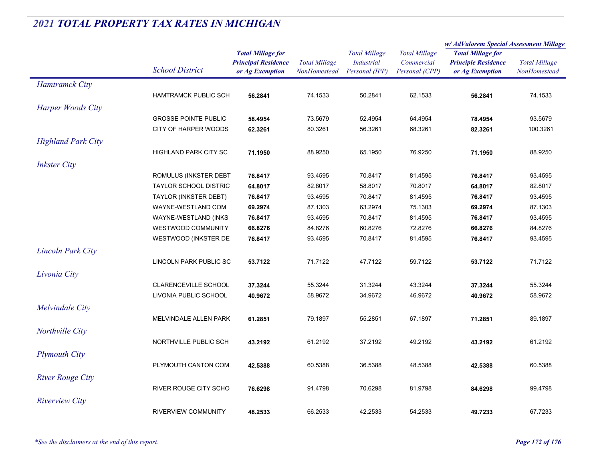|                           | <b>School District</b>                              |                                                                           |                                      |                                                             |                                                      | w/ AdValorem Special Assessment Millage                                   |                                      |
|---------------------------|-----------------------------------------------------|---------------------------------------------------------------------------|--------------------------------------|-------------------------------------------------------------|------------------------------------------------------|---------------------------------------------------------------------------|--------------------------------------|
|                           |                                                     | <b>Total Millage for</b><br><b>Principal Residence</b><br>or Ag Exemption | <b>Total Millage</b><br>NonHomestead | <b>Total Millage</b><br><b>Industrial</b><br>Personal (IPP) | <b>Total Millage</b><br>Commercial<br>Personal (CPP) | <b>Total Millage for</b><br><b>Principle Residence</b><br>or Ag Exemption | <b>Total Millage</b><br>NonHomestead |
| <b>Hamtramck City</b>     |                                                     |                                                                           |                                      |                                                             |                                                      |                                                                           |                                      |
|                           | <b>HAMTRAMCK PUBLIC SCH</b>                         | 56.2841                                                                   | 74.1533                              | 50.2841                                                     | 62.1533                                              | 56.2841                                                                   | 74.1533                              |
| Harper Woods City         |                                                     |                                                                           |                                      |                                                             |                                                      |                                                                           |                                      |
|                           |                                                     |                                                                           |                                      |                                                             |                                                      |                                                                           |                                      |
|                           | <b>GROSSE POINTE PUBLIC</b><br>CITY OF HARPER WOODS | 58.4954                                                                   | 73.5679<br>80.3261                   | 52.4954<br>56.3261                                          | 64.4954<br>68.3261                                   | 78.4954                                                                   | 93.5679<br>100.3261                  |
|                           |                                                     | 62.3261                                                                   |                                      |                                                             |                                                      | 82.3261                                                                   |                                      |
| <b>Highland Park City</b> |                                                     |                                                                           |                                      |                                                             |                                                      |                                                                           |                                      |
|                           | <b>HIGHLAND PARK CITY SC</b>                        | 71.1950                                                                   | 88.9250                              | 65.1950                                                     | 76.9250                                              | 71.1950                                                                   | 88.9250                              |
| <b>Inkster City</b>       |                                                     |                                                                           |                                      |                                                             |                                                      |                                                                           |                                      |
|                           | ROMULUS (INKSTER DEBT                               | 76.8417                                                                   | 93.4595                              | 70.8417                                                     | 81.4595                                              | 76.8417                                                                   | 93.4595                              |
|                           | <b>TAYLOR SCHOOL DISTRIC</b>                        | 64.8017                                                                   | 82.8017                              | 58.8017                                                     | 70.8017                                              | 64.8017                                                                   | 82.8017                              |
|                           | TAYLOR (INKSTER DEBT)                               | 76.8417                                                                   | 93.4595                              | 70.8417                                                     | 81.4595                                              | 76.8417                                                                   | 93.4595                              |
|                           | WAYNE-WESTLAND COM                                  | 69.2974                                                                   | 87.1303                              | 63.2974                                                     | 75.1303                                              | 69.2974                                                                   | 87.1303                              |
|                           | WAYNE-WESTLAND (INKS                                | 76.8417                                                                   | 93.4595                              | 70.8417                                                     | 81.4595                                              | 76.8417                                                                   | 93.4595                              |
|                           | WESTWOOD COMMUNITY                                  | 66.8276                                                                   | 84.8276                              | 60.8276                                                     | 72.8276                                              | 66.8276                                                                   | 84.8276                              |
|                           | WESTWOOD (INKSTER DE                                | 76.8417                                                                   | 93.4595                              | 70.8417                                                     | 81.4595                                              | 76.8417                                                                   | 93.4595                              |
| <b>Lincoln Park City</b>  |                                                     |                                                                           |                                      |                                                             |                                                      |                                                                           |                                      |
|                           | LINCOLN PARK PUBLIC SC                              | 53.7122                                                                   | 71.7122                              | 47.7122                                                     | 59.7122                                              | 53.7122                                                                   | 71.7122                              |
| Livonia City              |                                                     |                                                                           |                                      |                                                             |                                                      |                                                                           |                                      |
|                           | CLARENCEVILLE SCHOOL                                | 37.3244                                                                   | 55.3244                              | 31.3244                                                     | 43.3244                                              | 37.3244                                                                   | 55.3244                              |
|                           | LIVONIA PUBLIC SCHOOL                               | 40.9672                                                                   | 58.9672                              | 34.9672                                                     | 46.9672                                              | 40.9672                                                                   | 58.9672                              |
| Melvindale City           |                                                     |                                                                           |                                      |                                                             |                                                      |                                                                           |                                      |
|                           |                                                     |                                                                           |                                      |                                                             |                                                      |                                                                           |                                      |
|                           | MELVINDALE ALLEN PARK                               | 61.2851                                                                   | 79.1897                              | 55.2851                                                     | 67.1897                                              | 71.2851                                                                   | 89.1897                              |
| Northville City           |                                                     |                                                                           |                                      |                                                             |                                                      |                                                                           |                                      |
|                           | NORTHVILLE PUBLIC SCH                               | 43.2192                                                                   | 61.2192                              | 37.2192                                                     | 49.2192                                              | 43.2192                                                                   | 61.2192                              |
| <b>Plymouth City</b>      |                                                     |                                                                           |                                      |                                                             |                                                      |                                                                           |                                      |
|                           | PLYMOUTH CANTON COM                                 | 42.5388                                                                   | 60.5388                              | 36.5388                                                     | 48.5388                                              | 42.5388                                                                   | 60.5388                              |
| <b>River Rouge City</b>   |                                                     |                                                                           |                                      |                                                             |                                                      |                                                                           |                                      |
|                           | RIVER ROUGE CITY SCHO                               | 76.6298                                                                   | 91.4798                              | 70.6298                                                     | 81.9798                                              | 84.6298                                                                   | 99.4798                              |
| <b>Riverview City</b>     |                                                     |                                                                           |                                      |                                                             |                                                      |                                                                           |                                      |
|                           | <b>RIVERVIEW COMMUNITY</b>                          | 48.2533                                                                   | 66.2533                              | 42.2533                                                     | 54.2533                                              | 49.7233                                                                   | 67.7233                              |
|                           |                                                     |                                                                           |                                      |                                                             |                                                      |                                                                           |                                      |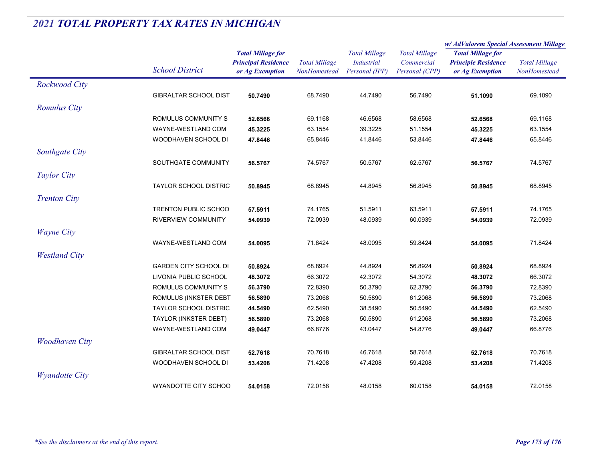|                       |                              |                                                                           |                                      |                                                             | w/AdValorem Special Assessment Millage               |                                                                           |                                      |
|-----------------------|------------------------------|---------------------------------------------------------------------------|--------------------------------------|-------------------------------------------------------------|------------------------------------------------------|---------------------------------------------------------------------------|--------------------------------------|
|                       | <b>School District</b>       | <b>Total Millage for</b><br><b>Principal Residence</b><br>or Ag Exemption | <b>Total Millage</b><br>NonHomestead | <b>Total Millage</b><br><b>Industrial</b><br>Personal (IPP) | <b>Total Millage</b><br>Commercial<br>Personal (CPP) | <b>Total Millage for</b><br><b>Principle Residence</b><br>or Ag Exemption | <b>Total Millage</b><br>NonHomestead |
| Rockwood City         |                              |                                                                           |                                      |                                                             |                                                      |                                                                           |                                      |
|                       | <b>GIBRALTAR SCHOOL DIST</b> | 50.7490                                                                   | 68.7490                              | 44.7490                                                     | 56.7490                                              | 51.1090                                                                   | 69.1090                              |
| <b>Romulus City</b>   |                              |                                                                           |                                      |                                                             |                                                      |                                                                           |                                      |
|                       | ROMULUS COMMUNITY S          | 52.6568                                                                   | 69.1168                              | 46.6568                                                     | 58.6568                                              | 52.6568                                                                   | 69.1168                              |
|                       | WAYNE-WESTLAND COM           | 45.3225                                                                   | 63.1554                              | 39.3225                                                     | 51.1554                                              | 45.3225                                                                   | 63.1554                              |
|                       | WOODHAVEN SCHOOL DI          | 47.8446                                                                   | 65.8446                              | 41.8446                                                     | 53.8446                                              | 47.8446                                                                   | 65.8446                              |
| Southgate City        |                              |                                                                           |                                      |                                                             |                                                      |                                                                           |                                      |
|                       | SOUTHGATE COMMUNITY          | 56.5767                                                                   | 74.5767                              | 50.5767                                                     | 62.5767                                              | 56.5767                                                                   | 74.5767                              |
| Taylor City           |                              |                                                                           |                                      |                                                             |                                                      |                                                                           |                                      |
|                       | <b>TAYLOR SCHOOL DISTRIC</b> | 50.8945                                                                   | 68.8945                              | 44.8945                                                     | 56.8945                                              | 50.8945                                                                   | 68.8945                              |
| <b>Trenton City</b>   |                              |                                                                           |                                      |                                                             |                                                      |                                                                           |                                      |
|                       | <b>TRENTON PUBLIC SCHOO</b>  | 57.5911                                                                   | 74.1765                              | 51.5911                                                     | 63.5911                                              | 57.5911                                                                   | 74.1765                              |
|                       | <b>RIVERVIEW COMMUNITY</b>   | 54.0939                                                                   | 72.0939                              | 48.0939                                                     | 60.0939                                              | 54.0939                                                                   | 72.0939                              |
| <b>Wayne City</b>     |                              |                                                                           |                                      |                                                             |                                                      |                                                                           |                                      |
|                       | WAYNE-WESTLAND COM           | 54.0095                                                                   | 71.8424                              | 48.0095                                                     | 59.8424                                              | 54.0095                                                                   | 71.8424                              |
| <b>Westland City</b>  |                              |                                                                           |                                      |                                                             |                                                      |                                                                           |                                      |
|                       | <b>GARDEN CITY SCHOOL DI</b> | 50.8924                                                                   | 68.8924                              | 44.8924                                                     | 56.8924                                              | 50.8924                                                                   | 68.8924                              |
|                       | LIVONIA PUBLIC SCHOOL        | 48.3072                                                                   | 66.3072                              | 42.3072                                                     | 54.3072                                              | 48.3072                                                                   | 66.3072                              |
|                       | ROMULUS COMMUNITY S          | 56.3790                                                                   | 72.8390                              | 50.3790                                                     | 62.3790                                              | 56.3790                                                                   | 72.8390                              |
|                       | ROMULUS (INKSTER DEBT        | 56.5890                                                                   | 73.2068                              | 50.5890                                                     | 61.2068                                              | 56.5890                                                                   | 73.2068                              |
|                       | <b>TAYLOR SCHOOL DISTRIC</b> | 44.5490                                                                   | 62.5490                              | 38.5490                                                     | 50.5490                                              | 44.5490                                                                   | 62.5490                              |
|                       | TAYLOR (INKSTER DEBT)        | 56.5890                                                                   | 73.2068                              | 50.5890                                                     | 61.2068                                              | 56.5890                                                                   | 73.2068                              |
|                       | WAYNE-WESTLAND COM           | 49.0447                                                                   | 66.8776                              | 43.0447                                                     | 54.8776                                              | 49.0447                                                                   | 66.8776                              |
| <b>Woodhaven City</b> |                              |                                                                           |                                      |                                                             |                                                      |                                                                           |                                      |
|                       | GIBRALTAR SCHOOL DIST        | 52.7618                                                                   | 70.7618                              | 46.7618                                                     | 58.7618                                              | 52.7618                                                                   | 70.7618                              |
|                       | WOODHAVEN SCHOOL DI          | 53.4208                                                                   | 71.4208                              | 47.4208                                                     | 59.4208                                              | 53.4208                                                                   | 71.4208                              |
| <b>Wyandotte City</b> |                              |                                                                           |                                      |                                                             |                                                      |                                                                           |                                      |
|                       | WYANDOTTE CITY SCHOO         | 54.0158                                                                   | 72.0158                              | 48.0158                                                     | 60.0158                                              | 54.0158                                                                   | 72.0158                              |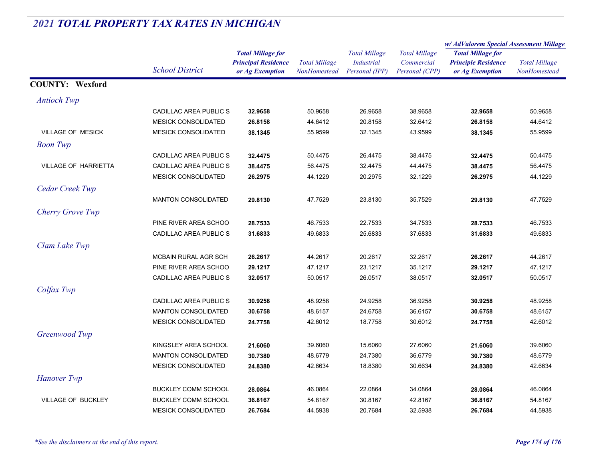|                             |                            |                            |                      | <b>Total Millage</b> |                      | w/AdValorem Special Assessment Millage |                      |
|-----------------------------|----------------------------|----------------------------|----------------------|----------------------|----------------------|----------------------------------------|----------------------|
|                             |                            | <b>Total Millage for</b>   |                      |                      | <b>Total Millage</b> | <b>Total Millage for</b>               |                      |
|                             | <b>School District</b>     | <b>Principal Residence</b> | <b>Total Millage</b> | <b>Industrial</b>    | Commercial           | <b>Principle Residence</b>             | <b>Total Millage</b> |
|                             |                            | or Ag Exemption            | NonHomestead         | Personal (IPP)       | Personal (CPP)       | or Ag Exemption                        | NonHomestead         |
| <b>COUNTY: Wexford</b>      |                            |                            |                      |                      |                      |                                        |                      |
| <b>Antioch Twp</b>          |                            |                            |                      |                      |                      |                                        |                      |
|                             | CADILLAC AREA PUBLIC S     | 32.9658                    | 50.9658              | 26.9658              | 38.9658              | 32.9658                                | 50.9658              |
|                             | <b>MESICK CONSOLIDATED</b> | 26.8158                    | 44.6412              | 20.8158              | 32.6412              | 26.8158                                | 44.6412              |
| <b>VILLAGE OF MESICK</b>    | <b>MESICK CONSOLIDATED</b> | 38.1345                    | 55.9599              | 32.1345              | 43.9599              | 38.1345                                | 55.9599              |
| <b>Boon</b> Twp             |                            |                            |                      |                      |                      |                                        |                      |
|                             | CADILLAC AREA PUBLIC S     | 32.4475                    | 50.4475              | 26.4475              | 38.4475              | 32.4475                                | 50.4475              |
| <b>VILLAGE OF HARRIETTA</b> | CADILLAC AREA PUBLIC S     | 38.4475                    | 56.4475              | 32.4475              | 44.4475              | 38.4475                                | 56.4475              |
|                             | <b>MESICK CONSOLIDATED</b> | 26.2975                    | 44.1229              | 20.2975              | 32.1229              | 26.2975                                | 44.1229              |
| Cedar Creek Twp             |                            |                            |                      |                      |                      |                                        |                      |
|                             | <b>MANTON CONSOLIDATED</b> | 29.8130                    | 47.7529              | 23.8130              | 35.7529              | 29.8130                                | 47.7529              |
| Cherry Grove Twp            |                            |                            |                      |                      |                      |                                        |                      |
|                             | PINE RIVER AREA SCHOO      | 28.7533                    | 46.7533              | 22.7533              | 34.7533              | 28.7533                                | 46.7533              |
|                             | CADILLAC AREA PUBLIC S     | 31.6833                    | 49.6833              | 25.6833              | 37.6833              | 31.6833                                | 49.6833              |
| Clam Lake Twp               |                            |                            |                      |                      |                      |                                        |                      |
|                             | MCBAIN RURAL AGR SCH       | 26.2617                    | 44.2617              | 20.2617              | 32.2617              | 26.2617                                | 44.2617              |
|                             | PINE RIVER AREA SCHOO      | 29.1217                    | 47.1217              | 23.1217              | 35.1217              | 29.1217                                | 47.1217              |
|                             | CADILLAC AREA PUBLIC S     | 32.0517                    | 50.0517              | 26.0517              | 38.0517              | 32.0517                                | 50.0517              |
| Colfax Twp                  |                            |                            |                      |                      |                      |                                        |                      |
|                             | CADILLAC AREA PUBLIC S     | 30.9258                    | 48.9258              | 24.9258              | 36.9258              | 30.9258                                | 48.9258              |
|                             | <b>MANTON CONSOLIDATED</b> | 30.6758                    | 48.6157              | 24.6758              | 36.6157              | 30.6758                                | 48.6157              |
|                             | <b>MESICK CONSOLIDATED</b> | 24.7758                    | 42.6012              | 18.7758              | 30.6012              | 24.7758                                | 42.6012              |
| Greenwood Twp               |                            |                            |                      |                      |                      |                                        |                      |
|                             | KINGSLEY AREA SCHOOL       | 21.6060                    | 39.6060              | 15.6060              | 27.6060              | 21.6060                                | 39.6060              |
|                             | <b>MANTON CONSOLIDATED</b> | 30.7380                    | 48.6779              | 24.7380              | 36.6779              | 30.7380                                | 48.6779              |
|                             | <b>MESICK CONSOLIDATED</b> | 24.8380                    | 42.6634              | 18.8380              | 30.6634              | 24.8380                                | 42.6634              |
| <b>Hanover Twp</b>          |                            |                            |                      |                      |                      |                                        |                      |
|                             | <b>BUCKLEY COMM SCHOOL</b> | 28.0864                    | 46.0864              | 22.0864              | 34.0864              | 28.0864                                | 46.0864              |
| <b>VILLAGE OF BUCKLEY</b>   | <b>BUCKLEY COMM SCHOOL</b> | 36.8167                    | 54.8167              | 30.8167              | 42.8167              | 36.8167                                | 54.8167              |
|                             | <b>MESICK CONSOLIDATED</b> | 26.7684                    | 44.5938              | 20.7684              | 32.5938              | 26.7684                                | 44.5938              |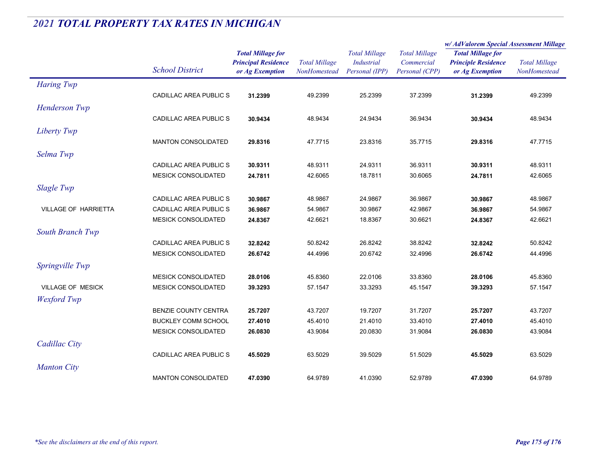|                             |                               |                                               | <b>Total Millage</b><br>NonHomestead | <b>Total Millage</b><br><b>Industrial</b><br>Personal (IPP) | <b>Total Millage</b><br>Commercial | w/AdValorem Special Assessment Millage                 |                                      |  |
|-----------------------------|-------------------------------|-----------------------------------------------|--------------------------------------|-------------------------------------------------------------|------------------------------------|--------------------------------------------------------|--------------------------------------|--|
|                             | <b>School District</b>        | <b>Total Millage for</b>                      |                                      |                                                             |                                    | <b>Total Millage for</b><br><b>Principle Residence</b> | <b>Total Millage</b><br>NonHomestead |  |
|                             |                               | <b>Principal Residence</b><br>or Ag Exemption |                                      |                                                             |                                    |                                                        |                                      |  |
|                             |                               |                                               |                                      |                                                             | Personal (CPP)                     | or Ag Exemption                                        |                                      |  |
| <b>Haring Twp</b>           |                               |                                               |                                      |                                                             |                                    |                                                        |                                      |  |
|                             | <b>CADILLAC AREA PUBLIC S</b> | 31.2399                                       | 49.2399                              | 25.2399                                                     | 37.2399                            | 31.2399                                                | 49.2399                              |  |
| Henderson Twp               |                               |                                               |                                      |                                                             |                                    |                                                        |                                      |  |
|                             | CADILLAC AREA PUBLIC S        | 30.9434                                       | 48.9434                              | 24.9434                                                     | 36.9434                            | 30.9434                                                | 48.9434                              |  |
| Liberty Twp                 |                               |                                               |                                      |                                                             |                                    |                                                        |                                      |  |
|                             | <b>MANTON CONSOLIDATED</b>    | 29.8316                                       | 47.7715                              | 23.8316                                                     | 35.7715                            | 29.8316                                                | 47.7715                              |  |
| Selma Twp                   |                               |                                               |                                      |                                                             |                                    |                                                        |                                      |  |
|                             | <b>CADILLAC AREA PUBLIC S</b> | 30.9311                                       | 48.9311                              | 24.9311                                                     | 36.9311                            | 30.9311                                                | 48.9311                              |  |
|                             | <b>MESICK CONSOLIDATED</b>    | 24.7811                                       | 42.6065                              | 18.7811                                                     | 30.6065                            | 24.7811                                                | 42.6065                              |  |
|                             |                               |                                               |                                      |                                                             |                                    |                                                        |                                      |  |
| <b>Slagle Twp</b>           |                               |                                               |                                      |                                                             |                                    |                                                        |                                      |  |
|                             | CADILLAC AREA PUBLIC S        | 30.9867                                       | 48.9867                              | 24.9867                                                     | 36.9867                            | 30.9867                                                | 48.9867                              |  |
| <b>VILLAGE OF HARRIETTA</b> | CADILLAC AREA PUBLIC S        | 36.9867                                       | 54.9867                              | 30.9867                                                     | 42.9867                            | 36.9867                                                | 54.9867                              |  |
|                             | <b>MESICK CONSOLIDATED</b>    | 24.8367                                       | 42.6621                              | 18.8367                                                     | 30.6621                            | 24.8367                                                | 42.6621                              |  |
| South Branch Twp            |                               |                                               |                                      |                                                             |                                    |                                                        |                                      |  |
|                             | CADILLAC AREA PUBLIC S        | 32.8242                                       | 50.8242                              | 26.8242                                                     | 38.8242                            | 32.8242                                                | 50.8242                              |  |
|                             | <b>MESICK CONSOLIDATED</b>    | 26.6742                                       | 44.4996                              | 20.6742                                                     | 32.4996                            | 26.6742                                                | 44.4996                              |  |
| Springville Twp             |                               |                                               |                                      |                                                             |                                    |                                                        |                                      |  |
|                             | <b>MESICK CONSOLIDATED</b>    | 28.0106                                       | 45.8360                              | 22.0106                                                     | 33.8360                            | 28.0106                                                | 45.8360                              |  |
| <b>VILLAGE OF MESICK</b>    | <b>MESICK CONSOLIDATED</b>    | 39.3293                                       | 57.1547                              | 33.3293                                                     | 45.1547                            | 39.3293                                                | 57.1547                              |  |
| <b>Wexford</b> Twp          |                               |                                               |                                      |                                                             |                                    |                                                        |                                      |  |
|                             | <b>BENZIE COUNTY CENTRA</b>   | 25.7207                                       | 43.7207                              | 19.7207                                                     | 31.7207                            | 25.7207                                                | 43.7207                              |  |
|                             | <b>BUCKLEY COMM SCHOOL</b>    | 27.4010                                       | 45.4010                              | 21.4010                                                     | 33.4010                            | 27.4010                                                | 45.4010                              |  |
|                             | <b>MESICK CONSOLIDATED</b>    | 26.0830                                       | 43.9084                              | 20.0830                                                     | 31.9084                            | 26.0830                                                | 43.9084                              |  |
| Cadillac City               |                               |                                               |                                      |                                                             |                                    |                                                        |                                      |  |
|                             | <b>CADILLAC AREA PUBLIC S</b> | 45.5029                                       | 63.5029                              | 39.5029                                                     | 51.5029                            | 45.5029                                                | 63.5029                              |  |
|                             |                               |                                               |                                      |                                                             |                                    |                                                        |                                      |  |
| <b>Manton City</b>          |                               |                                               |                                      |                                                             |                                    |                                                        |                                      |  |
|                             | <b>MANTON CONSOLIDATED</b>    | 47.0390                                       | 64.9789                              | 41.0390                                                     | 52.9789                            | 47.0390                                                | 64.9789                              |  |